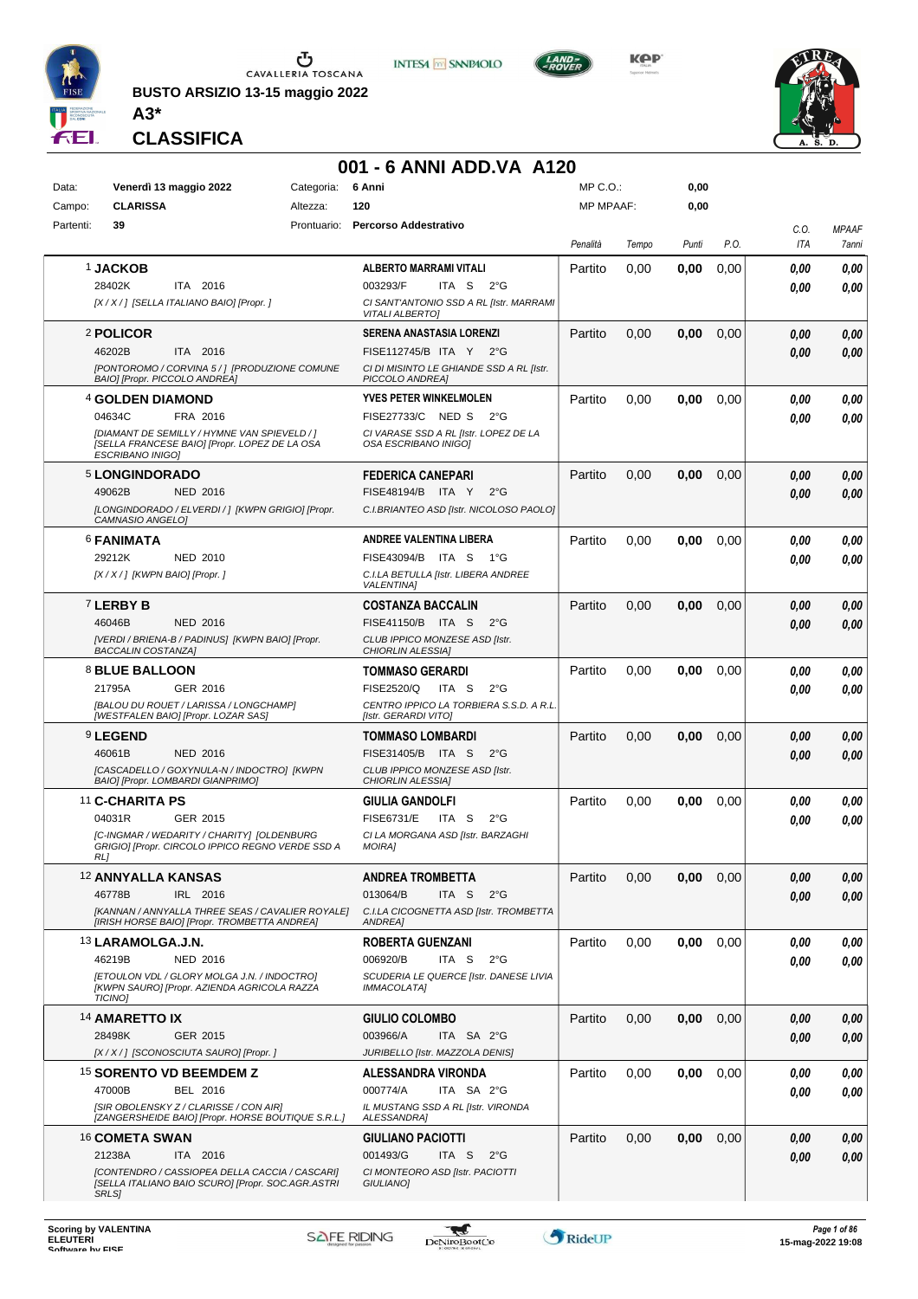

**BUSTO ARSIZIO 13-15 maggio 2022 A3\***



**KPP** 



**CLASSIFICA**

## **001 - 6 ANNI ADD.VA A120**

**INTESA M** SANPAOLO

| Data:     | Venerdì 13 maggio 2022                                                                                                   | Categoria: | 6 Anni                                                            | MP C.O.:         |       | 0,00  |      |             |                       |
|-----------|--------------------------------------------------------------------------------------------------------------------------|------------|-------------------------------------------------------------------|------------------|-------|-------|------|-------------|-----------------------|
| Campo:    | <b>CLARISSA</b>                                                                                                          | Altezza:   | 120                                                               | <b>MP MPAAF:</b> |       | 0,00  |      |             |                       |
| Partenti: | 39                                                                                                                       |            | Prontuario: Percorso Addestrativo                                 | Penalità         | Tempo | Punti | P.O. | C.O.<br>ITA | <b>MPAAF</b><br>7anni |
|           | <b>1 JACKOB</b>                                                                                                          |            | ALBERTO MARRAMI VITALI                                            | Partito          | 0,00  | 0,00  | 0,00 | 0.00        | 0,00                  |
|           | 28402K<br>ITA 2016                                                                                                       |            | 003293/F<br>ITA S<br>2°G                                          |                  |       |       |      | 0.00        | 0.00                  |
|           | [X / X / ] [SELLA ITALIANO BAIO] [Propr. ]                                                                               |            | CI SANT'ANTONIO SSD A RL [Istr. MARRAMI<br><b>VITALI ALBERTO]</b> |                  |       |       |      |             |                       |
|           | 2 POLICOR                                                                                                                |            | <b>SERENA ANASTASIA LORENZI</b>                                   | Partito          | 0,00  | 0,00  | 0,00 | 0.00        | 0,00                  |
|           | 46202B<br>ITA 2016                                                                                                       |            | FISE112745/B ITA Y 2°G                                            |                  |       |       |      | 0.00        | 0.00                  |
|           | [PONTOROMO / CORVINA 5 / ] [PRODUZIONE COMUNE<br>BAIO] [Propr. PICCOLO ANDREA]                                           |            | CI DI MISINTO LE GHIANDE SSD A RL [Istr.<br>PICCOLO ANDREA]       |                  |       |       |      |             |                       |
|           | 4 GOLDEN DIAMOND                                                                                                         |            | YVES PETER WINKELMOLEN                                            | Partito          | 0,00  | 0,00  | 0,00 | 0.00        | 0,00                  |
|           | 04634C<br>FRA 2016                                                                                                       |            | FISE27733/C NED S<br>$2^{\circ}G$                                 |                  |       |       |      | 0.00        | 0.00                  |
|           | [DIAMANT DE SEMILLY / HYMNE VAN SPIEVELD / ]<br>[SELLA FRANCESE BAIO] [Propr. LOPEZ DE LA OSA<br><b>ESCRIBANO INIGO)</b> |            | CI VARASE SSD A RL [Istr. LOPEZ DE LA<br>OSA ESCRIBANO INIGO]     |                  |       |       |      |             |                       |
|           | 5 LONGINDORADO                                                                                                           |            | <b>FEDERICA CANEPARI</b>                                          | Partito          | 0,00  | 0,00  | 0,00 | 0.00        | 0,00                  |
|           | 49062B<br><b>NED 2016</b>                                                                                                |            | FISE48194/B ITA Y<br>$2^{\circ}G$                                 |                  |       |       |      | 0.00        | 0.00                  |
|           | [LONGINDORADO / ELVERDI / ] [KWPN GRIGIO] [Propr.<br>CAMNASIO ANGELO]                                                    |            | C.I.BRIANTEO ASD [Istr. NICOLOSO PAOLO]                           |                  |       |       |      |             |                       |
|           | <b>6 FANIMATA</b>                                                                                                        |            | <b>ANDREE VALENTINA LIBERA</b>                                    | Partito          | 0,00  | 0,00  | 0,00 | 0.00        | 0.00                  |
|           | 29212K<br>NED 2010                                                                                                       |            | FISE43094/B<br>ITA S<br>1°G                                       |                  |       |       |      | 0.00        | 0.00                  |
|           | [X / X / ] [KWPN BAIO] [Propr. ]                                                                                         |            | C.I.LA BETULLA [Istr. LIBERA ANDREE<br><b>VALENTINAI</b>          |                  |       |       |      |             |                       |
|           | 7 LERBY B                                                                                                                |            | <b>COSTANZA BACCALIN</b>                                          | Partito          | 0,00  | 0,00  | 0,00 | 0.00        | 0,00                  |
|           | 46046B<br><b>NED 2016</b>                                                                                                |            | FISE41150/B ITA S<br>$2^{\circ}G$                                 |                  |       |       |      | 0.00        | 0,00                  |
|           | [VERDI / BRIENA-B / PADINUS] [KWPN BAIO] [Propr.<br><b>BACCALIN COSTANZA]</b>                                            |            | CLUB IPPICO MONZESE ASD [Istr.<br>CHIORLIN ALESSIA]               |                  |       |       |      |             |                       |
|           | 8 BLUE BALLOON                                                                                                           |            | <b>TOMMASO GERARDI</b>                                            | Partito          | 0,00  | 0,00  | 0,00 | 0.00        | 0,00                  |
|           | 21795A<br>GER 2016                                                                                                       |            | FISE2520/Q<br>ITA S<br>$2^{\circ}G$                               |                  |       |       |      | 0.00        | 0.00                  |
|           | [BALOU DU ROUET / LARISSA / LONGCHAMP]<br>[WESTFALEN BAIO] [Propr. LOZAR SAS]                                            |            | CENTRO IPPICO LA TORBIERA S.S.D. A R.L.<br>[Istr. GERARDI VITO]   |                  |       |       |      |             |                       |
|           | <b>9 LEGEND</b>                                                                                                          |            | <b>TOMMASO LOMBARDI</b>                                           | Partito          | 0,00  | 0,00  | 0,00 | 0.00        | 0,00                  |
|           | 46061B<br><b>NED 2016</b>                                                                                                |            | FISE31405/B ITA S<br>$2^{\circ}$ G                                |                  |       |       |      | 0.00        | 0.00                  |
|           | [CASCADELLO / GOXYNULA-N / INDOCTRO] [KWPN<br><b>BAIOI [Propr. LOMBARDI GIANPRIMO]</b>                                   |            | CLUB IPPICO MONZESE ASD [Istr.<br>CHIORLIN ALESSIA1               |                  |       |       |      |             |                       |
|           | 11 C-CHARITA PS                                                                                                          |            | <b>GIULIA GANDOLFI</b>                                            | Partito          | 0,00  | 0,00  | 0,00 | 0.00        | 0,00                  |
|           | 04031R<br>GER 2015                                                                                                       |            | <b>FISE6731/E</b><br>ITA S<br>$2^{\circ}G$                        |                  |       |       |      | 0.00        | 0.00                  |
|           | [C-INGMAR / WEDARITY / CHARITY] [OLDENBURG<br>GRIGIO] [Propr. CIRCOLO IPPICO REGNO VERDE SSD A<br>RL]                    |            | CI LA MORGANA ASD [Istr. BARZAGHI<br><b>MOIRA]</b>                |                  |       |       |      |             |                       |
|           | <b>12 ANNYALLA KANSAS</b>                                                                                                |            | <b>ANDREA TROMBETTA</b>                                           | Partito          | 0,00  | 0,00  | 0,00 | 0,00        | 0,00                  |
|           | 46778B<br>IRL 2016                                                                                                       |            | 013064/B<br>ITA S<br>$2^{\circ}G$                                 |                  |       |       |      | 0.00        | 0.00                  |
|           | [KANNAN / ANNYALLA THREE SEAS / CAVALIER ROYALE]<br>[IRISH HORSE BAIO] [Propr. TROMBETTA ANDREA]                         |            | C.I.LA CICOGNETTA ASD [Istr. TROMBETTA<br>ANDREA]                 |                  |       |       |      |             |                       |
|           | 13 LARAMOLGA.J.N.                                                                                                        |            | ROBERTA GUENZANI                                                  | Partito          | 0,00  | 0,00  | 0,00 | 0,00        | 0,00                  |
|           | 46219B<br><b>NED 2016</b>                                                                                                |            | ITA <sub>S</sub><br>$2^{\circ}G$<br>006920/B                      |                  |       |       |      | 0.00        | 0.00                  |
|           | <b>IETOULON VDL / GLORY MOLGA J.N. / INDOCTROI</b><br>[KWPN SAURO] [Propr. AZIENDA AGRICOLA RAZZA                        |            | SCUDERIA LE QUERCE [Istr. DANESE LIVIA<br><b>IMMACOLATA1</b>      |                  |       |       |      |             |                       |
|           | <b>TICINOI</b>                                                                                                           |            |                                                                   |                  |       |       |      |             |                       |
|           | <b>14 AMARETTO IX</b>                                                                                                    |            | <b>GIULIO COLOMBO</b>                                             | Partito          | 0,00  | 0,00  | 0,00 | 0,00        | 0,00                  |
|           | 28498K<br>GER 2015                                                                                                       |            | 003966/A<br>ITA SA 2°G                                            |                  |       |       |      | 0.00        | 0,00                  |
|           | [X / X / ] [SCONOSCIUTA SAURO] [Propr. ]                                                                                 |            | JURIBELLO [Istr. MAZZOLA DENIS]                                   |                  |       |       |      |             |                       |
|           | <sup>15</sup> SORENTO VD BEEMDEM Z                                                                                       |            | ALESSANDRA VIRONDA                                                | Partito          | 0,00  | 0,00  | 0,00 | 0,00        | 0,00                  |
|           | 47000B<br>BEL 2016                                                                                                       |            | 000774/A<br>ITA SA 2°G                                            |                  |       |       |      | 0.00        | 0.00                  |
|           | [SIR OBOLENSKY Z / CLARISSE / CON AIR]<br>[ZANGERSHEIDE BAIO] [Propr. HORSE BOUTIQUE S.R.L.]                             |            | IL MUSTANG SSD A RL [Istr. VIRONDA<br>ALESSANDRA]                 |                  |       |       |      |             |                       |
|           | 16 COMETA SWAN                                                                                                           |            | <b>GIULIANO PACIOTTI</b>                                          | Partito          | 0,00  | 0,00  | 0,00 | 0,00        | 0,00                  |
|           | ITA 2016<br>21238A                                                                                                       |            | 001493/G<br>ITA S<br>$2^{\circ}$ G                                |                  |       |       |      | 0,00        | 0.00                  |
|           | [CONTENDRO / CASSIOPEA DELLA CACCIA / CASCARI]<br>[SELLA ITALIANO BAIO SCURO] [Propr. SOC.AGR.ASTRI                      |            | CI MONTEORO ASD [Istr. PACIOTTI<br>GIULIANO]                      |                  |       |       |      |             |                       |
|           | SRLS]                                                                                                                    |            |                                                                   |                  |       |       |      |             |                       |

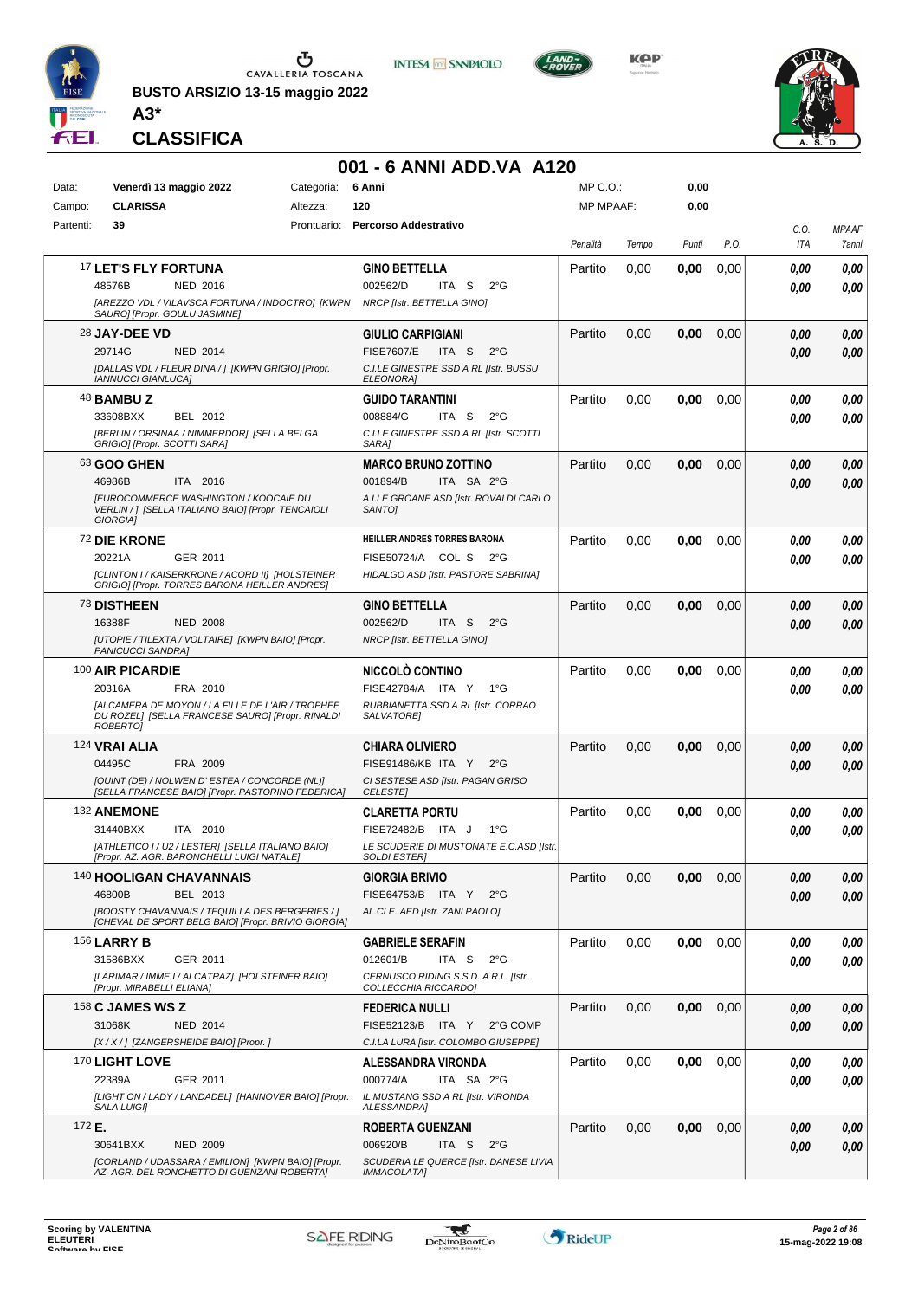

**BUSTO ARSIZIO 13-15 maggio 2022 A3\***



**KPP** 



**CLASSIFICA**

#### **001 - 6 ANNI ADD.VA A120**

**INTESA M** SANPAOLO

| Data:     | Venerdì 13 maggio 2022                                                                                           | Categoria: | 6 Anni                                                           | MP C.O.:         |       | 0,00  |      |            |              |
|-----------|------------------------------------------------------------------------------------------------------------------|------------|------------------------------------------------------------------|------------------|-------|-------|------|------------|--------------|
| Campo:    | <b>CLARISSA</b>                                                                                                  | Altezza:   | 120                                                              | <b>MP MPAAF:</b> |       | 0,00  |      |            |              |
| Partenti: | 39                                                                                                               |            | Prontuario: Percorso Addestrativo                                |                  |       |       |      | C.O.       | <b>MPAAF</b> |
|           |                                                                                                                  |            |                                                                  | Penalità         | Tempo | Punti | P.O. | <b>ITA</b> | 7anni        |
|           | 17 LET'S FLY FORTUNA                                                                                             |            | <b>GINO BETTELLA</b>                                             | Partito          | 0,00  | 0.00  | 0,00 | 0,00       | 0,00         |
|           | 48576B<br>NED 2016                                                                                               |            | 002562/D<br>ITA S<br>$2^{\circ}$ G                               |                  |       |       |      | 0.00       | 0,00         |
|           | [AREZZO VDL / VILAVSCA FORTUNA / INDOCTRO] [KWPN<br>SAURO] [Propr. GOULU JASMINE]                                |            | NRCP [Istr. BETTELLA GINO]                                       |                  |       |       |      |            |              |
|           | 28 JAY-DEE VD                                                                                                    |            | <b>GIULIO CARPIGIANI</b>                                         | Partito          | 0,00  | 0.00  | 0,00 | 0,00       | 0,00         |
|           | 29714G<br><b>NED 2014</b>                                                                                        |            | <b>FISE7607/E</b><br>ITA <sub>S</sub><br>$2^{\circ}G$            |                  |       |       |      | 0.00       | 0,00         |
|           | [DALLAS VDL / FLEUR DINA / ] [KWPN GRIGIO] [Propr.                                                               |            | C.I.LE GINESTRE SSD A RL [Istr. BUSSU<br><b>ELEONORA1</b>        |                  |       |       |      |            |              |
|           | <b>IANNUCCI GIANLUCA]</b><br>48 <b>BAMBU Z</b>                                                                   |            | GUIDO TARANTINI                                                  | Partito          | 0,00  | 0,00  | 0,00 | 0.00       | 0.00         |
|           | 33608BXX<br>BEL 2012                                                                                             |            | 008884/G<br>ITA S<br>$2^{\circ}G$                                |                  |       |       |      | 0.00       | 0.00         |
|           | [BERLIN / ORSINAA / NIMMERDOR] [SELLA BELGA                                                                      |            | C.I.LE GINESTRE SSD A RL [Istr. SCOTTI                           |                  |       |       |      |            |              |
|           | GRIGIO] [Propr. SCOTTI SARA]                                                                                     |            | SARA]                                                            |                  |       |       |      |            |              |
|           | 63 GOO GHEN                                                                                                      |            | <b>MARCO BRUNO ZOTTINO</b>                                       | Partito          | 0,00  | 0.00  | 0,00 | 0.00       | 0,00         |
|           | 46986B<br>ITA 2016<br><b>IEUROCOMMERCE WASHINGTON / KOOCAIE DU</b>                                               |            | 001894/B<br>ITA SA 2°G<br>A.I.LE GROANE ASD [Istr. ROVALDI CARLO |                  |       |       |      | 0.00       | 0.00         |
|           | VERLIN / ] [SELLA ITALIANO BAIO] [Propr. TENCAIOLI<br><b>GIORGIAI</b>                                            |            | SANTO <sub>I</sub>                                               |                  |       |       |      |            |              |
|           | 72 DIE KRONE                                                                                                     |            | HEILLER ANDRES TORRES BARONA                                     | Partito          | 0,00  | 0,00  | 0,00 | 0.00       | 0,00         |
|           | 20221A<br>GER 2011                                                                                               |            | FISE50724/A COL S<br>$2^{\circ}$ G                               |                  |       |       |      | 0.00       | 0.00         |
|           | [CLINTON I / KAISERKRONE / ACORD II] [HOLSTEINER                                                                 |            | HIDALGO ASD [Istr. PASTORE SABRINA]                              |                  |       |       |      |            |              |
|           | GRIGIO] [Propr. TORRES BARONA HEILLER ANDRES]                                                                    |            |                                                                  |                  |       |       |      |            |              |
|           | 73 DISTHEEN<br>16388F                                                                                            |            | GINO BETTELLA<br>002562/D<br>- S<br>$2^{\circ}$ G                | Partito          | 0,00  | 0,00  | 0,00 | 0.00       | 0,00         |
|           | <b>NED 2008</b><br>[UTOPIE / TILEXTA / VOLTAIRE] [KWPN BAIO] [Propr.                                             |            | ITA.<br>NRCP [Istr. BETTELLA GINO]                               |                  |       |       |      | 0.00       | 0,00         |
|           | PANICUCCI SANDRA]                                                                                                |            |                                                                  |                  |       |       |      |            |              |
|           | 100 AIR PICARDIE                                                                                                 |            | NICCOLÒ CONTINO                                                  | Partito          | 0,00  | 0,00  | 0,00 | 0.00       | 0,00         |
|           | FRA 2010<br>20316A                                                                                               |            | FISE42784/A ITA Y<br>1°G                                         |                  |       |       |      | 0.00       | 0,00         |
|           | [ALCAMERA DE MOYON / LA FILLE DE L'AIR / TROPHEE<br>DU ROZEL] [SELLA FRANCESE SAURO] [Propr. RINALDI<br>ROBERTO] |            | RUBBIANETTA SSD A RL [Istr. CORRAO<br><b>SALVATOREI</b>          |                  |       |       |      |            |              |
|           | 124 VRAI ALIA                                                                                                    |            | CHIARA OLIVIERO                                                  | Partito          | 0,00  | 0.00  | 0,00 | 0.00       | 0,00         |
|           | 04495C<br>FRA 2009                                                                                               |            | FISE91486/KB ITA Y<br>$2^{\circ}G$                               |                  |       |       |      | 0.00       | 0.00         |
|           | [QUINT (DE) / NOLWEN D' ESTEA / CONCORDE (NL)]                                                                   |            | CI SESTESE ASD [Istr. PAGAN GRISO                                |                  |       |       |      |            |              |
|           | [SELLA FRANCESE BAIO] [Propr. PASTORINO FEDERICA]                                                                |            | <b>CELESTE</b>                                                   |                  |       |       |      |            |              |
|           | 132 ANEMONE<br>31440BXX<br>ITA 2010                                                                              |            | <b>CLARETTA PORTU</b><br>FISE72482/B ITA J<br>1°G                | Partito          | 0,00  | 0,00  | 0,00 | 0.00       | 0,00<br>0.00 |
|           | [ATHLETICO I / U2 / LESTER] [SELLA ITALIANO BAIO]                                                                |            | LE SCUDERIE DI MUSTONATE E.C.ASD [Istr.                          |                  |       |       |      | 0.00       |              |
|           | [Propr. AZ. AGR. BARONCHELLI LUIGI NATALE]                                                                       |            | <b>SOLDI ESTERI</b>                                              |                  |       |       |      |            |              |
|           | 140 HOOLIGAN CHAVANNAIS                                                                                          |            | <b>GIORGIA BRIVIO</b>                                            | Partito          | 0,00  | 0,00  | 0,00 | 0,00       | 0,00         |
|           | 46800B<br>BEL 2013                                                                                               |            | FISE64753/B ITA Y<br>$2^{\circ}G$                                |                  |       |       |      | 0.00       | 0.00         |
|           | [BOOSTY CHAVANNAIS / TEQUILLA DES BERGERIES / ]<br>[CHEVAL DE SPORT BELG BAIO] [Propr. BRIVIO GIORGIA]           |            | AL.CLE. AED [Istr. ZANI PAOLO]                                   |                  |       |       |      |            |              |
|           | <b>156 LARRY B</b>                                                                                               |            | <b>GABRIELE SERAFIN</b>                                          | Partito          | 0,00  | 0,00  | 0,00 | 0.00       | 0,00         |
|           | GER 2011<br>31586BXX                                                                                             |            | 012601/B<br>ITA S<br>$2^{\circ}G$                                |                  |       |       |      | 0.00       | 0.00         |
|           | [LARIMAR / IMME I / ALCATRAZ] [HOLSTEINER BAIO]<br>[Propr. MIRABELLI ELIANA]                                     |            | CERNUSCO RIDING S.S.D. A R.L. [Istr.<br>COLLECCHIA RICCARDO]     |                  |       |       |      |            |              |
|           | 158 <b>C JAMES WS Z</b>                                                                                          |            | <b>FEDERICA NULLI</b>                                            | Partito          | 0,00  | 0,00  | 0,00 | 0.00       | 0,00         |
|           | 31068K<br><b>NED 2014</b>                                                                                        |            | FISE52123/B ITA Y<br>2°G COMP                                    |                  |       |       |      | 0.00       | 0,00         |
|           | [X / X / ] [ZANGERSHEIDE BAIO] [Propr. ]                                                                         |            | C.I.LA LURA [Istr. COLOMBO GIUSEPPE]                             |                  |       |       |      |            |              |
|           | 170 LIGHT LOVE                                                                                                   |            | <b>ALESSANDRA VIRONDA</b>                                        | Partito          | 0,00  | 0,00  | 0,00 | 0.00       | 0,00         |
|           | 22389A<br>GER 2011                                                                                               |            | 000774/A<br>ITA SA 2°G                                           |                  |       |       |      | 0.00       | 0.00         |
|           | [LIGHT ON / LADY / LANDADEL] [HANNOVER BAIO] [Propr.<br><b>SALA LUIGII</b>                                       |            | IL MUSTANG SSD A RL [Istr. VIRONDA<br>ALESSANDRA]                |                  |       |       |      |            |              |
| 172 E.    |                                                                                                                  |            | ROBERTA GUENZANI                                                 | Partito          | 0,00  | 0,00  | 0,00 | 0.00       | 0,00         |
|           | <b>NED 2009</b><br>30641BXX                                                                                      |            | 006920/B<br>ITA <sub>S</sub><br>$2^{\circ}$ G                    |                  |       |       |      | 0.00       | 0,00         |
|           | [CORLAND / UDASSARA / EMILION] [KWPN BAIO] [Propr.<br>AZ. AGR. DEL RONCHETTO DI GUENZANI ROBERTA]                |            | SCUDERIA LE QUERCE [Istr. DANESE LIVIA<br><b>IMMACOLATA]</b>     |                  |       |       |      |            |              |
|           |                                                                                                                  |            |                                                                  |                  |       |       |      |            |              |

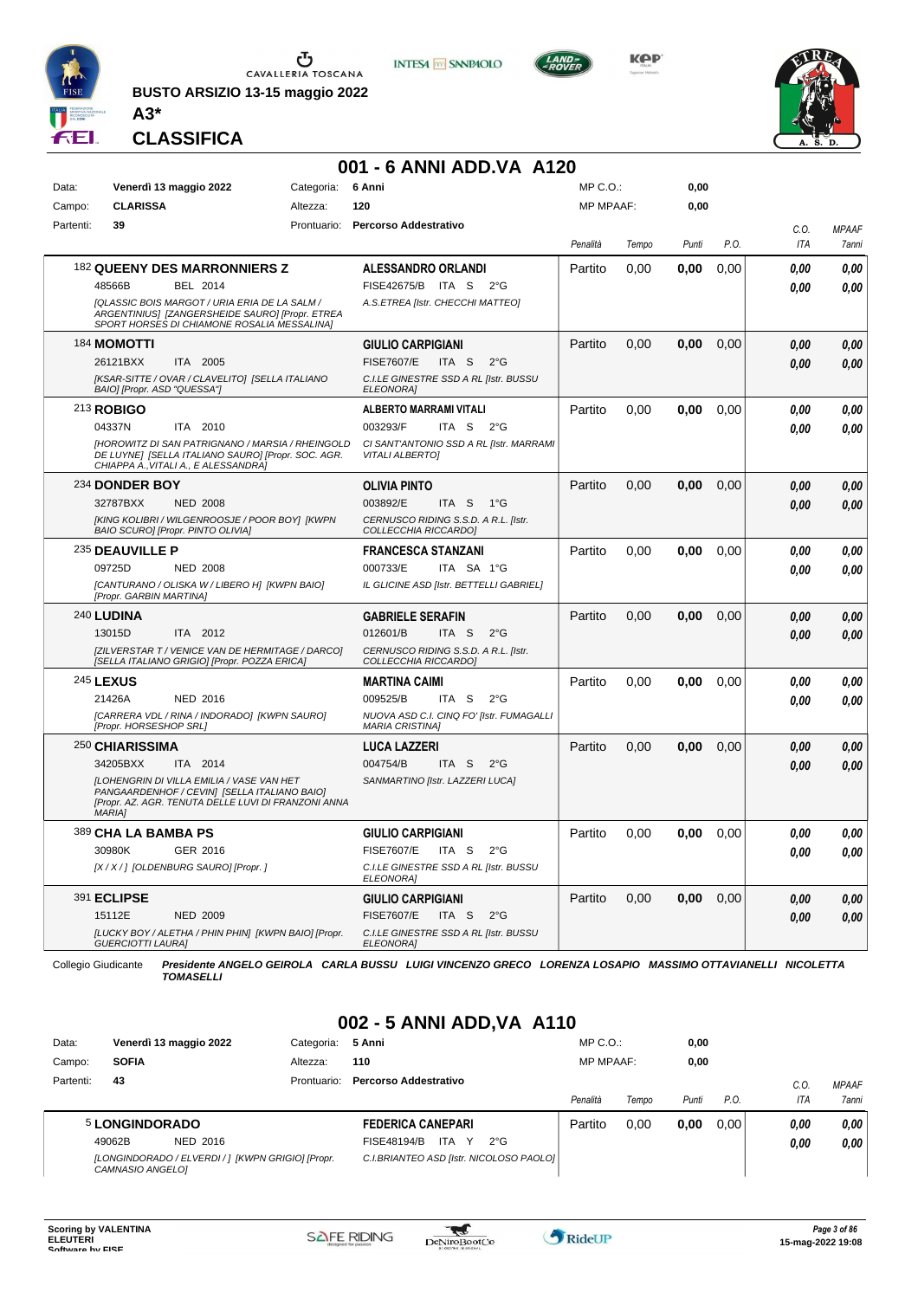

**A3\***

**CLASSIFICA**

CAVALLERIA TOSCANA

**BUSTO ARSIZIO 13-15 maggio 2022**





#### **001 - 6 ANNI ADD.VA A120** Data: Venerdì 13 maggio 2022 Categoria: 6 Anni Prontuario: **Percorso Addestrativo** Campo: **CLARISSA** Partenti: **39** Altezza: **120** MP C.O.: MP MPAAF: **0,00 0,00** *Penalità Tempo Punti P.O. C.O. ITA MPAAF 7anni* 182 **QUEENY DES MARRONNIERS Z** BEL 2014 **ALESSANDRO ORLANDI** *[QLASSIC BOIS MARGOT / URIA ERIA DE LA SALM / ARGENTINIUS] [ZANGERSHEIDE SAURO] [Propr. ETREA SPORT HORSES DI CHIAMONE ROSALIA MESSALINA] A.S.ETREA [Istr. CHECCHI MATTEO]* ITA S 2°G 48566B FISE42675/B *0,00* Partito 0,00 **0,00** 0,00 *0,00 0,00 0,00* 184 **MOMOTTI** ITA 2005 **GIULIO CARPIGIANI** *[KSAR-SITTE / OVAR / CLAVELITO] [SELLA ITALIANO BAIO] [Propr. ASD "QUESSA"] C.I.LE GINESTRE SSD A RL [Istr. BUSSU ELEONORA]* 26121BXX ITA 2005 FISE7607/E ITA S 2°G <mark>0 ,00 0,00</mark> Partito 0,00 **0,00** 0,00 *0,00 0,00 0,00* 213 **ROBIGO** ITA 2010 **ALBERTO MARRAMI VITALI** *[HOROWITZ DI SAN PATRIGNANO / MARSIA / RHEINGOLD DE LUYNE] [SELLA ITALIANO SAURO] [Propr. SOC. AGR. CHIAPPA A.,VITALI A., E ALESSANDRA] CI SANT'ANTONIO SSD A RL [Istr. MARRAMI VITALI ALBERTO]* ITA S 2°G Partito 0,00 **0,00** 0,00 *0,00 0,00 0,00* 04337N ITA 2010 003293/F ITA S 2°G <mark> 0,00 0,00</mark> 234 **DONDER BOY** NED 2008 **OLIVIA PINTO** *[KING KOLIBRI / WILGENROOSJE / POOR BOY] [KWPN BAIO SCURO] [Propr. PINTO OLIVIA] CERNUSCO RIDING S.S.D. A R.L. [Istr. COLLECCHIA RICCARDO]* ITA S 1°G Partito 0,00 **0,00** 0,00 *0,00 0,00 0,00* 32787BXX 003892/E *0,00* 235 **DEAUVILLE P** NED 2008 **FRANCESCA STANZANI** *[CANTURANO / OLISKA W / LIBERO H] [KWPN BAIO] [Propr. GARBIN MARTINA] IL GLICINE ASD [Istr. BETTELLI GABRIEL]* ITA SA 1°G Partito 0,00 **0,00** 0,00 *0,00 0,00 0,00* 09725D 000733/E *0,00* 240 **LUDINA** ITA 2012 **GABRIELE SERAFIN** *[ZILVERSTAR T / VENICE VAN DE HERMITAGE / DARCO] [SELLA ITALIANO GRIGIO] [Propr. POZZA ERICA] CERNUSCO RIDING S.S.D. A R.L. [Istr. COLLECCHIA RICCARDO]* ITA S 2°G Partito 0,00 **0,00** 0,00 *0,00 0,00 0,00* 13015D 012601/B *0,00* 245 **LEXUS** NED 2016 **MARTINA CAIMI** *[CARRERA VDL / RINA / INDORADO] [KWPN SAURO] [Propr. HORSESHOP SRL] NUOVA ASD C.I. CINQ FO' [Istr. FUMAGALLI MARIA CRISTINA]* ITA S 2°G Partito 0,00 **0,00** 0,00 *0,00 0,00 0,00* 21426A 009525/B *0,00* 250 **CHIARISSIMA** ITA 2014 **LUCA LAZZERI** *[LOHENGRIN DI VILLA EMILIA / VASE VAN HET PANGAARDENHOF / CEVIN] [SELLA ITALIANO BAIO] [Propr. AZ. AGR. TENUTA DELLE LUVI DI FRANZONI ANNA MARIA] SANMARTINO [Istr. LAZZERI LUCA]* ITA S 2°G Partito 0,00 **0,00** 0,00 *0,00 0,00 0,00* 34205BXX ITA 2014 004754/B ITA S 2°G <mark> 0,00 0,00</mark> 389 **CHA LA BAMBA PS** GER 2016 **GIULIO CARPIGIANI** *[X / X / ] [OLDENBURG SAURO] [Propr. ] C.I.LE GINESTRE SSD A RL [Istr. BUSSU ELEONORA]* ITA S 2°G Partito 0,00 **0,00** 0,00 *0,00 0,00 0,00* 30980K GER\_2016 FISE7607/E ITA S 2°G **0,00 0,00** 391 **ECLIPSE** NED 2009 **GIULIO CARPIGIANI** *[LUCKY BOY / ALETHA / PHIN PHIN] [KWPN BAIO] [Propr. GUERCIOTTI LAURA] C.I.LE GINESTRE SSD A RL [Istr. BUSSU ELEONORA]* ITA S 2°G Partito 0,00 **0,00** 0,00 *0,00 0,00 0,00* 15112E FISE7607/E *0,00*

Collegio Giudicante *Presidente ANGELO GEIROLA CARLA BUSSU LUIGI VINCENZO GRECO LORENZA LOSAPIO MASSIMO OTTAVIANELLI NICOLETTA TOMASELLI*

#### **002 - 5 ANNI ADD,VA A110**

| Data:     | Venerdì 13 maggio 2022<br>Categoria: |                                                   | 5 Anni                                  | $MP C. O.$ :     |       | 0,00  |      |      |              |
|-----------|--------------------------------------|---------------------------------------------------|-----------------------------------------|------------------|-------|-------|------|------|--------------|
| Campo:    | <b>SOFIA</b>                         | Altezza:                                          | 110                                     | <b>MP MPAAF:</b> |       | 0,00  |      |      |              |
| Partenti: | 43                                   | Prontuario:                                       | Percorso Addestrativo                   |                  |       |       |      | C.O  | <b>MPAAF</b> |
|           |                                      |                                                   |                                         | Penalità         | Tempo | Punti | P.O. | ITA  | 7anni        |
|           | 5 LONGINDORADO                       |                                                   | <b>FEDERICA CANEPARI</b>                | Partito          | 0.00  | 0,00  | 0.00 | 0.00 | 0,00         |
|           | 49062B<br>NED 2016                   |                                                   | FISE48194/B<br>ITA.<br>$2^{\circ}G$     |                  |       |       |      | 0.00 | 0,00         |
|           | CAMNASIO ANGELOI                     | [LONGINDORADO / ELVERDI / ] [KWPN GRIGIO] [Propr. | C.I.BRIANTEO ASD [Istr. NICOLOSO PAOLO] |                  |       |       |      |      |              |

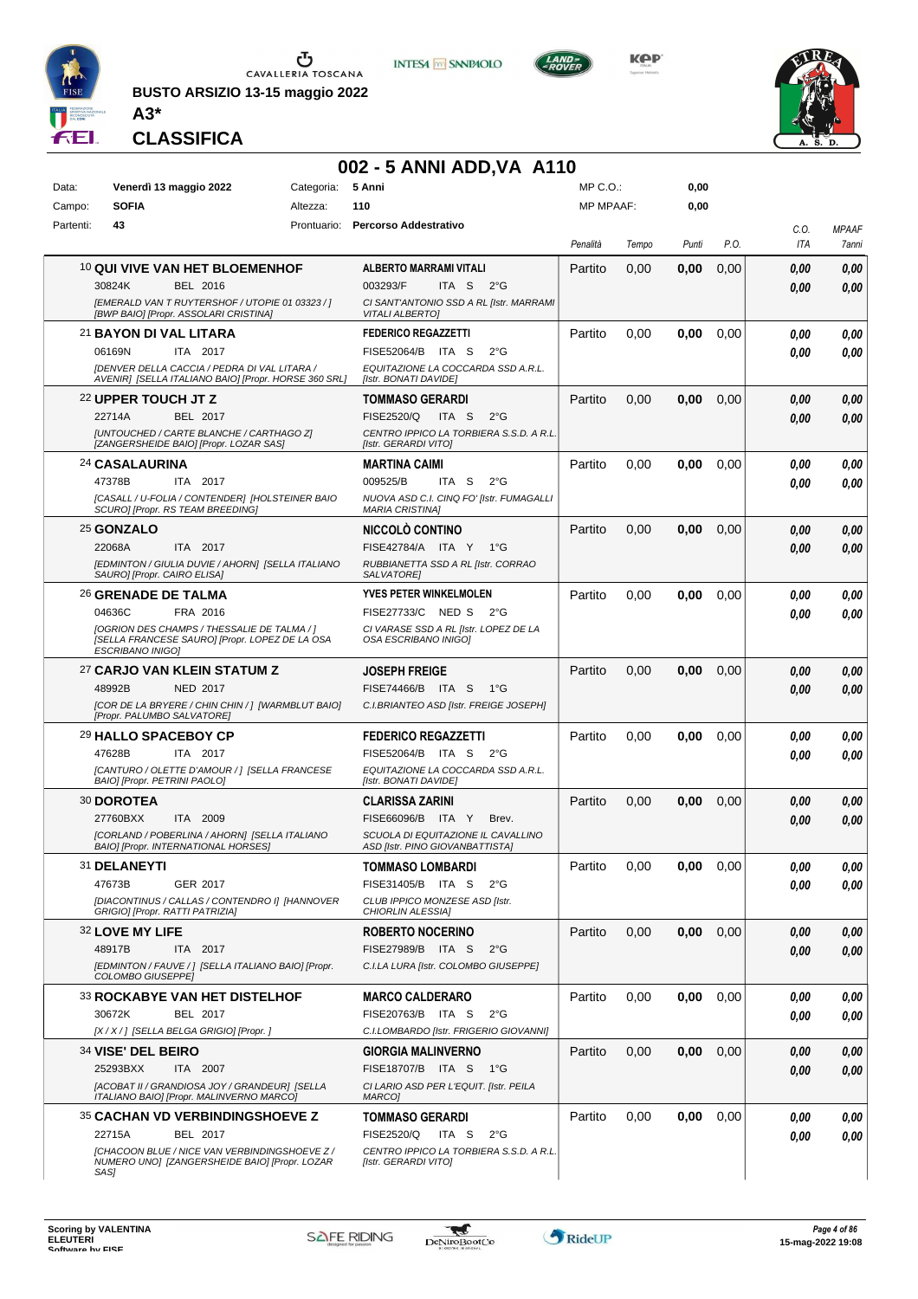

**BUSTO ARSIZIO 13-15 maggio 2022 A3\***







**CLASSIFICA**

### **002 - 5 ANNI ADD,VA A110**

| Data:     | Venerdì 13 maggio 2022                                                                         | Categoria:  | 5 Anni                                                          | MP C.O.:         |       | 0,00  |      |            |              |
|-----------|------------------------------------------------------------------------------------------------|-------------|-----------------------------------------------------------------|------------------|-------|-------|------|------------|--------------|
| Campo:    | <b>SOFIA</b><br>Altezza:                                                                       |             | 110                                                             | <b>MP MPAAF:</b> |       | 0,00  |      |            |              |
| Partenti: | 43                                                                                             | Prontuario: | <b>Percorso Addestrativo</b>                                    |                  |       |       |      | C.O.       | <b>MPAAF</b> |
|           |                                                                                                |             |                                                                 | Penalità         | Tempo | Punti | P.O. | <b>ITA</b> | 7anni        |
|           | <b>10 QUI VIVE VAN HET BLOEMENHOF</b>                                                          |             | <b>ALBERTO MARRAMI VITALI</b>                                   | Partito          | 0,00  | 0,00  | 0,00 | 0.00       | 0,00         |
|           | <b>BEL 2016</b><br>30824K                                                                      |             | 003293/F<br>ITA S<br>$2^{\circ}G$                               |                  |       |       |      |            | 0,00         |
|           | [EMERALD VAN T RUYTERSHOF / UTOPIE 01 03323 / ]                                                |             | CI SANT'ANTONIO SSD A RL [Istr. MARRAMI                         |                  |       |       |      | 0.00       |              |
|           | [BWP BAIO] [Propr. ASSOLARI CRISTINA]                                                          |             | <b>VITALI ALBERTO]</b>                                          |                  |       |       |      |            |              |
|           | 21 BAYON DI VAL LITARA                                                                         |             | <b>FEDERICO REGAZZETTI</b>                                      | Partito          | 0,00  | 0,00  | 0,00 | 0.00       | 0,00         |
|           | ITA 2017<br>06169N                                                                             |             | FISE52064/B ITA S<br>$2^{\circ}G$                               |                  |       |       |      | 0.00       | 0.00         |
|           | [DENVER DELLA CACCIA / PEDRA DI VAL LITARA /                                                   |             | EQUITAZIONE LA COCCARDA SSD A.R.L.                              |                  |       |       |      |            |              |
|           | AVENIR] [SELLA ITALIANO BAIO] [Propr. HORSE 360 SRL]                                           |             | [Istr. BONATI DAVIDE]                                           |                  |       |       |      |            |              |
|           | 22 UPPER TOUCH JT Z                                                                            |             | <b>TOMMASO GERARDI</b>                                          | Partito          | 0,00  | 0,00  | 0,00 | 0,00       | 0,00         |
|           | 22714A<br>BEL 2017                                                                             |             | FISE2520/Q<br>ITA S<br>$2^{\circ}G$                             |                  |       |       |      | 0.00       | 0,00         |
|           | [UNTOUCHED / CARTE BLANCHE / CARTHAGO Z]<br>[ZANGERSHEIDE BAIO] [Propr. LOZAR SAS]             |             | CENTRO IPPICO LA TORBIERA S.S.D. A R.L.<br>[Istr. GERARDI VITO] |                  |       |       |      |            |              |
|           | <b>24 CASALAURINA</b>                                                                          |             | <b>MARTINA CAIMI</b>                                            | Partito          | 0,00  | 0,00  | 0,00 | 0.00       | 0,00         |
|           | 47378B<br>ITA 2017                                                                             |             | 009525/B<br>ITA <sub>S</sub><br>$2^{\circ}$ G                   |                  |       |       |      | 0.00       | 0.00         |
|           | [CASALL / U-FOLIA / CONTENDER] [HOLSTEINER BAIO                                                |             | NUOVA ASD C.I. CINQ FO' [Istr. FUMAGALLI                        |                  |       |       |      |            |              |
|           | SCURO] [Propr. RS TEAM BREEDING]                                                               |             | <b>MARIA CRISTINA]</b>                                          |                  |       |       |      |            |              |
|           | 25 GONZALO                                                                                     |             | NICCOLÒ CONTINO                                                 | Partito          | 0,00  | 0,00  | 0,00 | 0,00       | 0,00         |
|           | 22068A<br>ITA 2017                                                                             |             | FISE42784/A ITA Y 1°G                                           |                  |       |       |      | 0.00       | 0,00         |
|           | [EDMINTON / GIULIA DUVIE / AHORN] [SELLA ITALIANO                                              |             | RUBBIANETTA SSD A RL [Istr. CORRAO                              |                  |       |       |      |            |              |
|           | SAURO] [Propr. CAIRO ELISA]                                                                    |             | SALVATORE]                                                      |                  |       |       |      |            |              |
|           | 26 GRENADE DE TALMA                                                                            |             | YVES PETER WINKELMOLEN                                          | Partito          | 0,00  | 0,00  | 0,00 | 0,00       | 0,00         |
|           | 04636C<br>FRA 2016                                                                             |             | FISE27733/C NED S<br>$2^{\circ}G$                               |                  |       |       |      | 0.00       | 0.00         |
|           | [OGRION DES CHAMPS / THESSALIE DE TALMA / ]<br>[SELLA FRANCESE SAURO] [Propr. LOPEZ DE LA OSA  |             | CI VARASE SSD A RL [Istr. LOPEZ DE LA<br>OSA ESCRIBANO INIGOI   |                  |       |       |      |            |              |
|           | ESCRIBANO INIGO]                                                                               |             |                                                                 |                  |       |       |      |            |              |
|           | 27 CARJO VAN KLEIN STATUM Z                                                                    |             | <b>JOSEPH FREIGE</b>                                            | Partito          | 0,00  | 0,00  | 0,00 | 0,00       | 0,00         |
|           | 48992B<br><b>NED 2017</b>                                                                      |             | FISE74466/B ITA S<br>$1^{\circ}G$                               |                  |       |       |      | 0.00       | 0,00         |
|           | [COR DE LA BRYERE / CHIN CHIN / ] [WARMBLUT BAIO]<br>[Propr. PALUMBO SALVATORE]                |             | C.I.BRIANTEO ASD [Istr. FREIGE JOSEPH]                          |                  |       |       |      |            |              |
|           |                                                                                                |             |                                                                 |                  |       |       |      |            |              |
|           | <b>29 HALLO SPACEBOY CP</b><br>47628B                                                          |             | <b>FEDERICO REGAZZETTI</b>                                      | Partito          | 0,00  | 0,00  | 0,00 | 0,00       | 0,00         |
|           | ITA 2017                                                                                       |             | FISE52064/B ITA S<br>$2^{\circ}G$                               |                  |       |       |      | 0.00       | 0.00         |
|           | [CANTURO / OLETTE D'AMOUR / ] [SELLA FRANCESE<br>BAIO] [Propr. PETRINI PAOLO]                  |             | EQUITAZIONE LA COCCARDA SSD A.R.L.<br>[Istr. BONATI DAVIDE]     |                  |       |       |      |            |              |
|           | 30 DOROTEA                                                                                     |             | <b>CLARISSA ZARINI</b>                                          | Partito          | 0,00  | 0,00  | 0,00 | 0,00       | 0,00         |
|           | 27760BXX<br>ITA 2009                                                                           |             | FISE66096/B ITA Y<br>Brev.                                      |                  |       |       |      | 0.00       | 0.00         |
|           | [CORLAND / POBERLINA / AHORN] [SELLA ITALIANO                                                  |             | SCUOLA DI EQUITAZIONE IL CAVALLINO                              |                  |       |       |      |            |              |
|           | BAIO] [Propr. INTERNATIONAL HORSES]                                                            |             | ASD [Istr. PINO GIOVANBATTISTA]                                 |                  |       |       |      |            |              |
|           | 31 DELANEYTI                                                                                   |             | <b>TOMMASO LOMBARDI</b>                                         | Partito          | 0.00  | 0.00  | 0.00 | 0.00       | 0.00         |
|           | 47673B<br>GER 2017                                                                             |             | FISE31405/B ITA S<br>$2^{\circ}$ G                              |                  |       |       |      | 0,00       | 0.00         |
|           | [DIACONTINUS / CALLAS / CONTENDRO I] [HANNOVER<br>GRIGIO] [Propr. RATTI PATRIZIA]              |             | CLUB IPPICO MONZESE ASD [Istr.<br>CHIORLIN ALESSIA]             |                  |       |       |      |            |              |
|           | 32 LOVE MY LIFE                                                                                |             | <b>ROBERTO NOCERINO</b>                                         | Partito          | 0,00  | 0,00  | 0,00 | 0.00       | 0,00         |
|           | 48917B<br>ITA 2017                                                                             |             | FISE27989/B ITA S<br>$2^{\circ}$ G                              |                  |       |       |      |            | 0,00         |
|           | [EDMINTON / FAUVE / ] [SELLA ITALIANO BAIO] [Propr.                                            |             | C.I.LA LURA [Istr. COLOMBO GIUSEPPE]                            |                  |       |       |      | 0.00       |              |
|           | COLOMBO GIUSEPPEI                                                                              |             |                                                                 |                  |       |       |      |            |              |
|           | <b>33 ROCKABYE VAN HET DISTELHOF</b>                                                           |             | <b>MARCO CALDERARO</b>                                          | Partito          | 0,00  | 0,00  | 0,00 | 0,00       | 0,00         |
|           | 30672K<br><b>BEL 2017</b>                                                                      |             | FISE20763/B ITA S<br>$2^{\circ}$ G                              |                  |       |       |      | 0,00       | 0,00         |
|           | [X / X / ] [SELLA BELGA GRIGIO] [Propr. ]                                                      |             | C.I.LOMBARDO [Istr. FRIGERIO GIOVANNI]                          |                  |       |       |      |            |              |
|           | 34 VISE' DEL BEIRO                                                                             |             | <b>GIORGIA MALINVERNO</b>                                       | Partito          | 0,00  | 0,00  | 0,00 | 0.00       | 0,00         |
|           | 25293BXX<br>ITA 2007                                                                           |             | FISE18707/B ITA S 1°G                                           |                  |       |       |      | 0.00       | 0,00         |
|           | [ACOBAT II / GRANDIOSA JOY / GRANDEUR] [SELLA                                                  |             | CI LARIO ASD PER L'EQUIT. [Istr. PEILA                          |                  |       |       |      |            |              |
|           | ITALIANO BAIO] [Propr. MALINVERNO MARCO]                                                       |             | MARCO]                                                          |                  |       |       |      |            |              |
|           | <b>35 CACHAN VD VERBINDINGSHOEVE Z</b>                                                         |             | <b>TOMMASO GERARDI</b>                                          | Partito          | 0,00  | 0,00  | 0,00 | 0.00       | 0,00         |
|           | BEL 2017<br>22715A                                                                             |             | FISE2520/Q<br>ITA S<br>$2^{\circ}$ G                            |                  |       |       |      | 0.00       | 0,00         |
|           | ICHACOON BLUE / NICE VAN VERBINDINGSHOEVE Z /<br>NUMERO UNO] [ZANGERSHEIDE BAIO] [Propr. LOZAR |             | CENTRO IPPICO LA TORBIERA S.S.D. A R.L.<br>[Istr. GERARDI VITO] |                  |       |       |      |            |              |
|           | SAS]                                                                                           |             |                                                                 |                  |       |       |      |            |              |

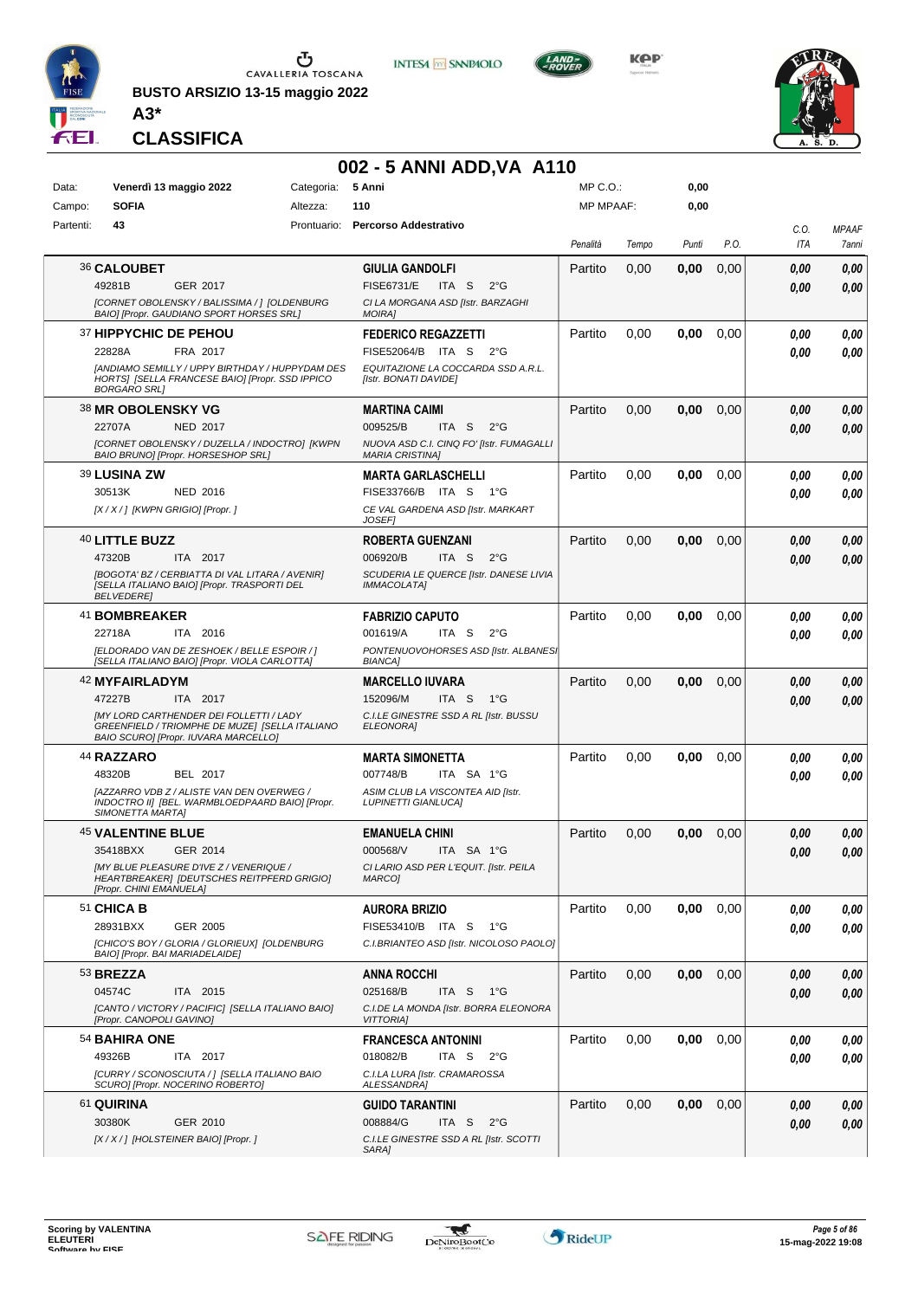

**BUSTO ARSIZIO 13-15 maggio 2022 A3\***



**KPP** 



**CLASSIFICA**

# **002 - 5 ANNI ADD, VA A110**<br>Categoria: 5 Anni

| Data:     |                                                                     | Venerdì 13 maggio 2022                                                                                                                               | Categoria: | 5 Anni                                                                                                                           | MP C.O.:         |       | 0,00  |      |              |                       |
|-----------|---------------------------------------------------------------------|------------------------------------------------------------------------------------------------------------------------------------------------------|------------|----------------------------------------------------------------------------------------------------------------------------------|------------------|-------|-------|------|--------------|-----------------------|
| Campo:    | <b>SOFIA</b>                                                        |                                                                                                                                                      | Altezza:   | 110                                                                                                                              | <b>MP MPAAF:</b> |       | 0,00  |      |              |                       |
| Partenti: | 43                                                                  |                                                                                                                                                      |            | Prontuario: Percorso Addestrativo                                                                                                | Penalità         | Tempo | Punti | P.O. | C.O.<br>ITA  | <b>MPAAF</b><br>7anni |
|           | 36 CALOUBET<br>49281B                                               | GER 2017<br>[CORNET OBOLENSKY / BALISSIMA / ] [OLDENBURG<br>BAIO] [Propr. GAUDIANO SPORT HORSES SRL]                                                 |            | <b>GIULIA GANDOLFI</b><br><b>FISE6731/E</b><br>$2^{\circ}$ G<br>ITA S<br>CI LA MORGANA ASD [Istr. BARZAGHI<br><b>MOIRAI</b>      | Partito          | 0,00  | 0,00  | 0,00 | 0.00<br>0.00 | 0,00<br>0.00          |
|           | 37 HIPPYCHIC DE PEHOU<br>22828A<br><b>BORGARO SRLI</b>              | FRA 2017<br>[ANDIAMO SEMILLY / UPPY BIRTHDAY / HUPPYDAM DES<br>HORTS] [SELLA FRANCESE BAIO] [Propr. SSD IPPICO                                       |            | <b>FEDERICO REGAZZETTI</b><br>FISE52064/B ITA S<br>$2^{\circ}$ G<br>EQUITAZIONE LA COCCARDA SSD A.R.L.<br>[Istr. BONATI DAVIDE]  | Partito          | 0,00  | 0,00  | 0,00 | 0.00<br>0.00 | 0,00<br>0.00          |
|           | <b>38 MR OBOLENSKY VG</b><br>22707A                                 | <b>NED 2017</b><br>[CORNET OBOLENSKY / DUZELLA / INDOCTRO] [KWPN<br>BAIO BRUNO] [Propr. HORSESHOP SRL]                                               |            | <b>MARTINA CAIMI</b><br>009525/B<br>ITA S<br>$2^{\circ}$ G<br>NUOVA ASD C.I. CINQ FO' [Istr. FUMAGALLI<br><b>MARIA CRISTINA]</b> | Partito          | 0,00  | 0,00  | 0,00 | 0,00<br>0.00 | 0,00<br>0,00          |
|           | <b>39 LUSINA ZW</b><br>30513K<br>[X / X / ] [KWPN GRIGIO] [Propr. ] | <b>NED 2016</b>                                                                                                                                      |            | <b>MARTA GARLASCHELLI</b><br>FISE33766/B ITA S<br>1°G<br>CE VAL GARDENA ASD [Istr. MARKART<br><b>JOSEF1</b>                      | Partito          | 0,00  | 0,00  | 0,00 | 0.00<br>0.00 | 0,00<br>0.00          |
|           | 40 LITTLE BUZZ<br>47320B<br><b>BELVEDERE</b>                        | ITA 2017<br>[BOGOTA' BZ / CERBIATTA DI VAL LITARA / AVENIR]<br>[SELLA ITALIANO BAIO] [Propr. TRASPORTI DEL                                           |            | <b>ROBERTA GUENZANI</b><br>006920/B<br>ITA S<br>$2^{\circ}$ G<br>SCUDERIA LE QUERCE [Istr. DANESE LIVIA<br><b>IMMACOLATA]</b>    | Partito          | 0,00  | 0,00  | 0,00 | 0,00<br>0.00 | 0,00<br>0,00          |
|           | 41 BOMBREAKER<br>22718A                                             | ITA 2016<br>[ELDORADO VAN DE ZESHOEK / BELLE ESPOIR / ]<br>[SELLA ITALIANO BAIO] [Propr. VIOLA CARLOTTA]                                             |            | <b>FABRIZIO CAPUTO</b><br>001619/A<br>ITA S<br>$2^{\circ}$ G<br>PONTENUOVOHORSES ASD [Istr. ALBANES]<br><b>BIANCA</b>            | Partito          | 0.00  | 0,00  | 0,00 | 0.00<br>0.00 | 0,00<br>0.00          |
|           | 42 MYFAIRLADYM<br>47227B                                            | ITA 2017<br><b>[MY LORD CARTHENDER DEI FOLLETTI / LADY</b><br>GREENFIELD / TRIOMPHE DE MUZE] [SELLA ITALIANO<br>BAIO SCURO] [Propr. IUVARA MARCELLO] |            | <b>MARCELLO IUVARA</b><br>152096/M<br>ITA S<br>$1^{\circ}G$<br>C.I.LE GINESTRE SSD A RL [Istr. BUSSU<br>ELEONORA]                | Partito          | 0,00  | 0,00  | 0,00 | 0,00<br>0.00 | 0,00<br>0,00          |
|           | <b>44 RAZZARO</b><br>48320B<br>SIMONETTA MARTAI                     | BEL 2017<br>IAZZARRO VDB Z / ALISTE VAN DEN OVERWEG /<br>INDOCTRO III [BEL. WARMBLOEDPAARD BAIO] [Propr.                                             |            | <b>MARTA SIMONETTA</b><br>007748/B<br>ITA SA 1°G<br>ASIM CLUB LA VISCONTEA AID [Istr.<br><b>LUPINETTI GIANLUCAI</b>              | Partito          | 0,00  | 0,00  | 0,00 | 0,00<br>0.00 | 0,00<br>0,00          |
|           | <b>45 VALENTINE BLUE</b><br>35418BXX<br>[Propr. CHINI EMANUELA]     | GER 2014<br><b>IMY BLUE PLEASURE D'IVE Z / VENERIQUE /</b><br>HEARTBREAKER] [DEUTSCHES REITPFERD GRIGIO]                                             |            | <b>EMANUELA CHINI</b><br>000568/V<br>ITA SA 1°G<br>CI LARIO ASD PER L'EQUIT. [Istr. PEILA<br>MARCO]                              | Partito          | 0,00  | 0,00  | 0,00 | 0.00<br>0.00 | 0,00<br>0.00          |
|           | 51 CHICA B<br>28931BXX<br>BAIO] [Propr. BAI MARIADELAIDE]           | <b>GER 2005</b><br>[CHICO'S BOY / GLORIA / GLORIEUX] [OLDENBURG                                                                                      |            | <b>AURORA BRIZIO</b><br>FISE53410/B ITA S<br>1°G<br>C.I.BRIANTEO ASD [Istr. NICOLOSO PAOLO]                                      | Partito          | 0,00  | 0,00  | 0,00 | 0.00<br>0.00 | 0,00<br>0,00          |
|           | 53 BREZZA<br>04574C<br>[Propr. CANOPOLI GAVINO]                     | ITA 2015<br>[CANTO / VICTORY / PACIFIC] [SELLA ITALIANO BAIO]                                                                                        |            | <b>ANNA ROCCHI</b><br>025168/B<br>ITA S<br>1°G<br>C.I.DE LA MONDA [Istr. BORRA ELEONORA<br><b>VITTORIAI</b>                      | Partito          | 0,00  | 0,00  | 0,00 | 0.00<br>0,00 | 0,00<br>0,00          |
|           | 54 BAHIRA ONE<br>49326B                                             | ITA 2017<br>[CURRY / SCONOSCIUTA / ] [SELLA ITALIANO BAIO<br>SCURO] [Propr. NOCERINO ROBERTO]                                                        |            | <b>FRANCESCA ANTONINI</b><br>018082/B<br>ITA S<br>$2^{\circ}G$<br>C.I.LA LURA [Istr. CRAMAROSSA<br>ALESSANDRA]                   | Partito          | 0,00  | 0,00  | 0,00 | 0.00<br>0.00 | 0,00<br>0,00          |
|           | 61 QUIRINA<br>30380K                                                | GER 2010<br>[X / X / ] [HOLSTEINER BAIO] [Propr. ]                                                                                                   |            | <b>GUIDO TARANTINI</b><br>008884/G<br>ITA S<br>$2^{\circ}$ G<br>C.I.LE GINESTRE SSD A RL [Istr. SCOTTI<br>SARA]                  | Partito          | 0,00  | 0,00  | 0,00 | 0.00<br>0,00 | 0,00<br>0,00          |

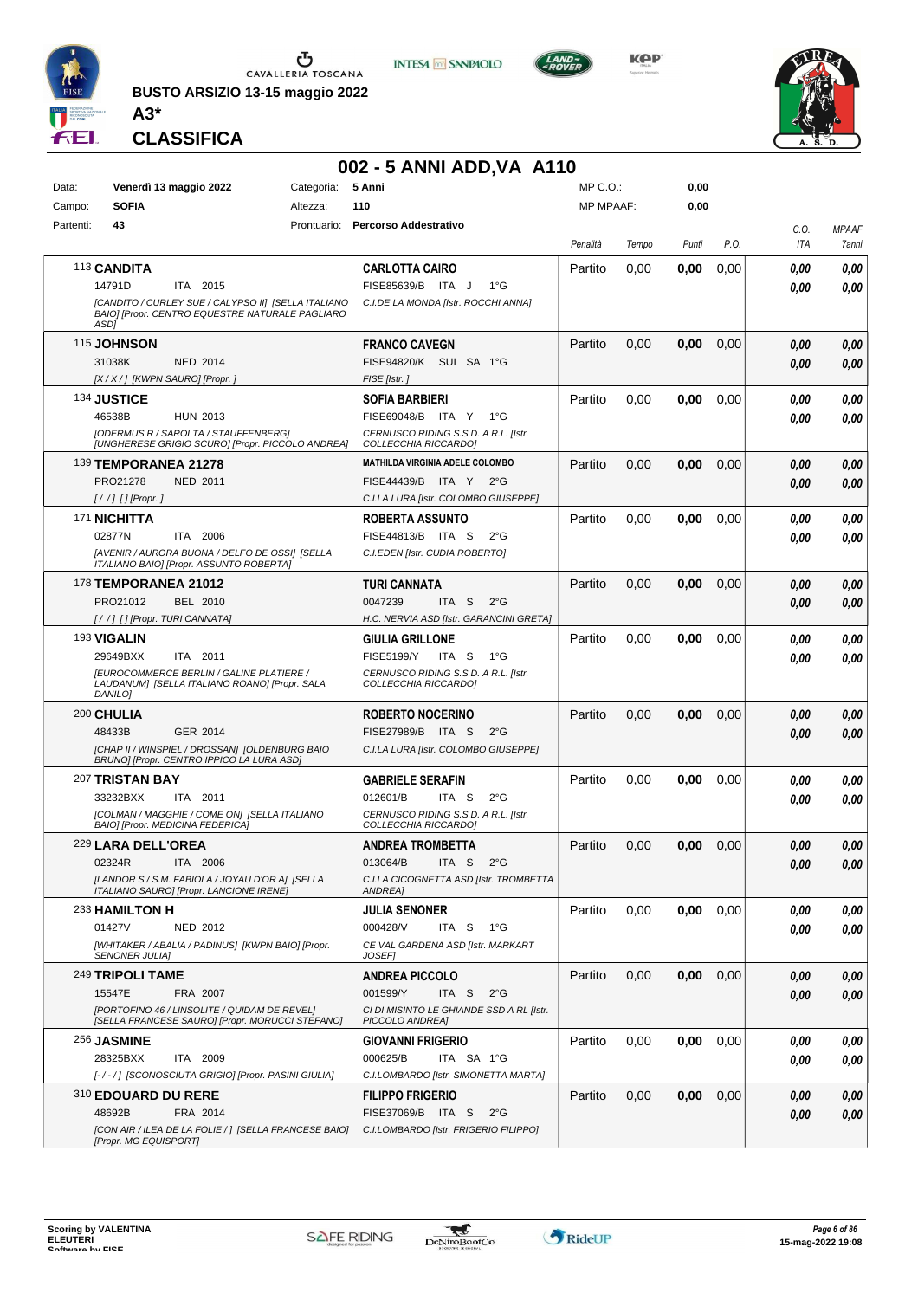

**BUSTO ARSIZIO 13-15 maggio 2022 A3\***



**KPP** 



**CLASSIFICA**

### **002 - 5 ANNI ADD,VA A110**

**INTESA M** SANPAOLO

| Data:     | Venerdì 13 maggio 2022                                                                                         |                 | Categoria:  | 5 Anni                                                       | MP C. O.         |       | 0,00  |      |      |              |
|-----------|----------------------------------------------------------------------------------------------------------------|-----------------|-------------|--------------------------------------------------------------|------------------|-------|-------|------|------|--------------|
| Campo:    | <b>SOFIA</b>                                                                                                   |                 | Altezza:    | 110                                                          | <b>MP MPAAF:</b> |       | 0,00  |      |      |              |
| Partenti: | 43                                                                                                             |                 | Prontuario: | <b>Percorso Addestrativo</b>                                 |                  |       |       |      | C.O. | <b>MPAAF</b> |
|           |                                                                                                                |                 |             |                                                              | Penalità         | Tempo | Punti | P.O. | ITA  | 7anni        |
|           | 113 CANDITA                                                                                                    |                 |             | <b>CARLOTTA CAIRO</b>                                        | Partito          | 0,00  | 0,00  | 0,00 | 0.00 | 0,00         |
|           | 14791D                                                                                                         | ITA 2015        |             | FISE85639/B ITA J<br>$1^{\circ}G$                            |                  |       |       |      | 0.00 | 0.00         |
|           | [CANDITO / CURLEY SUE / CALYPSO II] [SELLA ITALIANO<br>BAIO] [Propr. CENTRO EQUESTRE NATURALE PAGLIARO<br>ASD1 |                 |             | C.I.DE LA MONDA [Istr. ROCCHI ANNA]                          |                  |       |       |      |      |              |
|           |                                                                                                                |                 |             | <b>FRANCO CAVEGN</b>                                         | Partito          |       |       |      |      |              |
|           | <b>115 JOHNSON</b>                                                                                             |                 |             |                                                              |                  | 0,00  | 0,00  | 0,00 | 0.00 | 0,00         |
|           | 31038K                                                                                                         | NED 2014        |             | FISE94820/K SUI SA 1°G                                       |                  |       |       |      | 0.00 | 0,00         |
|           | [X / X / ] [KWPN SAURO] [Propr. ]                                                                              |                 |             | FISE [Istr.]                                                 |                  |       |       |      |      |              |
|           | 134 JUSTICE                                                                                                    |                 |             | <b>SOFIA BARBIERI</b>                                        | Partito          | 0,00  | 0,00  | 0,00 | 0.00 | 0,00         |
|           | 46538B                                                                                                         | <b>HUN 2013</b> |             | FISE69048/B ITA Y<br>1°G                                     |                  |       |       |      | 0.00 | 0.00         |
|           | [ODERMUS R / SAROLTA / STAUFFENBERG]<br>[UNGHERESE GRIGIO SCURO] [Propr. PICCOLO ANDREA]                       |                 |             | CERNUSCO RIDING S.S.D. A R.L. [Istr.<br>COLLECCHIA RICCARDO] |                  |       |       |      |      |              |
|           | 139 TEMPORANEA 21278                                                                                           |                 |             | MATHILDA VIRGINIA ADELE COLOMBO                              | Partito          | 0,00  | 0.00  | 0,00 | 0.00 | 0,00         |
|           | PRO21278                                                                                                       | <b>NED 2011</b> |             | FISE44439/B ITA Y 2°G                                        |                  |       |       |      | 0.00 | 0,00         |
|           | [//] [] [Propr. ]                                                                                              |                 |             | C.I.LA LURA [Istr. COLOMBO GIUSEPPE]                         |                  |       |       |      |      |              |
|           | 171 NICHITTA                                                                                                   |                 |             | <b>ROBERTA ASSUNTO</b>                                       | Partito          | 0,00  | 0,00  | 0,00 | 0.00 | 0,00         |
|           | 02877N                                                                                                         | ITA 2006        |             | FISE44813/B ITA S<br>$2^{\circ}$ G                           |                  |       |       |      | 0.00 | 0.00         |
|           | [AVENIR / AURORA BUONA / DELFO DE OSSI] [SELLA                                                                 |                 |             | C.I.EDEN [Istr. CUDIA ROBERTO]                               |                  |       |       |      |      |              |
|           | ITALIANO BAIO] [Propr. ASSUNTO ROBERTA]                                                                        |                 |             |                                                              |                  |       |       |      |      |              |
|           | <b>178 TEMPORANEA 21012</b>                                                                                    |                 |             | TURI CANNATA                                                 | Partito          | 0,00  | 0,00  | 0,00 | 0.00 | 0,00         |
|           | PRO21012                                                                                                       | BEL 2010        |             | 0047239<br>ITA S<br>$2^{\circ}$ G                            |                  |       |       |      | 0.00 | 0,00         |
|           | [//] [] [Propr. TURI CANNATA]                                                                                  |                 |             | H.C. NERVIA ASD [Istr. GARANCINI GRETA]                      |                  |       |       |      |      |              |
|           | 193 VIGALIN                                                                                                    |                 |             | <b>GIULIA GRILLONE</b>                                       | Partito          | 0,00  | 0,00  | 0,00 | 0.00 | 0,00         |
|           | 29649BXX                                                                                                       | ITA 2011        |             | <b>FISE5199/Y</b><br>ITA S<br>1°G                            |                  |       |       |      | 0.00 | 0.00         |
|           | <b>IEUROCOMMERCE BERLIN / GALINE PLATIERE /</b><br>LAUDANUM] [SELLA ITALIANO ROANO] [Propr. SALA               |                 |             | CERNUSCO RIDING S.S.D. A R.L. [Istr.<br>COLLECCHIA RICCARDO] |                  |       |       |      |      |              |
|           | DANILO1                                                                                                        |                 |             |                                                              |                  |       |       |      |      |              |
|           | 200 CHULIA                                                                                                     |                 |             | <b>ROBERTO NOCERINO</b>                                      | Partito          | 0,00  | 0,00  | 0,00 | 0.00 | 0,00         |
|           | 48433B                                                                                                         | GER 2014        |             | FISE27989/B ITA S<br>$2^{\circ}$ G                           |                  |       |       |      | 0.00 | 0,00         |
|           | [CHAP II / WINSPIEL / DROSSAN] [OLDENBURG BAIO                                                                 |                 |             | C.I.LA LURA [Istr. COLOMBO GIUSEPPE]                         |                  |       |       |      |      |              |
|           | BRUNO] [Propr. CENTRO IPPICO LA LURA ASD]                                                                      |                 |             |                                                              |                  |       |       |      |      |              |
|           | 207 TRISTAN BAY                                                                                                |                 |             | <b>GABRIELE SERAFIN</b>                                      | Partito          | 0,00  | 0.00  | 0,00 | 0.00 | 0,00         |
|           | 33232BXX                                                                                                       | ITA 2011        |             | 012601/B<br>ITA S<br>$2^{\circ}$ G                           |                  |       |       |      | 0.00 | 0.00         |
|           | [COLMAN / MAGGHIE / COME ON] [SELLA ITALIANO<br>BAIO] [Propr. MEDICINA FEDERICA]                               |                 |             | CERNUSCO RIDING S.S.D. A R.L. [Istr.<br>COLLECCHIA RICCARDO] |                  |       |       |      |      |              |
|           | 229 LARA DELL'OREA                                                                                             |                 |             | <b>ANDREA TROMBETTA</b>                                      | Partito          | 0,00  | 0,00  | 0,00 | 0.00 | 0,00         |
|           | 02324R                                                                                                         | ITA 2006        |             | 013064/B<br>ITA <sub>S</sub><br>2°G                          |                  |       |       |      | 0.00 | 0.00         |
|           | [LANDOR S / S.M. FABIOLA / JOYAU D'OR A] [SELLA                                                                |                 |             | C.I.LA CICOGNETTA ASD [Istr. TROMBETTA                       |                  |       |       |      |      |              |
|           | ITALIANO SAURO] [Propr. LANCIONE IRENE]                                                                        |                 |             | ANDREA]                                                      |                  |       |       |      |      |              |
|           | 233 HAMILTON H                                                                                                 |                 |             | <b>JULIA SENONER</b>                                         | Partito          | 0,00  | 0,00  | 0,00 | 0,00 | 0,00         |
|           | 01427V                                                                                                         | NED 2012        |             | 000428/V<br>ITA S<br>$1^{\circ}G$                            |                  |       |       |      | 0.00 | 0,00         |
|           | [WHITAKER / ABALIA / PADINUS] [KWPN BAIO] [Propr.<br><b>SENONER JULIA]</b>                                     |                 |             | CE VAL GARDENA ASD [Istr. MARKART<br><b>JOSEF1</b>           |                  |       |       |      |      |              |
|           | 249 TRIPOLI TAME                                                                                               |                 |             | <b>ANDREA PICCOLO</b>                                        | Partito          | 0,00  | 0,00  | 0,00 | 0,00 | 0,00         |
|           | 15547E                                                                                                         | FRA 2007        |             | 001599/Y<br>ITA S<br>$2^{\circ}$ G                           |                  |       |       |      | 0.00 | 0,00         |
|           | [PORTOFINO 46 / LINSOLITE / QUIDAM DE REVEL]                                                                   |                 |             | CI DI MISINTO LE GHIANDE SSD A RL [Istr.                     |                  |       |       |      |      |              |
|           | [SELLA FRANCESE SAURO] [Propr. MORUCCI STEFANO]                                                                |                 |             | PICCOLO ANDREA]                                              |                  |       |       |      |      |              |
|           | 256 JASMINE                                                                                                    |                 |             | <b>GIOVANNI FRIGERIO</b>                                     | Partito          | 0,00  | 0,00  | 0,00 | 0,00 | 0,00         |
|           | 28325BXX                                                                                                       | ITA 2009        |             | 000625/B<br>ITA SA 1°G                                       |                  |       |       |      | 0.00 | 0.00         |
|           | [-/-/] [SCONOSCIUTA GRIGIO] [Propr. PASINI GIULIA]                                                             |                 |             | C.I.LOMBARDO [Istr. SIMONETTA MARTA]                         |                  |       |       |      |      |              |
|           | 310 EDOUARD DU RERE                                                                                            |                 |             | <b>FILIPPO FRIGERIO</b>                                      | Partito          | 0,00  | 0,00  | 0,00 | 0,00 | 0,00         |
|           | 48692B                                                                                                         | FRA 2014        |             | FISE37069/B ITA S<br>$2^{\circ}$ G                           |                  |       |       |      | 0,00 | 0,00         |
|           | [CON AIR / ILEA DE LA FOLIE / ] [SELLA FRANCESE BAIO]<br>[Propr. MG EQUISPORT]                                 |                 |             | C.I.LOMBARDO [Istr. FRIGERIO FILIPPO]                        |                  |       |       |      |      |              |
|           |                                                                                                                |                 |             |                                                              |                  |       |       |      |      |              |

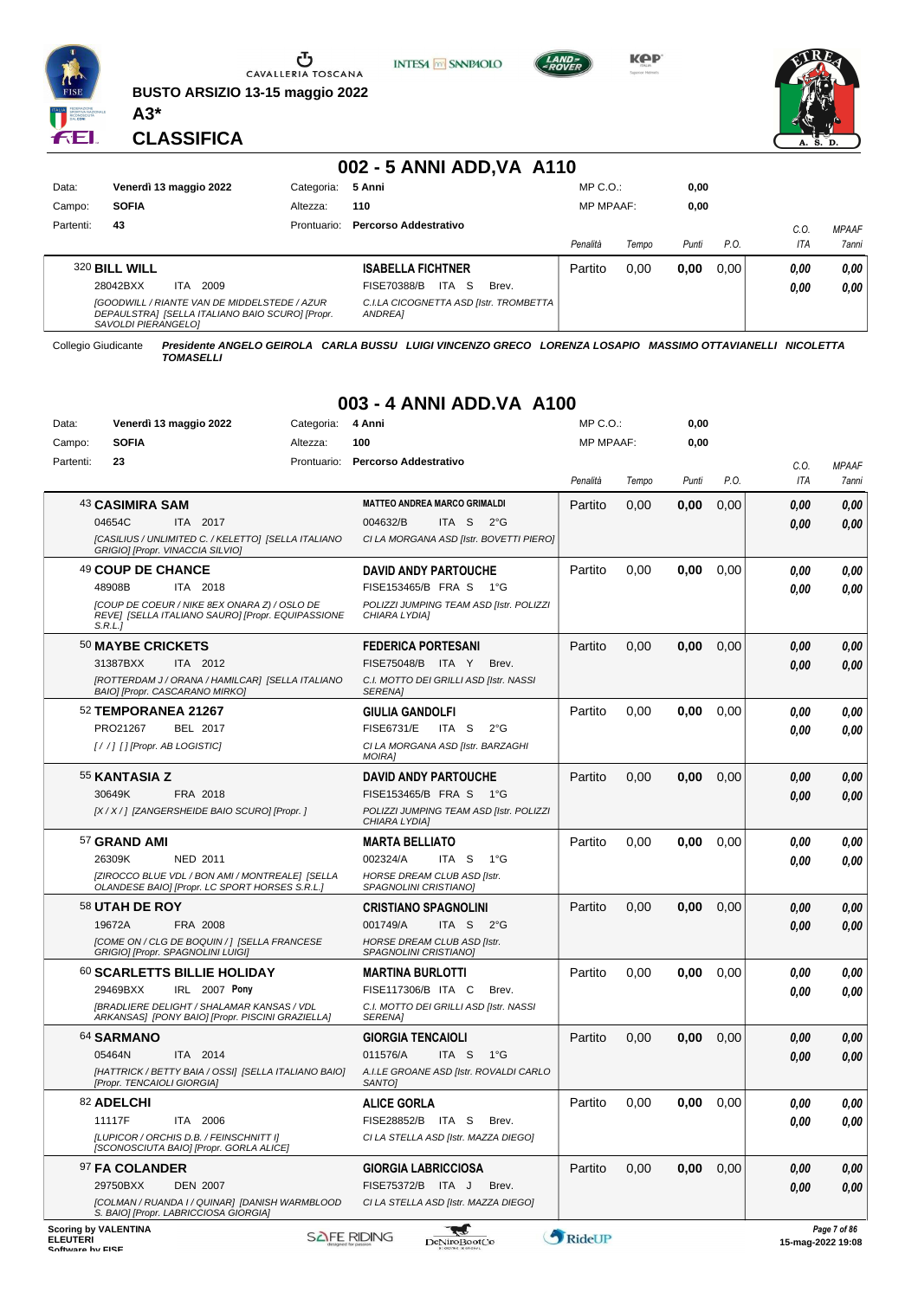

Ⴠ CAVALLERIA TOSCANA

**BUSTO ARSIZIO 13-15 maggio 2022 A3\***



**KPP** 



**CLASSIFICA**

### **002 - 5 ANNI ADD,VA A110**

**INTESA** M SANPAOLO

| Data:     | Venerdì 13 maggio 2022<br>Categoria:                                                                                          |             | 5 Anni                                                     | $MP C. O.$ :     |       | 0,00  |      |      |              |
|-----------|-------------------------------------------------------------------------------------------------------------------------------|-------------|------------------------------------------------------------|------------------|-------|-------|------|------|--------------|
| Campo:    | <b>SOFIA</b>                                                                                                                  | Altezza:    | 110                                                        | <b>MP MPAAF:</b> |       | 0,00  |      |      |              |
| Partenti: | 43                                                                                                                            | Prontuario: | Percorso Addestrativo                                      |                  |       |       |      | C.O. | <b>MPAAF</b> |
|           |                                                                                                                               |             |                                                            | Penalità         | Tempo | Punti | P.O. | ITA  | 7anni        |
|           | 320 BILL WILL                                                                                                                 |             | <b>ISABELLA FICHTNER</b>                                   | Partito          | 0.00  | 0.00  | 0.00 | 0.00 | 0,00         |
|           | 2009<br>28042BXX<br>ITA.                                                                                                      |             | ITA S<br>FISE70388/B<br>Brev.                              |                  |       |       |      | 0,00 | 0,00         |
|           | <b>[GOODWILL / RIANTE VAN DE MIDDELSTEDE / AZUR</b><br>DEPAULSTRA] [SELLA ITALIANO BAIO SCURO] [Propr.<br>SAVOLDI PIERANGELOJ |             | C.I.LA CICOGNETTA ASD [Istr. TROMBETTA  <br><b>ANDREA1</b> |                  |       |       |      |      |              |

Collegio Giudicante *Presidente ANGELO GEIROLA CARLA BUSSU LUIGI VINCENZO GRECO LORENZA LOSAPIO MASSIMO OTTAVIANELLI NICOLETTA TOMASELLI*

#### **003 - 4 ANNI ADD.VA A100**

| Data:                                          | Venerdì 13 maggio 2022                                                                                      | Categoria: | 4 Anni                                                       | $MP C. O.$ :     |       | 0,00  |      |                         |              |
|------------------------------------------------|-------------------------------------------------------------------------------------------------------------|------------|--------------------------------------------------------------|------------------|-------|-------|------|-------------------------|--------------|
| Campo:                                         | <b>SOFIA</b>                                                                                                | Altezza:   | 100                                                          | <b>MP MPAAF:</b> |       | 0,00  |      |                         |              |
| Partenti:                                      | 23                                                                                                          |            | Prontuario: Percorso Addestrativo                            |                  |       |       |      | C.O.                    | <b>MPAAF</b> |
|                                                |                                                                                                             |            |                                                              | Penalità         | Tempo | Punti | P.O. | ITA                     | 7anni        |
|                                                | 43 CASIMIRA SAM                                                                                             |            | <b>MATTEO ANDREA MARCO GRIMALDI</b>                          | Partito          | 0,00  | 0,00  | 0,00 | 0,00                    | 0,00         |
|                                                | 04654C<br>ITA 2017                                                                                          |            | 004632/B<br>ITA S $2^{\circ}G$                               |                  |       |       |      | 0.00                    | 0,00         |
|                                                | [CASILIUS / UNLIMITED C. / KELETTO] [SELLA ITALIANO<br>GRIGIO] [Propr. VINACCIA SILVIO]                     |            | CI LA MORGANA ASD [Istr. BOVETTI PIERO]                      |                  |       |       |      |                         |              |
|                                                | 49 COUP DE CHANCE                                                                                           |            | <b>DAVID ANDY PARTOUCHE</b>                                  | Partito          | 0,00  | 0,00  | 0,00 | 0,00                    | 0,00         |
|                                                | 48908B<br>ITA 2018                                                                                          |            | FISE153465/B FRA S<br>− 1°G                                  |                  |       |       |      | 0,00                    | 0,00         |
|                                                | [COUP DE COEUR / NIKE 8EX ONARA Z) / OSLO DE<br>REVEI [SELLA ITALIANO SAURO] [Propr. EQUIPASSIONE<br>S.R.L. |            | POLIZZI JUMPING TEAM ASD [Istr. POLIZZI<br>CHIARA LYDIA1     |                  |       |       |      |                         |              |
|                                                | 50 MAYBE CRICKETS                                                                                           |            | <b>FEDERICA PORTESANI</b>                                    | Partito          | 0,00  | 0,00  | 0,00 | 0,00                    | 0,00         |
|                                                | 31387BXX<br>ITA 2012                                                                                        |            | FISE75048/B ITA Y<br>Brev.                                   |                  |       |       |      | 0,00                    | 0,00         |
|                                                | [ROTTERDAM J / ORANA / HAMILCAR] [SELLA ITALIANO<br>BAIO] [Propr. CASCARANO MIRKO]                          |            | C.I. MOTTO DEI GRILLI ASD [Istr. NASSI<br>SERENA]            |                  |       |       |      |                         |              |
|                                                | 52 TEMPORANEA 21267                                                                                         |            | <b>GIULIA GANDOLFI</b>                                       | Partito          | 0,00  | 0,00  | 0,00 | 0,00                    | 0,00         |
|                                                | PRO21267<br>BEL 2017                                                                                        |            | <b>FISE6731/E</b><br>ITA S<br>$2^{\circ}$ G                  |                  |       |       |      | 0.00                    | 0,00         |
|                                                | $[!//]$ [] [Propr. AB LOGISTIC]                                                                             |            | CI LA MORGANA ASD [Istr. BARZAGHI<br><b>MOIRA1</b>           |                  |       |       |      |                         |              |
|                                                | 55 KANTASIA Z                                                                                               |            | <b>DAVID ANDY PARTOUCHE</b>                                  | Partito          | 0,00  | 0,00  | 0,00 | 0,00                    | 0,00         |
|                                                | 30649K<br>FRA 2018                                                                                          |            | FISE153465/B FRA S<br>− 1°G                                  |                  |       |       |      | 0,00                    | 0,00         |
|                                                | [X / X / ] [ZANGERSHEIDE BAIO SCURO] [Propr. ]                                                              |            | POLIZZI JUMPING TEAM ASD [Istr. POLIZZI<br>CHIARA LYDIA]     |                  |       |       |      |                         |              |
|                                                | 57 GRAND AMI                                                                                                |            | <b>MARTA BELLIATO</b>                                        | Partito          | 0,00  | 0,00  | 0,00 | 0,00                    | 0,00         |
|                                                | 26309K<br>NED 2011                                                                                          |            | 002324/A<br>ITA S<br>$1^{\circ}G$                            |                  |       |       |      | 0.00                    | 0,00         |
|                                                | [ZIROCCO BLUE VDL / BON AMI / MONTREALE] [SELLA<br>OLANDESE BAIO] [Propr. LC SPORT HORSES S.R.L.]           |            | HORSE DREAM CLUB ASD [Istr.<br>SPAGNOLINI CRISTIANO]         |                  |       |       |      |                         |              |
|                                                | <b>58 UTAH DE ROY</b>                                                                                       |            | <b>CRISTIANO SPAGNOLINI</b>                                  | Partito          | 0,00  | 0,00  | 0,00 | 0,00                    | 0,00         |
|                                                | 19672A<br>FRA 2008                                                                                          |            | 001749/A<br>ITA S<br>$2^{\circ}$ G                           |                  |       |       |      | 0,00                    | 0,00         |
|                                                | [COME ON / CLG DE BOQUIN / ] [SELLA FRANCESE<br>GRIGIO] [Propr. SPAGNOLINI LUIGI]                           |            | <b>HORSE DREAM CLUB ASD [Istr.</b><br>SPAGNOLINI CRISTIANO]  |                  |       |       |      |                         |              |
|                                                | 60 SCARLETTS BILLIE HOLIDAY                                                                                 |            | <b>MARTINA BURLOTTI</b>                                      | Partito          | 0,00  | 0,00  | 0.00 | 0.00                    | 0,00         |
|                                                | 29469BXX<br>IRL 2007 Pony                                                                                   |            | FISE117306/B ITA C<br>Brev.                                  |                  |       |       |      | 0.00                    | 0.00         |
|                                                | [BRADLIERE DELIGHT / SHALAMAR KANSAS / VDL<br>ARKANSAS] [PONY BAIO] [Propr. PISCINI GRAZIELLA]              |            | C.I. MOTTO DEI GRILLI ASD [Istr. NASSI<br><b>SERENAI</b>     |                  |       |       |      |                         |              |
|                                                | 64 SARMANO                                                                                                  |            | <b>GIORGIA TENCAIOLI</b>                                     | Partito          | 0,00  | 0,00  | 0,00 | 0,00                    | 0,00         |
|                                                | 05464N<br>ITA 2014                                                                                          |            | 011576/A<br>ITA S<br>1°G                                     |                  |       |       |      | 0,00                    | 0,00         |
|                                                | [HATTRICK / BETTY BAIA / OSSI] [SELLA ITALIANO BAIO]<br>[Propr. TENCAIOLI GIORGIA]                          |            | A.I.LE GROANE ASD [Istr. ROVALDI CARLO<br>SANTO <sub>I</sub> |                  |       |       |      |                         |              |
|                                                | 82 ADELCHI                                                                                                  |            | <b>ALICE GORLA</b>                                           | Partito          | 0.00  | 0.00  | 0.00 | 0.00                    | 0.00         |
|                                                | 11117F<br>ITA 2006                                                                                          |            | FISE28852/B ITA S<br>Brev.                                   |                  |       |       |      | 0,00                    | 0,00         |
|                                                | [LUPICOR / ORCHIS D.B. / FEINSCHNITT I]<br>[SCONOSCIUTA BAIO] [Propr. GORLA ALICE]                          |            | CI LA STELLA ASD [Istr. MAZZA DIEGO]                         |                  |       |       |      |                         |              |
|                                                | 97 FA COLANDER                                                                                              |            | <b>GIORGIA LABRICCIOSA</b>                                   | Partito          | 0,00  | 0,00  | 0,00 | 0,00                    | 0,00         |
|                                                | 29750BXX<br><b>DEN 2007</b>                                                                                 |            | FISE75372/B ITA J<br>Brev.                                   |                  |       |       |      | 0,00                    | 0,00         |
|                                                | [COLMAN / RUANDA I / QUINAR] [DANISH WARMBLOOD<br>S. BAIO] [Propr. LABRICCIOSA GIORGIA]                     |            | CI LA STELLA ASD [Istr. MAZZA DIEGO]                         |                  |       |       |      |                         |              |
| <b>Scoring by VALENTINA</b><br><b>ELEUTERI</b> |                                                                                                             |            | ₩<br><b>SAFE RIDING</b><br>DeNiroBootCo                      | RideUP           |       |       |      | $15 - ma - 202219 - 08$ | Page 7 of 86 |

ELEUTERI SOFTWARE SOFTWARE ORIGINAL DENTOROOTCO **Software in the second of the Software Control of the Software or the Software or the Software or the Software or the Software or the Software or the Software or the Softwar** 

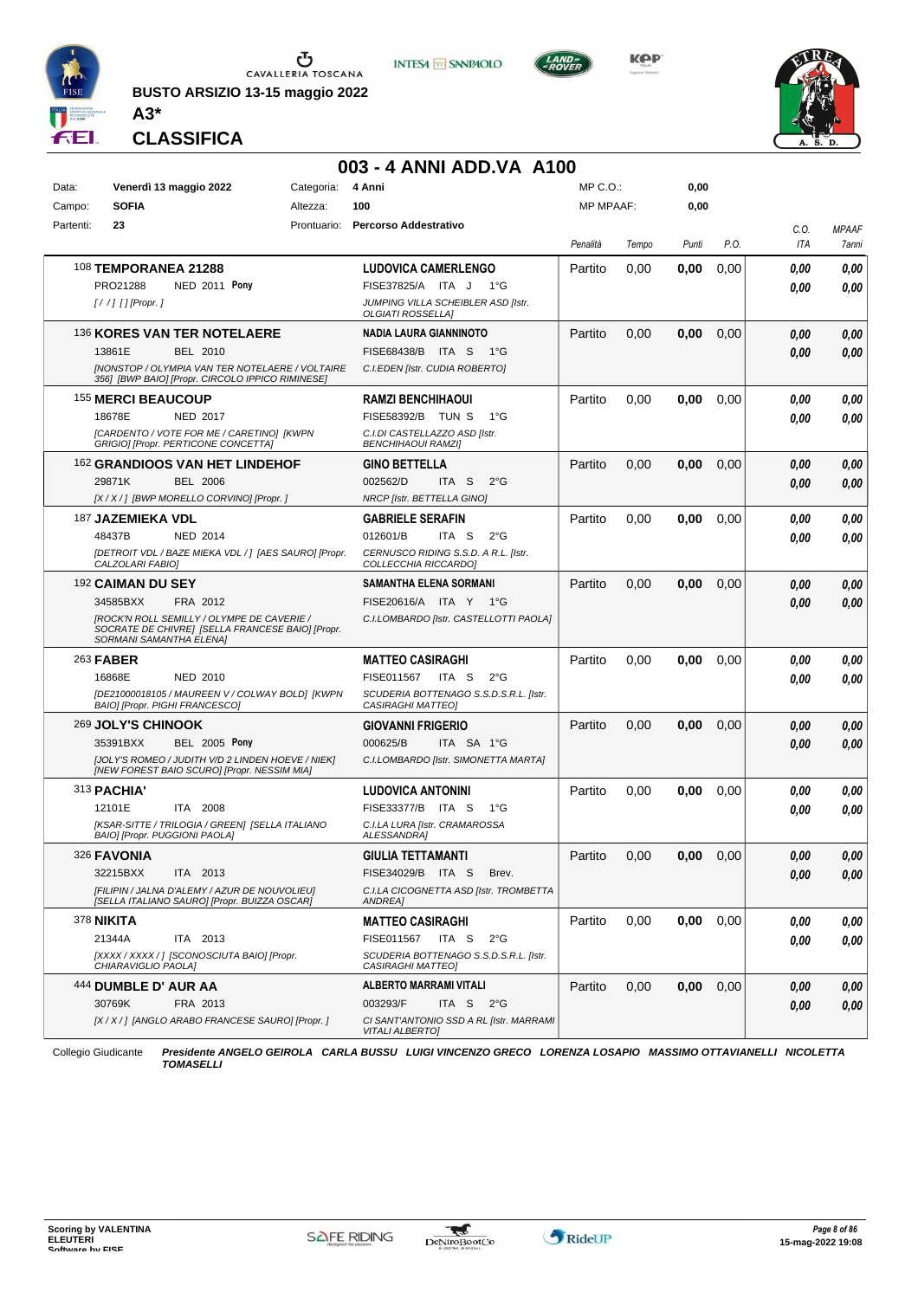

**BUSTO ARSIZIO 13-15 maggio 2022 A3\***







#### **CLASSIFICA**

|                 |                                                                      |                                                                                                                                                       |                        | 003 - 4 ANNI ADD.VA A100                                                                                                          |                                  |       |              |      |              |                       |
|-----------------|----------------------------------------------------------------------|-------------------------------------------------------------------------------------------------------------------------------------------------------|------------------------|-----------------------------------------------------------------------------------------------------------------------------------|----------------------------------|-------|--------------|------|--------------|-----------------------|
| Data:<br>Campo: | Venerdì 13 maggio 2022<br><b>SOFIA</b>                               |                                                                                                                                                       | Categoria:<br>Altezza: | 4 Anni<br>100                                                                                                                     | $MP C. O.$ :<br><b>MP MPAAF:</b> |       | 0,00<br>0,00 |      |              |                       |
| Partenti:       | 23                                                                   |                                                                                                                                                       | Prontuario:            | <b>Percorso Addestrativo</b>                                                                                                      | Penalità                         | Tempo | Punti        | P.O. | C.O.<br>ITA  | <b>MPAAF</b><br>7anni |
|                 | <b>108 TEMPORANEA 21288</b><br>PRO21288<br>$[!//]$ [] [Propr.]       | <b>NED 2011 Pony</b>                                                                                                                                  |                        | <b>LUDOVICA CAMERLENGO</b><br>FISE37825/A ITA J<br>− 1°G<br>JUMPING VILLA SCHEIBLER ASD [Istr.<br><b>OLGIATI ROSSELLAI</b>        | Partito                          | 0,00  | 0,00         | 0,00 | 0,00<br>0,00 | 0,00<br>0,00          |
|                 | 13861E                                                               | 136 KORES VAN TER NOTELAERE<br>BEL 2010<br><b>INONSTOP / OLYMPIA VAN TER NOTELAERE / VOLTAIRE</b><br>356] [BWP BAIO] [Propr. CIRCOLO IPPICO RIMINESE] |                        | NADIA LAURA GIANNINOTO<br>FISE68438/B ITA S<br>− 1°G<br>C.I.EDEN [Istr. CUDIA ROBERTO]                                            | Partito                          | 0,00  | 0,00         | 0,00 | 0.00<br>0.00 | 0,00<br>0,00          |
|                 | 155 MERCI BEAUCOUP<br>18678E                                         | NED 2017<br>[CARDENTO / VOTE FOR ME / CARETINO] [KWPN<br>GRIGIO] [Propr. PERTICONE CONCETTA]                                                          |                        | RAMZI BENCHIHAOUI<br>FISE58392/B TUN S<br>$1^{\circ}G$<br>C.I.DI CASTELLAZZO ASD [Istr.<br><b>BENCHIHAOUI RAMZI]</b>              | Partito                          | 0,00  | 0,00         | 0,00 | 0.00<br>0.00 | 0,00<br>0,00          |
|                 | 29871K                                                               | 162 GRANDIOOS VAN HET LINDEHOF<br>BEL 2006<br>[X / X / ] [BWP MORELLO CORVINO] [Propr. ]                                                              |                        | <b>GINO BETTELLA</b><br>002562/D<br>$2^{\circ}G$<br>ITA S<br><b>NRCP [Istr. BETTELLA GINO]</b>                                    | Partito                          | 0,00  | 0,00         | 0,00 | 0.00<br>0.00 | 0,00<br>0,00          |
|                 | 187 JAZEMIEKA VDL<br>48437B<br>CALZOLARI FABIO]                      | NED 2014<br>[DETROIT VDL / BAZE MIEKA VDL / ] [AES SAURO] [Propr.                                                                                     |                        | <b>GABRIELE SERAFIN</b><br>012601/B<br>ITA S<br>$2^{\circ}G$<br>CERNUSCO RIDING S.S.D. A R.L. [Istr.<br>COLLECCHIA RICCARDO]      | Partito                          | 0,00  | 0,00         | 0,00 | 0.00<br>0.00 | 0,00<br>0,00          |
|                 | <sup>192</sup> CAIMAN DU SEY<br>34585BXX<br>SORMANI SAMANTHA ELENA]  | FRA 2012<br>[ROCK'N ROLL SEMILLY / OLYMPE DE CAVERIE /<br>SOCRATE DE CHIVRE] [SELLA FRANCESE BAIO] [Propr.                                            |                        | SAMANTHA ELENA SORMANI<br>FISE20616/A ITA Y 1°G<br>C.I.LOMBARDO [Istr. CASTELLOTTI PAOLA]                                         | Partito                          | 0.00  | 0,00         | 0,00 | 0.00<br>0.00 | 0,00<br>0,00          |
|                 | 263 <b>FABER</b><br>16868E<br>BAIO] [Propr. PIGHI FRANCESCO]         | NED 2010<br>[DE21000018105 / MAUREEN V / COLWAY BOLD] [KWPN                                                                                           |                        | <b>MATTEO CASIRAGHI</b><br>FISE011567<br>ITA S<br>$2^{\circ}G$<br>SCUDERIA BOTTENAGO S.S.D.S.R.L. [Istr.<br>CASIRAGHI MATTEO]     | Partito                          | 0.00  | 0,00         | 0,00 | 0.00<br>0.00 | 0,00<br>0.00          |
|                 | 269 JOLY'S CHINOOK<br>35391BXX                                       | <b>BEL 2005 Pony</b><br>[JOLY'S ROMEO / JUDITH V/D 2 LINDEN HOEVE / NIEK]<br>[NEW FOREST BAIO SCURO] [Propr. NESSIM MIA]                              |                        | <b>GIOVANNI FRIGERIO</b><br>000625/B<br>ITA SA 1°G<br>C.I.LOMBARDO [Istr. SIMONETTA MARTA]                                        | Partito                          | 0,00  | 0,00         | 0,00 | 0.00<br>0.00 | 0,00<br>0,00          |
|                 | 313 <b>PACHIA'</b><br>12101E<br><b>BAIOI [Propr. PUGGIONI PAOLA]</b> | ITA 2008<br>[KSAR-SITTE / TRILOGIA / GREEN] [SELLA ITALIANO                                                                                           |                        | <b>LUDOVICA ANTONINI</b><br>FISE33377/B ITA S<br>$1^{\circ}G$<br>C.I.LA LURA [Istr. CRAMAROSSA<br><b>ALESSANDRAI</b>              | Partito                          | 0,00  | 0,00         | 0,00 | 0.00<br>0,00 | 0,00<br>0,00          |
|                 | 326 FAVONIA<br>32215BXX                                              | ITA 2013<br>[FILIPIN / JALNA D'ALEMY / AZUR DE NOUVOLIEU]<br>[SELLA ITALIANO SAURO] [Propr. BUIZZA OSCAR]                                             |                        | <b>GIULIA TETTAMANTI</b><br>FISE34029/B ITA S<br>Brev.<br>C.I.LA CICOGNETTA ASD [Istr. TROMBETTA<br><b>ANDREA]</b>                | Partito                          | 0,00  | 0,00         | 0,00 | 0,00<br>0,00 | 0,00<br>0,00          |
|                 | 378 <b>NIKITA</b><br>21344A<br>CHIARAVIGLIO PAOLA]                   | ITA 2013<br>[XXXX / XXXX / ] [SCONOSCIUTA BAIO] [Propr.                                                                                               |                        | <b>MATTEO CASIRAGHI</b><br>FISE011567 ITA S<br>$2^{\circ}G$<br>SCUDERIA BOTTENAGO S.S.D.S.R.L. [Istr.<br>CASIRAGHI MATTEO]        | Partito                          | 0,00  | 0,00         | 0,00 | 0,00<br>0,00 | 0,00<br>0,00          |
|                 | 444 DUMBLE D' AUR AA<br>30769K                                       | FRA 2013<br>[X / X / ] [ANGLO ARABO FRANCESE SAURO] [Propr. ]                                                                                         |                        | ALBERTO MARRAMI VITALI<br>003293/F<br>ITA S<br>$2^{\circ}$ G<br>CI SANT'ANTONIO SSD A RL [Istr. MARRAMI<br><b>VITALI ALBERTO]</b> | Partito                          | 0,00  | 0,00         | 0,00 | 0,00<br>0,00 | 0,00<br>0,00          |

Collegio Giudicante *Presidente ANGELO GEIROLA CARLA BUSSU LUIGI VINCENZO GRECO LORENZA LOSAPIO MASSIMO OTTAVIANELLI NICOLETTA TOMASELLI*

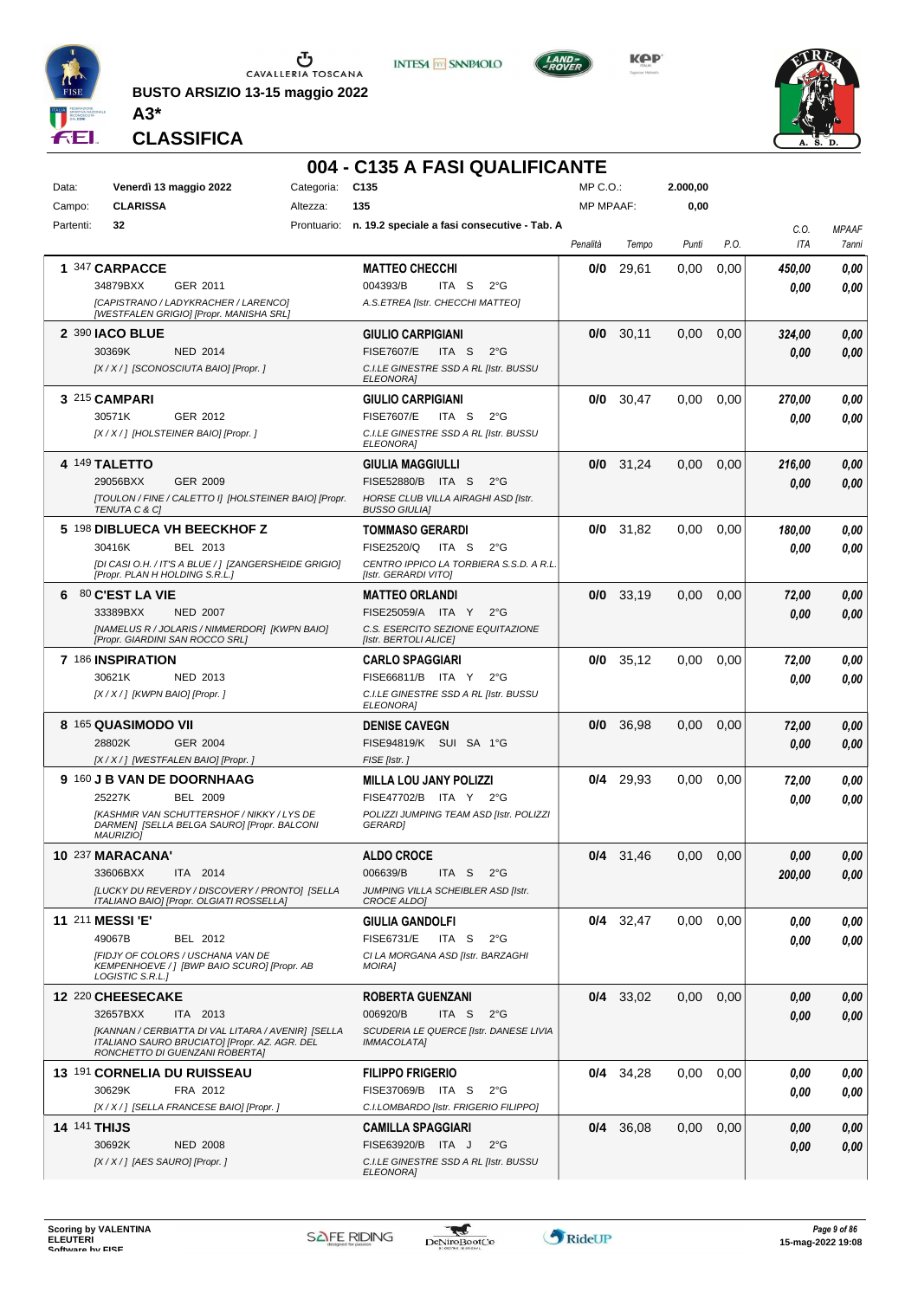

**BUSTO ARSIZIO 13-15 maggio 2022 A3\***



**KPP** 



**CLASSIFICA**

#### **004 - C135 A FASI QUALIFICANTE**

| Data:     | Venerdì 13 maggio 2022                                                                     | Categoria: | C <sub>135</sub>                                          | MP C.O.:         |             | 2.000,00 |      |                    |                       |
|-----------|--------------------------------------------------------------------------------------------|------------|-----------------------------------------------------------|------------------|-------------|----------|------|--------------------|-----------------------|
| Campo:    | <b>CLARISSA</b>                                                                            | Altezza:   | 135                                                       | <b>MP MPAAF:</b> |             | 0,00     |      |                    |                       |
| Partenti: | 32                                                                                         |            | Prontuario: n. 19.2 speciale a fasi consecutive - Tab. A  |                  |             |          |      |                    |                       |
|           |                                                                                            |            |                                                           | Penalità         | Tempo       | Punti    | P.O. | C.O.<br><b>ITA</b> | <b>MPAAF</b><br>7anni |
|           |                                                                                            |            |                                                           |                  |             |          |      |                    |                       |
|           | 1 347 CARPACCE                                                                             |            | <b>MATTEO CHECCHI</b>                                     | 0/0              | 29,61       | 0.00     | 0,00 | 450.00             | 0,00                  |
|           | 34879BXX<br>GER 2011                                                                       |            | 004393/B<br>ITA <sub>S</sub><br>$2^{\circ}G$              |                  |             |          |      | 0.00               | 0,00                  |
|           | [CAPISTRANO / LADYKRACHER / LARENCO]                                                       |            | A.S.ETREA [Istr. CHECCHI MATTEO]                          |                  |             |          |      |                    |                       |
|           | [WESTFALEN GRIGIO] [Propr. MANISHA SRL]                                                    |            |                                                           |                  |             |          |      |                    |                       |
|           | 2 390 IACO BLUE                                                                            |            | <b>GIULIO CARPIGIANI</b>                                  | 0/0              | 30,11       | 0,00     | 0,00 | 324,00             | 0,00                  |
|           | 30369K<br><b>NED 2014</b>                                                                  |            | <b>FISE7607/E</b><br>ITA S<br>$2^{\circ}G$                |                  |             |          |      | 0.00               | 0,00                  |
|           | [X / X / ] [SCONOSCIUTA BAIO] [Propr. ]                                                    |            | C.I.LE GINESTRE SSD A RL [Istr. BUSSU                     |                  |             |          |      |                    |                       |
|           |                                                                                            |            | <b>ELEONORA]</b>                                          |                  |             |          |      |                    |                       |
|           | 3 215 CAMPARI                                                                              |            | <b>GIULIO CARPIGIANI</b>                                  | 0/0              | 30,47       | 0,00     | 0,00 | 270.00             | 0,00                  |
|           | GER 2012<br>30571K                                                                         |            | <b>FISE7607/E</b><br>ITA S<br>$2^{\circ}G$                |                  |             |          |      | 0.00               | 0,00                  |
|           | [X / X / ] [HOLSTEINER BAIO] [Propr. ]                                                     |            | C.I.LE GINESTRE SSD A RL [Istr. BUSSU                     |                  |             |          |      |                    |                       |
|           |                                                                                            |            | ELEONORA]                                                 |                  |             |          |      |                    |                       |
|           | 4 149 TALETTO                                                                              |            | GIULIA MAGGIULLI                                          |                  | $0/0$ 31,24 | 0,00     | 0,00 | 216,00             | 0,00                  |
|           | 29056BXX<br>GER 2009                                                                       |            | FISE52880/B ITA S<br>$2^{\circ}G$                         |                  |             |          |      | 0.00               | 0,00                  |
|           | [TOULON / FINE / CALETTO I] [HOLSTEINER BAIO] [Propr.                                      |            | HORSE CLUB VILLA AIRAGHI ASD [Istr.                       |                  |             |          |      |                    |                       |
|           | <b>TENUTA C &amp; CI</b>                                                                   |            | <b>BUSSO GIULIA]</b>                                      |                  |             |          |      |                    |                       |
|           | 5 198 DIBLUECA VH BEECKHOF Z                                                               |            | <b>TOMMASO GERARDI</b>                                    |                  | $0/0$ 31,82 | 0,00     | 0,00 | 180,00             | 0.00                  |
|           | BEL 2013<br>30416K                                                                         |            | FISE2520/Q<br>ITA S<br>$2^{\circ}G$                       |                  |             |          |      |                    |                       |
|           | [DI CASI O.H. / IT'S A BLUE / ] [ZANGERSHEIDE GRIGIO]                                      |            | CENTRO IPPICO LA TORBIERA S.S.D. A R.L                    |                  |             |          |      | 0.00               | 0.00                  |
|           | [Propr. PLAN H HOLDING S.R.L.]                                                             |            | [Istr. GERARDI VITO]                                      |                  |             |          |      |                    |                       |
| 6         | 80 C'EST LA VIE                                                                            |            | <b>MATTEO ORLANDI</b>                                     |                  | $0/0$ 33.19 | 0,00     | 0,00 | 72,00              | 0,00                  |
|           | 33389BXX<br><b>NED 2007</b>                                                                |            | FISE25059/A ITA Y<br>$2^{\circ}G$                         |                  |             |          |      |                    |                       |
|           |                                                                                            |            | C.S. ESERCITO SEZIONE EQUITAZIONE                         |                  |             |          |      | 0.00               | 0,00                  |
|           | [NAMELUS R / JOLARIS / NIMMERDOR] [KWPN BAIO]<br>[Propr. GIARDINI SAN ROCCO SRL]           |            | [Istr. BERTOLI ALICE]                                     |                  |             |          |      |                    |                       |
|           | 7 186 INSPIRATION                                                                          |            | <b>CARLO SPAGGIARI</b>                                    | 0/0              | 35,12       | 0,00     | 0,00 | 72,00              | 0,00                  |
|           |                                                                                            |            |                                                           |                  |             |          |      |                    |                       |
|           | 30621K<br>NED 2013                                                                         |            | FISE66811/B ITA Y<br>$2^{\circ}G$                         |                  |             |          |      | 0.00               | 0.00                  |
|           | [X / X / ] [KWPN BAIO] [Propr. ]                                                           |            | C.I.LE GINESTRE SSD A RL [Istr. BUSSU<br><b>ELEONORAI</b> |                  |             |          |      |                    |                       |
|           | 8 165 QUASIMODO VII                                                                        |            | <b>DENISE CAVEGN</b>                                      | 0/0              | 36,98       | 0.00     | 0,00 |                    | 0,00                  |
|           |                                                                                            |            |                                                           |                  |             |          |      | 72,00              |                       |
|           | 28802K<br><b>GER 2004</b>                                                                  |            | FISE94819/K SUI SA 1°G                                    |                  |             |          |      | 0.00               | 0,00                  |
|           | [X / X / ] [WESTFALEN BAIO] [Propr. ]                                                      |            | FISE [Istr.]                                              |                  |             |          |      |                    |                       |
|           | 9 160 J B VAN DE DOORNHAAG                                                                 |            | <b>MILLA LOU JANY POLIZZI</b>                             | 0/4              | 29,93       | 0,00     | 0,00 | 72,00              | 0.00                  |
|           | 25227K<br><b>BEL 2009</b>                                                                  |            | FISE47702/B ITA Y 2°G                                     |                  |             |          |      | 0.00               | 0.00                  |
|           | <b>IKASHMIR VAN SCHUTTERSHOF / NIKKY / LYS DE</b>                                          |            | POLIZZI JUMPING TEAM ASD [Istr. POLIZZI                   |                  |             |          |      |                    |                       |
|           | DARMEN] [SELLA BELGA SAURO] [Propr. BALCONI<br><b>MAURIZIOI</b>                            |            | <b>GERARDI</b>                                            |                  |             |          |      |                    |                       |
|           |                                                                                            |            |                                                           |                  |             |          |      |                    |                       |
|           | 10 237 MARACANA'                                                                           |            | <b>ALDO CROCE</b>                                         |                  | $0/4$ 31,46 | 0,00     | 0,00 | 0.00               | 0,00                  |
|           | 33606BXX<br>ITA 2014                                                                       |            | 006639/B<br>ITA S<br>$2^{\circ}$ G                        |                  |             |          |      | 200,00             | 0,00                  |
|           | [LUCKY DU REVERDY / DISCOVERY / PRONTO] [SELLA<br>ITALIANO BAIO] [Propr. OLGIATI ROSSELLA] |            | JUMPING VILLA SCHEIBLER ASD [Istr.<br>CROCE ALDO]         |                  |             |          |      |                    |                       |
|           |                                                                                            |            |                                                           |                  |             |          |      |                    |                       |
|           | 11 211 MESSI 'E'                                                                           |            | <b>GIULIA GANDOLFI</b>                                    |                  | $0/4$ 32,47 | 0.00     | 0.00 | 0,00               | 0,00                  |
|           | 49067B<br>BEL 2012                                                                         |            | <b>FISE6731/E</b><br>ITA S<br>$2^{\circ}G$                |                  |             |          |      | 0.00               | 0,00                  |
|           | [FIDJY OF COLORS / USCHANA VAN DE<br>KEMPENHOEVE /   [BWP BAIO SCURO] [Propr. AB           |            | CI LA MORGANA ASD [Istr. BARZAGHI<br><b>MOIRAI</b>        |                  |             |          |      |                    |                       |
|           | LOGISTIC S.R.L.1                                                                           |            |                                                           |                  |             |          |      |                    |                       |
|           | 12 220 CHEESECAKE                                                                          |            | <b>ROBERTA GUENZANI</b>                                   |                  | 0/4 33.02   | 0.00     | 0,00 | 0,00               | 0,00                  |
|           | ITA 2013<br>32657BXX                                                                       |            | 006920/B<br>ITA <sub>S</sub><br>$2^{\circ}G$              |                  |             |          |      |                    |                       |
|           | [KANNAN / CERBIATTA DI VAL LITARA / AVENIR] [SELLA                                         |            | SCUDERIA LE QUERCE [Istr. DANESE LIVIA                    |                  |             |          |      | 0.00               | 0.00                  |
|           | ITALIANO SAURO BRUCIATO] [Propr. AZ. AGR. DEL                                              |            | IMMACOLATA]                                               |                  |             |          |      |                    |                       |
|           | RONCHETTO DI GUENZANI ROBERTA]                                                             |            |                                                           |                  |             |          |      |                    |                       |
|           | 13 191 CORNELIA DU RUISSEAU                                                                |            | <b>FILIPPO FRIGERIO</b>                                   |                  | $0/4$ 34,28 | 0,00     | 0,00 | 0.00               | 0,00                  |
|           | 30629K<br>FRA 2012                                                                         |            | FISE37069/B ITA S<br>$2^{\circ}G$                         |                  |             |          |      | 0.00               | 0,00                  |
|           | [X / X / ] [SELLA FRANCESE BAIO] [Propr. ]                                                 |            | C.I.LOMBARDO [Istr. FRIGERIO FILIPPO]                     |                  |             |          |      |                    |                       |
|           | <b>14 141 THIJS</b>                                                                        |            | <b>CAMILLA SPAGGIARI</b>                                  |                  | 0/4 36,08   | 0.00     | 0,00 | 0,00               | 0,00                  |
|           | 30692K                                                                                     |            | FISE63920/B ITA J<br>2°G                                  |                  |             |          |      |                    |                       |
|           | <b>NED 2008</b>                                                                            |            |                                                           |                  |             |          |      | 0.00               | 0,00                  |
|           | [X / X / ] [AES SAURO] [Propr. ]                                                           |            | C.I.LE GINESTRE SSD A RL [Istr. BUSSU<br>ELEONORA]        |                  |             |          |      |                    |                       |

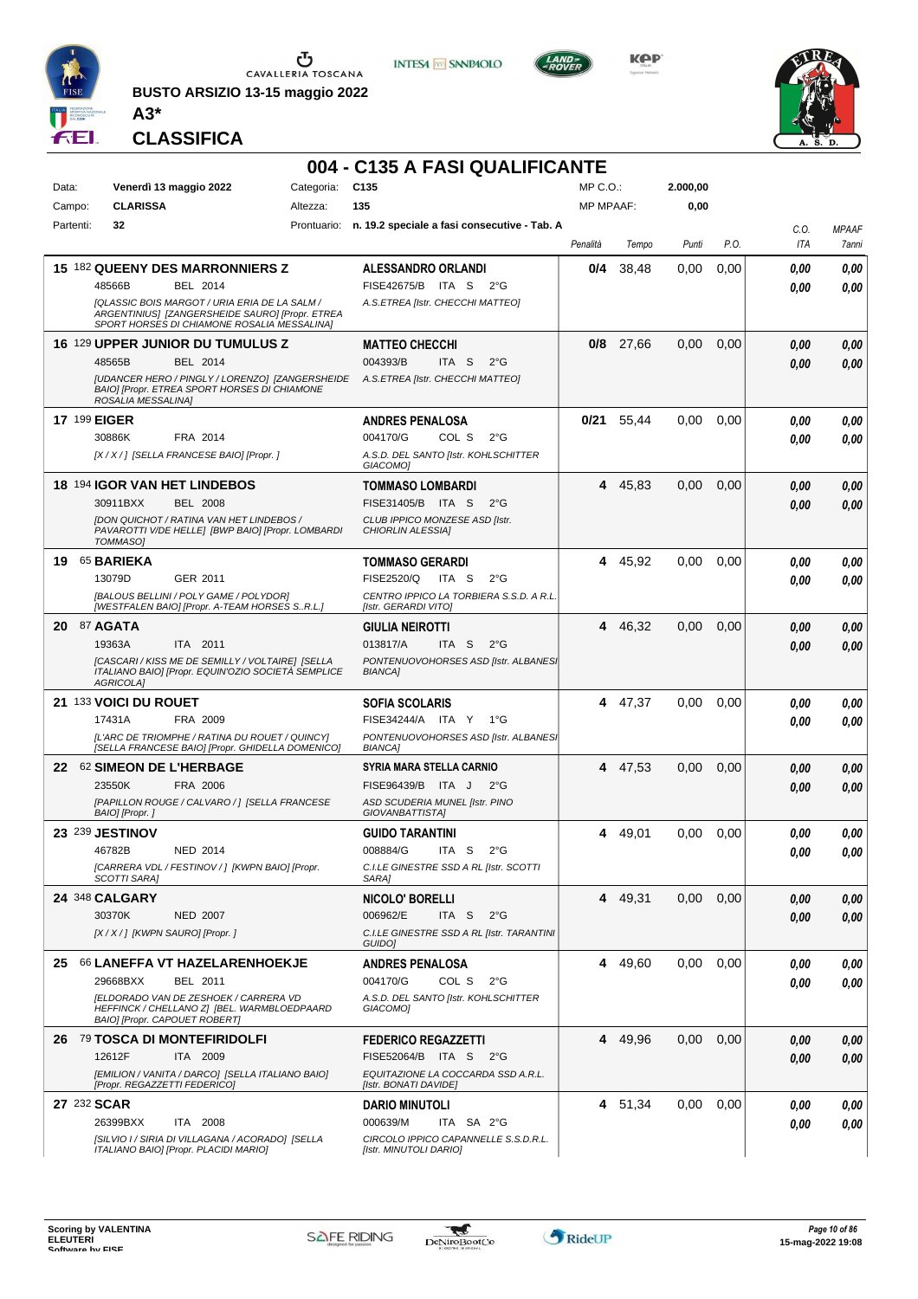

**BUSTO ARSIZIO 13-15 maggio 2022 A3\***

**CLASSIFICA**



**INTESA M** SANPAOLO

**KPP** 



|           |                                                                                                                                                 |            | 004 - C135 A FASI QUALIFICANTE                                  |                  |             |          |      |      |              |
|-----------|-------------------------------------------------------------------------------------------------------------------------------------------------|------------|-----------------------------------------------------------------|------------------|-------------|----------|------|------|--------------|
| Data:     | Venerdì 13 maggio 2022                                                                                                                          | Categoria: | C <sub>135</sub>                                                | $MP C. O.$ :     |             | 2.000,00 |      |      |              |
| Campo:    | <b>CLARISSA</b>                                                                                                                                 | Altezza:   | 135                                                             | <b>MP MPAAF:</b> |             | 0,00     |      |      |              |
| Partenti: | 32                                                                                                                                              |            | Prontuario: n. 19.2 speciale a fasi consecutive - Tab. A        |                  |             |          |      | C.O. | <b>MPAAF</b> |
|           |                                                                                                                                                 |            |                                                                 | Penalità         | Tempo       | Punti    | P.O. | ITA  | 7anni        |
|           | 15 182 QUEENY DES MARRONNIERS Z                                                                                                                 |            | <b>ALESSANDRO ORLANDI</b>                                       | 0/4              | 38,48       | 0.00     | 0,00 | 0,00 | 0,00         |
|           | BEL 2014<br>48566B                                                                                                                              |            | FISE42675/B ITA S<br>$2^{\circ}G$                               |                  |             |          |      | 0,00 | 0,00         |
|           | [QLASSIC BOIS MARGOT / URIA ERIA DE LA SALM /<br>ARGENTINIUS] [ZANGERSHEIDE SAURO] [Propr. ETREA<br>SPORT HORSES DI CHIAMONE ROSALIA MESSALINA] |            | A.S.ETREA [Istr. CHECCHI MATTEO]                                |                  |             |          |      |      |              |
|           | 16 129 UPPER JUNIOR DU TUMULUS Z                                                                                                                |            | <b>MATTEO CHECCHI</b>                                           |                  | $0/8$ 27.66 | 0,00     | 0,00 | 0,00 | 0,00         |
|           | 48565B<br>BEL 2014                                                                                                                              |            | 004393/B<br>ITA <sub>S</sub><br>$2^{\circ}$ G                   |                  |             |          |      | 0,00 | 0,00         |
|           | [UDANCER HERO / PINGLY / LORENZO] [ZANGERSHEIDE<br>BAIO] [Propr. ETREA SPORT HORSES DI CHIAMONE<br>ROSALIA MESSALINA]                           |            | A.S.ETREA [Istr. CHECCHI MATTEO]                                |                  |             |          |      |      |              |
|           | <b>17 199 EIGER</b>                                                                                                                             |            | <b>ANDRES PENALOSA</b>                                          | 0/21             | 55,44       | 0,00     | 0,00 | 0.00 | 0,00         |
|           | 30886K<br>FRA 2014                                                                                                                              |            | 004170/G<br>COL S<br>$2^{\circ}G$                               |                  |             |          |      | 0,00 | 0.00         |
|           | [X / X / ] [SELLA FRANCESE BAIO] [Propr. ]                                                                                                      |            | A.S.D. DEL SANTO [Istr. KOHLSCHITTER<br>GIACOMO]                |                  |             |          |      |      |              |
|           | <b>18 194 IGOR VAN HET LINDEBOS</b>                                                                                                             |            | <b>TOMMASO LOMBARDI</b>                                         | 4                | 45,83       | 0,00     | 0,00 | 0,00 | 0,00         |
|           | <b>BEL 2008</b><br>30911BXX                                                                                                                     |            | FISE31405/B ITA S<br>$2^{\circ}$ G                              |                  |             |          |      | 0,00 | 0,00         |
|           | [DON QUICHOT / RATINA VAN HET LINDEBOS /                                                                                                        |            | CLUB IPPICO MONZESE ASD [Istr.                                  |                  |             |          |      |      |              |
|           | PAVAROTTI V/DE HELLE] [BWP BAIO] [Propr. LOMBARDI<br>TOMMASO]                                                                                   |            | <b>CHIORLIN ALESSIA]</b>                                        |                  |             |          |      |      |              |
| 19.       | 65 BARIEKA                                                                                                                                      |            | <b>TOMMASO GERARDI</b>                                          | 4                | 45,92       | 0,00     | 0,00 | 0,00 | 0,00         |
|           | 13079D<br>GER 2011                                                                                                                              |            | <b>FISE2520/Q</b><br>ITA S<br>$2^{\circ}G$                      |                  |             |          |      | 0,00 | 0.00         |
|           | [BALOUS BELLINI / POLY GAME / POLYDOR]<br>[WESTFALEN BAIO] [Propr. A-TEAM HORSES SR.L.]                                                         |            | CENTRO IPPICO LA TORBIERA S.S.D. A R.L.<br>[Istr. GERARDI VITO] |                  |             |          |      |      |              |
|           | <b>20 87 AGATA</b>                                                                                                                              |            | <b>GIULIA NEIROTTI</b>                                          | 4                | 46,32       | 0,00     | 0,00 | 0,00 | 0,00         |
|           | 19363A<br>ITA 2011                                                                                                                              |            | 013817/A<br>ITA S<br>$2^{\circ}$ G                              |                  |             |          |      | 0,00 | 0,00         |
|           | [CASCARI / KISS ME DE SEMILLY / VOLTAIRE] [SELLA<br>ITALIANO BAIO] [Propr. EQUIN'OZIO SOCIETÀ SEMPLICE<br>AGRICOLA]                             |            | PONTENUOVOHORSES ASD [Istr. ALBANES]<br><b>BIANCA]</b>          |                  |             |          |      |      |              |
|           | 21 133 VOICI DU ROUET                                                                                                                           |            | <b>SOFIA SCOLARIS</b>                                           | 4                | 47,37       | 0,00     | 0,00 | 0,00 | 0,00         |
|           | 17431A<br>FRA 2009                                                                                                                              |            | FISE34244/A ITA Y 1°G                                           |                  |             |          |      | 0.00 | 0,00         |
|           | IL'ARC DE TRIOMPHE / RATINA DU ROUET / QUINCY]<br>[SELLA FRANCESE BAIO] [Propr. GHIDELLA DOMENICO]                                              |            | PONTENUOVOHORSES ASD [Istr. ALBANES]<br><b>BIANCA]</b>          |                  |             |          |      |      |              |
| 22        | 62 SIMEON DE L'HERBAGE                                                                                                                          |            | <b>SYRIA MARA STELLA CARNIO</b>                                 | 4                | 47,53       | 0,00     | 0,00 | 0,00 | 0,00         |
|           | 23550K<br>FRA 2006                                                                                                                              |            | FISE96439/B ITA J<br>$2^{\circ}$ G                              |                  |             |          |      | 0,00 | 0,00         |
|           | [PAPILLON ROUGE / CALVARO / ] [SELLA FRANCESE<br>BAIO] [Propr.]                                                                                 |            | ASD SCUDERIA MUNEL [Istr. PINO<br>GIOVANBATTISTA]               |                  |             |          |      |      |              |
|           | 23 239 JESTINOV                                                                                                                                 |            | <b>GUIDO TARANTINI</b>                                          | 4                | 49,01       | 0,00     | 0,00 | 0.00 | 0,00         |
|           | 46782B<br>NED 2014                                                                                                                              |            | 008884/G<br>$2^{\circ}$ G<br>ITA S                              |                  |             |          |      | 0,00 | 0,00         |
|           | [CARRERA VDL / FESTINOV / ] [KWPN BAIO] [Propr.<br>SCOTTI SARA]                                                                                 |            | C.I.LE GINESTRE SSD A RL [Istr. SCOTTI<br>SARA]                 |                  |             |          |      |      |              |
|           | 24 348 CALGARY                                                                                                                                  |            | <b>NICOLO' BORELLI</b>                                          | 4                | 49,31       | 0,00     | 0,00 | 0,00 | 0,00         |
|           | 30370K<br><b>NED 2007</b>                                                                                                                       |            | 006962/E<br>ITA S<br>$2^{\circ}G$                               |                  |             |          |      | 0.00 | 0,00         |
|           | [X / X / ] [KWPN SAURO] [Propr. ]                                                                                                               |            | C.I.LE GINESTRE SSD A RL [Istr. TARANTINI<br>GUIDO]             |                  |             |          |      |      |              |
| 25.       | 66 LANEFFA VT HAZELARENHOEKJE                                                                                                                   |            | <b>ANDRES PENALOSA</b>                                          | 4                | 49,60       | 0,00     | 0,00 | 0.00 | 0,00         |
|           | 29668BXX<br>BEL 2011                                                                                                                            |            | 004170/G<br>COL S<br>$2^{\circ}G$                               |                  |             |          |      | 0.00 | 0,00         |
|           | <b>IELDORADO VAN DE ZESHOEK / CARRERA VD</b><br>HEFFINCK / CHELLANO Z] [BEL. WARMBLOEDPAARD<br>BAIO] [Propr. CAPOUET ROBERT]                    |            | A.S.D. DEL SANTO [Istr. KOHLSCHITTER<br>GIACOMO]                |                  |             |          |      |      |              |
|           | 26 79 TOSCA DI MONTEFIRIDOLFI                                                                                                                   |            | <b>FEDERICO REGAZZETTI</b>                                      |                  | 4 49,96     | 0,00     | 0,00 | 0,00 | 0,00         |
|           | 12612F<br>ITA 2009                                                                                                                              |            | FISE52064/B ITA S<br>$2^{\circ}G$                               |                  |             |          |      | 0,00 | 0,00         |
|           | [EMILION / VANITA / DARCO] [SELLA ITALIANO BAIO]<br>[Propr. REGAZZETTI FEDERICO]                                                                |            | EQUITAZIONE LA COCCARDA SSD A.R.L.<br>[Istr. BONATI DAVIDE]     |                  |             |          |      |      |              |
|           | 27 232 SCAR                                                                                                                                     |            | <b>DARIO MINUTOLI</b>                                           |                  | 4 51,34     | 0.00     | 0.00 | 0.00 | 0,00         |
|           | 26399BXX<br>ITA 2008                                                                                                                            |            | 000639/M<br>ITA SA 2°G                                          |                  |             |          |      | 0.00 | 0,00         |
|           | [SILVIO I / SIRIA DI VILLAGANA / ACORADO] [SELLA<br>ITALIANO BAIO] [Propr. PLACIDI MARIO]                                                       |            | CIRCOLO IPPICO CAPANNELLE S.S.D.R.L.<br>[Istr. MINUTOLI DARIO]  |                  |             |          |      |      |              |

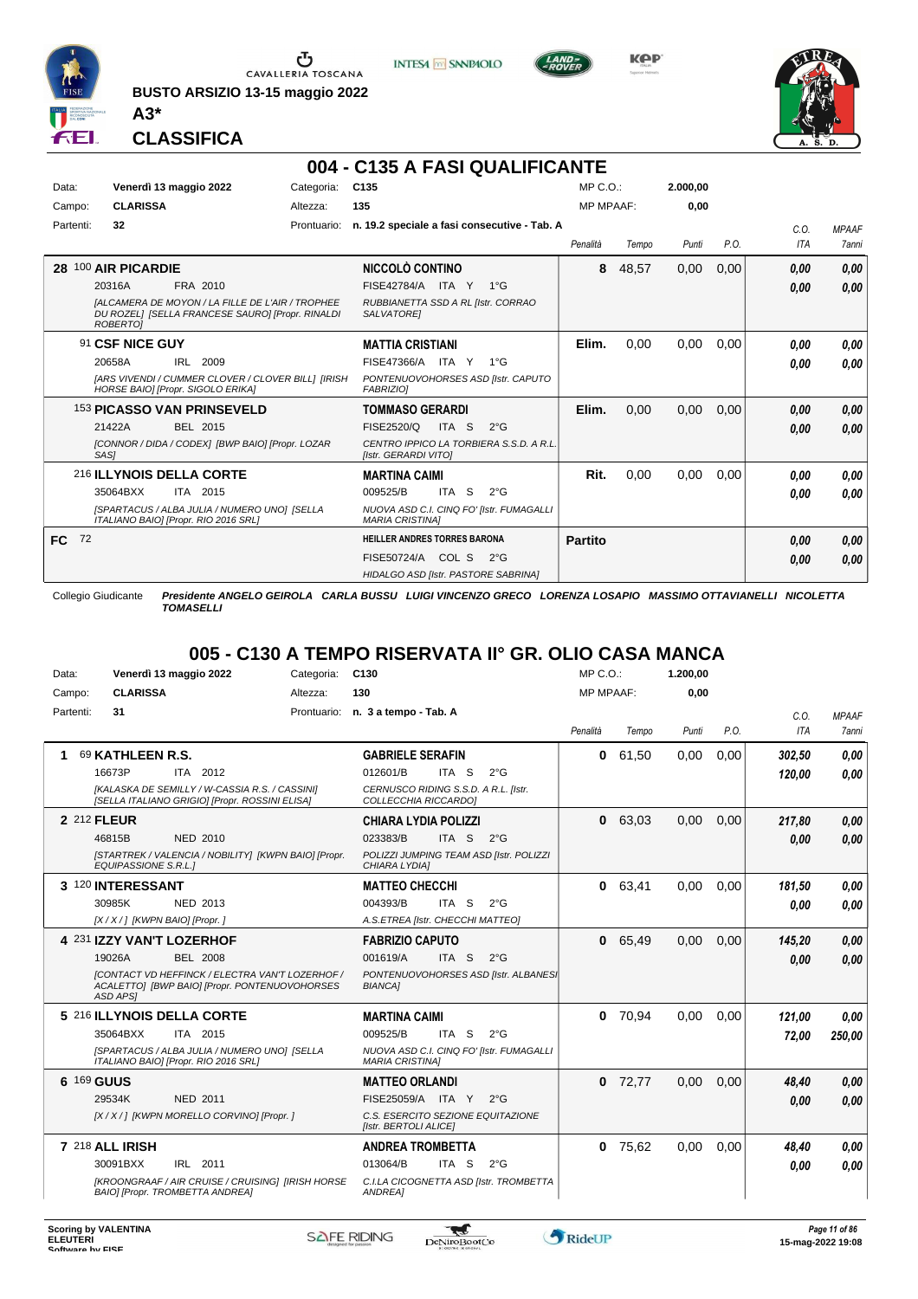

Ⴠ CAVALLERIA TOSCANA

**BUSTO ARSIZIO 13-15 maggio 2022**



**KPP** 



**CLASSIFICA**

**A3\***

#### **004 - C135 A FASI QUALIFICANTE**

**INTESA** M SANPAOLO

| Data:     |    |                     | Venerdì 13 maggio 2022                                                                                      | Categoria:  | C <sub>135</sub>                                                   |       |              | MP C.O.:         |       | 2.000,00 |      |            |              |
|-----------|----|---------------------|-------------------------------------------------------------------------------------------------------------|-------------|--------------------------------------------------------------------|-------|--------------|------------------|-------|----------|------|------------|--------------|
| Campo:    |    | <b>CLARISSA</b>     |                                                                                                             | Altezza:    | 135                                                                |       |              | <b>MP MPAAF:</b> |       | 0.00     |      |            |              |
| Partenti: |    | 32                  |                                                                                                             | Prontuario: | n. 19.2 speciale a fasi consecutive - Tab. A                       |       |              |                  |       |          |      | C.0.       | <b>MPAAF</b> |
|           |    |                     |                                                                                                             |             |                                                                    |       |              | Penalità         | Tempo | Punti    | P.O. | <b>ITA</b> | 7anni        |
|           |    | 28 100 AIR PICARDIE |                                                                                                             |             | NICCOLÒ CONTINO                                                    |       |              | 8                | 48,57 | 0,00     | 0,00 | 0.00       | 0,00         |
|           |    | 20316A              | FRA 2010                                                                                                    |             | FISE42784/A ITA Y                                                  |       | $1^{\circ}G$ |                  |       |          |      | 0,00       | 0,00         |
|           |    | ROBERTOI            | <b>IALCAMERA DE MOYON / LA FILLE DE L'AIR / TROPHEE</b><br>DU ROZELI [SELLA FRANCESE SAURO] [Propr. RINALDI |             | RUBBIANETTA SSD A RL [Istr. CORRAO<br>SALVATORE]                   |       |              |                  |       |          |      |            |              |
|           |    | 91 CSF NICE GUY     |                                                                                                             |             | <b>MATTIA CRISTIANI</b>                                            |       |              | Elim.            | 0,00  | 0,00     | 0,00 | 0.00       | 0.00         |
|           |    | 20658A              | IRL 2009                                                                                                    |             | FISE47366/A ITA Y                                                  |       | $1^{\circ}G$ |                  |       |          |      | 0.00       | 0.00         |
|           |    |                     | [ARS VIVENDI / CUMMER CLOVER / CLOVER BILL] [IRISH<br>HORSE BAIO] [Propr. SIGOLO ERIKA]                     |             | PONTENUOVOHORSES ASD [Istr. CAPUTO<br><b>FABRIZIOI</b>             |       |              |                  |       |          |      |            |              |
|           |    |                     | <b>153 PICASSO VAN PRINSEVELD</b>                                                                           |             | <b>TOMMASO GERARDI</b>                                             |       |              | Elim.            | 0,00  | 0,00     | 0,00 | 0.00       | 0,00         |
|           |    | 21422A              | BEL 2015                                                                                                    |             | FISE2520/Q                                                         | ITA S | $2^{\circ}G$ |                  |       |          |      | 0.00       | 0.00         |
|           |    | SAS1                | [CONNOR / DIDA / CODEX] [BWP BAIO] [Propr. LOZAR                                                            |             | CENTRO IPPICO LA TORBIERA S.S.D. A R.L.<br>[Istr. GERARDI VITO]    |       |              |                  |       |          |      |            |              |
|           |    |                     | 216 ILLYNOIS DELLA CORTE                                                                                    |             | <b>MARTINA CAIMI</b>                                               |       |              | Rit.             | 0,00  | 0,00     | 0,00 | 0.00       | 0.00         |
|           |    | 35064BXX            | ITA 2015                                                                                                    |             | 009525/B                                                           | ITA S | $2^{\circ}G$ |                  |       |          |      | 0.00       | 0.00         |
|           |    |                     | [SPARTACUS / ALBA JULIA / NUMERO UNO] [SELLA<br>ITALIANO BAIO] [Propr. RIO 2016 SRL]                        |             | NUOVA ASD C.I. CINQ FO' [Istr. FUMAGALLI<br><b>MARIA CRISTINAI</b> |       |              |                  |       |          |      |            |              |
| <b>FC</b> | 72 |                     |                                                                                                             |             | <b>HEILLER ANDRES TORRES BARONA</b>                                |       |              | Partito          |       |          |      | 0,00       | 0,00         |
|           |    |                     |                                                                                                             |             | FISE50724/A COL S                                                  |       | $2^{\circ}G$ |                  |       |          |      | 0.00       | 0,00         |
|           |    |                     |                                                                                                             |             | HIDALGO ASD [Istr. PASTORE SABRINA]                                |       |              |                  |       |          |      |            |              |

Collegio Giudicante *Presidente ANGELO GEIROLA CARLA BUSSU LUIGI VINCENZO GRECO LORENZA LOSAPIO MASSIMO OTTAVIANELLI NICOLETTA TOMASELLI*

#### **005 - C130 A TEMPO RISERVATA II° GR. OLIO CASA MANCA**

| Data:     | Venerdì 13 maggio 2022                                                                                                     | Categoria: | C <sub>130</sub>                                                   | MP C. O.         |       | 1.200,00 |      |            |                     |
|-----------|----------------------------------------------------------------------------------------------------------------------------|------------|--------------------------------------------------------------------|------------------|-------|----------|------|------------|---------------------|
| Campo:    | <b>CLARISSA</b>                                                                                                            | Altezza:   | 130                                                                | <b>MP MPAAF:</b> |       | 0.00     |      |            |                     |
| Partenti: | 31                                                                                                                         |            | Prontuario: n. 3 a tempo - Tab. A                                  |                  |       |          |      | C.O.       | <b>MPAAF</b>        |
|           |                                                                                                                            |            |                                                                    | Penalità         | Tempo | Punti    | P.O. | <b>ITA</b> | <i><b>7anni</b></i> |
|           | 69 KATHLEEN R.S.                                                                                                           |            | <b>GABRIELE SERAFIN</b>                                            | 0                | 61,50 | 0,00     | 0,00 | 302,50     | 0.00                |
|           | 16673P<br>ITA 2012                                                                                                         |            | 012601/B<br>ITA S<br>$2^{\circ}$ G                                 |                  |       |          |      | 120.00     | 0.00                |
|           | IKALASKA DE SEMILLY / W-CASSIA R.S. / CASSINII<br>[SELLA ITALIANO GRIGIO] [Propr. ROSSINI ELISA]                           |            | CERNUSCO RIDING S.S.D. A R.L. Ilstr.<br>COLLECCHIA RICCARDO]       |                  |       |          |      |            |                     |
|           | 2 212 FLEUR                                                                                                                |            | <b>CHIARA LYDIA POLIZZI</b>                                        | 0                | 63,03 | 0,00     | 0,00 | 217,80     | 0,00                |
|           | NED 2010<br>46815B                                                                                                         |            | 023383/B<br>ITA <sub>S</sub><br>$2^{\circ}G$                       |                  |       |          |      | 0.00       | 0.00                |
|           | [STARTREK / VALENCIA / NOBILITY] [KWPN BAIO] [Propr.<br><b>EQUIPASSIONE S.R.L.1</b>                                        |            | POLIZZI JUMPING TEAM ASD [Istr. POLIZZI<br>CHIARA LYDIA]           |                  |       |          |      |            |                     |
|           | 3 120 INTERESSANT                                                                                                          |            | <b>MATTEO CHECCHI</b>                                              | $\mathbf{0}$     | 63,41 | 0,00     | 0,00 | 181.50     | 0.00                |
|           | 30985K<br><b>NED 2013</b>                                                                                                  |            | 004393/B<br>ITA S<br>$2^{\circ}$ G                                 |                  |       |          |      | 0.00       | 0.00                |
|           | [X / X / ] [KWPN BAIO] [Propr. ]                                                                                           |            | A.S.ETREA [Istr. CHECCHI MATTEO]                                   |                  |       |          |      |            |                     |
|           | 4 231 IZZY VAN'T LOZERHOF                                                                                                  |            | <b>FABRIZIO CAPUTO</b>                                             | $\mathbf{0}$     | 65.49 | 0.00     | 0.00 | 145,20     | 0,00                |
|           | 19026A<br><b>BEL 2008</b>                                                                                                  |            | 001619/A<br>ITA S<br>$2^{\circ}$ G                                 |                  |       |          |      | 0,00       | 0.00                |
|           | <b>[CONTACT VD HEFFINCK / ELECTRA VAN'T LOZERHOF /</b><br>ACALETTO] [BWP BAIO] [Propr. PONTENUOVOHORSES<br><b>ASD APSI</b> |            | PONTENUOVOHORSES ASD [Istr. ALBANES]<br><b>BIANCA1</b>             |                  |       |          |      |            |                     |
|           | 5 216 ILLYNOIS DELLA CORTE                                                                                                 |            | <b>MARTINA CAIMI</b>                                               | 0                | 70.94 | 0.00     | 0.00 | 121,00     | 0.00                |
|           | 35064BXX<br>ITA 2015                                                                                                       |            | 009525/B<br>ITA S<br>$2^{\circ}$ G                                 |                  |       |          |      | 72,00      | 250,00              |
|           | [SPARTACUS / ALBA JULIA / NUMERO UNO] [SELLA<br>ITALIANO BAIO] [Propr. RIO 2016 SRL]                                       |            | NUOVA ASD C.I. CINQ FO' [Istr. FUMAGALLI<br><b>MARIA CRISTINA]</b> |                  |       |          |      |            |                     |
|           | 6 169 GUUS                                                                                                                 |            | <b>MATTEO ORLANDI</b>                                              | $\bf{0}$         | 72,77 | 0.00     | 0.00 | 48,40      | 0,00                |
|           | 29534K<br><b>NED 2011</b>                                                                                                  |            | FISE25059/A ITA Y<br>$2^{\circ}$ G                                 |                  |       |          |      | 0.00       | 0.00                |
|           | [X / X / ] [KWPN MORELLO CORVINO] [Propr. ]                                                                                |            | C.S. ESERCITO SEZIONE EQUITAZIONE<br>[Istr. BERTOLI ALICE]         |                  |       |          |      |            |                     |
|           | 7 218 ALL IRISH                                                                                                            |            | <b>ANDREA TROMBETTA</b>                                            | $\bf{0}$         | 75,62 | 0,00     | 0,00 | 48,40      | 0.00                |
|           | IRL 2011<br>30091BXX                                                                                                       |            | 013064/B<br>ITA S<br>$2^{\circ}$ G                                 |                  |       |          |      | 0.00       | 0.00                |
|           | [KROONGRAAF / AIR CRUISE / CRUISING] [IRISH HORSE<br>BAIO] [Propr. TROMBETTA ANDREA]                                       |            | C.I.LA CICOGNETTA ASD [Istr. TROMBETTA<br>ANDREA]                  |                  |       |          |      |            |                     |

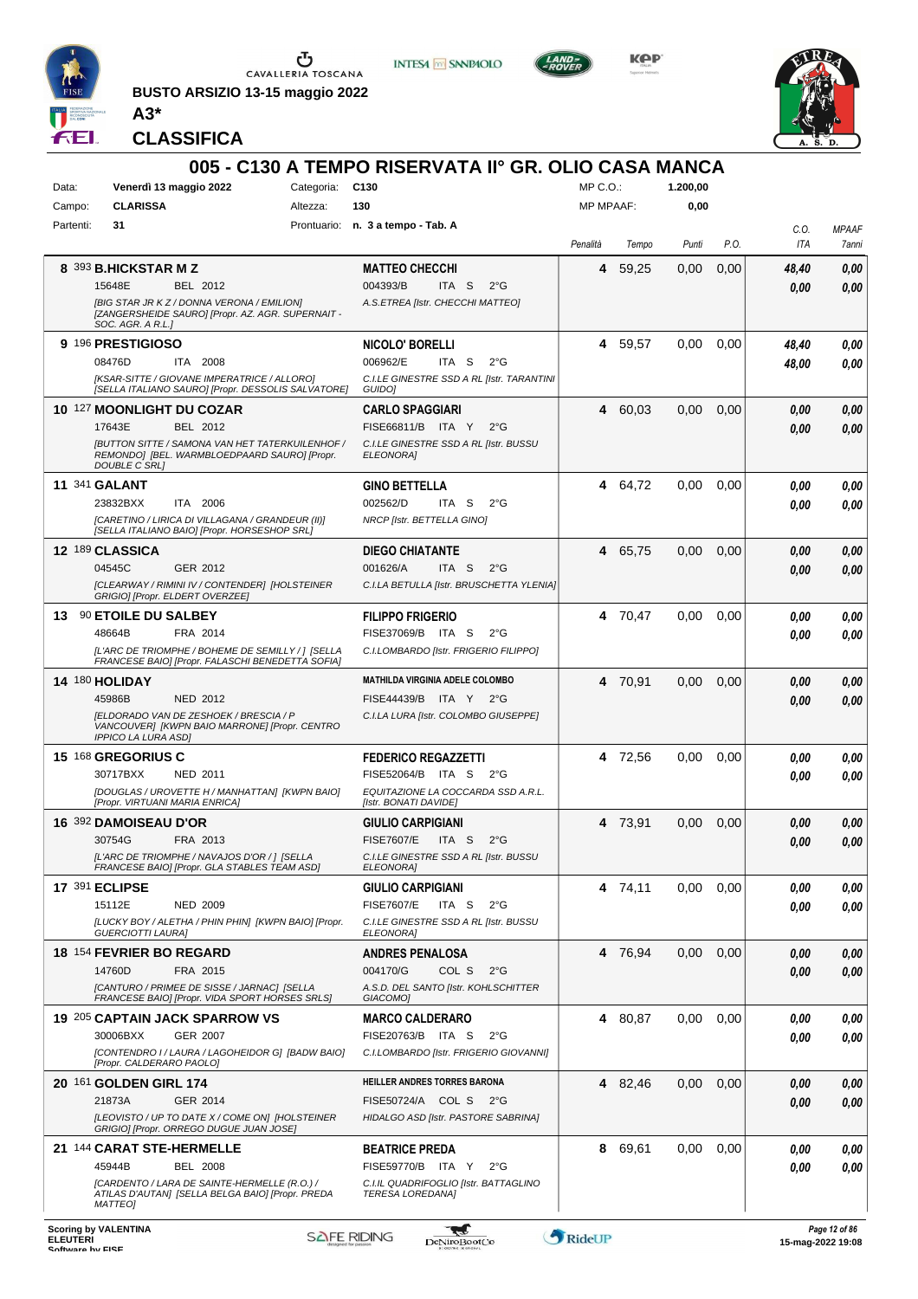

**BUSTO ARSIZIO 13-15 maggio 2022 A3\***



**Kep** 



**CLASSIFICA**

|           |                                                                                                                                |                 | 005 - C130 A TEMPO RISERVATA II° GR. OLIO CASA MANCA             |                  |         |          |      |             |                       |
|-----------|--------------------------------------------------------------------------------------------------------------------------------|-----------------|------------------------------------------------------------------|------------------|---------|----------|------|-------------|-----------------------|
| Data:     | Venerdì 13 maggio 2022                                                                                                         | Categoria: C130 |                                                                  | MP C.O.:         |         | 1.200,00 |      |             |                       |
| Campo:    | <b>CLARISSA</b>                                                                                                                | Altezza:        | 130                                                              | <b>MP MPAAF:</b> |         | 0,00     |      |             |                       |
| Partenti: | 31                                                                                                                             |                 | Prontuario: n. 3 a tempo - Tab. A                                | Penalità         | Tempo   | Punti    | P.O. | C.O.<br>ITA | <b>MPAAF</b><br>7anni |
|           | 8 393 B.HICKSTAR M Z                                                                                                           |                 | <b>MATTEO CHECCHI</b>                                            | 4                | 59,25   | 0,00     | 0,00 | 48,40       | 0,00                  |
|           | BEL 2012<br>15648E                                                                                                             |                 | 004393/B<br>ITA S<br>$2^{\circ}G$                                |                  |         |          |      | 0,00        | 0,00                  |
|           | [BIG STAR JR K Z / DONNA VERONA / EMILION]<br>[ZANGERSHEIDE SAURO] [Propr. AZ. AGR. SUPERNAIT -<br>SOC. AGR. A R.L.]           |                 | A.S.ETREA [Istr. CHECCHI MATTEO]                                 |                  |         |          |      |             |                       |
|           | 9 196 PRESTIGIOSO                                                                                                              |                 | NICOLO' BORELLI                                                  | 4                | 59,57   | 0,00     | 0,00 | 48,40       | 0,00                  |
|           | 08476D<br>ITA 2008                                                                                                             |                 | 006962/E<br>ITA S<br>$2^{\circ}$ G                               |                  |         |          |      | 48,00       | 0.00                  |
|           | [KSAR-SITTE / GIOVANE IMPERATRICE / ALLORO]<br>[SELLA ITALIANO SAURO] [Propr. DESSOLIS SALVATORE]                              |                 | C.I.LE GINESTRE SSD A RL [Istr. TARANTINI<br>GUIDO]              |                  |         |          |      |             |                       |
|           | 10 127 MOONLIGHT DU COZAR                                                                                                      |                 | <b>CARLO SPAGGIARI</b>                                           | 4                | 60,03   | 0,00     | 0,00 | 0,00        | 0,00                  |
|           | 17643E<br>BEL 2012                                                                                                             |                 | FISE66811/B ITA Y<br>$2^{\circ}$ G                               |                  |         |          |      | 0,00        | 0,00                  |
|           | <b>JBUTTON SITTE / SAMONA VAN HET TATERKUILENHOF /</b><br>REMONDO] [BEL. WARMBLOEDPAARD SAURO] [Propr.<br><b>DOUBLE C SRLI</b> |                 | C.I.LE GINESTRE SSD A RL [Istr. BUSSU<br>ELEONORA]               |                  |         |          |      |             |                       |
|           | <b>11 341 GALANT</b>                                                                                                           |                 | <b>GINO BETTELLA</b>                                             |                  | 4 64,72 | 0,00     | 0,00 | 0.00        | 0,00                  |
|           | 23832BXX<br>ITA 2006                                                                                                           |                 | 002562/D<br>ITA S<br>$2^{\circ}$ G                               |                  |         |          |      | 0.00        | 0.00                  |
|           | [CARETINO / LIRICA DI VILLAGANA / GRANDEUR (II)]<br>[SELLA ITALIANO BAIO] [Propr. HORSESHOP SRL]                               |                 | NRCP [Istr. BETTELLA GINO]                                       |                  |         |          |      |             |                       |
|           | 12 189 CLASSICA                                                                                                                |                 | <b>DIEGO CHIATANTE</b>                                           |                  | 4 65,75 | 0,00     | 0,00 | 0,00        | 0,00                  |
|           | 04545C<br>GER 2012                                                                                                             |                 | 001626/A<br>ITA S<br>$2^{\circ}G$                                |                  |         |          |      | 0,00        | 0.00                  |
|           | [CLEARWAY / RIMINI IV / CONTENDER] [HOLSTEINER<br>GRIGIO] [Propr. ELDERT OVERZEE]                                              |                 | C.I.LA BETULLA [Istr. BRUSCHETTA YLENIA]                         |                  |         |          |      |             |                       |
| 13        | <b>90 ETOILE DU SALBEY</b>                                                                                                     |                 | <b>FILIPPO FRIGERIO</b>                                          |                  | 4 70,47 | 0.00     | 0.00 | 0.00        | 0,00                  |
|           | 48664B<br>FRA 2014                                                                                                             |                 | FISE37069/B ITA S<br>$2^{\circ}G$                                |                  |         |          |      | 0.00        | 0.00                  |
|           | IL'ARC DE TRIOMPHE / BOHEME DE SEMILLY / ] [SELLA<br>FRANCESE BAIO] [Propr. FALASCHI BENEDETTA SOFIA]                          |                 | C.I.LOMBARDO [Istr. FRIGERIO FILIPPO]                            |                  |         |          |      |             |                       |
|           | 14 180 HOLIDAY                                                                                                                 |                 | <b>MATHILDA VIRGINIA ADELE COLOMBO</b>                           | 4                | 70,91   | 0,00     | 0,00 | 0.00        | 0,00                  |
|           | 45986B<br><b>NED 2012</b>                                                                                                      |                 | FISE44439/B ITA Y 2°G                                            |                  |         |          |      | 0,00        | 0,00                  |
|           | <b>[ELDORADO VAN DE ZESHOEK / BRESCIA / P</b><br>VANCOUVER] [KWPN BAIO MARRONE] [Propr. CENTRO<br><b>IPPICO LA LURA ASDI</b>   |                 | C.I.LA LURA [Istr. COLOMBO GIUSEPPE]                             |                  |         |          |      |             |                       |
|           | 15 168 GREGORIUS C                                                                                                             |                 | <b>FEDERICO REGAZZETTI</b>                                       |                  | 4 72,56 | 0,00     | 0,00 | 0.00        | 0,00                  |
|           | 30717BXX<br><b>NED 2011</b>                                                                                                    |                 | FISE52064/B ITA S<br>$2^{\circ}$ G                               |                  |         |          |      | 0.00        | 0.00                  |
|           | [DOUGLAS / UROVETTE H / MANHATTAN] [KWPN BAIO]<br>[Propr. VIRTUANI MARIA ENRICA]                                               |                 | EQUITAZIONE LA COCCARDA SSD A.R.L.<br>[Istr. BONATI DAVIDE]      |                  |         |          |      |             |                       |
|           | 16 392 DAMOISEAU D'OR                                                                                                          |                 | <b>GIULIO CARPIGIANI</b>                                         | 4                | 73,91   | 0,00     | 0,00 | 0.00        | 0,00                  |
|           | 30754G<br>FRA 2013                                                                                                             |                 | <b>FISE7607/E</b><br>$2^{\circ}$ G<br>ITA S                      |                  |         |          |      | 0,00        | 0,00                  |
|           | [L'ARC DE TRIOMPHE / NAVAJOS D'OR / ] [SELLA<br>FRANCESE BAIO] [Propr. GLA STABLES TEAM ASD]                                   |                 | C.I.LE GINESTRE SSD A RL [Istr. BUSSU<br>ELEONORA]               |                  |         |          |      |             |                       |
|           | <b>17 391 ECLIPSE</b>                                                                                                          |                 | <b>GIULIO CARPIGIANI</b>                                         |                  | 4 74,11 | 0,00     | 0,00 | 0.00        | 0,00                  |
|           | 15112E<br><b>NED 2009</b>                                                                                                      |                 | <b>FISE7607/E</b><br>ITA S<br>$2^{\circ}$ G                      |                  |         |          |      | 0.00        | 0,00                  |
|           | [LUCKY BOY / ALETHA / PHIN PHIN] [KWPN BAIO] [Propr.<br><b>GUERCIOTTI LAURA]</b>                                               |                 | C.I.LE GINESTRE SSD A RL [Istr. BUSSU<br>ELEONORA]               |                  |         |          |      |             |                       |
|           | <b>18 154 FEVRIER BO REGARD</b>                                                                                                |                 | <b>ANDRES PENALOSA</b>                                           |                  | 4 76.94 | 0,00     | 0,00 | 0,00        | 0,00                  |
|           | 14760D<br>FRA 2015                                                                                                             |                 | 004170/G<br>COL S 2°G                                            |                  |         |          |      | 0,00        | 0,00                  |
|           | [CANTURO / PRIMEE DE SISSE / JARNAC] [SELLA<br>FRANCESE BAIO] [Propr. VIDA SPORT HORSES SRLS]                                  |                 | A.S.D. DEL SANTO [Istr. KOHLSCHITTER<br>GIACOMO <sub>1</sub>     |                  |         |          |      |             |                       |
|           | 19 205 CAPTAIN JACK SPARROW VS                                                                                                 |                 | <b>MARCO CALDERARO</b>                                           |                  | 4 80,87 | 0,00     | 0,00 | 0,00        | 0,00                  |
|           | <b>GER 2007</b><br>30006BXX                                                                                                    |                 | FISE20763/B ITA S<br>$2^{\circ}G$                                |                  |         |          |      | 0.00        | 0,00                  |
|           | [CONTENDRO I / LAURA / LAGOHEIDOR G] [BADW BAIO]<br>[Propr. CALDERARO PAOLO]                                                   |                 | C.I.LOMBARDO [Istr. FRIGERIO GIOVANNI]                           |                  |         |          |      |             |                       |
|           | 20 161 GOLDEN GIRL 174                                                                                                         |                 | HEILLER ANDRES TORRES BARONA                                     |                  | 4 82,46 | 0,00     | 0,00 | 0,00        | 0,00                  |
|           | 21873A<br>GER 2014                                                                                                             |                 | FISE50724/A COL S 2°G                                            |                  |         |          |      | 0,00        | 0,00                  |
|           | [LEOVISTO / UP TO DATE X / COME ON] [HOLSTEINER<br>GRIGIO] [Propr. ORREGO DUGUE JUAN JOSE]                                     |                 | HIDALGO ASD [Istr. PASTORE SABRINA]                              |                  |         |          |      |             |                       |
|           | 21 144 CARAT STE-HERMELLE                                                                                                      |                 | <b>BEATRICE PREDA</b>                                            | 8                | 69,61   | 0,00     | 0,00 | 0,00        | 0,00                  |
|           | 45944B<br><b>BEL 2008</b>                                                                                                      |                 | FISE59770/B ITA Y<br>$2^{\circ}G$                                |                  |         |          |      | 0.00        | 0,00                  |
|           | (CARDENTO / LARA DE SAINTE-HERMELLE (R.O.) /<br>ATILAS D'AUTAN] [SELLA BELGA BAIO] [Propr. PREDA<br><b>MATTEOI</b>             |                 | C.I.IL QUADRIFOGLIO [Istr. BATTAGLINO<br><b>TERESA LOREDANA]</b> |                  |         |          |      |             |                       |
|           |                                                                                                                                |                 |                                                                  |                  |         |          |      |             |                       |

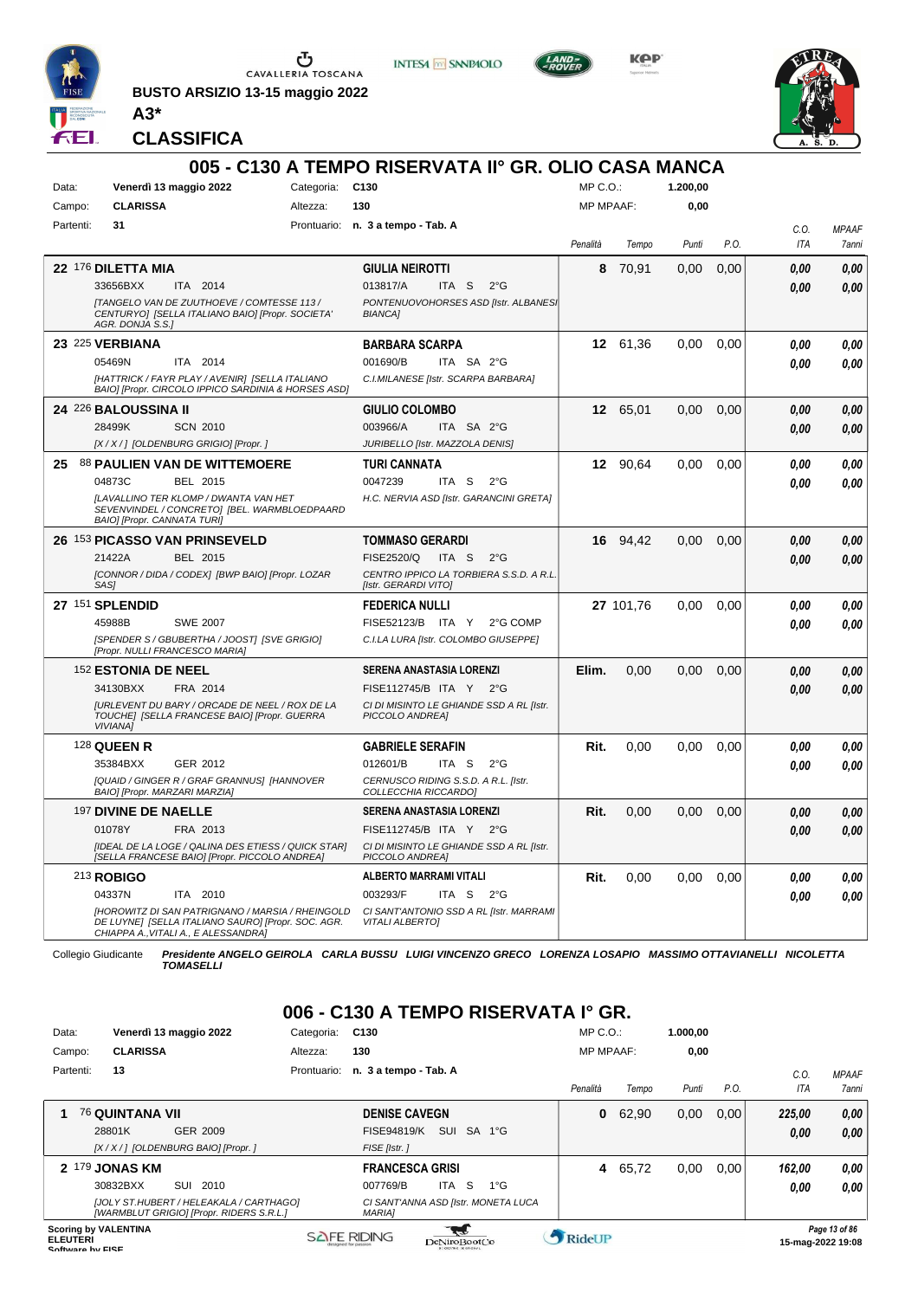

 $\sum_{\text{CAVALLERIA TOSCANA}}$ 

**BUSTO ARSIZIO 13-15 maggio 2022**



**INTESA** M SANPAOLO

**KPP** 



**CLASSIFICA**

**A3\***

|           |                                                                                                                                                       |            | 005 - C130 A TEMPO RISERVATA II° GR. OLIO CASA MANCA              |              |           |          |      |      |              |
|-----------|-------------------------------------------------------------------------------------------------------------------------------------------------------|------------|-------------------------------------------------------------------|--------------|-----------|----------|------|------|--------------|
| Data:     | Venerdì 13 maggio 2022                                                                                                                                | Categoria: | C <sub>130</sub>                                                  | $MP C. O.$ : |           | 1.200.00 |      |      |              |
| Campo:    | <b>CLARISSA</b>                                                                                                                                       | Altezza:   | 130                                                               | MP MPAAF:    |           | 0,00     |      |      |              |
| Partenti: | 31                                                                                                                                                    |            | Prontuario: n. 3 a tempo - Tab. A                                 |              |           |          |      | C.O. | <b>MPAAF</b> |
|           |                                                                                                                                                       |            |                                                                   | Penalità     | Tempo     | Punti    | P.O. | ITA  | 7anni        |
|           | 22 176 DILETTA MIA                                                                                                                                    |            | <b>GIULIA NEIROTTI</b>                                            | 8            | 70,91     | 0,00     | 0,00 | 0.00 | 0.00         |
|           | 33656BXX<br>ITA 2014                                                                                                                                  |            | 013817/A<br>ITA <sub>S</sub><br>$2^{\circ}$ G                     |              |           |          |      | 0.00 | 0.00         |
|           | [TANGELO VAN DE ZUUTHOEVE / COMTESSE 113 /<br>CENTURYOJ [SELLA ITALIANO BAIO] [Propr. SOCIETA'<br>AGR. DONJA S.S.1                                    |            | PONTENUOVOHORSES ASD [Istr. ALBANES]<br><b>BIANCA1</b>            |              |           |          |      |      |              |
|           | 23 225 VERBIANA                                                                                                                                       |            | <b>BARBARA SCARPA</b>                                             |              | 12 61,36  | 0.00     | 0.00 | 0.00 | 0.00         |
|           | 05469N<br>ITA 2014                                                                                                                                    |            | 001690/B<br>ITA SA 2°G                                            |              |           |          |      | 0.00 | 0.00         |
|           | [HATTRICK / FAYR PLAY / AVENIR] [SELLA ITALIANO<br>BAIO] [Propr. CIRCOLO IPPICO SARDINIA & HORSES ASD]                                                |            | C.I.MILANESE [Istr. SCARPA BARBARA]                               |              |           |          |      |      |              |
|           | 24 226 BALOUSSINA II                                                                                                                                  |            | <b>GIULIO COLOMBO</b>                                             |              | 12 65,01  | 0,00     | 0,00 | 0.00 | 0.00         |
|           | 28499K<br><b>SCN 2010</b>                                                                                                                             |            | 003966/A<br>ITA SA 2°G                                            |              |           |          |      | 0.00 | 0.00         |
|           | [X / X / ] [OLDENBURG GRIGIO] [Propr. ]                                                                                                               |            | JURIBELLO [Istr. MAZZOLA DENIS]                                   |              |           |          |      |      |              |
| 25.       | <b>88 PAULIEN VAN DE WITTEMOERE</b>                                                                                                                   |            | TURI CANNATA                                                      |              | 12 90,64  | 0,00     | 0,00 | 0.00 | 0,00         |
|           | 04873C<br>BEL 2015                                                                                                                                    |            | 0047239<br>ITA S<br>$2^{\circ}$ G                                 |              |           |          |      | 0.00 | 0.00         |
|           | <b>ILAVALLINO TER KLOMP / DWANTA VAN HET</b><br>SEVENVINDEL / CONCRETO] [BEL. WARMBLOEDPAARD<br>BAIO] [Propr. CANNATA TURI]                           |            | H.C. NERVIA ASD [Istr. GARANCINI GRETA]                           |              |           |          |      |      |              |
|           | 26 153 PICASSO VAN PRINSEVELD                                                                                                                         |            | <b>TOMMASO GERARDI</b>                                            |              | 16 94.42  | 0.00     | 0.00 | 0.00 | 0,00         |
|           | 21422A<br>BEL 2015                                                                                                                                    |            | <b>FISE2520/Q</b><br>ITA S<br>$2^{\circ}$ G                       |              |           |          |      | 0.00 | 0,00         |
|           | [CONNOR / DIDA / CODEX] [BWP BAIO] [Propr. LOZAR<br>SAS]                                                                                              |            | CENTRO IPPICO LA TORBIERA S.S.D. A R.L.<br>[Istr. GERARDI VITO]   |              |           |          |      |      |              |
|           | 27 <sup>151</sup> SPLENDID                                                                                                                            |            | <b>FEDERICA NULLI</b>                                             |              | 27 101.76 | 0.00     | 0.00 | 0.00 | 0.00         |
|           | 45988B<br><b>SWE 2007</b>                                                                                                                             |            | FISE52123/B ITA Y<br>2°G COMP                                     |              |           |          |      | 0.00 | 0.00         |
|           | [SPENDER S / GBUBERTHA / JOOST] [SVE GRIGIO]<br>[Propr. NULLI FRANCESCO MARIA]                                                                        |            | C.I.LA LURA [Istr. COLOMBO GIUSEPPE]                              |              |           |          |      |      |              |
|           | <sup>152</sup> ESTONIA DE NEEL                                                                                                                        |            | SERENA ANASTASIA LORENZI                                          | Elim.        | 0,00      | 0,00     | 0,00 | 0.00 | 0.00         |
|           | 34130BXX<br>FRA 2014                                                                                                                                  |            | FISE112745/B ITA Y 2°G                                            |              |           |          |      | 0.00 | 0.00         |
|           | <b>JURLEVENT DU BARY / ORCADE DE NEEL / ROX DE LA</b><br>TOUCHE] [SELLA FRANCESE BAIO] [Propr. GUERRA<br><b>VIVIANA]</b>                              |            | CI DI MISINTO LE GHIANDE SSD A RL [Istr.<br>PICCOLO ANDREA]       |              |           |          |      |      |              |
|           | <b>128 QUEEN R</b>                                                                                                                                    |            | <b>GABRIELE SERAFIN</b>                                           | Rit.         | 0.00      | 0.00     | 0.00 | 0.00 | 0.00         |
|           | 35384BXX<br>GER 2012                                                                                                                                  |            | 012601/B<br>ITA S<br>$2^{\circ}$ G                                |              |           |          |      | 0.00 | 0.00         |
|           | [QUAID / GINGER R / GRAF GRANNUS] [HANNOVER<br>BAIO] [Propr. MARZARI MARZIA]                                                                          |            | CERNUSCO RIDING S.S.D. A R.L. [Istr.<br>COLLECCHIA RICCARDO]      |              |           |          |      |      |              |
|           | 197 DIVINE DE NAELLE                                                                                                                                  |            | <b>SERENA ANASTASIA LORENZI</b>                                   | Rit.         | 0,00      | 0.00     | 0,00 | 0.00 | 0.00         |
|           | 01078Y<br>FRA 2013                                                                                                                                    |            | FISE112745/B ITA Y 2°G                                            |              |           |          |      | 0.00 | 0.00         |
|           | [IDEAL DE LA LOGE / QALINA DES ETIESS / QUICK STAR]<br>[SELLA FRANCESE BAIO] [Propr. PICCOLO ANDREA]                                                  |            | CI DI MISINTO LE GHIANDE SSD A RL [Istr.<br>PICCOLO ANDREA]       |              |           |          |      |      |              |
|           | 213 ROBIGO                                                                                                                                            |            | <b>ALBERTO MARRAMI VITALI</b>                                     | Rit.         | 0,00      | 0,00     | 0,00 | 0.00 | 0.00         |
|           | 04337N<br>ITA 2010                                                                                                                                    |            | 003293/F<br>ITA S<br>$2^{\circ}G$                                 |              |           |          |      | 0.00 | 0.00         |
|           | <b>IHOROWITZ DI SAN PATRIGNANO / MARSIA / RHEINGOLD</b><br>DE LUYNE] [SELLA ITALIANO SAURO] [Propr. SOC. AGR.<br>CHIAPPA A., VITALI A., E ALESSANDRA] |            | CI SANT'ANTONIO SSD A RL [Istr. MARRAMI<br><b>VITALI ALBERTOI</b> |              |           |          |      |      |              |

Collegio Giudicante *Presidente ANGELO GEIROLA CARLA BUSSU LUIGI VINCENZO GRECO LORENZA LOSAPIO MASSIMO OTTAVIANELLI NICOLETTA TOMASELLI*

### **006 - C130 A TEMPO RISERVATA I° GR.**

| Data:                               |                             | Venerdì 13 maggio 2022                                                              | Categoria:  | C <sub>130</sub>                                     |                                        |              | $MP C. O.$ :     |       | 1.000.00 |      |                   |               |
|-------------------------------------|-----------------------------|-------------------------------------------------------------------------------------|-------------|------------------------------------------------------|----------------------------------------|--------------|------------------|-------|----------|------|-------------------|---------------|
| Campo:                              | <b>CLARISSA</b>             |                                                                                     | Altezza:    | 130                                                  |                                        |              | <b>MP MPAAF:</b> |       | 0,00     |      |                   |               |
| Partenti:                           | 13                          |                                                                                     | Prontuario: | n. 3 a tempo - Tab. A                                |                                        |              |                  |       |          |      | C.O.              | <b>MPAAF</b>  |
|                                     |                             |                                                                                     |             |                                                      |                                        |              | Penalità         | Tempo | Punti    | P.O. | <b>ITA</b>        | 7anni         |
|                                     | <b>76 QUINTANA VII</b>      |                                                                                     |             | <b>DENISE CAVEGN</b>                                 |                                        |              | 0                | 62,90 | 0,00     | 0,00 | 225.00            | 0,00          |
|                                     | 28801K                      | GER 2009                                                                            |             | <b>FISE94819/K</b>                                   | SUI SA 1°G                             |              |                  |       |          |      | 0.00              | 0,00          |
|                                     |                             | [X / X / ] [OLDENBURG BAIO] [Propr. ]                                               |             | FISE [Istr.]                                         |                                        |              |                  |       |          |      |                   |               |
| $\boldsymbol{\mathcal{P}}$          | 179 JONAS KM                |                                                                                     |             | <b>FRANCESCA GRISI</b>                               |                                        |              | 4                | 65,72 | 0,00     | 0.00 | 162.00            | 0,00          |
|                                     | 30832BXX                    | SUI 2010                                                                            |             | 007769/B                                             | -S<br>ITA                              | $1^{\circ}G$ |                  |       |          |      | 0.00              | 0.00          |
|                                     |                             | [JOLY ST.HUBERT / HELEAKALA / CARTHAGO]<br>[WARMBLUT GRIGIO] [Propr. RIDERS S.R.L.] |             | CI SANT'ANNA ASD [Istr. MONETA LUCA<br><b>MARIAI</b> |                                        |              |                  |       |          |      |                   |               |
| <b>ELEUTERI</b><br>Coffware by EICE | <b>Scoring by VALENTINA</b> |                                                                                     |             | <b>SAFE RIDING</b>                                   | DeNiroBootCo<br><b>LONSTW. HEREBYL</b> |              | RideUP           |       |          |      | 15-mag-2022 19:08 | Page 13 of 86 |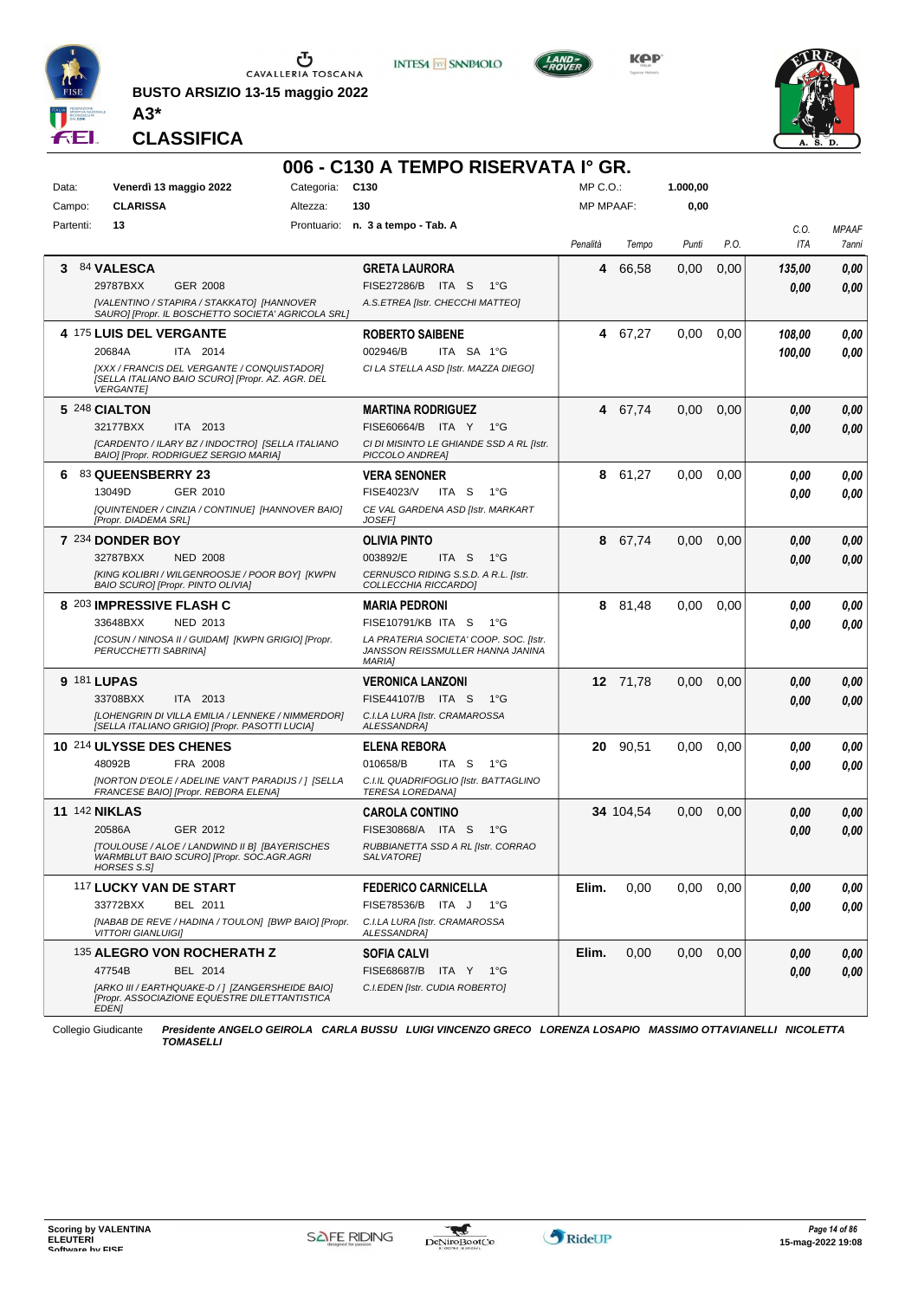

**BUSTO ARSIZIO 13-15 maggio 2022 A3\***

**CLASSIFICA**







|       |           |                           |                                                                                                     |            | 006 - C130 A TEMPO RISERVATA I° GR.                                                         |                  |           |          |      |            |              |
|-------|-----------|---------------------------|-----------------------------------------------------------------------------------------------------|------------|---------------------------------------------------------------------------------------------|------------------|-----------|----------|------|------------|--------------|
| Data: |           |                           | Venerdì 13 maggio 2022                                                                              | Categoria: | C130                                                                                        | $MP C. O.$ :     |           | 1.000.00 |      |            |              |
|       | Campo:    | <b>CLARISSA</b>           |                                                                                                     | Altezza:   | 130                                                                                         | <b>MP MPAAF:</b> |           | 0,00     |      |            |              |
|       | Partenti: | 13                        |                                                                                                     |            | Prontuario: n. 3 a tempo - Tab. A                                                           |                  |           |          |      | C.O.       | <b>MPAAF</b> |
|       |           |                           |                                                                                                     |            |                                                                                             | Penalità         | Tempo     | Punti    | P.O. | <b>ITA</b> | 7anni        |
| 3     |           | <b>84 VALESCA</b>         |                                                                                                     |            | <b>GRETA LAURORA</b>                                                                        | 4                | 66,58     | 0,00     | 0,00 | 135,00     | 0,00         |
|       |           | 29787BXX                  | GER 2008                                                                                            |            | FISE27286/B ITA S<br>1°G                                                                    |                  |           |          |      | 0.00       | 0,00         |
|       |           |                           | [VALENTINO / STAPIRA / STAKKATO] [HANNOVER<br>SAURO] [Propr. IL BOSCHETTO SOCIETA' AGRICOLA SRL]    |            | A.S.ETREA [Istr. CHECCHI MATTEO]                                                            |                  |           |          |      |            |              |
|       |           | 4 175 LUIS DEL VERGANTE   |                                                                                                     |            | <b>ROBERTO SAIBENE</b>                                                                      |                  | 4 67,27   | 0,00     | 0,00 | 108,00     | 0,00         |
|       |           | 20684A                    | ITA 2014                                                                                            |            | 002946/B<br>ITA SA 1°G                                                                      |                  |           |          |      | 100,00     | 0.00         |
|       |           | <b>VERGANTE]</b>          | [XXX / FRANCIS DEL VERGANTE / CONQUISTADOR]<br>[SELLA ITALIANO BAIO SCURO] [Propr. AZ. AGR. DEL     |            | CI LA STELLA ASD [Istr. MAZZA DIEGO]                                                        |                  |           |          |      |            |              |
|       |           | 5 248 CIALTON             |                                                                                                     |            | <b>MARTINA RODRIGUEZ</b>                                                                    |                  | 4 67,74   | 0,00     | 0,00 | 0.00       | 0,00         |
|       |           | 32177BXX                  | ITA 2013                                                                                            |            | FISE60664/B ITA Y 1°G                                                                       |                  |           |          |      | 0.00       | 0.00         |
|       |           |                           | [CARDENTO / ILARY BZ / INDOCTRO] [SELLA ITALIANO<br>BAIO] [Propr. RODRIGUEZ SERGIO MARIA]           |            | CI DI MISINTO LE GHIANDE SSD A RL [Istr.<br>PICCOLO ANDREA]                                 |                  |           |          |      |            |              |
| 6     |           | 83 QUEENSBERRY 23         |                                                                                                     |            | <b>VERA SENONER</b>                                                                         |                  | 8 61,27   | 0,00     | 0,00 | 0.00       | 0,00         |
|       |           | 13049D                    | GER 2010                                                                                            |            | <b>FISE4023/V</b><br>ITA S<br>$1^{\circ}G$                                                  |                  |           |          |      | 0.00       | 0.00         |
|       |           | [Propr. DIADEMA SRL]      | [QUINTENDER / CINZIA / CONTINUE] [HANNOVER BAIO]                                                    |            | CE VAL GARDENA ASD [Istr. MARKART<br>JOSEF1                                                 |                  |           |          |      |            |              |
|       |           | 7 234 DONDER BOY          |                                                                                                     |            | OLIVIA PINTO                                                                                | 8                | 67.74     | 0,00     | 0,00 | 0,00       | 0,00         |
|       |           | 32787BXX                  | <b>NED 2008</b>                                                                                     |            | 003892/E<br>ITA S<br>1°G                                                                    |                  |           |          |      | 0.00       | 0.00         |
|       |           |                           | [KING KOLIBRI / WILGENROOSJE / POOR BOY] [KWPN<br>BAIO SCURO] [Propr. PINTO OLIVIA]                 |            | CERNUSCO RIDING S.S.D. A R.L. [Istr.<br>COLLECCHIA RICCARDO]                                |                  |           |          |      |            |              |
|       |           |                           | 8 203 IMPRESSIVE FLASH C                                                                            |            | <b>MARIA PEDRONI</b>                                                                        |                  | 8 81,48   | 0,00     | 0,00 | 0.00       | 0,00         |
|       |           | 33648BXX                  | NED 2013                                                                                            |            | FISE10791/KB ITA S<br>1°G                                                                   |                  |           |          |      | 0.00       | 0.00         |
|       |           | PERUCCHETTI SABRINA]      | [COSUN / NINOSA II / GUIDAM] [KWPN GRIGIO] [Propr.                                                  |            | LA PRATERIA SOCIETA' COOP. SOC. [Istr.<br>JANSSON REISSMULLER HANNA JANINA<br><b>MARIAI</b> |                  |           |          |      |            |              |
|       |           | <b>9 181 LUPAS</b>        |                                                                                                     |            | <b>VERONICA LANZONI</b>                                                                     |                  | 12 71,78  | 0,00     | 0,00 | 0.00       | 0,00         |
|       |           | 33708BXX                  | ITA 2013                                                                                            |            | FISE44107/B ITA S<br>1°G                                                                    |                  |           |          |      | 0.00       | 0.00         |
|       |           |                           | [LOHENGRIN DI VILLA EMILIA / LENNEKE / NIMMERDOR]<br>[SELLA ITALIANO GRIGIO] [Propr. PASOTTI LUCIA] |            | C.I.LA LURA [Istr. CRAMAROSSA<br>ALESSANDRA]                                                |                  |           |          |      |            |              |
|       |           |                           | 10 214 ULYSSE DES CHENES                                                                            |            | <b>ELENA REBORA</b>                                                                         | 20               | 90,51     | 0,00     | 0.00 | 0.00       | 0,00         |
|       |           | 48092B                    | FRA 2008                                                                                            |            | 010658/B<br>ITA <sub>S</sub><br>$1^{\circ}G$                                                |                  |           |          |      | 0.00       | 0.00         |
|       |           |                           | [NORTON D'EOLE / ADELINE VAN'T PARADIJS / ] [SELLA<br>FRANCESE BAIO] [Propr. REBORA ELENA]          |            | C.I.IL QUADRIFOGLIO [Istr. BATTAGLINO<br><b>TERESA LOREDANA1</b>                            |                  |           |          |      |            |              |
|       |           | <b>11 142 NIKLAS</b>      |                                                                                                     |            | <b>CAROLA CONTINO</b>                                                                       |                  | 34 104,54 | 0,00     | 0,00 | 0,00       | 0,00         |
|       |           | 20586A                    | GER 2012                                                                                            |            | FISE30868/A ITA S<br>$1^{\circ}G$                                                           |                  |           |          |      | 0.00       | 0.00         |
|       |           | HORSES S.S]               | [TOULOUSE / ALOE / LANDWIND II B] [BAYERISCHES<br>WARMBLUT BAIO SCURO] [Propr. SOC.AGR.AGRI         |            | RUBBIANETTA SSD A RL [Istr. CORRAO<br>SALVATORE]                                            |                  |           |          |      |            |              |
|       |           |                           | 117 LUCKY VAN DE START                                                                              |            | <b>FEDERICO CARNICELLA</b>                                                                  | Elim.            | 0,00      | 0.00     | 0,00 | 0,00       | 0,00         |
|       |           | 33772BXX                  | BEL 2011                                                                                            |            | FISE78536/B ITA J 1°G                                                                       |                  |           |          |      | 0.00       | 0,00         |
|       |           | <b>VITTORI GIANLUIGI]</b> | [NABAB DE REVE / HADINA / TOULON] [BWP BAIO] [Propr.                                                |            | C.I.LA LURA [Istr. CRAMAROSSA<br>ALESSANDRA]                                                |                  |           |          |      |            |              |
|       |           |                           | 135 ALEGRO VON ROCHERATH Z                                                                          |            | <b>SOFIA CALVI</b>                                                                          | Elim.            | 0,00      | 0,00     | 0,00 | 0,00       | 0,00         |
|       |           | 47754B                    | BEL 2014                                                                                            |            | FISE68687/B ITA Y 1°G                                                                       |                  |           |          |      | 0.00       | 0,00         |
|       |           | <b>EDEN1</b>              | [ARKO III / EARTHQUAKE-D / ] [ZANGERSHEIDE BAIO]<br>[Propr. ASSOCIAZIONE EQUESTRE DILETTANTISTICA   |            | C.I.EDEN [Istr. CUDIA ROBERTO]                                                              |                  |           |          |      |            |              |

Collegio Giudicante *Presidente ANGELO GEIROLA CARLA BUSSU LUIGI VINCENZO GRECO LORENZA LOSAPIO MASSIMO OTTAVIANELLI NICOLETTA TOMASELLI*

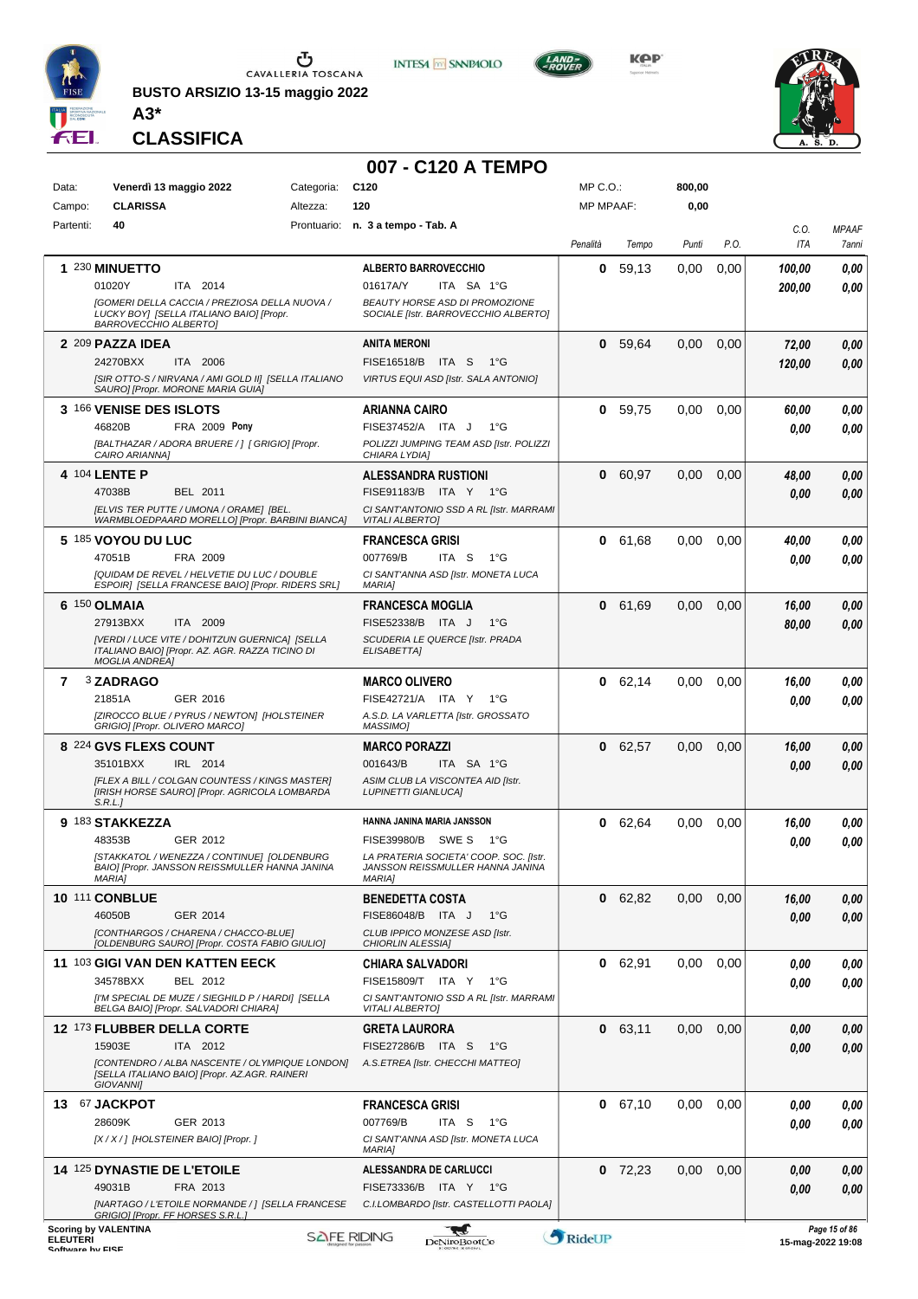

**BUSTO ARSIZIO 13-15 maggio 2022 A3\***



**KPP** 



**CLASSIFICA**

# **007 - C120 A TEMPO**<br>Categoria: C120

| Data:                               | Venerdì 13 maggio 2022                                                                                                    | Categoria: | C <sub>120</sub>                                                           | $MP C. O.$ :     |           | 800,00   |      |        |                   |
|-------------------------------------|---------------------------------------------------------------------------------------------------------------------------|------------|----------------------------------------------------------------------------|------------------|-----------|----------|------|--------|-------------------|
| Campo:                              | <b>CLARISSA</b>                                                                                                           | Altezza:   | 120                                                                        | <b>MP MPAAF:</b> |           | 0,00     |      |        |                   |
| Partenti:                           | 40                                                                                                                        |            | Prontuario: n. 3 a tempo - Tab. A                                          |                  |           |          |      | C.O.   | <b>MPAAF</b>      |
|                                     |                                                                                                                           |            |                                                                            | Penalità         | Tempo     | Punti    | P.O. | ITA    | 7anni             |
|                                     | 1 230 MINUETTO                                                                                                            |            | <b>ALBERTO BARROVECCHIO</b>                                                | 0                | 59.13     | 0,00     | 0.00 | 100,00 | 0.00              |
|                                     | 01020Y<br>ITA 2014                                                                                                        |            | 01617A/Y<br>ITA SA 1°G                                                     |                  |           |          |      | 200,00 | 0.00              |
|                                     | [GOMERI DELLA CACCIA / PREZIOSA DELLA NUOVA /<br>LUCKY BOY] [SELLA ITALIANO BAIO] [Propr.<br><b>BARROVECCHIO ALBERTO]</b> |            | BEAUTY HORSE ASD DI PROMOZIONE<br>SOCIALE [Istr. BARROVECCHIO ALBERTO]     |                  |           |          |      |        |                   |
|                                     | 2 209 PAZZA IDEA                                                                                                          |            | ANITA MERONI                                                               |                  | 0 59,64   | 0,00     | 0,00 | 72,00  | 0,00              |
|                                     | 24270BXX<br>ITA 2006                                                                                                      |            | FISE16518/B ITA S<br>1°G                                                   |                  |           |          |      | 120,00 | 0.00              |
|                                     | [SIR OTTO-S / NIRVANA / AMI GOLD II] [SELLA ITALIANO<br>SAURO] [Propr. MORONE MARIA GUIA]                                 |            | VIRTUS EQUI ASD [Istr. SALA ANTONIO]                                       |                  |           |          |      |        |                   |
|                                     | 3 166 VENISE DES ISLOTS                                                                                                   |            | ARIANNA CAIRO                                                              |                  | 0, 59, 75 | 0,00     | 0.00 | 60,00  | 0.00              |
|                                     | 46820B<br>FRA 2009 Pony                                                                                                   |            | FISE37452/A ITA J<br>1°G                                                   |                  |           |          |      | 0,00   | 0.00              |
|                                     | [BALTHAZAR / ADORA BRUERE / ] [ GRIGIO] [Propr.<br>CAIRO ARIANNA]                                                         |            | POLIZZI JUMPING TEAM ASD [Istr. POLIZZI<br>CHIARA LYDIA]                   |                  |           |          |      |        |                   |
|                                     | 4 104 LENTE P                                                                                                             |            | <b>ALESSANDRA RUSTIONI</b>                                                 | 0                | 60,97     | 0,00     | 0,00 | 48,00  | 0,00              |
|                                     | 47038B<br>BEL 2011                                                                                                        |            | FISE91183/B ITA Y 1°G                                                      |                  |           |          |      | 0,00   | 0.00              |
|                                     | <b>IELVIS TER PUTTE / UMONA / ORAMEI IBEL.</b><br>WARMBLOEDPAARD MORELLO] [Propr. BARBINI BIANCA]                         |            | CI SANT'ANTONIO SSD A RL [Istr. MARRAMI<br><b>VITALI ALBERTO]</b>          |                  |           |          |      |        |                   |
|                                     | 5 185 VOYOU DU LUC                                                                                                        |            | <b>FRANCESCA GRISI</b>                                                     |                  | 0 61,68   | 0.00     | 0.00 | 40,00  | 0.00              |
|                                     | 47051B<br>FRA 2009                                                                                                        |            | 007769/B<br>ITA S<br>1°G                                                   |                  |           |          |      | 0,00   | 0.00              |
|                                     | [QUIDAM DE REVEL / HELVETIE DU LUC / DOUBLE<br>ESPOIR] [SELLA FRANCESE BAIO] [Propr. RIDERS SRL]                          |            | CI SANT'ANNA ASD [Istr. MONETA LUCA<br><b>MARIA1</b>                       |                  |           |          |      |        |                   |
|                                     | 6 150 OLMAIA                                                                                                              |            | <b>FRANCESCA MOGLIA</b>                                                    |                  | 0 61,69   | 0,00     | 0,00 | 16,00  | 0,00              |
|                                     | 27913BXX<br>ITA 2009                                                                                                      |            | FISE52338/B ITA J<br>$1^{\circ}G$                                          |                  |           |          |      | 80,00  | 0.00              |
|                                     | [VERDI / LUCE VITE / DOHITZUN GUERNICA] [SELLA<br>ITALIANO BAIO] [Propr. AZ. AGR. RAZZA TICINO DI                         |            | SCUDERIA LE QUERCE [Istr. PRADA                                            |                  |           |          |      |        |                   |
|                                     | <b>MOGLIA ANDREA]</b>                                                                                                     |            | ELISABETTA]                                                                |                  |           |          |      |        |                   |
| 7                                   | 3 ZADRAGO                                                                                                                 |            | <b>MARCO OLIVERO</b>                                                       |                  | 0 62,14   | 0,00     | 0,00 | 16,00  | 0.00              |
|                                     | 21851A<br>GER 2016                                                                                                        |            | FISE42721/A ITA Y 1°G                                                      |                  |           |          |      | 0.00   | 0.00              |
|                                     | [ZIROCCO BLUE / PYRUS / NEWTON] [HOLSTEINER<br>GRIGIO] [Propr. OLIVERO MARCO]                                             |            | A.S.D. LA VARLETTA [Istr. GROSSATO<br>MASSIMO]                             |                  |           |          |      |        |                   |
|                                     | 8 224 GVS FLEXS COUNT                                                                                                     |            | <b>MARCO PORAZZI</b>                                                       |                  | 0 62,57   | 0,00     | 0,00 | 16,00  | 0,00              |
|                                     | 35101BXX<br>IRL 2014                                                                                                      |            | 001643/B<br>ITA SA 1°G                                                     |                  |           |          |      | 0.00   | 0.00              |
|                                     | [FLEX A BILL / COLGAN COUNTESS / KINGS MASTER]<br>[IRISH HORSE SAURO] [Propr. AGRICOLA LOMBARDA<br>S.R.L.                 |            | ASIM CLUB LA VISCONTEA AID [Istr.<br><b>LUPINETTI GIANLUCA]</b>            |                  |           |          |      |        |                   |
|                                     | 9 183 STAKKEZZA                                                                                                           |            | HANNA JANINA MARIA JANSSON                                                 |                  | 0 62,64   | 0.00     | 0.00 | 16,00  | 0.00              |
|                                     | 48353B<br>GER 2012                                                                                                        |            | FISE39980/B<br>SWE S<br>1°G                                                |                  |           |          |      | 0.00   | 0.00              |
|                                     | [STAKKATOL / WENEZZA / CONTINUE] [OLDENBURG<br>BAIO] [Propr. JANSSON REISSMULLER HANNA JANINA                             |            | LA PRATERIA SOCIETA' COOP. SOC. [Istr.<br>JANSSON REISSMULLER HANNA JANINA |                  |           |          |      |        |                   |
|                                     | <b>MARIA]</b><br><b>10 111 CONBLUE</b>                                                                                    |            | <b>MARIA]</b><br><b>BENEDETTA COSTA</b>                                    |                  | 0 62,82   | 0.00     | 0,00 | 16,00  | 0,00              |
|                                     | 46050B<br>GER 2014                                                                                                        |            | FISE86048/B ITA J<br>$1^{\circ}G$                                          |                  |           |          |      | 0.00   | 0,00              |
|                                     | [CONTHARGOS / CHARENA / CHACCO-BLUE]                                                                                      |            | CLUB IPPICO MONZESE ASD [Istr.                                             |                  |           |          |      |        |                   |
|                                     | [OLDENBURG SAURO] [Propr. COSTA FABIO GIULIO]                                                                             |            | CHIORLIN ALESSIA]                                                          |                  |           |          |      |        |                   |
|                                     | 11 103 GIGI VAN DEN KATTEN EECK<br>34578BXX<br>BEL 2012                                                                   |            | <b>CHIARA SALVADORI</b><br>FISE15809/T ITA Y<br>1°G                        |                  | 0 62,91   | $0.00\,$ | 0.00 | 0,00   | 0.00<br>0.00      |
|                                     | [I'M SPECIAL DE MUZE / SIEGHILD P / HARDI] [SELLA                                                                         |            | CI SANT'ANTONIO SSD A RL [Istr. MARRAMI                                    |                  |           |          |      | 0.00   |                   |
|                                     | BELGA BAIO] [Propr. SALVADORI CHIARA]                                                                                     |            | <b>VITALI ALBERTOI</b>                                                     |                  |           |          |      |        |                   |
|                                     | 12 173 FLUBBER DELLA CORTE                                                                                                |            | <b>GRETA LAURORA</b>                                                       |                  | 0, 63.11  | 0.00     | 0,00 | 0,00   | 0,00              |
|                                     | 15903E<br>ITA 2012<br>[CONTENDRO / ALBA NASCENTE / OLYMPIQUE LONDON]                                                      |            | FISE27286/B ITA S<br>1°G<br>A.S.ETREA [Istr. CHECCHI MATTEO]               |                  |           |          |      | 0.00   | 0.00              |
|                                     | [SELLA ITALIANO BAIO] [Propr. AZ.AGR. RAINERI<br><b>GIOVANNII</b>                                                         |            |                                                                            |                  |           |          |      |        |                   |
|                                     | 13 67 JACKPOT                                                                                                             |            | <b>FRANCESCA GRISI</b>                                                     |                  | 0 67,10   | 0.00     | 0.00 | 0,00   | 0,00              |
|                                     | 28609K<br>GER 2013                                                                                                        |            | 007769/B<br>ITA S<br>1°G                                                   |                  |           |          |      | 0.00   | 0.00              |
|                                     | [X / X / ] [HOLSTEINER BAIO] [Propr. ]                                                                                    |            | CI SANT'ANNA ASD [Istr. MONETA LUCA<br><b>MARIA]</b>                       |                  |           |          |      |        |                   |
|                                     | <b>14 125 DYNASTIE DE L'ETOILE</b>                                                                                        |            | ALESSANDRA DE CARLUCCI                                                     |                  | $0$ 72,23 | 0.00     | 0,00 | 0,00   | 0,00              |
|                                     | 49031B<br>FRA 2013                                                                                                        |            | FISE73336/B ITA Y 1°G                                                      |                  |           |          |      | 0.00   | 0,00              |
|                                     | [NARTAGO / L'ETOILE NORMANDE / ] [SELLA FRANCESE<br>GRIGIOI [Propr. FF HORSES S.R.L.]                                     |            | C.I.LOMBARDO [Istr. CASTELLOTTI PAOLA]                                     |                  |           |          |      |        |                   |
|                                     | <b>Scoring by VALENTINA</b>                                                                                               |            | <b>SAFE RIDING</b>                                                         | RideUP           |           |          |      |        | Page 15 of 86     |
| <b>ELEUTERI</b><br>Coffware by EICE |                                                                                                                           |            | DeNiroBootCo                                                               |                  |           |          |      |        | 15-mag-2022 19:08 |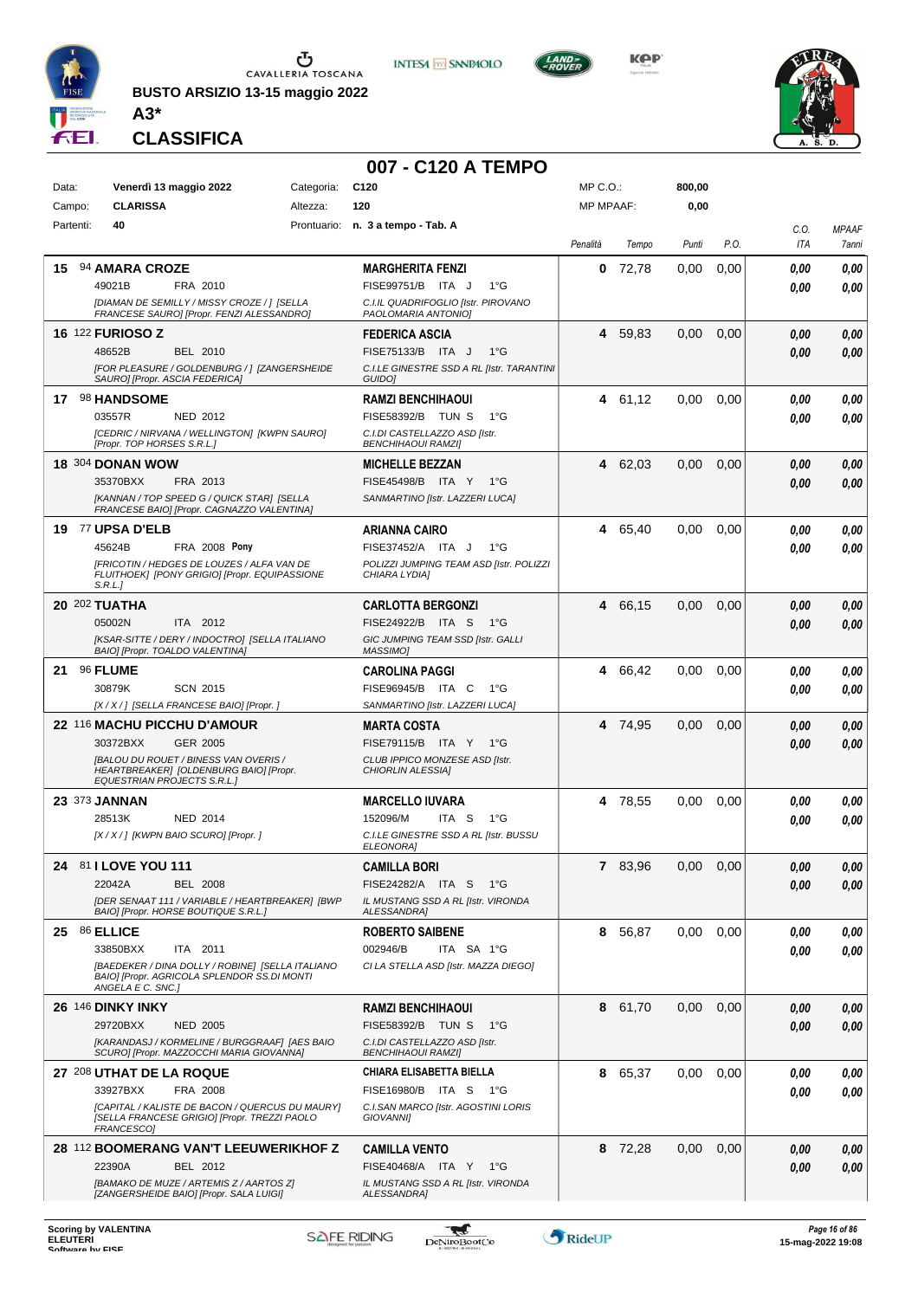

**BUSTO ARSIZIO 13-15 maggio 2022 A3\***









**CLASSIFICA**

#### **007 - C120 A TEMPO**

| Data:     | Venerdì 13 maggio 2022                                                                                               | Categoria: | C <sub>120</sub>                                                               | MP C.O.:         |         | 800,00 |      |              |              |
|-----------|----------------------------------------------------------------------------------------------------------------------|------------|--------------------------------------------------------------------------------|------------------|---------|--------|------|--------------|--------------|
| Campo:    | <b>CLARISSA</b>                                                                                                      | Altezza:   | 120                                                                            | <b>MP MPAAF:</b> |         | 0,00   |      |              |              |
| Partenti: | 40                                                                                                                   |            | Prontuario: n. 3 a tempo - Tab. A                                              |                  |         |        |      | C.O.         | <b>MPAAF</b> |
|           |                                                                                                                      |            |                                                                                | Penalità         | Tempo   | Punti  | P.O. | ITA          | 7anni        |
| 15        | 94 AMARA CROZE                                                                                                       |            | <b>MARGHERITA FENZI</b>                                                        | 0                | 72,78   | 0.00   | 0,00 | 0.00         | 0,00         |
|           | 49021B<br>FRA 2010<br>[DIAMAN DE SEMILLY / MISSY CROZE / ] [SELLA                                                    |            | FISE99751/B ITA J<br>$1^{\circ}G$<br>C.I.IL QUADRIFOGLIO [Istr. PIROVANO       |                  |         |        |      | 0.00         | 0.00         |
|           | FRANCESE SAURO] [Propr. FENZI ALESSANDRO]                                                                            |            | PAOLOMARIA ANTONIO]                                                            |                  |         |        |      |              |              |
|           | <b>16 122 FURIOSO Z</b>                                                                                              |            | <b>FEDERICA ASCIA</b>                                                          |                  | 4 59,83 | 0,00   | 0,00 | 0,00         | 0,00         |
|           | 48652B<br>BEL 2010<br>[FOR PLEASURE / GOLDENBURG / ] [ZANGERSHEIDE                                                   |            | FISE75133/B ITA J<br>$1^{\circ}G$<br>C.I.LE GINESTRE SSD A RL [Istr. TARANTINI |                  |         |        |      | 0,00         | 0,00         |
|           | SAURO] [Propr. ASCIA FEDERICA]                                                                                       |            | <b>GUIDO</b>                                                                   |                  |         |        |      |              |              |
|           | 17 98 HANDSOME                                                                                                       |            | <b>RAMZI BENCHIHAOUI</b>                                                       |                  | 4 61.12 | 0,00   | 0,00 | 0,00         | 0,00         |
|           | 03557R<br>NED 2012                                                                                                   |            | FISE58392/B TUN S<br>1°G                                                       |                  |         |        |      | 0,00         | 0,00         |
|           | [CEDRIC / NIRVANA / WELLINGTON] [KWPN SAURO]<br>[Propr. TOP HORSES S.R.L.]                                           |            | C.I.DI CASTELLAZZO ASD [Istr.<br><b>BENCHIHAOUI RAMZI]</b>                     |                  |         |        |      |              |              |
|           | <b>18 304 DONAN WOW</b>                                                                                              |            | <b>MICHELLE BEZZAN</b>                                                         |                  | 4 62,03 | 0,00   | 0,00 | 0,00         | 0,00         |
|           | FRA 2013<br>35370BXX                                                                                                 |            | FISE45498/B ITA Y<br>$1^{\circ}G$                                              |                  |         |        |      | 0.00         | 0,00         |
|           | [KANNAN / TOP SPEED G / QUICK STAR] [SELLA<br>FRANCESE BAIO] [Propr. CAGNAZZO VALENTINA]                             |            | SANMARTINO [Istr. LAZZERI LUCA]                                                |                  |         |        |      |              |              |
|           | <b>19 77 UPSA D'ELB</b>                                                                                              |            | ARIANNA CAIRO                                                                  |                  | 4 65,40 | 0,00   | 0,00 | 0,00         | 0,00         |
|           | 45624B<br><b>FRA 2008 Pony</b>                                                                                       |            | FISE37452/A ITA J<br>1°G                                                       |                  |         |        |      | 0.00         | 0.00         |
|           | IFRICOTIN / HEDGES DE LOUZES / ALFA VAN DE<br>FLUITHOEK] [PONY GRIGIO] [Propr. EQUIPASSIONE<br>S.R.L.                |            | POLIZZI JUMPING TEAM ASD [Istr. POLIZZI<br>CHIARA LYDIA]                       |                  |         |        |      |              |              |
|           | 20 202 TUATHA                                                                                                        |            | <b>CARLOTTA BERGONZI</b>                                                       | 4                | 66,15   | 0,00   | 0,00 | 0,00         | 0,00         |
|           | 05002N<br>ITA 2012                                                                                                   |            | FISE24922/B ITA S<br>1°G                                                       |                  |         |        |      | 0.00         | 0,00         |
|           | [KSAR-SITTE / DERY / INDOCTRO] [SELLA ITALIANO<br>BAIO] [Propr. TOALDO VALENTINA]                                    |            | GIC JUMPING TEAM SSD [Istr. GALLI<br>MASSIMO]                                  |                  |         |        |      |              |              |
| 21        | 96 FLUME                                                                                                             |            | <b>CAROLINA PAGGI</b>                                                          | 4                | 66,42   | 0,00   | 0,00 | 0.00         | 0,00         |
|           | 30879K<br><b>SCN 2015</b>                                                                                            |            | FISE96945/B ITA C<br>1°G                                                       |                  |         |        |      | 0.00         | 0.00         |
|           | [X / X / ] [SELLA FRANCESE BAIO] [Propr. ]                                                                           |            | SANMARTINO [Istr. LAZZERI LUCA]                                                |                  |         |        |      |              |              |
|           | 22 116 MACHU PICCHU D'AMOUR<br>30372BXX<br>GER 2005                                                                  |            | MARTA COSTA<br>FISE79115/B ITA Y<br>1°G                                        |                  | 4 74,95 | 0,00   | 0,00 | 0,00<br>0.00 | 0,00<br>0.00 |
|           | [BALOU DU ROUET / BINESS VAN OVERIS /                                                                                |            | CLUB IPPICO MONZESE ASD [Istr.                                                 |                  |         |        |      |              |              |
|           | HEARTBREAKER] [OLDENBURG BAIO] [Propr.<br><b>EQUESTRIAN PROJECTS S.R.L.]</b>                                         |            | CHIORLIN ALESSIA]                                                              |                  |         |        |      |              |              |
|           | 23 373 JANNAN                                                                                                        |            | <b>MARCELLO IUVARA</b>                                                         |                  | 4 78,55 | 0.00   | 0,00 | 0,00         | 0,00         |
|           | 28513K<br><b>NED 2014</b>                                                                                            |            | 152096/M<br>ITA S<br>1°G<br>C.I.LE GINESTRE SSD A RL [Istr. BUSSU              |                  |         |        |      | 0,00         | 0.00         |
|           | [X / X / ] [KWPN BAIO SCURO] [Propr. ]                                                                               |            | <b>ELEONORAI</b>                                                               |                  |         |        |      |              |              |
|           | 24 81 I LOVE YOU 111                                                                                                 |            | <b>CAMILLA BORI</b>                                                            |                  | 7 83,96 | 0.00   | 0.00 | 0.00         | 0,00         |
|           | 22042A<br><b>BEL 2008</b>                                                                                            |            | FISE24282/A ITA S<br>− 1°G                                                     |                  |         |        |      | 0,00         | 0,00         |
|           | [DER SENAAT 111 / VARIABLE / HEARTBREAKER] [BWP<br>BAIO] [Propr. HORSE BOUTIQUE S.R.L.]                              |            | IL MUSTANG SSD A RL [Istr. VIRONDA<br><b>ALESSANDRA]</b>                       |                  |         |        |      |              |              |
|           | 25 86 ELLICE                                                                                                         |            | <b>ROBERTO SAIBENE</b>                                                         |                  | 8 56,87 | 0,00   | 0,00 | 0,00         | 0,00         |
|           | 33850BXX<br>ITA 2011                                                                                                 |            | 002946/B<br>ITA SA 1°G                                                         |                  |         |        |      | 0.00         | 0.00         |
|           | [BAEDEKER / DINA DOLLY / ROBINE] [SELLA ITALIANO<br>BAIO] [Propr. AGRICOLA SPLENDOR SS.DI MONTI<br>ANGELA E C. SNC.] |            | CI LA STELLA ASD [Istr. MAZZA DIEGO]                                           |                  |         |        |      |              |              |
|           | <b>26 146 DINKY INKY</b>                                                                                             |            | <b>RAMZI BENCHIHAOUI</b>                                                       |                  | 8 61,70 | 0.00   | 0,00 | 0,00         | 0,00         |
|           | 29720BXX<br><b>NED 2005</b>                                                                                          |            | FISE58392/B TUN S<br>1°G                                                       |                  |         |        |      | 0,00         | 0,00         |
|           | [KARANDASJ / KORMELINE / BURGGRAAF] [AES BAIO<br>SCURO] [Propr. MAZZOCCHI MARIA GIOVANNA]                            |            | C.I.DI CASTELLAZZO ASD [Istr.<br><b>BENCHIHAOUI RAMZI</b>                      |                  |         |        |      |              |              |
|           | 27 208 UTHAT DE LA ROQUE                                                                                             |            | CHIARA ELISABETTA BIELLA                                                       | 8                | 65,37   | 0,00   | 0,00 | 0,00         | 0,00         |
|           | 33927BXX<br>FRA 2008                                                                                                 |            | FISE16980/B ITA S 1°G                                                          |                  |         |        |      | 0.00         | 0,00         |
|           | [CAPITAL / KALISTE DE BACON / QUERCUS DU MAURY]<br>[SELLA FRANCESE GRIGIO] [Propr. TREZZI PAOLO<br>FRANCESCO]        |            | C.I.SAN MARCO [Istr. AGOSTINI LORIS<br>GIOVANNI]                               |                  |         |        |      |              |              |
|           | 28 112 BOOMERANG VAN'T LEEUWERIKHOF Z                                                                                |            | <b>CAMILLA VENTO</b>                                                           |                  | 8 72,28 | 0.00   | 0,00 | 0,00         | 0,00         |
|           | 22390A<br>BEL 2012                                                                                                   |            | FISE40468/A ITA Y<br>1°G                                                       |                  |         |        |      | 0,00         | 0,00         |
|           | [BAMAKO DE MUZE / ARTEMIS Z / AARTOS Z]<br>[ZANGERSHEIDE BAIO] [Propr. SALA LUIGI]                                   |            | IL MUSTANG SSD A RL [Istr. VIRONDA<br><b>ALESSANDRA]</b>                       |                  |         |        |      |              |              |
|           |                                                                                                                      |            |                                                                                |                  |         |        |      |              |              |

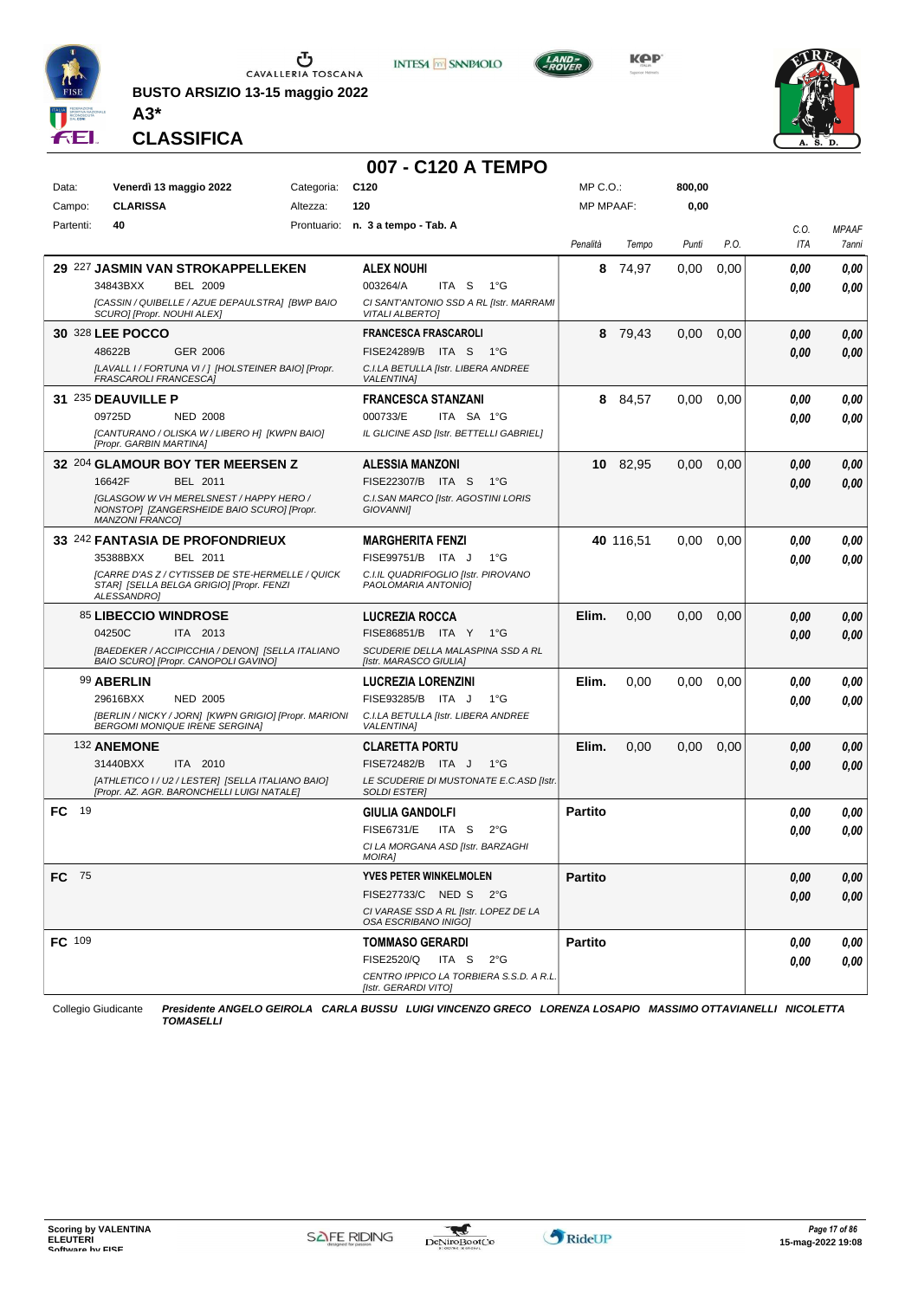

**BUSTO ARSIZIO 13-15 maggio 2022**





**KOP** 



**CLASSIFICA**

**A3\***

### **007 - C120 A TEMPO**

| Data:      | Venerdì 13 maggio 2022                                                                                                 | Categoria: | C <sub>120</sub>                                                  | MP C.O.:         |           | 800,00 |      |             |                       |
|------------|------------------------------------------------------------------------------------------------------------------------|------------|-------------------------------------------------------------------|------------------|-----------|--------|------|-------------|-----------------------|
| Campo:     | <b>CLARISSA</b>                                                                                                        | Altezza:   | 120                                                               | <b>MP MPAAF:</b> |           | 0,00   |      |             |                       |
| Partenti:  | 40                                                                                                                     |            | Prontuario: n. 3 a tempo - Tab. A                                 | Penalità         | Tempo     | Punti  | P.O. | C.O.<br>ITA | <b>MPAAF</b><br>7anni |
|            | 29 227 JASMIN VAN STROKAPPELLEKEN                                                                                      |            | <b>ALEX NOUHI</b>                                                 | 8                | 74,97     | 0.00   | 0,00 | 0.00        | 0,00                  |
|            | 34843BXX<br><b>BEL 2009</b>                                                                                            |            | 003264/A<br>ITA S<br>1°G                                          |                  |           |        |      | 0.00        | 0.00                  |
|            | [CASSIN / QUIBELLE / AZUE DEPAULSTRA] [BWP BAIO<br>SCURO] [Propr. NOUHI ALEX]                                          |            | CI SANT'ANTONIO SSD A RL [Istr. MARRAMI<br><b>VITALI ALBERTO]</b> |                  |           |        |      |             |                       |
|            | <b>30 328 LEE POCCO</b>                                                                                                |            | <b>FRANCESCA FRASCAROLI</b>                                       |                  | 8 79,43   | 0,00   | 0,00 | 0.00        | 0,00                  |
|            | 48622B<br>GER 2006                                                                                                     |            | FISE24289/B ITA S<br>1°G                                          |                  |           |        |      | 0.00        | 0.00                  |
|            | [LAVALL I / FORTUNA VI / ] [HOLSTEINER BAIO] [Propr.<br>FRASCAROLI FRANCESCA]                                          |            | C.I.LA BETULLA [Istr. LIBERA ANDREE<br><b>VALENTINA1</b>          |                  |           |        |      |             |                       |
|            | 31 235 DEAUVILLE P                                                                                                     |            | <b>FRANCESCA STANZANI</b>                                         |                  | 8 84,57   | 0,00   | 0,00 | 0.00        | 0,00                  |
|            | 09725D<br><b>NED 2008</b>                                                                                              |            | 000733/E<br>ITA SA 1°G                                            |                  |           |        |      | 0.00        | 0.00                  |
|            | [CANTURANO / OLISKA W / LIBERO H] [KWPN BAIO]<br>[Propr. GARBIN MARTINA]                                               |            | IL GLICINE ASD [Istr. BETTELLI GABRIEL]                           |                  |           |        |      |             |                       |
|            | 32 204 GLAMOUR BOY TER MEERSEN Z                                                                                       |            | <b>ALESSIA MANZONI</b>                                            |                  | 10 82,95  | 0,00   | 0,00 | 0.00        | 0,00                  |
|            | 16642F<br>BEL 2011                                                                                                     |            | FISE22307/B ITA S<br>1°G                                          |                  |           |        |      | 0.00        | 0,00                  |
|            | <b>IGLASGOW W VH MERELSNEST / HAPPY HERO /</b><br>NONSTOP1 [ZANGERSHEIDE BAIO SCURO] [Propr.<br><b>MANZONI FRANCO]</b> |            | C.I.SAN MARCO [Istr. AGOSTINI LORIS<br><b>GIOVANNII</b>           |                  |           |        |      |             |                       |
|            | 33 242 FANTASIA DE PROFONDRIEUX                                                                                        |            | <b>MARGHERITA FENZI</b>                                           |                  | 40 116,51 | 0.00   | 0,00 | 0.00        | 0,00                  |
|            | BEL 2011<br>35388BXX                                                                                                   |            | FISE99751/B ITA J<br>$1^{\circ}G$                                 |                  |           |        |      | 0.00        | 0.00                  |
|            | [CARRE D'AS Z / CYTISSEB DE STE-HERMELLE / QUICK<br>STAR] [SELLA BELGA GRIGIO] [Propr. FENZI<br>ALESSANDRO]            |            | C.I.IL QUADRIFOGLIO [Istr. PIROVANO<br>PAOLOMARIA ANTONIO]        |                  |           |        |      |             |                       |
|            | 85 LIBECCIO WINDROSE                                                                                                   |            | <b>LUCREZIA ROCCA</b>                                             | Elim.            | 0,00      | 0.00   | 0,00 | 0.00        | 0,00                  |
|            | 04250C<br>ITA 2013                                                                                                     |            | FISE86851/B ITA Y 1°G                                             |                  |           |        |      | 0.00        | 0.00                  |
|            | [BAEDEKER / ACCIPICCHIA / DENON] [SELLA ITALIANO<br>BAIO SCURO] [Propr. CANOPOLI GAVINO]                               |            | SCUDERIE DELLA MALASPINA SSD A RL<br>[Istr. MARASCO GIULIA]       |                  |           |        |      |             |                       |
|            | 99 ABERLIN                                                                                                             |            | <b>LUCREZIA LORENZINI</b>                                         | Elim.            | 0,00      | 0,00   | 0,00 | 0.00        | 0,00                  |
|            | 29616BXX<br><b>NED 2005</b>                                                                                            |            | FISE93285/B ITA J<br>$1^{\circ}G$                                 |                  |           |        |      | 0.00        | 0.00                  |
|            | [BERLIN / NICKY / JORN] [KWPN GRIGIO] [Propr. MARIONI<br><b>BERGOMI MONIQUE IRENE SERGINA]</b>                         |            | C.I.LA BETULLA [Istr. LIBERA ANDREE<br><b>VALENTINA]</b>          |                  |           |        |      |             |                       |
|            | 132 ANEMONE                                                                                                            |            | <b>CLARETTA PORTU</b>                                             | Elim.            | 0,00      | 0,00   | 0,00 | 0,00        | 0,00                  |
|            | 31440BXX<br>ITA 2010                                                                                                   |            | FISE72482/B ITA J<br>$1^{\circ}G$                                 |                  |           |        |      | 0.00        | 0,00                  |
|            | [ATHLETICO I / U2 / LESTER] [SELLA ITALIANO BAIO]<br>[Propr. AZ. AGR. BARONCHELLI LUIGI NATALE]                        |            | LE SCUDERIE DI MUSTONATE E.C.ASD [Istr.<br><b>SOLDI ESTERI</b>    |                  |           |        |      |             |                       |
| -19<br>FC  |                                                                                                                        |            | <b>GIULIA GANDOLFI</b>                                            | <b>Partito</b>   |           |        |      | 0,00        | 0,00                  |
|            |                                                                                                                        |            | <b>FISE6731/E</b><br>ITA S<br>$2^{\circ}$ G                       |                  |           |        |      | 0.00        | 0.00                  |
|            |                                                                                                                        |            | CI LA MORGANA ASD [Istr. BARZAGHI<br><b>MOIRA]</b>                |                  |           |        |      |             |                       |
| FC<br>- 75 |                                                                                                                        |            | <b>YVES PETER WINKELMOLEN</b>                                     | <b>Partito</b>   |           |        |      | 0,00        | 0,00                  |
|            |                                                                                                                        |            | FISE27733/C NED S<br>$2^{\circ}G$                                 |                  |           |        |      | 0.00        | 0,00                  |
|            |                                                                                                                        |            | CI VARASE SSD A RL [Istr. LOPEZ DE LA<br>OSA ESCRIBANO INIGO]     |                  |           |        |      |             |                       |
| FC 109     |                                                                                                                        |            | <b>TOMMASO GERARDI</b>                                            | <b>Partito</b>   |           |        |      | 0,00        | 0,00                  |
|            |                                                                                                                        |            | FISE2520/Q<br>ITA S<br>$2^{\circ}$ G                              |                  |           |        |      | 0.00        | 0,00                  |
|            |                                                                                                                        |            | CENTRO IPPICO LA TORBIERA S.S.D. A R.L.<br>[Istr. GERARDI VITO]   |                  |           |        |      |             |                       |
|            |                                                                                                                        |            |                                                                   |                  |           |        |      |             |                       |

Collegio Giudicante *Presidente ANGELO GEIROLA CARLA BUSSU LUIGI VINCENZO GRECO LORENZA LOSAPIO MASSIMO OTTAVIANELLI NICOLETTA TOMASELLI*

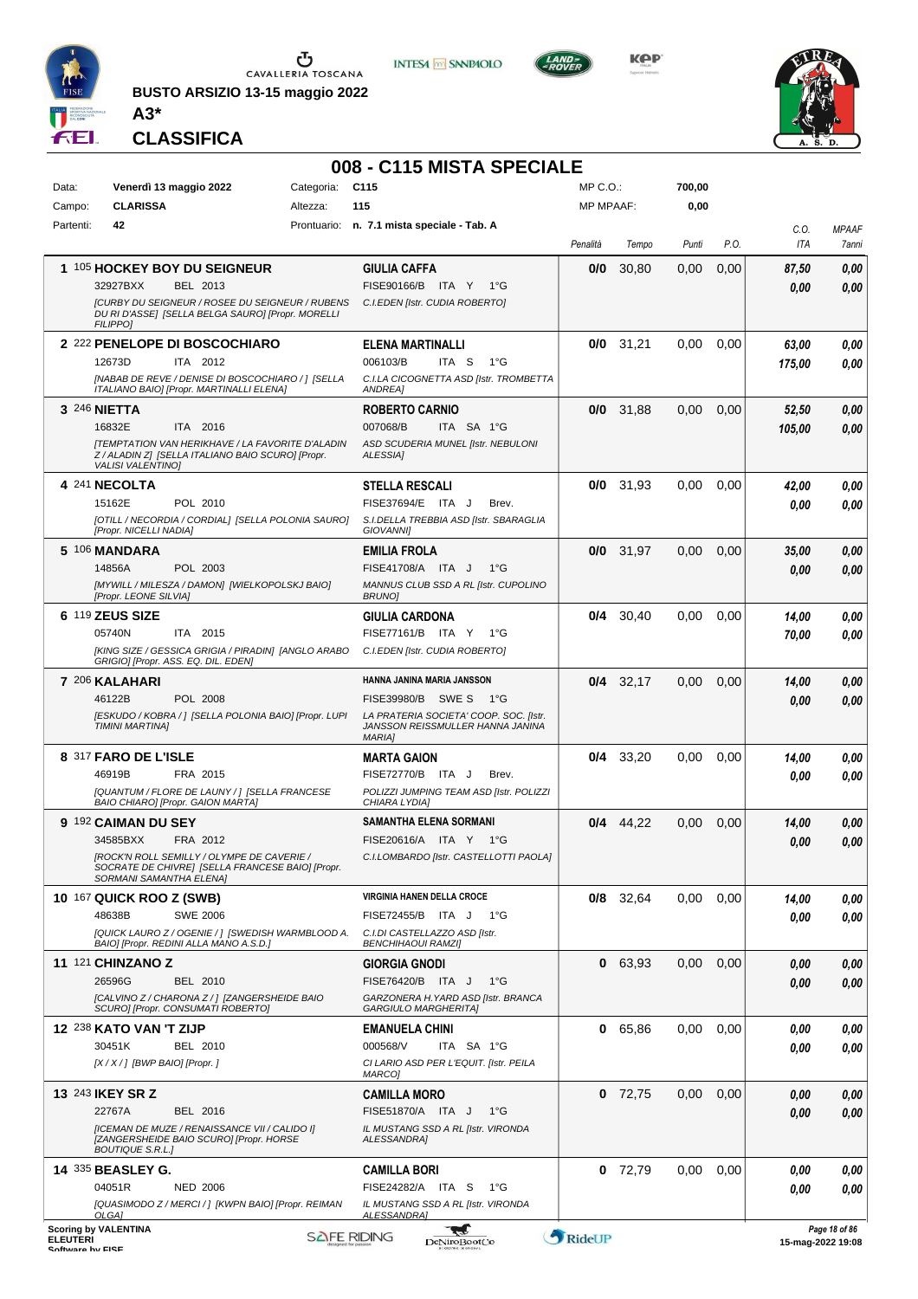

**BUSTO ARSIZIO 13-15 maggio 2022 A3\***









**CLASSIFICA**

#### **008 - C115 MISTA SPECIALE**

| Data:           |                                 | Venerdì 13 maggio 2022                                                                      | Categoria: | C <sub>115</sub>                                                           | MP C.O.:         |             | 700,00            |      |              |                         |
|-----------------|---------------------------------|---------------------------------------------------------------------------------------------|------------|----------------------------------------------------------------------------|------------------|-------------|-------------------|------|--------------|-------------------------|
| Campo:          | <b>CLARISSA</b>                 |                                                                                             | Altezza:   | 115                                                                        | <b>MP MPAAF:</b> |             | 0,00              |      |              |                         |
| Partenti:       | 42                              |                                                                                             |            | Prontuario: n. 7.1 mista speciale - Tab. A                                 |                  |             |                   |      | C.O.         | <b>MPAAF</b>            |
|                 |                                 |                                                                                             |            |                                                                            | Penalità         | Tempo       | Punti             | P.O. | <b>ITA</b>   | 7anni                   |
|                 |                                 | 1 105 HOCKEY BOY DU SEIGNEUR                                                                |            | <b>GIULIA CAFFA</b>                                                        | 0/0              | 30,80       | 0,00              | 0,00 | 87,50        | 0,00                    |
|                 | 32927BXX                        | BEL 2013                                                                                    |            | FISE90166/B ITA Y 1°G                                                      |                  |             |                   |      | 0.00         | 0,00                    |
|                 |                                 | [CURBY DU SEIGNEUR / ROSEE DU SEIGNEUR / RUBENS                                             |            | C.I.EDEN [Istr. CUDIA ROBERTO]                                             |                  |             |                   |      |              |                         |
|                 | <b>FILIPPO1</b>                 | DU RI D'ASSE] [SELLA BELGA SAURO] [Propr. MORELLI                                           |            |                                                                            |                  |             |                   |      |              |                         |
|                 |                                 | 2 222 PENELOPE DI BOSCOCHIARO                                                               |            | <b>ELENA MARTINALLI</b>                                                    |                  | $0/0$ 31,21 | 0.00              | 0,00 | 63,00        | 0,00                    |
|                 | 12673D                          | ITA 2012                                                                                    |            | 006103/B<br>ITA S<br>1°G                                                   |                  |             |                   |      | 175,00       | 0.00                    |
|                 |                                 | [NABAB DE REVE / DENISE DI BOSCOCHIARO / 1 [SELLA                                           |            | C.I.LA CICOGNETTA ASD [Istr. TROMBETTA<br><b>ANDREAI</b>                   |                  |             |                   |      |              |                         |
|                 |                                 | ITALIANO BAIO] [Propr. MARTINALLI ELENA]                                                    |            |                                                                            |                  |             |                   |      |              |                         |
|                 | 3 246 <b>NIETTA</b><br>16832E   | ITA 2016                                                                                    |            | <b>ROBERTO CARNIO</b><br>007068/B<br>ITA SA 1°G                            | 0/0              | 31,88       | 0,00              | 0,00 | 52,50        | 0,00                    |
|                 |                                 | <b>[TEMPTATION VAN HERIKHAVE / LA FAVORITE D'ALADIN</b>                                     |            | ASD SCUDERIA MUNEL [Istr. NEBULONI                                         |                  |             |                   |      | 105,00       | 0,00                    |
|                 | <b>VALISI VALENTINO)</b>        | Z / ALADIN Z] [SELLA ITALIANO BAIO SCURO] [Propr.                                           |            | <b>ALESSIA1</b>                                                            |                  |             |                   |      |              |                         |
|                 |                                 |                                                                                             |            |                                                                            |                  |             |                   |      |              |                         |
|                 | 4 241 NECOLTA<br>15162E         | POL 2010                                                                                    |            | <b>STELLA RESCALI</b><br>FISE37694/E ITA J<br>Brev.                        |                  | $0/0$ 31,93 | 0.00              | 0.00 | 42,00        | 0,00                    |
|                 |                                 | [OTILL / NECORDIA / CORDIAL] [SELLA POLONIA SAURO]                                          |            | S.I.DELLA TREBBIA ASD [Istr. SBARAGLIA                                     |                  |             |                   |      | 0.00         | 0.00                    |
|                 | [Propr. NICELLI NADIA]          |                                                                                             |            | <b>GIOVANNII</b>                                                           |                  |             |                   |      |              |                         |
|                 | 5 106 MANDARA                   |                                                                                             |            | <b>EMILIA FROLA</b>                                                        | 0/0              | 31,97       | 0,00              | 0,00 | 35,00        | 0,00                    |
|                 | 14856A                          | POL 2003                                                                                    |            | FISE41708/A ITA J<br>$1^{\circ}G$                                          |                  |             |                   |      | 0,00         | 0,00                    |
|                 | [Propr. LEONE SILVIA]           | [MYWILL / MILESZA / DAMON] [WIELKOPOLSKJ BAIO]                                              |            | MANNUS CLUB SSD A RL [Istr. CUPOLINO<br><b>BRUNO</b>                       |                  |             |                   |      |              |                         |
|                 | 6 119 ZEUS SIZE                 |                                                                                             |            | <b>GIULIA CARDONA</b>                                                      | 0/4              | 30,40       | 0,00              | 0,00 | 14,00        | 0,00                    |
|                 | 05740N                          | ITA 2015                                                                                    |            | FISE77161/B ITA Y<br>1°G                                                   |                  |             |                   |      | 70,00        | 0.00                    |
|                 |                                 | [KING SIZE / GESSICA GRIGIA / PIRADIN] [ANGLO ARABO                                         |            | C.I.EDEN [Istr. CUDIA ROBERTO]                                             |                  |             |                   |      |              |                         |
|                 |                                 | GRIGIO] [Propr. ASS. EQ. DIL. EDEN]                                                         |            |                                                                            |                  |             |                   |      |              |                         |
|                 | 7 206 KALAHARI                  |                                                                                             |            | HANNA JANINA MARIA JANSSON                                                 |                  | $0/4$ 32,17 | 0,00              | 0,00 | 14,00        | 0,00                    |
|                 | 46122B                          | POL 2008                                                                                    |            | FISE39980/B<br>SWE S<br>1°G                                                |                  |             |                   |      | 0,00         | 0,00                    |
|                 | TIMINI MARTINA]                 | [ESKUDO / KOBRA / ] [SELLA POLONIA BAIO] [Propr. LUPI                                       |            | LA PRATERIA SOCIETA' COOP. SOC. [Istr.<br>JANSSON REISSMULLER HANNA JANINA |                  |             |                   |      |              |                         |
|                 |                                 |                                                                                             |            | <b>MARIA1</b>                                                              |                  |             |                   |      |              |                         |
|                 | 8 317 FARO DE L'ISLE            |                                                                                             |            | <b>MARTA GAION</b>                                                         |                  | $0/4$ 33,20 | 0,00              | 0,00 | 14.00        | 0,00                    |
|                 | 46919B                          | FRA 2015                                                                                    |            | FISE72770/B ITA J<br>Brev.                                                 |                  |             |                   |      | 0.00         | 0.00                    |
|                 |                                 | [QUANTUM / FLORE DE LAUNY / ] [SELLA FRANCESE<br>BAIO CHIARO] [Propr. GAION MARTA]          |            | POLIZZI JUMPING TEAM ASD IIstr. POLIZZI<br>CHIARA LYDIA]                   |                  |             |                   |      |              |                         |
|                 | 9 <sup>192</sup> CAIMAN DU SEY  |                                                                                             |            | <b>SAMANTHA ELENA SORMANI</b>                                              |                  | $0/4$ 44,22 | 0,00              | 0,00 | 14,00        | 0,00                    |
|                 | 34585BXX                        | FRA 2012                                                                                    |            | FISE20616/A ITA Y 1°G                                                      |                  |             |                   |      | 0.00         | 0.00                    |
|                 |                                 | <b>IROCK'N ROLL SEMILLY / OLYMPE DE CAVERIE /</b>                                           |            | C.I.LOMBARDO [Istr. CASTELLOTTI PAOLA]                                     |                  |             |                   |      |              |                         |
|                 | SORMANI SAMANTHA ELENA]         | SOCRATE DE CHIVREJ [SELLA FRANCESE BAIO] [Propr.                                            |            |                                                                            |                  |             |                   |      |              |                         |
|                 | 10 167 QUICK ROO Z (SWB)        |                                                                                             |            | VIRGINIA HANEN DELLA CROCE                                                 |                  | 0/8 32.64   | 0,00              | 0,00 | 14.00        | 0,00                    |
|                 | 48638B                          | <b>SWE 2006</b>                                                                             |            | FISE72455/B ITA J<br>1°G                                                   |                  |             |                   |      | 0.00         | 0.00                    |
|                 |                                 | [QUICK LAURO Z / OGENIE / ] [SWEDISH WARMBLOOD A.<br>BAIO] [Propr. REDINI ALLA MANO A.S.D.] |            | C.I.DI CASTELLAZZO ASD [Istr.<br><b>BENCHIHAOUI RAMZI]</b>                 |                  |             |                   |      |              |                         |
|                 | 11 121 CHINZANO Z               |                                                                                             |            | <b>GIORGIA GNODI</b>                                                       |                  | 0 63,93     | 0,00              | 0,00 |              |                         |
|                 | 26596G                          | <b>BEL 2010</b>                                                                             |            | FISE76420/B ITA J<br>1°G                                                   |                  |             |                   |      | 0,00<br>0.00 | 0,00<br>0,00            |
|                 |                                 | [CALVINO Z / CHARONA Z / ] [ZANGERSHEIDE BAIO                                               |            | GARZONERA H. YARD ASD [Istr. BRANCA                                        |                  |             |                   |      |              |                         |
|                 |                                 | SCURO] [Propr. CONSUMATI ROBERTO]                                                           |            | <b>GARGIULO MARGHERITAI</b>                                                |                  |             |                   |      |              |                         |
|                 | 12 238 KATO VAN 'T ZIJP         |                                                                                             |            | <b>EMANUELA CHINI</b>                                                      |                  | 0 65,86     | 0.00              | 0,00 | 0,00         | 0,00                    |
|                 | 30451K                          | <b>BEL 2010</b>                                                                             |            | 000568/V<br>ITA SA 1°G                                                     |                  |             |                   |      | 0.00         | 0.00                    |
|                 | [X / X / ] [BWP BAIO] [Propr. ] |                                                                                             |            | CI LARIO ASD PER L'EQUIT. [Istr. PEILA<br>MARCO]                           |                  |             |                   |      |              |                         |
|                 | 13 243 IKEY SR Z                |                                                                                             |            | <b>CAMILLA MORO</b>                                                        |                  | $0$ 72,75   | 0.00              | 0,00 | 0,00         | 0,00                    |
|                 | 22767A                          | BEL 2016                                                                                    |            | FISE51870/A ITA J<br>1°G                                                   |                  |             |                   |      | 0.00         | 0,00                    |
|                 |                                 | [ICEMAN DE MUZE / RENAISSANCE VII / CALIDO I]                                               |            | IL MUSTANG SSD A RL [Istr. VIRONDA                                         |                  |             |                   |      |              |                         |
|                 | <b>BOUTIQUE S.R.L.]</b>         | [ZANGERSHEIDE BAIO SCURO] [Propr. HORSE                                                     |            | ALESSANDRA]                                                                |                  |             |                   |      |              |                         |
|                 | 14 335 BEASLEY G.               |                                                                                             |            | <b>CAMILLA BORI</b>                                                        |                  | $0$ 72,79   | 0.00 <sub>1</sub> | 0.00 | 0,00         | 0,00                    |
|                 | 04051R                          | <b>NED 2006</b>                                                                             |            | FISE24282/A ITA S<br>1°G                                                   |                  |             |                   |      | 0.00         | 0.00                    |
|                 | OLGA1                           | [QUASIMODO Z / MERCI / ] [KWPN BAIO] [Propr. REIMAN                                         |            | IL MUSTANG SSD A RL [Istr. VIRONDA<br>ALESSANDRA]                          |                  |             |                   |      |              |                         |
|                 | <b>Scoring by VALENTINA</b>     |                                                                                             |            |                                                                            |                  |             |                   |      |              | Page 18 of 86           |
| <b>ELEUTERI</b> |                                 |                                                                                             |            | <b>SAFE RIDING</b><br>DeNiroBoot('o                                        | RideUP           |             |                   |      |              | $15 - ma - 202219 - 08$ |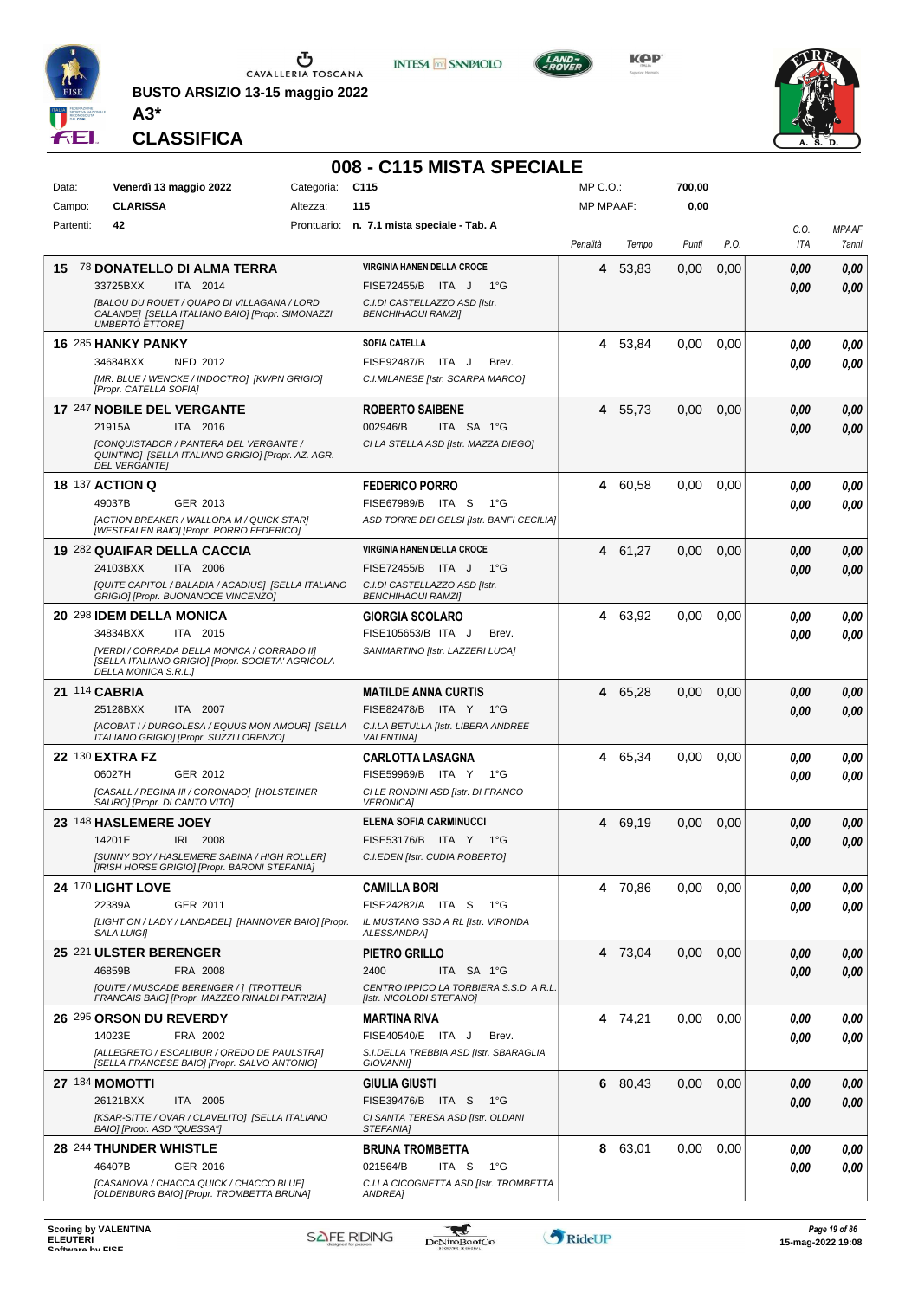

**BUSTO ARSIZIO 13-15 maggio 2022 A3\***

**CLASSIFICA**



**INTESA M** SANPAOLO

**KPP** 



|               |                                                                                            |            | 008 - C115 MISTA SPECIALE                                                 |                  |         |        |      |             |                       |
|---------------|--------------------------------------------------------------------------------------------|------------|---------------------------------------------------------------------------|------------------|---------|--------|------|-------------|-----------------------|
| Data:         | Venerdì 13 maggio 2022                                                                     | Categoria: | C115                                                                      | MP C.O.:         |         | 700,00 |      |             |                       |
| Campo:        | <b>CLARISSA</b>                                                                            | Altezza:   | 115                                                                       | <b>MP MPAAF:</b> |         | 0,00   |      |             |                       |
| Partenti:     | 42                                                                                         |            | Prontuario: n. 7.1 mista speciale - Tab. A                                | Penalità         | Tempo   | Punti  | P.O. | C.O.<br>ITA | <b>MPAAF</b><br>7anni |
| 15            | <b>78 DONATELLO DI ALMA TERRA</b>                                                          |            | <b>VIRGINIA HANEN DELLA CROCE</b>                                         | 4                | 53,83   | 0.00   | 0,00 | 0.00        | 0,00                  |
|               | 33725BXX<br>ITA 2014<br><b>[BALOU DU ROUET / QUAPO DI VILLAGANA / LORD</b>                 |            | FISE72455/B ITA J<br>1°G<br>C.I.DI CASTELLAZZO ASD [Istr.                 |                  |         |        |      | 0.00        | 0.00                  |
|               | CALANDE] [SELLA ITALIANO BAIO] [Propr. SIMONAZZI<br><b>UMBERTO ETTORE]</b>                 |            | <b>BENCHIHAOUI RAMZI]</b>                                                 |                  |         |        |      |             |                       |
|               | 16 285 HANKY PANKY                                                                         |            | SOFIA CATELLA                                                             | 4                | 53,84   | 0.00   | 0.00 | 0.00        | 0,00                  |
|               | NED 2012<br>34684BXX<br>[MR. BLUE / WENCKE / INDOCTRO] [KWPN GRIGIO]                       |            | <b>FISE92487/B</b><br>ITA J<br>Brev.<br>C.I.MILANESE [Istr. SCARPA MARCO] |                  |         |        |      | 0.00        | 0.00                  |
|               | [Propr. CATELLA SOFIA]                                                                     |            |                                                                           |                  |         |        |      |             |                       |
|               | 17 247 NOBILE DEL VERGANTE                                                                 |            | <b>ROBERTO SAIBENE</b>                                                    |                  | 4 55,73 | 0,00   | 0,00 | 0,00        | 0,00                  |
|               | 21915A<br>ITA 2016<br><b>[CONQUISTADOR / PANTERA DEL VERGANTE /</b>                        |            | 002946/B<br>ITA SA 1°G<br>CI LA STELLA ASD [Istr. MAZZA DIEGO]            |                  |         |        |      | 0.00        | 0.00                  |
|               | QUINTINO] [SELLA ITALIANO GRIGIO] [Propr. AZ. AGR.<br><b>DEL VERGANTE]</b>                 |            |                                                                           |                  |         |        |      |             |                       |
|               | <b>18 137 ACTION Q</b>                                                                     |            | <b>FEDERICO PORRO</b>                                                     |                  | 4 60,58 | 0.00   | 0,00 | 0,00        | 0,00                  |
|               | GER 2013<br>49037B<br>[ACTION BREAKER / WALLORA M / QUICK STAR]                            |            | FISE67989/B ITA S<br>1°G<br>ASD TORRE DEI GELSI [Istr. BANFI CECILIA]     |                  |         |        |      | 0.00        | 0.00                  |
|               | [WESTFALEN BAIO] [Propr. PORRO FEDERICO]                                                   |            |                                                                           |                  |         |        |      |             |                       |
|               | 19 282 QUAIFAR DELLA CACCIA                                                                |            | <b>VIRGINIA HANEN DELLA CROCE</b>                                         |                  | 4 61.27 | 0,00   | 0,00 | 0,00        | 0,00                  |
|               | 24103BXX<br>ITA 2006<br>[QUITE CAPITOL / BALADIA / ACADIUS] [SELLA ITALIANO                |            | FISE72455/B ITA J<br>1°G<br>C.I.DI CASTELLAZZO ASD [Istr.                 |                  |         |        |      | 0.00        | 0.00                  |
|               | GRIGIO] [Propr. BUONANOCE VINCENZO]                                                        |            | <b>BENCHIHAOUI RAMZI]</b>                                                 |                  |         |        |      |             |                       |
|               | 20 298 IDEM DELLA MONICA                                                                   |            | <b>GIORGIA SCOLARO</b>                                                    |                  | 4 63,92 | 0.00   | 0,00 | 0.00        | 0,00                  |
|               | 34834BXX<br>ITA 2015<br>[VERDI / CORRADA DELLA MONICA / CORRADO II]                        |            | FISE105653/B ITA J<br>Brev.<br>SANMARTINO [Istr. LAZZERI LUCA]            |                  |         |        |      | 0,00        | 0.00                  |
|               | [SELLA ITALIANO GRIGIO] [Propr. SOCIETA' AGRICOLA<br>DELLA MONICA S.R.L.]                  |            |                                                                           |                  |         |        |      |             |                       |
| 21 114 CABRIA |                                                                                            |            | <b>MATILDE ANNA CURTIS</b>                                                |                  | 4 65,28 | 0,00   | 0,00 | 0,00        | 0,00                  |
|               | 25128BXX<br>ITA 2007                                                                       |            | FISE82478/B ITA Y 1°G<br>C.I.LA BETULLA [Istr. LIBERA ANDREE              |                  |         |        |      | 0.00        | 0.00                  |
|               | [ACOBAT I / DURGOLESA / EQUUS MON AMOUR] [SELLA<br>ITALIANO GRIGIO] [Propr. SUZZI LORENZO] |            | <b>VALENTINA1</b>                                                         |                  |         |        |      |             |                       |
|               | 22 130 EXTRA FZ<br>06027H<br>GER 2012                                                      |            | <b>CARLOTTA LASAGNA</b><br>FISE59969/B ITA Y<br>1°G                       | 4                | 65,34   | 0,00   | 0,00 | 0.00        | 0,00                  |
|               | [CASALL / REGINA III / CORONADO] [HOLSTEINER                                               |            | CI LE RONDINI ASD [Istr. DI FRANCO                                        |                  |         |        |      | 0.00        | 0.00                  |
|               | SAURO] [Propr. DI CANTO VITO]                                                              |            | <b>VERONICA1</b>                                                          |                  |         |        |      |             |                       |
|               | 23 148 HASLEMERE JOEY<br>14201E<br>IRL 2008                                                |            | <b>ELENA SOFIA CARMINUCCI</b><br>FISE53176/B ITA Y<br>1°G                 | 4                | 69,19   | 0,00   | 0,00 | 0.00        | 0,00                  |
|               | [SUNNY BOY / HASLEMERE SABINA / HIGH ROLLER]                                               |            | C.I.EDEN [Istr. CUDIA ROBERTO]                                            |                  |         |        |      | 0,00        | 0.00                  |
|               | [IRISH HORSE GRIGIO] [Propr. BARONI STEFANIA]                                              |            |                                                                           |                  |         |        |      |             |                       |
|               | 24 170 LIGHT LOVE<br>22389A<br>GER 2011                                                    |            | CAMILLA BORI<br>FISE24282/A ITA S<br>1°G                                  |                  | 4 70,86 | 0,00   | 0.00 | 0,00        | 0,00                  |
|               | [LIGHT ON / LADY / LANDADEL] [HANNOVER BAIO] [Propr.                                       |            | IL MUSTANG SSD A RL [Istr. VIRONDA                                        |                  |         |        |      | 0.00        | 0,00                  |
|               | SALA LUIGI]                                                                                |            | ALESSANDRA]                                                               |                  |         |        |      |             |                       |
|               | 25 221 ULSTER BERENGER<br>46859B<br><b>FRA 2008</b>                                        |            | <b>PIETRO GRILLO</b><br>2400<br>ITA SA 1°G                                |                  | 4 73,04 | 0,00   | 0,00 | 0,00        | 0,00                  |
|               | [QUITE / MUSCADE BERENGER / ] [TROTTEUR                                                    |            | CENTRO IPPICO LA TORBIERA S.S.D. A R.L.                                   |                  |         |        |      | 0.00        | 0,00                  |
|               | FRANCAIS BAIO] [Propr. MAZZEO RINALDI PATRIZIA]                                            |            | [Istr. NICOLODI STEFANO]                                                  |                  |         |        |      |             |                       |
|               | 26 295 ORSON DU REVERDY<br>14023E<br>FRA 2002                                              |            | MARTINA RIVA<br>FISE40540/E ITA J<br>Brev.                                |                  | 4 74,21 | 0.00   | 0,00 | 0.00        | 0,00                  |
|               | [ALLEGRETO / ESCALIBUR / QREDO DE PAULSTRA]                                                |            | S.I.DELLA TREBBIA ASD [Istr. SBARAGLIA                                    |                  |         |        |      | 0.00        | 0.00                  |
|               | [SELLA FRANCESE BAIO] [Propr. SALVO ANTONIO]                                               |            | GIOVANNI]                                                                 |                  |         |        |      |             |                       |
|               | 27 184 MOMOTTI<br>26121BXX<br>ITA 2005                                                     |            | GIULIA GIUSTI<br>FISE39476/B ITA S 1°G                                    |                  | 6 80,43 | 0,00   | 0,00 | 0.00        | 0,00                  |
|               | [KSAR-SITTE / OVAR / CLAVELITO] [SELLA ITALIANO                                            |            | CI SANTA TERESA ASD [Istr. OLDANI                                         |                  |         |        |      | 0.00        | 0,00                  |
|               | BAIO] [Propr. ASD "QUESSA"]                                                                |            | STEFANIA]                                                                 |                  |         |        |      |             |                       |
|               | 28 244 THUNDER WHISTLE<br>46407B                                                           |            | <b>BRUNA TROMBETTA</b><br>021564/B<br>ITA <sub>S</sub><br>1°G             | 8                | 63,01   | 0,00   | 0,00 | 0.00        | 0,00                  |
|               | GER 2016<br>[CASANOVA / CHACCA QUICK / CHACCO BLUE]                                        |            | C.I.LA CICOGNETTA ASD [Istr. TROMBETTA                                    |                  |         |        |      | 0.00        | 0,00                  |
|               | [OLDENBURG BAIO] [Propr. TROMBETTA BRUNA]                                                  |            | ANDREA]                                                                   |                  |         |        |      |             |                       |

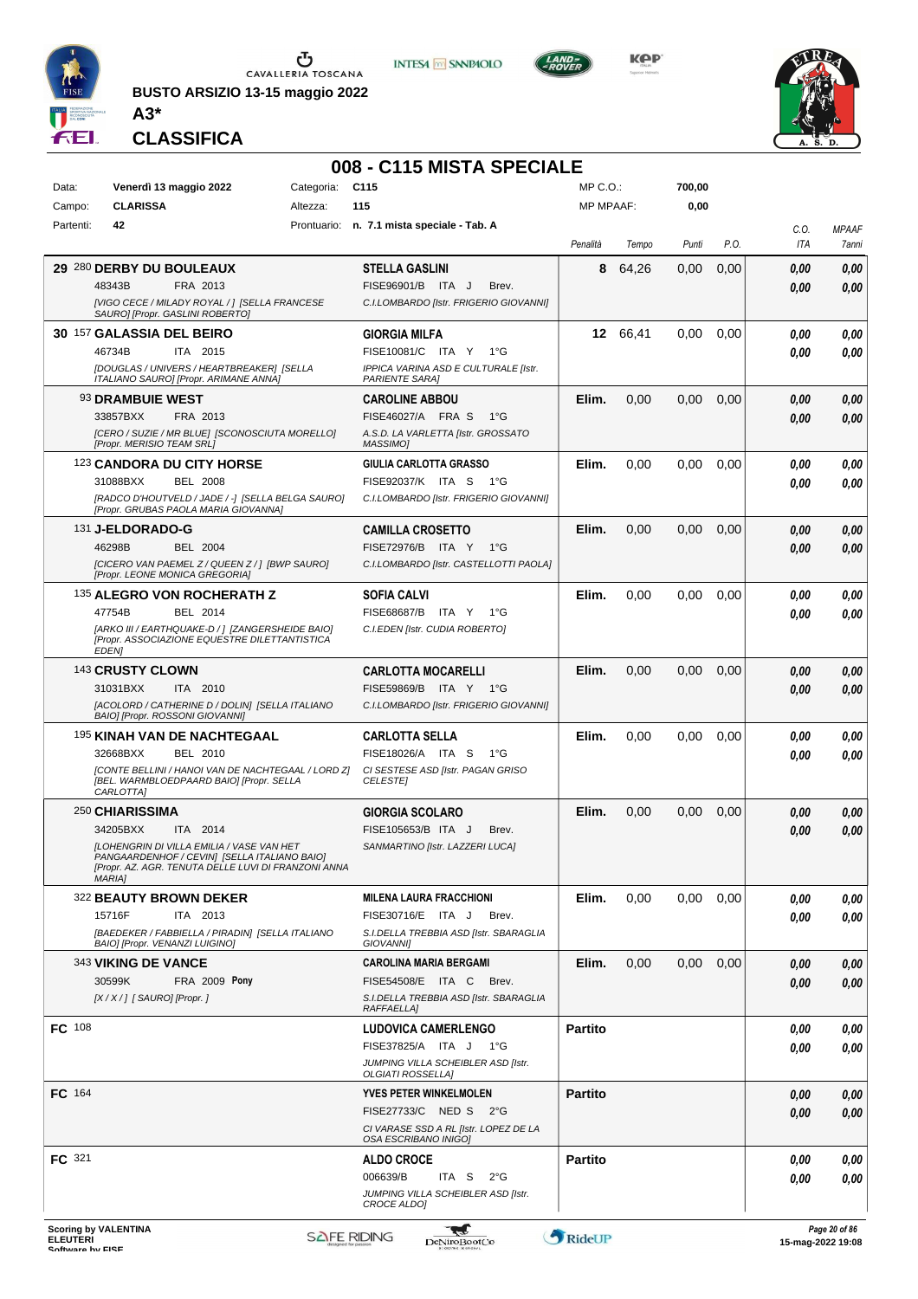

**BUSTO ARSIZIO 13-15 maggio 2022 A3\***



**Kep** 



**CLASSIFICA**

#### **008 - C115 MISTA SPECIALE**

**INTESA M** SANPAOLO

| Data:<br>Campo: | Venerdì 13 maggio 2022<br><b>CLARISSA</b>                                                                                                                                                                    | Categoria:<br>Altezza: | C <sub>115</sub><br>115                                                                                                    | MP C.O.:<br><b>MP MPAAF:</b> |          | 700,00<br>0,00 |      |              |                |
|-----------------|--------------------------------------------------------------------------------------------------------------------------------------------------------------------------------------------------------------|------------------------|----------------------------------------------------------------------------------------------------------------------------|------------------------------|----------|----------------|------|--------------|----------------|
| Partenti:       | 42                                                                                                                                                                                                           |                        | Prontuario: n. 7.1 mista speciale - Tab. A                                                                                 | Penalità                     | Tempo    | Punti          | P.O. | C.O.<br>ITA  | MPAAF<br>7anni |
|                 | 29 280 DERBY DU BOULEAUX<br>48343B<br>FRA 2013<br>[VIGO CECE / MILADY ROYAL / ] [SELLA FRANCESE<br>SAURO] [Propr. GASLINI ROBERTO]                                                                           |                        | <b>STELLA GASLINI</b><br>FISE96901/B ITA J<br>Brev.<br>C.I.LOMBARDO [Istr. FRIGERIO GIOVANNI]                              | 8                            | 64,26    | 0,00           | 0,00 | 0,00<br>0,00 | 0,00<br>0.00   |
|                 | 30 157 GALASSIA DEL BEIRO<br>46734B<br>ITA 2015<br>[DOUGLAS / UNIVERS / HEARTBREAKER] [SELLA<br>ITALIANO SAURO] [Propr. ARIMANE ANNA]                                                                        |                        | <b>GIORGIA MILFA</b><br>FISE10081/C ITA Y 1°G<br>IPPICA VARINA ASD E CULTURALE [Istr.<br><b>PARIENTE SARAI</b>             |                              | 12 66,41 | 0,00           | 0,00 | 0.00<br>0.00 | 0,00<br>0.00   |
|                 | 93 DRAMBUIE WEST<br>33857BXX<br>FRA 2013<br>[CERO / SUZIE / MR BLUE] [SCONOSCIUTA MORELLO]<br>[Propr. MERISIO TEAM SRL]                                                                                      |                        | <b>CAROLINE ABBOU</b><br>FISE46027/A FRA S<br>1°G<br>A.S.D. LA VARLETTA [Istr. GROSSATO<br>MASSIMO]                        | Elim.                        | 0,00     | 0,00           | 0,00 | 0,00<br>0.00 | 0,00<br>0.00   |
|                 | 123 CANDORA DU CITY HORSE<br>31088BXX<br><b>BEL 2008</b><br>[RADCO D'HOUTVELD / JADE / -] [SELLA BELGA SAURO]<br>[Propr. GRUBAS PAOLA MARIA GIOVANNA]                                                        |                        | GIULIA CARLOTTA GRASSO<br><b>FISE92037/K ITA S</b><br>− 1°G<br>C.I.LOMBARDO [Istr. FRIGERIO GIOVANNI]                      | Elim.                        | 0,00     | 0.00           | 0,00 | 0.00<br>0.00 | 0,00<br>0.00   |
|                 | 131 J-ELDORADO-G<br>46298B<br><b>BEL 2004</b><br>[CICERO VAN PAEMEL Z / QUEEN Z / 1 [BWP SAURO]<br>[Propr. LEONE MONICA GREGORIA]                                                                            |                        | <b>CAMILLA CROSETTO</b><br>FISE72976/B ITA Y<br>1°G<br>C.I.LOMBARDO [Istr. CASTELLOTTI PAOLA]                              | Elim.                        | 0,00     | 0,00           | 0,00 | 0,00<br>0.00 | 0.00<br>0.00   |
|                 | 135 ALEGRO VON ROCHERATH Z<br>47754B<br>BEL 2014<br>[ARKO III / EARTHQUAKE-D / ] [ZANGERSHEIDE BAIO]<br>[Propr. ASSOCIAZIONE EQUESTRE DILETTANTISTICA<br><b>EDEN1</b>                                        |                        | <b>SOFIA CALVI</b><br>FISE68687/B ITA Y 1°G<br>C.I.EDEN [Istr. CUDIA ROBERTO]                                              | Elim.                        | 0,00     | 0.00           | 0,00 | 0.00<br>0.00 | 0.00<br>0.00   |
|                 | 143 CRUSTY CLOWN<br>31031BXX<br>ITA 2010<br>[ACOLORD / CATHERINE D / DOLIN] [SELLA ITALIANO<br>BAIO] [Propr. ROSSONI GIOVANNI]                                                                               |                        | <b>CARLOTTA MOCARELLI</b><br>FISE59869/B ITA Y 1°G<br>C.I.LOMBARDO [Istr. FRIGERIO GIOVANNI]                               | Elim.                        | 0,00     | 0,00           | 0,00 | 0,00<br>0,00 | 0,00<br>0.00   |
|                 | 195 KINAH VAN DE NACHTEGAAL<br>32668BXX<br>BEL 2010<br>[CONTE BELLINI / HANOI VAN DE NACHTEGAAL / LORD Z]<br>[BEL. WARMBLOEDPAARD BAIO] [Propr. SELLA<br>CARLOTTA]                                           |                        | <b>CARLOTTA SELLA</b><br>FISE18026/A ITA S<br>1°G<br>CI SESTESE ASD [Istr. PAGAN GRISO<br><b>CELESTEI</b>                  | Elim.                        | 0,00     | 0.00           | 0.00 | 0,00<br>0.00 | 0,00<br>0.00   |
|                 | 250 CHIARISSIMA<br>34205BXX<br>ITA 2014<br><b>[LOHENGRIN DI VILLA EMILIA / VASE VAN HET</b><br>PANGAARDENHOF / CEVIN] [SELLA ITALIANO BAIO]<br>[Propr. AZ. AGR. TENUTA DELLE LUVI DI FRANZONI ANNA<br>MARIA] |                        | <b>GIORGIA SCOLARO</b><br>FISE105653/B ITA J<br>Brev.<br>SANMARTINO [Istr. LAZZERI LUCA]                                   | Elim.                        | 0,00     | 0,00           | 0,00 | 0,00<br>0.00 | 0,00<br>0.00   |
|                 | 322 BEAUTY BROWN DEKER<br>15716F<br>ITA 2013<br>[BAEDEKER / FABBIELLA / PIRADIN] [SELLA ITALIANO<br>BAIO] [Propr. VENANZI LUIGINO]                                                                           |                        | <b>MILENA LAURA FRACCHIONI</b><br>FISE30716/E ITA J<br>Brev.<br>S.I.DELLA TREBBIA ASD [Istr. SBARAGLIA<br><b>GIOVANNII</b> | Elim.                        | 0,00     | 0.00           | 0,00 | 0.00<br>0.00 | 0,00<br>0.00   |
|                 | 343 VIKING DE VANCE<br>30599K<br><b>FRA 2009 Pony</b><br>[X / X / ] [ SAURO] [Propr. ]                                                                                                                       |                        | <b>CAROLINA MARIA BERGAMI</b><br><b>FISE54508/E ITA C</b><br>Brev.<br>S.I.DELLA TREBBIA ASD [Istr. SBARAGLIA<br>RAFFAELLA] | Elim.                        | 0,00     | $0.00\,$       | 0,00 | 0,00<br>0,00 | 0,00<br>0,00   |
| FC 108          |                                                                                                                                                                                                              |                        | <b>LUDOVICA CAMERLENGO</b><br>FISE37825/A ITA J 1°G<br>JUMPING VILLA SCHEIBLER ASD [Istr.<br>OLGIATI ROSSELLA]             | <b>Partito</b>               |          |                |      | 0.00<br>0.00 | 0,00<br>0.00   |
| <b>FC</b> 164   |                                                                                                                                                                                                              |                        | <b>YVES PETER WINKELMOLEN</b><br>FISE27733/C NED S 2°G<br>CI VARASE SSD A RL [Istr. LOPEZ DE LA<br>OSA ESCRIBANO INIGO]    | <b>Partito</b>               |          |                |      | 0.00<br>0,00 | 0,00<br>0,00   |
| <b>FC</b> 321   |                                                                                                                                                                                                              |                        | <b>ALDO CROCE</b><br>006639/B<br>ITA S $2^{\circ}G$<br>JUMPING VILLA SCHEIBLER ASD [Istr.<br>CROCE ALDO]                   | <b>Partito</b>               |          |                |      | 0.00<br>0.00 | 0,00<br>0,00   |

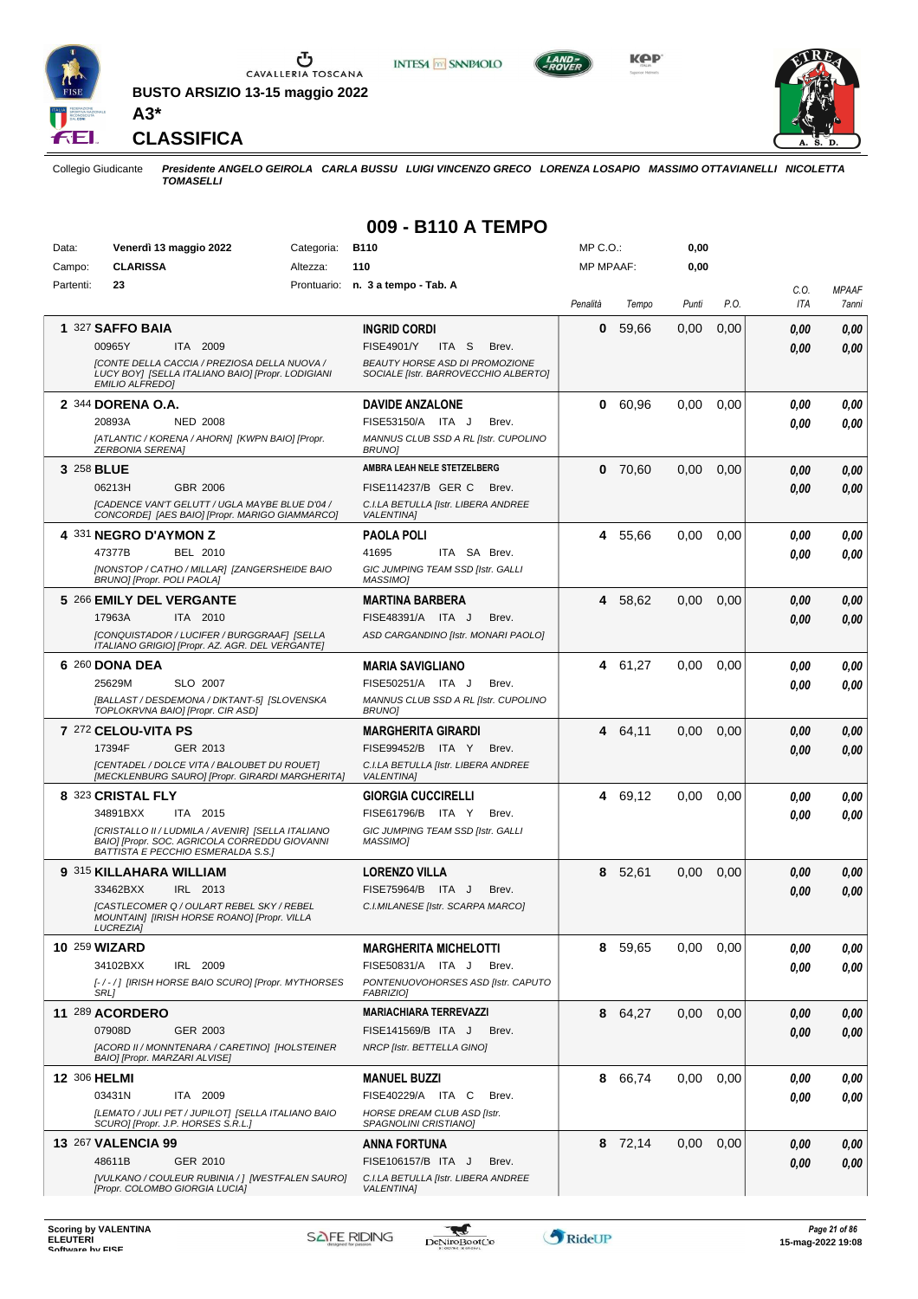

**BUSTO ARSIZIO 13-15 maggio 2022 A3\***





**KOP** 



**CLASSIFICA**

Collegio Giudicante *Presidente ANGELO GEIROLA CARLA BUSSU LUIGI VINCENZO GRECO LORENZA LOSAPIO MASSIMO OTTAVIANELLI NICOLETTA TOMASELLI*

**009 - B110 A TEMPO**

| Data:     | Venerdì 13 maggio 2022                                                                                                                          | Categoria: | B110                                                                          | MP C.O.:         |         | 0,00  |      |                    |                       |
|-----------|-------------------------------------------------------------------------------------------------------------------------------------------------|------------|-------------------------------------------------------------------------------|------------------|---------|-------|------|--------------------|-----------------------|
| Campo:    | <b>CLARISSA</b>                                                                                                                                 | Altezza:   | 110                                                                           | <b>MP MPAAF:</b> |         | 0,00  |      |                    |                       |
| Partenti: | 23                                                                                                                                              |            | Prontuario: n. 3 a tempo - Tab. A                                             | Penalità         | Tempo   | Punti | P.O. | C.O.<br><b>ITA</b> | <b>MPAAF</b><br>7anni |
|           | 1 327 SAFFO BAIA                                                                                                                                |            | <b>INGRID CORDI</b>                                                           | 0                | 59,66   | 0,00  | 0,00 | 0.00               | 0,00                  |
|           | 00965Y<br>ITA 2009                                                                                                                              |            | <b>FISE4901/Y</b><br>ITA S<br>Brev.                                           |                  |         |       |      | 0.00               | 0,00                  |
|           | <b>[CONTE DELLA CACCIA / PREZIOSA DELLA NUOVA /</b><br>LUCY BOY] [SELLA ITALIANO BAIO] [Propr. LODIGIANI<br><b>EMILIO ALFREDO]</b>              |            | <b>BEAUTY HORSE ASD DI PROMOZIONE</b><br>SOCIALE [Istr. BARROVECCHIO ALBERTO] |                  |         |       |      |                    |                       |
|           | 2 344 DORENA O.A.                                                                                                                               |            | <b>DAVIDE ANZALONE</b>                                                        | 0                | 60.96   | 0.00  | 0,00 | 0.00               | 0,00                  |
|           | 20893A<br><b>NED 2008</b>                                                                                                                       |            | FISE53150/A ITA J<br>Brev.                                                    |                  |         |       |      | 0.00               | 0.00                  |
|           | [ATLANTIC / KORENA / AHORN] [KWPN BAIO] [Propr.<br><b>ZERBONIA SERENAI</b>                                                                      |            | MANNUS CLUB SSD A RL [Istr. CUPOLINO<br><b>BRUNO1</b>                         |                  |         |       |      |                    |                       |
|           | 3 258 BLUE                                                                                                                                      |            | AMBRA LEAH NELE STETZELBERG                                                   | 0                | 70,60   | 0,00  | 0,00 | 0.00               | 0,00                  |
|           | 06213H<br>GBR 2006                                                                                                                              |            | FISE114237/B GER C<br>Brev.                                                   |                  |         |       |      | 0.00               | 0.00                  |
|           | <b>[CADENCE VAN'T GELUTT / UGLA MAYBE BLUE D'04 /</b><br>CONCORDE] [AES BAIO] [Propr. MARIGO GIAMMARCO]                                         |            | C.I.LA BETULLA [Istr. LIBERA ANDREE<br><b>VALENTINAI</b>                      |                  |         |       |      |                    |                       |
|           | 4 331 NEGRO D'AYMON Z                                                                                                                           |            | <b>PAOLA POLI</b>                                                             |                  | 4 55,66 | 0,00  | 0,00 | 0.00               | 0,00                  |
|           | 47377B<br><b>BEL 2010</b>                                                                                                                       |            | 41695<br>ITA SA Brev.                                                         |                  |         |       |      | 0.00               | 0.00                  |
|           | [NONSTOP / CATHO / MILLAR] [ZANGERSHEIDE BAIO<br>BRUNO] [Propr. POLI PAOLA]                                                                     |            | GIC JUMPING TEAM SSD [Istr. GALLI<br>MASSIMO]                                 |                  |         |       |      |                    |                       |
|           | 5 266 EMILY DEL VERGANTE                                                                                                                        |            | <b>MARTINA BARBERA</b>                                                        |                  | 4 58,62 | 0,00  | 0,00 | 0.00               | 0,00                  |
|           | 17963A<br>ITA 2010                                                                                                                              |            | FISE48391/A ITA J<br>Brev.                                                    |                  |         |       |      | 0.00               | 0.00                  |
|           | [CONQUISTADOR / LUCIFER / BURGGRAAF] [SELLA<br>ITALIANO GRIGIO] [Propr. AZ. AGR. DEL VERGANTE]                                                  |            | ASD CARGANDINO [Istr. MONARI PAOLO]                                           |                  |         |       |      |                    |                       |
|           | 6 260 DONA DEA                                                                                                                                  |            | <b>MARIA SAVIGLIANO</b>                                                       |                  | 4 61,27 | 0.00  | 0,00 | 0.00               | 0,00                  |
|           | 25629M<br>SLO 2007                                                                                                                              |            | FISE50251/A ITA J<br>Brev.                                                    |                  |         |       |      | 0.00               | 0.00                  |
|           | [BALLAST / DESDEMONA / DIKTANT-5] [SLOVENSKA<br>TOPLOKRVNA BAIO] [Propr. CIR ASD]                                                               |            | MANNUS CLUB SSD A RL [Istr. CUPOLINO<br><b>BRUNOI</b>                         |                  |         |       |      |                    |                       |
|           | 7 272 CELOU-VITA PS                                                                                                                             |            | <b>MARGHERITA GIRARDI</b>                                                     |                  | 4 64,11 | 0,00  | 0,00 | 0.00               | 0,00                  |
|           | 17394F<br>GER 2013                                                                                                                              |            | FISE99452/B<br>ITA Y<br>Brev.                                                 |                  |         |       |      | 0.00               | 0.00                  |
|           | [CENTADEL / DOLCE VITA / BALOUBET DU ROUET]<br>[MECKLENBURG SAURO] [Propr. GIRARDI MARGHERITA]                                                  |            | C.I.LA BETULLA [Istr. LIBERA ANDREE<br><b>VALENTINAI</b>                      |                  |         |       |      |                    |                       |
|           | 8 323 CRISTAL FLY                                                                                                                               |            | <b>GIORGIA CUCCIRELLI</b>                                                     |                  | 4 69,12 | 0.00  | 0,00 | 0.00               | 0,00                  |
|           | 34891BXX<br>ITA 2015                                                                                                                            |            | FISE61796/B ITA Y<br>Brev.                                                    |                  |         |       |      | 0.00               | 0.00                  |
|           | [CRISTALLO II / LUDMILA / AVENIR] [SELLA ITALIANO<br>BAIO] [Propr. SOC. AGRICOLA CORREDDU GIOVANNI<br><b>BATTISTA E PECCHIO ESMERALDA S.S.1</b> |            | GIC JUMPING TEAM SSD [Istr. GALLI<br><b>MASSIMOI</b>                          |                  |         |       |      |                    |                       |
|           | 9 315 KILLAHARA WILLIAM                                                                                                                         |            | <b>LORENZO VILLA</b>                                                          | 8                | 52,61   | 0,00  | 0,00 | 0,00               | 0,00                  |
|           | 33462BXX<br>IRL 2013                                                                                                                            |            | FISE75964/B ITA J<br>Brev.                                                    |                  |         |       |      | 0,00               | 0,00                  |
|           | [CASTLECOMER Q / OULART REBEL SKY / REBEL                                                                                                       |            | C.I.MILANESE [Istr. SCARPA MARCO]                                             |                  |         |       |      |                    |                       |
|           | MOUNTAINJ [IRISH HORSE ROANO] [Propr. VILLA<br>LUCREZIA]                                                                                        |            |                                                                               |                  |         |       |      |                    |                       |
|           | <b>10 259 WIZARD</b>                                                                                                                            |            | <b>MARGHERITA MICHELOTTI</b>                                                  |                  | 8 59,65 | 0.00  | 0,00 | 0,00               | 0,00                  |
|           | 34102BXX<br>IRL 2009                                                                                                                            |            | FISE50831/A ITA J<br>Brev.                                                    |                  |         |       |      | 0,00               | 0.00                  |
|           | [-/-/] [IRISH HORSE BAIO SCURO] [Propr. MYTHORSES<br>SRL]                                                                                       |            | PONTENUOVOHORSES ASD [Istr. CAPUTO<br><b>FABRIZIO]</b>                        |                  |         |       |      |                    |                       |
|           | 11 289 ACORDERO                                                                                                                                 |            | <b>MARIACHIARA TERREVAZZI</b>                                                 |                  | 8 64,27 | 0,00  | 0,00 | 0,00               | 0,00                  |
|           | 07908D<br>GER 2003                                                                                                                              |            | FISE141569/B ITA J<br>Brev.                                                   |                  |         |       |      | 0,00               | 0,00                  |
|           | [ACORD II / MONNTENARA / CARETINO] [HOLSTEINER<br>BAIO] [Propr. MARZARI ALVISE]                                                                 |            | NRCP [Istr. BETTELLA GINO]                                                    |                  |         |       |      |                    |                       |
|           | 12 306 HELMI                                                                                                                                    |            | <b>MANUEL BUZZI</b>                                                           |                  | 8 66.74 | 0,00  | 0,00 | 0,00               | 0,00                  |
|           | 03431N<br>ITA 2009                                                                                                                              |            | FISE40229/A ITA C<br>Brev.                                                    |                  |         |       |      | 0,00               | 0.00                  |
|           | [LEMATO / JULI PET / JUPILOT] [SELLA ITALIANO BAIO<br>SCURO] [Propr. J.P. HORSES S.R.L.]                                                        |            | HORSE DREAM CLUB ASD [Istr.<br>SPAGNOLINI CRISTIANO]                          |                  |         |       |      |                    |                       |
|           | 13 267 VALENCIA 99                                                                                                                              |            | <b>ANNA FORTUNA</b>                                                           |                  | 8 72,14 | 0,00  | 0,00 | 0,00               | 0,00                  |
|           | 48611B<br>GER 2010                                                                                                                              |            | FISE106157/B ITA J<br>Brev.                                                   |                  |         |       |      | 0,00               | 0,00                  |
|           | [VULKANO / COULEUR RUBINIA / ] [WESTFALEN SAURO]<br>[Propr. COLOMBO GIORGIA LUCIA]                                                              |            | C.I.LA BETULLA [Istr. LIBERA ANDREE<br><b>VALENTINA]</b>                      |                  |         |       |      |                    |                       |

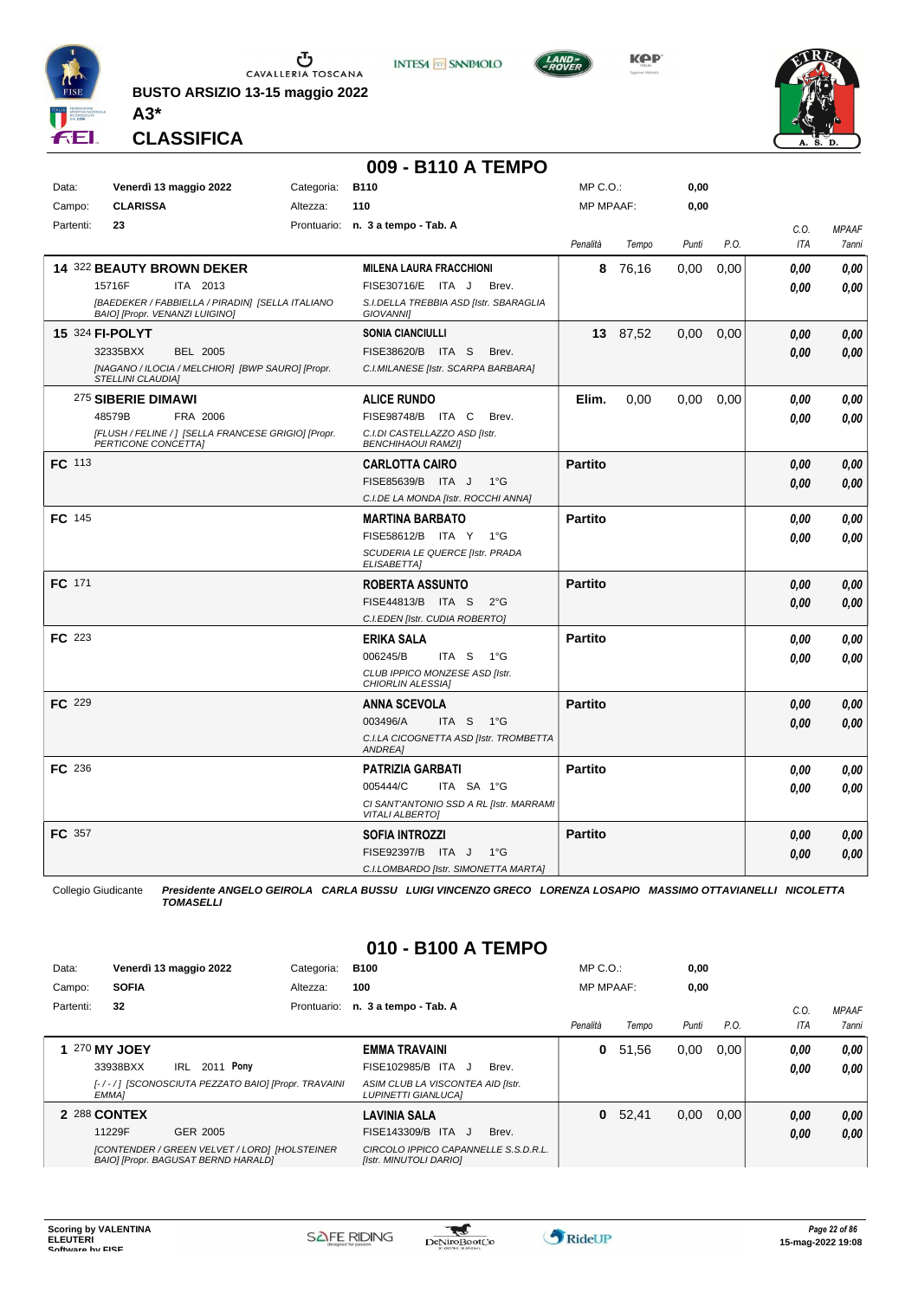

**BUSTO ARSIZIO 13-15 maggio 2022 A3\***









**CLASSIFICA**

#### **009 - B110 A TEMPO**

| <b>CLARISSA</b><br>110<br><b>MP MPAAF:</b><br>0,00<br>Campo:<br>Altezza:<br>Partenti:<br>23<br>Prontuario: n. 3 a tempo - Tab. A         | C.O. |              |
|------------------------------------------------------------------------------------------------------------------------------------------|------|--------------|
|                                                                                                                                          |      |              |
|                                                                                                                                          |      | <b>MPAAF</b> |
| P.O.<br>Penalità<br>Punti<br>Tempo                                                                                                       | ITA  | 7anni        |
| 14 322 BEAUTY BROWN DEKER<br><b>MILENA LAURA FRACCHIONI</b><br>8 76,16<br>0,00<br>0.00                                                   | 0.00 | 0.00         |
| 15716F<br>ITA 2013<br>FISE30716/E ITA J<br>Brev.                                                                                         | 0.00 | 0.00         |
| [BAEDEKER / FABBIELLA / PIRADIN] [SELLA ITALIANO<br>S.I.DELLA TREBBIA ASD [Istr. SBARAGLIA                                               |      |              |
| BAIO] [Propr. VENANZI LUIGINO]<br>GIOVANNI]                                                                                              |      |              |
| 15 324 FI-POLYT<br><b>SONIA CIANCIULLI</b><br>13 87,52<br>0,00<br>0,00                                                                   | 0,00 | 0.00         |
| 32335BXX<br>FISE38620/B ITA S<br><b>BEL 2005</b><br>Brev.                                                                                | 0,00 | 0.00         |
| [NAGANO / ILOCIA / MELCHIOR] [BWP SAURO] [Propr.<br>C.I.MILANESE [Istr. SCARPA BARBARA]<br><b>STELLINI CLAUDIA]</b>                      |      |              |
| 275 SIBERIE DIMAWI<br><b>ALICE RUNDO</b><br>Elim.<br>0,00<br>0,00<br>0,00                                                                | 0.00 | 0,00         |
| FISE98748/B ITA C<br>48579B<br>FRA 2006<br>Brev.                                                                                         | 0.00 | 0.00         |
| [FLUSH / FELINE / ] [SELLA FRANCESE GRIGIO] [Propr.<br>C.I.DI CASTELLAZZO ASD [Istr.<br>PERTICONE CONCETTAI<br><b>BENCHIHAOUI RAMZII</b> |      |              |
| <b>FC</b> 113<br><b>Partito</b><br><b>CARLOTTA CAIRO</b>                                                                                 | 0,00 | 0.00         |
| FISE85639/B ITA J<br>$1^{\circ}$ G                                                                                                       | 0,00 | 0,00         |
| C.I.DE LA MONDA [Istr. ROCCHI ANNA]                                                                                                      |      |              |
| <b>FC</b> 145<br><b>Partito</b><br><b>MARTINA BARBATO</b>                                                                                | 0.00 | 0.00         |
| FISE58612/B ITA Y<br>$1^{\circ}G$                                                                                                        | 0.00 | 0.00         |
| SCUDERIA LE QUERCE [Istr. PRADA                                                                                                          |      |              |
| <b>ELISABETTAI</b>                                                                                                                       |      |              |
| FC 171<br><b>ROBERTA ASSUNTO</b><br><b>Partito</b>                                                                                       | 0,00 | 0,00         |
| FISE44813/B ITA S<br>$2^{\circ}$ G                                                                                                       | 0,00 | 0.00         |
| C.I.EDEN [Istr. CUDIA ROBERTO]                                                                                                           |      |              |
| <b>FC</b> 223<br><b>Partito</b><br>ERIKA SALA                                                                                            | 0.00 | 0.00         |
| 006245/B<br>ITA S<br>$1^{\circ}G$                                                                                                        | 0.00 | 0.00         |
| CLUB IPPICO MONZESE ASD [Istr.<br>CHIORLIN ALESSIA]                                                                                      |      |              |
| FC 229<br><b>Partito</b><br><b>ANNA SCEVOLA</b>                                                                                          | 0.00 | 0.00         |
| 003496/A<br>ITA S<br>1°G                                                                                                                 | 0,00 | 0.00         |
| C.I.LA CICOGNETTA ASD [Istr. TROMBETTA<br>ANDREA]                                                                                        |      |              |
| FC 236<br><b>Partito</b><br><b>PATRIZIA GARBATI</b>                                                                                      | 0.00 | 0.00         |
| 005444/C<br>ITA SA 1°G                                                                                                                   | 0.00 | 0.00         |
| CI SANT'ANTONIO SSD A RL [Istr. MARRAMI<br><b>VITALI ALBERTO]</b>                                                                        |      |              |
| <b>FC</b> 357<br><b>SOFIA INTROZZI</b><br><b>Partito</b>                                                                                 | 0,00 | 0.00         |
| FISE92397/B ITA J<br>$1^{\circ}G$                                                                                                        | 0,00 | 0.00         |
| C.I.LOMBARDO [Istr. SIMONETTA MARTA]                                                                                                     |      |              |

Collegio Giudicante *Presidente ANGELO GEIROLA CARLA BUSSU LUIGI VINCENZO GRECO LORENZA LOSAPIO MASSIMO OTTAVIANELLI NICOLETTA TOMASELLI*

#### **010 - B100 A TEMPO**

| Data:     |              | Venerdì 13 maggio 2022                                                               | Categoria:  | <b>B100</b>                                                     |       | $MP C. O.$ :     |       | 0,00  |      |            |              |
|-----------|--------------|--------------------------------------------------------------------------------------|-------------|-----------------------------------------------------------------|-------|------------------|-------|-------|------|------------|--------------|
| Campo:    | <b>SOFIA</b> |                                                                                      | Altezza:    | 100                                                             |       | <b>MP MPAAF:</b> |       | 0.00  |      |            |              |
| Partenti: | 32           |                                                                                      | Prontuario: | n. 3 a tempo - Tab. A                                           |       |                  |       |       |      | C.O.       | <b>MPAAF</b> |
|           |              |                                                                                      |             |                                                                 |       | Penalità         | Tempo | Punti | P.O. | <b>ITA</b> | <b>7anni</b> |
|           | 270 MY JOEY  |                                                                                      |             | <b>EMMA TRAVAINI</b>                                            |       | 0                | 51,56 | 0,00  | 0.00 | 0.00       | 0.00         |
|           | 33938BXX     | 2011 Pony<br>IRL                                                                     |             | FISE102985/B ITA J                                              | Brev. |                  |       |       |      | 0.00       | 0.00         |
|           | EMMA]        | [-/-/] [SCONOSCIUTA PEZZATO BAIO] [Propr. TRAVAINI                                   |             | ASIM CLUB LA VISCONTEA AID [Istr.<br><b>LUPINETTI GIANLUCAI</b> |       |                  |       |       |      |            |              |
|           | 2 288 CONTEX |                                                                                      |             | <b>LAVINIA SALA</b>                                             |       | 0                | 52.41 | 0,00  | 0.00 | 0,00       | 0.00         |
|           | 11229F       | GER 2005                                                                             |             | FISE143309/B ITA J                                              | Brev. |                  |       |       |      | 0.00       | 0.00         |
|           |              | [CONTENDER / GREEN VELVET / LORD] [HOLSTEINER<br>BAIO] [Propr. BAGUSAT BERND HARALD] |             | CIRCOLO IPPICO CAPANNELLE S.S.D.R.L.<br>[Istr. MINUTOLI DARIO]  |       |                  |       |       |      |            |              |

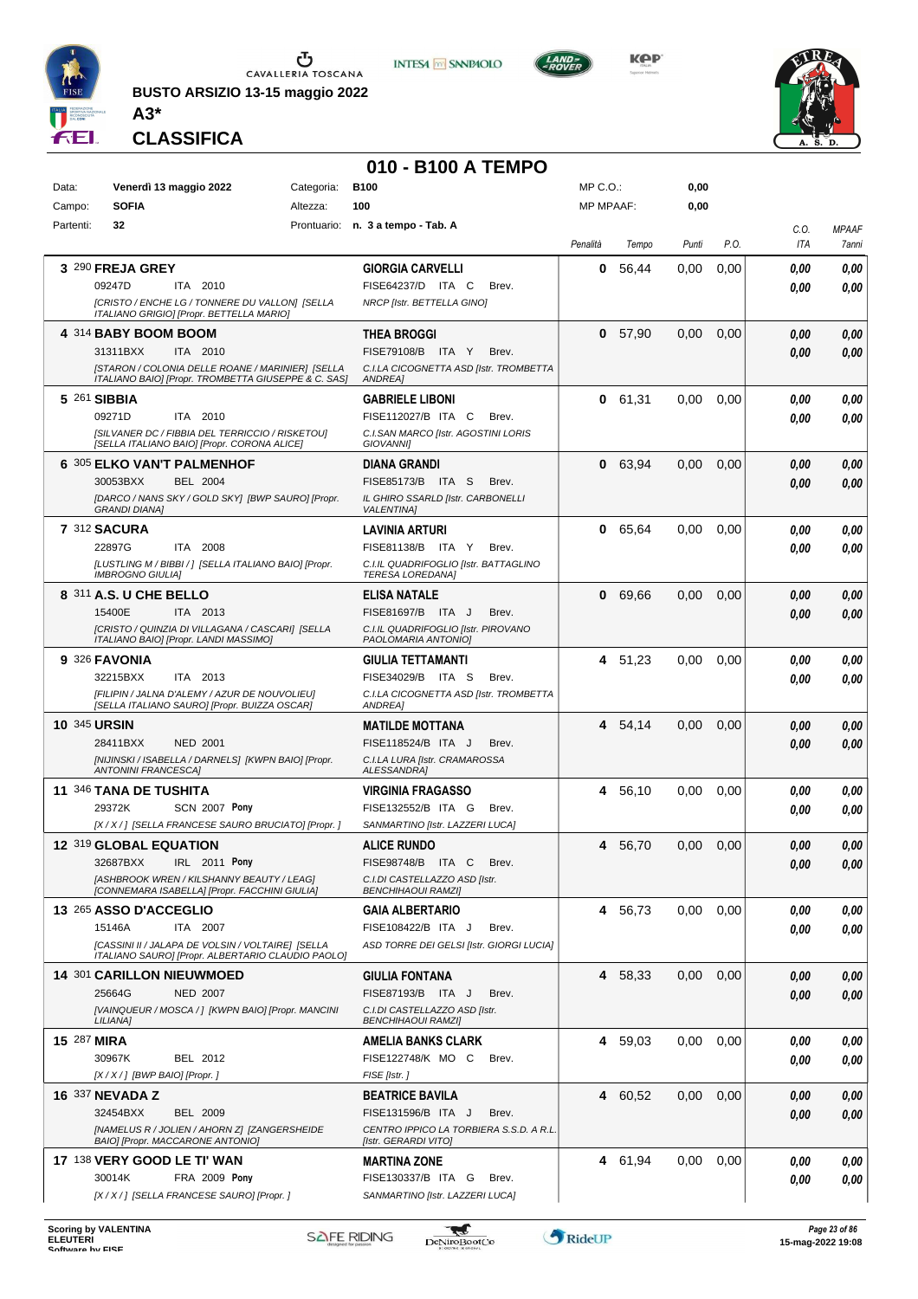

**BUSTO ARSIZIO 13-15 maggio 2022**



**KPP** 

**0,00**

MP C.O.:



**CLASSIFICA**

**A3\***

Data: Categoria: **Venerdì 13 maggio 2022 B100**

#### **010 - B100 A TEMPO**

**INTESA** M SANPAOLO

| Campo:              | <b>SOFIA</b>                                      | Altezza:                                                                                               | 100                                                            | <b>MP MPAAF:</b> |         | 0,00  |      |              |              |
|---------------------|---------------------------------------------------|--------------------------------------------------------------------------------------------------------|----------------------------------------------------------------|------------------|---------|-------|------|--------------|--------------|
| Partenti:           | 32                                                |                                                                                                        | Prontuario: n. 3 a tempo - Tab. A                              |                  |         |       |      | C.O.         | <b>MPAAF</b> |
|                     |                                                   |                                                                                                        |                                                                | Penalità         | Tempo   | Punti | P.O. | ITA          | 7anni        |
|                     | 3 290 FREJA GREY                                  |                                                                                                        | <b>GIORGIA CARVELLI</b>                                        | 0                | 56,44   | 0.00  | 0,00 | 0.00         | 0,00         |
|                     | 09247D                                            | ITA 2010                                                                                               | FISE64237/D ITA C<br>Brev.                                     |                  |         |       |      | 0.00         | 0.00         |
|                     |                                                   | [CRISTO / ENCHE LG / TONNERE DU VALLON] [SELLA<br>ITALIANO GRIGIO] [Propr. BETTELLA MARIO]             | NRCP [Istr. BETTELLA GINO]                                     |                  |         |       |      |              |              |
|                     | 4 314 BABY BOOM BOOM                              |                                                                                                        | <b>THEA BROGGI</b>                                             | 0                | 57,90   | 0,00  | 0,00 | 0.00         | 0,00         |
|                     | 31311BXX                                          | ITA 2010                                                                                               | FISE79108/B ITA Y<br>Brev.                                     |                  |         |       |      | 0.00         | 0.00         |
|                     |                                                   | [STARON / COLONIA DELLE ROANE / MARINIER] [SELLA                                                       | C.I.LA CICOGNETTA ASD [Istr. TROMBETTA                         |                  |         |       |      |              |              |
|                     |                                                   | ITALIANO BAIO] [Propr. TROMBETTA GIUSEPPE & C. SAS]                                                    | ANDREA]                                                        |                  |         |       |      |              |              |
|                     | 5 261 SIBBIA                                      |                                                                                                        | <b>GABRIELE LIBONI</b>                                         |                  | 0 61,31 | 0,00  | 0,00 | 0.00         | 0,00         |
|                     | 09271D                                            | ITA 2010<br>[SILVANER DC / FIBBIA DEL TERRICCIO / RISKETOU]                                            | FISE112027/B ITA C<br>Brev.                                    |                  |         |       |      | 0.00         | 0.00         |
|                     |                                                   | [SELLA ITALIANO BAIO] [Propr. CORONA ALICE]                                                            | C.I.SAN MARCO [Istr. AGOSTINI LORIS<br><b>GIOVANNII</b>        |                  |         |       |      |              |              |
|                     | 6 305 ELKO VAN'T PALMENHOF                        |                                                                                                        | DIANA GRANDI                                                   |                  | 0 63,94 | 0,00  | 0,00 | 0.00         | 0,00         |
|                     | 30053BXX                                          | <b>BEL 2004</b>                                                                                        | FISE85173/B ITA S<br>Brev.                                     |                  |         |       |      | 0.00         | 0.00         |
|                     | <b>GRANDI DIANA1</b>                              | [DARCO / NANS SKY / GOLD SKY] [BWP SAURO] [Propr.                                                      | IL GHIRO SSARLD [Istr. CARBONELLI<br><b>VALENTINAI</b>         |                  |         |       |      |              |              |
|                     | 7 312 SACURA                                      |                                                                                                        | <b>LAVINIA ARTURI</b>                                          | 0                | 65,64   | 0.00  | 0,00 | 0.00         | 0,00         |
|                     | 22897G                                            | ITA 2008                                                                                               | FISE81138/B ITA Y<br>Brev.                                     |                  |         |       |      | 0.00         | 0.00         |
|                     |                                                   | [LUSTLING M / BIBBI / ] [SELLA ITALIANO BAIO] [Propr.                                                  | C.I.IL QUADRIFOGLIO [Istr. BATTAGLINO                          |                  |         |       |      |              |              |
|                     | <b>IMBROGNO GIULIA1</b><br>8 311 A.S. U CHE BELLO |                                                                                                        | <b>TERESA LOREDANA]</b>                                        |                  |         |       |      |              |              |
|                     | 15400E                                            | ITA 2013                                                                                               | <b>ELISA NATALE</b><br>FISE81697/B ITA J<br>Brev.              |                  | 0 69,66 | 0,00  | 0,00 | 0.00<br>0.00 | 0,00<br>0.00 |
|                     |                                                   | [CRISTO / QUINZIA DI VILLAGANA / CASCARI] [SELLA                                                       | C.I.IL QUADRIFOGLIO [Istr. PIROVANO                            |                  |         |       |      |              |              |
|                     |                                                   | ITALIANO BAIO] [Propr. LANDI MASSIMO]                                                                  | PAOLOMARIA ANTONIO]                                            |                  |         |       |      |              |              |
|                     | 9 326 FAVONIA                                     |                                                                                                        | GIULIA TETTAMANTI                                              |                  | 4 51,23 | 0,00  | 0,00 | 0.00         | 0,00         |
|                     | 32215BXX                                          | ITA 2013                                                                                               | FISE34029/B ITA S<br>Brev.                                     |                  |         |       |      | 0.00         | 0.00         |
|                     |                                                   | [FILIPIN / JALNA D'ALEMY / AZUR DE NOUVOLIEU]<br>[SELLA ITALIANO SAURO] [Propr. BUIZZA OSCAR]          | C.I.LA CICOGNETTA ASD [Istr. TROMBETTA<br>ANDREA]              |                  |         |       |      |              |              |
| <b>10 345 URSIN</b> |                                                   |                                                                                                        | <b>MATILDE MOTTANA</b>                                         |                  | 4 54,14 | 0,00  | 0,00 | 0.00         | 0,00         |
|                     | 28411BXX                                          | <b>NED 2001</b>                                                                                        | FISE118524/B ITA J<br>Brev.                                    |                  |         |       |      | 0.00         | 0.00         |
|                     | <b>ANTONINI FRANCESCA]</b>                        | [NIJINSKI / ISABELLA / DARNELS] [KWPN BAIO] [Propr.                                                    | C.I.LA LURA [Istr. CRAMAROSSA<br>ALESSANDRA]                   |                  |         |       |      |              |              |
|                     | 11 346 TANA DE TUSHITA                            |                                                                                                        | <b>VIRGINIA FRAGASSO</b>                                       |                  | 4 56,10 | 0.00  | 0,00 | 0.00         | 0.00         |
|                     | 29372K                                            | <b>SCN 2007 Pony</b>                                                                                   | FISE132552/B ITA G<br>Brev.                                    |                  |         |       |      | 0.00         | 0.00         |
|                     |                                                   | [X / X / ] [SELLA FRANCESE SAURO BRUCIATO] [Propr. ]                                                   | SANMARTINO [Istr. LAZZERI LUCA]                                |                  |         |       |      |              |              |
|                     | 12 319 GLOBAL EQUATION                            |                                                                                                        | <b>ALICE RUNDO</b>                                             | 4                | 56,70   | 0,00  | 0,00 | 0.00         | 0,00         |
|                     | 32687BXX                                          | IRL 2011 Pony                                                                                          | FISE98748/B ITA C<br>Brev.                                     |                  |         |       |      | 0.00         | 0.00         |
|                     |                                                   | [ASHBROOK WREN / KILSHANNY BEAUTY / LEAG]<br>[CONNEMARA ISABELLA] [Propr. FACCHINI GIULIA]             | C.I.DI CASTELLAZZO ASD [Istr.<br><b>BENCHIHAOUI RAMZI]</b>     |                  |         |       |      |              |              |
|                     | 13 265 ASSO D'ACCEGLIO                            |                                                                                                        | <b>GAIA ALBERTARIO</b>                                         |                  | 4 56,73 | 0,00  | 0,00 | 0.00         | 0,00         |
|                     | 15146A                                            | ITA 2007                                                                                               | FISE108422/B ITA J<br>Brev.                                    |                  |         |       |      | 0.00         | 0,00         |
|                     |                                                   | [CASSINI II / JALAPA DE VOLSIN / VOLTAIRE] [SELLA<br>ITALIANO SAURO] [Propr. ALBERTARIO CLAUDIO PAOLO] | ASD TORRE DEI GELSI [Istr. GIORGI LUCIA]                       |                  |         |       |      |              |              |
|                     | 14 301 CARILLON NIEUWMOED                         |                                                                                                        | <b>GIULIA FONTANA</b>                                          |                  | 4 58,33 | 0,00  | 0,00 | 0,00         | 0,00         |
|                     | 25664G                                            | <b>NED 2007</b>                                                                                        | FISE87193/B ITA J<br>Brev.                                     |                  |         |       |      | 0,00         | 0,00         |
|                     |                                                   | [VAINQUEUR / MOSCA / ] [KWPN BAIO] [Propr. MANCINI                                                     | C.I.DI CASTELLAZZO ASD [Istr.                                  |                  |         |       |      |              |              |
|                     | LILIANA]                                          |                                                                                                        | <b>BENCHIHAOUI RAMZI]</b>                                      |                  |         |       |      |              |              |
| 15 287 MIRA         |                                                   |                                                                                                        | <b>AMELIA BANKS CLARK</b>                                      |                  | 4 59,03 | 0,00  | 0,00 | 0,00         | 0,00         |
|                     | 30967K<br>$[X/X/$ ] [BWP BAIO] [Propr.]           | BEL 2012                                                                                               | FISE122748/K MO C<br>Brev.<br>FISE [Istr.]                     |                  |         |       |      | 0,00         | 0,00         |
|                     | <b>16 337 NEVADA Z</b>                            |                                                                                                        | <b>BEATRICE BAVILA</b>                                         |                  | 4 60,52 | 0,00  | 0,00 | 0.00         | 0,00         |
|                     | 32454BXX                                          | <b>BEL 2009</b>                                                                                        | FISE131596/B ITA J<br>Brev.                                    |                  |         |       |      | 0,00         | 0,00         |
|                     |                                                   | [NAMELUS R / JOLIEN / AHORN Z] [ZANGERSHEIDE                                                           | CENTRO IPPICO LA TORBIERA S.S.D. A R.L.                        |                  |         |       |      |              |              |
|                     | BAIO] [Propr. MACCARONE ANTONIO]                  |                                                                                                        | [Istr. GERARDI VITO]                                           |                  |         |       |      |              |              |
|                     | 17 138 VERY GOOD LE TI' WAN                       |                                                                                                        | <b>MARTINA ZONE</b>                                            |                  | 4 61,94 | 0,00  | 0,00 | 0,00         | 0,00         |
|                     | 30014K                                            | <b>FRA 2009 Pony</b><br>[X / X / ] [SELLA FRANCESE SAURO] [Propr. ]                                    | FISE130337/B ITA G<br>Brev.<br>SANMARTINO [Istr. LAZZERI LUCA] |                  |         |       |      | 0,00         | 0,00         |
|                     |                                                   |                                                                                                        |                                                                |                  |         |       |      |              |              |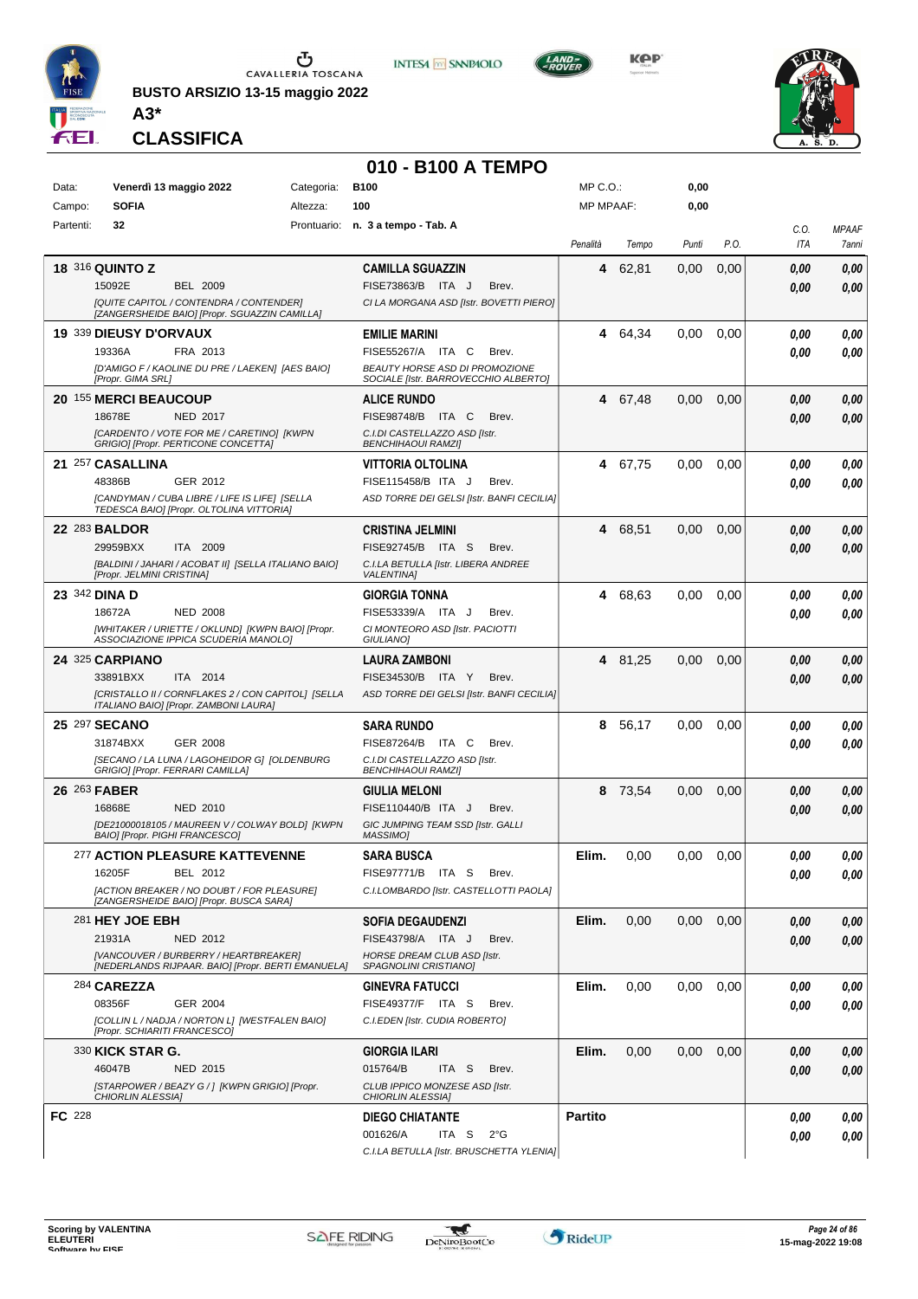

**BUSTO ARSIZIO 13-15 maggio 2022 A3\***



**KOP** 



**CLASSIFICA**

#### **010 - B100 A TEMPO**

| Data:         |                              | Venerdì 13 maggio 2022                                                                      | Categoria: | <b>B100</b>                                                                   | MP C. O.         |         | 0,00  |      |      |              |
|---------------|------------------------------|---------------------------------------------------------------------------------------------|------------|-------------------------------------------------------------------------------|------------------|---------|-------|------|------|--------------|
| Campo:        | <b>SOFIA</b>                 |                                                                                             | Altezza:   | 100                                                                           | <b>MP MPAAF:</b> |         | 0,00  |      |      |              |
| Partenti:     | 32                           |                                                                                             |            | Prontuario: n. 3 a tempo - Tab. A                                             |                  |         |       |      | C.0. | <b>MPAAF</b> |
|               |                              |                                                                                             |            |                                                                               | Penalità         | Tempo   | Punti | P.O. | ITA  | 7anni        |
|               | 18 316 QUINTO Z              |                                                                                             |            | <b>CAMILLA SGUAZZIN</b>                                                       | 4                | 62,81   | 0,00  | 0,00 | 0.00 | 0,00         |
|               | 15092E                       | <b>BEL 2009</b>                                                                             |            | FISE73863/B ITA J<br>Brev.                                                    |                  |         |       |      | 0.00 | 0,00         |
|               |                              | [QUITE CAPITOL / CONTENDRA / CONTENDER]<br>[ZANGERSHEIDE BAIO] [Propr. SGUAZZIN CAMILLA]    |            | CI LA MORGANA ASD [Istr. BOVETTI PIERO]                                       |                  |         |       |      |      |              |
|               | 19 339 DIEUSY D'ORVAUX       |                                                                                             |            | <b>EMILIE MARINI</b>                                                          | 4                | 64,34   | 0.00  | 0,00 | 0.00 | 0,00         |
|               | 19336A                       | FRA 2013                                                                                    |            | FISE55267/A ITA C<br>Brev.                                                    |                  |         |       |      | 0.00 | 0,00         |
|               | [Propr. GIMA SRL]            | [D'AMIGO F / KAOLINE DU PRE / LAEKEN] [AES BAIO]                                            |            | <b>BEAUTY HORSE ASD DI PROMOZIONE</b><br>SOCIALE [Istr. BARROVECCHIO ALBERTO] |                  |         |       |      |      |              |
|               | 20 155 MERCI BEAUCOUP        |                                                                                             |            | <b>ALICE RUNDO</b>                                                            |                  | 4 67,48 | 0,00  | 0,00 | 0,00 | 0,00         |
|               | 18678E                       | NED 2017                                                                                    |            | FISE98748/B ITA C<br>Brev.                                                    |                  |         |       |      | 0.00 | 0,00         |
|               |                              | [CARDENTO / VOTE FOR ME / CARETINO] [KWPN<br>GRIGIO] [Propr. PERTICONE CONCETTA]            |            | C.I.DI CASTELLAZZO ASD [Istr.<br><b>BENCHIHAOUI RAMZI]</b>                    |                  |         |       |      |      |              |
|               | 21 257 CASALLINA             |                                                                                             |            | VITTORIA OLTOLINA                                                             | 4                | 67,75   | 0.00  | 0,00 | 0.00 | 0,00         |
|               | 48386B                       | GER 2012                                                                                    |            | FISE115458/B ITA J<br>Brev.                                                   |                  |         |       |      | 0.00 | 0,00         |
|               |                              | [CANDYMAN / CUBA LIBRE / LIFE IS LIFE] [SELLA<br>TEDESCA BAIO] [Propr. OLTOLINA VITTORIA]   |            | ASD TORRE DEI GELSI [Istr. BANFI CECILIA]                                     |                  |         |       |      |      |              |
|               | 22 283 BALDOR                |                                                                                             |            | CRISTINA JELMINI                                                              | 4                | 68,51   | 0,00  | 0,00 | 0,00 | 0,00         |
|               | 29959BXX                     | ITA 2009                                                                                    |            | FISE92745/B ITA S<br>Brev.                                                    |                  |         |       |      | 0.00 | 0,00         |
|               | [Propr. JELMINI CRISTINA]    | [BALDINI / JAHARI / ACOBAT II] [SELLA ITALIANO BAIO]                                        |            | C.I.LA BETULLA [Istr. LIBERA ANDREE<br><b>VALENTINA1</b>                      |                  |         |       |      |      |              |
|               | 23 342 DINA D                |                                                                                             |            | <b>GIORGIA TONNA</b>                                                          | 4                | 68.63   | 0.00  | 0,00 | 0.00 | 0,00         |
|               | 18672A                       | <b>NED 2008</b>                                                                             |            | FISE53339/A ITA J<br>Brev.                                                    |                  |         |       |      | 0.00 | 0.00         |
|               |                              | [WHITAKER / URIETTE / OKLUND] [KWPN BAIO] [Propr.<br>ASSOCIAZIONE IPPICA SCUDERIA MANOLO]   |            | CI MONTEORO ASD [Istr. PACIOTTI<br>GIULIANO]                                  |                  |         |       |      |      |              |
|               | 24 325 CARPIANO              |                                                                                             |            | LAURA ZAMBONI                                                                 |                  | 4 81,25 | 0,00  | 0,00 | 0,00 | 0,00         |
|               | 33891BXX                     | ITA 2014                                                                                    |            | FISE34530/B ITA Y<br>Brev.                                                    |                  |         |       |      | 0.00 | 0,00         |
|               |                              | [CRISTALLO II / CORNFLAKES 2 / CON CAPITOL] [SELLA<br>ITALIANO BAIO] [Propr. ZAMBONI LAURA] |            | ASD TORRE DEI GELSI [Istr. BANFI CECILIA]                                     |                  |         |       |      |      |              |
|               | 25 297 SECANO                |                                                                                             |            | <b>SARA RUNDO</b>                                                             | 8                | 56,17   | 0.00  | 0,00 | 0.00 | 0,00         |
|               | 31874BXX                     | GER 2008                                                                                    |            | FISE87264/B ITA C<br>Brev.                                                    |                  |         |       |      | 0.00 | 0.00         |
|               |                              | [SECANO / LA LUNA / LAGOHEIDOR G] [OLDENBURG<br>GRIGIO] [Propr. FERRARI CAMILLA]            |            | C.I.DI CASTELLAZZO ASD [Istr.<br>BENCHIHAOUI RAMZI]                           |                  |         |       |      |      |              |
|               | 26 263 FABER                 |                                                                                             |            | <b>GIULIA MELONI</b>                                                          | 8                | 73,54   | 0.00  | 0,00 | 0.00 | 0,00         |
|               | 16868E                       | NED 2010                                                                                    |            | FISE110440/B ITA J<br>Brev.                                                   |                  |         |       |      | 0.00 | 0,00         |
|               |                              | [DE21000018105 / MAUREEN V / COLWAY BOLD] [KWPN<br>BAIO] [Propr. PIGHI FRANCESCO]           |            | GIC JUMPING TEAM SSD [Istr. GALLI<br>MASSIMO]                                 |                  |         |       |      |      |              |
|               |                              | 277 ACTION PLEASURE KATTEVENNE                                                              |            | SARA BUSCA                                                                    | Elim.            | 0,00    | 0.00  | 0,00 | 0.00 | 0.00         |
|               | 16205F                       | BEL 2012                                                                                    |            | FISE97771/B ITA S Brev.                                                       |                  |         |       |      | 0,00 | 0,00         |
|               |                              | [ACTION BREAKER / NO DOUBT / FOR PLEASURE]<br>[ZANGERSHEIDE BAIO] [Propr. BUSCA SARA]       |            | C.I.LOMBARDO [Istr. CASTELLOTTI PAOLA]                                        |                  |         |       |      |      |              |
|               | 281 HEY JOE EBH              |                                                                                             |            | <b>SOFIA DEGAUDENZI</b>                                                       | Elim.            | 0,00    | 0,00  | 0,00 | 0.00 | 0,00         |
|               | 21931A                       | <b>NED 2012</b>                                                                             |            | FISE43798/A ITA J<br>Brev.                                                    |                  |         |       |      | 0.00 | 0,00         |
|               |                              | [VANCOUVER / BURBERRY / HEARTBREAKER]<br>[NEDERLANDS RIJPAAR. BAIO] [Propr. BERTI EMANUELA] |            | HORSE DREAM CLUB ASD [Istr.<br>SPAGNOLINI CRISTIANO]                          |                  |         |       |      |      |              |
|               | 284 <b>CAREZZA</b>           |                                                                                             |            | <b>GINEVRA FATUCCI</b>                                                        | Elim.            | 0,00    | 0,00  | 0,00 | 0.00 | 0,00         |
|               | 08356F                       | GER 2004                                                                                    |            | FISE49377/F ITA S<br>Brev.                                                    |                  |         |       |      | 0.00 | 0,00         |
|               | [Propr. SCHIARITI FRANCESCO] | [COLLIN L / NADJA / NORTON L] [WESTFALEN BAIO]                                              |            | C.I.EDEN [Istr. CUDIA ROBERTO]                                                |                  |         |       |      |      |              |
|               | 330 KICK STAR G.             |                                                                                             |            | GIORGIA ILARI                                                                 | Elim.            | 0,00    | 0,00  | 0,00 | 0.00 | 0,00         |
|               | 46047B                       | NED 2015                                                                                    |            | 015764/B<br>ITA <sub>S</sub><br>Brev.                                         |                  |         |       |      | 0.00 | 0,00         |
|               | CHIORLIN ALESSIA]            | [STARPOWER / BEAZY G / ] [KWPN GRIGIO] [Propr.                                              |            | CLUB IPPICO MONZESE ASD [Istr.<br>CHIORLIN ALESSIA]                           |                  |         |       |      |      |              |
| <b>FC</b> 228 |                              |                                                                                             |            | <b>DIEGO CHIATANTE</b>                                                        | <b>Partito</b>   |         |       |      | 0.00 | 0,00         |
|               |                              |                                                                                             |            | 001626/A<br>ITA S<br>$2^{\circ}$ G                                            |                  |         |       |      | 0,00 | 0,00         |
|               |                              |                                                                                             |            | C.I.LA BETULLA [Istr. BRUSCHETTA YLENIA]                                      |                  |         |       |      |      |              |

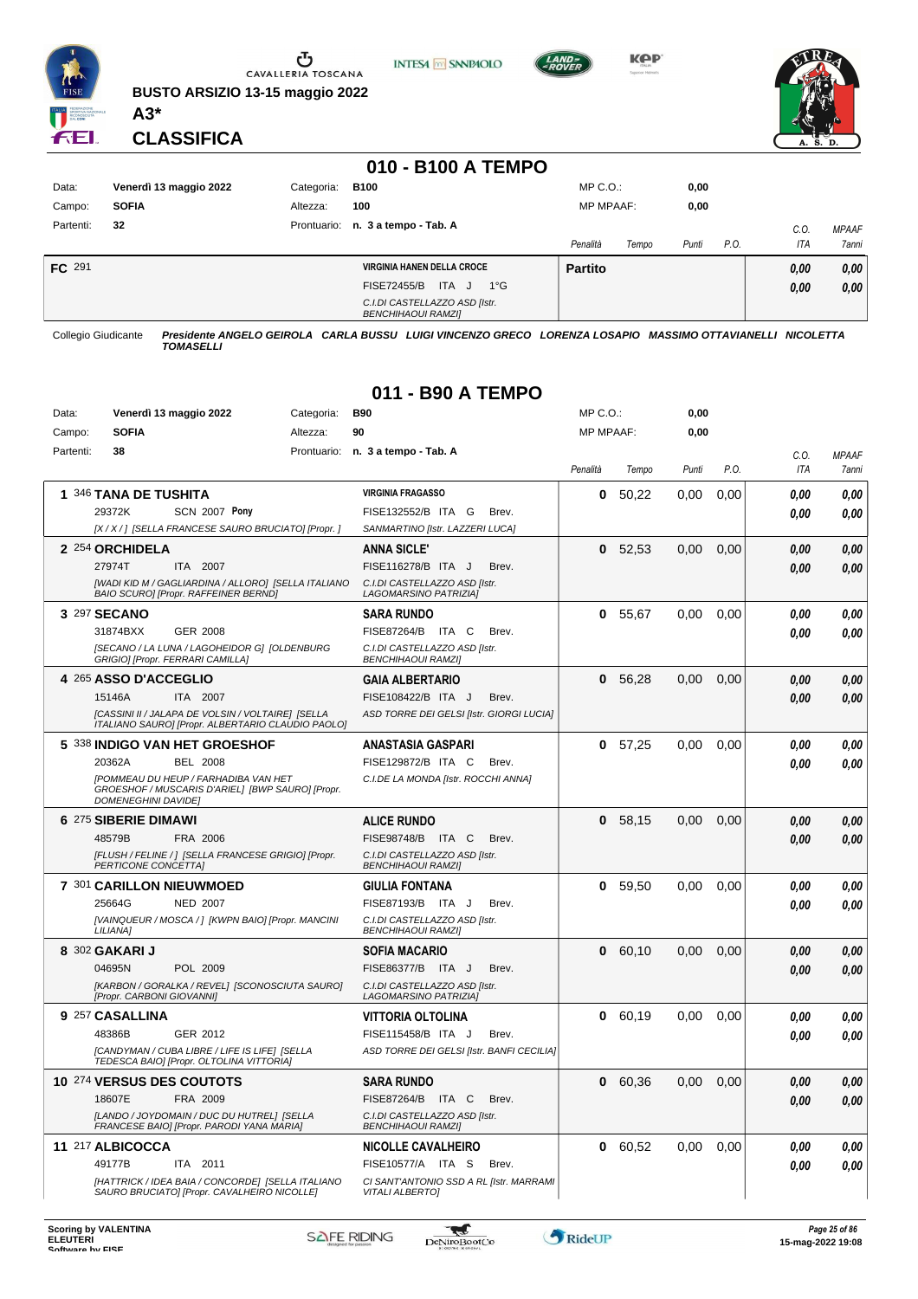

**BUSTO ARSIZIO 13-15 maggio 2022 A3\***



**KOP** 



**CLASSIFICA**

#### **010 - B100 A TEMPO**

**INTESA** M SANPAOLO

| Data:     | Venerdì 13 maggio 2022 | Categoria: | <b>B100</b>                                                | $MP C. O.$ :      | 0,00          |         |              |
|-----------|------------------------|------------|------------------------------------------------------------|-------------------|---------------|---------|--------------|
| Campo:    | <b>SOFIA</b>           | Altezza:   | 100                                                        | <b>MP MPAAF:</b>  | 0,00          |         |              |
| Partenti: | 32                     |            | Prontuario: n. 3 a tempo - Tab. A                          |                   |               | $C_{0}$ | <b>MPAAF</b> |
|           |                        |            |                                                            | Penalità<br>Tempo | Punti<br>P.O. | ITA     | 7anni        |
| FC 291    |                        |            | <b>VIRGINIA HANEN DELLA CROCE</b>                          | <b>Partito</b>    |               | 0,00    | 0,00         |
|           |                        |            | ITA J<br><b>FISE72455/B</b><br>$1^{\circ}G$                |                   |               | 0,00    | 0,00         |
|           |                        |            | C.I.DI CASTELLAZZO ASD [Istr.<br><b>BENCHIHAOUI RAMZII</b> |                   |               |         |              |

Collegio Giudicante *Presidente ANGELO GEIROLA CARLA BUSSU LUIGI VINCENZO GRECO LORENZA LOSAPIO MASSIMO OTTAVIANELLI NICOLETTA TOMASELLI*

#### **011 - B90 A TEMPO**

| Data:     | Venerdì 13 maggio 2022                                                                                                        | Categoria:     | <b>B90</b>                                                 | MP C. O.         |       | 0,00  |      |            |              |
|-----------|-------------------------------------------------------------------------------------------------------------------------------|----------------|------------------------------------------------------------|------------------|-------|-------|------|------------|--------------|
| Campo:    | <b>SOFIA</b>                                                                                                                  | 90<br>Altezza: |                                                            | <b>MP MPAAF:</b> |       | 0,00  |      |            |              |
| Partenti: | 38                                                                                                                            |                | Prontuario: n. 3 a tempo - Tab. A                          |                  |       |       |      | C.O.       | <b>MPAAF</b> |
|           |                                                                                                                               |                |                                                            | Penalità         | Tempo | Punti | P.O. | <b>ITA</b> | 7anni        |
|           | 1 346 TANA DE TUSHITA                                                                                                         |                | <b>VIRGINIA FRAGASSO</b>                                   | 0                | 50.22 | 0.00  | 0.00 | 0.00       | 0.00         |
|           | <b>SCN 2007 Pony</b><br>29372K                                                                                                |                | FISE132552/B ITA G<br>Brev.                                |                  |       |       |      | 0,00       | 0.00         |
|           | [X / X / ] [SELLA FRANCESE SAURO BRUCIATO] [Propr. ]                                                                          |                | SANMARTINO [Istr. LAZZERI LUCA]                            |                  |       |       |      |            |              |
|           | 2 254 ORCHIDELA                                                                                                               |                | <b>ANNA SICLE'</b>                                         | $\mathbf{0}$     | 52,53 | 0.00  | 0.00 | 0.00       | 0,00         |
|           | 27974T<br>ITA 2007                                                                                                            |                | FISE116278/B ITA J<br>Brev.                                |                  |       |       |      | 0.00       | 0.00         |
|           | [WADI KID M / GAGLIARDINA / ALLORO] [SELLA ITALIANO<br>BAIO SCURO] [Propr. RAFFEINER BERND]                                   |                | C.I.DI CASTELLAZZO ASD [Istr.<br>LAGOMARSINO PATRIZIA)     |                  |       |       |      |            |              |
|           | 3 297 SECANO                                                                                                                  |                | <b>SARA RUNDO</b>                                          | 0                | 55,67 | 0.00  | 0,00 | 0.00       | 0.00         |
|           | 31874BXX<br>GER 2008                                                                                                          |                | FISE87264/B ITA C<br>Brev.                                 |                  |       |       |      | 0.00       | 0.00         |
|           | [SECANO / LA LUNA / LAGOHEIDOR G] [OLDENBURG                                                                                  |                | C.I.DI CASTELLAZZO ASD [Istr.                              |                  |       |       |      |            |              |
|           | GRIGIO] [Propr. FERRARI CAMILLA]<br>4 265 ASSO D'ACCEGLIO                                                                     |                | <b>BENCHIHAOUI RAMZI]</b><br><b>GAIA ALBERTARIO</b>        | $\bf{0}$         |       | 0,00  | 0,00 | 0.00       |              |
|           | ITA 2007<br>15146A                                                                                                            |                | FISE108422/B ITA J<br>Brev.                                |                  | 56,28 |       |      |            | 0,00         |
|           | [CASSINI II / JALAPA DE VOLSIN / VOLTAIRE] [SELLA                                                                             |                | ASD TORRE DEI GELSI [Istr. GIORGI LUCIA]                   |                  |       |       |      | 0.00       | 0.00         |
|           | ITALIANO SAURO] [Propr. ALBERTARIO CLAUDIO PAOLO]                                                                             |                |                                                            |                  |       |       |      |            |              |
|           | 5 338 INDIGO VAN HET GROESHOF                                                                                                 |                | ANASTASIA GASPARI                                          | 0                | 57,25 | 0.00  | 0.00 | 0.00       | 0.00         |
|           | 20362A<br><b>BEL 2008</b>                                                                                                     |                | FISE129872/B ITA C<br>Brev.                                |                  |       |       |      | 0.00       | 0.00         |
|           | <b>[POMMEAU DU HEUP / FARHADIBA VAN HET</b><br>GROESHOF / MUSCARIS D'ARIEL] [BWP SAURO] [Propr.<br><b>DOMENEGHINI DAVIDE]</b> |                | C.I.DE LA MONDA [Istr. ROCCHI ANNA]                        |                  |       |       |      |            |              |
|           | 6 275 SIBERIE DIMAWI                                                                                                          |                | <b>ALICE RUNDO</b>                                         | 0                | 58,15 | 0.00  | 0.00 | 0.00       | 0,00         |
|           | 48579B<br>FRA 2006                                                                                                            |                | FISE98748/B ITA C<br>Brev.                                 |                  |       |       |      | 0.00       | 0.00         |
|           | [FLUSH / FELINE / ] [SELLA FRANCESE GRIGIO] [Propr.<br>PERTICONE CONCETTAI                                                    |                | C.I.DI CASTELLAZZO ASD [Istr.<br><b>BENCHIHAOUI RAMZII</b> |                  |       |       |      |            |              |
|           | 7 301 CARILLON NIEUWMOED                                                                                                      |                | <b>GIULIA FONTANA</b>                                      | 0                | 59,50 | 0,00  | 0,00 | 0.00       | 0.00         |
|           | 25664G<br><b>NED 2007</b>                                                                                                     |                | FISE87193/B ITA J<br>Brev.                                 |                  |       |       |      | 0.00       | 0.00         |
|           | [VAINQUEUR / MOSCA / ] [KWPN BAIO] [Propr. MANCINI<br>LILIANA]                                                                |                | C.I.DI CASTELLAZZO ASD [Istr.<br><b>BENCHIHAOUI RAMZII</b> |                  |       |       |      |            |              |
|           | 8 302 GAKARI J                                                                                                                |                | <b>SOFIA MACARIO</b>                                       | 0                | 60,10 | 0,00  | 0,00 | 0.00       | 0.00         |
|           | 04695N<br>POL 2009                                                                                                            |                | FISE86377/B ITA J<br>Brev.                                 |                  |       |       |      | 0.00       | 0.00         |
|           | [KARBON / GORALKA / REVEL] [SCONOSCIUTA SAURO]<br>[Propr. CARBONI GIOVANNI]                                                   |                | C.I.DI CASTELLAZZO ASD [Istr.<br>LAGOMARSINO PATRIZIA]     |                  |       |       |      |            |              |
|           | 9 257 CASALLINA                                                                                                               |                | VITTORIA OLTOLINA                                          | 0                | 60.19 | 0.00  | 0.00 | 0.00       | 0.00         |
|           | 48386B<br>GER 2012                                                                                                            |                | FISE115458/B ITA J<br>Brev.                                |                  |       |       |      | 0,00       | 0.00         |
|           | [CANDYMAN / CUBA LIBRE / LIFE IS LIFE] [SELLA<br>TEDESCA BAIO] [Propr. OLTOLINA VITTORIA]                                     |                | ASD TORRE DEI GELSI [Istr. BANFI CECILIA]                  |                  |       |       |      |            |              |
|           | 10 274 VERSUS DES COUTOTS                                                                                                     |                | <b>SARA RUNDO</b>                                          | 0                | 60,36 | 0,00  | 0,00 | 0.00       | 0,00         |
|           | 18607E<br>FRA 2009                                                                                                            |                | FISE87264/B ITA C<br>Brev.                                 |                  |       |       |      | 0.00       | 0.00         |
|           | [LANDO / JOYDOMAIN / DUC DU HUTREL] [SELLA<br>FRANCESE BAIO] [Propr. PARODI YANA MARIA]                                       |                | C.I.DI CASTELLAZZO ASD [Istr.<br><b>BENCHIHAOUI RAMZII</b> |                  |       |       |      |            |              |
|           | 11 217 ALBICOCCA                                                                                                              |                | <b>NICOLLE CAVALHEIRO</b>                                  | 0                | 60,52 | 0,00  | 0,00 | 0,00       | 0,00         |
|           | 49177B<br><b>ITA 2011</b>                                                                                                     |                | FISE10577/A ITA S<br>Brev.                                 |                  |       |       |      | 0.00       | 0.00         |
|           | [HATTRICK / IDEA BAIA / CONCORDE] [SELLA ITALIANO                                                                             |                | CI SANT'ANTONIO SSD A RL [Istr. MARRAMI                    |                  |       |       |      |            |              |
|           | SAURO BRUCIATO] [Propr. CAVALHEIRO NICOLLE]                                                                                   |                | <b>VITALI ALBERTO]</b>                                     |                  |       |       |      |            |              |

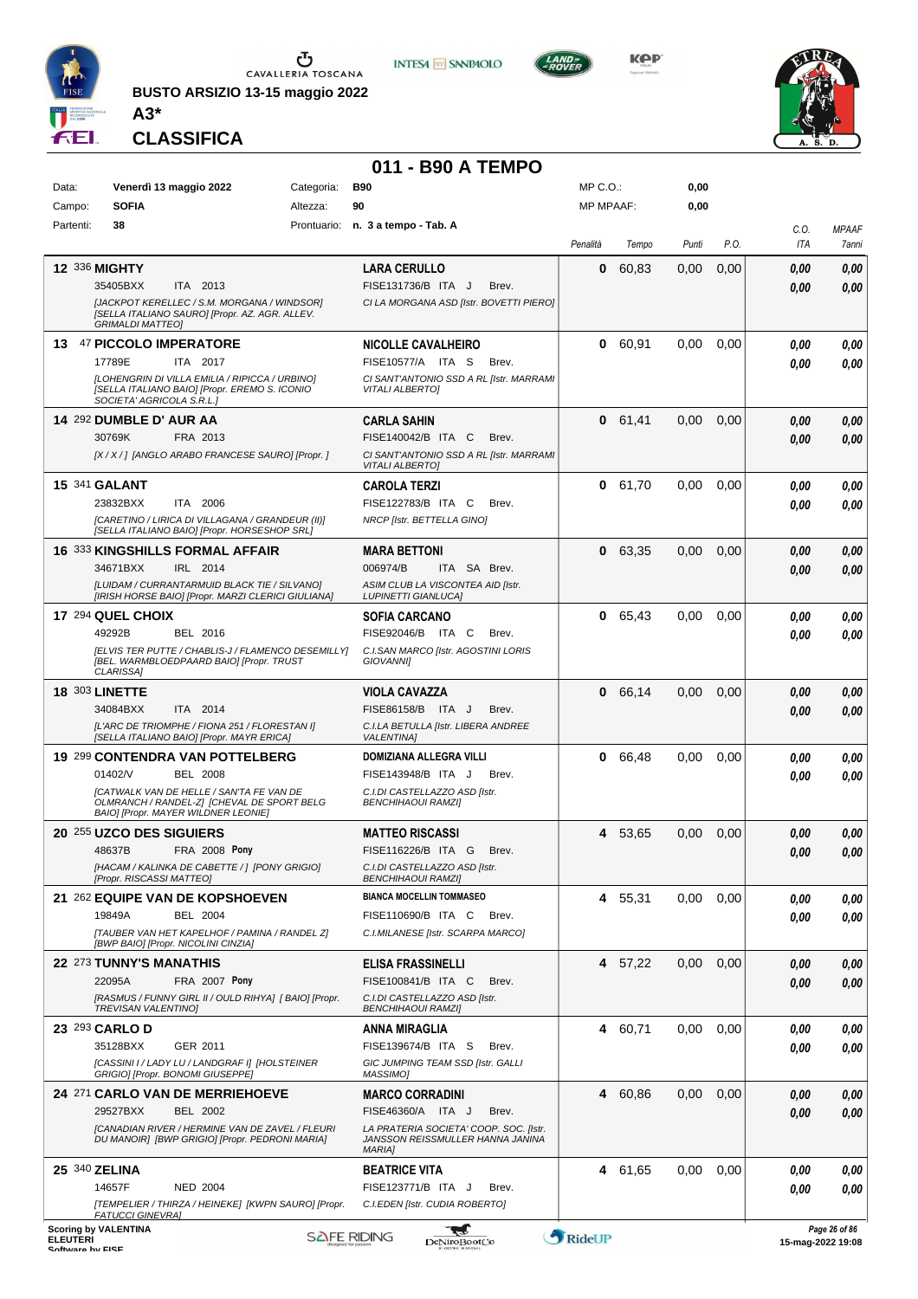

**BUSTO ARSIZIO 13-15 maggio 2022**



**KPP** 



**CLASSIFICA**

**A3\***

# **011 - B90 A TEMPO**

| Data:           | Venerdì 13 maggio 2022                                                                                                               | Categoria: | <b>B90</b>                                                                 | MP C.O.:         |         | 0,00     |      |             |                                    |
|-----------------|--------------------------------------------------------------------------------------------------------------------------------------|------------|----------------------------------------------------------------------------|------------------|---------|----------|------|-------------|------------------------------------|
| Campo:          | <b>SOFIA</b>                                                                                                                         | Altezza:   | 90                                                                         | <b>MP MPAAF:</b> |         | 0,00     |      |             |                                    |
| Partenti:       | 38                                                                                                                                   |            | Prontuario: n. 3 a tempo - Tab. A                                          | Penalità         | Tempo   | Punti    | P.O. | C.O.<br>ITA | <b>MPAAF</b><br>7anni              |
|                 |                                                                                                                                      |            |                                                                            |                  |         |          |      |             |                                    |
|                 | 12 336 MIGHTY<br>35405BXX<br>ITA 2013                                                                                                |            | <b>LARA CERULLO</b><br>FISE131736/B ITA J<br>Brev.                         | 0                | 60.83   | 0,00     | 0,00 | 0,00        | 0.00                               |
|                 | [JACKPOT KERELLEC / S.M. MORGANA / WINDSOR]                                                                                          |            | CI LA MORGANA ASD [Istr. BOVETTI PIERO]                                    |                  |         |          |      | 0.00        | 0.00                               |
|                 | [SELLA ITALIANO SAURO] [Propr. AZ. AGR. ALLEV.<br><b>GRIMALDI MATTEO]</b>                                                            |            |                                                                            |                  |         |          |      |             |                                    |
|                 | 13 47 PICCOLO IMPERATORE                                                                                                             |            | <b>NICOLLE CAVALHEIRO</b>                                                  |                  | 0 60,91 | 0,00     | 0.00 | 0.00        | 0,00                               |
|                 | 17789E<br>ITA 2017                                                                                                                   |            | FISE10577/A ITA S<br>Brev.                                                 |                  |         |          |      | 0.00        | 0.00                               |
|                 | [LOHENGRIN DI VILLA EMILIA / RIPICCA / URBINO]<br>[SELLA ITALIANO BAIO] [Propr. EREMO S. ICONIO<br>SOCIETA' AGRICOLA S.R.L.1         |            | CI SANT'ANTONIO SSD A RL [Istr. MARRAMI<br><b>VITALI ALBERTOI</b>          |                  |         |          |      |             |                                    |
|                 | 14 292 DUMBLE D' AUR AA                                                                                                              |            | <b>CARLA SAHIN</b>                                                         |                  | 0 61,41 | 0,00     | 0,00 | 0,00        | 0,00                               |
|                 | 30769K<br>FRA 2013                                                                                                                   |            | FISE140042/B ITA C<br>Brev.                                                |                  |         |          |      | 0,00        | 0.00                               |
|                 | [X / X / ] [ANGLO ARABO FRANCESE SAURO] [Propr. ]                                                                                    |            | CI SANT'ANTONIO SSD A RL [Istr. MARRAMI<br><b>VITALI ALBERTO]</b>          |                  |         |          |      |             |                                    |
|                 | <b>15 341 GALANT</b>                                                                                                                 |            | <b>CAROLA TERZI</b>                                                        |                  | 0 61,70 | 0,00     | 0,00 | 0.00        | 0.00                               |
|                 | 23832BXX<br>ITA 2006                                                                                                                 |            | FISE122783/B ITA C<br>Brev.                                                |                  |         |          |      | 0.00        | 0.00                               |
|                 | [CARETINO / LIRICA DI VILLAGANA / GRANDEUR (II)]<br>[SELLA ITALIANO BAIO] [Propr. HORSESHOP SRL]                                     |            | NRCP [Istr. BETTELLA GINO]                                                 |                  |         |          |      |             |                                    |
|                 | <b>16 333 KINGSHILLS FORMAL AFFAIR</b>                                                                                               |            | <b>MARA BETTONI</b>                                                        | 0                | 63,35   | 0.00     | 0,00 | 0,00        | 0.00                               |
|                 | 34671BXX<br>IRL 2014                                                                                                                 |            | 006974/B<br>ITA SA Brev.                                                   |                  |         |          |      | 0.00        | 0.00                               |
|                 | [LUIDAM / CURRANTARMUID BLACK TIE / SILVANO]<br>[IRISH HORSE BAIO] [Propr. MARZI CLERICI GIULIANA]                                   |            | ASIM CLUB LA VISCONTEA AID [Istr.<br><b>LUPINETTI GIANLUCA]</b>            |                  |         |          |      |             |                                    |
|                 | 17 294 QUEL CHOIX                                                                                                                    |            | <b>SOFIA CARCANO</b>                                                       | 0                | 65.43   | 0,00     | 0.00 | 0.00        | 0.00                               |
|                 | 49292B<br>BEL 2016                                                                                                                   |            | FISE92046/B ITA C<br>Brev.                                                 |                  |         |          |      | 0.00        | 0.00                               |
|                 | [ELVIS TER PUTTE / CHABLIS-J / FLAMENCO DESEMILLY]                                                                                   |            | C.I.SAN MARCO [Istr. AGOSTINI LORIS                                        |                  |         |          |      |             |                                    |
|                 | [BEL. WARMBLOEDPAARD BAIO] [Propr. TRUST<br>CLARISSA]                                                                                |            | <b>GIOVANNII</b>                                                           |                  |         |          |      |             |                                    |
|                 | <b>18 303 LINETTE</b>                                                                                                                |            | <b>VIOLA CAVAZZA</b>                                                       | 0                | 66,14   | 0,00     | 0,00 | 0,00        | 0,00                               |
|                 | ITA 2014<br>34084BXX                                                                                                                 |            | FISE86158/B ITA J<br>Brev.                                                 |                  |         |          |      | 0,00        | 0.00                               |
|                 | [L'ARC DE TRIOMPHE / FIONA 251 / FLORESTAN I]<br>[SELLA ITALIANO BAIO] [Propr. MAYR ERICA]                                           |            | C.I.LA BETULLA [Istr. LIBERA ANDREE<br><b>VALENTINAI</b>                   |                  |         |          |      |             |                                    |
|                 | 19 299 CONTENDRA VAN POTTELBERG                                                                                                      |            | DOMIZIANA ALLEGRA VILLI                                                    |                  | 0 66,48 | 0,00     | 0.00 | 0.00        | 0,00                               |
|                 | 01402/V<br><b>BEL 2008</b>                                                                                                           |            | FISE143948/B ITA J<br>Brev.                                                |                  |         |          |      | 0.00        | 0.00                               |
|                 | <b>ICATWALK VAN DE HELLE / SAN'TA FE VAN DE</b><br>OLMRANCH / RANDEL-ZI [CHEVAL DE SPORT BELG<br>BAIO] [Propr. MAYER WILDNER LEONIE] |            | C.I.DI CASTELLAZZO ASD [Istr.<br><b>BENCHIHAOUI RAMZII</b>                 |                  |         |          |      |             |                                    |
|                 | 20 255 UZCO DES SIGUIERS                                                                                                             |            | <b>MATTEO RISCASSI</b>                                                     | 4                | 53,65   | 0,00     | 0,00 | 0,00        | 0,00                               |
|                 | 48637B<br>FRA 2008 Pony                                                                                                              |            | FISE116226/B ITA G<br>Brev.                                                |                  |         |          |      | 0.00        | 0.00                               |
|                 | [HACAM / KALINKA DE CABETTE / ] [PONY GRIGIO]<br>[Propr. RISCASSI MATTEO]                                                            |            | C.I.DI CASTELLAZZO ASD [Istr.<br><b>BENCHIHAOUI RAMZI]</b>                 |                  |         |          |      |             |                                    |
|                 | 21 262 EQUIPE VAN DE KOPSHOEVEN                                                                                                      |            | <b>BIANCA MOCELLIN TOMMASEO</b>                                            |                  | 4 55,31 | 0,00     | 0,00 | 0,00        | 0,00                               |
|                 | 19849A<br><b>BEL 2004</b>                                                                                                            |            | FISE110690/B ITA C<br>Brev.                                                |                  |         |          |      | 0.00        | 0.00                               |
|                 | [TAUBER VAN HET KAPELHOF / PAMINA / RANDEL Z]<br>[BWP BAIO] [Propr. NICOLINI CINZIA]                                                 |            | C.I.MILANESE [Istr. SCARPA MARCO]                                          |                  |         |          |      |             |                                    |
|                 | 22 <sup>273</sup> TUNNY'S MANATHIS                                                                                                   |            | ELISA FRASSINELLI                                                          |                  | 4 57,22 | $0.00\,$ | 0,00 | 0,00        | 0,00                               |
|                 | 22095A<br>FRA 2007 Pony                                                                                                              |            | FISE100841/B ITA C<br>Brev.                                                |                  |         |          |      | 0.00        | 0,00                               |
|                 | [RASMUS / FUNNY GIRL II / OULD RIHYA] [ BAIO] [Propr.<br><b>TREVISAN VALENTINO)</b>                                                  |            | C.I.DI CASTELLAZZO ASD [Istr.<br><b>BENCHIHAOUI RAMZI]</b>                 |                  |         |          |      |             |                                    |
|                 | 23 293 CARLO D                                                                                                                       |            | ANNA MIRAGLIA                                                              |                  | 4 60,71 | 0,00     | 0,00 | 0.00        | 0,00                               |
|                 | 35128BXX<br>GER 2011                                                                                                                 |            | FISE139674/B ITA S<br>Brev.                                                |                  |         |          |      | 0.00        | 0.00                               |
|                 | [CASSINI I / LADY LU / LANDGRAF I] [HOLSTEINER<br>GRIGIO] [Propr. BONOMI GIUSEPPE]                                                   |            | GIC JUMPING TEAM SSD [Istr. GALLI<br>MASSIMO]                              |                  |         |          |      |             |                                    |
|                 | 24 271 CARLO VAN DE MERRIEHOEVE                                                                                                      |            | <b>MARCO CORRADINI</b>                                                     |                  | 4 60,86 | 0,00     | 0,00 | 0.00        | 0,00                               |
|                 | 29527BXX<br>BEL 2002                                                                                                                 |            | FISE46360/A ITA J<br>Brev.                                                 |                  |         |          |      | 0.00        | 0,00                               |
|                 | [CANADIAN RIVER / HERMINE VAN DE ZAVEL / FLEURI<br>DU MANOIR] [BWP GRIGIO] [Propr. PEDRONI MARIA]                                    |            | LA PRATERIA SOCIETA' COOP. SOC. [Istr.<br>JANSSON REISSMULLER HANNA JANINA |                  |         |          |      |             |                                    |
|                 |                                                                                                                                      |            | <b>MARIA1</b>                                                              |                  |         |          |      |             |                                    |
|                 | 25 340 ZELINA                                                                                                                        |            | <b>BEATRICE VITA</b>                                                       |                  | 4 61,65 | 0.00     | 0,00 | 0.00        | 0,00                               |
|                 | 14657F<br><b>NED 2004</b><br>[TEMPELIER / THIRZA / HEINEKE] [KWPN SAURO] [Propr.                                                     |            | FISE123771/B ITA J<br>Brev.<br>C.I.EDEN [Istr. CUDIA ROBERTO]              |                  |         |          |      | 0.00        | 0.00                               |
|                 | <b>FATUCCI GINEVRAI</b>                                                                                                              |            |                                                                            |                  |         |          |      |             |                                    |
| <b>ELEUTERI</b> | <b>Scoring by VALENTINA</b>                                                                                                          |            | <b>SAFE RIDING</b><br>DeNiroBootCo                                         | RideUP           |         |          |      |             | Page 26 of 86<br>15-mag-2022 19:08 |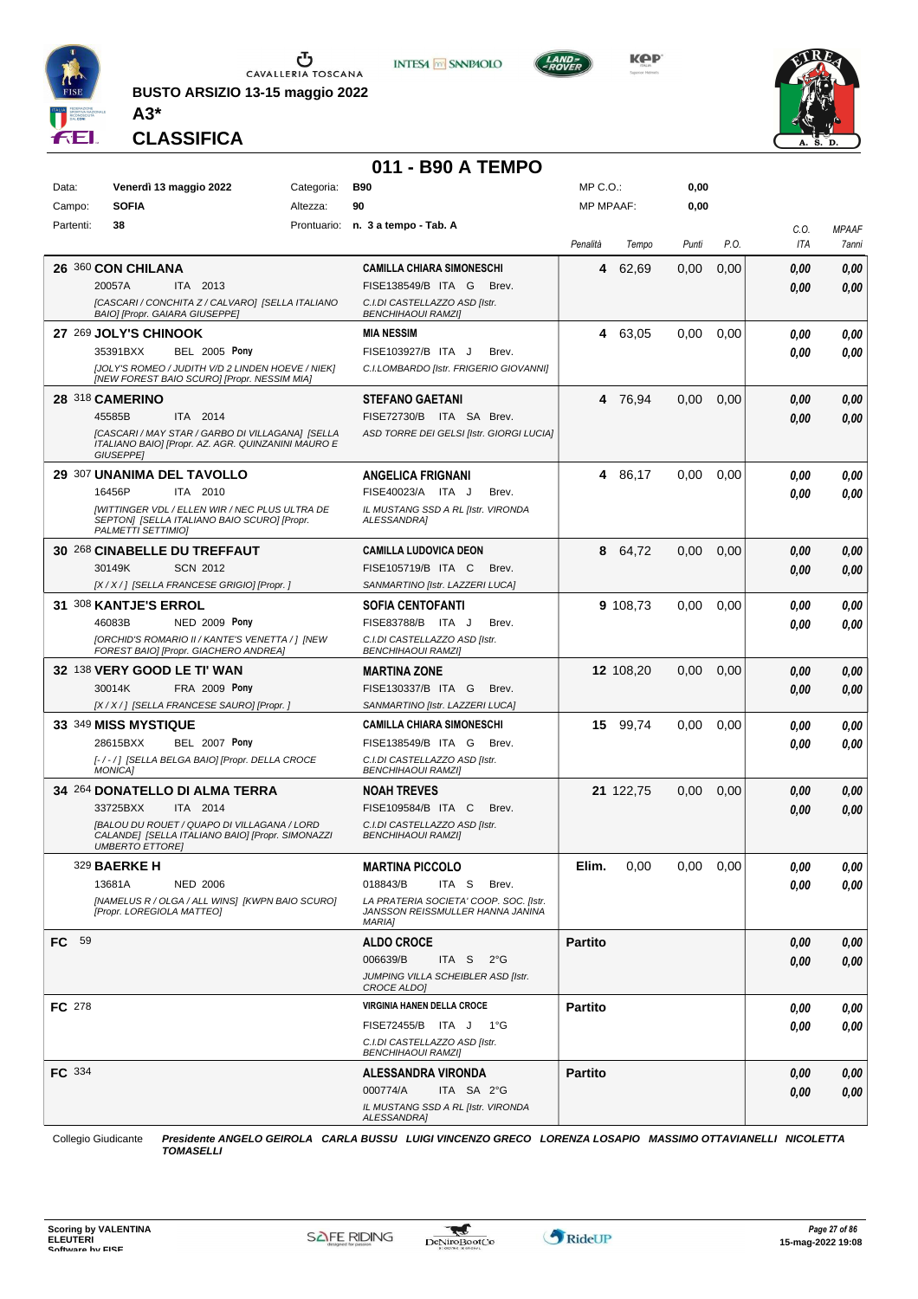

Ⴠ CAVALLERIA TOSCANA

**BUSTO ARSIZIO 13-15 maggio 2022 A3\***



**KOP** 



**CLASSIFICA**

#### **011 - B90 A TEMPO**

**INTESA** M SANPAOLO

| Data:     | Venerdì 13 maggio 2022                                                                                                           | Categoria: | <b>B90</b>                                                                                  | $MP C. O.$ :     |           | 0,00  |      |      |              |
|-----------|----------------------------------------------------------------------------------------------------------------------------------|------------|---------------------------------------------------------------------------------------------|------------------|-----------|-------|------|------|--------------|
| Campo:    | <b>SOFIA</b>                                                                                                                     | Altezza:   | 90                                                                                          | <b>MP MPAAF:</b> |           | 0,00  |      |      |              |
| Partenti: | 38                                                                                                                               |            | Prontuario: n. 3 a tempo - Tab. A                                                           |                  |           |       |      | C.O. | <b>MPAAF</b> |
|           |                                                                                                                                  |            |                                                                                             | Penalità         | Tempo     | Punti | P.O. | ITA  | 7anni        |
|           | 26 360 CON CHILANA                                                                                                               |            | <b>CAMILLA CHIARA SIMONESCHI</b>                                                            | 4                | 62,69     | 0,00  | 0,00 | 0.00 | 0,00         |
|           | ITA 2013<br>20057A                                                                                                               |            | FISE138549/B ITA G<br>Brev.                                                                 |                  |           |       |      | 0.00 | 0,00         |
|           | [CASCARI / CONCHITA Z / CALVARO] [SELLA ITALIANO<br>BAIO] [Propr. GAIARA GIUSEPPE]                                               |            | C.I.DI CASTELLAZZO ASD [Istr.<br><b>BENCHIHAOUI RAMZII</b>                                  |                  |           |       |      |      |              |
|           | 27 269 JOLY'S CHINOOK                                                                                                            |            | <b>MIA NESSIM</b>                                                                           |                  | 4 63,05   | 0,00  | 0,00 | 0.00 | 0,00         |
|           | <b>BEL 2005 Pony</b><br>35391BXX                                                                                                 |            | FISE103927/B ITA J<br>Brev.                                                                 |                  |           |       |      | 0.00 | 0,00         |
|           | [JOLY'S ROMEO / JUDITH V/D 2 LINDEN HOEVE / NIEK]<br>[NEW FOREST BAIO SCURO] [Propr. NESSIM MIA]                                 |            | C.I.LOMBARDO [Istr. FRIGERIO GIOVANNI]                                                      |                  |           |       |      |      |              |
|           | 28 318 CAMERINO                                                                                                                  |            | <b>STEFANO GAETANI</b>                                                                      |                  | 4 76,94   | 0,00  | 0,00 | 0.00 | 0,00         |
|           | 45585B<br>ITA 2014                                                                                                               |            | FISE72730/B ITA SA Brev.                                                                    |                  |           |       |      | 0.00 | 0,00         |
|           | [CASCARI / MAY STAR / GARBO DI VILLAGANA] [SELLA<br>ITALIANO BAIO] [Propr. AZ. AGR. QUINZANINI MAURO E<br><b>GIUSEPPE]</b>       |            | ASD TORRE DEI GELSI [Istr. GIORGI LUCIA]                                                    |                  |           |       |      |      |              |
|           | 29 307 UNANIMA DEL TAVOLLO                                                                                                       |            | <b>ANGELICA FRIGNANI</b>                                                                    |                  | 4 86,17   | 0,00  | 0,00 | 0.00 | 0,00         |
|           | 16456P<br>ITA 2010                                                                                                               |            | FISE40023/A ITA J<br>Brev.                                                                  |                  |           |       |      | 0.00 | 0.00         |
|           | [WITTINGER VDL / ELLEN WIR / NEC PLUS ULTRA DE<br>SEPTON] [SELLA ITALIANO BAIO SCURO] [Propr.<br>PALMETTI SETTIMIO]              |            | IL MUSTANG SSD A RL [Istr. VIRONDA<br>ALESSANDRA]                                           |                  |           |       |      |      |              |
|           | 30 268 CINABELLE DU TREFFAUT                                                                                                     |            | <b>CAMILLA LUDOVICA DEON</b>                                                                |                  | 8 64,72   | 0,00  | 0,00 | 0,00 | 0,00         |
|           | <b>SCN 2012</b><br>30149K                                                                                                        |            | FISE105719/B ITA C<br>Brev.                                                                 |                  |           |       |      | 0.00 | 0,00         |
|           | [X / X / ] [SELLA FRANCESE GRIGIO] [Propr. ]                                                                                     |            | SANMARTINO [Istr. LAZZERI LUCA]                                                             |                  |           |       |      |      |              |
|           | 31 308 KANTJE'S ERROL                                                                                                            |            | <b>SOFIA CENTOFANTI</b>                                                                     |                  | 9 108,73  | 0.00  | 0,00 | 0.00 | 0,00         |
|           | <b>NED 2009 Pony</b><br>46083B                                                                                                   |            | FISE83788/B ITA J<br>Brev.                                                                  |                  |           |       |      | 0.00 | 0.00         |
|           | [ORCHID'S ROMARIO II / KANTE'S VENETTA / ] [NEW<br>FOREST BAIO] [Propr. GIACHERO ANDREA]                                         |            | C.I.DI CASTELLAZZO ASD [Istr.<br><b>BENCHIHAOUI RAMZI]</b>                                  |                  |           |       |      |      |              |
|           | 32 138 VERY GOOD LE TI' WAN                                                                                                      |            | <b>MARTINA ZONE</b>                                                                         |                  | 12 108,20 | 0,00  | 0,00 | 0.00 | 0,00         |
|           | 30014K<br><b>FRA 2009 Pony</b>                                                                                                   |            | FISE130337/B ITA G<br>Brev.                                                                 |                  |           |       |      | 0.00 | 0,00         |
|           | [X / X / ] [SELLA FRANCESE SAURO] [Propr. ]                                                                                      |            | SANMARTINO [Istr. LAZZERI LUCA]                                                             |                  |           |       |      |      |              |
|           | 33 349 MISS MYSTIQUE                                                                                                             |            | <b>CAMILLA CHIARA SIMONESCHI</b>                                                            |                  | 15 99,74  | 0.00  | 0,00 | 0.00 | 0,00         |
|           | 28615BXX<br><b>BEL 2007 Pony</b>                                                                                                 |            | FISE138549/B ITA G<br>Brev.                                                                 |                  |           |       |      | 0.00 | 0.00         |
|           | [-/-/] [SELLA BELGA BAIO] [Propr. DELLA CROCE<br><b>MONICA]</b>                                                                  |            | C.I.DI CASTELLAZZO ASD [Istr.<br><b>BENCHIHAOUI RAMZI]</b>                                  |                  |           |       |      |      |              |
|           | 34 264 DONATELLO DI ALMA TERRA                                                                                                   |            | <b>NOAH TREVES</b>                                                                          |                  | 21 122,75 | 0,00  | 0,00 | 0.00 | 0,00         |
|           | 33725BXX<br>ITA 2014                                                                                                             |            | FISE109584/B ITA C<br>Brev.                                                                 |                  |           |       |      | 0.00 | 0.00         |
|           | <b>IBALOU DU ROUET / QUAPO DI VILLAGANA / LORD</b><br>CALANDE] [SELLA ITALIANO BAIO] [Propr. SIMONAZZI<br><b>UMBERTO ETTORE!</b> |            | C.I.DI CASTELLAZZO ASD [Istr.<br><b>BENCHIHAOUI RAMZI]</b>                                  |                  |           |       |      |      |              |
|           | 329 <b>BAERKE H</b>                                                                                                              |            | <b>MARTINA PICCOLO</b>                                                                      | Elim.            | 0,00      | 0,00  | 0,00 | 0,00 | 0,00         |
|           | 13681A<br><b>NED 2006</b>                                                                                                        |            | 018843/B<br>ITA S<br>Brev.                                                                  |                  |           |       |      | 0.00 | 0,00         |
|           | [NAMELUS R / OLGA / ALL WINS] [KWPN BAIO SCURO]<br>[Propr. LOREGIOLA MATTEO]                                                     |            | LA PRATERIA SOCIETA' COOP. SOC. [Istr.<br>JANSSON REISSMULLER HANNA JANINA<br><b>MARIAI</b> |                  |           |       |      |      |              |
| FC 59     |                                                                                                                                  |            | <b>ALDO CROCE</b>                                                                           | <b>Partito</b>   |           |       |      | 0,00 | 0,00         |
|           |                                                                                                                                  |            | 006639/B<br>ITA S $2^{\circ}G$                                                              |                  |           |       |      | 0.00 | 0,00         |
|           |                                                                                                                                  |            | JUMPING VILLA SCHEIBLER ASD [Istr.<br>CROCE ALDO]                                           |                  |           |       |      |      |              |
| FC 278    |                                                                                                                                  |            | VIRGINIA HANEN DELLA CROCE                                                                  | <b>Partito</b>   |           |       |      | 0.00 | 0,00         |
|           |                                                                                                                                  |            | FISE72455/B ITA J<br>1°G                                                                    |                  |           |       |      | 0.00 | 0,00         |
|           |                                                                                                                                  |            | C.I.DI CASTELLAZZO ASD [Istr.<br><b>BENCHIHAOUI RAMZI]</b>                                  |                  |           |       |      |      |              |
| FC 334    |                                                                                                                                  |            | <b>ALESSANDRA VIRONDA</b>                                                                   | <b>Partito</b>   |           |       |      | 0,00 | 0,00         |
|           |                                                                                                                                  |            | 000774/A<br>ITA SA 2°G                                                                      |                  |           |       |      | 0,00 | 0,00         |
|           |                                                                                                                                  |            | IL MUSTANG SSD A RL [Istr. VIRONDA<br>ALESSANDRA]                                           |                  |           |       |      |      |              |

Collegio Giudicante *Presidente ANGELO GEIROLA CARLA BUSSU LUIGI VINCENZO GRECO LORENZA LOSAPIO MASSIMO OTTAVIANELLI NICOLETTA TOMASELLI*

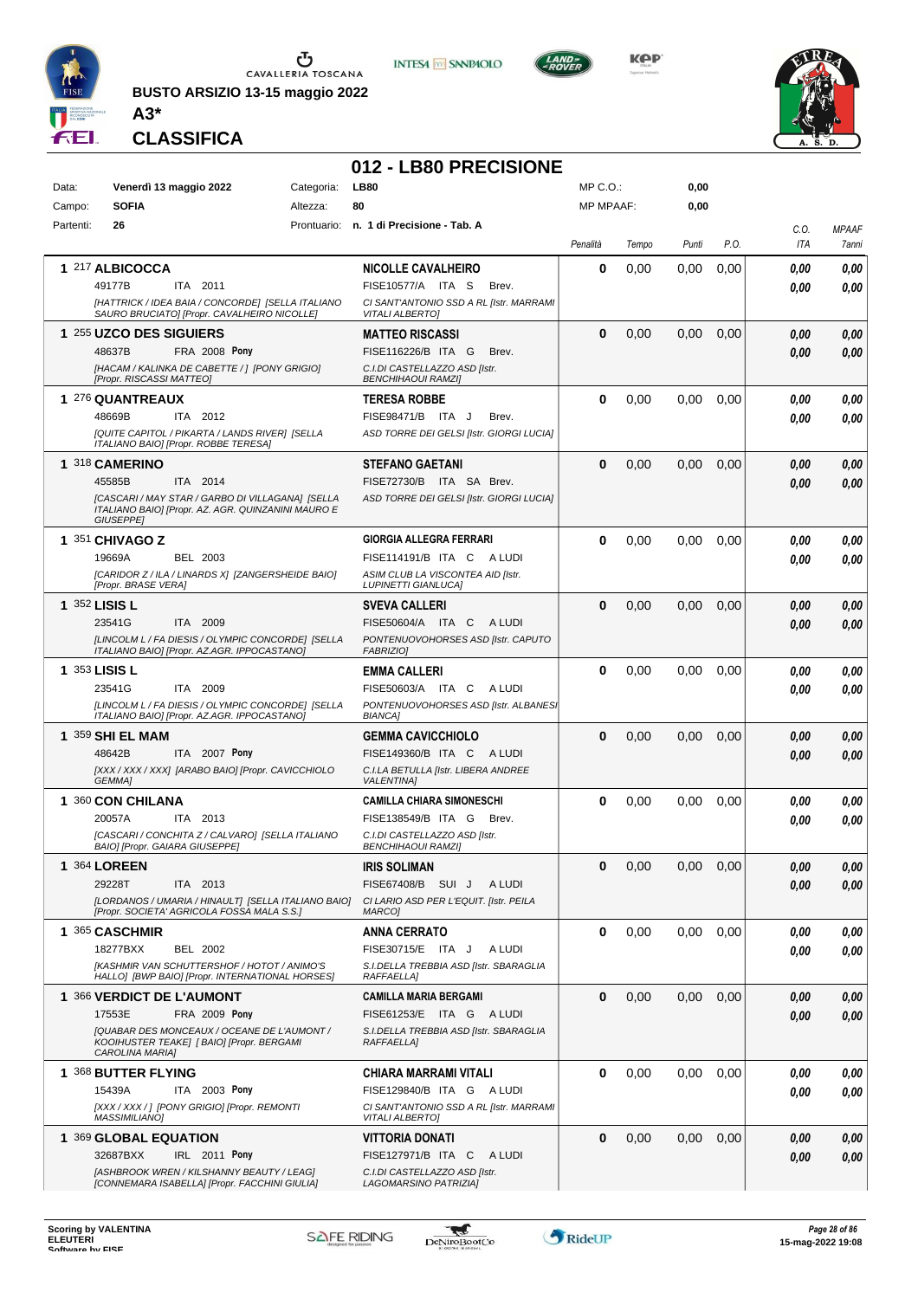

**BUSTO ARSIZIO 13-15 maggio 2022 A3\***





**KPP** 



**CLASSIFICA**

### **012 - LB80 PRECISIONE**

| Data:     | Venerdì 13 maggio 2022                                                                                                                                                     | Categoria: | <b>LB80</b>                                                                                                                   | MP C. O.         |       | 0,00          |      |              |                       |
|-----------|----------------------------------------------------------------------------------------------------------------------------------------------------------------------------|------------|-------------------------------------------------------------------------------------------------------------------------------|------------------|-------|---------------|------|--------------|-----------------------|
| Campo:    | <b>SOFIA</b>                                                                                                                                                               | Altezza:   | 80                                                                                                                            | <b>MP MPAAF:</b> |       | 0,00          |      |              |                       |
| Partenti: | 26                                                                                                                                                                         |            | Prontuario: n. 1 di Precisione - Tab. A                                                                                       | Penalità         | Tempo | Punti         | P.O. | C.O.<br>ITA  | <b>MPAAF</b><br>7anni |
|           | 1 217 ALBICOCCA<br>49177B<br>ITA 2011<br>[HATTRICK / IDEA BAIA / CONCORDE] [SELLA ITALIANO<br>SAURO BRUCIATO] [Propr. CAVALHEIRO NICOLLE]                                  |            | <b>NICOLLE CAVALHEIRO</b><br>FISE10577/A ITA S<br>Brev.<br>CI SANT'ANTONIO SSD A RL [Istr. MARRAMI<br><b>VITALI ALBERTO]</b>  | 0                | 0,00  | 0,00          | 0,00 | 0.00<br>0.00 | 0,00<br>0.00          |
|           | 1 255 UZCO DES SIGUIERS<br>FRA 2008 Pony<br>48637B<br>[HACAM / KALINKA DE CABETTE / ] [PONY GRIGIO]<br>[Propr. RISCASSI MATTEO]                                            |            | <b>MATTEO RISCASSI</b><br>FISE116226/B ITA G<br>Brev.<br>C.I.DI CASTELLAZZO ASD [Istr.<br><b>BENCHIHAOUI RAMZII</b>           | $\bf{0}$         | 0,00  | 0,00          | 0,00 | 0,00<br>0.00 | 0,00<br>0.00          |
|           | 1 276 QUANTREAUX<br>48669B<br>ITA 2012<br>[QUITE CAPITOL / PIKARTA / LANDS RIVER] [SELLA<br>ITALIANO BAIO] [Propr. ROBBE TERESA]                                           |            | <b>TERESA ROBBE</b><br>FISE98471/B ITA J<br>Brev.<br>ASD TORRE DEI GELSI [Istr. GIORGI LUCIA]                                 | 0                | 0,00  | 0,00          | 0,00 | 0,00<br>0,00 | 0,00<br>0.00          |
|           | 1 318 CAMERINO<br>ITA 2014<br>45585B<br>[CASCARI / MAY STAR / GARBO DI VILLAGANA] [SELLA<br>ITALIANO BAIO] [Propr. AZ. AGR. QUINZANINI MAURO E<br><b>GIUSEPPEI</b>         |            | <b>STEFANO GAETANI</b><br>FISE72730/B ITA SA Brev.<br>ASD TORRE DEI GELSI [Istr. GIORGI LUCIA]                                | $\bf{0}$         | 0,00  | 0,00          | 0,00 | 0,00<br>0.00 | 0,00<br>0.00          |
|           | 1 351 CHIVAGO Z<br>19669A<br>BEL 2003<br>[CARIDOR Z / ILA / LINARDS X] [ZANGERSHEIDE BAIO]<br><b>IPropr. BRASE VERAI</b>                                                   |            | GIORGIA ALLEGRA FERRARI<br>FISE114191/B ITA C<br>A LUDI<br>ASIM CLUB LA VISCONTEA AID [Istr.<br><b>LUPINETTI GIANLUCA)</b>    | 0                | 0,00  | 0,00          | 0,00 | 0,00<br>0.00 | 0,00<br>0.00          |
|           | 1 352 LISIS L<br>23541G<br>ITA 2009<br>[LINCOLM L / FA DIESIS / OLYMPIC CONCORDE] [SELLA<br>ITALIANO BAIO] [Propr. AZ.AGR. IPPOCASTANO]                                    |            | <b>SVEVA CALLERI</b><br>FISE50604/A ITA C<br>A LUDI<br>PONTENUOVOHORSES ASD [Istr. CAPUTO<br><b>FABRIZIO]</b>                 | $\bf{0}$         | 0,00  | 0.00          | 0,00 | 0,00<br>0.00 | 0,00<br>0,00          |
|           | 1 353 LISIS L<br>23541G<br>ITA 2009<br>[LINCOLM L / FA DIESIS / OLYMPIC CONCORDE] [SELLA<br>ITALIANO BAIO] [Propr. AZ.AGR. IPPOCASTANO]                                    |            | <b>EMMA CALLERI</b><br>FISE50603/A ITA C<br>A LUDI<br>PONTENUOVOHORSES ASD [Istr. ALBANES]<br><b>BIANCA1</b>                  | $\bf{0}$         | 0,00  | 0,00          | 0,00 | 0.00<br>0.00 | 0,00<br>0.00          |
|           | 1 359 SHI EL MAM<br>48642B<br>ITA 2007 Pony<br>[XXX / XXX / XXX] [ARABO BAIO] [Propr. CAVICCHIOLO<br>GEMMA]                                                                |            | <b>GEMMA CAVICCHIOLO</b><br>FISE149360/B ITA C<br>A LUDI<br>C.I.LA BETULLA [Istr. LIBERA ANDREE<br><b>VALENTINA1</b>          | $\bf{0}$         | 0,00  | 0,00          | 0,00 | 0,00<br>0.00 | 0,00<br>0,00          |
|           | 1 360 CON CHILANA<br>20057A<br>ITA 2013<br>[CASCARI / CONCHITA Z / CALVARO] [SELLA ITALIANO<br>BAIO] [Propr. GAIARA GIUSEPPE]                                              |            | <b>CAMILLA CHIARA SIMONESCHI</b><br>FISE138549/B ITA G<br>Brev.<br>C.I.DI CASTELLAZZO ASD [Istr.<br><b>BENCHIHAOUI RAMZII</b> | 0                | 0,00  | 0,00          | 0,00 | 0,00<br>0.00 | 0,00<br>0.00          |
|           | 1 364 LOREEN<br>29228T<br>ITA 2013<br>[LORDANOS / UMARIA / HINAULT] [SELLA ITALIANO BAIO]<br>[Propr. SOCIETA' AGRICOLA FOSSA MALA S.S.]                                    |            | <b>IRIS SOLIMAN</b><br>FISE67408/B SUI J<br>A LUDI<br>CI LARIO ASD PER L'EQUIT. [Istr. PEILA<br>MARCO]                        | $\mathbf{0}$     | 0,00  | $0,00$ $0,00$ |      | 0,00<br>0,00 | 0,00<br>0.00          |
|           | 1 365 CASCHMIR<br>18277BXX<br>BEL 2002<br>IKASHMIR VAN SCHUTTERSHOF / HOTOT / ANIMO'S<br>HALLO] [BWP BAIO] [Propr. INTERNATIONAL HORSES]                                   |            | <b>ANNA CERRATO</b><br>FISE30715/E ITA J<br>A LUDI<br>S.I.DELLA TREBBIA ASD [Istr. SBARAGLIA<br>RAFFAELLA]                    | $\bf{0}$         | 0,00  | 0,00          | 0,00 | 0,00<br>0.00 | 0,00<br>0.00          |
|           | 1 366 VERDICT DE L'AUMONT<br>17553E<br><b>FRA 2009 Pony</b><br>[QUABAR DES MONCEAUX / OCEANE DE L'AUMONT /<br>KOOIHUSTER TEAKE] [ BAIO] [Propr. BERGAMI<br>CAROLINA MARIA] |            | <b>CAMILLA MARIA BERGAMI</b><br>FISE61253/E ITA G ALUDI<br>S.I.DELLA TREBBIA ASD [Istr. SBARAGLIA<br><b>RAFFAELLA1</b>        | $\bf{0}$         | 0,00  | 0,00          | 0,00 | 0,00<br>0,00 | 0,00<br>0,00          |
|           | 1 368 BUTTER FLYING<br>15439A<br>ITA 2003 Pony<br>[XXX / XXX / ] [PONY GRIGIO] [Propr. REMONTI<br><b>MASSIMILIANO]</b>                                                     |            | CHIARA MARRAMI VITALI<br>FISE129840/B ITA G ALUDI<br>CI SANT'ANTONIO SSD A RL [Istr. MARRAMI<br>VITALI ALBERTOJ               | 0                | 0,00  | 0,00          | 0,00 | 0.00<br>0.00 | 0,00<br>0.00          |
|           | 1 369 GLOBAL EQUATION<br>IRL 2011 Pony<br>32687BXX<br>[ASHBROOK WREN / KILSHANNY BEAUTY / LEAG]<br>[CONNEMARA ISABELLA] [Propr. FACCHINI GIULIA]                           |            | <b>VITTORIA DONATI</b><br>FISE127971/B ITA C<br>A LUDI<br>C.I.DI CASTELLAZZO ASD [Istr.<br>LAGOMARSINO PATRIZIA]              | $\bf{0}$         | 0,00  | 0,00          | 0,00 | 0,00<br>0,00 | 0,00<br>0,00          |

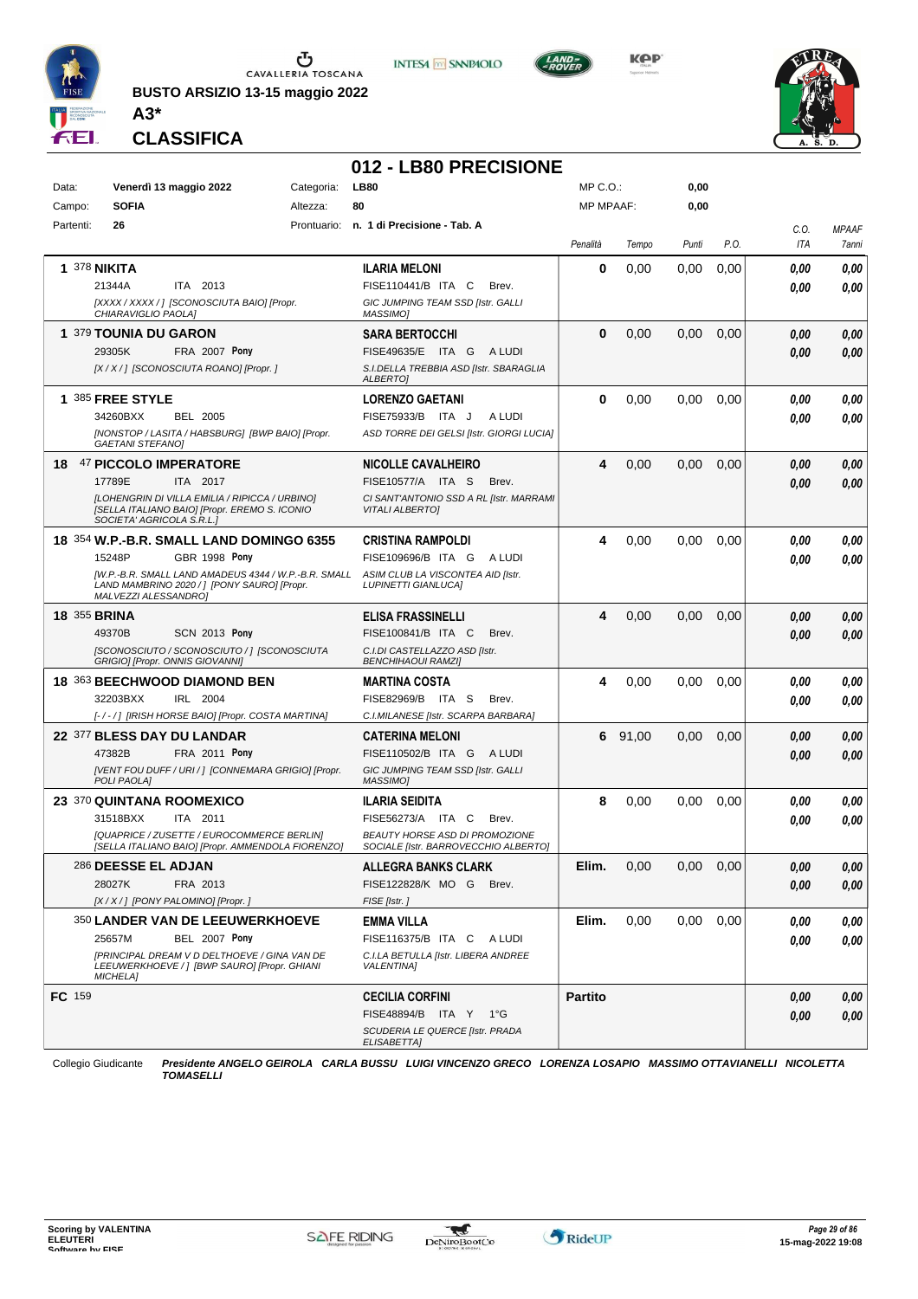

**BUSTO ARSIZIO 13-15 maggio 2022 A3\***





**KOP** 



**CLASSIFICA**

### **012 - LB80 PRECISIONE**

| Data:     | Venerdì 13 maggio 2022                                                                                                                                                                                                               | Categoria: | <b>LB80</b>                                                                                                                  | MP C. O.         |         | 0,00     |      |              |                       |
|-----------|--------------------------------------------------------------------------------------------------------------------------------------------------------------------------------------------------------------------------------------|------------|------------------------------------------------------------------------------------------------------------------------------|------------------|---------|----------|------|--------------|-----------------------|
| Campo:    | <b>SOFIA</b>                                                                                                                                                                                                                         | Altezza:   | 80                                                                                                                           | <b>MP MPAAF:</b> |         | 0,00     |      |              |                       |
| Partenti: | 26                                                                                                                                                                                                                                   |            | Prontuario: n. 1 di Precisione - Tab. A                                                                                      | Penalità         | Tempo   | Punti    | P.O. | C.O.<br>ITA  | <b>MPAAF</b><br>7anni |
|           | <b>1 378 NIKITA</b><br>ITA 2013<br>21344A<br>[XXXX / XXXX / ] [SCONOSCIUTA BAIO] [Propr.<br>CHIARAVIGLIO PAOLA]                                                                                                                      |            | <b>ILARIA MELONI</b><br>FISE110441/B ITA C<br>Brev.<br>GIC JUMPING TEAM SSD [Istr. GALLI<br>MASSIMO]                         | 0                | 0,00    | 0.00     | 0,00 | 0.00<br>0.00 | 0,00<br>0,00          |
|           | 1 379 TOUNIA DU GARON<br>29305K<br>FRA 2007 Pony<br>[X / X / ] [SCONOSCIUTA ROANO] [Propr. ]                                                                                                                                         |            | <b>SARA BERTOCCHI</b><br>FISE49635/E ITA G<br>A LUDI<br>S.I.DELLA TREBBIA ASD [Istr. SBARAGLIA<br>ALBERTO]                   | $\bf{0}$         | 0,00    | 0,00     | 0,00 | 0.00<br>0.00 | 0,00<br>0,00          |
|           | 1 385 FREE STYLE<br>34260BXX<br><b>BEL 2005</b><br>[NONSTOP / LASITA / HABSBURG] [BWP BAIO] [Propr.<br><b>GAETANI STEFANO]</b>                                                                                                       |            | <b>LORENZO GAETANI</b><br>FISE75933/B ITA J<br>A LUDI<br>ASD TORRE DEI GELSI [Istr. GIORGI LUCIA]                            | 0                | 0,00    | 0,00     | 0,00 | 0.00<br>0.00 | 0,00<br>0.00          |
| 18        | 47 PICCOLO IMPERATORE<br>17789E<br>ITA 2017<br>[LOHENGRIN DI VILLA EMILIA / RIPICCA / URBINO]<br>[SELLA ITALIANO BAIO] [Propr. EREMO S. ICONIO<br>SOCIETA' AGRICOLA S.R.L.                                                           |            | <b>NICOLLE CAVALHEIRO</b><br>FISE10577/A ITA S<br>Brev.<br>CI SANT'ANTONIO SSD A RL [Istr. MARRAMI<br><b>VITALI ALBERTO]</b> | 4                | 0,00    | 0,00     | 0,00 | 0.00<br>0.00 | 0,00<br>0,00          |
|           | 18 354 W.P.-B.R. SMALL LAND DOMINGO 6355<br>15248P<br>GBR 1998 Pony<br>[W.P.-B.R. SMALL LAND AMADEUS 4344 / W.P.-B.R. SMALL ASIM CLUB LA VISCONTEA AID [Istr.<br>LAND MAMBRINO 2020 /   [PONY SAURO] [Propr.<br>MALVEZZI ALESSANDRO] |            | <b>CRISTINA RAMPOLDI</b><br>FISE109696/B ITA G<br>A LUDI<br><b>LUPINETTI GIANLUCA]</b>                                       | 4                | 0,00    | 0.00     | 0,00 | 0.00<br>0.00 | 0,00<br>0.00          |
|           | <b>18 355 BRINA</b><br>49370B<br><b>SCN 2013 Pony</b><br>[SCONOSCIUTO / SCONOSCIUTO / ] [SCONOSCIUTA<br>GRIGIO] [Propr. ONNIS GIOVANNI]                                                                                              |            | <b>ELISA FRASSINELLI</b><br>FISE100841/B ITA C<br>Brev.<br>C.I.DI CASTELLAZZO ASD [Istr.<br><b>BENCHIHAOUI RAMZI]</b>        | 4                | 0,00    | 0,00     | 0,00 | 0,00<br>0.00 | 0,00<br>0,00          |
|           | 18 363 BEECHWOOD DIAMOND BEN<br>32203BXX<br>IRL 2004<br>[-/-/] [IRISH HORSE BAIO] [Propr. COSTA MARTINA]                                                                                                                             |            | <b>MARTINA COSTA</b><br>FISE82969/B ITA S<br>Brev.<br>C.I.MILANESE [Istr. SCARPA BARBARA]                                    | 4                | 0,00    | 0,00     | 0,00 | 0.00<br>0.00 | 0.00<br>0.00          |
|           | 22 377 BLESS DAY DU LANDAR<br>47382B<br>FRA 2011 Pony<br>[VENT FOU DUFF / URI / ] [CONNEMARA GRIGIO] [Propr.<br>POLI PAOLA]                                                                                                          |            | <b>CATERINA MELONI</b><br>FISE110502/B ITA G<br>A LUDI<br>GIC JUMPING TEAM SSD [Istr. GALLI<br>MASSIMO]                      |                  | 6 91,00 | 0,00     | 0,00 | 0,00<br>0.00 | 0,00<br>0,00          |
|           | 23 370 QUINTANA ROOMEXICO<br>ITA 2011<br>31518BXX<br>[QUAPRICE / ZUSETTE / EUROCOMMERCE BERLIN]<br>[SELLA ITALIANO BAIO] [Propr. AMMENDOLA FIORENZO]                                                                                 |            | ILARIA SEIDITA<br>FISE56273/A ITA C<br>Brev.<br>BEAUTY HORSE ASD DI PROMOZIONE<br>SOCIALE [Istr. BARROVECCHIO ALBERTO]       | 8                | 0,00    | 0,00     | 0,00 | 0,00<br>0.00 | 0,00<br>0.00          |
|           | 286 DEESSE EL ADJAN<br>28027K<br>FRA 2013<br>[X / X / ] [PONY PALOMINO] [Propr. ]                                                                                                                                                    |            | <b>ALLEGRA BANKS CLARK</b><br>FISE122828/K MO G Brev.<br>FISE [Istr.]                                                        | Elim.            | 0,00    | 0.00     | 0,00 | 0,00<br>0,00 | 0.00<br>0,00          |
|           | 350 LANDER VAN DE LEEUWERKHOEVE<br>25657M<br><b>BEL 2007 Pony</b><br>[PRINCIPAL DREAM V D DELTHOEVE / GINA VAN DE<br>LEEUWERKHOEVE / ] [BWP SAURO] [Propr. GHIANI<br><b>MICHELA]</b>                                                 |            | <b>EMMA VILLA</b><br>FISE116375/B ITA C ALUDI<br>C.I.LA BETULLA [Istr. LIBERA ANDREE<br><b>VALENTINA1</b>                    | Elim.            | 0,00    | $0.00\,$ | 0,00 | 0,00<br>0.00 | 0,00<br>0,00          |
| FC 159    |                                                                                                                                                                                                                                      |            | <b>CECILIA CORFINI</b><br>FISE48894/B ITA Y 1°G<br>SCUDERIA LE QUERCE [Istr. PRADA<br>ELISABETTA]                            | <b>Partito</b>   |         |          |      | 0,00<br>0.00 | 0,00<br>0,00          |

Collegio Giudicante *Presidente ANGELO GEIROLA CARLA BUSSU LUIGI VINCENZO GRECO LORENZA LOSAPIO MASSIMO OTTAVIANELLI NICOLETTA TOMASELLI*

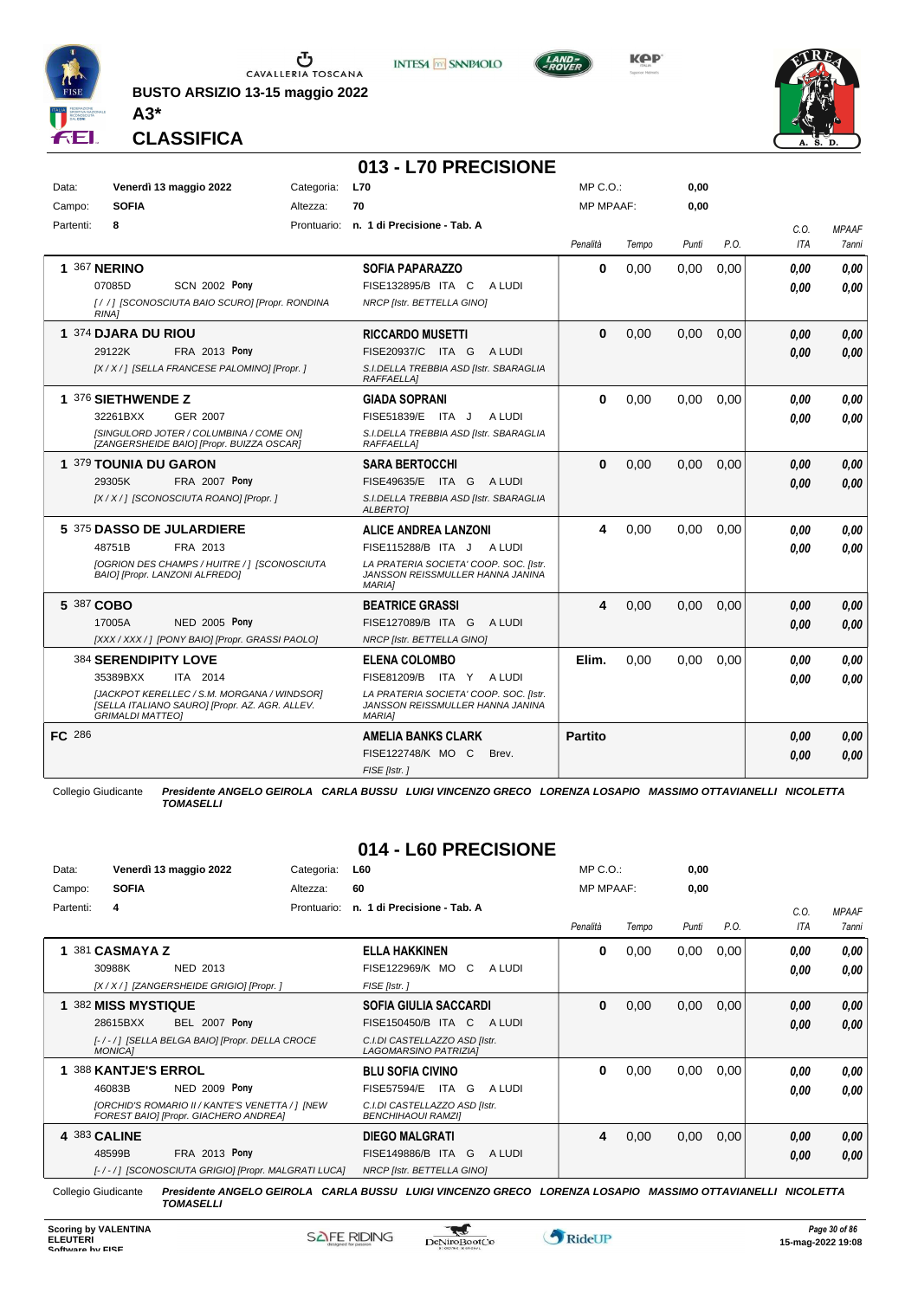

Ⴠ CAVALLERIA TOSCANA

**BUSTO ARSIZIO 13-15 maggio 2022**



**KPP** 



**CLASSIFICA**

**A3\***

### **013 - L70 PRECISIONE**

| Data:         | Venerdì 13 maggio 2022<br><b>SOFIA</b>                                                                                   | Categoria: | <b>L70</b><br>70                                                                            | MP C.O.<br><b>MP MPAAF:</b> |       | 0,00  |      |             |                       |
|---------------|--------------------------------------------------------------------------------------------------------------------------|------------|---------------------------------------------------------------------------------------------|-----------------------------|-------|-------|------|-------------|-----------------------|
| Campo:        | 8                                                                                                                        | Altezza:   |                                                                                             |                             |       | 0,00  |      |             |                       |
| Partenti:     |                                                                                                                          |            | Prontuario: n. 1 di Precisione - Tab. A                                                     | Penalità                    | Tempo | Punti | P.O. | C.O.<br>ITA | <b>MPAAF</b><br>7anni |
|               | 1 367 NERINO                                                                                                             |            | <b>SOFIA PAPARAZZO</b>                                                                      | $\bf{0}$                    | 0.00  | 0.00  | 0.00 | 0.00        | 0.00                  |
|               | <b>SCN 2002 Pony</b><br>07085D                                                                                           |            | FISE132895/B ITA C<br>A LUDI                                                                |                             |       |       |      | 0.00        | 0,00                  |
|               | [//] ISCONOSCIUTA BAIO SCURO] [Propr. RONDINA<br><b>RINA1</b>                                                            |            | NRCP [Istr. BETTELLA GINO]                                                                  |                             |       |       |      |             |                       |
|               | 1 374 DJARA DU RIOU                                                                                                      |            | <b>RICCARDO MUSETTI</b>                                                                     | $\bf{0}$                    | 0.00  | 0.00  | 0.00 | 0.00        | 0,00                  |
|               | 29122K<br><b>FRA 2013 Pony</b>                                                                                           |            | FISE20937/C ITA G<br>A LUDI                                                                 |                             |       |       |      | 0.00        | 0.00                  |
|               | [X / X / ] [SELLA FRANCESE PALOMINO] [Propr. ]                                                                           |            | S.I.DELLA TREBBIA ASD [Istr. SBARAGLIA<br><b>RAFFAELLA1</b>                                 |                             |       |       |      |             |                       |
|               | 1 376 SIETHWENDE Z                                                                                                       |            | <b>GIADA SOPRANI</b>                                                                        | $\bf{0}$                    | 0,00  | 0,00  | 0,00 | 0.00        | 0,00                  |
|               | 32261BXX<br><b>GER 2007</b>                                                                                              |            | FISE51839/E ITA J<br>A LUDI                                                                 |                             |       |       |      | 0.00        | 0.00                  |
|               | <b>ISINGULORD JOTER / COLUMBINA / COME ONI</b><br>[ZANGERSHEIDE BAIO] [Propr. BUIZZA OSCAR]                              |            | S.I.DELLA TREBBIA ASD [Istr. SBARAGLIA<br><b>RAFFAELLA1</b>                                 |                             |       |       |      |             |                       |
|               | 1 379 TOUNIA DU GARON                                                                                                    |            | <b>SARA BERTOCCHI</b>                                                                       | $\bf{0}$                    | 0,00  | 0,00  | 0,00 | 0.00        | 0,00                  |
|               | 29305K<br><b>FRA 2007 Pony</b>                                                                                           |            | FISE49635/E ITA G ALUDI                                                                     |                             |       |       |      | 0.00        | 0.00                  |
|               | [X / X / ] [SCONOSCIUTA ROANO] [Propr. ]                                                                                 |            | S.I.DELLA TREBBIA ASD [Istr. SBARAGLIA<br><b>ALBERTOI</b>                                   |                             |       |       |      |             |                       |
|               | 5 375 DASSO DE JULARDIERE                                                                                                |            | <b>ALICE ANDREA LANZONI</b>                                                                 | 4                           | 0,00  | 0.00  | 0.00 | 0.00        | 0,00                  |
|               | 48751B<br>FRA 2013                                                                                                       |            | FISE115288/B ITA J ALUDI                                                                    |                             |       |       |      | 0.00        | 0.00                  |
|               | [OGRION DES CHAMPS / HUITRE / ] [SCONOSCIUTA<br>BAIO] [Propr. LANZONI ALFREDO]                                           |            | LA PRATERIA SOCIETA' COOP. SOC. [Istr.<br>JANSSON REISSMULLER HANNA JANINA<br><b>MARIA1</b> |                             |       |       |      |             |                       |
|               | 5 387 COBO                                                                                                               |            | <b>BEATRICE GRASSI</b>                                                                      | 4                           | 0,00  | 0,00  | 0,00 | 0.00        | 0,00                  |
|               | 17005A<br><b>NED 2005 Pony</b>                                                                                           |            | FISE127089/B ITA G ALUDI                                                                    |                             |       |       |      | 0.00        | 0.00                  |
|               | [XXX / XXX / ] [PONY BAIO] [Propr. GRASSI PAOLO]                                                                         |            | NRCP [Istr. BETTELLA GINO]                                                                  |                             |       |       |      |             |                       |
|               | 384 SERENDIPITY LOVE                                                                                                     |            | <b>ELENA COLOMBO</b>                                                                        | Elim.                       | 0,00  | 0,00  | 0,00 | 0.00        | 0.00                  |
|               | 35389BXX<br>ITA 2014                                                                                                     |            | FISE81209/B ITA Y ALUDI                                                                     |                             |       |       |      | 0.00        | 0.00                  |
|               | [JACKPOT KERELLEC / S.M. MORGANA / WINDSOR]<br>[SELLA ITALIANO SAURO] [Propr. AZ. AGR. ALLEV.<br><b>GRIMALDI MATTEO1</b> |            | LA PRATERIA SOCIETA' COOP. SOC. [Istr.<br>JANSSON REISSMULLER HANNA JANINA<br><b>MARIAI</b> |                             |       |       |      |             |                       |
| <b>FC</b> 286 |                                                                                                                          |            | <b>AMELIA BANKS CLARK</b>                                                                   | <b>Partito</b>              |       |       |      | 0,00        | 0,00                  |
|               |                                                                                                                          |            | FISE122748/K MO C<br>Brev.                                                                  |                             |       |       |      | 0.00        | 0.00                  |
|               |                                                                                                                          |            | FISE [Istr.]                                                                                |                             |       |       |      |             |                       |

Collegio Giudicante *Presidente ANGELO GEIROLA CARLA BUSSU LUIGI VINCENZO GRECO LORENZA LOSAPIO MASSIMO OTTAVIANELLI NICOLETTA TOMASELLI*

**014 - L60 PRECISIONE**

| Data:     | Venerdì 13 maggio 2022                                                                   | Categoria:  | <b>L60</b>                                                 | $MP C. O.$ :     |       | 0,00  |      |      |                     |
|-----------|------------------------------------------------------------------------------------------|-------------|------------------------------------------------------------|------------------|-------|-------|------|------|---------------------|
| Campo:    | <b>SOFIA</b>                                                                             | Altezza:    | 60                                                         | <b>MP MPAAF:</b> |       | 0,00  |      |      |                     |
| Partenti: | 4                                                                                        | Prontuario: | n. 1 di Precisione - Tab. A                                |                  |       |       |      | C.0. | <b>MPAAF</b>        |
|           |                                                                                          |             |                                                            | Penalità         | Tempo | Punti | P.O. | ITA  | <i><b>7anni</b></i> |
|           | 381 CASMAYA Z                                                                            |             | <b>ELLA HAKKINEN</b>                                       | 0                | 0,00  | 0,00  | 0,00 | 0.00 | 0,00                |
|           | NED 2013<br>30988K                                                                       |             | FISE122969/K MO<br>C.<br>A LUDI                            |                  |       |       |      | 0.00 | 0.00                |
|           | [X / X / ] [ZANGERSHEIDE GRIGIO] [Propr. ]                                               |             | FISE [Istr.]                                               |                  |       |       |      |      |                     |
|           | 1 382 MISS MYSTIQUE                                                                      |             | SOFIA GIULIA SACCARDI                                      | 0                | 0,00  | 0,00  | 0,00 | 0,00 | 0,00                |
|           | <b>BEL 2007 Pony</b><br>28615BXX                                                         |             | FISE150450/B ITA C<br>A LUDI                               |                  |       |       |      | 0,00 | 0,00                |
|           | [-/-/] [SELLA BELGA BAIO] [Propr. DELLA CROCE<br><b>MONICAI</b>                          |             | C.I.DI CASTELLAZZO ASD [Istr.<br>LAGOMARSINO PATRIZIA]     |                  |       |       |      |      |                     |
|           | <b>388 KANTJE'S ERROL</b>                                                                |             | <b>BLU SOFIA CIVINO</b>                                    | 0                | 0,00  | 0,00  | 0,00 | 0.00 | 0,00                |
|           | NED 2009 Pony<br>46083B                                                                  |             | <b>FISE57594/E</b><br>ITA G<br>A LUDI                      |                  |       |       |      | 0.00 | 0.00                |
|           | [ORCHID'S ROMARIO II / KANTE'S VENETTA / ] [NEW<br>FOREST BAIO] [Propr. GIACHERO ANDREA] |             | C.I.DI CASTELLAZZO ASD [Istr.<br><b>BENCHIHAOUI RAMZII</b> |                  |       |       |      |      |                     |
|           | 4 383 CALINE                                                                             |             | <b>DIEGO MALGRATI</b>                                      | 4                | 0,00  | 0,00  | 0,00 | 0,00 | 0,00                |
|           | FRA 2013 Pony<br>48599B                                                                  |             | <b>FISE149886/B ITA</b><br>A LUDI<br>G                     |                  |       |       |      | 0,00 | 0,00                |
|           | [-/-/] [SCONOSCIUTA GRIGIO] [Propr. MALGRATI LUCA]                                       |             | NRCP [Istr. BETTELLA GINO]                                 |                  |       |       |      |      |                     |

Collegio Giudicante *Presidente ANGELO GEIROLA CARLA BUSSU LUIGI VINCENZO GRECO LORENZA LOSAPIO MASSIMO OTTAVIANELLI NICOLETTA TOMASELLI*

 $\mathcal{L}$ 

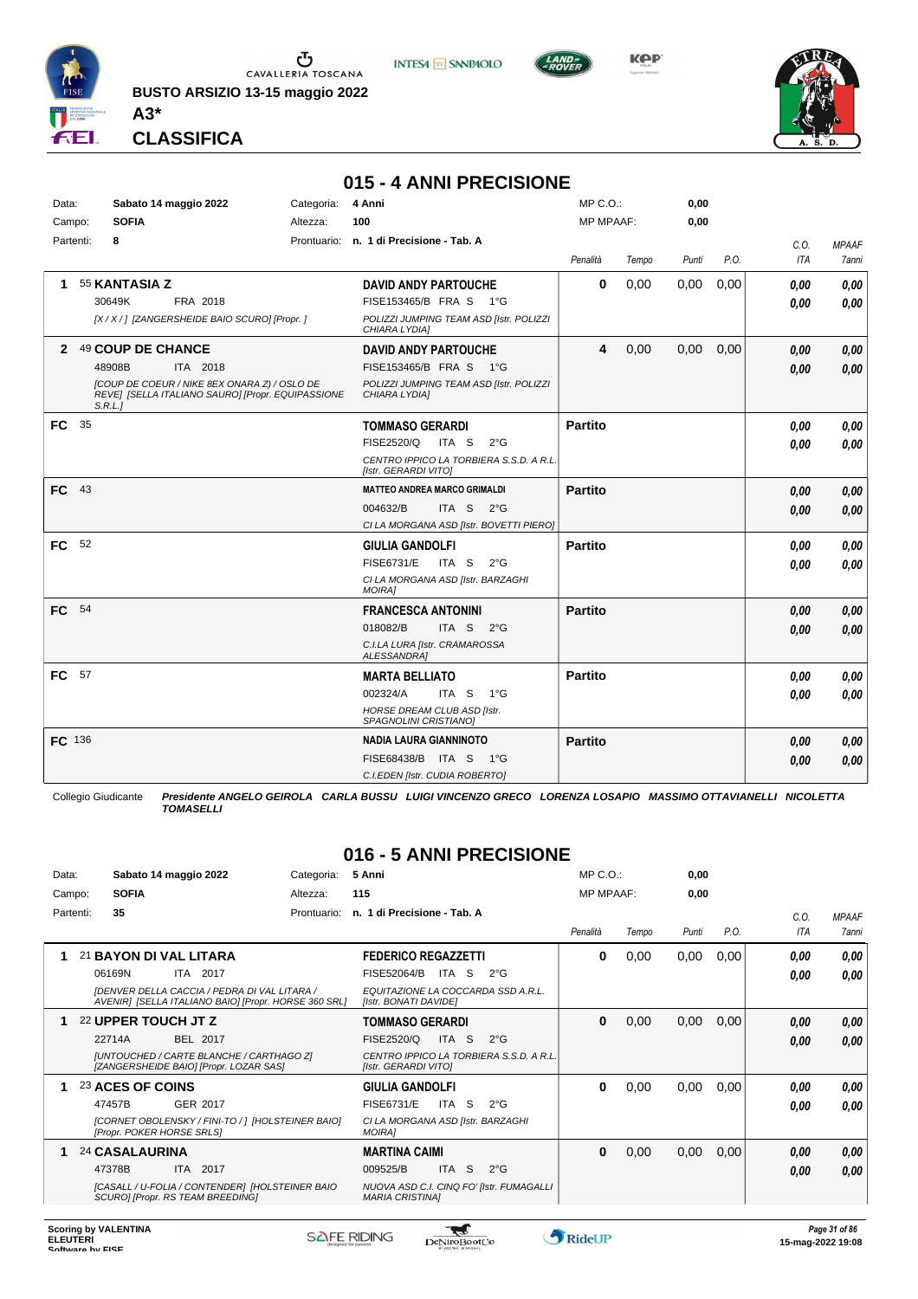

*TOMASELLI* **CLASSIFICA**

**A3\***

**BUSTO ARSIZIO 13-15 maggio 2022**



**KPP** 



|               |                       |                                                                                                   |            | 015 - 4 ANNI PRECISIONE                                     |                     |                                         |                  |       |       |      |      |              |
|---------------|-----------------------|---------------------------------------------------------------------------------------------------|------------|-------------------------------------------------------------|---------------------|-----------------------------------------|------------------|-------|-------|------|------|--------------|
| Data:         | Sabato 14 maggio 2022 |                                                                                                   | Categoria: | 4 Anni                                                      |                     | $MP C. O.$ :                            |                  | 0,00  |       |      |      |              |
| Campo:        | <b>SOFIA</b>          |                                                                                                   | Altezza:   | 100                                                         |                     |                                         | <b>MP MPAAF:</b> |       | 0,00  |      |      |              |
| Partenti:     | 8                     |                                                                                                   |            | Prontuario: n. 1 di Precisione - Tab. A                     |                     |                                         |                  |       |       |      | C.O. | <b>MPAAF</b> |
|               |                       |                                                                                                   |            |                                                             |                     |                                         | Penalità         | Tempo | Punti | P.O. | ITA  | 7anni        |
| 1.            | 55 KANTASIA Z         |                                                                                                   |            | <b>DAVID ANDY PARTOUCHE</b>                                 |                     |                                         | 0                | 0,00  | 0,00  | 0,00 | 0,00 | 0,00         |
|               | 30649K                | FRA 2018                                                                                          |            | FISE153465/B FRA S 1°G                                      |                     |                                         |                  |       |       |      | 0.00 | 0.00         |
|               |                       | [X / X / ] [ZANGERSHEIDE BAIO SCURO] [Propr. ]                                                    |            | CHIARA LYDIA]                                               |                     | POLIZZI JUMPING TEAM ASD [Istr. POLIZZI |                  |       |       |      |      |              |
|               | 2 49 COUP DE CHANCE   |                                                                                                   |            | <b>DAVID ANDY PARTOUCHE</b>                                 |                     |                                         | 4                | 0,00  | 0,00  | 0,00 | 0,00 | 0,00         |
|               | 48908B                | ITA 2018                                                                                          |            | FISE153465/B FRA S 1°G                                      |                     |                                         |                  |       |       |      | 0,00 | 0,00         |
|               | S.R.L.1               | [COUP DE COEUR / NIKE 8EX ONARA Z) / OSLO DE<br>REVE] [SELLA ITALIANO SAURO] [Propr. EQUIPASSIONE |            | CHIARA LYDIA]                                               |                     | POLIZZI JUMPING TEAM ASD [Istr. POLIZZI |                  |       |       |      |      |              |
| FC            | 35                    |                                                                                                   |            | <b>TOMMASO GERARDI</b>                                      |                     |                                         | <b>Partito</b>   |       |       |      | 0,00 | 0.00         |
|               |                       |                                                                                                   |            | FISE2520/Q                                                  | ITA S $2^{\circ}$ G |                                         |                  |       |       |      | 0,00 | 0.00         |
|               |                       |                                                                                                   |            | [Istr. GERARDI VITO]                                        |                     | CENTRO IPPICO LA TORBIERA S.S.D. A R.L. |                  |       |       |      |      |              |
| $FC$ 43       |                       |                                                                                                   |            | <b>MATTEO ANDREA MARCO GRIMALDI</b>                         |                     |                                         | <b>Partito</b>   |       |       |      | 0,00 | 0,00         |
|               |                       |                                                                                                   |            | 004632/B                                                    | ITA S $2^{\circ}G$  |                                         |                  |       |       |      | 0.00 | 0,00         |
|               |                       |                                                                                                   |            |                                                             |                     | CI LA MORGANA ASD [Istr. BOVETTI PIERO] |                  |       |       |      |      |              |
| FC .          | 52                    |                                                                                                   |            | <b>GIULIA GANDOLFI</b>                                      |                     |                                         | <b>Partito</b>   |       |       |      | 0.00 | 0,00         |
|               |                       |                                                                                                   |            | <b>FISE6731/E</b>                                           | ITA S 2°G           |                                         |                  |       |       |      | 0.00 | 0.00         |
|               |                       |                                                                                                   |            | CI LA MORGANA ASD [Istr. BARZAGHI<br><b>MOIRAI</b>          |                     |                                         |                  |       |       |      |      |              |
| FC            | 54                    |                                                                                                   |            | <b>FRANCESCA ANTONINI</b>                                   |                     |                                         | <b>Partito</b>   |       |       |      | 0.00 | 0,00         |
|               |                       |                                                                                                   |            | 018082/B                                                    | ITA S $2^{\circ}$ G |                                         |                  |       |       |      | 0.00 | 0,00         |
|               |                       |                                                                                                   |            | C.I.LA LURA [Istr. CRAMAROSSA<br>ALESSANDRA]                |                     |                                         |                  |       |       |      |      |              |
| FC 57         |                       |                                                                                                   |            | <b>MARTA BELLIATO</b>                                       |                     |                                         | <b>Partito</b>   |       |       |      | 0,00 | 0,00         |
|               |                       |                                                                                                   |            | 002324/A                                                    | ITA S               | 1°G                                     |                  |       |       |      | 0,00 | 0.00         |
|               |                       |                                                                                                   |            | <b>HORSE DREAM CLUB ASD [Istr.</b><br>SPAGNOLINI CRISTIANO] |                     |                                         |                  |       |       |      |      |              |
| <b>FC</b> 136 |                       |                                                                                                   |            | NADIA LAURA GIANNINOTO                                      |                     |                                         | <b>Partito</b>   |       |       |      | 0,00 | 0,00         |
|               |                       |                                                                                                   |            | FISE68438/B                                                 | ITA S               | − 1°G                                   |                  |       |       |      | 0.00 | 0,00         |
|               |                       |                                                                                                   |            | C.I.EDEN [Istr. CUDIA ROBERTO]                              |                     |                                         |                  |       |       |      |      |              |

Collegio Giudicante *Presidente ANGELO GEIROLA CARLA BUSSU LUIGI VINCENZO GRECO LORENZA LOSAPIO MASSIMO OTTAVIANELLI NICOLETTA TOMASELLI*

#### **016 - 5 ANNI PRECISIONE**

| Data:     |                     | Sabato 14 maggio 2022                                                                                | Categoria:  | 5 Anni                                                      |           |                                          | $MP C. O.$ :     |       | 0,00  |      |            |              |
|-----------|---------------------|------------------------------------------------------------------------------------------------------|-------------|-------------------------------------------------------------|-----------|------------------------------------------|------------------|-------|-------|------|------------|--------------|
| Campo:    | <b>SOFIA</b>        |                                                                                                      | Altezza:    | 115                                                         |           |                                          | <b>MP MPAAF:</b> |       | 0,00  |      |            |              |
| Partenti: | 35                  |                                                                                                      | Prontuario: | n. 1 di Precisione - Tab. A                                 |           |                                          |                  |       |       |      | C.O.       | <b>MPAAF</b> |
|           |                     |                                                                                                      |             |                                                             |           |                                          | Penalità         | Tempo | Punti | P.O. | <b>ITA</b> | 7anni        |
|           |                     | 21 BAYON DI VAL LITARA                                                                               |             | <b>FEDERICO REGAZZETTI</b>                                  |           |                                          | 0                | 0,00  | 0,00  | 0,00 | 0.00       | 0.00         |
|           | 06169N              | ITA 2017                                                                                             |             | FISE52064/B                                                 | ITA<br>-S | $2^{\circ}$ G                            |                  |       |       |      | 0.00       | 0.00         |
|           |                     | IDENVER DELLA CACCIA / PEDRA DI VAL LITARA /<br>AVENIRI [SELLA ITALIANO BAIO] [Propr. HORSE 360 SRL] |             | EQUITAZIONE LA COCCARDA SSD A.R.L.<br>[Istr. BONATI DAVIDE] |           |                                          |                  |       |       |      |            |              |
|           | 22 UPPER TOUCH JT Z |                                                                                                      |             | <b>TOMMASO GERARDI</b>                                      |           |                                          | $\bf{0}$         | 0,00  | 0,00  | 0,00 | 0,00       | 0,00         |
|           | 22714A              | BEL 2017                                                                                             |             | FISE2520/Q                                                  | ITA S     | $2^{\circ}$ G                            |                  |       |       |      | 0,00       | 0,00         |
|           |                     | [UNTOUCHED / CARTE BLANCHE / CARTHAGO Z]<br>[ZANGERSHEIDE BAIO] [Propr. LOZAR SAS]                   |             | [Istr. GERARDI VITO]                                        |           | CENTRO IPPICO LA TORBIERA S.S.D. A R.L.  |                  |       |       |      |            |              |
|           | 23 ACES OF COINS    |                                                                                                      |             | <b>GIULIA GANDOLFI</b>                                      |           |                                          | 0                | 0,00  | 0,00  | 0,00 | 0,00       | 0.00         |
|           | 47457B              | GER 2017                                                                                             |             | <b>FISE6731/E</b>                                           | ITA S     | $2^{\circ}G$                             |                  |       |       |      | 0.00       | 0.00         |
|           |                     | [CORNET OBOLENSKY / FINI-TO / ] [HOLSTEINER BAIO]<br><b>IPropr. POKER HORSE SRLS1</b>                |             | CI LA MORGANA ASD [Istr. BARZAGHI<br><b>MOIRAI</b>          |           |                                          |                  |       |       |      |            |              |
|           | 24 CASALAURINA      |                                                                                                      |             | <b>MARTINA CAIMI</b>                                        |           |                                          | 0                | 0,00  | 0,00  | 0,00 | 0,00       | 0,00         |
|           | 47378B              | ITA 2017                                                                                             |             | 009525/B                                                    | ITA S     | $2^{\circ}$ G                            |                  |       |       |      | 0.00       | 0,00         |
|           |                     | [CASALL / U-FOLIA / CONTENDER] [HOLSTEINER BAIO<br>SCURO] [Propr. RS TEAM BREEDING]                  |             | <b>MARIA CRISTINAI</b>                                      |           | NUOVA ASD C.I. CINQ FO' [Istr. FUMAGALLI |                  |       |       |      |            |              |
|           |                     |                                                                                                      |             |                                                             |           |                                          |                  |       |       |      |            |              |



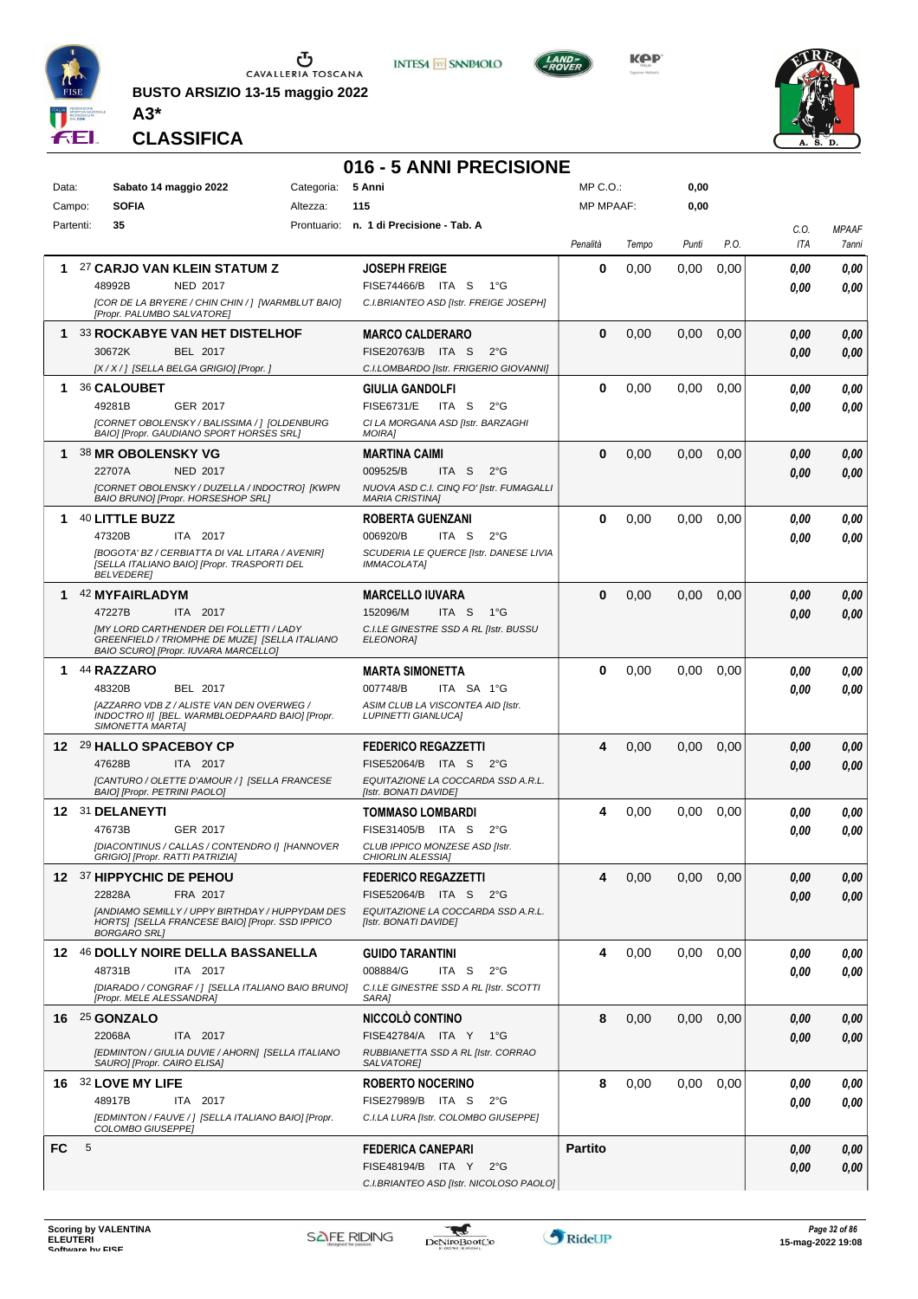

**BUSTO ARSIZIO 13-15 maggio 2022 A3\***



**KPP** 



**CLASSIFICA**

# **016 - 5 ANNI PRECISIONE**

| Data:     |   | Sabato 14 maggio 2022                                                                                                                                                              | Categoria: | 5 Anni                                                                                                                          | $MP C. O.$ :     |       | 0,00  |      |              |                       |
|-----------|---|------------------------------------------------------------------------------------------------------------------------------------------------------------------------------------|------------|---------------------------------------------------------------------------------------------------------------------------------|------------------|-------|-------|------|--------------|-----------------------|
| Campo:    |   | <b>SOFIA</b>                                                                                                                                                                       | Altezza:   | 115                                                                                                                             | <b>MP MPAAF:</b> |       | 0,00  |      |              |                       |
| Partenti: |   | 35                                                                                                                                                                                 |            | Prontuario: n. 1 di Precisione - Tab. A                                                                                         | Penalità         | Tempo | Punti | P.O. | C.O.<br>ITA  | <b>MPAAF</b><br>7anni |
| 1.        |   | 27 CARJO VAN KLEIN STATUM Z<br><b>NED 2017</b><br>48992B<br>[COR DE LA BRYERE / CHIN CHIN / ] [WARMBLUT BAIO]                                                                      |            | <b>JOSEPH FREIGE</b><br>FISE74466/B ITA S<br>1°G<br>C.I.BRIANTEO ASD [Istr. FREIGE JOSEPH]                                      | 0                | 0,00  | 0.00  | 0,00 | 0.00<br>0,00 | 0,00<br>0.00          |
| 1         |   | [Propr. PALUMBO SALVATORE]<br><b>33 ROCKABYE VAN HET DISTELHOF</b><br>30672K<br><b>BEL 2017</b><br>[X / X / ] [SELLA BELGA GRIGIO] [Propr. ]                                       |            | <b>MARCO CALDERARO</b><br>FISE20763/B ITA S<br>$2^{\circ}$ G<br>C.I.LOMBARDO [Istr. FRIGERIO GIOVANNI]                          | $\bf{0}$         | 0,00  | 0,00  | 0,00 | 0.00<br>0.00 | 0,00<br>0.00          |
| 1.        |   | 36 CALOUBET<br>49281B<br>GER 2017<br>[CORNET OBOLENSKY / BALISSIMA / ] [OLDENBURG<br>BAIO] [Propr. GAUDIANO SPORT HORSES SRL]                                                      |            | <b>GIULIA GANDOLFI</b><br><b>FISE6731/E</b><br>ITA S<br>$2^{\circ}$ G<br>CI LA MORGANA ASD [Istr. BARZAGHI<br>MOIRA]            | 0                | 0,00  | 0.00  | 0,00 | 0.00<br>0.00 | 0,00<br>0.00          |
| 1.        |   | <b>38 MR OBOLENSKY VG</b><br>22707A<br><b>NED 2017</b><br>[CORNET OBOLENSKY / DUZELLA / INDOCTRO] [KWPN<br>BAIO BRUNO] [Propr. HORSESHOP SRL]                                      |            | <b>MARTINA CAIMI</b><br>009525/B<br>ITA S<br>$2^{\circ}G$<br>NUOVA ASD C.I. CINQ FO' [Istr. FUMAGALLI<br><b>MARIA CRISTINA1</b> | $\bf{0}$         | 0,00  | 0,00  | 0,00 | 0.00<br>0,00 | 0,00<br>0,00          |
| 1         |   | 40 LITTLE BUZZ<br>ITA 2017<br>47320B<br>[BOGOTA' BZ / CERBIATTA DI VAL LITARA / AVENIR]<br>[SELLA ITALIANO BAIO] [Propr. TRASPORTI DEL<br><b>BELVEDERE</b>                         |            | <b>ROBERTA GUENZANI</b><br>006920/B<br>ITA S<br>$2^{\circ}$ G<br>SCUDERIA LE QUERCE [Istr. DANESE LIVIA<br><b>IMMACOLATA1</b>   | 0                | 0,00  | 0,00  | 0,00 | 0.00<br>0.00 | 0,00<br>0.00          |
|           |   | 1 42 MYFAIRLADYM<br>47227B<br>ITA 2017<br><b>IMY LORD CARTHENDER DEI FOLLETTI / LADY</b><br>GREENFIELD / TRIOMPHE DE MUZE] [SELLA ITALIANO<br>BAIO SCURO] [Propr. IUVARA MARCELLO] |            | <b>MARCELLO IUVARA</b><br>152096/M<br>ITA S<br>1°G<br>C.I.LE GINESTRE SSD A RL [Istr. BUSSU<br>ELEONORA]                        | 0                | 0,00  | 0,00  | 0,00 | 0,00<br>0.00 | 0,00<br>0.00          |
| 1.        |   | 44 RAZZARO<br>48320B<br>BEL 2017<br>[AZZARRO VDB Z / ALISTE VAN DEN OVERWEG /<br>INDOCTRO II] [BEL. WARMBLOEDPAARD BAIO] [Propr.<br>SIMONETTA MARTA]                               |            | <b>MARTA SIMONETTA</b><br>007748/B<br>ITA SA 1°G<br>ASIM CLUB LA VISCONTEA AID [Istr.<br><b>LUPINETTI GIANLUCA]</b>             | 0                | 0,00  | 0,00  | 0,00 | 0.00<br>0.00 | 0,00<br>0.00          |
|           |   | 12 29 HALLO SPACEBOY CP<br>47628B<br>ITA 2017<br>[CANTURO / OLETTE D'AMOUR / 1 [SELLA FRANCESE<br>BAIO] [Propr. PETRINI PAOLO]                                                     |            | <b>FEDERICO REGAZZETTI</b><br>FISE52064/B ITA S<br>$2^{\circ}G$<br>EQUITAZIONE LA COCCARDA SSD A.R.L.<br>[Istr. BONATI DAVIDE]  | 4                | 0,00  | 0,00  | 0,00 | 0,00<br>0.00 | 0,00<br>0,00          |
|           |   | 12 31 DELANEYTI<br><b>GER 2017</b><br>47673B<br>[DIACONTINUS / CALLAS / CONTENDRO I] [HANNOVER<br>GRIGIO] [Propr. RATTI PATRIZIA]                                                  |            | <b>TOMMASO LOMBARDI</b><br>FISE31405/B ITA S<br>$2^{\circ}G$<br>CLUB IPPICO MONZESE ASD [Istr.<br><b>CHIORLIN ALESSIA1</b>      | 4                | 0,00  | 0,00  | 0,00 | 0,00<br>0.00 | 0,00<br>0.00          |
|           |   | 12 37 HIPPYCHIC DE PEHOU<br>22828A<br>FRA 2017<br>[ANDIAMO SEMILLY / UPPY BIRTHDAY / HUPPYDAM DES<br>HORTS] [SELLA FRANCESE BAIO] [Propr. SSD IPPICO<br><b>BORGARO SRLI</b>        |            | <b>FEDERICO REGAZZETTI</b><br>FISE52064/B ITA S 2°G<br>EQUITAZIONE LA COCCARDA SSD A.R.L.<br>[Istr. BONATI DAVIDE]              | 4                | 0,00  | 0,00  | 0,00 | 0,00<br>0.00 | 0,00<br>0.00          |
|           |   | 12 46 DOLLY NOIRE DELLA BASSANELLA<br>48731B<br>ITA 2017<br>[DIARADO / CONGRAF / ] [SELLA ITALIANO BAIO BRUNO]<br>[Propr. MELE ALESSANDRA]                                         |            | <b>GUIDO TARANTINI</b><br>008884/G<br>ITA S<br>$2^{\circ}$ G<br>C.I.LE GINESTRE SSD A RL [Istr. SCOTTI<br>SARA]                 | 4                | 0,00  | 0,00  | 0,00 | 0,00<br>0.00 | 0,00<br>0.00          |
|           |   | 16 25 GONZALO<br>22068A<br>ITA 2017<br>[EDMINTON / GIULIA DUVIE / AHORN] [SELLA ITALIANO<br>SAURO] [Propr. CAIRO ELISA]                                                            |            | NICCOLÒ CONTINO<br>FISE42784/A ITA Y 1°G<br>RUBBIANETTA SSD A RL [Istr. CORRAO<br>SALVATORE]                                    | 8                | 0,00  | 0,00  | 0,00 | 0.00<br>0.00 | 0,00<br>0.00          |
|           |   | 16 32 LOVE MY LIFE<br>48917B<br>ITA 2017<br>[EDMINTON / FAUVE / ] [SELLA ITALIANO BAIO] [Propr.<br>COLOMBO GIUSEPPE]                                                               |            | <b>ROBERTO NOCERINO</b><br>FISE27989/B ITA S<br>$2^{\circ}G$<br>C.I.LA LURA [Istr. COLOMBO GIUSEPPE]                            | 8                | 0,00  | 0,00  | 0,00 | 0.00<br>0.00 | 0,00<br>0.00          |
| FC        | 5 |                                                                                                                                                                                    |            | <b>FEDERICA CANEPARI</b><br>FISE48194/B ITA Y<br>$2^{\circ}G$<br>C.I.BRIANTEO ASD [Istr. NICOLOSO PAOLO]                        | <b>Partito</b>   |       |       |      | 0,00<br>0.00 | 0,00<br>0,00          |

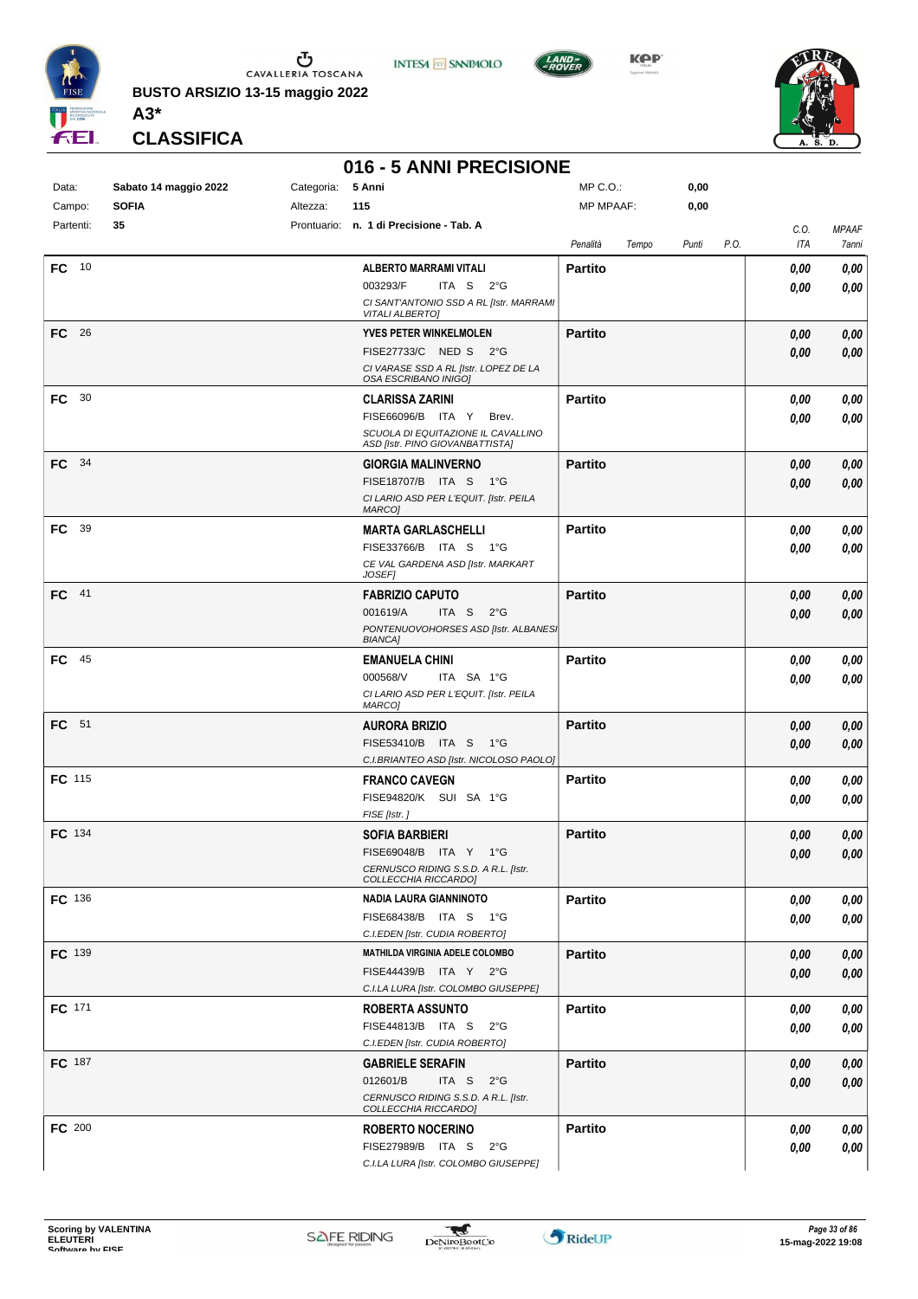

**BUSTO ARSIZIO 13-15 maggio 2022 A3\***



**KPP** 



**CLASSIFICA**

# **016 - 5 ANNI PRECISIONE**

**INTESA M** SANPAOLO

| Data:         | Sabato 14 maggio 2022 | Categoria: | 5 Anni                                                                     | MP C.O.:       |       | 0,00  |      |             |                |
|---------------|-----------------------|------------|----------------------------------------------------------------------------|----------------|-------|-------|------|-------------|----------------|
| Campo:        | <b>SOFIA</b>          | Altezza:   | 115                                                                        | MP MPAAF:      |       | 0,00  |      |             |                |
| Partenti:     | 35                    |            | Prontuario: n. 1 di Precisione - Tab. A                                    | Penalità       | Tempo | Punti | P.O. | C.O.<br>ITA | MPAAF<br>7anni |
| FC 10         |                       |            | ALBERTO MARRAMI VITALI                                                     | <b>Partito</b> |       |       |      |             |                |
|               |                       |            | 003293/F<br>ITA S $2^{\circ}G$                                             |                |       |       |      | 0,00        | 0,00           |
|               |                       |            | CI SANT'ANTONIO SSD A RL [Istr. MARRAMI                                    |                |       |       |      | 0.00        | 0,00           |
|               |                       |            | <b>VITALI ALBERTO]</b>                                                     |                |       |       |      |             |                |
| - 26<br>FC    |                       |            | <b>YVES PETER WINKELMOLEN</b>                                              | <b>Partito</b> |       |       |      | 0.00        | 0,00           |
|               |                       |            | FISE27733/C NED S 2°G                                                      |                |       |       |      | 0.00        | 0,00           |
|               |                       |            | CI VARASE SSD A RL [Istr. LOPEZ DE LA<br>OSA ESCRIBANO INIGO]              |                |       |       |      |             |                |
| 30<br>FC      |                       |            | <b>CLARISSA ZARINI</b>                                                     | <b>Partito</b> |       |       |      | 0.00        | 0,00           |
|               |                       |            | FISE66096/B ITA Y<br>Brev.                                                 |                |       |       |      | 0.00        | 0,00           |
|               |                       |            | SCUOLA DI EQUITAZIONE IL CAVALLINO<br>ASD [Istr. PINO GIOVANBATTISTA]      |                |       |       |      |             |                |
| - 34<br>FC    |                       |            | <b>GIORGIA MALINVERNO</b>                                                  | <b>Partito</b> |       |       |      | 0,00        | 0,00           |
|               |                       |            | FISE18707/B ITA S 1°G                                                      |                |       |       |      | 0,00        | 0,00           |
|               |                       |            | CI LARIO ASD PER L'EQUIT. [Istr. PEILA                                     |                |       |       |      |             |                |
|               |                       |            | MARCO]                                                                     |                |       |       |      |             |                |
| 39<br>FC      |                       |            | <b>MARTA GARLASCHELLI</b>                                                  | <b>Partito</b> |       |       |      | 0,00        | 0,00           |
|               |                       |            | FISE33766/B ITA S 1°G                                                      |                |       |       |      | 0,00        | 0,00           |
|               |                       |            | CE VAL GARDENA ASD [Istr. MARKART<br><b>JOSEF1</b>                         |                |       |       |      |             |                |
| FC 41         |                       |            | <b>FABRIZIO CAPUTO</b>                                                     | <b>Partito</b> |       |       |      | 0,00        | 0,00           |
|               |                       |            | 001619/A<br>ITA S $2^{\circ}G$                                             |                |       |       |      | 0,00        | 0,00           |
|               |                       |            | PONTENUOVOHORSES ASD [Istr. ALBANES]<br><b>BIANCA]</b>                     |                |       |       |      |             |                |
| 45<br>FC      |                       |            | <b>EMANUELA CHINI</b>                                                      | <b>Partito</b> |       |       |      | 0,00        | 0,00           |
|               |                       |            | 000568/V<br>ITA SA 1°G                                                     |                |       |       |      | 0.00        | 0,00           |
|               |                       |            | CI LARIO ASD PER L'EQUIT. [Istr. PEILA                                     |                |       |       |      |             |                |
|               |                       |            | <b>MARCO]</b>                                                              |                |       |       |      |             |                |
| FC 51         |                       |            | <b>AURORA BRIZIO</b>                                                       | <b>Partito</b> |       |       |      | 0,00        | 0,00           |
|               |                       |            | FISE53410/B ITA S 1°G                                                      |                |       |       |      | 0.00        | 0,00           |
|               |                       |            | C.I.BRIANTEO ASD [Istr. NICOLOSO PAOLO]                                    |                |       |       |      |             |                |
| <b>FC</b> 115 |                       |            | <b>FRANCO CAVEGN</b>                                                       | <b>Partito</b> |       |       |      | 0,00        | 0,00           |
|               |                       |            | FISE94820/K SUI SA 1°G                                                     |                |       |       |      | 0.00        | 0,00           |
| FC 134        |                       |            | FISE [Istr.]<br><b>SOFIA BARBIERI</b>                                      | <b>Partito</b> |       |       |      | 0.00        | 0,00           |
|               |                       |            | FISE69048/B ITA Y 1°G                                                      |                |       |       |      | 0,00        | 0,00           |
|               |                       |            | CERNUSCO RIDING S.S.D. A R.L. [Istr.                                       |                |       |       |      |             |                |
|               |                       |            | COLLECCHIA RICCARDO]                                                       |                |       |       |      |             |                |
| FC 136        |                       |            | NADIA LAURA GIANNINOTO                                                     | <b>Partito</b> |       |       |      | 0,00        | 0,00           |
|               |                       |            | FISE68438/B ITA S 1°G                                                      |                |       |       |      | 0,00        | 0,00           |
|               |                       |            | C.I.EDEN [Istr. CUDIA ROBERTO]                                             |                |       |       |      |             |                |
| FC 139        |                       |            | <b>MATHILDA VIRGINIA ADELE COLOMBO</b>                                     | <b>Partito</b> |       |       |      | 0,00        | 0,00           |
|               |                       |            | FISE44439/B ITA Y 2°G                                                      |                |       |       |      | 0,00        | 0,00           |
|               |                       |            | C.I.LA LURA [Istr. COLOMBO GIUSEPPE]                                       |                |       |       |      |             |                |
| FC 171        |                       |            | <b>ROBERTA ASSUNTO</b>                                                     | <b>Partito</b> |       |       |      | 0,00        | 0,00           |
|               |                       |            | FISE44813/B ITA S 2°G                                                      |                |       |       |      | 0,00        | 0,00           |
|               |                       |            | C.I.EDEN [Istr. CUDIA ROBERTO]                                             |                |       |       |      |             |                |
| <b>FC</b> 187 |                       |            | <b>GABRIELE SERAFIN</b>                                                    | <b>Partito</b> |       |       |      | 0,00        | 0,00           |
|               |                       |            | 012601/B<br>ITA S<br>$2^{\circ}$ G<br>CERNUSCO RIDING S.S.D. A R.L. [Istr. |                |       |       |      | 0,00        | 0,00           |
|               |                       |            | COLLECCHIA RICCARDO]                                                       |                |       |       |      |             |                |
| FC 200        |                       |            | <b>ROBERTO NOCERINO</b>                                                    | <b>Partito</b> |       |       |      | 0,00        | 0,00           |
|               |                       |            | FISE27989/B ITA S 2°G                                                      |                |       |       |      | 0,00        | 0,00           |
|               |                       |            | C.I.LA LURA [Istr. COLOMBO GIUSEPPE]                                       |                |       |       |      |             |                |

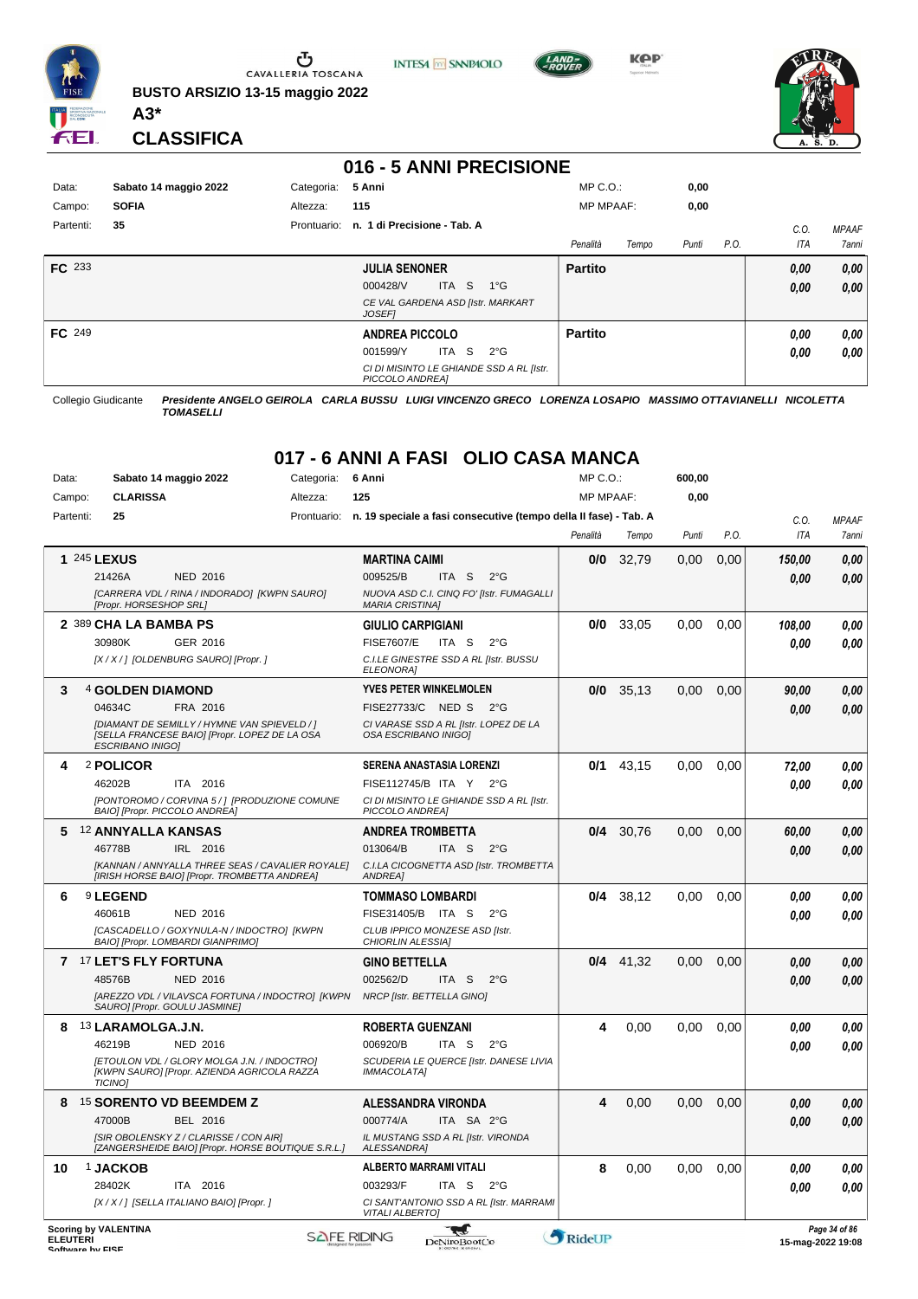

**BUSTO ARSIZIO 13-15 maggio 2022 A3\***



**KPP** 



**CLASSIFICA**

#### **016 - 5 ANNI PRECISIONE**

| Data:         | Sabato 14 maggio 2022 | Categoria:  | 5 Anni                                                      | $MP C. O.$ :     |       | 0,00  |      |      |              |
|---------------|-----------------------|-------------|-------------------------------------------------------------|------------------|-------|-------|------|------|--------------|
| Campo:        | <b>SOFIA</b>          | Altezza:    | 115                                                         | <b>MP MPAAF:</b> |       | 0,00  |      |      |              |
| Partenti:     | 35                    | Prontuario: | n. 1 di Precisione - Tab. A                                 |                  |       |       |      | C.0  | <b>MPAAF</b> |
|               |                       |             |                                                             | Penalità         | Tempo | Punti | P.O. | ITA  | 7anni        |
| <b>FC</b> 233 |                       |             | <b>JULIA SENONER</b>                                        | <b>Partito</b>   |       |       |      | 0,00 | 0,00         |
|               |                       |             | ITA S<br>000428/V<br>$1^{\circ}$ G                          |                  |       |       |      | 0,00 | 0,00         |
|               |                       |             | CE VAL GARDENA ASD [Istr. MARKART<br><b>JOSEFI</b>          |                  |       |       |      |      |              |
| <b>FC</b> 249 |                       |             | <b>ANDREA PICCOLO</b>                                       | <b>Partito</b>   |       |       |      | 0.00 | 0,00         |
|               |                       |             | ITA S<br>$2^{\circ}$ G<br>001599/Y                          |                  |       |       |      | 0.00 | 0.00         |
|               |                       |             | CI DI MISINTO LE GHIANDE SSD A RL [Istr.<br>PICCOLO ANDREA] |                  |       |       |      |      |              |

Collegio Giudicante *Presidente ANGELO GEIROLA CARLA BUSSU LUIGI VINCENZO GRECO LORENZA LOSAPIO MASSIMO OTTAVIANELLI NICOLETTA TOMASELLI*

#### **017 - 6 ANNI A FASI OLIO CASA MANCA**

| Data:     |                           | Sabato 14 maggio 2022<br>Categoria:                                                              |             | 6 Anni                                                             |                  |                                         | MP C.O.:         |             | 600,00 |      |        |                  |
|-----------|---------------------------|--------------------------------------------------------------------------------------------------|-------------|--------------------------------------------------------------------|------------------|-----------------------------------------|------------------|-------------|--------|------|--------|------------------|
| Campo:    | <b>CLARISSA</b>           |                                                                                                  | Altezza:    | 125                                                                |                  |                                         | <b>MP MPAAF:</b> |             | 0,00   |      |        |                  |
| Partenti: | 25                        |                                                                                                  | Prontuario: | n. 19 speciale a fasi consecutive (tempo della II fase) - Tab. A   |                  |                                         |                  |             |        |      | C.O.   | <b>MPAAF</b>     |
|           |                           |                                                                                                  |             |                                                                    |                  |                                         | Penalità         | Tempo       | Punti  | P.O. | ITA    | 7anni            |
|           | 1 245 LEXUS               |                                                                                                  |             | <b>MARTINA CAIMI</b>                                               |                  |                                         | 0/0              | 32,79       | 0,00   | 0,00 | 150,00 | 0,00             |
|           | 21426A                    | <b>NED 2016</b>                                                                                  |             | 009525/B                                                           | ITA <sub>S</sub> | $2^{\circ}G$                            |                  |             |        |      | 0.00   | 0,00             |
|           | [Propr. HORSESHOP SRL]    | [CARRERA VDL / RINA / INDORADO] [KWPN SAURO]                                                     |             | NUOVA ASD C.I. CINQ FO' [Istr. FUMAGALLI<br><b>MARIA CRISTINAI</b> |                  |                                         |                  |             |        |      |        |                  |
|           | 2 389 CHA LA BAMBA PS     |                                                                                                  |             | <b>GIULIO CARPIGIANI</b>                                           |                  |                                         | 0/0              | 33,05       | 0,00   | 0.00 | 108,00 | 0.00             |
|           | 30980K                    | GER 2016                                                                                         |             | <b>FISE7607/E</b>                                                  | ITA S            | $2^{\circ}$ G                           |                  |             |        |      | 0.00   | 0.00             |
|           |                           | [X / X / ] [OLDENBURG SAURO] [Propr. ]                                                           |             | C.I.LE GINESTRE SSD A RL [Istr. BUSSU<br><b>ELEONORAI</b>          |                  |                                         |                  |             |        |      |        |                  |
| 3         | 4 GOLDEN DIAMOND          |                                                                                                  |             | <b>YVES PETER WINKELMOLEN</b>                                      |                  |                                         | 0/0              | 35,13       | 0,00   | 0,00 | 90,00  | 0,00             |
|           | 04634C                    | FRA 2016                                                                                         |             | FISE27733/C NED S                                                  |                  | $2^{\circ}$ G                           |                  |             |        |      | 0.00   | 0.00             |
|           | <b>ESCRIBANO INIGO)</b>   | [DIAMANT DE SEMILLY / HYMNE VAN SPIEVELD / ]<br>[SELLA FRANCESE BAIO] [Propr. LOPEZ DE LA OSA    |             | CI VARASE SSD A RL [Istr. LOPEZ DE LA<br>OSA ESCRIBANO INIGOI      |                  |                                         |                  |             |        |      |        |                  |
| 4         | 2 POLICOR                 |                                                                                                  |             | SERENA ANASTASIA LORENZI                                           |                  |                                         | 0/1              | 43,15       | 0,00   | 0,00 | 72,00  | 0,00             |
|           | 46202B                    | ITA 2016                                                                                         |             | FISE112745/B ITA Y 2°G                                             |                  |                                         |                  |             |        |      | 0.00   | 0,00             |
|           |                           | [PONTOROMO / CORVINA 5 / ] [PRODUZIONE COMUNE<br>BAIO] [Propr. PICCOLO ANDREA]                   |             | CI DI MISINTO LE GHIANDE SSD A RL [Istr.<br>PICCOLO ANDREA]        |                  |                                         |                  |             |        |      |        |                  |
| 5         | <b>12 ANNYALLA KANSAS</b> |                                                                                                  |             | <b>ANDREA TROMBETTA</b>                                            |                  |                                         | 0/4              | 30,76       | 0.00   | 0,00 | 60,00  | 0,00             |
|           | 46778B                    | IRL 2016                                                                                         |             | 013064/B                                                           | ITA <sub>S</sub> | $2^{\circ}$ G                           |                  |             |        |      | 0.00   | 0.00             |
|           |                           | [KANNAN / ANNYALLA THREE SEAS / CAVALIER ROYALE]<br>[IRISH HORSE BAIO] [Propr. TROMBETTA ANDREA] |             | C.I.LA CICOGNETTA ASD [Istr. TROMBETTA<br><b>ANDREA</b>            |                  |                                         |                  |             |        |      |        |                  |
| 6         | <sup>9</sup> LEGEND       |                                                                                                  |             | <b>TOMMASO LOMBARDI</b>                                            |                  |                                         | 0/4              | 38,12       | 0,00   | 0,00 | 0.00   | 0,00             |
|           | 46061B                    | NED 2016                                                                                         |             | FISE31405/B ITA S                                                  |                  | $2^{\circ}$ G                           |                  |             |        |      | 0.00   | 0.00             |
|           |                           | [CASCADELLO / GOXYNULA-N / INDOCTRO] [KWPN<br>BAIO] [Propr. LOMBARDI GIANPRIMO]                  |             | CLUB IPPICO MONZESE ASD [Istr.<br><b>CHIORLIN ALESSIA1</b>         |                  |                                         |                  |             |        |      |        |                  |
|           | 7 17 LET'S FLY FORTUNA    |                                                                                                  |             | GINO BETTELLA                                                      |                  |                                         |                  | $0/4$ 41,32 | 0.00   | 0,00 | 0.00   | 0,00             |
|           | 48576B                    | <b>NED 2016</b>                                                                                  |             | 002562/D                                                           | ITA S            | $2^{\circ}$ G                           |                  |             |        |      | 0.00   | 0,00             |
|           |                           | [AREZZO VDL / VILAVSCA FORTUNA / INDOCTRO] [KWPN<br>SAURO] [Propr. GOULU JASMINE]                |             | NRCP [Istr. BETTELLA GINO]                                         |                  |                                         |                  |             |        |      |        |                  |
| 8         | 13 LARAMOLGA.J.N.         |                                                                                                  |             | <b>ROBERTA GUENZANI</b>                                            |                  |                                         | 4                | 0,00        | 0,00   | 0,00 | 0.00   | 0,00             |
|           | 46219B                    | <b>NED 2016</b>                                                                                  |             | 006920/B                                                           | ITA S            | $2^{\circ}G$                            |                  |             |        |      | 0.00   | 0.00             |
|           | <b>TICINOI</b>            | [ETOULON VDL / GLORY MOLGA J.N. / INDOCTRO]<br>[KWPN SAURO] [Propr. AZIENDA AGRICOLA RAZZA       |             | SCUDERIA LE QUERCE [Istr. DANESE LIVIA<br><b>IMMACOLATA1</b>       |                  |                                         |                  |             |        |      |        |                  |
| 8         |                           | <sup>15</sup> SORENTO VD BEEMDEM Z                                                               |             | <b>ALESSANDRA VIRONDA</b>                                          |                  |                                         | 4                | 0,00        | 0,00   | 0,00 | 0.00   | 0,00             |
|           | 47000B                    | BEL 2016                                                                                         |             | 000774/A                                                           | ITA SA 2°G       |                                         |                  |             |        |      | 0.00   | 0.00             |
|           |                           | [SIR OBOLENSKY Z / CLARISSE / CON AIR]<br>[ZANGERSHEIDE BAIO] [Propr. HORSE BOUTIQUE S.R.L.]     |             | IL MUSTANG SSD A RL [Istr. VIRONDA<br><b>ALESSANDRAI</b>           |                  |                                         |                  |             |        |      |        |                  |
| 10        | <b>1 JACKOB</b>           |                                                                                                  |             | <b>ALBERTO MARRAMI VITALI</b>                                      |                  |                                         | 8                | 0,00        | 0,00   | 0,00 | 0.00   | 0,00             |
|           | 28402K                    | ITA 2016                                                                                         |             | 003293/F                                                           | ITA S            | $2^{\circ}$ G                           |                  |             |        |      | 0.00   | 0.00             |
|           |                           | [X / X / ] [SELLA ITALIANO BAIO] [Propr. ]                                                       |             | <b>VITALI ALBERTO]</b>                                             |                  | CI SANT'ANTONIO SSD A RL [Istr. MARRAMI |                  |             |        |      |        |                  |
|           | Scoring by VALENTINA      |                                                                                                  |             |                                                                    |                  |                                         |                  |             |        |      |        | $Dao 2A$ of $96$ |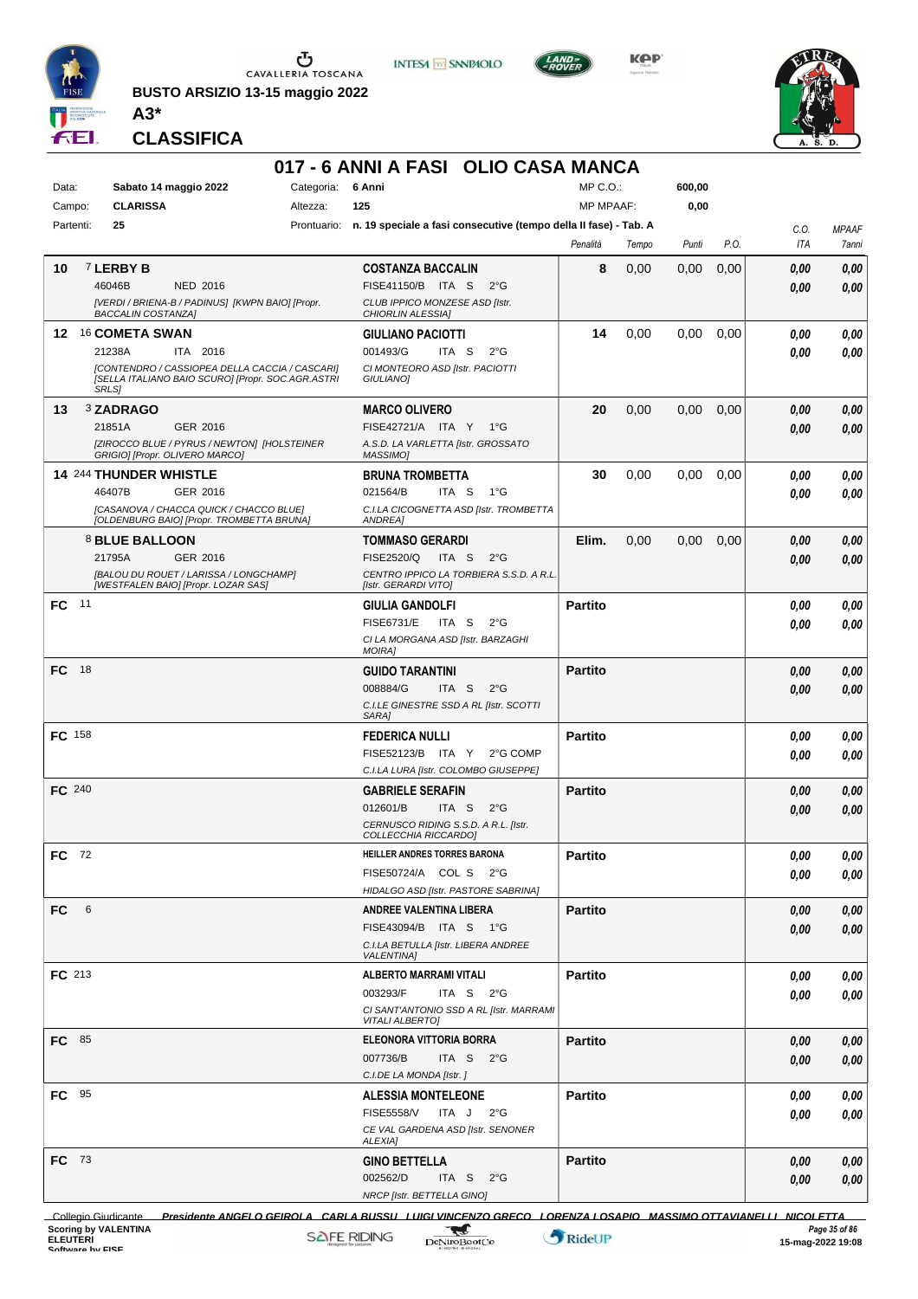

**BUSTO ARSIZIO 13-15 maggio 2022 A3\***



**KPP** 



**CLASSIFICA**

#### **017 - 6 ANNI A FASI OLIO CASA MANCA**

**INTESA** M SANPAOLO

| Data:         | Sabato 14 maggio 2022                                                                               | Categoria: | 6 Anni                                                                       | MP C.O.:         |       | 600,00 |      |      |              |
|---------------|-----------------------------------------------------------------------------------------------------|------------|------------------------------------------------------------------------------|------------------|-------|--------|------|------|--------------|
| Campo:        | <b>CLARISSA</b>                                                                                     | Altezza:   | 125                                                                          | <b>MP MPAAF:</b> |       | 0,00   |      |      |              |
| Partenti:     | 25                                                                                                  |            | Prontuario: n. 19 speciale a fasi consecutive (tempo della II fase) - Tab. A |                  |       |        |      | C.O. | <b>MPAAF</b> |
|               |                                                                                                     |            |                                                                              | Penalità         | Tempo | Punti  | P.O. | ITA  | 7anni        |
| 10            | 7 LERBY B                                                                                           |            | <b>COSTANZA BACCALIN</b>                                                     | 8                | 0,00  | 0,00   | 0,00 | 0,00 | 0,00         |
|               | 46046B<br><b>NED 2016</b>                                                                           |            | FISE41150/B ITA S<br>$2^{\circ}G$                                            |                  |       |        |      | 0,00 | 0.00         |
|               | [VERDI / BRIENA-B / PADINUS] [KWPN BAIO] [Propr.<br><b>BACCALIN COSTANZA]</b>                       |            | CLUB IPPICO MONZESE ASD [Istr.<br><b>CHIORLIN ALESSIA]</b>                   |                  |       |        |      |      |              |
| 12            | <b>16 COMETA SWAN</b>                                                                               |            | <b>GIULIANO PACIOTTI</b>                                                     | 14               | 0,00  | 0,00   | 0,00 | 0.00 | 0,00         |
|               | 21238A<br>ITA 2016                                                                                  |            | 001493/G<br>ITA <sub>S</sub><br>$2^{\circ}$ G                                |                  |       |        |      | 0.00 | 0.00         |
|               | [CONTENDRO / CASSIOPEA DELLA CACCIA / CASCARI]<br>[SELLA ITALIANO BAIO SCURO] [Propr. SOC.AGR.ASTRI |            | CI MONTEORO ASD [Istr. PACIOTTI<br><b>GIULIANOI</b>                          |                  |       |        |      |      |              |
|               | <b>SRLS1</b>                                                                                        |            |                                                                              |                  |       |        |      |      |              |
| 13            | 3 ZADRAGO                                                                                           |            | <b>MARCO OLIVERO</b>                                                         | 20               | 0,00  | 0,00   | 0,00 | 0,00 | 0,00         |
|               | 21851A<br>GER 2016                                                                                  |            | FISE42721/A ITA Y 1°G                                                        |                  |       |        |      | 0,00 | 0,00         |
|               | [ZIROCCO BLUE / PYRUS / NEWTON] [HOLSTEINER<br>GRIGIO] [Propr. OLIVERO MARCO]                       |            | A.S.D. LA VARLETTA [Istr. GROSSATO<br>MASSIMO]                               |                  |       |        |      |      |              |
|               | 14 244 THUNDER WHISTLE                                                                              |            | <b>BRUNA TROMBETTA</b>                                                       | 30               | 0,00  | 0,00   | 0,00 | 0.00 | 0,00         |
|               | 46407B<br>GER 2016                                                                                  |            | 021564/B<br>ITA S<br>1°G                                                     |                  |       |        |      | 0.00 | 0.00         |
|               | [CASANOVA / CHACCA QUICK / CHACCO BLUE]                                                             |            | C.I.LA CICOGNETTA ASD [Istr. TROMBETTA                                       |                  |       |        |      |      |              |
|               | [OLDENBURG BAIO] [Propr. TROMBETTA BRUNA]                                                           |            | <b>ANDREA1</b>                                                               |                  |       |        |      |      |              |
|               | 8 BLUE BALLOON                                                                                      |            | <b>TOMMASO GERARDI</b>                                                       | Elim.            | 0,00  | 0,00   | 0,00 | 0,00 | 0,00         |
|               | 21795A<br>GER 2016                                                                                  |            | FISE2520/Q<br>ITA <sub>S</sub><br>$2^{\circ}$ G                              |                  |       |        |      | 0.00 | 0,00         |
|               | [BALOU DU ROUET / LARISSA / LONGCHAMP]<br>[WESTFALEN BAIO] [Propr. LOZAR SAS]                       |            | CENTRO IPPICO LA TORBIERA S.S.D. A R.L.<br>[Istr. GERARDI VITO]              |                  |       |        |      |      |              |
| 11<br>FC      |                                                                                                     |            | <b>GIULIA GANDOLFI</b>                                                       | <b>Partito</b>   |       |        |      | 0.00 | 0,00         |
|               |                                                                                                     |            | <b>FISE6731/E</b><br>ITA S<br>$2^{\circ}G$                                   |                  |       |        |      | 0.00 | 0.00         |
|               |                                                                                                     |            | CI LA MORGANA ASD [Istr. BARZAGHI                                            |                  |       |        |      |      |              |
|               |                                                                                                     |            | <b>MOIRA]</b>                                                                |                  |       |        |      |      |              |
| FC 18         |                                                                                                     |            | <b>GUIDO TARANTINI</b><br>008884/G<br>ITA S<br>$2^{\circ}G$                  | <b>Partito</b>   |       |        |      | 0,00 | 0,00         |
|               |                                                                                                     |            | C.I.LE GINESTRE SSD A RL [Istr. SCOTTI                                       |                  |       |        |      | 0.00 | 0,00         |
|               |                                                                                                     |            | SARA]                                                                        |                  |       |        |      |      |              |
| <b>FC</b> 158 |                                                                                                     |            | <b>FEDERICA NULLI</b>                                                        | <b>Partito</b>   |       |        |      | 0,00 | 0,00         |
|               |                                                                                                     |            | FISE52123/B ITA Y<br>2°G COMP                                                |                  |       |        |      | 0.00 | 0.00         |
|               |                                                                                                     |            | C.I.LA LURA [Istr. COLOMBO GIUSEPPE]                                         |                  |       |        |      |      |              |
| FC 240        |                                                                                                     |            | <b>GABRIELE SERAFIN</b>                                                      | <b>Partito</b>   |       |        |      | 0,00 | 0,00         |
|               |                                                                                                     |            | 012601/B<br>ITA S<br>$2^{\circ}$ G                                           |                  |       |        |      | 0.00 | 0,00         |
|               |                                                                                                     |            | CERNUSCO RIDING S.S.D. A R.L. [Istr.<br>COLLECCHIA RICCARDO]                 |                  |       |        |      |      |              |
| FC 72         |                                                                                                     |            | HEILLER ANDRES TORRES BARONA                                                 | <b>Partito</b>   |       |        |      | 0,00 | 0.00         |
|               |                                                                                                     |            | FISE50724/A COL S 2°G                                                        |                  |       |        |      | 0,00 | 0,00         |
|               |                                                                                                     |            | HIDALGO ASD [Istr. PASTORE SABRINA]                                          |                  |       |        |      |      |              |
| 6<br>FC       |                                                                                                     |            | <b>ANDREE VALENTINA LIBERA</b>                                               | <b>Partito</b>   |       |        |      | 0,00 | 0,00         |
|               |                                                                                                     |            | FISE43094/B ITA S 1°G                                                        |                  |       |        |      | 0.00 | 0,00         |
|               |                                                                                                     |            | C.I.LA BETULLA [Istr. LIBERA ANDREE<br><b>VALENTINA1</b>                     |                  |       |        |      |      |              |
| FC 213        |                                                                                                     |            | <b>ALBERTO MARRAMI VITALI</b>                                                | <b>Partito</b>   |       |        |      | 0,00 | 0,00         |
|               |                                                                                                     |            | 003293/F<br>ITA S $2^{\circ}G$                                               |                  |       |        |      | 0.00 | 0,00         |
|               |                                                                                                     |            | CI SANT'ANTONIO SSD A RL [Istr. MARRAMI                                      |                  |       |        |      |      |              |
|               |                                                                                                     |            | <b>VITALI ALBERTO]</b>                                                       |                  |       |        |      |      |              |
| FC 85         |                                                                                                     |            | ELEONORA VITTORIA BORRA                                                      | <b>Partito</b>   |       |        |      | 0,00 | 0,00         |
|               |                                                                                                     |            | 007736/B<br>ITA S $2^{\circ}G$<br>C.I.DE LA MONDA [Istr. ]                   |                  |       |        |      | 0,00 | 0,00         |
| FC 95         |                                                                                                     |            | <b>ALESSIA MONTELEONE</b>                                                    | <b>Partito</b>   |       |        |      | 0.00 |              |
|               |                                                                                                     |            | <b>FISE5558/V</b><br>ITA J<br>$2^{\circ}$ G                                  |                  |       |        |      | 0.00 | 0,00<br>0,00 |
|               |                                                                                                     |            | CE VAL GARDENA ASD [Istr. SENONER                                            |                  |       |        |      |      |              |
|               |                                                                                                     |            | ALEXIA]                                                                      |                  |       |        |      |      |              |
| FC 73         |                                                                                                     |            | <b>GINO BETTELLA</b>                                                         | <b>Partito</b>   |       |        |      | 0,00 | 0,00         |
|               |                                                                                                     |            | 002562/D<br>ITA S $2^{\circ}G$                                               |                  |       |        |      | 0.00 | 0,00         |
|               |                                                                                                     |            | NRCP [Istr. BETTELLA GINO]                                                   |                  |       |        |      |      |              |

Collegio Giudicante *Presidente ANGELO GEIROLA CARLA BUSSU LUIGI VINCENZO GRECO LORENZA LOSAPIO MASSIMO OTTAVIANELLI NICOLETTA* **TOMAS AND CONSULTANT CONSULTANT CONSULTANT CONSULTANT CONSULTANT CONSULTANT CONSULTANT CONSULTANT CONSULTANT CONSULTANT PAGE 35 of 86**<br> **SAFEL RIDING** DeNinoBootCo RideUP 15-mag-2022 19:08 **Scoring by VALENTINA**<br>
ELEUTERI Page 35 of 86<br>
Software hy Elecute And The Scoring-2022 19:08<br>
Software hy Elecute And The Scoring-2022 19:08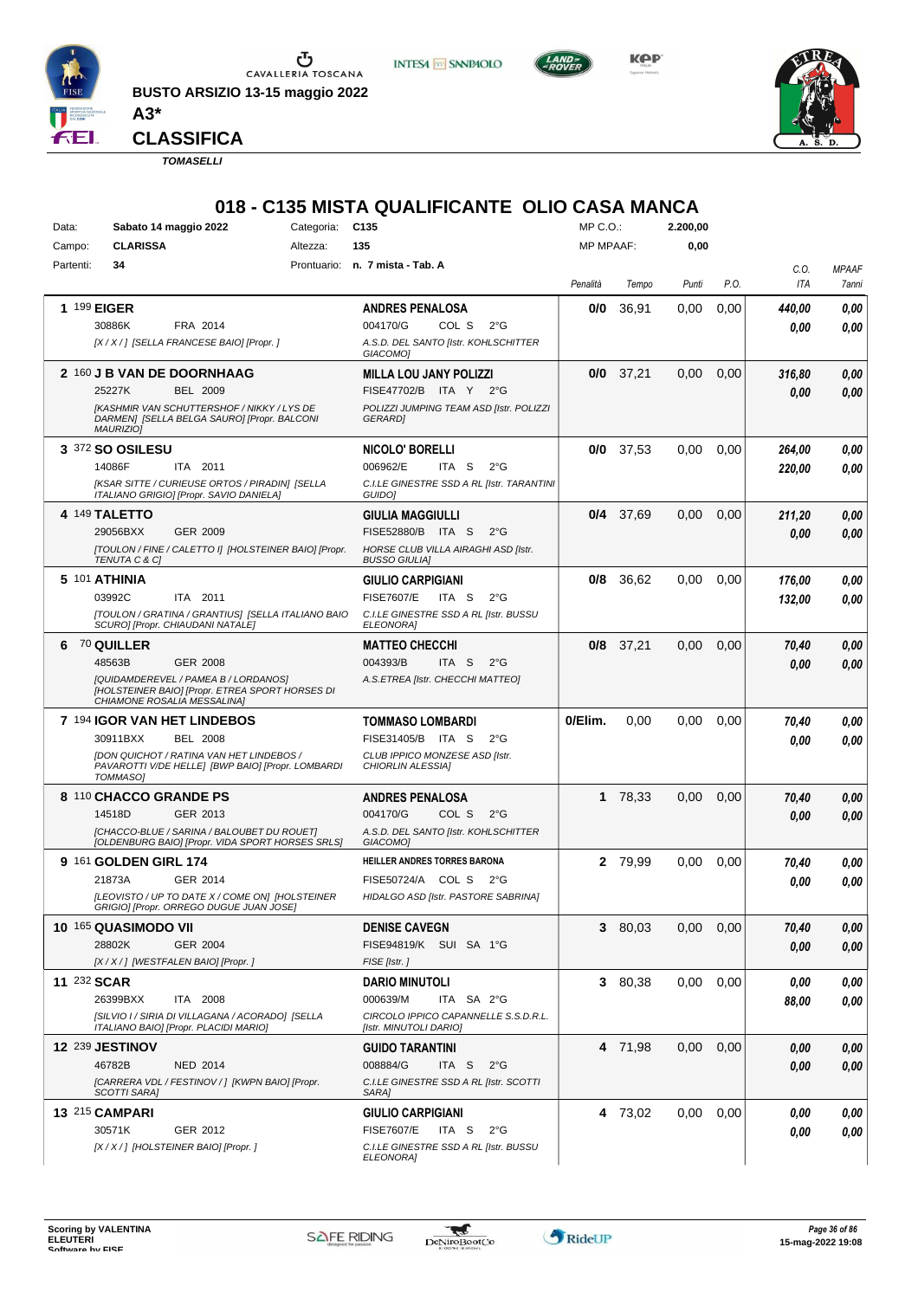

**BUSTO ARSIZIO 13-15 maggio 2022 A3\***





**KPP** 



**CLASSIFICA**

*TOMASELLI*

# **018 - C135 MISTA QUALIFICANTE OLIO CASA MANCA**<br>Categoria: C135

| Data:       | Sabato 14 maggio 2022<br>Categoria:                                                                                                                                      |          | C <sub>135</sub>                                                                                                               | $MP C. O.$ :     |             | 2.200,00 |      |                  |                       |
|-------------|--------------------------------------------------------------------------------------------------------------------------------------------------------------------------|----------|--------------------------------------------------------------------------------------------------------------------------------|------------------|-------------|----------|------|------------------|-----------------------|
| Campo:      | <b>CLARISSA</b>                                                                                                                                                          | Altezza: | 135                                                                                                                            | <b>MP MPAAF:</b> |             | 0,00     |      |                  |                       |
| Partenti:   | 34                                                                                                                                                                       |          | Prontuario: n. 7 mista - Tab. A                                                                                                | Penalità         | Tempo       | Punti    | P.O. | C.O.<br>ITA      | <b>MPAAF</b><br>7anni |
|             | 1 199 EIGER<br>30886K<br>FRA 2014<br>[X / X / ] [SELLA FRANCESE BAIO] [Propr. ]                                                                                          |          | <b>ANDRES PENALOSA</b><br>004170/G<br>COL S<br>$2^{\circ}$ G<br>A.S.D. DEL SANTO [Istr. KOHLSCHITTER<br>GIACOMO1               | 0/0              | 36,91       | 0,00     | 0,00 | 440,00<br>0.00   | 0,00<br>0.00          |
|             | 2 160 J B VAN DE DOORNHAAG<br>25227K<br>BEL 2009<br><b>IKASHMIR VAN SCHUTTERSHOF / NIKKY / LYS DE</b><br>DARMEN] [SELLA BELGA SAURO] [Propr. BALCONI<br><b>MAURIZIOI</b> |          | <b>MILLA LOU JANY POLIZZI</b><br>FISE47702/B ITA Y<br>$2^{\circ}G$<br>POLIZZI JUMPING TEAM ASD [Istr. POLIZZI<br><b>GERARD</b> |                  | $0/0$ 37,21 | 0,00     | 0,00 | 316,80<br>0.00   | 0,00<br>0.00          |
|             | <b>3 372 SO OSILESU</b><br>14086F<br>ITA 2011<br>[KSAR SITTE / CURIEUSE ORTOS / PIRADIN] [SELLA<br>ITALIANO GRIGIO] [Propr. SAVIO DANIELA]                               |          | NICOLO' BORELLI<br>006962/E<br>ITA S<br>$2^{\circ}$ G<br>C.I.LE GINESTRE SSD A RL [Istr. TARANTINI<br>GUIDO]                   | 0/0              | 37,53       | 0,00     | 0,00 | 264,00<br>220,00 | 0,00<br>0.00          |
|             | 4 149 TALETTO<br>29056BXX<br>GER 2009<br>[TOULON / FINE / CALETTO I] [HOLSTEINER BAIO] [Propr.<br>TENUTA C & C]                                                          |          | <b>GIULIA MAGGIULLI</b><br>FISE52880/B ITA S<br>$2^{\circ}G$<br>HORSE CLUB VILLA AIRAGHI ASD [Istr.<br><b>BUSSO GIULIAI</b>    |                  | $0/4$ 37,69 | 0,00     | 0,00 | 211,20<br>0.00   | 0,00<br>0.00          |
|             | 5 101 ATHINIA<br>03992C<br>ITA 2011<br>[TOULON / GRATINA / GRANTIUS] [SELLA ITALIANO BAIO<br>SCURO] [Propr. CHIAUDANI NATALE]                                            |          | GIULIO CARPIGIANI<br>FISE7607/E<br>ITA S<br>$2^{\circ}G$<br>C.I.LE GINESTRE SSD A RL [Istr. BUSSU<br><b>ELEONORA</b>           | 0/8              | 36,62       | 0,00     | 0,00 | 176,00<br>132,00 | 0,00<br>0.00          |
| 6           | <b>70 QUILLER</b><br>48563B<br><b>GER 2008</b><br>[QUIDAMDEREVEL / PAMEA B / LORDANOS]<br>[HOLSTEINER BAIO] [Propr. ETREA SPORT HORSES DI<br>CHIAMONE ROSALIA MESSALINA] |          | <b>MATTEO CHECCHI</b><br>004393/B<br>ITA <sub>S</sub><br>$2^{\circ}$ G<br>A.S.ETREA [Istr. CHECCHI MATTEO]                     |                  | $0/8$ 37,21 | 0,00     | 0,00 | 70,40<br>0.00    | 0,00<br>0,00          |
|             | 7 194 IGOR VAN HET LINDEBOS<br>30911BXX<br><b>BEL 2008</b><br>[DON QUICHOT / RATINA VAN HET LINDEBOS /<br>PAVAROTTI V/DE HELLE] [BWP BAIO] [Propr. LOMBARDI<br>TOMMASO]  |          | <b>TOMMASO LOMBARDI</b><br>FISE31405/B ITA S<br>$2^{\circ}$ G<br>CLUB IPPICO MONZESE ASD [Istr.<br>CHIORLIN ALESSIA]           | 0/Elim.          | 0.00        | 0,00     | 0,00 | 70,40<br>0.00    | 0,00<br>0.00          |
|             | 8 110 CHACCO GRANDE PS<br>14518D<br>GER 2013<br>[CHACCO-BLUE / SARINA / BALOUBET DU ROUET]<br>[OLDENBURG BAIO] [Propr. VIDA SPORT HORSES SRLS]                           |          | <b>ANDRES PENALOSA</b><br>004170/G<br>COL S<br>$2^{\circ}$ G<br>A.S.D. DEL SANTO [Istr. KOHLSCHITTER<br>GIACOMO]               |                  | 1 78,33     | 0,00     | 0,00 | 70,40<br>0.00    | 0,00<br>0.00          |
|             | 9 161 GOLDEN GIRL 174<br>21873A<br>GER 2014<br>[LEOVISTO / UP TO DATE X / COME ON] [HOLSTEINER<br>GRIGIO] [Propr. ORREGO DUGUE JUAN JOSE]                                |          | HEILLER ANDRES TORRES BARONA<br>$2^{\circ}G$<br>FISE50724/A<br>COL S<br>HIDALGO ASD [Istr. PASTORE SABRINA]                    |                  | 2 79,99     | 0,00     | 0,00 | 70,40<br>0.00    | 0,00<br>0.00          |
|             | 10 165 QUASIMODO VII<br>28802K<br>GER 2004<br>[X / X / ] [WESTFALEN BAIO] [Propr.]                                                                                       |          | <b>DENISE CAVEGN</b><br>FISE94819/K SUI SA 1°G<br>FISE [Istr.]                                                                 |                  | 3 80,03     | 0,00     | 0,00 | 70,40<br>0,00    | 0,00<br>0,00          |
| 11 232 SCAR | 26399BXX<br>ITA 2008<br>[SILVIO I / SIRIA DI VILLAGANA / ACORADO] [SELLA<br>ITALIANO BAIO] [Propr. PLACIDI MARIO]                                                        |          | <b>DARIO MINUTOLI</b><br>000639/M<br>ITA SA 2°G<br>CIRCOLO IPPICO CAPANNELLE S.S.D.R.L.<br>[Istr. MINUTOLI DARIO]              |                  | 3 80,38     | 0,00     | 0,00 | 0,00<br>88,00    | 0,00<br>0.00          |
|             | 12 239 JESTINOV<br>46782B<br><b>NED 2014</b><br>[CARRERA VDL / FESTINOV / ] [KWPN BAIO] [Propr.<br><b>SCOTTI SARA]</b>                                                   |          | <b>GUIDO TARANTINI</b><br>008884/G<br>ITA S<br>$2^{\circ}$ G<br>C.I.LE GINESTRE SSD A RL [Istr. SCOTTI<br>SARA]                |                  | 4 71,98     | 0,00     | 0,00 | 0,00<br>0,00     | 0,00<br>0,00          |
|             | <b>13 215 CAMPARI</b><br>30571K<br>GER 2012<br>[X / X / ] [HOLSTEINER BAIO] [Propr.]                                                                                     |          | <b>GIULIO CARPIGIANI</b><br><b>FISE7607/E</b><br>ITA S<br>$2^{\circ}$ G<br>C.I.LE GINESTRE SSD A RL [Istr. BUSSU<br>ELEONORA]  |                  | 4 73,02     | 0,00     | 0,00 | 0,00<br>0,00     | 0,00<br>0,00          |

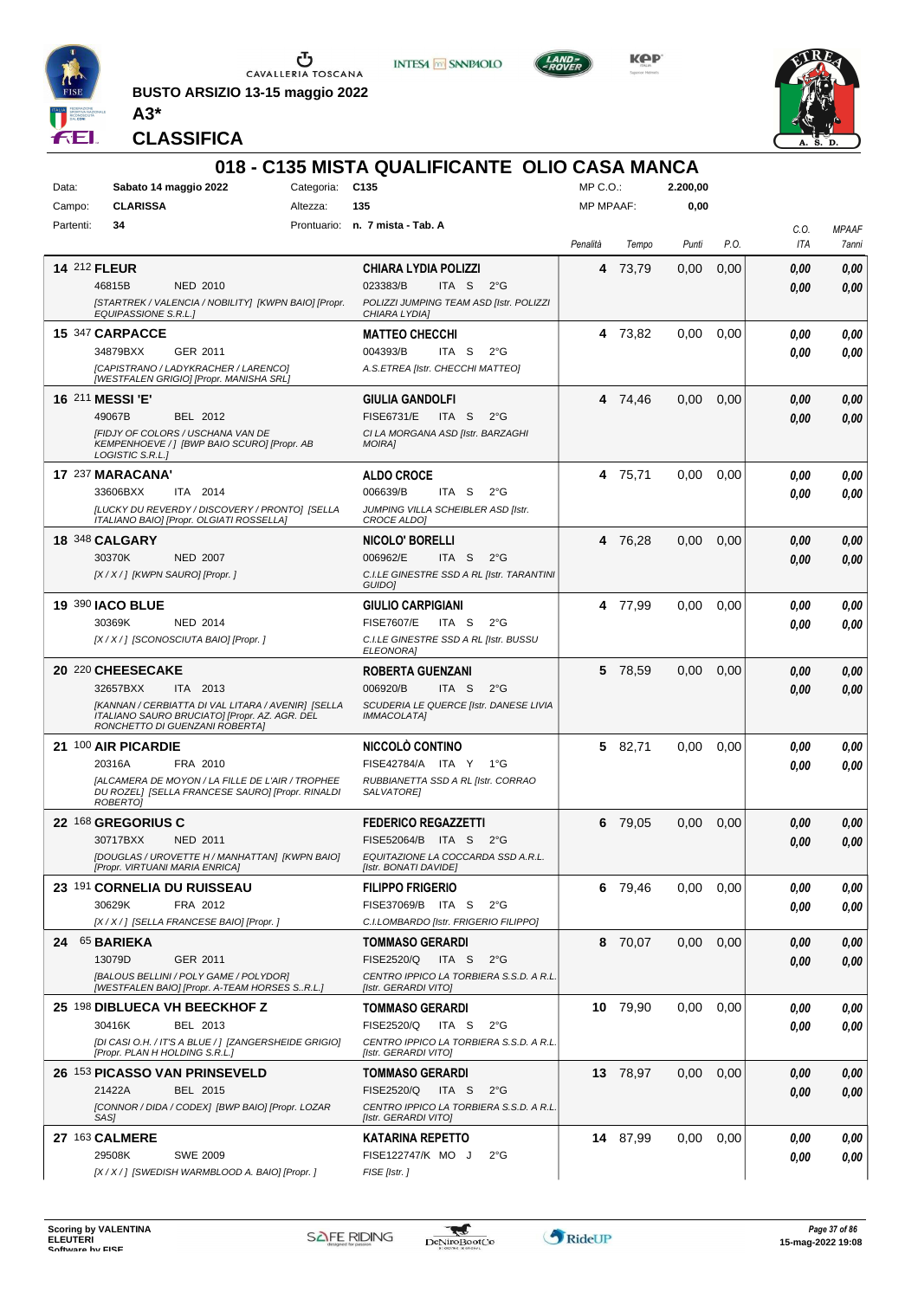

**BUSTO ARSIZIO 13-15 maggio 2022 A3\***







**CLASSIFICA**

|           |                                                                                                                                       |                 | 018 - C135 MISTA QUALIFICANTE OLIO CASA MANCA                   |                  |          |          |      |              |              |
|-----------|---------------------------------------------------------------------------------------------------------------------------------------|-----------------|-----------------------------------------------------------------|------------------|----------|----------|------|--------------|--------------|
| Data:     | Sabato 14 maggio 2022                                                                                                                 | Categoria: C135 |                                                                 | $MP C. O.$ :     |          | 2.200,00 |      |              |              |
| Campo:    | <b>CLARISSA</b>                                                                                                                       | Altezza:        | 135                                                             | <b>MP MPAAF:</b> |          | 0,00     |      |              |              |
| Partenti: | 34                                                                                                                                    |                 | Prontuario: n. 7 mista - Tab. A                                 |                  |          |          |      | C.O.         | <b>MPAAF</b> |
|           |                                                                                                                                       |                 |                                                                 | Penalità         | Tempo    | Punti    | P.O. | ITA          | 7anni        |
|           | <b>14 212 FLEUR</b>                                                                                                                   |                 | <b>CHIARA LYDIA POLIZZI</b>                                     | 4                | 73,79    | 0,00     | 0,00 | 0.00         | 0,00         |
|           | 46815B<br>NED 2010                                                                                                                    |                 | 023383/B<br>ITA S $2^{\circ}G$                                  |                  |          |          |      | 0,00         | 0,00         |
|           | [STARTREK / VALENCIA / NOBILITY] [KWPN BAIO] [Propr.<br>EQUIPASSIONE S.R.L.]                                                          |                 | POLIZZI JUMPING TEAM ASD [Istr. POLIZZI<br>CHIARA LYDIA]        |                  |          |          |      |              |              |
|           | 15 347 CARPACCE                                                                                                                       |                 | <b>MATTEO CHECCHI</b>                                           |                  | 4 73,82  | 0,00     | 0,00 | 0.00         | 0,00         |
|           | 34879BXX<br>GER 2011                                                                                                                  |                 | 004393/B<br>ITA S<br>$2^{\circ}G$                               |                  |          |          |      | 0.00         | 0,00         |
|           | [CAPISTRANO / LADYKRACHER / LARENCO]<br>[WESTFALEN GRIGIO] [Propr. MANISHA SRL]                                                       |                 | A.S.ETREA [Istr. CHECCHI MATTEO]                                |                  |          |          |      |              |              |
|           | <b>16 211 MESSI 'E'</b>                                                                                                               |                 | <b>GIULIA GANDOLFI</b>                                          |                  | 4 74,46  | 0.00     | 0,00 | 0.00         | 0,00         |
|           | 49067B<br>BEL 2012                                                                                                                    |                 | <b>FISE6731/E</b><br>ITA S<br>$2^{\circ}G$                      |                  |          |          |      | 0.00         | 0,00         |
|           | [FIDJY OF COLORS / USCHANA VAN DE                                                                                                     |                 | CI LA MORGANA ASD [Istr. BARZAGHI                               |                  |          |          |      |              |              |
|           | KEMPENHOEVE / ] [BWP BAIO SCURO] [Propr. AB<br>LOGISTIC S.R.L.]                                                                       |                 | <b>MOIRAI</b>                                                   |                  |          |          |      |              |              |
|           | 17 237 MARACANA'                                                                                                                      |                 | <b>ALDO CROCE</b>                                               |                  | 4 75,71  | 0.00     | 0,00 | 0.00         | 0,00         |
|           | ITA 2014<br>33606BXX                                                                                                                  |                 | ITA <sub>S</sub><br>006639/B<br>$2^{\circ}G$                    |                  |          |          |      | 0.00         | 0,00         |
|           | [LUCKY DU REVERDY / DISCOVERY / PRONTO] [SELLA<br>ITALIANO BAIO] [Propr. OLGIATI ROSSELLA]                                            |                 | JUMPING VILLA SCHEIBLER ASD [Istr.<br><b>CROCE ALDOI</b>        |                  |          |          |      |              |              |
|           | <b>18 348 CALGARY</b>                                                                                                                 |                 | <b>NICOLO' BORELLI</b>                                          |                  | 4 76,28  | 0.00     | 0,00 | 0,00         | 0,00         |
|           | 30370K<br><b>NED 2007</b>                                                                                                             |                 | ITA S<br>006962/E<br>$2^{\circ}G$                               |                  |          |          |      | 0.00         | 0,00         |
|           | [X / X / ] [KWPN SAURO] [Propr. ]                                                                                                     |                 | C.I.LE GINESTRE SSD A RL [Istr. TARANTINI<br>GUIDO <sub>1</sub> |                  |          |          |      |              |              |
|           | <b>19 390 IACO BLUE</b>                                                                                                               |                 | <b>GIULIO CARPIGIANI</b>                                        |                  | 4 77,99  | 0.00     | 0,00 | 0.00         | 0,00         |
|           | 30369K<br><b>NED 2014</b>                                                                                                             |                 | <b>FISE7607/E</b><br>ITA S<br>$2^{\circ}G$                      |                  |          |          |      | 0.00         | 0,00         |
|           | [X / X / ] [SCONOSCIUTA BAIO] [Propr. ]                                                                                               |                 | C.I.LE GINESTRE SSD A RL [Istr. BUSSU<br>ELEONORA]              |                  |          |          |      |              |              |
|           | 20 220 CHEESECAKE                                                                                                                     |                 | <b>ROBERTA GUENZANI</b>                                         |                  | 5 78,59  | 0,00     | 0,00 | 0,00         | 0,00         |
|           | 32657BXX<br>ITA 2013                                                                                                                  |                 | 006920/B<br>ITA S<br>$2^{\circ}G$                               |                  |          |          |      | 0.00         | 0,00         |
|           | [KANNAN / CERBIATTA DI VAL LITARA / AVENIR] [SELLA<br>ITALIANO SAURO BRUCIATO] [Propr. AZ. AGR. DEL<br>RONCHETTO DI GUENZANI ROBERTA] |                 | SCUDERIA LE QUERCE [Istr. DANESE LIVIA<br>IMMACOLATA]           |                  |          |          |      |              |              |
|           | 21 100 AIR PICARDIE                                                                                                                   |                 | <b>NICCOLO CONTINO</b>                                          | 5                | 82,71    | 0.00     | 0,00 | 0.00         | 0,00         |
|           | 20316A<br>FRA 2010                                                                                                                    |                 | FISE42784/A ITA Y<br>1°G                                        |                  |          |          |      | 0.00         | 0.00         |
|           | <b>JALCAMERA DE MOYON / LA FILLE DE L'AIR / TROPHEE</b><br>DU ROZEL] [SELLA FRANCESE SAURO] [Propr. RINALDI<br><b>ROBERTOI</b>        |                 | RUBBIANETTA SSD A RL [Istr. CORRAO<br>SALVATORE]                |                  |          |          |      |              |              |
|           | 22 168 GREGORIUS C                                                                                                                    |                 | <b>FEDERICO REGAZZETTI</b>                                      | 6                | 79,05    | 0,00     | 0,00 | 0.00         | 0,00         |
|           | 30717BXX<br>NED 2011                                                                                                                  |                 | FISE52064/B ITA S<br>$2^{\circ}G$                               |                  |          |          |      | 0.00         | 0.00         |
|           | [DOUGLAS / UROVETTE H / MANHATTAN] [KWPN BAIO]<br>[Propr. VIRTUANI MARIA ENRICA]                                                      |                 | EQUITAZIONE LA COCCARDA SSD A.R.L.<br>[Istr. BONATI DAVIDE]     |                  |          |          |      |              |              |
|           | 23 191 CORNELIA DU RUISSEAU                                                                                                           |                 | <b>FILIPPO FRIGERIO</b>                                         |                  | 6 79,46  | 0,00     | 0,00 | 0.00         | 0,00         |
|           | 30629K<br>FRA 2012                                                                                                                    |                 | FISE37069/B ITA S<br>$2^{\circ}G$                               |                  |          |          |      | 0.00         | 0,00         |
|           | [X / X / ] [SELLA FRANCESE BAIO] [Propr. ]                                                                                            |                 | C.I.LOMBARDO [Istr. FRIGERIO FILIPPO]                           |                  |          |          |      |              |              |
|           | 24 65 BARIEKA                                                                                                                         |                 | <b>TOMMASO GERARDI</b>                                          |                  | 8 70,07  | 0,00     | 0,00 | 0,00         | 0,00         |
|           | 13079D<br>GER 2011                                                                                                                    |                 | FISE2520/Q<br>ITA S<br>$2^{\circ}G$                             |                  |          |          |      | 0,00         | 0,00         |
|           | [BALOUS BELLINI / POLY GAME / POLYDOR]<br>[WESTFALEN BAIO] [Propr. A-TEAM HORSES SR.L.]                                               |                 | CENTRO IPPICO LA TORBIERA S.S.D. A R.L.<br>[Istr. GERARDI VITO] |                  |          |          |      |              |              |
|           | 25 198 DIBLUECA VH BEECKHOF Z                                                                                                         |                 | <b>TOMMASO GERARDI</b>                                          |                  | 10 79,90 | 0,00     | 0,00 | 0.00         | 0,00         |
|           | 30416K<br>BEL 2013                                                                                                                    |                 | FISE2520/Q<br>ITA S<br>$2^{\circ}G$                             |                  |          |          |      | 0,00         | 0,00         |
|           | [DI CASI O.H. / IT'S A BLUE / ] [ZANGERSHEIDE GRIGIO]<br>[Propr. PLAN H HOLDING S.R.L.]                                               |                 | CENTRO IPPICO LA TORBIERA S.S.D. A R.L.<br>[Istr. GERARDI VITO] |                  |          |          |      |              |              |
|           | 26 153 PICASSO VAN PRINSEVELD                                                                                                         |                 | <b>TOMMASO GERARDI</b>                                          |                  | 13 78,97 | 0,00     | 0,00 | 0,00         | 0,00         |
|           | 21422A<br>BEL 2015                                                                                                                    |                 | <b>FISE2520/Q</b><br>ITA S<br>$2^{\circ}G$                      |                  |          |          |      | 0,00         | 0,00         |
|           | [CONNOR / DIDA / CODEX] [BWP BAIO] [Propr. LOZAR                                                                                      |                 | CENTRO IPPICO LA TORBIERA S.S.D. A R.L.                         |                  |          |          |      |              |              |
|           | SAS]                                                                                                                                  |                 | [Istr. GERARDI VITO]                                            |                  |          |          |      |              |              |
|           | 27 163 CALMERE<br>29508K<br><b>SWE 2009</b>                                                                                           |                 | KATARINA REPETTO<br>FISE122747/K MO J<br>$2^{\circ}G$           |                  | 14 87,99 | 0,00     | 0,00 | 0.00<br>0.00 | 0,00<br>0,00 |
|           | [X / X / ] [SWEDISH WARMBLOOD A. BAIO] [Propr. ]                                                                                      |                 | FISE [Istr.]                                                    |                  |          |          |      |              |              |

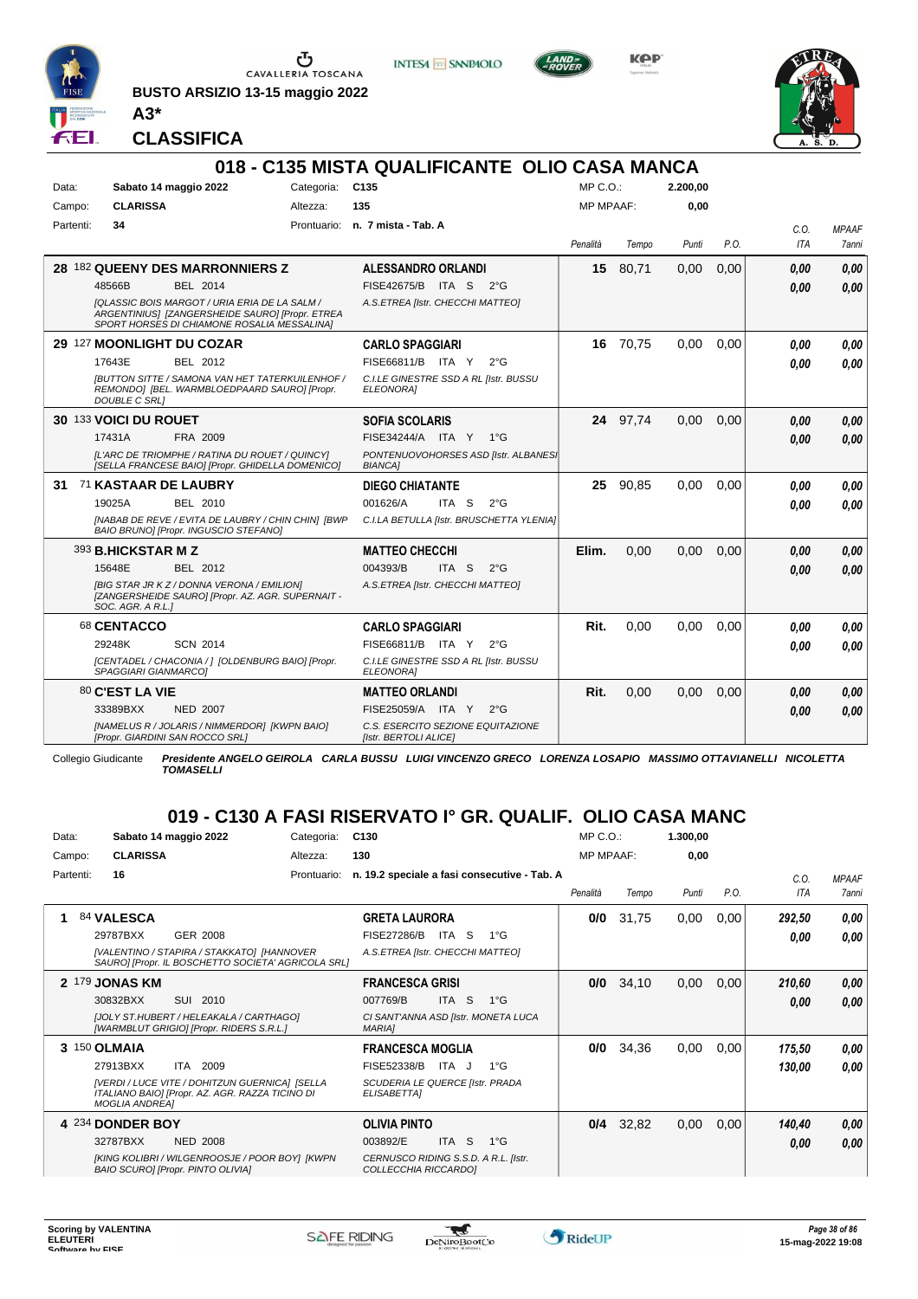

**BUSTO ARSIZIO 13-15 maggio 2022**



KOP



**CLASSIFICA**

**A3\***

#### **018 - C135 MISTA QUALIFICANTE OLIO CASA MANCA** Data: Sabato 14 maggio 2022 Categoria: C135 Prontuario: **n. 7 mista - Tab. A** Campo: **CLARISSA** Partenti: **34** Altezza: **135** MP C.O.: MP MPAAF: **2.200,00 0,00** *Penalità Tempo Punti P.O. C.O. ITA MPAAF 7anni* **28** 182 **QUEENY DES MARRONNIERS Z** BEL 2014 **ALESSANDRO ORLANDI** *[QLASSIC BOIS MARGOT / URIA ERIA DE LA SALM / ARGENTINIUS] [ZANGERSHEIDE SAURO] [Propr. ETREA SPORT HORSES DI CHIAMONE ROSALIA MESSALINA] A.S.ETREA [Istr. CHECCHI MATTEO]* ITA S 2°G 48566B FISE42675/B *0,00* **15** 80,71 0,00 0,00 *0,00 0,00 0,00* **29** 127 **MOONLIGHT DU COZAR** BEL 2012 **CARLO SPAGGIARI** *[BUTTON SITTE / SAMONA VAN HET TATERKUILENHOF / REMONDO] [BEL. WARMBLOEDPAARD SAURO] [Propr. DOUBLE C SRL] C.I.LE GINESTRE SSD A RL [Istr. BUSSU ELEONORA]* ITA Y 2°G 17643E FISE66811/B *0,00* **16** 70,75 0,00 0,00 *0,00 0,00 0,00* **30** 133 **VOICI DU ROUET** FRA 2009 **SOFIA SCOLARIS** *[L'ARC DE TRIOMPHE / RATINA DU ROUET / QUINCY] [SELLA FRANCESE BAIO] [Propr. GHIDELLA DOMENICO] PONTENUOVOHORSES ASD [Istr. ALBANESI BIANCA]* ITA Y 1°G 17431A FISE34244/A *0,00* **24** 97,74 0,00 0,00 *0,00 0,00 0,00* **31** 71 **KASTAAR DE LAUBRY** BEL 2010 **DIEGO CHIATANTE** *[NABAB DE REVE / EVITA DE LAUBRY / CHIN CHIN] [BWP BAIO BRUNO] [Propr. INGUSCIO STEFANO] C.I.LA BETULLA [Istr. BRUSCHETTA YLENIA]* ITA S 2°G **25** 90,85 0,00 0,00 *0,00 0,00 0,00* 19025A BEL 2010 001626/A ITA S 2°G <mark>0 ,00 0,00</mark> 393 **B.HICKSTAR M Z** BEL 2012 **MATTEO CHECCHI** *[BIG STAR JR K Z / DONNA VERONA / EMILION] [ZANGERSHEIDE SAURO] [Propr. AZ. AGR. SUPERNAIT - SOC. AGR. A R.L.] A.S.ETREA [Istr. CHECCHI MATTEO]* ITA S 2°G **Elim.** 0,00 0,00 0,00 *0,00 0,00 0,00* 15648E BEL 2012 004393/B ITA S 2°G <mark> 0,00 0,00</mark> 68 **CENTACCO** SCN 2014 **CARLO SPAGGIARI** 29248K SCN\_2014 FISE66811/B ITA Y 2°G **0,00 0,00 Rit.** 0,00 0,00 0,00 *0,00 0,00 0,00*

*[CENTADEL / CHACONIA / ] [OLDENBURG BAIO] [Propr. SPAGGIARI GIANMARCO] C.I.LE GINESTRE SSD A RL [Istr. BUSSU ELEONORA]* 80 **C'EST LA VIE** NED 2007 **MATTEO ORLANDI** *[NAMELUS R / JOLARIS / NIMMERDOR] [KWPN BAIO] [Propr. GIARDINI SAN ROCCO SRL] C.S. ESERCITO SEZIONE EQUITAZIONE [Istr. BERTOLI ALICE]* FISE25059/A ITA Y 2°G **Rit.** 0,00 0,00 0,00 *0,00 0,00 0,00* 33389BXX FISE25059/A *0,00*

Collegio Giudicante *Presidente ANGELO GEIROLA CARLA BUSSU LUIGI VINCENZO GRECO LORENZA LOSAPIO MASSIMO OTTAVIANELLI NICOLETTA TOMASELLI*

#### **019 - C130 A FASI RISERVATO I° GR. QUALIF. OLIO CASA MANC**

| Data:     | Sabato 14 maggio 2022                                                                                                      | Categoria:  | C <sub>130</sub>                                             | MP C. O.         |       | 1.300,00 |      |        |              |
|-----------|----------------------------------------------------------------------------------------------------------------------------|-------------|--------------------------------------------------------------|------------------|-------|----------|------|--------|--------------|
| Campo:    | <b>CLARISSA</b>                                                                                                            | Altezza:    | 130                                                          | <b>MP MPAAF:</b> |       | 0,00     |      |        |              |
| Partenti: | 16                                                                                                                         | Prontuario: | n. 19.2 speciale a fasi consecutive - Tab. A                 |                  |       |          |      | C.O.   | <b>MPAAF</b> |
|           |                                                                                                                            |             |                                                              | Penalità         | Tempo | Punti    | P.O. | ITA    | 7anni        |
|           | 84 VALESCA                                                                                                                 |             | <b>GRETA LAURORA</b>                                         | 0/0              | 31,75 | 0,00     | 0,00 | 292,50 | 0,00         |
|           | 29787BXX<br>GER 2008                                                                                                       |             | <b>FISE27286/B</b><br>ITA<br>`S<br>$1^{\circ}G$              |                  |       |          |      | 0.00   | 0.00         |
|           | [VALENTINO / STAPIRA / STAKKATO] [HANNOVER<br>SAURO] [Propr. IL BOSCHETTO SOCIETA' AGRICOLA SRL]                           |             | A.S.ETREA [Istr. CHECCHI MATTEO]                             |                  |       |          |      |        |              |
|           | 2 179 JONAS KM                                                                                                             |             | <b>FRANCESCA GRISI</b>                                       | 0/0              | 34,10 | 0,00     | 0,00 | 210,60 | 0,00         |
|           | 30832BXX<br>SUI<br>2010                                                                                                    |             | <b>ITA</b><br>S.<br>$1^{\circ}$ G<br>007769/B                |                  |       |          |      | 0.00   | 0.00         |
|           | [JOLY ST.HUBERT / HELEAKALA / CARTHAGO]<br>[WARMBLUT GRIGIO] [Propr. RIDERS S.R.L.]                                        |             | CI SANT'ANNA ASD [Istr. MONETA LUCA<br><b>MARIAI</b>         |                  |       |          |      |        |              |
|           | 3 150 OLMAIA                                                                                                               |             | <b>FRANCESCA MOGLIA</b>                                      | 0/0              | 34,36 | 0,00     | 0,00 | 175,50 | 0,00         |
|           | 27913BXX<br>ITA 2009                                                                                                       |             | FISE52338/B<br>ITA J<br>$1^{\circ}$ G                        |                  |       |          |      | 130,00 | 0.00         |
|           | [VERDI / LUCE VITE / DOHITZUN GUERNICA] [SELLA<br>ITALIANO BAIO] [Propr. AZ. AGR. RAZZA TICINO DI<br><b>MOGLIA ANDREAI</b> |             | SCUDERIA LE QUERCE [Istr. PRADA<br>ELISABETTA]               |                  |       |          |      |        |              |
|           | 4 234 DONDER BOY                                                                                                           |             | <b>OLIVIA PINTO</b>                                          | 0/4              | 32,82 | 0,00     | 0,00 | 140,40 | 0,00         |
|           | 32787BXX<br><b>NED 2008</b>                                                                                                |             | <b>ITA</b><br>S.<br>$1^{\circ}$ G<br>003892/E                |                  |       |          |      | 0.00   | 0.00         |
|           | [KING KOLIBRI / WILGENROOSJE / POOR BOY] [KWPN<br><b>BAIO SCUROI [Propr. PINTO OLIVIA]</b>                                 |             | CERNUSCO RIDING S.S.D. A R.L. [Istr.<br>COLLECCHIA RICCARDO] |                  |       |          |      |        |              |

w

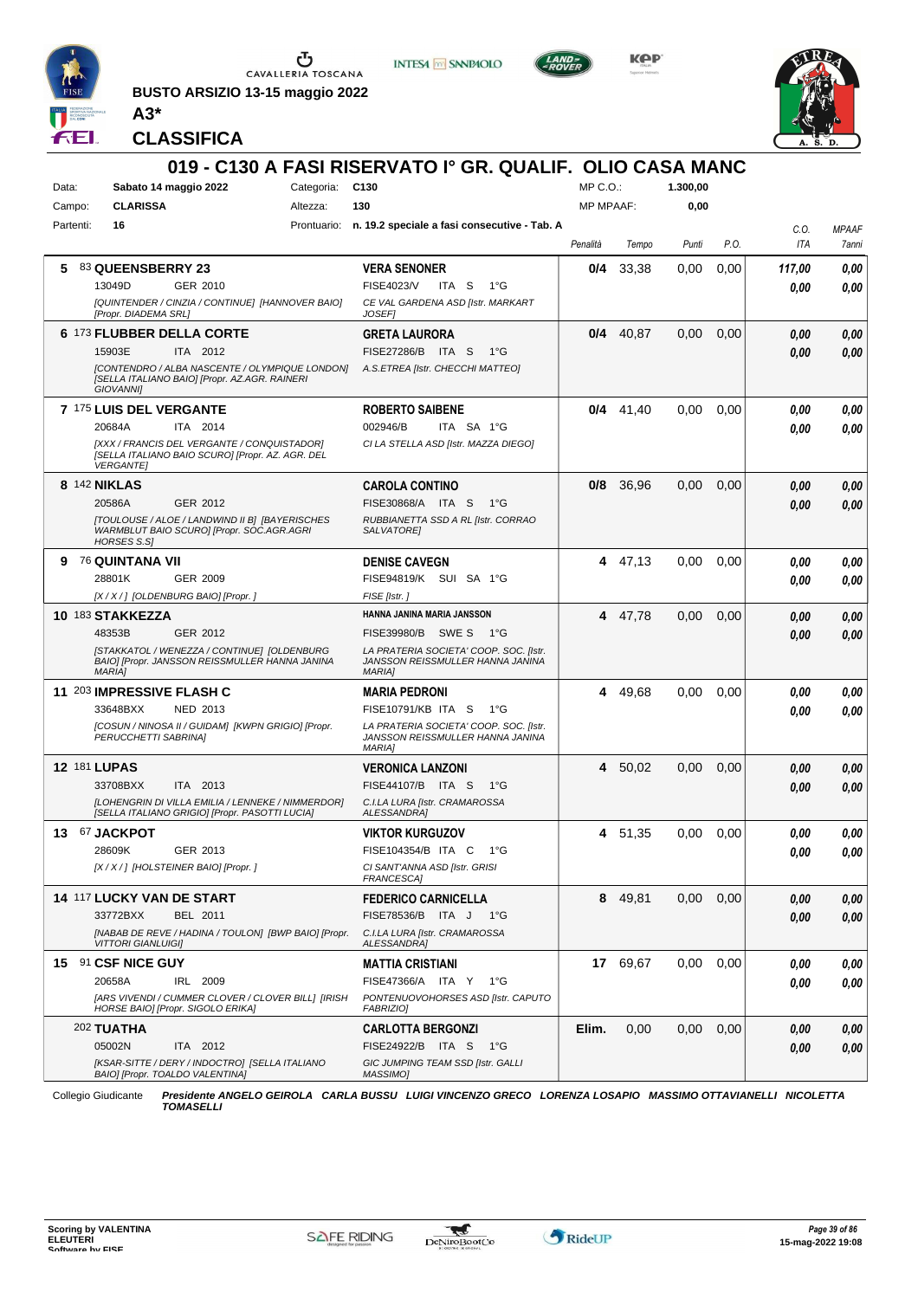

**BUSTO ARSIZIO 13-15 maggio 2022**



KOP



**CLASSIFICA**

**A3\***

#### **019 - C130 A FASI RISERVATO I° GR. QUALIF. OLIO CASA MANC** Data: Sabato 14 maggio 2022 Categoria: C130 Prontuario: **n. 19.2 speciale a fasi consecutive - Tab. A** Campo: **CLARISSA** Partenti: **16** Altezza: **130**  $MP \cap O$ MP MPAAF: **1.300,00 0,00** *Penalità Tempo Punti P.O. C.O. ITA MPAAF 7anni* **5** 83 **QUEENSBERRY 23** GER 2010 **VERA SENONER** *[QUINTENDER / CINZIA / CONTINUE] [HANNOVER BAIO] [Propr. DIADEMA SRL] CE VAL GARDENA ASD [Istr. MARKART JOSEF]* ITA S 1°G **0/4** 33,38 0,00 0,00 *117,00 0,00 0,00* 13049D GER\_2010 FISE4023/V ITA S 1°G **0,00 0,00 6** 173 **FLUBBER DELLA CORTE** ITA 2012 **GRETA LAURORA** *[CONTENDRO / ALBA NASCENTE / OLYMPIQUE LONDON] [SELLA ITALIANO BAIO] [Propr. AZ.AGR. RAINERI GIOVANNI] A.S.ETREA [Istr. CHECCHI MATTEO]* 15903E ITA 2012 FISE27286/B ITA S 1°G **0,00 0,00 0/4** 40,87 0,00 0,00 *0,00 0,00 0,00* **7** 175 **LUIS DEL VERGANTE** ITA 2014 **ROBERTO SAIBENE** *[XXX / FRANCIS DEL VERGANTE / CONQUISTADOR] [SELLA ITALIANO BAIO SCURO] [Propr. AZ. AGR. DEL VERGANTE] CI LA STELLA ASD [Istr. MAZZA DIEGO]* ITA SA 1°G **0/4** 41,40 0,00 0,00 *0,00 0,00 0,00* 20684A 002946/B *0,00* **8** 142 **NIKLAS** GER 2012 **CAROLA CONTINO** *[TOULOUSE / ALOE / LANDWIND II B] [BAYERISCHES WARMBLUT BAIO SCURO] [Propr. SOC.AGR.AGRI HORSES S.S] RUBBIANETTA SSD A RL [Istr. CORRAO SALVATORE]* ITA S 1°G 20586A FISE30868/A *0,00* **0/8** 36,96 0,00 0,00 *0,00 0,00 0,00* **9** 76 **QUINTANA VII** GER 2009 **DENISE CAVEGN** *[X / X / ] [OLDENBURG BAIO] [Propr. ] FISE [Istr. ]* SUI SA 1°G 28801K FISE94819/K *0,00* **4** 47,13 0,00 0,00 *0,00 0,00 0,00* **10** 183 **STAKKEZZA** GER 2012 **HANNA JANINA MARIA JANSSON** *[STAKKATOL / WENEZZA / CONTINUE] [OLDENBURG BAIO] [Propr. JANSSON REISSMULLER HANNA JANINA MARIA] LA PRATERIA SOCIETA' COOP. SOC. [Istr. JANSSON REISSMULLER HANNA JANINA MARIA]* 48353B GER\_2012 FISE39980/B SWE S 1°G **0,00 0,00 4** 47,78 0,00 0,00 *0,00 0,00 0,00* **11** 203 **IMPRESSIVE FLASH C** NED 2013 **MARIA PEDRONI** *[COSUN / NINOSA II / GUIDAM] [KWPN GRIGIO] [Propr. PERUCCHETTI SABRINA] LA PRATERIA SOCIETA' COOP. SOC. [Istr. JANSSON REISSMULLER HANNA JANINA MARIA]* ITA S 1°G 33648BXX FISE10791/KB *0,00* **4** 49,68 0,00 0,00 *0,00 0,00 0,00* **12** 181 **LUPAS** ITA 2013 **VERONICA LANZONI** *[LOHENGRIN DI VILLA EMILIA / LENNEKE / NIMMERDOR] [SELLA ITALIANO GRIGIO] [Propr. PASOTTI LUCIA] C.I.LA LURA [Istr. CRAMAROSSA ALESSANDRA]* 33708BXX ITA 2013 FISE44107/B ITA S 1°G <mark>0,00 0,00</mark> **4** 50,02 0,00 0,00 *0,00 0,00 0,00* **13** 67 **JACKPOT** GER 2013 **VIKTOR KURGUZOV** *[X / X / ] [HOLSTEINER BAIO] [Propr. ] CI SANT'ANNA ASD [Istr. GRISI FRANCESCA]* ITA C 1°G 28609K FISE104354/B *0,00* **4** 51,35 0,00 0,00 *0,00 0,00 0,00* **14** 117 **LUCKY VAN DE START** BEL 2011 **FEDERICO CARNICELLA** *[NABAB DE REVE / HADINA / TOULON] [BWP BAIO] [Propr. VITTORI GIANLUIGI] C.I.LA LURA [Istr. CRAMAROSSA ALESSANDRA]* FISE78536/B ITA J 1°G **8** 49,81 0,00 0,00 *0,00 0,00 0,00* 33772BXX BEL 2011 FISE78536/B ITA J 1°G <mark>0,00 0,00</mark> **15** 91 **CSF NICE GUY** IRL 2009 **MATTIA CRISTIANI** *[ARS VIVENDI / CUMMER CLOVER / CLOVER BILL] [IRISH HORSE BAIO] [Propr. SIGOLO ERIKA] PONTENUOVOHORSES ASD [Istr. CAPUTO FABRIZIO]* ITA Y 1°G 20658A FISE47366/A *0,00* **17** 69,67 0,00 0,00 *0,00 0,00 0,00* 202 **TUATHA** ITA 2012 **CARLOTTA BERGONZI** *[KSAR-SITTE / DERY / INDOCTRO] [SELLA ITALIANO BAIO] [Propr. TOALDO VALENTINA] GIC JUMPING TEAM SSD [Istr. GALLI MASSIMO]* 05002N ITA 2012 FISE24922/B ITA S 1°G <mark>0,00 0,00</mark> **Elim.** 0,00 0,00 0,00 *0,00 0,00 0,00*

Collegio Giudicante *Presidente ANGELO GEIROLA CARLA BUSSU LUIGI VINCENZO GRECO LORENZA LOSAPIO MASSIMO OTTAVIANELLI NICOLETTA TOMASELLI*

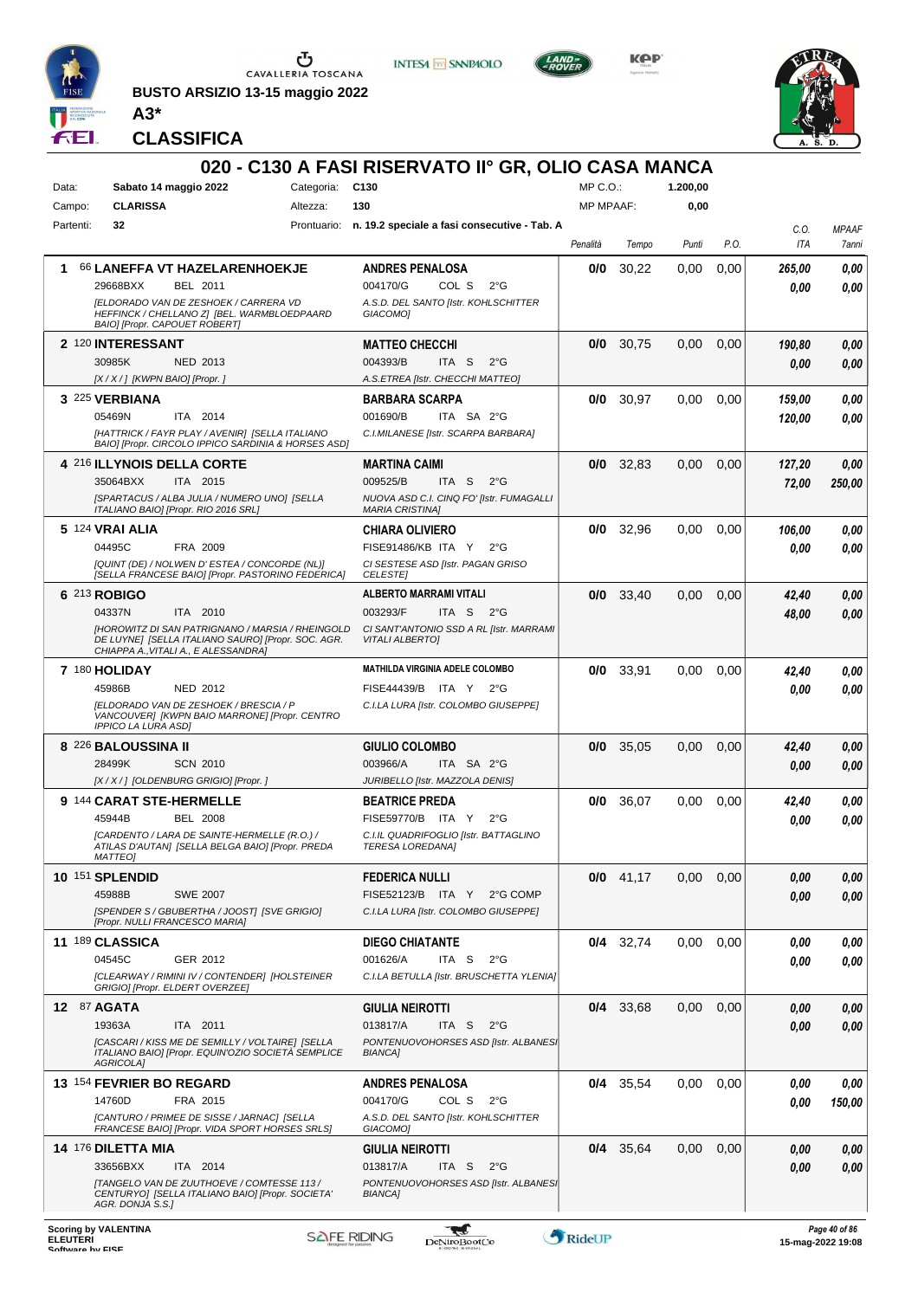

**BUSTO ARSIZIO 13-15 maggio 2022**



**INTESA M SANPAOLO** 

KOP



*MPAAF 7anni*

*0,00*

*0,00*

*0,00*

*0,00*

*0,00*

*0,00*

*0,00*

*0,00*

*0,00*

*0,00*

*0,00*

*0,00*

*0,00*

*0,00*

**CLASSIFICA**

**A3\***

#### **020 - C130 A FASI RISERVATO II° GR, OLIO CASA MANCA**  $MP \cap O$ **1.200,00** Data: Sabato 14 maggio 2022 Categoria: C130 Campo: **CLARISSA** Altezza: **130** MP MPAAF: **0,00** Partenti: **32** Prontuario: **n. 19.2 speciale a fasi consecutive - Tab. A** *C.O. Penalità Tempo Punti P.O. ITA* **1** 66 **LANEFFA VT HAZELARENHOEKJE ANDRES PENALOSA 0/0** 30,22 0,00 0,00 *265,00* BEL 2011 COL S 2°G 29668BXX BEL 2011 004170/G COL S 2°G **0,00 0,00** *0,00 [ELDORADO VAN DE ZESHOEK / CARRERA VD A.S.D. DEL SANTO [Istr. KOHLSCHITTER HEFFINCK / CHELLANO Z] [BEL. WARMBLOEDPAARD GIACOMO] BAIO] [Propr. CAPOUET ROBERT]* **2** 120 **INTERESSANT MATTEO CHECCHI 0/0** 30,75 0,00 0,00 *190,80* NED 2013 ITA S 2°G 30985K 004393/B *0,00 0,00 [X / X / ] [KWPN BAIO] [Propr. ] A.S.ETREA [Istr. CHECCHI MATTEO]* **3** 225 **VERBIANA BARBARA SCARPA 0/0** 30,97 0,00 0,00 *159,00* ITA 2014 ITA SA 2°G 05469N 001690/B *0,00 120,00 [HATTRICK / FAYR PLAY / AVENIR] [SELLA ITALIANO C.I.MILANESE [Istr. SCARPA BARBARA] BAIO] [Propr. CIRCOLO IPPICO SARDINIA & HORSES ASD]* **4** 216 **ILLYNOIS DELLA CORTE 0/0** 32,83 0,00 0,00 *127,20* **MARTINA CAIMI** ITA 2015 ITA S 2°G 35064BXX ITA 2015 009525/B ITA S 2°G <mark> 72,00 250,00</mark> *72,00 [SPARTACUS / ALBA JULIA / NUMERO UNO] [SELLA NUOVA ASD C.I. CINQ FO' [Istr. FUMAGALLI ITALIANO BAIO] [Propr. RIO 2016 SRL] MARIA CRISTINA]* **5** 124 **VRAI ALIA CHIARA OLIVIERO 0/0** 32,96 0,00 0,00 *106,00* FRA 2009 ITA Y 2°G 04495C FISE91486/KB *0,00 0,00 [QUINT (DE) / NOLWEN D' ESTEA / CONCORDE (NL)] CI SESTESE ASD [Istr. PAGAN GRISO [SELLA FRANCESE BAIO] [Propr. PASTORINO FEDERICA] CELESTE]* **6** 213 **ROBIGO ALBERTO MARRAMI VITALI 0/0** 33,40 0,00 0,00 *42,40* ITA 2010 ITA S 2°G 04337N ITA 2010 003293/F ITA S 2°G <mark> 48,00 0,00</mark> *48,00 [HOROWITZ DI SAN PATRIGNANO / MARSIA / RHEINGOLD CI SANT'ANTONIO SSD A RL [Istr. MARRAMI VITALI ALBERTO] DE LUYNE] [SELLA ITALIANO SAURO] [Propr. SOC. AGR. CHIAPPA A.,VITALI A., E ALESSANDRA]* **7** 180 **HOLIDAY MATHILDA VIRGINIA ADELE COLOMBO 0/0** 33,91 0,00 0,00 *42,40* NED 2012 ITA Y 2°G 45986B FISE44439/B *0,00 0,00 [ELDORADO VAN DE ZESHOEK / BRESCIA / P C.I.LA LURA [Istr. COLOMBO GIUSEPPE] VANCOUVER] [KWPN BAIO MARRONE] [Propr. CENTRO IPPICO LA LURA ASD]* **8** 226 **BALOUSSINA II GIULIO COLOMBO 0/0** 35,05 0,00 0,00 *42,40* SCN 2010 ITA SA 2°G *0,00* 28499K 003966/A *0,00 [X / X / ] [OLDENBURG GRIGIO] [Propr. ] JURIBELLO [Istr. MAZZOLA DENIS]* **9** 144 **CARAT STE-HERMELLE BEATRICE PREDA 0/0** 36,07 0,00 0,00 *42,40* BEL 2008 45944B BEL 2008 FISE59770/B ITA Y 2°G **0,00 0,00** *0,00 [CARDENTO / LARA DE SAINTE-HERMELLE (R.O.) / C.I.IL QUADRIFOGLIO [Istr. BATTAGLINO ATILAS D'AUTAN] [SELLA BELGA BAIO] [Propr. PREDA TERESA LOREDANA] MATTEO]* **10** 151 **SPLENDID FEDERICA NULLI 0/0** 41,17 0,00 0,00 *0,00* 45988B SWE 2007 FISE52123/B ITA Y 2°G COMP **0,00 0,00** SWE 2007 *0,00 C.I.LA LURA [Istr. COLOMBO GIUSEPPE] [SPENDER S / GBUBERTHA / JOOST] [SVE GRIGIO] [Propr. NULLI FRANCESCO MARIA]* **11** 189 **CLASSICA DIEGO CHIATANTE 0/4** 32,74 0,00 0,00 *0,00* GER 2012 ITA S 2°G 04545C 001626/A *0,00 0,00 [CLEARWAY / RIMINI IV / CONTENDER] [HOLSTEINER C.I.LA BETULLA [Istr. BRUSCHETTA YLENIA] GRIGIO] [Propr. ELDERT OVERZEE]* **12** 87 **AGATA GIULIA NEIROTTI 0/4** 33,68 0,00 0,00 *0,00* ITA 2011 ITA S 2°G 19363A 013817/A *0,00 0,00 PONTENUOVOHORSES ASD [Istr. ALBANESI [CASCARI / KISS ME DE SEMILLY / VOLTAIRE] [SELLA ITALIANO BAIO] [Propr. EQUIN'OZIO SOCIETÀ SEMPLICE BIANCA] AGRICOLA]* **0/4** 35,54 0,00 0,00 *0,00* **13** 154 **FEVRIER BO REGARD ANDRES PENALOSA** FRA 2015 COL S 2°G 14760D FRA 2015 004170/G COL S 2°G <mark> 0,00 150,00</mark> *0,00 [CANTURO / PRIMEE DE SISSE / JARNAC] [SELLA A.S.D. DEL SANTO [Istr. KOHLSCHITTER FRANCESE BAIO] [Propr. VIDA SPORT HORSES SRLS] GIACOMO]* **14** 176 **DILETTA MIA GIULIA NEIROTTI 0/4** 35,64 0,00 0,00 *0,00* ITA 2014 ITA S 2°G 33656BXX ITA 2014 013817/A ITA S 2°G <mark> 0,00 0,00</mark> *0,00 [TANGELO VAN DE ZUUTHOEVE / COMTESSE 113 /* **PONTENUOVOHORSES ASD [Istr. ALBANES** *BIANCA] CENTURYO] [SELLA ITALIANO BAIO] [Propr. SOCIETA' AGR. DONJA S.S.]* **Scoring by VALENTINA** \* *Page 40 of 86* **ELEUTERI**<br>Software by FISE ELEUTERI SOFTWARE SOFTWARE ORIGINAL DENTOROOTCO **Software in the second of the Software Control of the Software or the Software or the Software or the Software or the Software or the Software or the Software or the Softwar**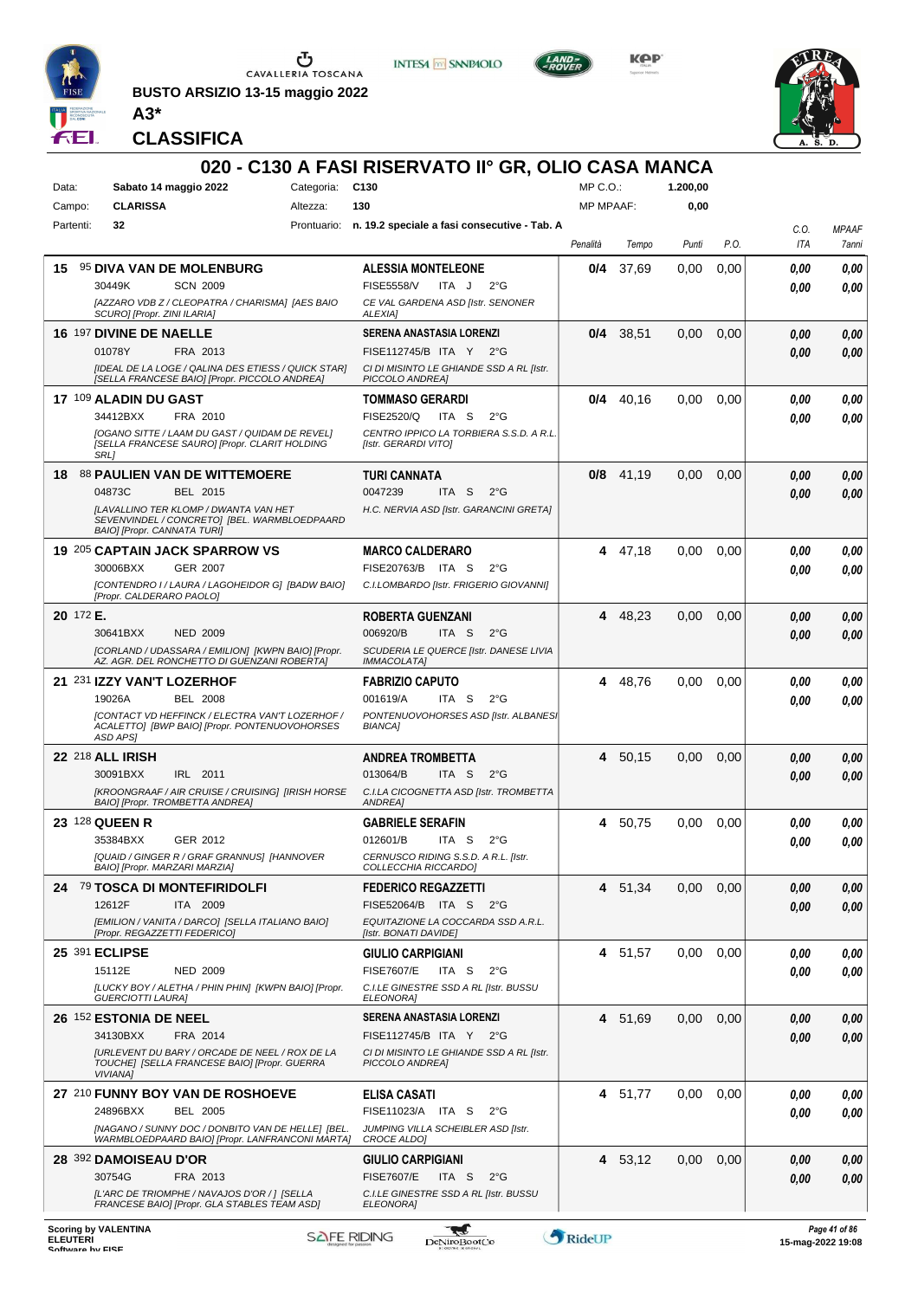

**BUSTO ARSIZIO 13-15 maggio 2022**



**INTESA M SANPAOLO** 

KOP



*MPAAF 7anni*

*0,00*

*0,00*

*0,00*

*0,00*

*0,00*

*0,00*

*0,00*

*0,00*

*0,00*

*0,00*

*0,00*

*0,00*

*0,00*

*0,00*

**CLASSIFICA**

**A3\***

#### **020 - C130 A FASI RISERVATO II° GR, OLIO CASA MANCA**  $MP \cap O$ **1.200,00** Data: Sabato 14 maggio 2022 Categoria: C130 Campo: **CLARISSA** Altezza: **130** MP MPAAF: **0,00** Partenti: **32** Prontuario: **n. 19.2 speciale a fasi consecutive - Tab. A** *C.O. Penalità Tempo Punti P.O. ITA* **15** 95 **DIVA VAN DE MOLENBURG ALESSIA MONTELEONE 0/4** 37,69 0,00 0,00 *0,00* SCN 2009 ITA J 2°G 30449K SCN\_2009 FISE5558/V ITA J 2°G **0,00 0,00** *0,00 [AZZARO VDB Z / CLEOPATRA / CHARISMA] [AES BAIO CE VAL GARDENA ASD [Istr. SENONER SCURO] [Propr. ZINI ILARIA] ALEXIA]* **16** 197 **DIVINE DE NAELLE SERENA ANASTASIA LORENZI 0/4** 38,51 0,00 0,00 *0,00* FRA 2013 ITA Y 2°G 01078Y FISE112745/B *0,00 0,00 [IDEAL DE LA LOGE / QALINA DES ETIESS / QUICK STAR] CI DI MISINTO LE GHIANDE SSD A RL [Istr. [SELLA FRANCESE BAIO] [Propr. PICCOLO ANDREA] PICCOLO ANDREA]* **17** 109 **ALADIN DU GAST TOMMASO GERARDI 0/4** 40,16 0,00 0,00 *0,00* FRA 2010 ITA S 2°G 34412BXX FRA 2010 FISE2520/Q ITA S 2°G **0,00 0,00** *0,00 [OGANO SITTE / LAAM DU GAST / QUIDAM DE REVEL] CENTRO IPPICO LA TORBIERA S.S.D. A R.L. [SELLA FRANCESE SAURO] [Propr. CLARIT HOLDING [Istr. GERARDI VITO] SRL]* **18** 88 **PAULIEN VAN DE WITTEMOERE TURI CANNATA 0/8** 41,19 0,00 0,00 *0,00* BEL 2015 ITA S 2°G 04873C 0047239 *0,00 0,00 [LAVALLINO TER KLOMP / DWANTA VAN HET H.C. NERVIA ASD [Istr. GARANCINI GRETA] SEVENVINDEL / CONCRETO] [BEL. WARMBLOEDPAARD BAIO] [Propr. CANNATA TURI]* **19** 205 **CAPTAIN JACK SPARROW VS MARCO CALDERARO 4** 47,18 0,00 0,00 *0,00* GER 2007 30006BXX GER 2007 FISE20763/B ITA S 2°G **0,00 0,00** *0,00 [CONTENDRO I / LAURA / LAGOHEIDOR G] [BADW BAIO] C.I.LOMBARDO [Istr. FRIGERIO GIOVANNI] [Propr. CALDERARO PAOLO]* **20** 172 **E. ROBERTA GUENZANI 4** 48,23 0,00 0,00 *0,00* ITA S 2°G NED 2009 30641BXX 006920/B *0,00 0,00 [CORLAND / UDASSARA / EMILION] [KWPN BAIO] [Propr. SCUDERIA LE QUERCE [Istr. DANESE LIVIA AZ. AGR. DEL RONCHETTO DI GUENZANI ROBERTA] IMMACOLATA]* **21** 231 **IZZY VAN'T LOZERHOF FABRIZIO CAPUTO 4** 48,76 0,00 0,00 *0,00* BEL 2008 ITA S 2°G 19026A 001619/A *0,00 0,00 [CONTACT VD HEFFINCK / ELECTRA VAN'T LOZERHOF / PONTENUOVOHORSES ASD [Istr. ALBANESI ACALETTO] [BWP BAIO] [Propr. PONTENUOVOHORSES BIANCA] ASD APS]* **22** 218 **ALL IRISH ANDREA TROMBETTA 4** 50,15 0,00 0,00 *0,00* IRL 2011 ITA S 2°G 30091BXX IRL 2011 013064/B ITA S 2°G <mark> 0,00 0,00</mark> *0,00 [KROONGRAAF / AIR CRUISE / CRUISING] [IRISH HORSE C.I.LA CICOGNETTA ASD [Istr. TROMBETTA BAIO] [Propr. TROMBETTA ANDREA] ANDREA]* **23** 128 **QUEEN R GABRIELE SERAFIN 4** 50,75 0,00 0,00 *0,00* GER 2012 ITA S 2°G 35384BXX GER 2012 012601/B ITA S 2°G <mark> 0,00 0,00</mark> *0,00 [QUAID / GINGER R / GRAF GRANNUS] [HANNOVER CERNUSCO RIDING S.S.D. A R.L. [Istr. BAIO] [Propr. MARZARI MARZIA] COLLECCHIA RICCARDO]* **24** 79 **TOSCA DI MONTEFIRIDOLFI FEDERICO REGAZZETTI 4** 51,34 0,00 0,00 *0,00* ITA 2009 12612F ITA 2009 FISE52064/B ITA S 2°G <mark>0,00 0,00</mark> *0,00 EQUITAZIONE LA COCCARDA SSD A.R.L. [EMILION / VANITA / DARCO] [SELLA ITALIANO BAIO] [Propr. REGAZZETTI FEDERICO] [Istr. BONATI DAVIDE]* **25** 391 **ECLIPSE GIULIO CARPIGIANI 4** 51,57 0,00 0,00 *0,00* NED 2009 ITA S 2°G *0,00* 15112E NED 2009 FISE7607/E ITA S 2°G **0,00 0,00** *[LUCKY BOY / ALETHA / PHIN PHIN] [KWPN BAIO] [Propr. C.I.LE GINESTRE SSD A RL [Istr. BUSSU ELEONORA] GUERCIOTTI LAURA]* **26** 152 **ESTONIA DE NEEL SERENA ANASTASIA LORENZI 4** 51,69 0,00 0,00 *0,00* FRA 2014 *0,00* ITA Y 2°G 34130BXX FISE112745/B *0,00 [URLEVENT DU BARY / ORCADE DE NEEL / ROX DE LA CI DI MISINTO LE GHIANDE SSD A RL [Istr. TOUCHE] [SELLA FRANCESE BAIO] [Propr. GUERRA PICCOLO ANDREA] VIVIANA]* **27** 210 **FUNNY BOY VAN DE ROSHOEVE ELISA CASATI 4** 51,77 0,00 0,00 *0,00* BEL 2005 *0,00* 24896BXX BEL 2005 FISE11023/A ITA S 2°G **0,00 0,00** *[NAGANO / SUNNY DOC / DONBITO VAN DE HELLE] [BEL. JUMPING VILLA SCHEIBLER ASD [Istr. WARMBLOEDPAARD BAIO] [Propr. LANFRANCONI MARTA] CROCE ALDO]* **28** 392 **DAMOISEAU D'OR 4** 53,12 0,00 0,00 *0,00* **GIULIO CARPIGIANI** FRA 2013 ITA S 2°G 30754G FRA 2013 FISE7607/E ITA S 2°G **0,00 0,00** *0,00 C.I.LE GINESTRE SSD A RL [Istr. BUSSU [L'ARC DE TRIOMPHE / NAVAJOS D'OR / ] [SELLA FRANCESE BAIO] [Propr. GLA STABLES TEAM ASD] ELEONORA]* **Scoring by VALENTINA** -gaf **ELEUTERI**<br>Software by FISE ELEUTERI SOFTWARE SOFTWARE ORIGINAL DENTOROOTCO **Software in the second of the Software Control of the Software or the Software or the Software or the Software or the Software or the Software or the Software or the Softwar**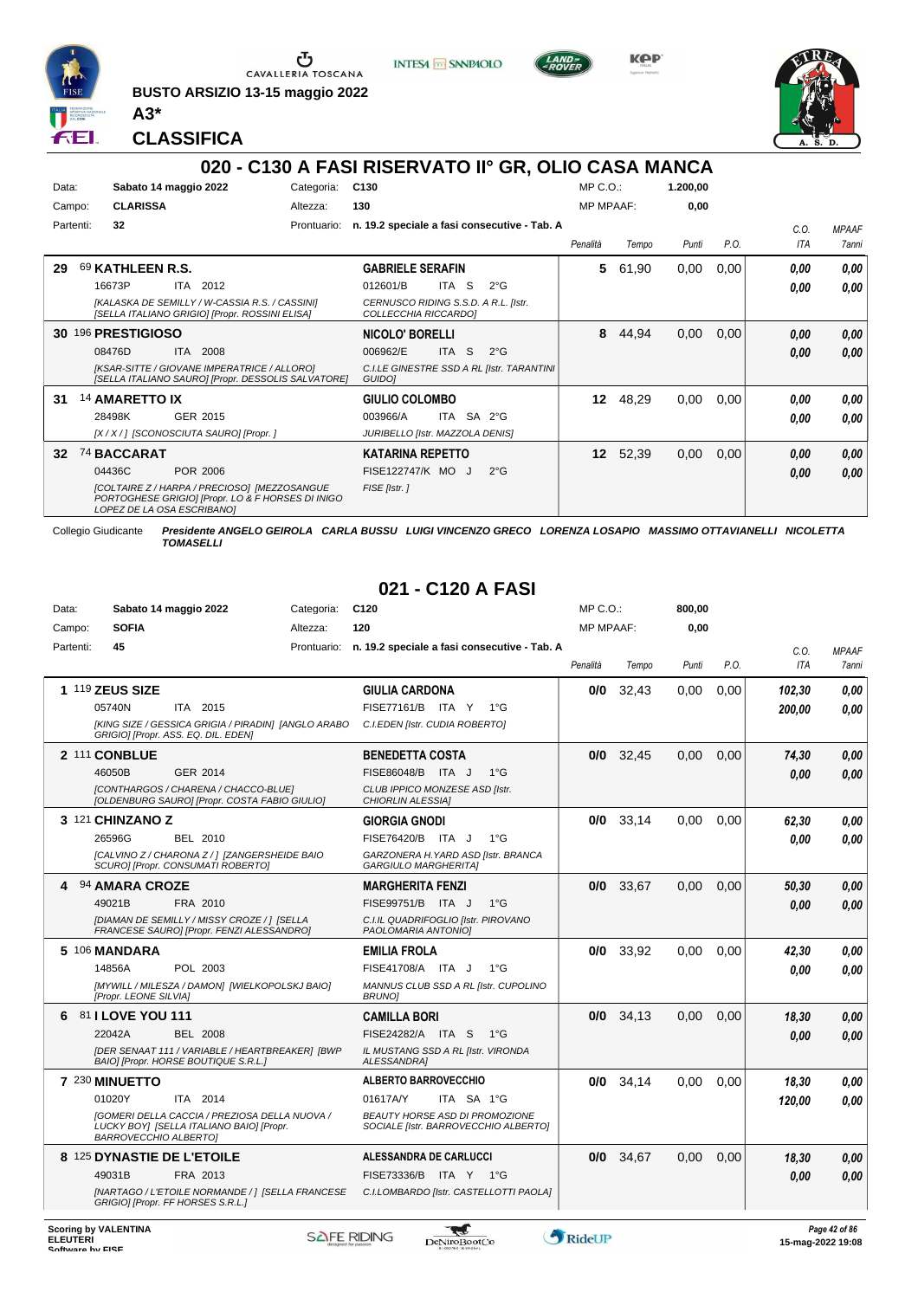

**BUSTO ARSIZIO 13-15 maggio 2022 A3\***







**CLASSIFICA**

#### **020 - C130 A FASI RISERVATO II° GR, OLIO CASA MANCA**

| Data:  |           | Sabato 14 maggio 2022      |          |                                                                                                          | Categoria:  | C <sub>130</sub>        |                                                              |                                              | MP C.O.:         |       | 1.200,00 |      |      |              |
|--------|-----------|----------------------------|----------|----------------------------------------------------------------------------------------------------------|-------------|-------------------------|--------------------------------------------------------------|----------------------------------------------|------------------|-------|----------|------|------|--------------|
| Campo: |           | <b>CLARISSA</b>            |          |                                                                                                          | Altezza:    | 130                     |                                                              |                                              | <b>MP MPAAF:</b> |       | 0,00     |      |      |              |
|        | Partenti: | 32                         |          |                                                                                                          | Prontuario: |                         |                                                              | n. 19.2 speciale a fasi consecutive - Tab. A |                  |       |          |      | C.0. | <b>MPAAF</b> |
|        |           |                            |          |                                                                                                          |             |                         |                                                              |                                              | Penalità         | Tempo | Punti    | P.O. | ITA  | 7anni        |
| 29     |           | 69 KATHLEEN R.S.           |          |                                                                                                          |             | <b>GABRIELE SERAFIN</b> |                                                              |                                              | 5                | 61,90 | 0,00     | 0,00 | 0,00 | 0,00         |
|        |           | 16673P                     | ITA.     | 2012                                                                                                     |             | 012601/B                | <b>ITA</b><br>S                                              | $2^{\circ}$ G                                |                  |       |          |      | 0,00 | 0,00         |
|        |           |                            |          | [KALASKA DE SEMILLY / W-CASSIA R.S. / CASSINI]<br>[SELLA ITALIANO GRIGIO] [Propr. ROSSINI ELISA]         |             |                         | CERNUSCO RIDING S.S.D. A R.L. [Istr.<br>COLLECCHIA RICCARDO] |                                              |                  |       |          |      |      |              |
|        |           | 30 196 PRESTIGIOSO         |          |                                                                                                          |             | <b>NICOLO' BORELLI</b>  |                                                              |                                              | 8                | 44,94 | 0,00     | 0,00 | 0,00 | 0,00         |
|        |           | 08476D                     | ITA.     | 2008                                                                                                     |             | 006962/E                | ITA <sub>S</sub>                                             | $2^{\circ}$ G                                |                  |       |          |      | 0.00 | 0,00         |
|        |           |                            |          | [KSAR-SITTE / GIOVANE IMPERATRICE / ALLORO]<br><b>ISELLA ITALIANO SAUROI IPropr. DESSOLIS SALVATOREI</b> |             | GUIDO]                  |                                                              | C.I.LE GINESTRE SSD A RL [Istr. TARANTINI    |                  |       |          |      |      |              |
| 31     |           | 14 AMARETTO IX             |          |                                                                                                          |             | <b>GIULIO COLOMBO</b>   |                                                              |                                              | 12               | 48,29 | 0,00     | 0,00 | 0,00 | 0,00         |
|        |           | 28498K                     | GER 2015 |                                                                                                          |             | 003966/A                | ITA SA 2°G                                                   |                                              |                  |       |          |      | 0.00 | 0.00         |
|        |           |                            |          | [X / X / ] [SCONOSCIUTA SAURO] [Propr. ]                                                                 |             |                         | JURIBELLO [Istr. MAZZOLA DENIS]                              |                                              |                  |       |          |      |      |              |
| 32     |           | 74 BACCARAT                |          |                                                                                                          |             | KATARINA REPETTO        |                                                              |                                              | 12 <sup>12</sup> | 52,39 | 0,00     | 0,00 | 0,00 | 0,00         |
|        |           | 04436C                     | POR 2006 |                                                                                                          |             |                         | FISE122747/K MO J                                            | $2^{\circ}$ G                                |                  |       |          |      | 0,00 | 0,00         |
|        |           | LOPEZ DE LA OSA ESCRIBANOI |          | [COLTAIRE Z / HARPA / PRECIOSO] [MEZZOSANGUE<br>PORTOGHESE GRIGIO] [Propr. LO & F HORSES DI INIGO        |             | FISE [Istr.]            |                                                              |                                              |                  |       |          |      |      |              |

Collegio Giudicante *Presidente ANGELO GEIROLA CARLA BUSSU LUIGI VINCENZO GRECO LORENZA LOSAPIO MASSIMO OTTAVIANELLI NICOLETTA TOMASELLI*

### **021 - C120 A FASI**

| Data:     | Sabato 14 maggio 2022                                                                                                     | Categoria:  | C <sub>120</sub>                                                              | $MP C. O.$ :     |       | 800,00 |      |        |              |
|-----------|---------------------------------------------------------------------------------------------------------------------------|-------------|-------------------------------------------------------------------------------|------------------|-------|--------|------|--------|--------------|
| Campo:    | <b>SOFIA</b>                                                                                                              | Altezza:    | 120                                                                           | <b>MP MPAAF:</b> |       | 0,00   |      |        |              |
| Partenti: | 45                                                                                                                        | Prontuario: | n. 19.2 speciale a fasi consecutive - Tab. A                                  |                  |       |        |      | C.O.   | <b>MPAAF</b> |
|           |                                                                                                                           |             |                                                                               | Penalità         | Tempo | Punti  | P.O. | ITA    | 7anni        |
|           | 1 119 ZEUS SIZE                                                                                                           |             | <b>GIULIA CARDONA</b>                                                         | 0/0              | 32,43 | 0,00   | 0.00 | 102,30 | 0.00         |
|           | ITA 2015<br>05740N                                                                                                        |             | FISE77161/B ITA Y 1°G                                                         |                  |       |        |      | 200,00 | 0.00         |
|           | [KING SIZE / GESSICA GRIGIA / PIRADIN] [ANGLO ARABO<br>GRIGIO] [Propr. ASS. EQ. DIL. EDEN]                                |             | C.I.EDEN [Istr. CUDIA ROBERTO]                                                |                  |       |        |      |        |              |
|           | 2 111 CONBLUE                                                                                                             |             | <b>BENEDETTA COSTA</b>                                                        | 0/0              | 32.45 | 0.00   | 0.00 | 74,30  | 0.00         |
|           | 46050B<br>GER 2014                                                                                                        |             | FISE86048/B ITA J<br>$1^{\circ}G$                                             |                  |       |        |      | 0.00   | 0.00         |
|           | [CONTHARGOS / CHARENA / CHACCO-BLUE]<br>[OLDENBURG SAURO] [Propr. COSTA FABIO GIULIO]                                     |             | CLUB IPPICO MONZESE ASD [Istr.<br>CHIORLIN ALESSIA]                           |                  |       |        |      |        |              |
|           | 3 121 CHINZANO Z                                                                                                          |             | <b>GIORGIA GNODI</b>                                                          | 0/0              | 33,14 | 0.00   | 0.00 | 62,30  | 0.00         |
|           | 26596G<br><b>BEL 2010</b>                                                                                                 |             | FISE76420/B ITA J<br>$1^{\circ}G$                                             |                  |       |        |      | 0.00   | 0.00         |
|           | [CALVINO Z / CHARONA Z / 1 [ZANGERSHEIDE BAIO<br>SCURO] [Propr. CONSUMATI ROBERTO]                                        |             | GARZONERA H. YARD ASD [Istr. BRANCA<br><b>GARGIULO MARGHERITAI</b>            |                  |       |        |      |        |              |
|           | 94 AMARA CROZE                                                                                                            |             | <b>MARGHERITA FENZI</b>                                                       | 0/0              | 33,67 | 0,00   | 0,00 | 50,30  | 0.00         |
|           | 49021B<br>FRA 2010                                                                                                        |             | FISE99751/B ITA J<br>$1^{\circ}G$                                             |                  |       |        |      | 0,00   | 0.00         |
|           | [DIAMAN DE SEMILLY / MISSY CROZE / ] [SELLA<br>FRANCESE SAURO] [Propr. FENZI ALESSANDRO]                                  |             | C.I.IL QUADRIFOGLIO [Istr. PIROVANO<br>PAOLOMARIA ANTONIOI                    |                  |       |        |      |        |              |
|           | 5 106 MANDARA                                                                                                             |             | <b>EMILIA FROLA</b>                                                           | 0/0              | 33,92 | 0.00   | 0.00 | 42,30  | 0.00         |
|           | 14856A<br>POL 2003                                                                                                        |             | FISE41708/A ITA J<br>$1^{\circ}G$                                             |                  |       |        |      | 0.00   | 0.00         |
|           | [MYWILL / MILESZA / DAMON] [WIELKOPOLSKJ BAIO]<br>[Propr. LEONE SILVIA]                                                   |             | MANNUS CLUB SSD A RL [Istr. CUPOLINO<br><b>BRUNO1</b>                         |                  |       |        |      |        |              |
| 6         | <b>81 I LOVE YOU 111</b>                                                                                                  |             | <b>CAMILLA BORI</b>                                                           | 0/0              | 34.13 | 0.00   | 0.00 | 18,30  | 0.00         |
|           | 22042A<br><b>BEL 2008</b>                                                                                                 |             | FISE24282/A ITA S<br>1°G                                                      |                  |       |        |      | 0,00   | 0.00         |
|           | [DER SENAAT 111 / VARIABLE / HEARTBREAKER] [BWP<br>BAIO] [Propr. HORSE BOUTIQUE S.R.L.]                                   |             | IL MUSTANG SSD A RL [Istr. VIRONDA<br>ALESSANDRA1                             |                  |       |        |      |        |              |
|           | 7 230 MINUETTO                                                                                                            |             | <b>ALBERTO BARROVECCHIO</b>                                                   | 0/0              | 34,14 | 0,00   | 0.00 | 18,30  | 0.00         |
|           | 01020Y<br>ITA 2014                                                                                                        |             | ITA SA 1°G<br>01617A/Y                                                        |                  |       |        |      | 120,00 | 0.00         |
|           | [GOMERI DELLA CACCIA / PREZIOSA DELLA NUOVA /<br>LUCKY BOY] [SELLA ITALIANO BAIO] [Propr.<br><b>BARROVECCHIO ALBERTOI</b> |             | <b>BEAUTY HORSE ASD DI PROMOZIONE</b><br>SOCIALE [Istr. BARROVECCHIO ALBERTO] |                  |       |        |      |        |              |
|           | 8 125 DYNASTIE DE L'ETOILE                                                                                                |             | <b>ALESSANDRA DE CARLUCCI</b>                                                 | 0/0              | 34,67 | 0,00   | 0.00 | 18,30  | 0.00         |
|           | 49031B<br>FRA 2013                                                                                                        |             | FISE73336/B ITA Y 1°G                                                         |                  |       |        |      | 0.00   | 0.00         |
|           | [NARTAGO / L'ETOILE NORMANDE / ] [SELLA FRANCESE<br>GRIGIO] [Propr. FF HORSES S.R.L.]                                     |             | C.I.LOMBARDO [Istr. CASTELLOTTI PAOLA]                                        |                  |       |        |      |        |              |
|           |                                                                                                                           |             |                                                                               |                  |       |        |      |        |              |

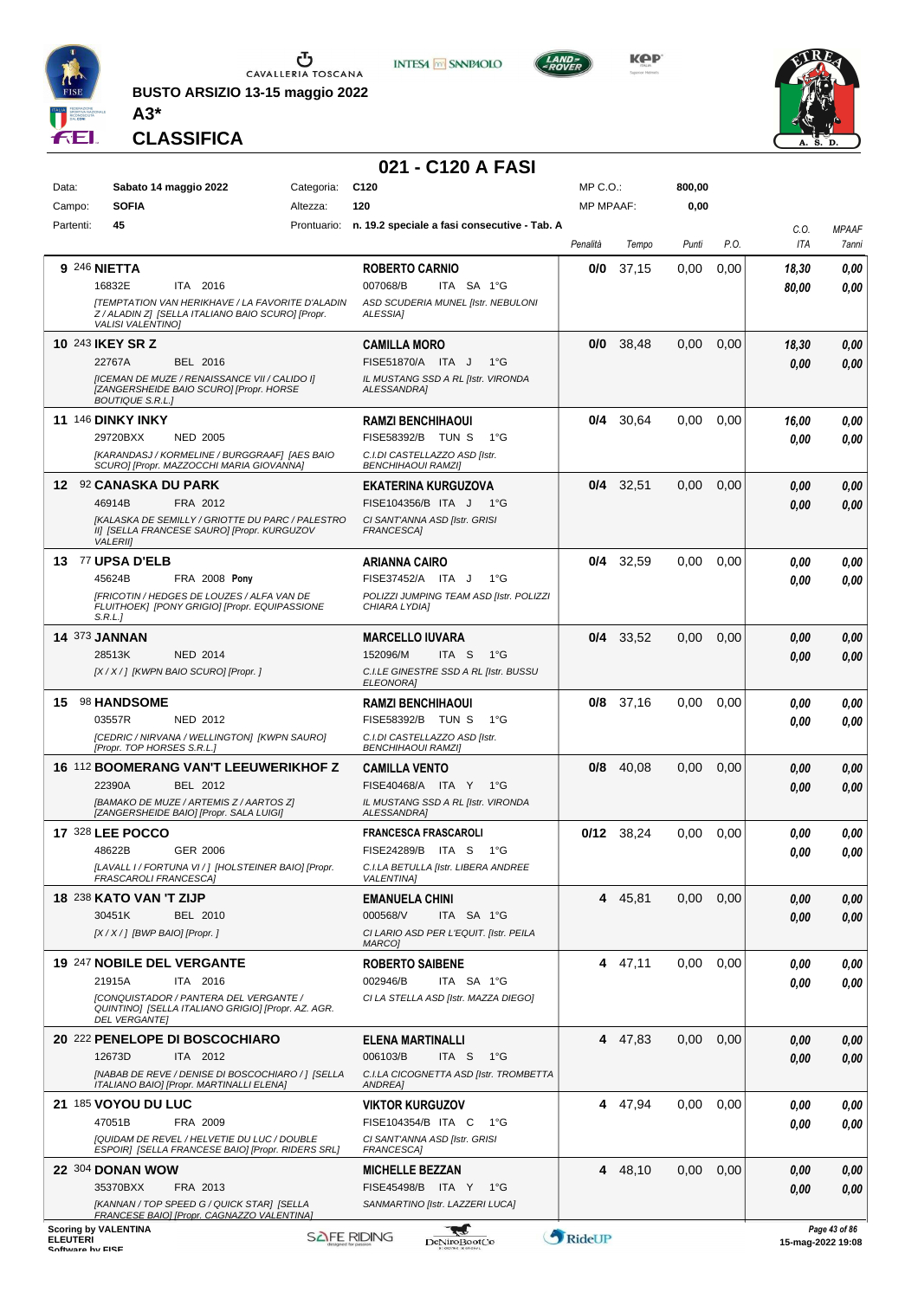

**BUSTO ARSIZIO 13-15 maggio 2022**



**KOP** 



**CLASSIFICA**

**A3\***

### **021 - C120 A FASI**

**INTESA M** SANPAOLO

| Data: |                 | Sabato 14 maggio 2022           |                                                                                              | Categoria:  | C <sub>120</sub>                                           | MP C.O.:         |              | 800,00 |      |       |                                          |
|-------|-----------------|---------------------------------|----------------------------------------------------------------------------------------------|-------------|------------------------------------------------------------|------------------|--------------|--------|------|-------|------------------------------------------|
|       | Campo:          | <b>SOFIA</b>                    |                                                                                              | Altezza:    | 120                                                        | <b>MP MPAAF:</b> |              | 0,00   |      |       |                                          |
|       | Partenti:       | 45                              |                                                                                              | Prontuario: | n. 19.2 speciale a fasi consecutive - Tab. A               |                  |              |        |      |       |                                          |
|       |                 |                                 |                                                                                              |             |                                                            |                  |              |        |      | C.O.  | <b>MPAAF</b>                             |
|       |                 |                                 |                                                                                              |             |                                                            | Penalità         | Tempo        | Punti  | P.O. | ITA   | 7anni                                    |
|       |                 | 9 246 NIETTA                    |                                                                                              |             | <b>ROBERTO CARNIO</b>                                      | 0/0              | 37,15        | 0,00   | 0,00 | 18,30 | 0,00                                     |
|       |                 | 16832E                          | ITA 2016                                                                                     |             | 007068/B<br>ITA SA 1°G                                     |                  |              |        |      | 80,00 | 0.00                                     |
|       |                 |                                 | <b>[TEMPTATION VAN HERIKHAVE / LA FAVORITE D'ALADIN</b>                                      |             | ASD SCUDERIA MUNEL [Istr. NEBULONI                         |                  |              |        |      |       |                                          |
|       |                 |                                 | Z / ALADIN Z] [SELLA ITALIANO BAIO SCURO] [Propr.                                            |             | <b>ALESSIA1</b>                                            |                  |              |        |      |       |                                          |
|       |                 | <b>VALISI VALENTINO]</b>        |                                                                                              |             |                                                            |                  |              |        |      |       |                                          |
|       |                 | 10 243 IKEY SR Z                |                                                                                              |             | <b>CAMILLA MORO</b>                                        | 0/0              | 38,48        | 0,00   | 0,00 | 18,30 | 0,00                                     |
|       |                 | 22767A                          | BEL 2016                                                                                     |             | FISE51870/A ITA J<br>$1^{\circ}G$                          |                  |              |        |      | 0,00  | 0.00                                     |
|       |                 |                                 | [ICEMAN DE MUZE / RENAISSANCE VII / CALIDO I]                                                |             | IL MUSTANG SSD A RL [Istr. VIRONDA                         |                  |              |        |      |       |                                          |
|       |                 | <b>BOUTIQUE S.R.L.]</b>         | [ZANGERSHEIDE BAIO SCURO] [Propr. HORSE                                                      |             | ALESSANDRA]                                                |                  |              |        |      |       |                                          |
|       |                 |                                 |                                                                                              |             |                                                            |                  |              |        |      |       |                                          |
|       |                 | <b>11 146 DINKY INKY</b>        |                                                                                              |             | <b>RAMZI BENCHIHAOUI</b>                                   | 0/4              | 30,64        | 0.00   | 0,00 | 16,00 | 0,00                                     |
|       |                 | 29720BXX                        | <b>NED 2005</b>                                                                              |             | FISE58392/B TUN S<br>$1^{\circ}G$                          |                  |              |        |      | 0.00  | 0.00                                     |
|       |                 |                                 | [KARANDASJ / KORMELINE / BURGGRAAF] [AES BAIO<br>SCURO] [Propr. MAZZOCCHI MARIA GIOVANNA]    |             | C.I.DI CASTELLAZZO ASD [Istr.<br><b>BENCHIHAOUI RAMZI]</b> |                  |              |        |      |       |                                          |
|       |                 |                                 |                                                                                              |             |                                                            |                  |              |        |      |       |                                          |
|       |                 | 12 92 CANASKA DU PARK           |                                                                                              |             | <b>EKATERINA KURGUZOVA</b>                                 |                  | $0/4$ 32,51  | 0.00   | 0,00 | 0.00  | 0,00                                     |
|       |                 | 46914B                          | FRA 2012                                                                                     |             | FISE104356/B ITA J<br>$1^{\circ}G$                         |                  |              |        |      | 0,00  | 0.00                                     |
|       |                 |                                 | [KALASKA DE SEMILLY / GRIOTTE DU PARC / PALESTRO                                             |             | CI SANT'ANNA ASD [Istr. GRISI                              |                  |              |        |      |       |                                          |
|       |                 | <b>VALERIII</b>                 | II] [SELLA FRANCESE SAURO] [Propr. KURGUZOV                                                  |             | <b>FRANCESCA1</b>                                          |                  |              |        |      |       |                                          |
|       |                 | 13 77 UPSA D'ELB                |                                                                                              |             | <b>ARIANNA CAIRO</b>                                       | 0/4              | 32,59        | 0.00   | 0,00 | 0,00  | 0,00                                     |
|       |                 |                                 | FRA 2008 Pony                                                                                |             |                                                            |                  |              |        |      |       |                                          |
|       |                 | 45624B                          |                                                                                              |             | FISE37452/A ITA J<br>$1^{\circ}G$                          |                  |              |        |      | 0.00  | 0.00                                     |
|       |                 |                                 | [FRICOTIN / HEDGES DE LOUZES / ALFA VAN DE<br>FLUITHOEK] [PONY GRIGIO] [Propr. EQUIPASSIONE  |             | POLIZZI JUMPING TEAM ASD [Istr. POLIZZI<br>CHIARA LYDIA]   |                  |              |        |      |       |                                          |
|       |                 | S.R.L.]                         |                                                                                              |             |                                                            |                  |              |        |      |       |                                          |
|       |                 | <b>14 373 JANNAN</b>            |                                                                                              |             | <b>MARCELLO IUVARA</b>                                     |                  | $0/4$ 33,52  | 0,00   | 0,00 | 0,00  | 0,00                                     |
|       |                 | 28513K                          | <b>NED 2014</b>                                                                              |             | 152096/M<br>ITA S<br>1°G                                   |                  |              |        |      | 0,00  | 0.00                                     |
|       |                 |                                 | [X / X / ] [KWPN BAIO SCURO] [Propr. ]                                                       |             | C.I.LE GINESTRE SSD A RL [Istr. BUSSU                      |                  |              |        |      |       |                                          |
|       |                 |                                 |                                                                                              |             | <b>ELEONORA]</b>                                           |                  |              |        |      |       |                                          |
| 15    |                 | 98 HANDSOME                     |                                                                                              |             | <b>RAMZI BENCHIHAOUI</b>                                   | 0/8              | 37,16        | 0.00   | 0,00 | 0.00  | 0.00                                     |
|       |                 | 03557R                          | NED 2012                                                                                     |             | FISE58392/B TUN S<br>1°G                                   |                  |              |        |      | 0.00  | 0.00                                     |
|       |                 |                                 | [CEDRIC / NIRVANA / WELLINGTON] [KWPN SAURO]                                                 |             | C.I.DI CASTELLAZZO ASD [Istr.                              |                  |              |        |      |       |                                          |
|       |                 | [Propr. TOP HORSES S.R.L.]      |                                                                                              |             | <b>BENCHIHAOUI RAMZI]</b>                                  |                  |              |        |      |       |                                          |
|       |                 |                                 | 16 112 BOOMERANG VAN'T LEEUWERIKHOF Z                                                        |             | <b>CAMILLA VENTO</b>                                       | 0/8              | 40,08        | 0,00   | 0,00 | 0,00  | 0,00                                     |
|       |                 | 22390A                          | BEL 2012                                                                                     |             | FISE40468/A ITA Y<br>1°G                                   |                  |              |        |      | 0,00  | 0.00                                     |
|       |                 |                                 | [BAMAKO DE MUZE / ARTEMIS Z / AARTOS Z]                                                      |             | IL MUSTANG SSD A RL [Istr. VIRONDA                         |                  |              |        |      |       |                                          |
|       |                 |                                 | [ZANGERSHEIDE BAIO] [Propr. SALA LUIGI]                                                      |             | ALESSANDRA]                                                |                  |              |        |      |       |                                          |
|       |                 | <b>17 328 LEE POCCO</b>         |                                                                                              |             | <b>FRANCESCA FRASCAROLI</b>                                |                  | $0/12$ 38,24 | 0,00   | 0,00 | 0.00  | 0,00                                     |
|       |                 | 48622B                          | <b>GER 2006</b>                                                                              |             | FISE24289/B ITA S<br>1°G                                   |                  |              |        |      |       |                                          |
|       |                 |                                 | [LAVALL I / FORTUNA VI / ] [HOLSTEINER BAIO] [Propr.                                         |             | C.I.LA BETULLA [Istr. LIBERA ANDREE                        |                  |              |        |      | 0.00  | 0.00                                     |
|       |                 | FRASCAROLI FRANCESCAJ           |                                                                                              |             | <i>VALENTINA]</i>                                          |                  |              |        |      |       |                                          |
|       |                 | <b>18 238 KATO VAN 'T ZIJP</b>  |                                                                                              |             | <b>EMANUELA CHINI</b>                                      |                  | 4 45,81      | 0,00   | 0,00 | 0,00  | 0,00                                     |
|       |                 | 30451K                          | BEL 2010                                                                                     |             | 000568/V<br>ITA SA 1°G                                     |                  |              |        |      |       |                                          |
|       |                 | [X / X / ] [BWP BAIO] [Propr. ] |                                                                                              |             | CI LARIO ASD PER L'EQUIT. [Istr. PEILA                     |                  |              |        |      | 0,00  | 0,00                                     |
|       |                 |                                 |                                                                                              |             | MARCO]                                                     |                  |              |        |      |       |                                          |
|       |                 | 19 247 NOBILE DEL VERGANTE      |                                                                                              |             | <b>ROBERTO SAIBENE</b>                                     |                  | 4 47,11      | 0,00   | 0,00 | 0,00  | 0,00                                     |
|       |                 |                                 |                                                                                              |             | ITA SA 1°G                                                 |                  |              |        |      |       |                                          |
|       |                 | 21915A                          | ITA 2016                                                                                     |             | 002946/B                                                   |                  |              |        |      | 0,00  | 0,00                                     |
|       |                 |                                 | [CONQUISTADOR / PANTERA DEL VERGANTE /<br>QUINTINO] [SELLA ITALIANO GRIGIO] [Propr. AZ. AGR. |             | CI LA STELLA ASD [Istr. MAZZA DIEGO]                       |                  |              |        |      |       |                                          |
|       |                 | <b>DEL VERGANTEI</b>            |                                                                                              |             |                                                            |                  |              |        |      |       |                                          |
|       |                 |                                 | 20 222 PENELOPE DI BOSCOCHIARO                                                               |             | ELENA MARTINALLI                                           |                  | 4 47,83      | 0.00   | 0,00 | 0,00  | 0,00                                     |
|       |                 | 12673D                          | ITA 2012                                                                                     |             | 006103/B<br>ITA S 1°G                                      |                  |              |        |      | 0.00  | 0.00                                     |
|       |                 |                                 | [NABAB DE REVE / DENISE DI BOSCOCHIARO / 1 [SELLA                                            |             | C.I.LA CICOGNETTA ASD [Istr. TROMBETTA                     |                  |              |        |      |       |                                          |
|       |                 |                                 | ITALIANO BAIO] [Propr. MARTINALLI ELENA]                                                     |             | ANDREA]                                                    |                  |              |        |      |       |                                          |
|       |                 | 21 185 VOYOU DU LUC             |                                                                                              |             | <b>VIKTOR KURGUZOV</b>                                     |                  | 4 47,94      | 0,00   | 0,00 | 0,00  | 0,00                                     |
|       |                 | 47051B                          | FRA 2009                                                                                     |             | FISE104354/B ITA C 1°G                                     |                  |              |        |      | 0.00  | 0,00                                     |
|       |                 |                                 | [QUIDAM DE REVEL / HELVETIE DU LUC / DOUBLE                                                  |             | CI SANT'ANNA ASD [Istr. GRISI                              |                  |              |        |      |       |                                          |
|       |                 |                                 | ESPOIR] [SELLA FRANCESE BAIO] [Propr. RIDERS SRL]                                            |             | FRANCESCA]                                                 |                  |              |        |      |       |                                          |
|       |                 | 22 304 DONAN WOW                |                                                                                              |             | <b>MICHELLE BEZZAN</b>                                     |                  | 4 48,10      | 0,00   | 0,00 | 0,00  | 0,00                                     |
|       |                 | 35370BXX                        | FRA 2013                                                                                     |             | FISE45498/B ITA Y 1°G                                      |                  |              |        |      | 0,00  | 0,00                                     |
|       |                 |                                 | [KANNAN / TOP SPEED G / QUICK STAR] [SELLA                                                   |             | SANMARTINO [Istr. LAZZERI LUCA]                            |                  |              |        |      |       |                                          |
|       |                 |                                 | FRANCESE BAIO] [Propr. CAGNAZZO VALENTINA]                                                   |             |                                                            |                  |              |        |      |       |                                          |
|       | <b>ELEUTERI</b> | <b>Scoring by VALENTINA</b>     |                                                                                              |             | <b>SAFE RIDING</b><br>DeNiroBoot('o                        | RideUP           |              |        |      |       | Page 43 of 86<br>$15 - ma - 202219 - 08$ |
|       |                 |                                 |                                                                                              |             |                                                            |                  |              |        |      |       |                                          |

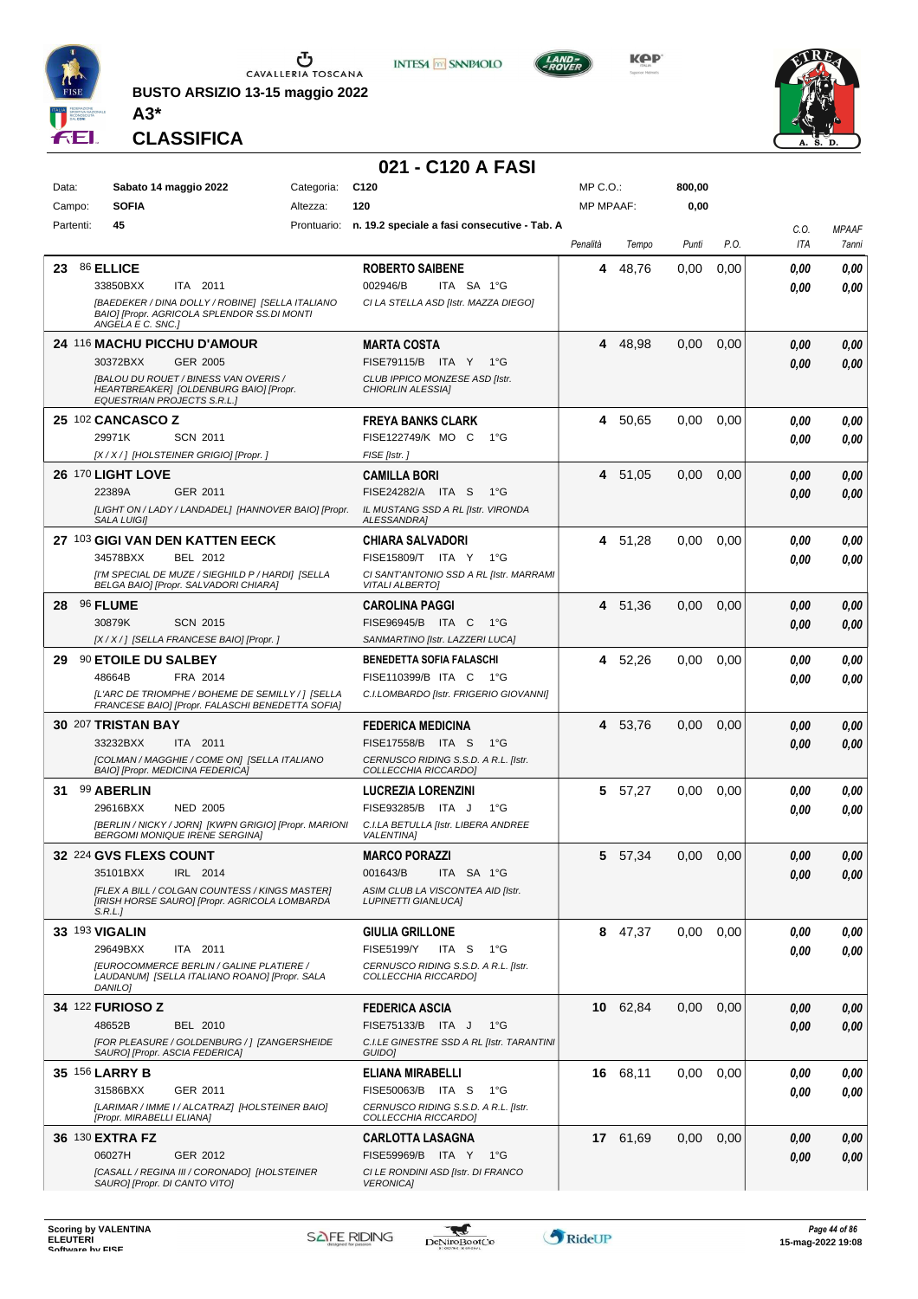

**BUSTO ARSIZIO 13-15 maggio 2022**



**KPP** 



**CLASSIFICA**

**A3\***

#### **021 - C120 A FASI**

**INTESA M** SANPAOLO

| Data:          | Sabato 14 maggio 2022                                                                                                                                | Categoria: C120 |                                                                                                   | MP C.O.:         |          | 800,00 |      |              |                       |
|----------------|------------------------------------------------------------------------------------------------------------------------------------------------------|-----------------|---------------------------------------------------------------------------------------------------|------------------|----------|--------|------|--------------|-----------------------|
| Campo:         | <b>SOFIA</b>                                                                                                                                         | Altezza:        | 120                                                                                               | <b>MP MPAAF:</b> |          | 0,00   |      |              |                       |
| Partenti:      | 45                                                                                                                                                   | Prontuario:     | n. 19.2 speciale a fasi consecutive - Tab. A                                                      | Penalità         | Tempo    | Punti  | P.O. | C.O.<br>ITA  | <b>MPAAF</b><br>7anni |
| 23             | 86 ELLICE<br>33850BXX<br>ITA 2011<br>[BAEDEKER / DINA DOLLY / ROBINE] [SELLA ITALIANO                                                                |                 | <b>ROBERTO SAIBENE</b><br>002946/B<br>ITA SA 1°G<br>CI LA STELLA ASD [Istr. MAZZA DIEGO]          | 4                | 48,76    | 0,00   | 0,00 | 0.00<br>0.00 | 0,00<br>0.00          |
|                | BAIO] [Propr. AGRICOLA SPLENDOR SS.DI MONTI<br>ANGELA E C. SNC.]                                                                                     |                 |                                                                                                   |                  |          |        |      |              |                       |
|                | 24 116 MACHU PICCHU D'AMOUR                                                                                                                          |                 | MARTA COSTA                                                                                       | 4                | 48,98    | 0,00   | 0,00 | 0.00         | 0,00                  |
|                | 30372BXX<br>GER 2005<br><b>IBALOU DU ROUET / BINESS VAN OVERIS /</b><br>HEARTBREAKER] [OLDENBURG BAIO] [Propr.<br><b>EQUESTRIAN PROJECTS S.R.L.]</b> |                 | FISE79115/B ITA Y 1°G<br>CLUB IPPICO MONZESE ASD [Istr.<br>CHIORLIN ALESSIA]                      |                  |          |        |      | 0.00         | 0.00                  |
|                | 25 102 CANCASCO Z                                                                                                                                    |                 | <b>FREYA BANKS CLARK</b>                                                                          | 4                | 50,65    | 0,00   | 0,00 | 0.00         | 0,00                  |
|                | 29971K<br><b>SCN 2011</b><br>[X / X / ] [HOLSTEINER GRIGIO] [Propr. ]                                                                                |                 | FISE122749/K MO C<br>1°G<br>FISE [Istr.]                                                          |                  |          |        |      | 0.00         | 0.00                  |
|                | 26 170 LIGHT LOVE                                                                                                                                    |                 | <b>CAMILLA BORI</b>                                                                               |                  | 4 51,05  | 0,00   | 0,00 | 0.00         | 0,00                  |
|                | 22389A<br>GER 2011                                                                                                                                   |                 | FISE24282/A ITA S<br>1°G                                                                          |                  |          |        |      | 0.00         | 0.00                  |
|                | [LIGHT ON / LADY / LANDADEL] [HANNOVER BAIO] [Propr.<br><b>SALA LUIGII</b>                                                                           |                 | IL MUSTANG SSD A RL [Istr. VIRONDA<br>ALESSANDRA]                                                 |                  |          |        |      |              |                       |
|                | 27 103 GIGI VAN DEN KATTEN EECK                                                                                                                      |                 | CHIARA SALVADORI                                                                                  |                  | 4 51,28  | 0,00   | 0,00 | 0.00         | 0,00                  |
|                | 34578BXX<br>BEL 2012                                                                                                                                 |                 | FISE15809/T ITA Y<br>1°G                                                                          |                  |          |        |      | 0.00         | 0.00                  |
|                | [I'M SPECIAL DE MUZE / SIEGHILD P / HARDI] [SELLA<br>BELGA BAIO] [Propr. SALVADORI CHIARA]                                                           |                 | CI SANT'ANTONIO SSD A RL [Istr. MARRAMI<br><b>VITALI ALBERTO]</b>                                 |                  |          |        |      |              |                       |
| 28             | <b>96 FLUME</b>                                                                                                                                      |                 | <b>CAROLINA PAGGI</b>                                                                             |                  | 4 51,36  | 0,00   | 0,00 | 0.00         | 0,00                  |
|                | 30879K<br><b>SCN 2015</b>                                                                                                                            |                 | FISE96945/B ITA C<br>1°G                                                                          |                  |          |        |      | 0.00         | 0.00                  |
|                | [X / X / ] [SELLA FRANCESE BAIO] [Propr. ]                                                                                                           |                 | SANMARTINO [Istr. LAZZERI LUCA]                                                                   |                  |          |        |      |              |                       |
| 29             | 90 ETOILE DU SALBEY<br>48664B<br>FRA 2014                                                                                                            |                 | <b>BENEDETTA SOFIA FALASCHI</b><br>FISE110399/B ITA C<br>− 1°G                                    |                  | 4 52,26  | 0,00   | 0,00 | 0.00<br>0.00 | 0,00<br>0.00          |
|                | [L'ARC DE TRIOMPHE / BOHEME DE SEMILLY / ] [SELLA                                                                                                    |                 | C.I.LOMBARDO [Istr. FRIGERIO GIOVANNI]                                                            |                  |          |        |      |              |                       |
|                | FRANCESE BAIO] [Propr. FALASCHI BENEDETTA SOFIA]                                                                                                     |                 |                                                                                                   |                  |          |        |      |              |                       |
|                | 30 207 TRISTAN BAY<br>33232BXX<br>ITA 2011                                                                                                           |                 | <b>FEDERICA MEDICINA</b><br>FISE17558/B ITA S<br>1°G                                              |                  | 4 53,76  | 0,00   | 0,00 | 0,00<br>0.00 | 0,00<br>0.00          |
|                | [COLMAN / MAGGHIE / COME ON] [SELLA ITALIANO<br>BAIO] [Propr. MEDICINA FEDERICA]                                                                     |                 | CERNUSCO RIDING S.S.D. A R.L. [Istr.<br>COLLECCHIA RICCARDO]                                      |                  |          |        |      |              |                       |
| 31             | 99 ABERLIN                                                                                                                                           |                 | <b>LUCREZIA LORENZINI</b>                                                                         | 5.               | 57,27    | 0,00   | 0,00 | 0.00         | 0,00                  |
|                | 29616BXX<br><b>NED 2005</b>                                                                                                                          |                 | FISE93285/B ITA J<br>$1^{\circ}G$                                                                 |                  |          |        |      | 0.00         | 0.00                  |
|                | [BERLIN / NICKY / JORN] [KWPN GRIGIO] [Propr. MARIONI<br><b>BERGOMI MONIQUE IRENE SERGINA]</b>                                                       |                 | C.I.LA BETULLA [Istr. LIBERA ANDREE<br><b>VALENTINAI</b>                                          |                  |          |        |      |              |                       |
|                | 32 224 GVS FLEXS COUNT                                                                                                                               |                 | <b>MARCO PORAZZI</b>                                                                              |                  | 5 57,34  | 0,00   | 0,00 | 0.00         | 0.00                  |
|                | 35101BXX<br>IRL 2014                                                                                                                                 |                 | 001643/B<br>ITA SA 1°G                                                                            |                  |          |        |      | 0,00         | 0,00                  |
|                | [FLEX A BILL / COLGAN COUNTESS / KINGS MASTER]<br>[IRISH HORSE SAURO] [Propr. AGRICOLA LOMBARDA<br>S.R.L.                                            |                 | ASIM CLUB LA VISCONTEA AID [Istr.<br><b>LUPINETTI GIANLUCAI</b>                                   |                  |          |        |      |              |                       |
| 33 193 VIGALIN |                                                                                                                                                      |                 | <b>GIULIA GRILLONE</b>                                                                            |                  | 8 47,37  | 0,00   | 0,00 | 0,00         | 0,00                  |
|                | 29649BXX<br>ITA 2011<br><b>IEUROCOMMERCE BERLIN / GALINE PLATIERE /</b><br>LAUDANUM] [SELLA ITALIANO ROANO] [Propr. SALA<br>DANILO1                  |                 | <b>FISE5199/Y</b><br>ITA S<br>1°G<br>CERNUSCO RIDING S.S.D. A R.L. [Istr.<br>COLLECCHIA RICCARDO] |                  |          |        |      | 0.00         | 0.00                  |
|                | 34 122 FURIOSO Z                                                                                                                                     |                 | <b>FEDERICA ASCIA</b>                                                                             |                  | 10 62,84 | 0,00   | 0,00 | 0,00         | 0,00                  |
|                | 48652B<br>BEL 2010                                                                                                                                   |                 | FISE75133/B ITA J<br>1°G                                                                          |                  |          |        |      | 0.00         | 0,00                  |
|                | [FOR PLEASURE / GOLDENBURG / ] [ZANGERSHEIDE<br>SAURO] [Propr. ASCIA FEDERICA]                                                                       |                 | C.I.LE GINESTRE SSD A RL [Istr. TARANTINI<br>GUIDO]                                               |                  |          |        |      |              |                       |
| 35 156 LARRY B |                                                                                                                                                      |                 | ELIANA MIRABELLI                                                                                  |                  | 16 68,11 | 0,00   | 0,00 | 0.00         | 0,00                  |
|                | 31586BXX<br>GER 2011<br>[LARIMAR / IMME I / ALCATRAZ] [HOLSTEINER BAIO]                                                                              |                 | FISE50063/B ITA S<br>1°G<br>CERNUSCO RIDING S.S.D. A R.L. [Istr.                                  |                  |          |        |      | 0.00         | 0.00                  |
|                | [Propr. MIRABELLI ELIANA]                                                                                                                            |                 | COLLECCHIA RICCARDO]                                                                              |                  |          |        |      |              |                       |
|                | 36 130 EXTRA FZ                                                                                                                                      |                 | <b>CARLOTTA LASAGNA</b>                                                                           |                  | 17 61,69 | 0,00   | 0,00 | 0.00         | 0,00                  |
|                | 06027H<br>GER 2012<br>[CASALL / REGINA III / CORONADO] [HOLSTEINER                                                                                   |                 | FISE59969/B ITA Y<br>1°G<br>CI LE RONDINI ASD [Istr. DI FRANCO                                    |                  |          |        |      | 0.00         | 0,00                  |
|                | SAURO] [Propr. DI CANTO VITO]                                                                                                                        |                 | <b>VERONICA]</b>                                                                                  |                  |          |        |      |              |                       |

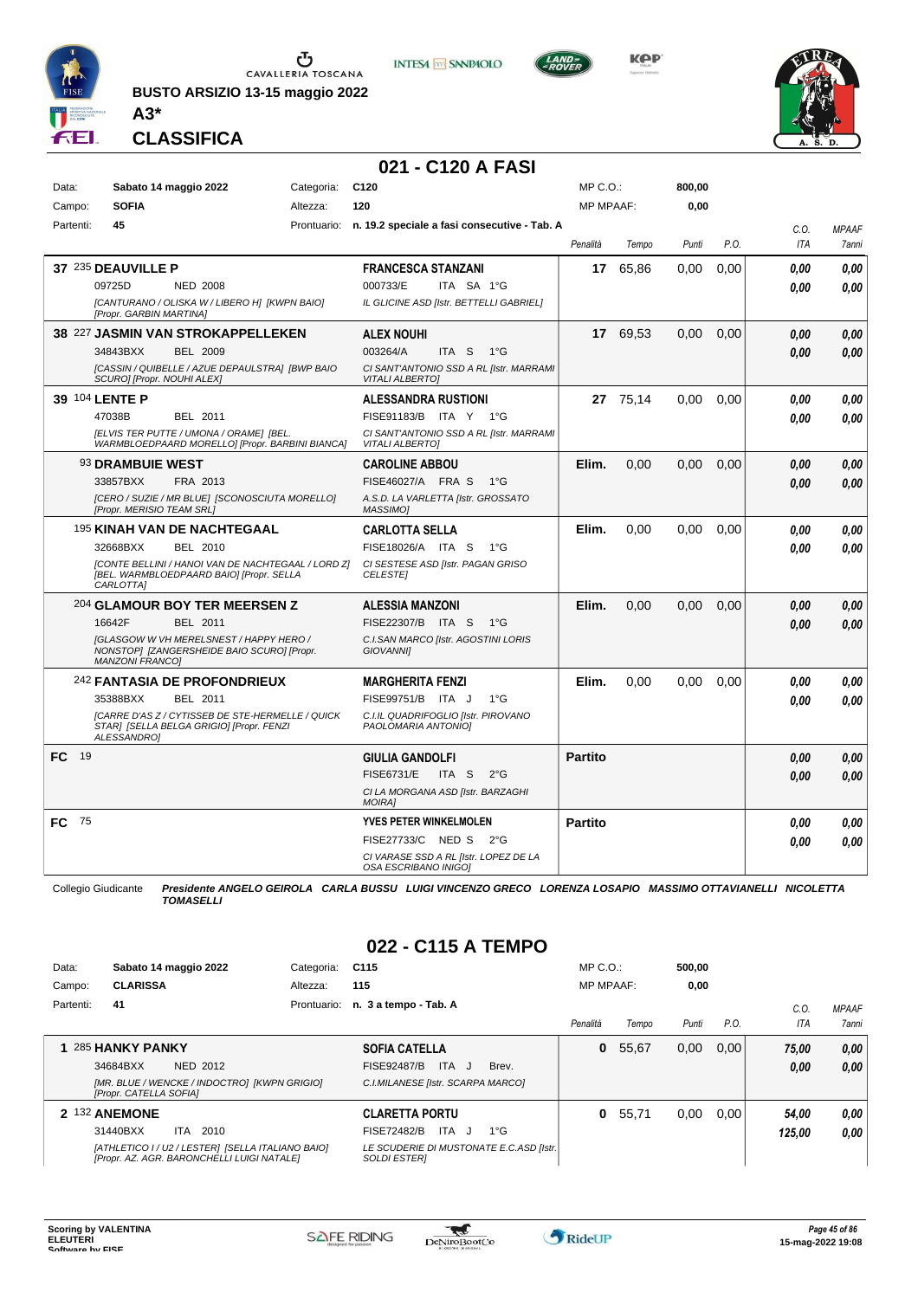

**BUSTO ARSIZIO 13-15 maggio 2022**





**KPP** 



**CLASSIFICA**

**A3\***

#### **021 - C120 A FASI**

| Data:       |                            | Sabato 14 maggio 2022                                                                          | Categoria: | C <sub>120</sub>                                                  | MP C.O.:         |          | 800,00 |      |            |              |
|-------------|----------------------------|------------------------------------------------------------------------------------------------|------------|-------------------------------------------------------------------|------------------|----------|--------|------|------------|--------------|
| Campo:      | <b>SOFIA</b>               |                                                                                                | Altezza:   | 120                                                               | <b>MP MPAAF:</b> |          | 0,00   |      |            |              |
| Partenti:   | 45                         |                                                                                                |            | Prontuario: n. 19.2 speciale a fasi consecutive - Tab. A          |                  |          |        |      | C.O.       | <b>MPAAF</b> |
|             |                            |                                                                                                |            |                                                                   | Penalità         | Tempo    | Punti  | P.O. | <b>ITA</b> | <b>7anni</b> |
|             | 37 235 DEAUVILLE P         |                                                                                                |            | <b>FRANCESCA STANZANI</b>                                         | 17               | 65,86    | 0.00   | 0,00 | 0.00       | 0.00         |
|             | 09725D                     | <b>NED 2008</b>                                                                                |            | 000733/E<br>ITA SA 1°G                                            |                  |          |        |      | 0.00       | 0.00         |
|             | [Propr. GARBIN MARTINA]    | [CANTURANO / OLISKA W / LIBERO H] [KWPN BAIO]                                                  |            | IL GLICINE ASD [Istr. BETTELLI GABRIEL]                           |                  |          |        |      |            |              |
|             |                            | 38 227 JASMIN VAN STROKAPPELLEKEN                                                              |            | <b>ALEX NOUHI</b>                                                 |                  | 17 69,53 | 0.00   | 0.00 | 0.00       | 0,00         |
|             | 34843BXX                   | <b>BEL 2009</b>                                                                                |            | 003264/A<br>ITA <sub>S</sub><br>1°G                               |                  |          |        |      | 0.00       | 0.00         |
|             | SCURO] [Propr. NOUHI ALEX] | [CASSIN / QUIBELLE / AZUE DEPAULSTRA] [BWP BAIO                                                |            | CI SANT'ANTONIO SSD A RL [Istr. MARRAMI<br><b>VITALI ALBERTO]</b> |                  |          |        |      |            |              |
|             | 39 104 LENTE P             |                                                                                                |            | <b>ALESSANDRA RUSTIONI</b>                                        |                  | 27 75,14 | 0.00   | 0.00 | 0.00       | 0.00         |
|             | 47038B                     | <b>BEL 2011</b>                                                                                |            | FISE91183/B ITA Y 1°G                                             |                  |          |        |      | 0.00       | 0.00         |
|             |                            | [ELVIS TER PUTTE / UMONA / ORAME] [BEL.<br>WARMBLOEDPAARD MORELLO] [Propr. BARBINI BIANCA]     |            | CI SANT'ANTONIO SSD A RL [Istr. MARRAMI<br><b>VITALI ALBERTO]</b> |                  |          |        |      |            |              |
|             | 93 DRAMBUIE WEST           |                                                                                                |            | <b>CAROLINE ABBOU</b>                                             | Elim.            | 0,00     | 0.00   | 0.00 | 0.00       | 0,00         |
|             | 33857BXX                   | FRA 2013                                                                                       |            | FISE46027/A FRA S<br>$1^{\circ}G$                                 |                  |          |        |      | 0.00       | 0.00         |
|             | [Propr. MERISIO TEAM SRL]  | [CERO / SUZIE / MR BLUE] [SCONOSCIUTA MORELLO]                                                 |            | A.S.D. LA VARLETTA [Istr. GROSSATO<br><b>MASSIMO1</b>             |                  |          |        |      |            |              |
|             |                            | 195 KINAH VAN DE NACHTEGAAL                                                                    |            | <b>CARLOTTA SELLA</b>                                             | Elim.            | 0.00     | 0.00   | 0.00 | 0.00       | 0.00         |
|             | 32668BXX                   | <b>BEL 2010</b>                                                                                |            | FISE18026/A ITA S<br>$1^{\circ}G$                                 |                  |          |        |      | 0.00       | 0.00         |
|             | CARLOTTA]                  | [CONTE BELLINI / HANOI VAN DE NACHTEGAAL / LORD Z]<br>[BEL. WARMBLOEDPAARD BAIO] [Propr. SELLA |            | CI SESTESE ASD [Istr. PAGAN GRISO<br><b>CELESTEI</b>              |                  |          |        |      |            |              |
|             |                            | 204 GLAMOUR BOY TER MEERSEN Z                                                                  |            | <b>ALESSIA MANZONI</b>                                            | Elim.            | 0.00     | 0.00   | 0.00 | 0.00       | 0,00         |
|             | 16642F                     | BEL 2011                                                                                       |            | FISE22307/B ITA S<br>$1^{\circ}G$                                 |                  |          |        |      | 0.00       | 0,00         |
|             | <b>MANZONI FRANCO]</b>     | <b>IGLASGOW W VH MERELSNEST / HAPPY HERO /</b><br>NONSTOPI [ZANGERSHEIDE BAIO SCURO] [Propr.   |            | C.I.SAN MARCO [Istr. AGOSTINI LORIS<br><b>GIOVANNII</b>           |                  |          |        |      |            |              |
|             |                            | 242 FANTASIA DE PROFONDRIEUX                                                                   |            | <b>MARGHERITA FENZI</b>                                           | Elim.            | 0,00     | 0.00   | 0,00 | 0.00       | 0.00         |
|             | 35388BXX                   | BEL 2011                                                                                       |            | FISE99751/B ITA J<br>$1^{\circ}G$                                 |                  |          |        |      | 0.00       | 0.00         |
|             | ALESSANDRO]                | [CARRE D'AS Z / CYTISSEB DE STE-HERMELLE / QUICK<br>STAR] [SELLA BELGA GRIGIO] [Propr. FENZI   |            | C.I.IL QUADRIFOGLIO [Istr. PIROVANO<br>PAOLOMARIA ANTONIO]        |                  |          |        |      |            |              |
| FC<br>- 19  |                            |                                                                                                |            | <b>GIULIA GANDOLFI</b>                                            | <b>Partito</b>   |          |        |      | 0.00       | 0,00         |
|             |                            |                                                                                                |            | <b>FISE6731/E</b><br>ITA S<br>$2^{\circ}G$                        |                  |          |        |      | 0.00       | 0.00         |
|             |                            |                                                                                                |            | CI LA MORGANA ASD [Istr. BARZAGHI<br><b>MOIRAI</b>                |                  |          |        |      |            |              |
| - 75<br>FC. |                            |                                                                                                |            | YVES PETER WINKELMOLEN                                            | <b>Partito</b>   |          |        |      | 0.00       | 0,00         |
|             |                            |                                                                                                |            | FISE27733/C NED S<br>$2^{\circ}$ G                                |                  |          |        |      | 0.00       | 0.00         |
|             |                            |                                                                                                |            | CI VARASE SSD A RL [Istr. LOPEZ DE LA<br>OSA ESCRIBANO INIGOI     |                  |          |        |      |            |              |

Collegio Giudicante *Presidente ANGELO GEIROLA CARLA BUSSU LUIGI VINCENZO GRECO LORENZA LOSAPIO MASSIMO OTTAVIANELLI NICOLETTA TOMASELLI*

### **022 - C115 A TEMPO**

| Data:     | Sabato 14 maggio 2022                                                                           | Categoria:  | C <sub>115</sub>                                               | $MP C. O.$ :     |       | 500.00 |      |        |                     |
|-----------|-------------------------------------------------------------------------------------------------|-------------|----------------------------------------------------------------|------------------|-------|--------|------|--------|---------------------|
| Campo:    | <b>CLARISSA</b>                                                                                 | Altezza:    | 115                                                            | <b>MP MPAAF:</b> |       | 0,00   |      |        |                     |
| Partenti: | 41                                                                                              | Prontuario: | n. 3 a tempo - Tab. A                                          |                  |       |        |      | C.O.   | <b>MPAAF</b>        |
|           |                                                                                                 |             |                                                                | Penalità         | Tempo | Punti  | P.O. | ITA    | <i><b>7anni</b></i> |
|           | <b>285 HANKY PANKY</b>                                                                          |             | <b>SOFIA CATELLA</b>                                           | 0                | 55,67 | 0,00   | 0.00 | 75,00  | 0,00                |
|           | 34684BXX<br>NED 2012                                                                            |             | <b>ITA</b><br><b>FISE92487/B</b><br>Brev.<br>- J               |                  |       |        |      | 0.00   | 0.00                |
|           | [MR. BLUE / WENCKE / INDOCTRO] [KWPN GRIGIO]<br>[Propr. CATELLA SOFIA]                          |             | C.I.MILANESE [Istr. SCARPA MARCO]                              |                  |       |        |      |        |                     |
|           | 2 132 ANEMONE                                                                                   |             | <b>CLARETTA PORTU</b>                                          | 0                | 55.71 | 0,00   | 0.00 | 54,00  | 0.00                |
|           | 31440BXX<br>ITA 2010                                                                            |             | ITA J<br>FISE72482/B<br>$1^{\circ}G$                           |                  |       |        |      | 125.00 | 0.00                |
|           | [ATHLETICO I / U2 / LESTER] [SELLA ITALIANO BAIO]<br>[Propr. AZ. AGR. BARONCHELLI LUIGI NATALE] |             | LE SCUDERIE DI MUSTONATE E.C.ASD [Istr.<br><b>SOLDI ESTERI</b> |                  |       |        |      |        |                     |

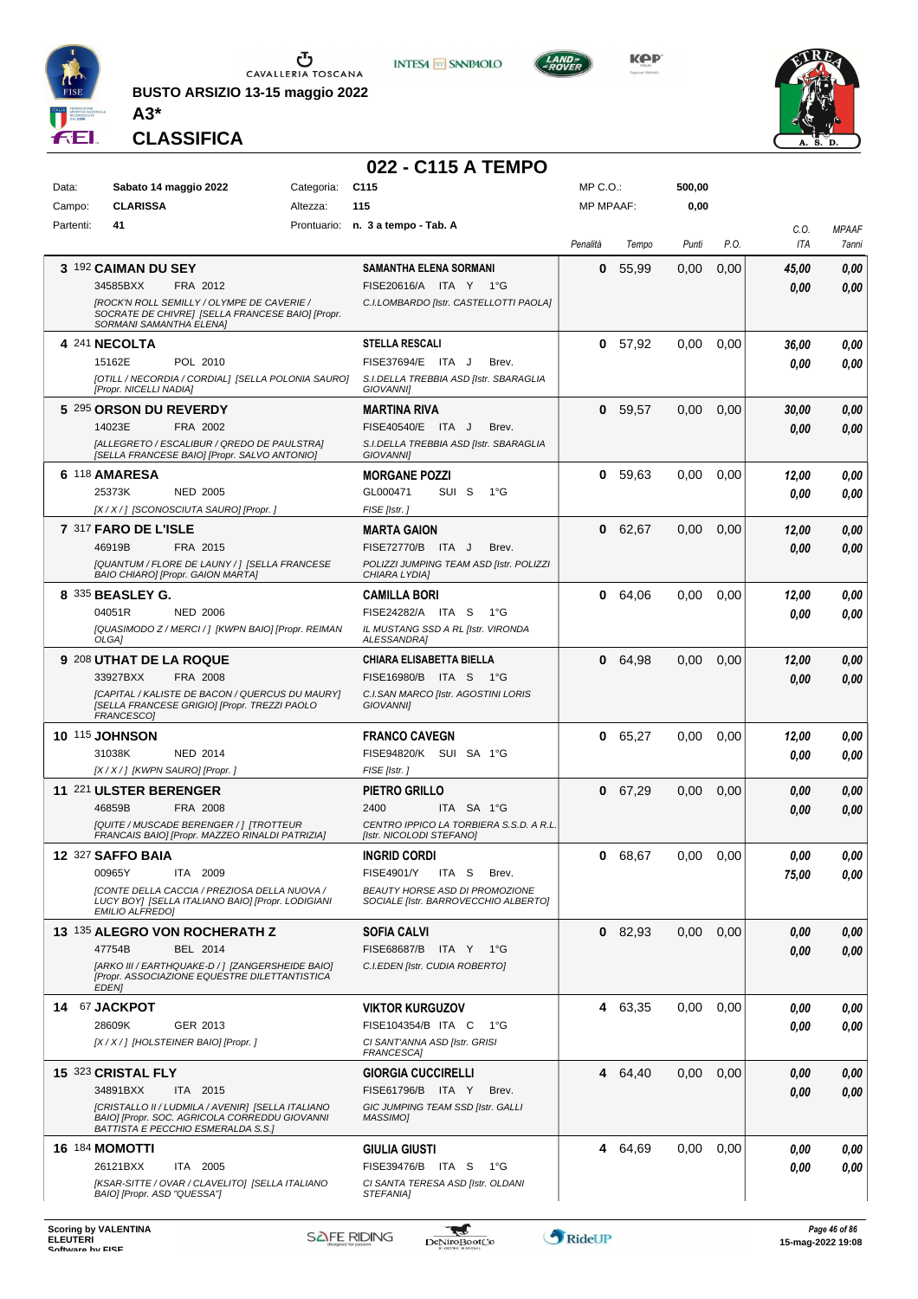

**BUSTO ARSIZIO 13-15 maggio 2022**



**KPP** 



**CLASSIFICA**

**A3\***

#### **022 - C115 A TEMPO**

**INTESA M** SANPAOLO

| Data:     | Sabato 14 maggio 2022                                                                                                                    | Categoria: | C115                                                                   | $MP C. O.$ :     |           | 500,00 |      |             |                       |
|-----------|------------------------------------------------------------------------------------------------------------------------------------------|------------|------------------------------------------------------------------------|------------------|-----------|--------|------|-------------|-----------------------|
| Campo:    | <b>CLARISSA</b>                                                                                                                          | Altezza:   | 115                                                                    | <b>MP MPAAF:</b> |           | 0,00   |      |             |                       |
| Partenti: | 41                                                                                                                                       |            | Prontuario: n. 3 a tempo - Tab. A                                      | Penalità         | Tempo     | Punti  | P.O. | C.O.<br>ITA | <b>MPAAF</b><br>7anni |
|           | 3 192 CAIMAN DU SEY                                                                                                                      |            | <b>SAMANTHA ELENA SORMANI</b>                                          | 0                | 55,99     | 0,00   | 0,00 | 45,00       | 0,00                  |
|           | 34585BXX<br>FRA 2012                                                                                                                     |            | FISE20616/A ITA Y<br>− 1°G                                             |                  |           |        |      | 0,00        | 0.00                  |
|           | [ROCK'N ROLL SEMILLY / OLYMPE DE CAVERIE /<br>SOCRATE DE CHIVRE] [SELLA FRANCESE BAIO] [Propr.<br>SORMANI SAMANTHA ELENA]                |            | C.I.LOMBARDO [Istr. CASTELLOTTI PAOLA]                                 |                  |           |        |      |             |                       |
|           | 4 241 NECOLTA                                                                                                                            |            | <b>STELLA RESCALI</b>                                                  | 0                | 57,92     | 0,00   | 0,00 | 36,00       | 0,00                  |
|           | 15162E<br>POL 2010                                                                                                                       |            | FISE37694/E ITA J<br>Brev.                                             |                  |           |        |      | 0,00        | 0,00                  |
|           | [OTILL / NECORDIA / CORDIAL] [SELLA POLONIA SAURO]<br>[Propr. NICELLI NADIA]                                                             |            | S.I.DELLA TREBBIA ASD [Istr. SBARAGLIA<br><b>GIOVANNII</b>             |                  |           |        |      |             |                       |
|           | 5 295 ORSON DU REVERDY                                                                                                                   |            | <b>MARTINA RIVA</b>                                                    | 0                | 59,57     | 0,00   | 0,00 | 30,00       | 0,00                  |
|           | 14023E<br>FRA 2002                                                                                                                       |            | FISE40540/E ITA J<br>Brev.                                             |                  |           |        |      | 0,00        | 0,00                  |
|           | [ALLEGRETO / ESCALIBUR / QREDO DE PAULSTRA]<br>[SELLA FRANCESE BAIO] [Propr. SALVO ANTONIO]                                              |            | S.I.DELLA TREBBIA ASD [Istr. SBARAGLIA<br><b>GIOVANNII</b>             |                  |           |        |      |             |                       |
|           | 6 118 AMARESA                                                                                                                            |            | <b>MORGANE POZZI</b>                                                   | 0                | 59.63     | 0,00   | 0,00 | 12,00       | 0,00                  |
|           | 25373K<br><b>NED 2005</b>                                                                                                                |            | GL000471<br>SUI S<br>1°G                                               |                  |           |        |      | 0,00        | 0,00                  |
|           | [X / X / ] [SCONOSCIUTA SAURO] [Propr. ]                                                                                                 |            | FISE [Istr.]                                                           |                  |           |        |      |             |                       |
|           | 7 317 FARO DE L'ISLE                                                                                                                     |            | <b>MARTA GAION</b>                                                     | 0                | 62,67     | 0,00   | 0,00 | 12,00       | 0,00                  |
|           | 46919B<br>FRA 2015                                                                                                                       |            | FISE72770/B ITA J<br>Brev.                                             |                  |           |        |      | 0,00        | 0,00                  |
|           | [QUANTUM / FLORE DE LAUNY /] [SELLA FRANCESE<br>BAIO CHIARO] [Propr. GAION MARTA]                                                        |            | POLIZZI JUMPING TEAM ASD [Istr. POLIZZI<br>CHIARA LYDIA]               |                  |           |        |      |             |                       |
|           | 8 335 BEASLEY G.                                                                                                                         |            | <b>CAMILLA BORI</b>                                                    | 0                | 64,06     | 0.00   | 0,00 | 12,00       | 0,00                  |
|           | 04051R<br><b>NED 2006</b>                                                                                                                |            | FISE24282/A ITA S<br>1°G                                               |                  |           |        |      | 0,00        | 0,00                  |
|           | [QUASIMODO Z / MERCI / ] [KWPN BAIO] [Propr. REIMAN<br>OLGA1                                                                             |            | IL MUSTANG SSD A RL [Istr. VIRONDA<br>ALESSANDRA]                      |                  |           |        |      |             |                       |
|           | 9 208 UTHAT DE LA ROQUE                                                                                                                  |            | <b>CHIARA ELISABETTA BIELLA</b>                                        | 0                | 64,98     | 0,00   | 0,00 | 12,00       | 0,00                  |
|           | 33927BXX<br>FRA 2008                                                                                                                     |            | FISE16980/B ITA S<br>− 1°G                                             |                  |           |        |      | 0.00        | 0,00                  |
|           | [CAPITAL / KALISTE DE BACON / QUERCUS DU MAURY]<br>[SELLA FRANCESE GRIGIO] [Propr. TREZZI PAOLO<br>FRANCESCO]                            |            | C.I.SAN MARCO [Istr. AGOSTINI LORIS<br><b>GIOVANNII</b>                |                  |           |        |      |             |                       |
|           | <b>10 115 JOHNSON</b>                                                                                                                    |            | <b>FRANCO CAVEGN</b>                                                   | 0                | 65,27     | 0.00   | 0,00 | 12,00       | 0,00                  |
|           | 31038K<br><b>NED 2014</b>                                                                                                                |            | FISE94820/K SUI SA 1°G                                                 |                  |           |        |      | 0.00        | 0,00                  |
|           | [X / X / ] [KWPN SAURO] [Propr. ]                                                                                                        |            | FISE [Istr.]                                                           |                  |           |        |      |             |                       |
|           | 11 221 ULSTER BERENGER                                                                                                                   |            | <b>PIETRO GRILLO</b>                                                   | 0                | 67,29     | 0.00   | 0,00 | 0.00        | 0,00                  |
|           | 46859B<br>FRA 2008                                                                                                                       |            | 2400<br>ITA SA 1°G                                                     |                  |           |        |      | 0,00        | 0,00                  |
|           | [QUITE / MUSCADE BERENGER / ] [TROTTEUR<br>FRANCAIS BAIO] [Propr. MAZZEO RINALDI PATRIZIA]                                               |            | CENTRO IPPICO LA TORBIERA S.S.D. A R.L.<br>[Istr. NICOLODI STEFANO]    |                  |           |        |      |             |                       |
|           | 12 327 SAFFO BAIA                                                                                                                        |            | <b>INGRID CORDI</b>                                                    | 0                | 68,67     | 0.00   | 0,00 | 0.00        | 0,00                  |
|           | 00965Y<br>ITA 2009                                                                                                                       |            | <b>FISE4901/Y</b><br>ITA S<br>Brev.                                    |                  |           |        |      | 75,00       | 0,00                  |
|           | ICONTE DELLA CACCIA / PREZIOSA DELLA NUOVA /<br>LUCY BOY] [SELLA ITALIANO BAIO] [Propr. LODIGIANI<br><b>EMILIO ALFREDO]</b>              |            | BEAUTY HORSE ASD DI PROMOZIONE<br>SOCIALE [Istr. BARROVECCHIO ALBERTO] |                  |           |        |      |             |                       |
|           | 13 135 ALEGRO VON ROCHERATH Z                                                                                                            |            | <b>SOFIA CALVI</b>                                                     |                  | $0$ 82,93 | 0,00   | 0,00 | 0,00        | 0,00                  |
|           | BEL 2014<br>47754B                                                                                                                       |            | FISE68687/B ITA Y<br>1°G                                               |                  |           |        |      | 0,00        | 0,00                  |
|           | [ARKO III / EARTHQUAKE-D / ] [ZANGERSHEIDE BAIO]<br>[Propr. ASSOCIAZIONE EQUESTRE DILETTANTISTICA<br><b>EDEN1</b>                        |            | C.I.EDEN [Istr. CUDIA ROBERTO]                                         |                  |           |        |      |             |                       |
|           | 14 67 JACKPOT                                                                                                                            |            | <b>VIKTOR KURGUZOV</b>                                                 |                  | 4 63,35   | 0,00   | 0,00 | 0.00        | 0,00                  |
|           | 28609K<br>GER 2013                                                                                                                       |            | FISE104354/B ITA C<br>$1^{\circ}G$                                     |                  |           |        |      | 0.00        | 0.00                  |
|           | [X / X / ] [HOLSTEINER BAIO] [Propr. ]                                                                                                   |            | CI SANT'ANNA ASD [Istr. GRISI<br><b>FRANCESCA]</b>                     |                  |           |        |      |             |                       |
|           | 15 323 CRISTAL FLY                                                                                                                       |            | <b>GIORGIA CUCCIRELLI</b>                                              | 4                | 64,40     | 0,00   | 0,00 | 0.00        | 0,00                  |
|           | 34891BXX<br>ITA 2015                                                                                                                     |            | FISE61796/B ITA Y<br>Brev.                                             |                  |           |        |      | 0.00        | 0.00                  |
|           | [CRISTALLO II / LUDMILA / AVENIR] [SELLA ITALIANO<br>BAIO] [Propr. SOC. AGRICOLA CORREDDU GIOVANNI<br>BATTISTA E PECCHIO ESMERALDA S.S.1 |            | GIC JUMPING TEAM SSD [Istr. GALLI<br>MASSIMO]                          |                  |           |        |      |             |                       |
|           | <b>16 184 MOMOTTI</b>                                                                                                                    |            | <b>GIULIA GIUSTI</b>                                                   | 4                | 64,69     | 0,00   | 0,00 | 0.00        | 0,00                  |
|           | 26121BXX<br>ITA 2005                                                                                                                     |            | FISE39476/B ITA S<br>1°G                                               |                  |           |        |      | 0.00        | 0,00                  |
|           | [KSAR-SITTE / OVAR / CLAVELITO] [SELLA ITALIANO                                                                                          |            | CI SANTA TERESA ASD [Istr. OLDANI                                      |                  |           |        |      |             |                       |
|           | BAIO] [Propr. ASD "QUESSA"]                                                                                                              |            | STEFANIA]                                                              |                  |           |        |      |             |                       |

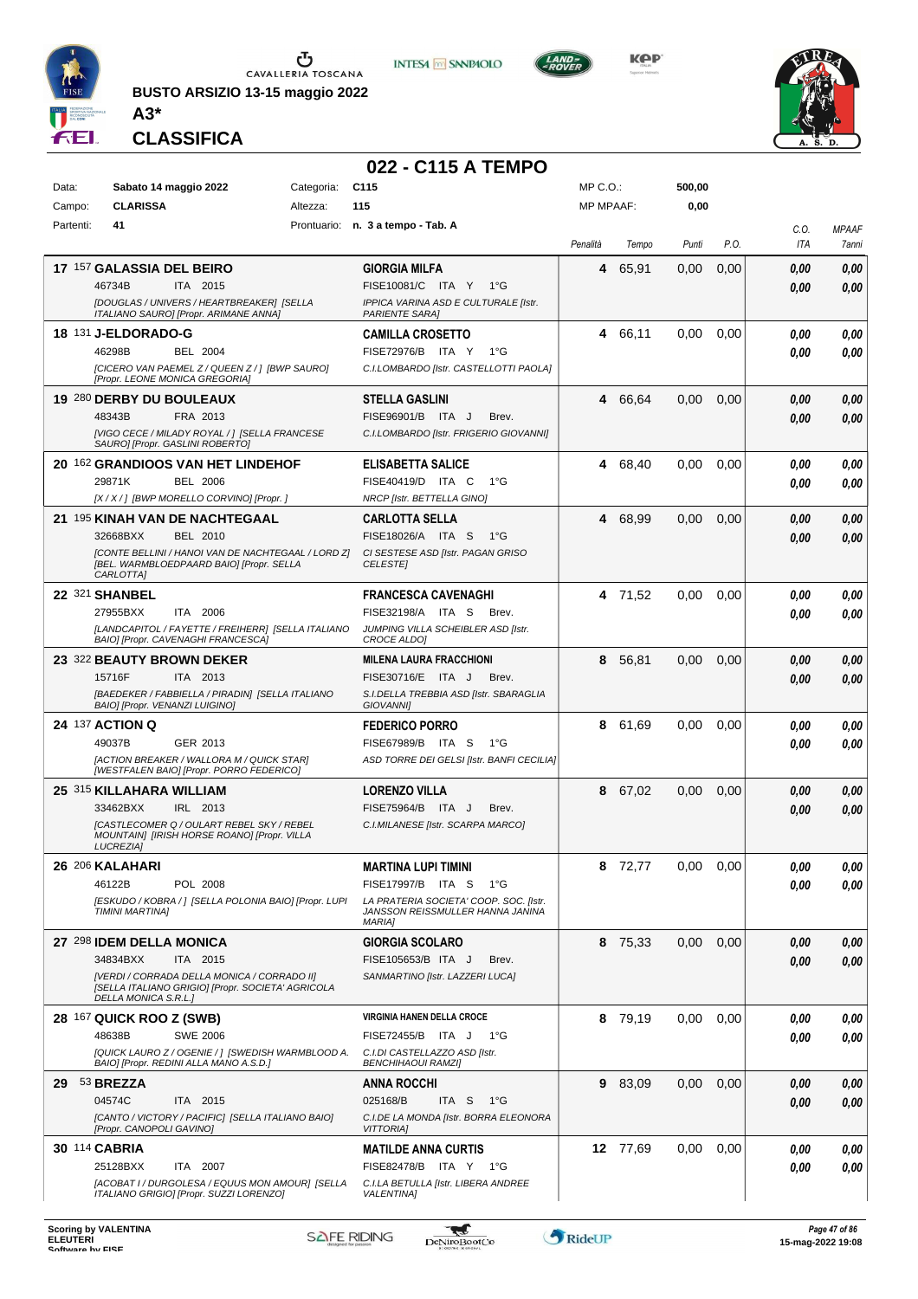

**BUSTO ARSIZIO 13-15 maggio 2022 A3\***



**KPP** 



**CLASSIFICA**

#### **022 - C115 A TEMPO**

| Data:     | Sabato 14 maggio 2022                                                   | Categoria:                                                                                       | C <sub>115</sub>                                                | $MP C. O.$ :     |          | 500,00 |      |              |              |
|-----------|-------------------------------------------------------------------------|--------------------------------------------------------------------------------------------------|-----------------------------------------------------------------|------------------|----------|--------|------|--------------|--------------|
| Campo:    | <b>CLARISSA</b>                                                         | Altezza:                                                                                         | 115                                                             | <b>MP MPAAF:</b> |          | 0,00   |      |              |              |
| Partenti: | 41                                                                      |                                                                                                  | Prontuario: n. 3 a tempo - Tab. A                               |                  |          |        |      | C.O.         | <b>MPAAF</b> |
|           |                                                                         |                                                                                                  |                                                                 | Penalità         | Tempo    | Punti  | P.O. | ITA          | 7anni        |
|           | 17 157 GALASSIA DEL BEIRO                                               |                                                                                                  | <b>GIORGIA MILFA</b>                                            | 4                | 65,91    | 0,00   | 0,00 | 0.00         | 0,00         |
|           | 46734B<br>ITA 2015                                                      |                                                                                                  | FISE10081/C ITA Y 1°G                                           |                  |          |        |      | 0.00         | 0.00         |
|           | ITALIANO SAURO] [Propr. ARIMANE ANNA]                                   | [DOUGLAS / UNIVERS / HEARTBREAKER] [SELLA                                                        | IPPICA VARINA ASD E CULTURALE [Istr.<br><b>PARIENTE SARA]</b>   |                  |          |        |      |              |              |
|           | <b>18 131 J-ELDORADO-G</b>                                              |                                                                                                  | <b>CAMILLA CROSETTO</b>                                         | 4                | 66,11    | 0,00   | 0,00 | 0.00         | 0,00         |
|           | 46298B<br><b>BEL 2004</b>                                               |                                                                                                  | FISE72976/B ITA Y<br>$1^{\circ}G$                               |                  |          |        |      | 0.00         | 0,00         |
|           |                                                                         | [CICERO VAN PAEMEL Z / QUEEN Z / ] [BWP SAURO]                                                   | C.I.LOMBARDO [Istr. CASTELLOTTI PAOLA]                          |                  |          |        |      |              |              |
|           | [Propr. LEONE MONICA GREGORIA]                                          |                                                                                                  | <b>STELLA GASLINI</b>                                           |                  |          |        |      |              |              |
|           | 19 280 DERBY DU BOULEAUX<br>48343B<br>FRA 2013                          |                                                                                                  | FISE96901/B ITA J<br>Brev.                                      | 4                | 66,64    | 0,00   | 0,00 | 0,00<br>0.00 | 0,00<br>0,00 |
|           |                                                                         | [VIGO CECE / MILADY ROYAL / ] [SELLA FRANCESE                                                    | C.I.LOMBARDO [Istr. FRIGERIO GIOVANNI]                          |                  |          |        |      |              |              |
|           | SAURO] [Propr. GASLINI ROBERTO]                                         |                                                                                                  |                                                                 |                  |          |        |      |              |              |
|           | 20 162 GRANDIOOS VAN HET LINDEHOF                                       |                                                                                                  | <b>ELISABETTA SALICE</b>                                        | 4                | 68,40    | 0,00   | 0,00 | 0,00         | 0,00         |
|           | 29871K<br><b>BEL 2006</b><br>[X / X / ] [BWP MORELLO CORVINO] [Propr. ] |                                                                                                  | FISE40419/D ITA C<br>$1^{\circ}G$<br>NRCP [Istr. BETTELLA GINO] |                  |          |        |      | 0.00         | 0.00         |
|           | 21 195 KINAH VAN DE NACHTEGAAL                                          |                                                                                                  | <b>CARLOTTA SELLA</b>                                           | 4                | 68,99    | 0,00   | 0,00 |              | 0,00         |
|           | 32668BXX<br>BEL 2010                                                    |                                                                                                  | FISE18026/A ITA S<br>$1^{\circ}G$                               |                  |          |        |      | 0.00<br>0.00 | 0,00         |
|           |                                                                         | [CONTE BELLINI / HANOI VAN DE NACHTEGAAL / LORD Z]                                               | CI SESTESE ASD [Istr. PAGAN GRISO                               |                  |          |        |      |              |              |
|           | [BEL. WARMBLOEDPAARD BAIO] [Propr. SELLA<br>CARLOTTA]                   |                                                                                                  | <b>CELESTEI</b>                                                 |                  |          |        |      |              |              |
|           | 22 321 SHANBEL                                                          |                                                                                                  | <b>FRANCESCA CAVENAGHI</b>                                      |                  | 4 71,52  | 0,00   | 0,00 | 0.00         | 0,00         |
|           | 27955BXX<br>ITA 2006                                                    |                                                                                                  | FISE32198/A ITA S<br>Brev.                                      |                  |          |        |      | 0.00         | 0.00         |
|           | BAIO] [Propr. CAVENAGHI FRANCESCA]                                      | [LANDCAPITOL / FAYETTE / FREIHERR] [SELLA ITALIANO                                               | JUMPING VILLA SCHEIBLER ASD [Istr.<br>CROCE ALDO]               |                  |          |        |      |              |              |
|           | 23 322 BEAUTY BROWN DEKER                                               |                                                                                                  | <b>MILENA LAURA FRACCHIONI</b>                                  | 8                | 56,81    | 0,00   | 0,00 | 0.00         | 0,00         |
|           | 15716F<br>ITA 2013                                                      |                                                                                                  | FISE30716/E ITA J<br>Brev.                                      |                  |          |        |      | 0.00         | 0,00         |
|           |                                                                         | [BAEDEKER / FABBIELLA / PIRADIN] [SELLA ITALIANO                                                 | S.I.DELLA TREBBIA ASD [Istr. SBARAGLIA                          |                  |          |        |      |              |              |
|           | <b>BAIO] [Propr. VENANZI LUIGINO]</b>                                   |                                                                                                  | <b>GIOVANNII</b>                                                |                  |          |        |      |              |              |
|           | 24 137 ACTION Q<br>49037B<br>GER 2013                                   |                                                                                                  | <b>FEDERICO PORRO</b><br>FISE67989/B ITA S<br>1°G               | 8                | 61,69    | 0.00   | 0,00 | 0.00         | 0,00         |
|           |                                                                         | [ACTION BREAKER / WALLORA M / QUICK STAR]                                                        | ASD TORRE DEI GELSI [Istr. BANFI CECILIA]                       |                  |          |        |      | 0.00         | 0.00         |
|           | [WESTFALEN BAIO] [Propr. PORRO FEDERICO]                                |                                                                                                  |                                                                 |                  |          |        |      |              |              |
|           | 25 315 KILLAHARA WILLIAM                                                |                                                                                                  | LORENZO VILLA                                                   | 8                | 67,02    | 0,00   | 0,00 | 0.00         | 0,00         |
|           | 33462BXX<br>IRL 2013                                                    | [CASTLECOMER Q / OULART REBEL SKY / REBEL                                                        | FISE75964/B ITA J<br>Brev.<br>C.I.MILANESE [Istr. SCARPA MARCO] |                  |          |        |      | 0.00         | 0.00         |
|           | <b>LUCREZIAI</b>                                                        | MOUNTAINJ [IRISH HORSE ROANO] [Propr. VILLA                                                      |                                                                 |                  |          |        |      |              |              |
|           | 26 206 KALAHARI                                                         |                                                                                                  | <b>MARTINA LUPI TIMINI</b>                                      | 8                | 72,77    | 0.00   | 0.00 | 0.00         | 0,00         |
|           | 46122B<br>POL 2008                                                      |                                                                                                  | FISE17997/B ITA S<br>1°G                                        |                  |          |        |      | 0,00         | 0,00         |
|           |                                                                         | [ESKUDO / KOBRA / ] [SELLA POLONIA BAIO] [Propr. LUPI                                            | LA PRATERIA SOCIETA' COOP. SOC. [Istr.                          |                  |          |        |      |              |              |
|           | TIMINI MARTINA]                                                         |                                                                                                  | JANSSON REISSMULLER HANNA JANINA<br><b>MARIA1</b>               |                  |          |        |      |              |              |
|           | 27 298 IDEM DELLA MONICA                                                |                                                                                                  | <b>GIORGIA SCOLARO</b>                                          |                  | 8 75,33  | 0.00   | 0,00 | 0.00         | 0,00         |
|           | 34834BXX<br>ITA 2015                                                    |                                                                                                  | FISE105653/B ITA J<br>Brev.                                     |                  |          |        |      | 0.00         | 0,00         |
|           | DELLA MONICA S.R.L.]                                                    | [VERDI / CORRADA DELLA MONICA / CORRADO II]<br>[SELLA ITALIANO GRIGIO] [Propr. SOCIETA' AGRICOLA | SANMARTINO [Istr. LAZZERI LUCA]                                 |                  |          |        |      |              |              |
|           | <b>28 167 QUICK ROO Z (SWB)</b>                                         |                                                                                                  | VIRGINIA HANEN DELLA CROCE                                      |                  | 8 79,19  | 0,00   | 0,00 | 0.00         | 0,00         |
|           | 48638B<br><b>SWE 2006</b>                                               |                                                                                                  | FISE72455/B ITA J<br>1°G                                        |                  |          |        |      | 0.00         | 0,00         |
|           | BAIO] [Propr. REDINI ALLA MANO A.S.D.]                                  | [QUICK LAURO Z / OGENIE / ] [SWEDISH WARMBLOOD A.                                                | C.I.DI CASTELLAZZO ASD [Istr.<br><b>BENCHIHAOUI RAMZI]</b>      |                  |          |        |      |              |              |
|           | 29 53 BREZZA                                                            |                                                                                                  | ANNA ROCCHI                                                     |                  | 9 83,09  | 0,00   | 0,00 | 0,00         | 0,00         |
|           | 04574C<br>ITA 2015                                                      |                                                                                                  | 025168/B<br>ITA S<br>1°G                                        |                  |          |        |      | 0,00         | 0,00         |
|           | [Propr. CANOPOLI GAVINO]                                                | [CANTO / VICTORY / PACIFIC] [SELLA ITALIANO BAIO]                                                | C.I.DE LA MONDA [Istr. BORRA ELEONORA<br><b>VITTORIAI</b>       |                  |          |        |      |              |              |
|           | 30 114 CABRIA                                                           |                                                                                                  | <b>MATILDE ANNA CURTIS</b>                                      |                  | 12 77,69 | 0.00   | 0,00 | 0,00         | 0,00         |
|           | 25128BXX<br>ITA 2007                                                    |                                                                                                  | FISE82478/B ITA Y 1°G                                           |                  |          |        |      | 0,00         | 0,00         |
|           | ITALIANO GRIGIO] [Propr. SUZZI LORENZO]                                 | [ACOBAT I / DURGOLESA / EQUUS MON AMOUR] [SELLA                                                  | C.I.LA BETULLA [Istr. LIBERA ANDREE<br><b>VALENTINA1</b>        |                  |          |        |      |              |              |
|           |                                                                         |                                                                                                  |                                                                 |                  |          |        |      |              |              |

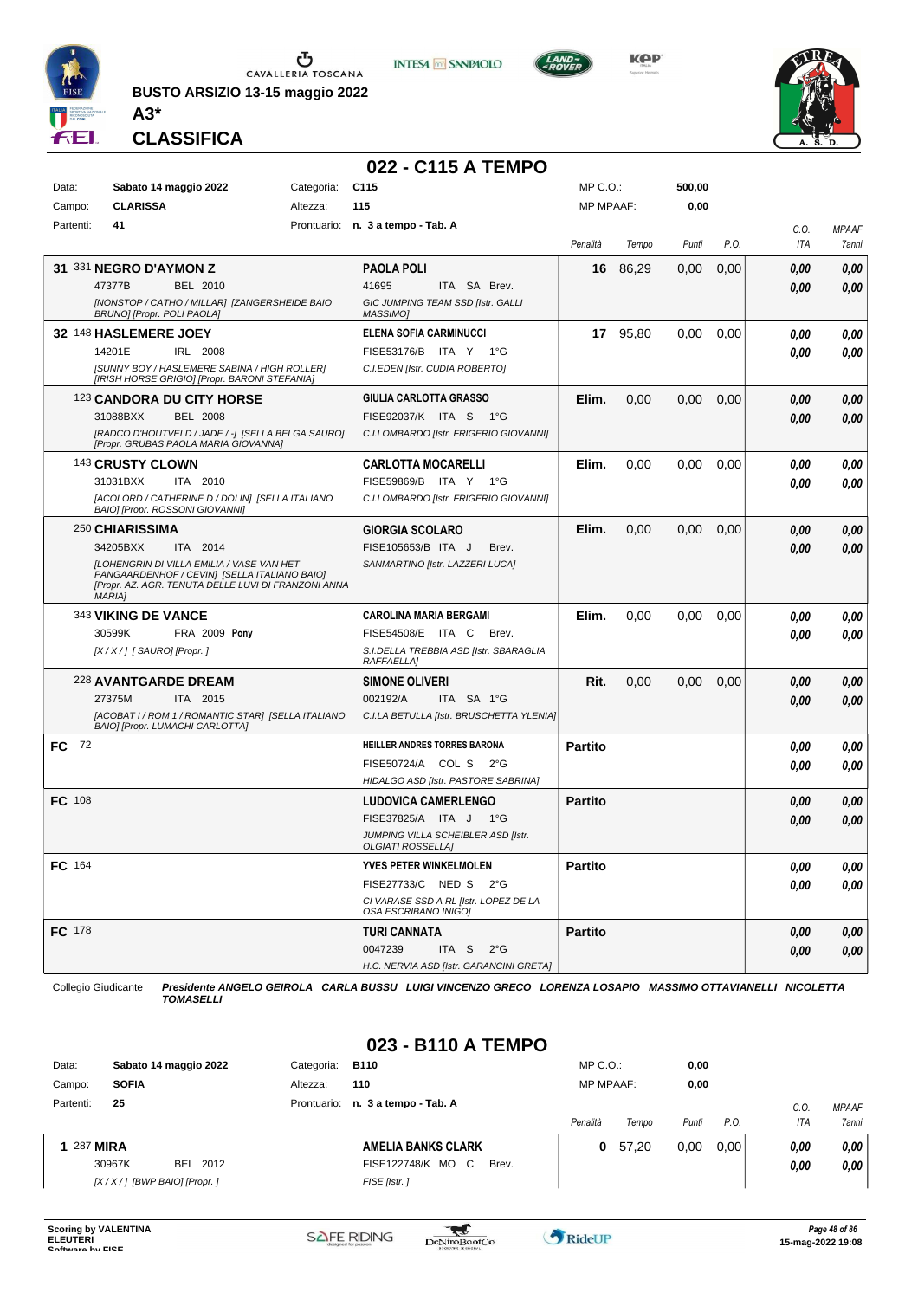

**BUSTO ARSIZIO 13-15 maggio 2022**



**KPP** 

**500,00**

MP C.O.:



**CLASSIFICA**

**A3\***

Data: Sabato 14 maggio 2022 Categoria: C115

#### **022 - C115 A TEMPO**

**INTESA** M SANPAOLO

| Campo:    | <b>CLARISSA</b>               | Altezza:                                                                                         | 115                                                            | <b>MP MPAAF:</b> |          | 0,00  |      |      |              |
|-----------|-------------------------------|--------------------------------------------------------------------------------------------------|----------------------------------------------------------------|------------------|----------|-------|------|------|--------------|
| Partenti: | 41                            |                                                                                                  | Prontuario: n. 3 a tempo - Tab. A                              |                  |          |       |      | C.0. | <b>MPAAF</b> |
|           |                               |                                                                                                  |                                                                | Penalità         | Tempo    | Punti | P.O. | ITA  | 7anni        |
|           | 31 331 NEGRO D'AYMON Z        |                                                                                                  | <b>PAOLA POLI</b>                                              | 16               | 86,29    | 0,00  | 0,00 | 0.00 | 0.00         |
|           | 47377B                        | BEL 2010                                                                                         | 41695<br>ITA SA Brev.                                          |                  |          |       |      | 0.00 | 0.00         |
|           | BRUNO] [Propr. POLI PAOLA]    | [NONSTOP / CATHO / MILLAR] [ZANGERSHEIDE BAIO                                                    | GIC JUMPING TEAM SSD [Istr. GALLI<br>MASSIMO]                  |                  |          |       |      |      |              |
|           | 32 148 HASLEMERE JOEY         |                                                                                                  | <b>ELENA SOFIA CARMINUCCI</b>                                  |                  | 17 95,80 | 0.00  | 0,00 | 0.00 | 0.00         |
|           | 14201E                        | IRL 2008                                                                                         | FISE53176/B ITA Y 1°G                                          |                  |          |       |      | 0.00 | 0.00         |
|           |                               | [SUNNY BOY / HASLEMERE SABINA / HIGH ROLLER]<br>[IRISH HORSE GRIGIO] [Propr. BARONI STEFANIA]    | C.I.EDEN [Istr. CUDIA ROBERTO]                                 |                  |          |       |      |      |              |
|           |                               | 123 CANDORA DU CITY HORSE                                                                        | GIULIA CARLOTTA GRASSO                                         | Elim.            | 0,00     | 0,00  | 0,00 | 0.00 | 0,00         |
|           | 31088BXX                      | <b>BEL 2008</b>                                                                                  | FISE92037/K ITA S<br>1°G                                       |                  |          |       |      | 0.00 | 0,00         |
|           |                               | [RADCO D'HOUTVELD / JADE / -] [SELLA BELGA SAURO]<br>[Propr. GRUBAS PAOLA MARIA GIOVANNA]        | C.I.LOMBARDO [Istr. FRIGERIO GIOVANNI]                         |                  |          |       |      |      |              |
|           | 143 CRUSTY CLOWN              |                                                                                                  | <b>CARLOTTA MOCARELLI</b>                                      | Elim.            | 0,00     | 0.00  | 0,00 | 0.00 | 0.00         |
|           | 31031BXX                      | ITA 2010                                                                                         | FISE59869/B ITA Y<br>1°G                                       |                  |          |       |      | 0.00 | 0.00         |
|           |                               | [ACOLORD / CATHERINE D / DOLIN] [SELLA ITALIANO<br>BAIO] [Propr. ROSSONI GIOVANNI]               | C.I.LOMBARDO [Istr. FRIGERIO GIOVANNI]                         |                  |          |       |      |      |              |
|           | 250 CHIARISSIMA               |                                                                                                  | <b>GIORGIA SCOLARO</b>                                         | Elim.            | 0.00     | 0.00  | 0,00 | 0.00 | 0.00         |
|           | 34205BXX                      | ITA 2014                                                                                         | FISE105653/B ITA J<br>Brev.                                    |                  |          |       |      | 0.00 | 0,00         |
|           |                               | <b>ILOHENGRIN DI VILLA EMILIA / VASE VAN HET</b><br>PANGAARDENHOF / CEVIN] [SELLA ITALIANO BAIO] | SANMARTINO [Istr. LAZZERI LUCA]                                |                  |          |       |      |      |              |
|           | <b>MARIA1</b>                 | [Propr. AZ. AGR. TENUTA DELLE LUVI DI FRANZONI ANNA                                              |                                                                |                  |          |       |      |      |              |
|           | 343 VIKING DE VANCE           |                                                                                                  | <b>CAROLINA MARIA BERGAMI</b>                                  | Elim.            | 0,00     | 0,00  | 0,00 | 0.00 | 0.00         |
|           | 30599K                        | <b>FRA 2009 Pony</b>                                                                             | FISE54508/E ITA C<br>Brev.                                     |                  |          |       |      | 0.00 | 0.00         |
|           | [X / X / ] [ SAURO] [Propr. ] |                                                                                                  | S.I.DELLA TREBBIA ASD [Istr. SBARAGLIA<br><b>RAFFAELLA1</b>    |                  |          |       |      |      |              |
|           | 228 AVANTGARDE DREAM          |                                                                                                  | <b>SIMONE OLIVERI</b>                                          | Rit.             | 0,00     | 0,00  | 0,00 | 0.00 | 0.00         |
|           | 27375M                        | ITA 2015                                                                                         | 002192/A<br>ITA SA 1°G                                         |                  |          |       |      | 0.00 | 0.00         |
|           |                               | [ACOBAT I / ROM 1 / ROMANTIC STAR] [SELLA ITALIANO<br>BAIO] [Propr. LUMACHI CARLOTTA]            | C.I.LA BETULLA [Istr. BRUSCHETTA YLENIA]                       |                  |          |       |      |      |              |
| FC 72     |                               |                                                                                                  | <b>HEILLER ANDRES TORRES BARONA</b>                            | <b>Partito</b>   |          |       |      | 0.00 | 0.00         |
|           |                               |                                                                                                  | FISE50724/A COL S<br>$2^{\circ}G$                              |                  |          |       |      | 0.00 | 0.00         |
|           |                               |                                                                                                  | HIDALGO ASD [Istr. PASTORE SABRINA]                            |                  |          |       |      |      |              |
| FC 108    |                               |                                                                                                  | <b>LUDOVICA CAMERLENGO</b>                                     | <b>Partito</b>   |          |       |      | 0.00 | 0,00         |
|           |                               |                                                                                                  | FISE37825/A ITA J 1°G                                          |                  |          |       |      | 0.00 | 0,00         |
|           |                               |                                                                                                  | JUMPING VILLA SCHEIBLER ASD [Istr.<br><b>OLGIATI ROSSELLAI</b> |                  |          |       |      |      |              |
| FC 164    |                               |                                                                                                  | YVES PETER WINKELMOLEN                                         | Partito          |          |       |      | 0.00 | 0,00         |
|           |                               |                                                                                                  | FISE27733/C NED S<br>$2^{\circ}$ G                             |                  |          |       |      | 0.00 | 0,00         |
|           |                               |                                                                                                  | CI VARASE SSD A RL [Istr. LOPEZ DE LA<br>OSA ESCRIBANO INIGOJ  |                  |          |       |      |      |              |
| FC 178    |                               |                                                                                                  | <b>TURI CANNATA</b>                                            | <b>Partito</b>   |          |       |      | 0.00 | 0,00         |
|           |                               |                                                                                                  | 0047239<br>ITA S<br>$2^{\circ}G$                               |                  |          |       |      | 0.00 | 0.00         |
|           |                               |                                                                                                  | H.C. NERVIA ASD [Istr. GARANCINI GRETA]                        |                  |          |       |      |      |              |

Collegio Giudicante *Presidente ANGELO GEIROLA CARLA BUSSU LUIGI VINCENZO GRECO LORENZA LOSAPIO MASSIMO OTTAVIANELLI NICOLETTA TOMASELLI*

#### **023 - B110 A TEMPO**

| Data:      | Sabato 14 maggio 2022         |          | Categoria: | <b>B110</b>                       |       | $MP C. O.$ :     |       | 0,00  |      |      |              |
|------------|-------------------------------|----------|------------|-----------------------------------|-------|------------------|-------|-------|------|------|--------------|
| Campo:     | <b>SOFIA</b>                  |          | Altezza:   | 110                               |       | <b>MP MPAAF:</b> |       | 0,00  |      |      |              |
| Partenti:  | 25                            |          |            | Prontuario: n. 3 a tempo - Tab. A |       |                  |       |       |      | C.0  | <b>MPAAF</b> |
|            |                               |          |            |                                   |       | Penalità         | Tempo | Punti | P.O. | ITA  | 7anni        |
| 1 287 MIRA |                               |          |            | <b>AMELIA BANKS CLARK</b>         |       | 0                | 57.20 | 0.00  | 0.00 | 0,00 | 0,00         |
|            | 30967K                        | BEL 2012 |            | FISE122748/K MO C                 | Brev. |                  |       |       |      | 0.00 | 0,00         |
|            | $[X/X/]$ [BWP BAIO] [Propr. ] |          |            | FISE [Istr.]                      |       |                  |       |       |      |      |              |

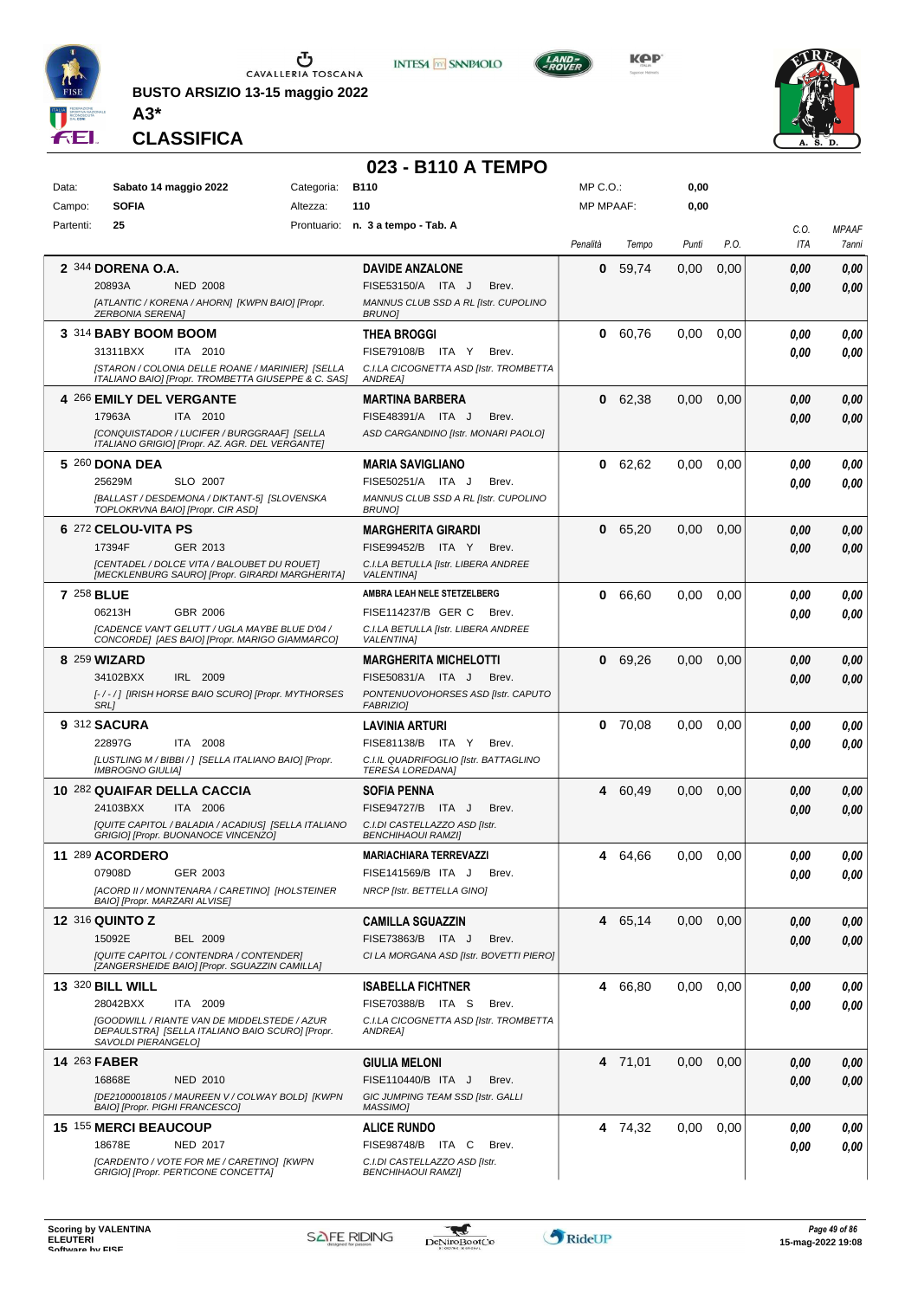

**BUSTO ARSIZIO 13-15 maggio 2022 A3\***



**Kep** 



**CLASSIFICA**

## **023 - B110 A TEMPO**

**INTESA M** SANPAOLO

| Data:               | Sabato 14 maggio 2022<br><b>SOFIA</b>                                                                                         | Categoria:<br>Altezza: | <b>B110</b><br>110                                                 | $MP C. O.$ :<br><b>MP MPAAF:</b> |           | 0,00<br>0,00 |      |             |                       |
|---------------------|-------------------------------------------------------------------------------------------------------------------------------|------------------------|--------------------------------------------------------------------|----------------------------------|-----------|--------------|------|-------------|-----------------------|
| Campo:              | 25                                                                                                                            |                        |                                                                    |                                  |           |              |      |             |                       |
| Partenti:           |                                                                                                                               |                        | Prontuario: n. 3 a tempo - Tab. A                                  | Penalità                         | Tempo     | Punti        | P.O. | C.O.<br>ITA | <b>MPAAF</b><br>7anni |
|                     | 2 344 DORENA O.A.                                                                                                             |                        | <b>DAVIDE ANZALONE</b>                                             | 0                                | 59,74     | 0,00         | 0,00 | 0.00        | 0,00                  |
|                     | 20893A<br><b>NED 2008</b>                                                                                                     |                        | FISE53150/A ITA J<br>Brev.                                         |                                  |           |              |      | 0.00        | 0,00                  |
|                     | [ATLANTIC / KORENA / AHORN] [KWPN BAIO] [Propr.<br><b>ZERBONIA SERENA]</b>                                                    |                        | MANNUS CLUB SSD A RL [Istr. CUPOLINO<br><b>BRUNO</b>               |                                  |           |              |      |             |                       |
|                     | 3 314 BABY BOOM BOOM                                                                                                          |                        | <b>THEA BROGGI</b>                                                 |                                  | 0 60,76   | 0.00         | 0,00 | 0.00        | 0,00                  |
|                     | ITA 2010<br>31311BXX                                                                                                          |                        | FISE79108/B ITA Y<br>Brev.                                         |                                  |           |              |      | 0.00        | 0,00                  |
|                     | [STARON / COLONIA DELLE ROANE / MARINIER] [SELLA<br>ITALIANO BAIO] [Propr. TROMBETTA GIUSEPPE & C. SAS]                       |                        | C.I.LA CICOGNETTA ASD [Istr. TROMBETTA<br>ANDREA]                  |                                  |           |              |      |             |                       |
|                     | 4 266 EMILY DEL VERGANTE                                                                                                      |                        | <b>MARTINA BARBERA</b>                                             |                                  | 0 62,38   | 0,00         | 0,00 | 0,00        | 0,00                  |
|                     | 17963A<br>ITA 2010                                                                                                            |                        | FISE48391/A ITA J<br>Brev.                                         |                                  |           |              |      | 0,00        | 0,00                  |
|                     | [CONQUISTADOR / LUCIFER / BURGGRAAF] [SELLA<br>ITALIANO GRIGIO] [Propr. AZ. AGR. DEL VERGANTE]                                |                        | ASD CARGANDINO [Istr. MONARI PAOLO]                                |                                  |           |              |      |             |                       |
|                     | 5 260 DONA DEA                                                                                                                |                        | <b>MARIA SAVIGLIANO</b>                                            |                                  | 0 62,62   | 0,00         | 0,00 | 0,00        | 0,00                  |
|                     | SLO 2007<br>25629M                                                                                                            |                        | FISE50251/A ITA J<br>Brev.                                         |                                  |           |              |      | 0.00        | 0.00                  |
|                     | [BALLAST / DESDEMONA / DIKTANT-5] [SLOVENSKA<br>TOPLOKRVNA BAIO] [Propr. CIR ASD]                                             |                        | MANNUS CLUB SSD A RL [Istr. CUPOLINO<br><b>BRUNO</b>               |                                  |           |              |      |             |                       |
|                     | 6 272 CELOU-VITA PS                                                                                                           |                        | <b>MARGHERITA GIRARDI</b>                                          | 0                                | 65,20     | 0,00         | 0,00 | 0.00        | 0,00                  |
|                     | 17394F<br>GER 2013                                                                                                            |                        | FISE99452/B ITA Y<br>Brev.                                         |                                  |           |              |      | 0.00        | 0.00                  |
|                     | [CENTADEL / DOLCE VITA / BALOUBET DU ROUET]                                                                                   |                        | C.I.LA BETULLA [Istr. LIBERA ANDREE                                |                                  |           |              |      |             |                       |
|                     | [MECKLENBURG SAURO] [Propr. GIRARDI MARGHERITA]                                                                               |                        | <b>VALENTINA1</b>                                                  |                                  |           |              |      |             |                       |
| 7 258 BLUE          |                                                                                                                               |                        | AMBRA LEAH NELE STETZELBERG                                        |                                  | 0 66,60   | 0,00         | 0,00 | 0.00        | 0,00                  |
|                     | GBR 2006<br>06213H<br><b>[CADENCE VAN'T GELUTT / UGLA MAYBE BLUE D'04 /</b>                                                   |                        | FISE114237/B GER C<br>Brev.<br>C.I.LA BETULLA [Istr. LIBERA ANDREE |                                  |           |              |      | 0.00        | 0.00                  |
|                     | CONCORDE] [AES BAIO] [Propr. MARIGO GIAMMARCO]                                                                                |                        | <b>VALENTINAI</b>                                                  |                                  |           |              |      |             |                       |
|                     | 8 259 WIZARD                                                                                                                  |                        | <b>MARGHERITA MICHELOTTI</b>                                       | 0                                | 69,26     | 0,00         | 0,00 | 0.00        | 0,00                  |
|                     | 34102BXX<br>IRL 2009                                                                                                          |                        | FISE50831/A ITA J<br>Brev.                                         |                                  |           |              |      | 0.00        | 0.00                  |
|                     | [-/-/] [IRISH HORSE BAIO SCURO] [Propr. MYTHORSES<br>SRL]                                                                     |                        | PONTENUOVOHORSES ASD [Istr. CAPUTO<br><b>FABRIZIO]</b>             |                                  |           |              |      |             |                       |
|                     | <b>9 312 SACURA</b>                                                                                                           |                        | <b>LAVINIA ARTURI</b>                                              |                                  | 0, 70, 08 | 0,00         | 0,00 | 0.00        | 0,00                  |
|                     | 22897G<br>ITA 2008                                                                                                            |                        | FISE81138/B ITA Y<br>Brev.                                         |                                  |           |              |      | 0.00        | 0.00                  |
|                     | [LUSTLING M / BIBBI / ] [SELLA ITALIANO BAIO] [Propr.<br><b>IMBROGNO GIULIA]</b>                                              |                        | C.I.IL QUADRIFOGLIO [Istr. BATTAGLINO<br><b>TERESA LOREDANA</b>    |                                  |           |              |      |             |                       |
|                     | 10 282 QUAIFAR DELLA CACCIA                                                                                                   |                        | <b>SOFIA PENNA</b>                                                 | 4                                | 60,49     | 0,00         | 0,00 | 0,00        | 0,00                  |
|                     | 24103BXX<br>ITA 2006                                                                                                          |                        | FISE94727/B ITA J<br>Brev.                                         |                                  |           |              |      | 0.00        | 0.00                  |
|                     | [QUITE CAPITOL / BALADIA / ACADIUS] [SELLA ITALIANO<br>GRIGIO] [Propr. BUONANOCE VINCENZO]                                    |                        | C.I.DI CASTELLAZZO ASD [Istr.<br><b>BENCHIHAOUI RAMZI</b>          |                                  |           |              |      |             |                       |
|                     | 11 289 ACORDERO                                                                                                               |                        | <b>MARIACHIARA TERREVAZZI</b>                                      |                                  | 4 64,66   | 0,00         | 0,00 | 0.00        | 0.00                  |
|                     | 07908D<br>GER 2003                                                                                                            |                        | FISE141569/B ITA J<br>Brev.                                        |                                  |           |              |      | 0,00        | 0,00                  |
|                     | [ACORD II / MONNTENARA / CARETINO] [HOLSTEINER<br>BAIO] [Propr. MARZARI ALVISE]                                               |                        | NRCP [Istr. BETTELLA GINO]                                         |                                  |           |              |      |             |                       |
|                     | <b>12 316 QUINTO Z</b>                                                                                                        |                        | <b>CAMILLA SGUAZZIN</b>                                            |                                  | 4 65,14   | 0,00         | 0,00 | 0,00        | 0,00                  |
|                     | 15092E<br><b>BEL 2009</b>                                                                                                     |                        | FISE73863/B ITA J<br>Brev.                                         |                                  |           |              |      | 0.00        | 0,00                  |
|                     | [QUITE CAPITOL / CONTENDRA / CONTENDER]<br>[ZANGERSHEIDE BAIO] [Propr. SGUAZZIN CAMILLA]                                      |                        | CI LA MORGANA ASD [Istr. BOVETTI PIERO]                            |                                  |           |              |      |             |                       |
|                     | <b>13 320 BILL WILL</b>                                                                                                       |                        | <b>ISABELLA FICHTNER</b>                                           |                                  | 4 66.80   | 0,00         | 0,00 | 0,00        | 0,00                  |
|                     | 28042BXX<br>ITA 2009                                                                                                          |                        | FISE70388/B ITA S<br>Brev.                                         |                                  |           |              |      | 0.00        | 0,00                  |
|                     | <b>[GOODWILL / RIANTE VAN DE MIDDELSTEDE / AZUR</b><br>DEPAULSTRAJ [SELLA ITALIANO BAIO SCURO] [Propr.<br>SAVOLDI PIERANGELO] |                        | C.I.LA CICOGNETTA ASD [Istr. TROMBETTA<br>ANDREA1                  |                                  |           |              |      |             |                       |
| <b>14 263 FABER</b> |                                                                                                                               |                        | <b>GIULIA MELONI</b>                                               |                                  | 4 71,01   | 0,00         | 0,00 | 0,00        | 0,00                  |
|                     | 16868E<br><b>NED 2010</b>                                                                                                     |                        | FISE110440/B ITA J<br>Brev.                                        |                                  |           |              |      | 0,00        | 0.00                  |
|                     | [DE21000018105 / MAUREEN V / COLWAY BOLD] [KWPN<br>BAIO] [Propr. PIGHI FRANCESCO]                                             |                        | GIC JUMPING TEAM SSD [Istr. GALLI<br>MASSIMO]                      |                                  |           |              |      |             |                       |
|                     | 15 155 MERCI BEAUCOUP                                                                                                         |                        | <b>ALICE RUNDO</b>                                                 |                                  | 4 74,32   | 0.00         | 0.00 | 0,00        | 0,00                  |
|                     | 18678E<br><b>NED 2017</b>                                                                                                     |                        | FISE98748/B ITA C<br>Brev.                                         |                                  |           |              |      | 0.00        | 0.00                  |
|                     | [CARDENTO / VOTE FOR ME / CARETINO] [KWPN<br>GRIGIO] [Propr. PERTICONE CONCETTA]                                              |                        | C.I.DI CASTELLAZZO ASD [Istr.<br><b>BENCHIHAOUI RAMZI]</b>         |                                  |           |              |      |             |                       |
|                     |                                                                                                                               |                        |                                                                    |                                  |           |              |      |             |                       |

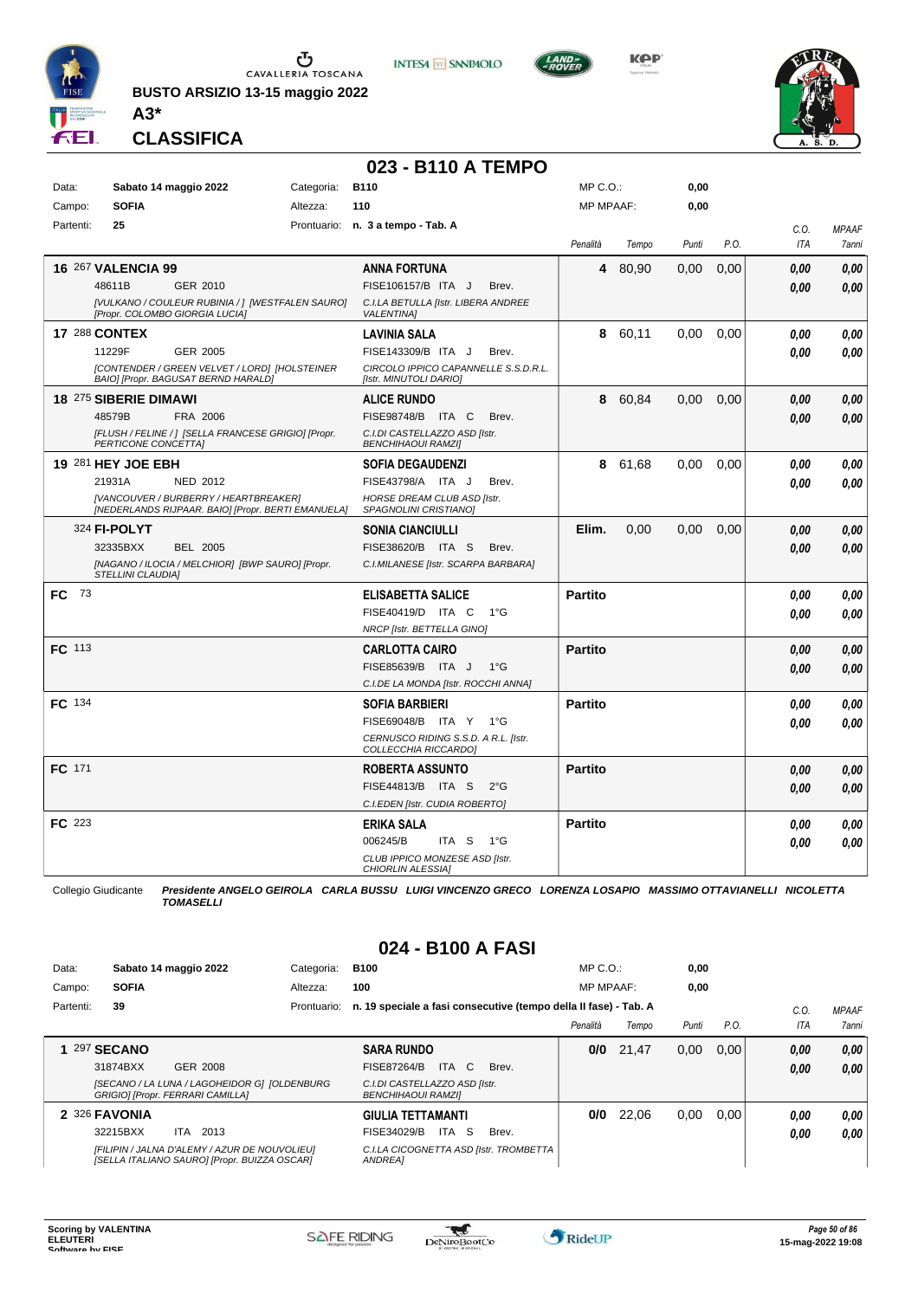

**BUSTO ARSIZIO 13-15 maggio 2022**



**KPP** 



**CLASSIFICA**

**A3\***

## **023 - B110 A TEMPO**

| Data:         |                           | Sabato 14 maggio 2022                                                                       | Categoria: | <b>B110</b>                                                    | MP C.O.:         |       | 0,00  |      |            |              |
|---------------|---------------------------|---------------------------------------------------------------------------------------------|------------|----------------------------------------------------------------|------------------|-------|-------|------|------------|--------------|
| Campo:        | <b>SOFIA</b>              |                                                                                             | Altezza:   | 110                                                            | <b>MP MPAAF:</b> |       | 0,00  |      |            |              |
| Partenti:     | 25                        |                                                                                             |            | Prontuario: n. 3 a tempo - Tab. A                              |                  |       |       |      | C.O.       | <b>MPAAF</b> |
|               |                           |                                                                                             |            |                                                                | Penalità         | Tempo | Punti | P.O. | <b>ITA</b> | 7anni        |
|               | <b>16 267 VALENCIA 99</b> |                                                                                             |            | <b>ANNA FORTUNA</b>                                            | 4                | 80,90 | 0,00  | 0,00 | 0.00       | 0.00         |
|               | 48611B                    | GER 2010                                                                                    |            | FISE106157/B ITA J<br>Brev.                                    |                  |       |       |      | 0.00       | 0,00         |
|               |                           | [VULKANO / COULEUR RUBINIA / ] [WESTFALEN SAURO]<br>[Propr. COLOMBO GIORGIA LUCIA]          |            | C.I.LA BETULLA [Istr. LIBERA ANDREE<br><b>VALENTINA1</b>       |                  |       |       |      |            |              |
|               | <b>17 288 CONTEX</b>      |                                                                                             |            | <b>LAVINIA SALA</b>                                            | 8                | 60,11 | 0,00  | 0,00 | 0.00       | 0,00         |
|               | 11229F                    | GER 2005                                                                                    |            | FISE143309/B ITA J<br>Brev.                                    |                  |       |       |      | 0.00       | 0.00         |
|               |                           | [CONTENDER / GREEN VELVET / LORD] [HOLSTEINER<br>BAIO] [Propr. BAGUSAT BERND HARALD]        |            | CIRCOLO IPPICO CAPANNELLE S.S.D.R.L.<br>[Istr. MINUTOLI DARIO] |                  |       |       |      |            |              |
|               | 18 275 SIBERIE DIMAWI     |                                                                                             |            | <b>ALICE RUNDO</b>                                             | 8                | 60,84 | 0,00  | 0.00 | 0.00       | 0.00         |
|               | 48579B                    | FRA 2006                                                                                    |            | FISE98748/B ITA C<br>Brev.                                     |                  |       |       |      | 0.00       | 0.00         |
|               | PERTICONE CONCETTA]       | [FLUSH / FELINE / ] [SELLA FRANCESE GRIGIO] [Propr.                                         |            | C.I.DI CASTELLAZZO ASD [Istr.<br><b>BENCHIHAOUI RAMZII</b>     |                  |       |       |      |            |              |
|               | 19 281 HEY JOE EBH        |                                                                                             |            | <b>SOFIA DEGAUDENZI</b>                                        | 8                | 61.68 | 0.00  | 0.00 | 0.00       | 0.00         |
|               | 21931A                    | NED 2012                                                                                    |            | FISE43798/A ITA J<br>Brev.                                     |                  |       |       |      | 0.00       | 0.00         |
|               |                           | [VANCOUVER / BURBERRY / HEARTBREAKER]<br>[NEDERLANDS RIJPAAR. BAIO] [Propr. BERTI EMANUELA] |            | HORSE DREAM CLUB ASD [Istr.<br>SPAGNOLINI CRISTIANO]           |                  |       |       |      |            |              |
|               | 324 FI-POLYT              |                                                                                             |            | <b>SONIA CIANCIULLI</b>                                        | Elim.            | 0,00  | 0,00  | 0,00 | 0.00       | 0,00         |
|               | 32335BXX                  | <b>BEL 2005</b>                                                                             |            | FISE38620/B ITA S<br>Brev.                                     |                  |       |       |      | 0.00       | 0.00         |
|               | <b>STELLINI CLAUDIAI</b>  | [NAGANO / ILOCIA / MELCHIOR] [BWP SAURO] [Propr.                                            |            | C.I.MILANESE [Istr. SCARPA BARBARA]                            |                  |       |       |      |            |              |
| <b>FC</b> 73  |                           |                                                                                             |            | <b>ELISABETTA SALICE</b>                                       | <b>Partito</b>   |       |       |      | 0.00       | 0.00         |
|               |                           |                                                                                             |            | FISE40419/D ITA C<br>$1^{\circ}G$                              |                  |       |       |      | 0.00       | 0.00         |
|               |                           |                                                                                             |            | NRCP [Istr. BETTELLA GINO]                                     |                  |       |       |      |            |              |
| FC 113        |                           |                                                                                             |            | <b>CARLOTTA CAIRO</b>                                          | <b>Partito</b>   |       |       |      | 0.00       | 0,00         |
|               |                           |                                                                                             |            | FISE85639/B ITA J<br>$1^{\circ}$ G                             |                  |       |       |      | 0.00       | 0,00         |
|               |                           |                                                                                             |            | C.I.DE LA MONDA [Istr. ROCCHI ANNA]                            |                  |       |       |      |            |              |
| <b>FC</b> 134 |                           |                                                                                             |            | <b>SOFIA BARBIERI</b>                                          | <b>Partito</b>   |       |       |      | 0.00       | 0.00         |
|               |                           |                                                                                             |            | FISE69048/B ITA Y<br>$1^{\circ}G$                              |                  |       |       |      | 0.00       | 0.00         |
|               |                           |                                                                                             |            | CERNUSCO RIDING S.S.D. A R.L. [Istr.<br>COLLECCHIA RICCARDO]   |                  |       |       |      |            |              |
| <b>FC</b> 171 |                           |                                                                                             |            | <b>ROBERTA ASSUNTO</b>                                         | <b>Partito</b>   |       |       |      | 0.00       | 0.00         |
|               |                           |                                                                                             |            | FISE44813/B ITA S<br>$2^{\circ}$ G                             |                  |       |       |      | 0.00       | 0.00         |
|               |                           |                                                                                             |            | C.I.EDEN [Istr. CUDIA ROBERTO]                                 |                  |       |       |      |            |              |
| FC 223        |                           |                                                                                             |            | <b>ERIKA SALA</b>                                              | <b>Partito</b>   |       |       |      | 0.00       | 0,00         |
|               |                           |                                                                                             |            | 006245/B<br>ITA S<br>1°G                                       |                  |       |       |      | 0.00       | 0.00         |
|               |                           |                                                                                             |            | CLUB IPPICO MONZESE ASD [Istr.<br>CHIORLIN ALESSIA1            |                  |       |       |      |            |              |

Collegio Giudicante *Presidente ANGELO GEIROLA CARLA BUSSU LUIGI VINCENZO GRECO LORENZA LOSAPIO MASSIMO OTTAVIANELLI NICOLETTA TOMASELLI*

#### **024 - B100 A FASI**

| Data:     | Sabato 14 maggio 2022                                                                         | Categoria:  | <b>B100</b>                                                      | $MP C. O.$ :     |       | 0,00  |      |         |              |
|-----------|-----------------------------------------------------------------------------------------------|-------------|------------------------------------------------------------------|------------------|-------|-------|------|---------|--------------|
| Campo:    | <b>SOFIA</b>                                                                                  | Altezza:    | 100                                                              | <b>MP MPAAF:</b> |       | 0,00  |      |         |              |
| Partenti: | 39                                                                                            | Prontuario: | n. 19 speciale a fasi consecutive (tempo della II fase) - Tab. A |                  |       |       |      | $C_{0}$ | <b>MPAAF</b> |
|           |                                                                                               |             |                                                                  | Penalità         | Tempo | Punti | P.O. | ITA     | 7anni        |
|           | <b>297 SECANO</b>                                                                             |             | <b>SARA RUNDO</b>                                                | 0/0              | 21.47 | 0,00  | 0.00 | 0.00    | 0.00         |
|           | 31874BXX<br>GER 2008                                                                          |             | ITA C<br><b>FISE87264/B</b><br>Brev.                             |                  |       |       |      | 0.00    | 0.00         |
|           | [SECANO / LA LUNA / LAGOHEIDOR G] [OLDENBURG]<br>GRIGIO] [Propr. FERRARI CAMILLA]             |             | C.I.DI CASTELLAZZO ASD [Istr.<br><b>BENCHIHAOUI RAMZII</b>       |                  |       |       |      |         |              |
|           | 2 326 FAVONIA                                                                                 |             | <b>GIULIA TETTAMANTI</b>                                         | 0/0              | 22,06 | 0,00  | 0.00 | 0.00    | 0,00         |
|           | 32215BXX<br>2013<br>ITA                                                                       |             | ITA S<br>FISE34029/B<br>Brev.                                    |                  |       |       |      | 0,00    | 0.00         |
|           | [FILIPIN / JALNA D'ALEMY / AZUR DE NOUVOLIEU]<br>[SELLA ITALIANO SAURO] [Propr. BUIZZA OSCAR] |             | C.I.LA CICOGNETTA ASD [Istr. TROMBETTA<br>ANDREA1                |                  |       |       |      |         |              |

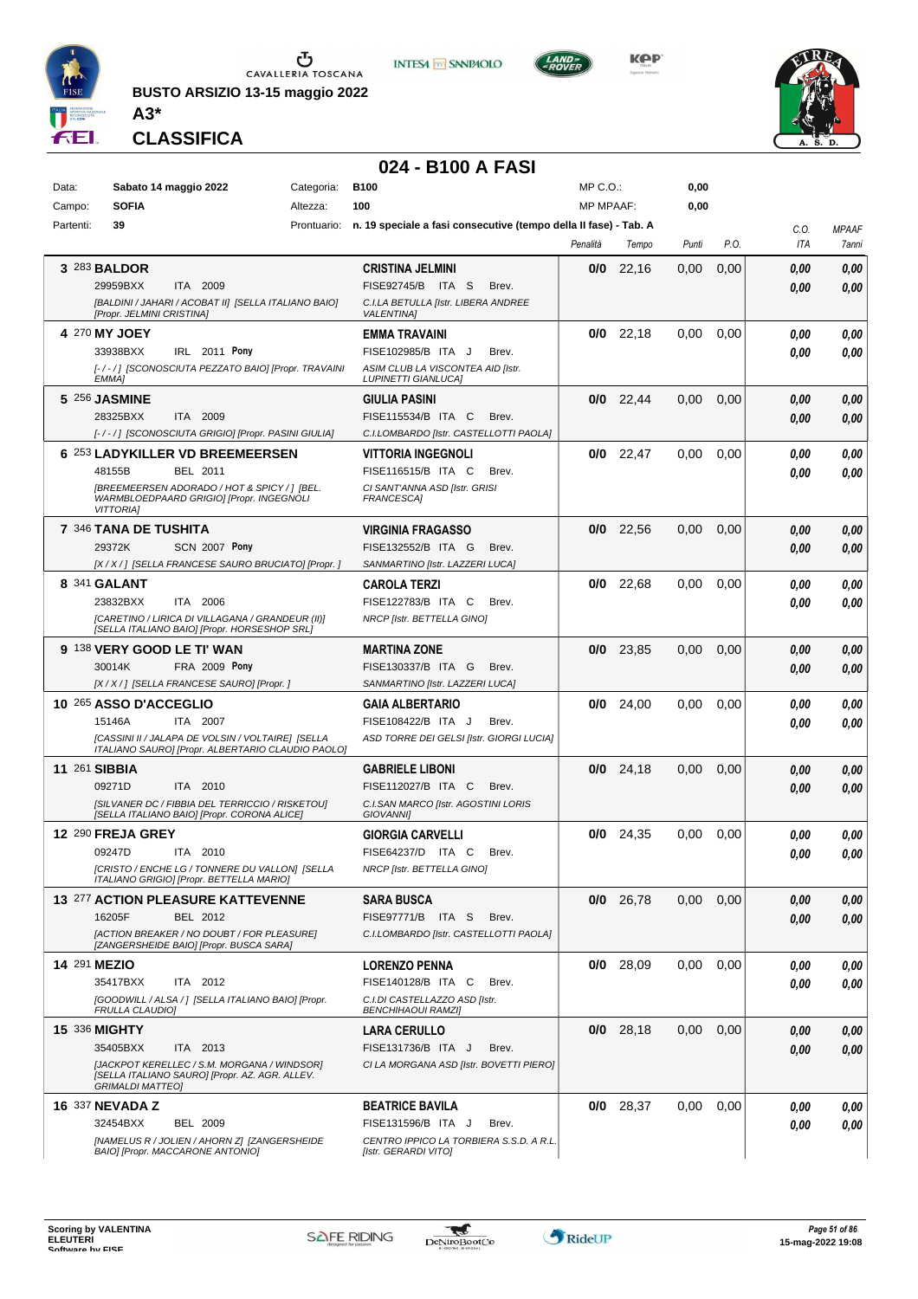

**BUSTO ARSIZIO 13-15 maggio 2022**



**KPP** 



**CLASSIFICA**

**A3\***

### **024 - B100 A FASI**

| Data:     | Sabato 14 maggio 2022<br>Categoria:                                                                                                                                   | <b>B100</b>                                                                                                              | MP C.O.:         |             | 0,00  |      |              |                       |
|-----------|-----------------------------------------------------------------------------------------------------------------------------------------------------------------------|--------------------------------------------------------------------------------------------------------------------------|------------------|-------------|-------|------|--------------|-----------------------|
| Campo:    | <b>SOFIA</b><br>Altezza:                                                                                                                                              | 100                                                                                                                      | <b>MP MPAAF:</b> |             | 0,00  |      |              |                       |
| Partenti: | 39                                                                                                                                                                    | Prontuario: n. 19 speciale a fasi consecutive (tempo della II fase) - Tab. A                                             | Penalità         | Tempo       | Punti | P.O. | C.O.<br>ITA  | <b>MPAAF</b><br>7anni |
|           | 3 283 BALDOR<br>29959BXX<br>ITA 2009<br>[BALDINI / JAHARI / ACOBAT II] [SELLA ITALIANO BAIO]<br>[Propr. JELMINI CRISTINA]                                             | <b>CRISTINA JELMINI</b><br>FISE92745/B ITA S<br>Brev.<br>C.I.LA BETULLA [Istr. LIBERA ANDREE<br><b>VALENTINA1</b>        | 0/0              | 22,16       | 0,00  | 0,00 | 0.00<br>0.00 | 0,00<br>0.00          |
|           | 4 270 MY JOEY<br>33938BXX<br>IRL 2011 Pony<br>[-/-/] [SCONOSCIUTA PEZZATO BAIO] [Propr. TRAVAINI<br><b>EMMA1</b>                                                      | <b>EMMA TRAVAINI</b><br>FISE102985/B ITA J<br>Brev.<br>ASIM CLUB LA VISCONTEA AID [Istr.<br><b>LUPINETTI GIANLUCA]</b>   |                  | $0/0$ 22,18 | 0,00  | 0,00 | 0.00<br>0.00 | 0,00<br>0,00          |
|           | 5 256 JASMINE<br>28325BXX<br>ITA 2009<br>[-/-/] [SCONOSCIUTA GRIGIO] [Propr. PASINI GIULIA]                                                                           | <b>GIULIA PASINI</b><br>FISE115534/B ITA C<br>Brev.<br>C.I.LOMBARDO [Istr. CASTELLOTTI PAOLA]                            |                  | $0/0$ 22,44 | 0,00  | 0,00 | 0.00<br>0.00 | 0,00<br>0,00          |
|           | 6 253 LADYKILLER VD BREEMEERSEN<br>48155B<br>BEL 2011<br>[BREEMEERSEN ADORADO / HOT & SPICY / ] [BEL.<br>WARMBLOEDPAARD GRIGIO] [Propr. INGEGNOLI<br><b>VITTORIAI</b> | <b>VITTORIA INGEGNOLI</b><br>FISE116515/B ITA C<br>Brev.<br>CI SANT'ANNA ASD [Istr. GRISI<br>FRANCESCA]                  |                  | $0/0$ 22,47 | 0.00  | 0,00 | 0.00<br>0.00 | 0,00<br>0.00          |
|           | 7 346 TANA DE TUSHITA<br>29372K<br><b>SCN 2007 Pony</b><br>[X / X / ] [SELLA FRANCESE SAURO BRUCIATO] [Propr. ]                                                       | <b>VIRGINIA FRAGASSO</b><br>FISE132552/B ITA G<br>Brev.<br>SANMARTINO [Istr. LAZZERI LUCA]                               |                  | $0/0$ 22,56 | 0,00  | 0,00 | 0.00<br>0.00 | 0,00<br>0.00          |
|           | 8 341 GALANT<br>23832BXX<br>ITA<br>2006<br>[CARETINO / LIRICA DI VILLAGANA / GRANDEUR (II)]<br>[SELLA ITALIANO BAIO] [Propr. HORSESHOP SRL]                           | <b>CAROLA TERZI</b><br>FISE122783/B ITA C<br>Brev.<br>NRCP [Istr. BETTELLA GINO]                                         |                  | $0/0$ 22,68 | 0.00  | 0,00 | 0.00<br>0.00 | 0,00<br>0.00          |
|           | 9 138 VERY GOOD LE TI' WAN<br><b>FRA 2009 Pony</b><br>30014K<br>[X / X / ] [SELLA FRANCESE SAURO] [Propr. ]                                                           | <b>MARTINA ZONE</b><br>FISE130337/B ITA G<br>Brev.<br>SANMARTINO [Istr. LAZZERI LUCA]                                    |                  | $0/0$ 23,85 | 0,00  | 0,00 | 0.00<br>0.00 | 0,00<br>0.00          |
|           | 10 265 ASSO D'ACCEGLIO<br>15146A<br>ITA 2007<br>[CASSINI II / JALAPA DE VOLSIN / VOLTAIRE] [SELLA<br>ITALIANO SAURO] [Propr. ALBERTARIO CLAUDIO PAOLO]                | <b>GAIA ALBERTARIO</b><br>FISE108422/B ITA J<br>Brev.<br>ASD TORRE DEI GELSI [Istr. GIORGI LUCIA]                        |                  | $0/0$ 24,00 | 0,00  | 0,00 | 0.00<br>0.00 | 0,00<br>0.00          |
|           | <b>11 261 SIBBIA</b><br>09271D<br>ITA 2010<br>[SILVANER DC / FIBBIA DEL TERRICCIO / RISKETOU]<br>[SELLA ITALIANO BAIO] [Propr. CORONA ALICE]                          | <b>GABRIELE LIBONI</b><br>FISE112027/B ITA C<br>Brev.<br>C.I.SAN MARCO [Istr. AGOSTINI LORIS<br><b>GIOVANNII</b>         |                  | $0/0$ 24,18 | 0,00  | 0,00 | 0.00<br>0.00 | 0,00<br>0.00          |
|           | 12 290 FREJA GREY<br>09247D<br>ITA 2010<br>[CRISTO / ENCHE LG / TONNERE DU VALLON] [SELLA<br>ITALIANO GRIGIO] [Propr. BETTELLA MARIO]                                 | <b>GIORGIA CARVELLI</b><br>FISE64237/D ITA C<br>Brev.<br>NRCP [Istr. BETTELLA GINO]                                      | 0/0              | 24,35       | 0.00  | 0,00 | 0.00<br>0.00 | 0,00<br>0.00          |
|           | <b>13 277 ACTION PLEASURE KATTEVENNE</b><br>16205F<br>BEL 2012<br>[ACTION BREAKER / NO DOUBT / FOR PLEASURE]<br>[ZANGERSHEIDE BAIO] [Propr. BUSCA SARA]               | <b>SARA BUSCA</b><br>FISE97771/B ITA S<br>Brev.<br>C.I.LOMBARDO [Istr. CASTELLOTTI PAOLA]                                |                  | $0/0$ 26,78 | 0,00  | 0,00 | 0,00<br>0.00 | 0,00<br>0.00          |
|           | 14 291 MEZIO<br>35417BXX<br>ITA 2012<br>[GOODWILL / ALSA / ] [SELLA ITALIANO BAIO] [Propr.<br><b>FRULLA CLAUDIO]</b>                                                  | <b>LORENZO PENNA</b><br>FISE140128/B ITA C<br>Brev.<br>C.I.DI CASTELLAZZO ASD [Istr.<br><b>BENCHIHAOUI RAMZI]</b>        |                  | $0/0$ 28,09 | 0,00  | 0,00 | 0.00<br>0.00 | 0,00<br>0.00          |
|           | 15 336 MIGHTY<br>ITA 2013<br>35405BXX<br>[JACKPOT KERELLEC / S.M. MORGANA / WINDSOR]<br>[SELLA ITALIANO SAURO] [Propr. AZ. AGR. ALLEV.<br><b>GRIMALDI MATTEO]</b>     | <b>LARA CERULLO</b><br>FISE131736/B ITA J<br>Brev.<br>CI LA MORGANA ASD [Istr. BOVETTI PIERO]                            |                  | $0/0$ 28,18 | 0,00  | 0,00 | 0,00<br>0.00 | 0,00<br>0,00          |
|           | 16 337 NEVADA Z<br>32454BXX<br><b>BEL 2009</b><br>[NAMELUS R / JOLIEN / AHORN Z] [ZANGERSHEIDE<br>BAIO] [Propr. MACCARONE ANTONIO]                                    | <b>BEATRICE BAVILA</b><br>FISE131596/B ITA J<br>Brev.<br>CENTRO IPPICO LA TORBIERA S.S.D. A R.L.<br>[Istr. GERARDI VITO] |                  | $0/0$ 28,37 | 0,00  | 0,00 | 0.00<br>0,00 | 0,00<br>0,00          |

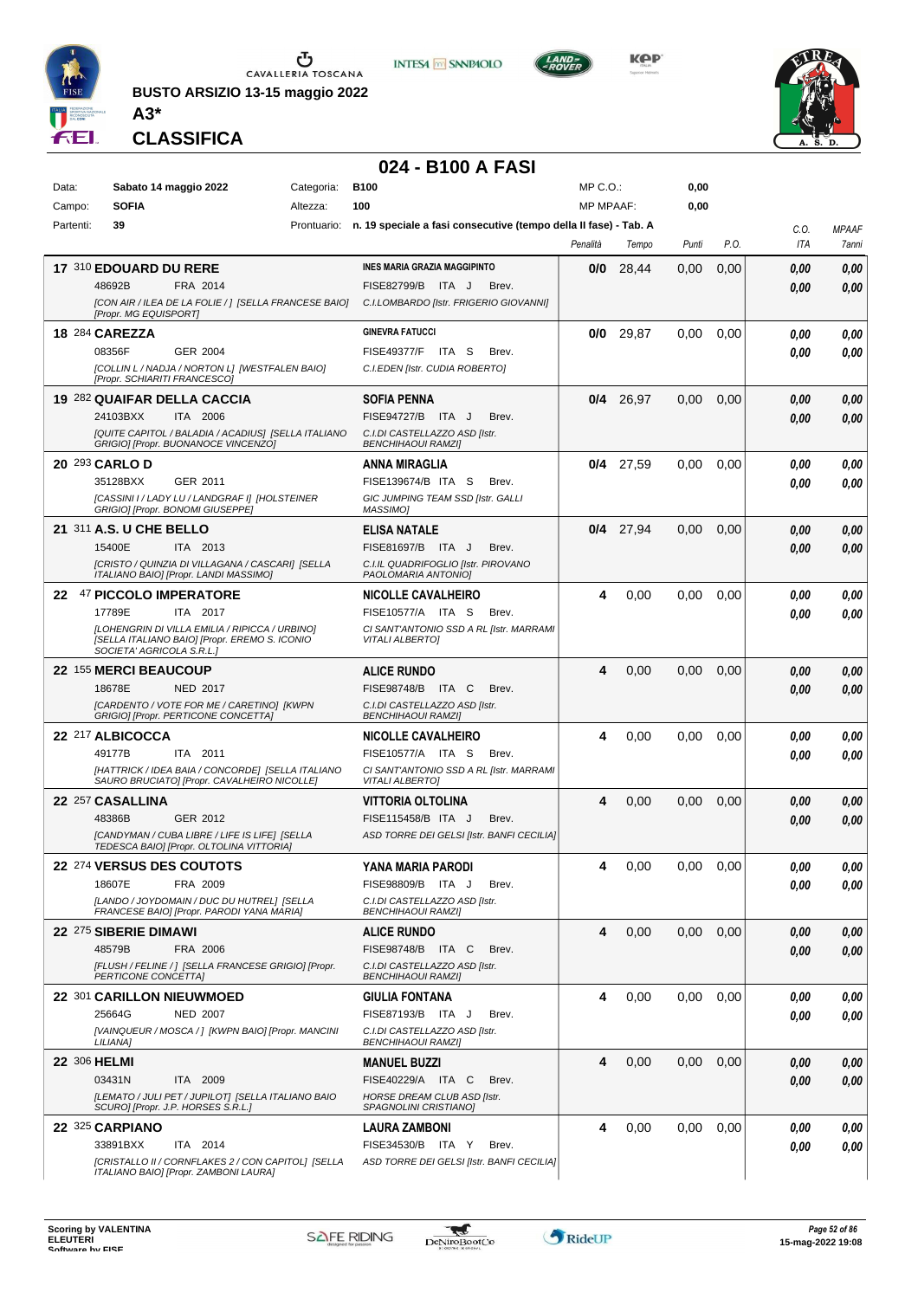

**BUSTO ARSIZIO 13-15 maggio 2022**



**KPP** 



**CLASSIFICA**

**A3\***

#### **024 - B100 A FASI**

**INTESA M** SANPAOLO

| Data:     | Sabato 14 maggio 2022                                                                            | Categoria: | <b>B100</b>                                                                  | MP C.O.:         |             | 0,00  |      |      |              |
|-----------|--------------------------------------------------------------------------------------------------|------------|------------------------------------------------------------------------------|------------------|-------------|-------|------|------|--------------|
| Campo:    | <b>SOFIA</b>                                                                                     | Altezza:   | 100                                                                          | <b>MP MPAAF:</b> |             | 0,00  |      |      |              |
| Partenti: | 39                                                                                               |            | Prontuario: n. 19 speciale a fasi consecutive (tempo della II fase) - Tab. A |                  |             |       |      | C.O. | <b>MPAAF</b> |
|           |                                                                                                  |            |                                                                              | Penalità         | Tempo       | Punti | P.O. | ITA  | 7anni        |
|           |                                                                                                  |            |                                                                              |                  |             |       |      |      |              |
|           | 17 310 EDOUARD DU RERE                                                                           |            | <b>INES MARIA GRAZIA MAGGIPINTO</b>                                          | 0/0              | 28,44       | 0,00  | 0,00 | 0,00 | 0,00         |
|           | 48692B<br>FRA 2014                                                                               |            | <b>FISE82799/B</b><br>ITA J<br>Brev.                                         |                  |             |       |      | 0,00 | 0,00         |
|           | [CON AIR / ILEA DE LA FOLIE / ] [SELLA FRANCESE BAIO]<br>[Propr. MG EQUISPORT]                   |            | C.I.LOMBARDO [Istr. FRIGERIO GIOVANNI]                                       |                  |             |       |      |      |              |
|           |                                                                                                  |            | <b>GINEVRA FATUCCI</b>                                                       |                  |             |       |      |      |              |
|           | 18 284 CAREZZA                                                                                   |            |                                                                              |                  | $0/0$ 29,87 | 0.00  | 0,00 | 0.00 | 0,00         |
|           | 08356F<br>GER 2004                                                                               |            | ITA S<br><b>FISE49377/F</b><br>Brev.                                         |                  |             |       |      | 0.00 | 0,00         |
|           | [COLLIN L / NADJA / NORTON L] [WESTFALEN BAIO]<br>[Propr. SCHIARITI FRANCESCO]                   |            | C.I.EDEN [Istr. CUDIA ROBERTO]                                               |                  |             |       |      |      |              |
|           | 19 282 QUAIFAR DELLA CACCIA                                                                      |            | <b>SOFIA PENNA</b>                                                           | 0/4              | 26,97       | 0,00  | 0,00 | 0,00 | 0,00         |
|           | 24103BXX<br>ITA 2006                                                                             |            | FISE94727/B ITA J<br>Brev.                                                   |                  |             |       |      |      |              |
|           | [QUITE CAPITOL / BALADIA / ACADIUS] [SELLA ITALIANO                                              |            | C.I.DI CASTELLAZZO ASD [Istr.                                                |                  |             |       |      | 0.00 | 0,00         |
|           | GRIGIO] [Propr. BUONANOCE VINCENZO]                                                              |            | <b>BENCHIHAOUI RAMZI]</b>                                                    |                  |             |       |      |      |              |
|           | 20 293 CARLO D                                                                                   |            | ANNA MIRAGLIA                                                                |                  | $0/4$ 27,59 | 0.00  | 0,00 | 0.00 | 0,00         |
|           | 35128BXX<br>GER 2011                                                                             |            | FISE139674/B ITA S<br>Brev.                                                  |                  |             |       |      | 0,00 | 0,00         |
|           | [CASSINI I / LADY LU / LANDGRAF I] [HOLSTEINER                                                   |            | GIC JUMPING TEAM SSD [Istr. GALLI                                            |                  |             |       |      |      |              |
|           | GRIGIO] [Propr. BONOMI GIUSEPPE]                                                                 |            | MASSIMO]                                                                     |                  |             |       |      |      |              |
|           | 21 311 A.S. U CHE BELLO                                                                          |            | ELISA NATALE                                                                 |                  | $0/4$ 27,94 | 0,00  | 0,00 | 0.00 | 0,00         |
|           | 15400E<br>ITA 2013                                                                               |            | FISE81697/B ITA J<br>Brev.                                                   |                  |             |       |      | 0,00 | 0.00         |
|           | [CRISTO / QUINZIA DI VILLAGANA / CASCARI] [SELLA                                                 |            | C.I.IL QUADRIFOGLIO [Istr. PIROVANO                                          |                  |             |       |      |      |              |
|           | ITALIANO BAIO] [Propr. LANDI MASSIMO]                                                            |            | PAOLOMARIA ANTONIOI                                                          |                  |             |       |      |      |              |
|           | 22 47 PICCOLO IMPERATORE                                                                         |            | <b>NICOLLE CAVALHEIRO</b>                                                    | 4                | 0,00        | 0.00  | 0,00 | 0.00 | 0,00         |
|           | 17789E<br>ITA 2017                                                                               |            | FISE10577/A ITA S<br>Brev.                                                   |                  |             |       |      | 0.00 | 0.00         |
|           | [LOHENGRIN DI VILLA EMILIA / RIPICCA / URBINO]                                                   |            | CI SANT'ANTONIO SSD A RL [Istr. MARRAMI                                      |                  |             |       |      |      |              |
|           | [SELLA ITALIANO BAIO] [Propr. EREMO S. ICONIO<br>SOCIETA' AGRICOLA S.R.L.]                       |            | <b>VITALI ALBERTO]</b>                                                       |                  |             |       |      |      |              |
|           |                                                                                                  |            |                                                                              |                  |             |       |      |      |              |
|           | 22 155 MERCI BEAUCOUP                                                                            |            | <b>ALICE RUNDO</b>                                                           | 4                | 0,00        | 0,00  | 0,00 | 0.00 | 0,00         |
|           | 18678E<br><b>NED 2017</b>                                                                        |            | FISE98748/B ITA C<br>Brev.                                                   |                  |             |       |      | 0.00 | 0.00         |
|           | [CARDENTO / VOTE FOR ME / CARETINO] [KWPN<br>GRIGIO] [Propr. PERTICONE CONCETTA]                 |            | C.I.DI CASTELLAZZO ASD [Istr.<br><b>BENCHIHAOUI RAMZI]</b>                   |                  |             |       |      |      |              |
|           | 22 217 ALBICOCCA                                                                                 |            | <b>NICOLLE CAVALHEIRO</b>                                                    | 4                | 0,00        | 0.00  | 0,00 | 0.00 |              |
|           | 49177B<br>ITA 2011                                                                               |            | FISE10577/A ITA S<br>Brev.                                                   |                  |             |       |      |      | 0,00         |
|           |                                                                                                  |            |                                                                              |                  |             |       |      | 0.00 | 0,00         |
|           | [HATTRICK / IDEA BAIA / CONCORDE] [SELLA ITALIANO<br>SAURO BRUCIATO] [Propr. CAVALHEIRO NICOLLE] |            | CI SANT'ANTONIO SSD A RL [Istr. MARRAMI<br><b>VITALI ALBERTO]</b>            |                  |             |       |      |      |              |
|           | 22 257 CASALLINA                                                                                 |            | VITTORIA OLTOLINA                                                            | 4                | 0,00        | 0,00  | 0,00 | 0,00 | 0,00         |
|           | 48386B<br>GER 2012                                                                               |            | FISE115458/B ITA J<br>Brev.                                                  |                  |             |       |      | 0.00 | 0.00         |
|           | [CANDYMAN / CUBA LIBRE / LIFE IS LIFE] [SELLA                                                    |            | ASD TORRE DEI GELSI [Istr. BANFI CECILIA]                                    |                  |             |       |      |      |              |
|           | TEDESCA BAIO] [Propr. OLTOLINA VITTORIA]                                                         |            |                                                                              |                  |             |       |      |      |              |
|           | 22 274 VERSUS DES COUTOTS                                                                        |            | YANA MARIA PARODI                                                            | 4                | 0,00        | 0,00  | 0,00 | 0.00 | 0.00         |
|           | 18607E<br>FRA 2009                                                                               |            | FISE98809/B ITA J<br>Brev.                                                   |                  |             |       |      | 0,00 | 0,00         |
|           | [LANDO / JOYDOMAIN / DUC DU HUTREL] [SELLA                                                       |            | C.I.DI CASTELLAZZO ASD [Istr.                                                |                  |             |       |      |      |              |
|           | FRANCESE BAIO] [Propr. PARODI YANA MARIA]                                                        |            | <b>BENCHIHAOUI RAMZI]</b>                                                    |                  |             |       |      |      |              |
|           | 22 <sup>275</sup> SIBERIE DIMAWI                                                                 |            | <b>ALICE RUNDO</b>                                                           | 4                | 0,00        | 0,00  | 0,00 | 0,00 | 0,00         |
|           | 48579B<br>FRA 2006                                                                               |            | FISE98748/B ITA C<br>Brev.                                                   |                  |             |       |      | 0.00 | 0,00         |
|           | [FLUSH / FELINE / ] [SELLA FRANCESE GRIGIO] [Propr.                                              |            | C.I.DI CASTELLAZZO ASD [Istr.                                                |                  |             |       |      |      |              |
|           | PERTICONE CONCETTA]                                                                              |            | <b>BENCHIHAOUI RAMZII</b>                                                    |                  |             |       |      |      |              |
|           | 22 301 CARILLON NIEUWMOED                                                                        |            | <b>GIULIA FONTANA</b>                                                        | 4                | 0,00        | 0,00  | 0.00 | 0,00 | 0,00         |
|           | 25664G<br><b>NED 2007</b>                                                                        |            | FISE87193/B ITA J<br>Brev.                                                   |                  |             |       |      | 0.00 | 0.00         |
|           | [VAINQUEUR / MOSCA / ] [KWPN BAIO] [Propr. MANCINI                                               |            | C.I.DI CASTELLAZZO ASD [Istr.                                                |                  |             |       |      |      |              |
|           | LILIANA]                                                                                         |            | <b>BENCHIHAOUI RAMZI]</b>                                                    |                  |             |       |      |      |              |
|           | 22 306 HELMI                                                                                     |            | <b>MANUEL BUZZI</b>                                                          | 4                | 0,00        | 0,00  | 0,00 | 0,00 | 0,00         |
|           | 03431N<br>ITA 2009                                                                               |            | FISE40229/A ITA C<br>Brev.                                                   |                  |             |       |      | 0.00 | 0,00         |
|           | [LEMATO / JULI PET / JUPILOT] [SELLA ITALIANO BAIO<br>SCURO] [Propr. J.P. HORSES S.R.L.]         |            | HORSE DREAM CLUB ASD [Istr.<br>SPAGNOLINI CRISTIANO]                         |                  |             |       |      |      |              |
|           |                                                                                                  |            |                                                                              |                  |             |       |      |      |              |
|           | 22 325 CARPIANO                                                                                  |            | <b>LAURA ZAMBONI</b>                                                         | 4                | 0,00        | 0.00  | 0.00 | 0.00 | 0,00         |
|           | 33891BXX<br>ITA 2014                                                                             |            | FISE34530/B ITA Y<br>Brev.                                                   |                  |             |       |      | 0.00 | 0.00         |
|           | [CRISTALLO II / CORNFLAKES 2 / CON CAPITOL] [SELLA<br>ITALIANO BAIO] [Propr. ZAMBONI LAURA]      |            | ASD TORRE DEI GELSI [Istr. BANFI CECILIA]                                    |                  |             |       |      |      |              |

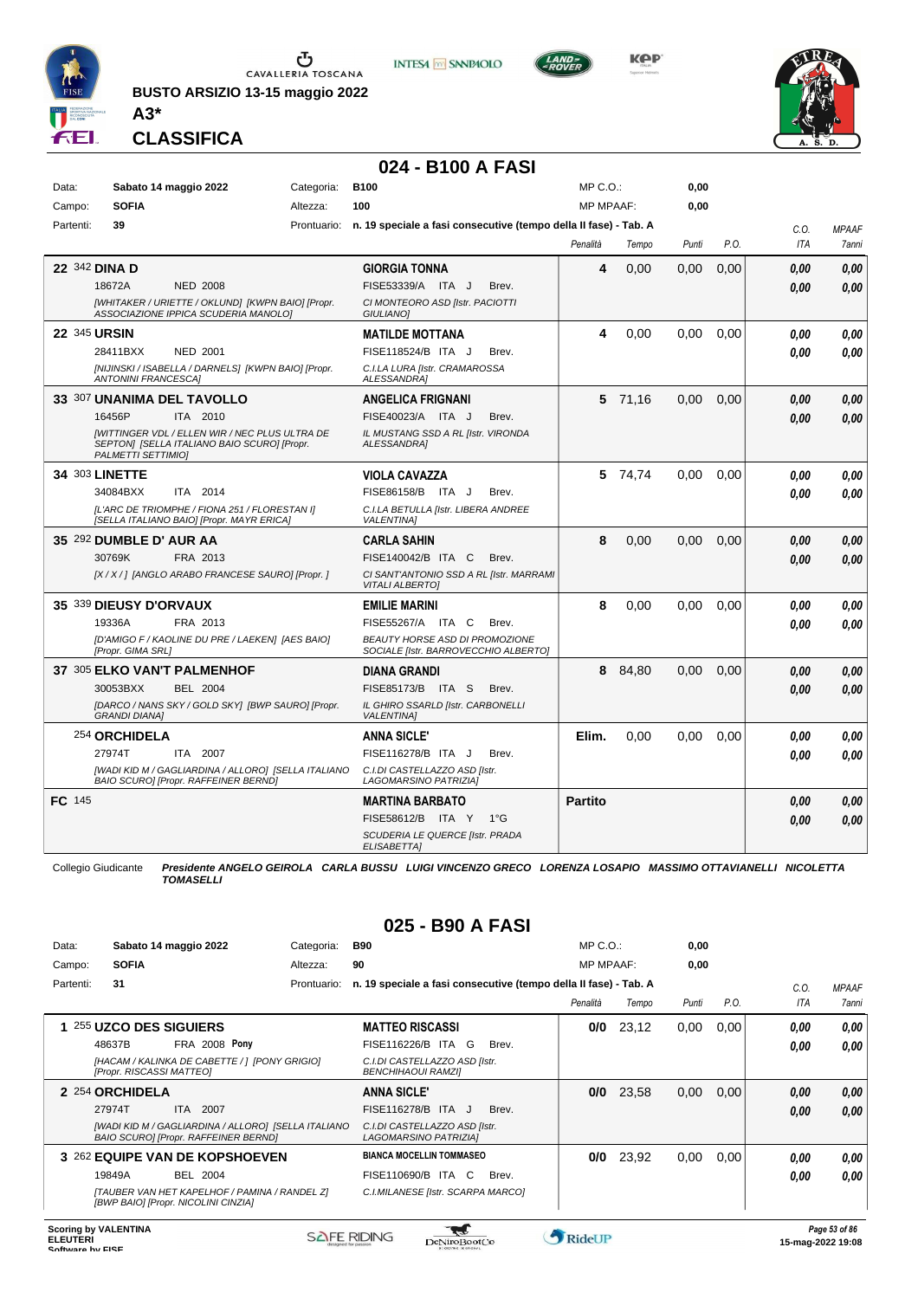

**BUSTO ARSIZIO 13-15 maggio 2022 A3\***



**KOP** 



**CLASSIFICA**

#### **024 - B100 A FASI**

| Data:         |                            | Sabato 14 maggio 2022                                                                              | Categoria:  | <b>B100</b>                                                                   | MP C. O.         |         | 0,00  |      |      |              |
|---------------|----------------------------|----------------------------------------------------------------------------------------------------|-------------|-------------------------------------------------------------------------------|------------------|---------|-------|------|------|--------------|
| Campo:        | <b>SOFIA</b>               |                                                                                                    | Altezza:    | 100                                                                           | <b>MP MPAAF:</b> |         | 0,00  |      |      |              |
| Partenti:     | 39                         |                                                                                                    | Prontuario: | n. 19 speciale a fasi consecutive (tempo della II fase) - Tab. A              |                  |         |       |      | C.0. | <b>MPAAF</b> |
|               |                            |                                                                                                    |             |                                                                               | Penalità         | Tempo   | Punti | P.O. | ITA  | 7anni        |
|               | 22 342 DINA D              |                                                                                                    |             | <b>GIORGIA TONNA</b>                                                          | 4                | 0,00    | 0,00  | 0,00 | 0.00 | 0.00         |
|               | 18672A                     | <b>NED 2008</b>                                                                                    |             | FISE53339/A ITA J<br>Brev.                                                    |                  |         |       |      | 0.00 | 0.00         |
|               |                            | [WHITAKER / URIETTE / OKLUND] [KWPN BAIO] [Propr.<br>ASSOCIAZIONE IPPICA SCUDERIA MANOLO]          |             | CI MONTEORO ASD [Istr. PACIOTTI<br><b>GIULIANOI</b>                           |                  |         |       |      |      |              |
|               | 22 345 URSIN               |                                                                                                    |             | <b>MATILDE MOTTANA</b>                                                        | 4                | 0,00    | 0.00  | 0.00 | 0.00 | 0,00         |
|               | 28411BXX                   | <b>NED 2001</b>                                                                                    |             | FISE118524/B ITA J<br>Brev.                                                   |                  |         |       |      | 0.00 | 0.00         |
|               | <b>ANTONINI FRANCESCAI</b> | [NIJINSKI / ISABELLA / DARNELS] [KWPN BAIO] [Propr.                                                |             | C.I.LA LURA [Istr. CRAMAROSSA<br><b>ALESSANDRA1</b>                           |                  |         |       |      |      |              |
|               |                            | 33 307 UNANIMA DEL TAVOLLO                                                                         |             | <b>ANGELICA FRIGNANI</b>                                                      |                  | 5 71,16 | 0.00  | 0,00 | 0.00 | 0,00         |
|               | 16456P                     | ITA 2010                                                                                           |             | FISE40023/A ITA J<br>Brev.                                                    |                  |         |       |      | 0.00 | 0.00         |
|               | <b>PALMETTI SETTIMIO)</b>  | [WITTINGER VDL / ELLEN WIR / NEC PLUS ULTRA DE<br>SEPTONI [SELLA ITALIANO BAIO SCURO] [Propr.      |             | IL MUSTANG SSD A RL [Istr. VIRONDA<br>ALESSANDRA]                             |                  |         |       |      |      |              |
|               | 34 303 LINETTE             |                                                                                                    |             | <b>VIOLA CAVAZZA</b>                                                          |                  | 5 74,74 | 0.00  | 0.00 | 0.00 | 0,00         |
|               | 34084BXX                   | ITA 2014                                                                                           |             | FISE86158/B ITA J<br>Brev.                                                    |                  |         |       |      | 0.00 | 0.00         |
|               |                            | [L'ARC DE TRIOMPHE / FIONA 251 / FLORESTAN I]<br>[SELLA ITALIANO BAIO] [Propr. MAYR ERICA]         |             | C.I.LA BETULLA [Istr. LIBERA ANDREE<br><b>VALENTINA1</b>                      |                  |         |       |      |      |              |
|               | 35 292 DUMBLE D' AUR AA    |                                                                                                    |             | <b>CARLA SAHIN</b>                                                            | 8                | 0,00    | 0.00  | 0.00 | 0.00 | 0,00         |
|               | 30769K                     | FRA 2013                                                                                           |             | FISE140042/B ITA C<br>Brev.                                                   |                  |         |       |      | 0.00 | 0.00         |
|               |                            | [X / X / ] [ANGLO ARABO FRANCESE SAURO] [Propr. ]                                                  |             | CI SANT'ANTONIO SSD A RL [Istr. MARRAMI<br><b>VITALI ALBERTOI</b>             |                  |         |       |      |      |              |
|               | 35 339 DIEUSY D'ORVAUX     |                                                                                                    |             | <b>EMILIE MARINI</b>                                                          | 8                | 0,00    | 0.00  | 0.00 | 0.00 | 0.00         |
|               | 19336A                     | FRA 2013                                                                                           |             | FISE55267/A ITA C<br>Brev.                                                    |                  |         |       |      | 0.00 | 0.00         |
|               | [Propr. GIMA SRL]          | [D'AMIGO F / KAOLINE DU PRE / LAEKEN] [AES BAIO]                                                   |             | <b>BEAUTY HORSE ASD DI PROMOZIONE</b><br>SOCIALE [Istr. BARROVECCHIO ALBERTO] |                  |         |       |      |      |              |
|               |                            | 37 305 ELKO VAN'T PALMENHOF                                                                        |             | <b>DIANA GRANDI</b>                                                           | 8                | 84,80   | 0.00  | 0.00 | 0.00 | 0.00         |
|               | 30053BXX                   | <b>BEL 2004</b>                                                                                    |             | FISE85173/B ITA S<br>Brev.                                                    |                  |         |       |      | 0.00 | 0.00         |
|               | <b>GRANDI DIANA1</b>       | [DARCO / NANS SKY / GOLD SKY] [BWP SAURO] [Propr.                                                  |             | IL GHIRO SSARLD [Istr. CARBONELLI<br><b>VALENTINA]</b>                        |                  |         |       |      |      |              |
|               | 254 ORCHIDELA              |                                                                                                    |             | <b>ANNA SICLE'</b>                                                            | Elim.            | 0,00    | 0,00  | 0,00 | 0.00 | 0.00         |
|               | 27974T                     | ITA 2007                                                                                           |             | FISE116278/B ITA J<br>Brev.                                                   |                  |         |       |      | 0.00 | 0.00         |
|               |                            | [WADI KID M / GAGLIARDINA / ALLORO] [SELLA ITALIANO<br><b>BAIO SCURO] [Propr. RAFFEINER BERND]</b> |             | C.I.DI CASTELLAZZO ASD [Istr.<br>LAGOMARSINO PATRIZIA)                        |                  |         |       |      |      |              |
| <b>FC</b> 145 |                            |                                                                                                    |             | <b>MARTINA BARBATO</b>                                                        | <b>Partito</b>   |         |       |      | 0.00 | 0,00         |
|               |                            |                                                                                                    |             | FISE58612/B ITA Y<br>$1^{\circ}G$                                             |                  |         |       |      | 0.00 | 0.00         |
|               |                            |                                                                                                    |             | SCUDERIA LE QUERCE [Istr. PRADA<br>ELISABETTA]                                |                  |         |       |      |      |              |

Collegio Giudicante *Presidente ANGELO GEIROLA CARLA BUSSU LUIGI VINCENZO GRECO LORENZA LOSAPIO MASSIMO OTTAVIANELLI NICOLETTA TOMASELLI*

#### **025 - B90 A FASI**

| Data:     | Sabato 14 maggio 2022                                                                              | Categoria:  | <b>B90</b>                                                       | $MP C. O.$ :     |       | 0,00  |      |      |                     |
|-----------|----------------------------------------------------------------------------------------------------|-------------|------------------------------------------------------------------|------------------|-------|-------|------|------|---------------------|
| Campo:    | <b>SOFIA</b>                                                                                       | Altezza:    | 90                                                               | <b>MP MPAAF:</b> |       | 0,00  |      |      |                     |
| Partenti: | 31                                                                                                 | Prontuario: | n. 19 speciale a fasi consecutive (tempo della II fase) - Tab. A |                  |       |       |      | C.0. | <b>MPAAF</b>        |
|           |                                                                                                    |             |                                                                  | Penalità         | Tempo | Punti | P.O. | ITA  | <i><b>7anni</b></i> |
|           | 255 UZCO DES SIGUIERS                                                                              |             | <b>MATTEO RISCASSI</b>                                           | 0/0              | 23,12 | 0,00  | 0,00 | 0,00 | 0,00                |
|           | FRA 2008 Pony<br>48637B                                                                            |             | FISE116226/B ITA G<br>Brev.                                      |                  |       |       |      | 0,00 | 0.00                |
|           | [HACAM / KALINKA DE CABETTE / 1 [PONY GRIGIO]<br>[Propr. RISCASSI MATTEO]                          |             | C.I.DI CASTELLAZZO ASD [Istr.<br>BENCHIHAOUI RAMZI]              |                  |       |       |      |      |                     |
|           | 2 254 ORCHIDELA                                                                                    |             | <b>ANNA SICLE'</b>                                               | 0/0              | 23,58 | 0,00  | 0,00 | 0,00 | 0.00                |
|           | 27974T<br>2007<br>ITA.                                                                             |             | FISE116278/B ITA J<br>Brev.                                      |                  |       |       |      | 0,00 | 0.00                |
|           | [WADI KID M / GAGLIARDINA / ALLORO] [SELLA ITALIANO<br><b>BAIO SCUROI [Propr. RAFFEINER BERND]</b> |             | C.I.DI CASTELLAZZO ASD [Istr.<br>LAGOMARSINO PATRIZIA]           |                  |       |       |      |      |                     |
|           | 3 262 EQUIPE VAN DE KOPSHOEVEN                                                                     |             | <b>BIANCA MOCELLIN TOMMASEO</b>                                  | 0/0              | 23,92 | 0,00  | 0.00 | 0.00 | 0,00                |
|           | 19849A<br><b>BEL 2004</b>                                                                          |             | FISE110690/B ITA C<br>Brev.                                      |                  |       |       |      | 0,00 | 0,00                |
|           | [TAUBER VAN HET KAPELHOF / PAMINA / RANDEL Z]<br>[BWP BAIO] [Propr. NICOLINI CINZIA]               |             | C.I.MILANESE [Istr. SCARPA MARCO]                                |                  |       |       |      |      |                     |

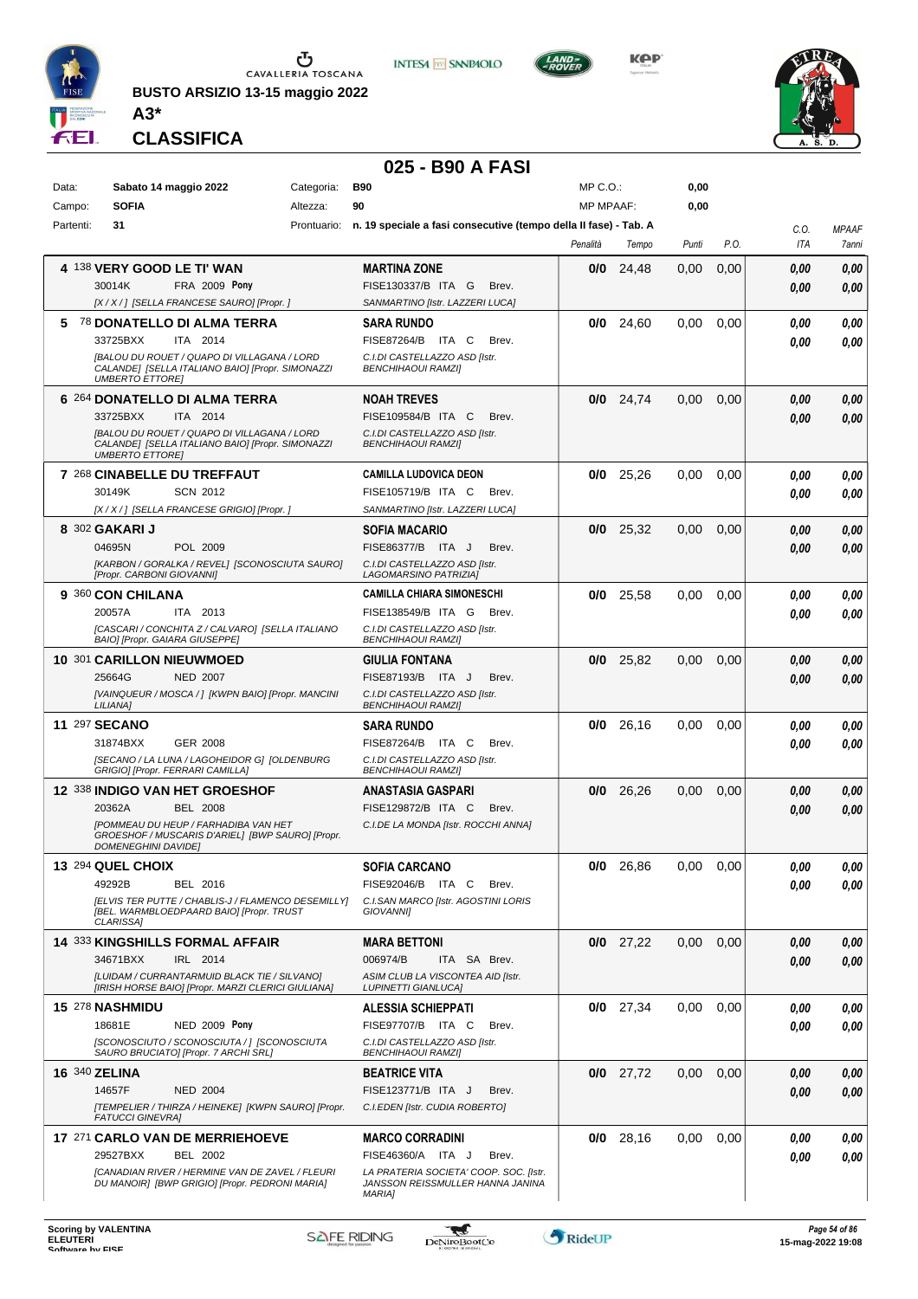

**BUSTO ARSIZIO 13-15 maggio 2022 A3\***



**KPP** 



**CLASSIFICA**

#### **025 - B90 A FASI**

| Data:     | Sabato 14 maggio 2022                                                                                                     | Categoria: | <b>B90</b>                                                                   | $MP C. O.$ :     |             | 0,00  |      |            |              |
|-----------|---------------------------------------------------------------------------------------------------------------------------|------------|------------------------------------------------------------------------------|------------------|-------------|-------|------|------------|--------------|
| Campo:    | <b>SOFIA</b>                                                                                                              | Altezza:   | 90                                                                           | <b>MP MPAAF:</b> |             | 0,00  |      |            |              |
| Partenti: | 31                                                                                                                        |            | Prontuario: n. 19 speciale a fasi consecutive (tempo della II fase) - Tab. A |                  |             |       |      | C.O.       | <b>MPAAF</b> |
|           |                                                                                                                           |            |                                                                              | Penalità         | Tempo       | Punti | P.O. | ITA        | 7anni        |
|           | 4 138 VERY GOOD LE TI' WAN                                                                                                |            | <b>MARTINA ZONE</b>                                                          | 0/0              | 24,48       | 0.00  | 0,00 | 0,00       | 0,00         |
|           | 30014K<br><b>FRA 2009 Pony</b>                                                                                            |            | FISE130337/B ITA G<br>Brev.                                                  |                  |             |       |      | 0,00       | 0.00         |
|           | [X / X / ] [SELLA FRANCESE SAURO] [Propr. ]                                                                               |            | SANMARTINO [Istr. LAZZERI LUCA]                                              |                  |             |       |      |            |              |
| 5         | <sup>78</sup> DONATELLO DI ALMA TERRA                                                                                     |            | <b>SARA RUNDO</b>                                                            | 0/0              | 24,60       | 0,00  | 0.00 | 0,00       | 0,00         |
|           | 33725BXX<br>ITA 2014                                                                                                      |            | FISE87264/B ITA C<br>Brev.                                                   |                  |             |       |      | 0.00       | 0.00         |
|           | [BALOU DU ROUET / QUAPO DI VILLAGANA / LORD<br>CALANDE] [SELLA ITALIANO BAIO] [Propr. SIMONAZZI<br><b>UMBERTO ETTORE!</b> |            | C.I.DI CASTELLAZZO ASD Ilstr.<br><b>BENCHIHAOUI RAMZI]</b>                   |                  |             |       |      |            |              |
|           | 6 264 DONATELLO DI ALMA TERRA                                                                                             |            | <b>NOAH TREVES</b>                                                           | 0/0              | 24,74       | 0,00  | 0,00 | 0,00       | 0,00         |
|           | 33725BXX<br>ITA 2014                                                                                                      |            | FISE109584/B ITA C<br>Brev.                                                  |                  |             |       |      | 0.00       | 0.00         |
|           | [BALOU DU ROUET / QUAPO DI VILLAGANA / LORD<br>CALANDE] [SELLA ITALIANO BAIO] [Propr. SIMONAZZI<br><b>UMBERTO ETTORE]</b> |            | C.I.DI CASTELLAZZO ASD [Istr.<br><b>BENCHIHAOUI RAMZII</b>                   |                  |             |       |      |            |              |
|           | 7 268 CINABELLE DU TREFFAUT                                                                                               |            | <b>CAMILLA LUDOVICA DEON</b>                                                 | 0/0              | 25,26       | 0.00  | 0,00 | 0.00       | 0,00         |
|           | 30149K<br><b>SCN 2012</b>                                                                                                 |            | FISE105719/B ITA C<br>Brev.                                                  |                  |             |       |      | 0.00       | 0.00         |
|           | [X / X / ] [SELLA FRANCESE GRIGIO] [Propr. ]                                                                              |            | SANMARTINO [Istr. LAZZERI LUCA]                                              |                  |             |       |      |            |              |
|           | 8 302 GAKARI J                                                                                                            |            | <b>SOFIA MACARIO</b>                                                         | 0/0              | 25,32       | 0,00  | 0,00 | 0,00       | 0,00         |
|           | 04695N<br>POL 2009                                                                                                        |            | FISE86377/B ITA J<br>Brev.                                                   |                  |             |       |      | 0,00       | 0.00         |
|           | [KARBON / GORALKA / REVEL] [SCONOSCIUTA SAURO]                                                                            |            | C.I.DI CASTELLAZZO ASD [Istr.<br><b>LAGOMARSINO PATRIZIAI</b>                |                  |             |       |      |            |              |
|           | [Propr. CARBONI GIOVANNI]                                                                                                 |            | <b>CAMILLA CHIARA SIMONESCHI</b>                                             |                  |             |       |      |            |              |
|           | 9 360 CON CHILANA<br>20057A<br>ITA 2013                                                                                   |            | FISE138549/B ITA G<br>Brev.                                                  | 0/0              | 25,58       | 0,00  | 0,00 | 0.00       | 0,00         |
|           | [CASCARI / CONCHITA Z / CALVARO] [SELLA ITALIANO                                                                          |            | C.I.DI CASTELLAZZO ASD [Istr.                                                |                  |             |       |      | 0.00       | 0.00         |
|           | BAIO] [Propr. GAIARA GIUSEPPE]                                                                                            |            | <b>BENCHIHAOUI RAMZII</b>                                                    |                  |             |       |      |            |              |
|           | 10 301 CARILLON NIEUWMOED                                                                                                 |            | <b>GIULIA FONTANA</b>                                                        | 0/0              | 25,82       | 0,00  | 0,00 | 0,00       | 0,00         |
|           | 25664G<br><b>NED 2007</b>                                                                                                 |            | FISE87193/B ITA J<br>Brev.                                                   |                  |             |       |      | 0.00       | 0.00         |
|           | [VAINQUEUR / MOSCA / ] [KWPN BAIO] [Propr. MANCINI<br>LILIANA]                                                            |            | C.I.DI CASTELLAZZO ASD [Istr.<br><b>BENCHIHAOUI RAMZI</b>                    |                  |             |       |      |            |              |
|           | 11 297 SECANO                                                                                                             |            | <b>SARA RUNDO</b>                                                            | 0/0              | 26,16       | 0,00  | 0,00 | 0.00       | 0.00         |
|           | <b>GER 2008</b><br>31874BXX                                                                                               |            | FISE87264/B ITA C<br>Brev.                                                   |                  |             |       |      | 0.00       | 0.00         |
|           | [SECANO / LA LUNA / LAGOHEIDOR G] [OLDENBURG                                                                              |            | C.I.DI CASTELLAZZO ASD [Istr.                                                |                  |             |       |      |            |              |
|           | GRIGIO] [Propr. FERRARI CAMILLA]                                                                                          |            | <b>BENCHIHAOUI RAMZI</b>                                                     |                  |             |       |      |            |              |
|           | <b>12 338 INDIGO VAN HET GROESHOF</b>                                                                                     |            | <b>ANASTASIA GASPARI</b>                                                     | 0/0              | 26.26       | 0,00  | 0,00 | 0,00       | 0,00         |
|           | 20362A<br><b>BEL 2008</b>                                                                                                 |            | FISE129872/B ITA C<br>Brev.                                                  |                  |             |       |      | 0,00       | 0.00         |
|           | [POMMEAU DU HEUP / FARHADIBA VAN HET<br>GROESHOF / MUSCARIS D'ARIEL] [BWP SAURO] [Propr.                                  |            | C.I.DE LA MONDA [Istr. ROCCHI ANNA]                                          |                  |             |       |      |            |              |
|           | <b>DOMENEGHINI DAVIDE)</b>                                                                                                |            |                                                                              |                  |             |       |      |            |              |
|           | 13 294 QUEL CHOIX                                                                                                         |            | SOFIA CARCANO                                                                | 0/0              | 26,86       | 0,00  | 0,00 | $\it 0,00$ | 0,00         |
|           | 49292B<br>BEL 2016                                                                                                        |            | FISE92046/B ITA C Brev.                                                      |                  |             |       |      | 0.00       | 0.00         |
|           | [ELVIS TER PUTTE / CHABLIS-J / FLAMENCO DESEMILLY]<br>[BEL. WARMBLOEDPAARD BAIO] [Propr. TRUST                            |            | C.I.SAN MARCO [Istr. AGOSTINI LORIS<br><b>GIOVANNI</b>                       |                  |             |       |      |            |              |
|           | <b>CLARISSAI</b><br><b>14 333 KINGSHILLS FORMAL AFFAIR</b>                                                                |            |                                                                              |                  | $0/0$ 27,22 | 0,00  |      |            |              |
|           | IRL 2014<br>34671BXX                                                                                                      |            | <b>MARA BETTONI</b><br>006974/B<br>ITA SA Brev.                              |                  |             |       | 0,00 | 0,00       | 0.00         |
|           | [LUIDAM / CURRANTARMUID BLACK TIE / SILVANO]                                                                              |            | ASIM CLUB LA VISCONTEA AID [Istr.                                            |                  |             |       |      | 0,00       | 0.00         |
|           | [IRISH HORSE BAIO] [Propr. MARZI CLERICI GIULIANA]                                                                        |            | <b>LUPINETTI GIANLUCAI</b>                                                   |                  |             |       |      |            |              |
|           | <b>15 278 NASHMIDU</b>                                                                                                    |            | <b>ALESSIA SCHIEPPATI</b>                                                    |                  | $0/0$ 27,34 | 0,00  | 0,00 | 0,00       | 0,00         |
|           | 18681E<br>NED 2009 Pony                                                                                                   |            | FISE97707/B ITA C<br>Brev.                                                   |                  |             |       |      | 0.00       | 0.00         |
|           | [SCONOSCIUTO / SCONOSCIUTA / ] [SCONOSCIUTA<br>SAURO BRUCIATO] [Propr. 7 ARCHI SRL]                                       |            | C.I.DI CASTELLAZZO ASD [Istr.<br><b>BENCHIHAOUI RAMZI]</b>                   |                  |             |       |      |            |              |
|           | 16 340 ZELINA                                                                                                             |            | <b>BEATRICE VITA</b>                                                         |                  | $0/0$ 27,72 | 0,00  | 0,00 | 0,00       | 0,00         |
|           | 14657F<br><b>NED 2004</b>                                                                                                 |            | FISE123771/B ITA J<br>Brev.                                                  |                  |             |       |      | 0,00       | 0.00         |
|           | [TEMPELIER / THIRZA / HEINEKE] [KWPN SAURO] [Propr.                                                                       |            | C.I.EDEN [Istr. CUDIA ROBERTO]                                               |                  |             |       |      |            |              |
|           | <b>FATUCCI GINEVRAI</b>                                                                                                   |            |                                                                              |                  |             |       |      |            |              |
|           | 17 271 CARLO VAN DE MERRIEHOEVE                                                                                           |            | <b>MARCO CORRADINI</b>                                                       |                  | $0/0$ 28,16 | 0,00  | 0,00 | 0,00       | 0,00         |
|           | 29527BXX<br>BEL 2002                                                                                                      |            | FISE46360/A ITA J<br>Brev.                                                   |                  |             |       |      | 0.00       | 0.00         |
|           | [CANADIAN RIVER / HERMINE VAN DE ZAVEL / FLEURI<br>DU MANOIR] [BWP GRIGIO] [Propr. PEDRONI MARIA]                         |            | LA PRATERIA SOCIETA' COOP. SOC. [Istr.<br>JANSSON REISSMULLER HANNA JANINA   |                  |             |       |      |            |              |
|           |                                                                                                                           |            | <b>MARIA]</b>                                                                |                  |             |       |      |            |              |

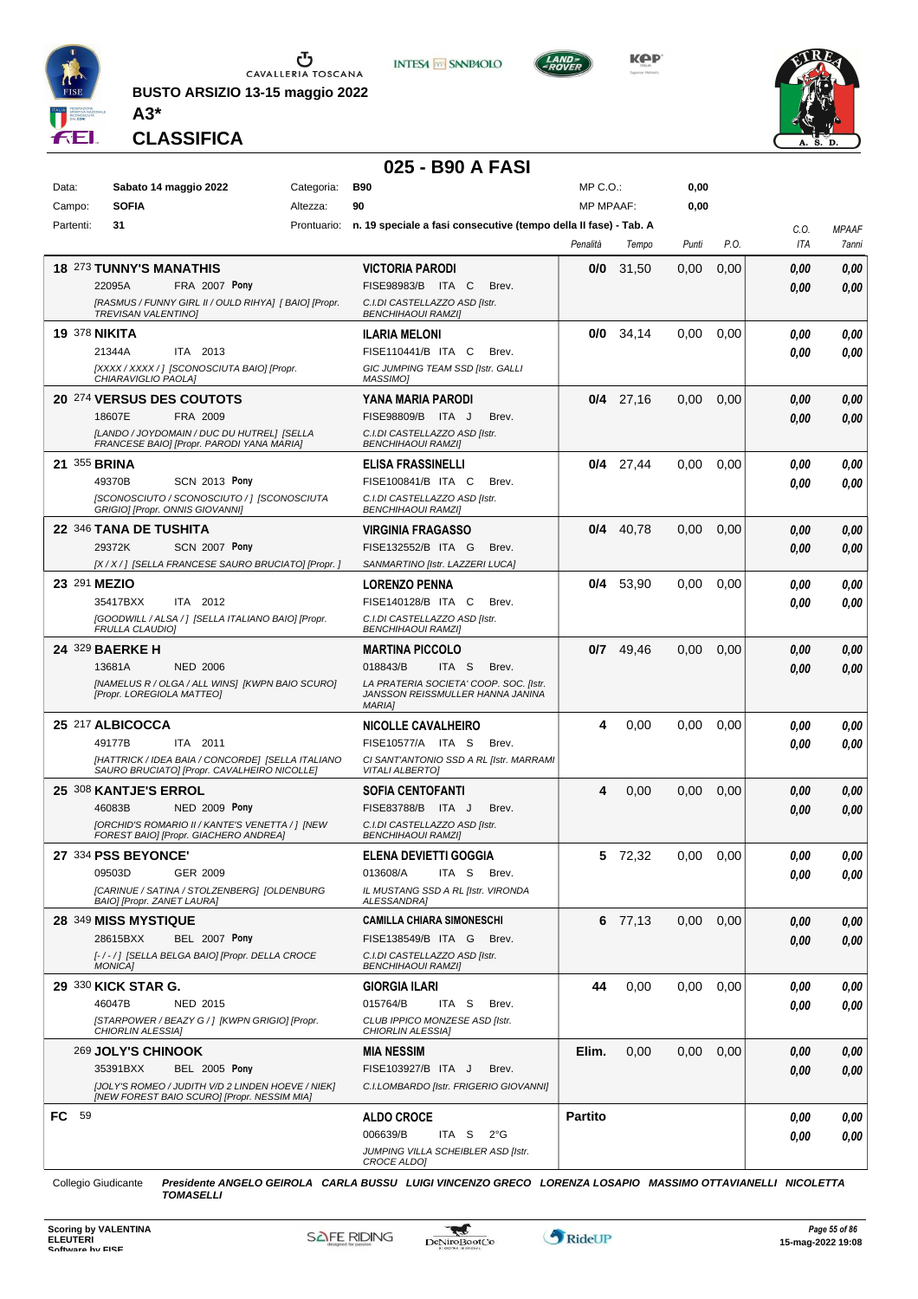

**BUSTO ARSIZIO 13-15 maggio 2022 A3\***



**Kep** 



**CLASSIFICA**

#### **025 - B90 A FASI**

| Data:     | Sabato 14 maggio 2022                                                                            | Categoria: | <b>B90</b>                                                                                  | MP C.O.:         |             | 0,00  |      |      |              |
|-----------|--------------------------------------------------------------------------------------------------|------------|---------------------------------------------------------------------------------------------|------------------|-------------|-------|------|------|--------------|
| Campo:    | <b>SOFIA</b>                                                                                     | Altezza:   | 90                                                                                          | <b>MP MPAAF:</b> |             | 0,00  |      |      |              |
| Partenti: | 31                                                                                               |            | Prontuario: n. 19 speciale a fasi consecutive (tempo della II fase) - Tab. A                |                  |             |       |      | C.O. | <b>MPAAF</b> |
|           |                                                                                                  |            |                                                                                             | Penalità         | Tempo       | Punti | P.O. | ITA  | 7anni        |
|           | <b>18 273 TUNNY'S MANATHIS</b>                                                                   |            | <b>VICTORIA PARODI</b>                                                                      | 0/0              | 31,50       | 0,00  | 0,00 | 0.00 | 0,00         |
|           | 22095A<br>FRA 2007 Pony                                                                          |            | FISE98983/B ITA C<br>Brev.                                                                  |                  |             |       |      | 0.00 | 0.00         |
|           | [RASMUS / FUNNY GIRL II / OULD RIHYA] [ BAIO] [Propr.<br><b>TREVISAN VALENTINO)</b>              |            | C.I.DI CASTELLAZZO ASD [Istr.<br><b>BENCHIHAOUI RAMZI]</b>                                  |                  |             |       |      |      |              |
|           | <b>19 378 NIKITA</b>                                                                             |            | <b>ILARIA MELONI</b>                                                                        | 0/0              | 34,14       | 0,00  | 0,00 | 0.00 | 0,00         |
|           | ITA 2013<br>21344A                                                                               |            | FISE110441/B ITA C<br>Brev.                                                                 |                  |             |       |      | 0.00 | 0.00         |
|           | [XXXX / XXXX /] [SCONOSCIUTA BAIO] [Propr.                                                       |            | GIC JUMPING TEAM SSD [Istr. GALLI<br><b>MASSIMO1</b>                                        |                  |             |       |      |      |              |
|           | CHIARAVIGLIO PAOLA]<br>20 274 VERSUS DES COUTOTS                                                 |            | <b>YANA MARIA PARODI</b>                                                                    |                  | $0/4$ 27,16 | 0,00  | 0,00 | 0,00 | 0,00         |
|           | FRA 2009<br>18607E                                                                               |            | FISE98809/B ITA J<br>Brev.                                                                  |                  |             |       |      | 0.00 | 0.00         |
|           | [LANDO / JOYDOMAIN / DUC DU HUTREL] [SELLA<br>FRANCESE BAIO] [Propr. PARODI YANA MARIA]          |            | C.I.DI CASTELLAZZO ASD [Istr.<br><b>BENCHIHAOUI RAMZII</b>                                  |                  |             |       |      |      |              |
|           | 21 355 BRINA                                                                                     |            | <b>ELISA FRASSINELLI</b>                                                                    |                  | $0/4$ 27,44 | 0.00  | 0,00 | 0.00 | 0,00         |
|           | 49370B<br><b>SCN 2013 Pony</b>                                                                   |            | FISE100841/B ITA C<br>Brev.                                                                 |                  |             |       |      | 0.00 | 0.00         |
|           | [SCONOSCIUTO / SCONOSCIUTO / ] [SCONOSCIUTA<br>GRIGIO] [Propr. ONNIS GIOVANNI]                   |            | C.I.DI CASTELLAZZO ASD [Istr.<br><b>BENCHIHAOUI RAMZI]</b>                                  |                  |             |       |      |      |              |
|           | 22 346 TANA DE TUSHITA                                                                           |            | <b>VIRGINIA FRAGASSO</b>                                                                    |                  | $0/4$ 40,78 | 0.00  | 0,00 | 0.00 | 0,00         |
|           | 29372K<br><b>SCN 2007 Pony</b>                                                                   |            | FISE132552/B ITA G<br>Brev.                                                                 |                  |             |       |      | 0.00 | 0.00         |
|           | [X / X / ] [SELLA FRANCESE SAURO BRUCIATO] [Propr. ]                                             |            | SANMARTINO [Istr. LAZZERI LUCA]                                                             |                  |             |       |      |      |              |
|           | 23 291 MEZIO                                                                                     |            | <b>LORENZO PENNA</b>                                                                        | 0/4              | 53,90       | 0,00  | 0,00 | 0,00 | 0,00         |
|           | 35417BXX<br>ITA 2012                                                                             |            | FISE140128/B ITA C<br>Brev.                                                                 |                  |             |       |      | 0.00 | 0.00         |
|           | [GOODWILL / ALSA / ] [SELLA ITALIANO BAIO] [Propr.<br><b>FRULLA CLAUDIOI</b>                     |            | C.I.DI CASTELLAZZO ASD [Istr.<br><b>BENCHIHAOUI RAMZI]</b>                                  |                  |             |       |      |      |              |
|           | 24 329 BAERKE H                                                                                  |            | <b>MARTINA PICCOLO</b>                                                                      | 0/7              | 49,46       | 0.00  | 0,00 | 0.00 | 0,00         |
|           | 13681A<br><b>NED 2006</b>                                                                        |            | 018843/B<br>ITA S<br>Brev.                                                                  |                  |             |       |      | 0.00 | 0.00         |
|           | [NAMELUS R / OLGA / ALL WINS] [KWPN BAIO SCURO]<br>[Propr. LOREGIOLA MATTEO]                     |            | LA PRATERIA SOCIETA' COOP. SOC. [Istr.<br>JANSSON REISSMULLER HANNA JANINA<br><b>MARIAI</b> |                  |             |       |      |      |              |
|           | 25 217 ALBICOCCA                                                                                 |            | <b>NICOLLE CAVALHEIRO</b>                                                                   | 4                | 0,00        | 0.00  | 0,00 | 0,00 | 0,00         |
|           | 49177B<br>ITA 2011                                                                               |            | FISE10577/A ITA S<br>Brev.                                                                  |                  |             |       |      | 0.00 | 0.00         |
|           | [HATTRICK / IDEA BAIA / CONCORDE] [SELLA ITALIANO<br>SAURO BRUCIATO] [Propr. CAVALHEIRO NICOLLE] |            | CI SANT'ANTONIO SSD A RL [Istr. MARRAMI<br><b>VITALI ALBERTO]</b>                           |                  |             |       |      |      |              |
|           | 25 308 KANTJE'S ERROL                                                                            |            | <b>SOFIA CENTOFANTI</b>                                                                     | 4                | 0,00        | 0.00  | 0,00 | 0,00 | 0,00         |
|           | 46083B<br><b>NED 2009 Pony</b>                                                                   |            | FISE83788/B ITA J<br>Brev.                                                                  |                  |             |       |      | 0.00 | 0.00         |
|           | [ORCHID'S ROMARIO II / KANTE'S VENETTA / ] [NEW<br>FOREST BAIO] [Propr. GIACHERO ANDREA]         |            | C.I.DI CASTELLAZZO ASD [Istr.<br><b>BENCHIHAOUI RAMZI]</b>                                  |                  |             |       |      |      |              |
|           | 27 334 PSS BEYONCE'                                                                              |            | <b>ELENA DEVIETTI GOGGIA</b>                                                                |                  | 5 72,32     | 0.00  | 0,00 | 0.00 | 0.00         |
|           | GER 2009<br>09503D                                                                               |            | 013608/A ITA S Brev.                                                                        |                  |             |       |      | 0,00 | $\it 0,00$   |
|           | [CARINUE / SATINA / STOLZENBERG] [OLDENBURG<br>BAIO] [Propr. ZANET LAURA]                        |            | IL MUSTANG SSD A RL [Istr. VIRONDA<br>ALESSANDRA]                                           |                  |             |       |      |      |              |
|           | <b>28 349 MISS MYSTIQUE</b>                                                                      |            | <b>CAMILLA CHIARA SIMONESCHI</b>                                                            |                  | 6 77,13     | 0,00  | 0,00 | 0,00 | 0,00         |
|           | 28615BXX<br><b>BEL 2007 Pony</b>                                                                 |            | FISE138549/B ITA G Brev.                                                                    |                  |             |       |      | 0,00 | 0.00         |
|           | [-/-/] [SELLA BELGA BAIO] [Propr. DELLA CROCE<br><b>MONICA]</b>                                  |            | C.I.DI CASTELLAZZO ASD [Istr.<br><b>BENCHIHAOUI RAMZI]</b>                                  |                  |             |       |      |      |              |
|           | 29 330 KICK STAR G.                                                                              |            | <b>GIORGIA ILARI</b>                                                                        | 44               | 0,00        | 0.00  | 0,00 | 0,00 | 0,00         |
|           | 46047B<br>NED 2015                                                                               |            | 015764/B<br>ITA S<br>Brev.                                                                  |                  |             |       |      | 0,00 | 0.00         |
|           | [STARPOWER / BEAZY G / ] [KWPN GRIGIO] [Propr.<br>CHIORLIN ALESSIA]                              |            | CLUB IPPICO MONZESE ASD [Istr.<br>CHIORLIN ALESSIA]                                         |                  |             |       |      |      |              |
|           | 269 JOLY'S CHINOOK                                                                               |            | <b>MIA NESSIM</b>                                                                           | Elim.            | 0,00        | 0,00  | 0,00 | 0,00 | 0,00         |
|           | 35391BXX<br><b>BEL 2005 Pony</b>                                                                 |            | FISE103927/B ITA J<br>Brev.                                                                 |                  |             |       |      | 0,00 | 0.00         |
|           | [JOLY'S ROMEO / JUDITH V/D 2 LINDEN HOEVE / NIEK]<br>[NEW FOREST BAIO SCURO] [Propr. NESSIM MIA] |            | C.I.LOMBARDO [Istr. FRIGERIO GIOVANNI]                                                      |                  |             |       |      |      |              |
| FC 59     |                                                                                                  |            | <b>ALDO CROCE</b>                                                                           | <b>Partito</b>   |             |       |      | 0.00 | 0,00         |
|           |                                                                                                  |            | 006639/B<br>ITA S<br>2°G                                                                    |                  |             |       |      | 0,00 | 0,00         |
|           |                                                                                                  |            | JUMPING VILLA SCHEIBLER ASD [Istr.<br>CROCE ALDO]                                           |                  |             |       |      |      |              |

Collegio Giudicante *Presidente ANGELO GEIROLA CARLA BUSSU LUIGI VINCENZO GRECO LORENZA LOSAPIO MASSIMO OTTAVIANELLI NICOLETTA*

*TOMASELLI*



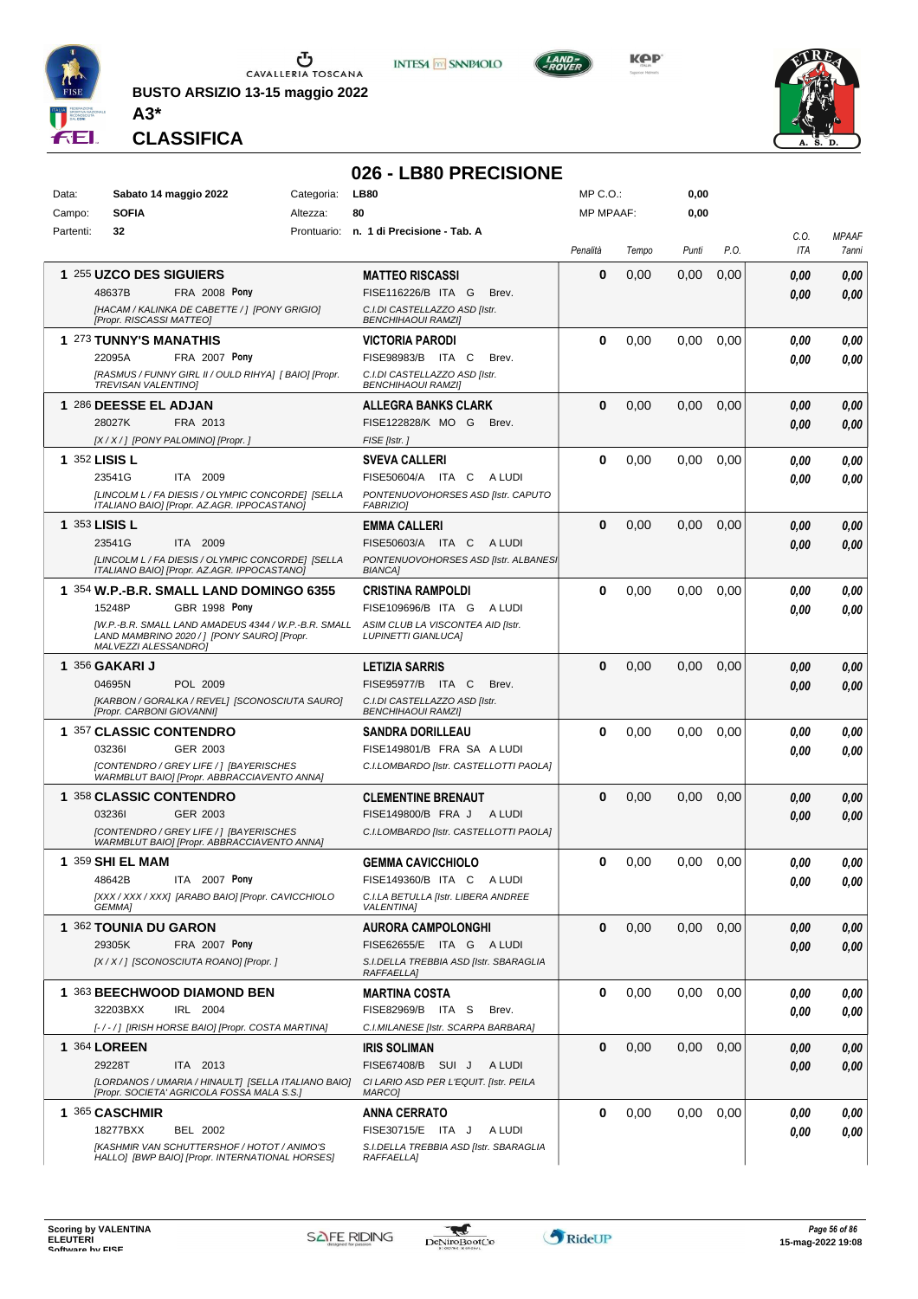

**BUSTO ARSIZIO 13-15 maggio 2022**



**INTESA M SANPAOLO** 

KOP



**CLASSIFICA**

**A3\***

#### **026 - LB80 PRECISIONE** Data: Sabato 14 maggio 2022 Categoria: LB80 Prontuario: **n. 1 di Precisione - Tab. A** Campo: **SOFIA** Partenti: **32** Altezza: **80** MP C.O.: MP MPAAF: **0,00 0,00** *Penalità Tempo Punti P.O. C.O. ITA MPAAF 7anni* **1** 255 **UZCO DES SIGUIERS** FRA 2008 Pony **MATTEO RISCASSI** *[HACAM / KALINKA DE CABETTE / ] [PONY GRIGIO] [Propr. RISCASSI MATTEO] C.I.DI CASTELLAZZO ASD [Istr. BENCHIHAOUI RAMZI]* ITA G Brev. 48637B FISE116226/B *0,00* **Pony 0** 0,00 0,00 0,00 *0,00 0,00 0,00* **1** 273 **TUNNY'S MANATHIS FRA 2007 Pony VICTORIA PARODI** *[RASMUS / FUNNY GIRL II / OULD RIHYA] [ BAIO] [Propr. TREVISAN VALENTINO] C.I.DI CASTELLAZZO ASD [Istr. BENCHIHAOUI RAMZI]* ITA C Brev. 22095A FISE98983/B *0,00* **Pony 0** 0,00 0,00 0,00 *0,00 0,00 0,00* **1** 286 **DEESSE EL ADJAN** FRA 2013 **ALLEGRA BANKS CLARK** *[X / X / ] [PONY PALOMINO] [Propr. ] FISE [Istr. ]* MO G Brev. 28027K FISE122828/K *0,00* **0** 0,00 0,00 0,00 *0,00 0,00 0,00* **1** 352 **LISIS L** ITA 2009 **SVEVA CALLERI** *[LINCOLM L / FA DIESIS / OLYMPIC CONCORDE] [SELLA ITALIANO BAIO] [Propr. AZ.AGR. IPPOCASTANO] PONTENUOVOHORSES ASD [Istr. CAPUTO FABRIZIO]* 23541G ITA 2009 FISE50604/A ITA C A LUDI *0,00 0,00* **0** 0,00 0,00 0,00 *0,00 0,00 0,00* **1** 353 **LISIS L** ITA 2009 **EMMA CALLERI** *[LINCOLM L / FA DIESIS / OLYMPIC CONCORDE] [SELLA ITALIANO BAIO] [Propr. AZ.AGR. IPPOCASTANO]* **PONTENUOVOHORSES ASD [Istr. ALBANES** *BIANCA]* 23541G ITA 2009 FISE50603/A ITA C A LUDI *0,00 0,00* **0** 0,00 0,00 0,00 *0,00 0,00 0,00* **1** 354 **W.P.-B.R. SMALL LAND DOMINGO 6355 GBR 1998 Pony CRISTINA RAMPOLDI** *[W.P.-B.R. SMALL LAND AMADEUS 4344 / W.P.-B.R. SMALL LAND MAMBRINO 2020 / ] [PONY SAURO] [Propr. MALVEZZI ALESSANDRO] ASIM CLUB LA VISCONTEA AID [Istr. LUPINETTI GIANLUCA]* 15248P GBR 1998 Pony FISE109696/B ITA G A LUDI *0,00 0,00* **0** 0,00 0,00 0,00 *0,00 0,00 0,00* **1** 356 **GAKARI J** POL 2009 **LETIZIA SARRIS** *[KARBON / GORALKA / REVEL] [SCONOSCIUTA SAURO] [Propr. CARBONI GIOVANNI] C.I.DI CASTELLAZZO ASD [Istr. BENCHIHAOUI RAMZI]* ITA C Brev. 04695N FISE95977/B *0,00* **0** 0,00 0,00 0,00 *0,00 0,00 0,00* **1** 357 **CLASSIC CONTENDRO** GER 2003 **SANDRA DORILLEAU** *[CONTENDRO / GREY LIFE / ] [BAYERISCHES WARMBLUT BAIO] [Propr. ABBRACCIAVENTO ANNA] C.I.LOMBARDO [Istr. CASTELLOTTI PAOLA]* FRA SA A LUDI 03236I FISE149801/B *0,00* **0** 0,00 0,00 0,00 *0,00 0,00 0,00* **1** 358 **CLASSIC CONTENDRO** GER 2003 **CLEMENTINE BRENAUT** *[CONTENDRO / GREY LIFE / ] [BAYERISCHES WARMBLUT BAIO] [Propr. ABBRACCIAVENTO ANNA] C.I.LOMBARDO [Istr. CASTELLOTTI PAOLA]* FRA J A LUDI 03236I FISE149800/B *0,00* **0** 0,00 0,00 0,00 *0,00 0,00 0,00* **1** 359 **SHI EL MAM ITA 2007 Pony GEMMA CAVICCHIOLO** *[XXX / XXX / XXX] [ARABO BAIO] [Propr. CAVICCHIOLO GEMMA] C.I.LA BETULLA [Istr. LIBERA ANDREE VALENTINA]* ITA C A LUDI 48642B FISE149360/B *0,00* **Pony 0** 0,00 0,00 0,00 *0,00 0,00 0,00* **1** 362 **TOUNIA DU GARON FRA 2007 Pony AURORA CAMPOLONGHI** *[X / X / ] [SCONOSCIUTA ROANO] [Propr. ] S.I.DELLA TREBBIA ASD [Istr. SBARAGLIA RAFFAELLA]* ITA G A LUDI 29305K FISE62655/E *0,00* **Pony 0** 0,00 0,00 0,00 *0,00 0,00 0,00* **1** 363 **BEECHWOOD DIAMOND BEN** IRL 2004 **MARTINA COSTA** *[- / - / ] [IRISH HORSE BAIO] [Propr. COSTA MARTINA] C.I.MILANESE [Istr. SCARPA BARBARA]* 32203BXX IRL 2004 FISE82969/B ITA S Brev. **0,00 0,00 0** 0,00 0,00 0,00 *0,00 0,00 0,00* **1** 364 **LOREEN** ITA 2013 **IRIS SOLIMAN** *[LORDANOS / UMARIA / HINAULT] [SELLA ITALIANO BAIO] [Propr. SOCIETA' AGRICOLA FOSSA MALA S.S.] CI LARIO ASD PER L'EQUIT. [Istr. PEILA MARCO]* 29228T ITA 2013 FISE67408/B SUI J A LUDI **0,00 0,00 0** 0,00 0,00 0,00 *0,00 0,00 0,00* **1** 365 **CASCHMIR** BEL 2002 **ANNA CERRATO** *[KASHMIR VAN SCHUTTERSHOF / HOTOT / ANIMO'S HALLO] [BWP BAIO] [Propr. INTERNATIONAL HORSES] S.I.DELLA TREBBIA ASD [Istr. SBARAGLIA RAFFAELLA]* 18277BXX BEL 2002 FISE30715/E ITA J A LUDI **0,00 0,00 0** 0,00 0,00 0,00 *0,00 0,00 0,00*

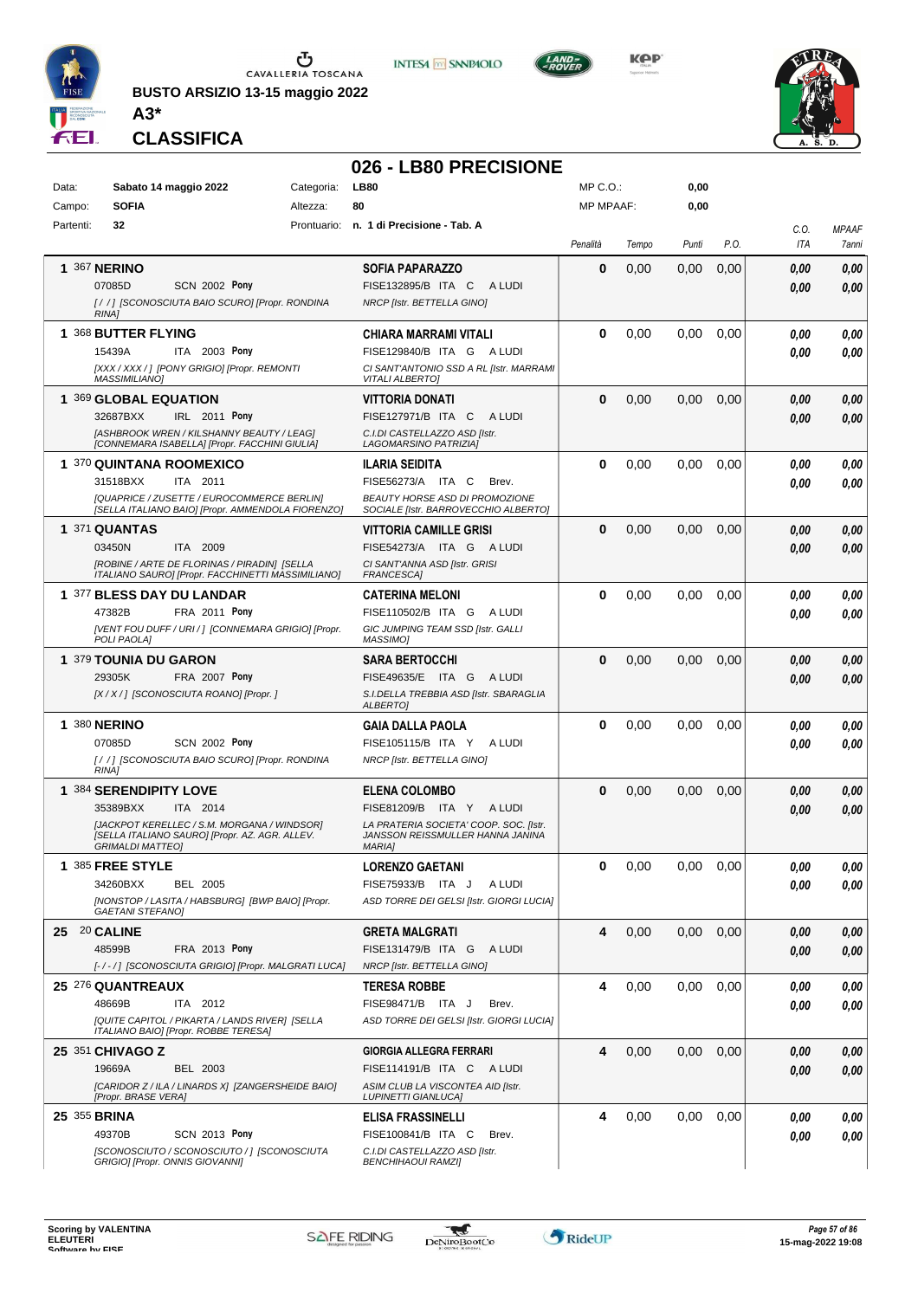

**BUSTO ARSIZIO 13-15 maggio 2022 A3\***





**KPP** 



**CLASSIFICA**

# **026 - LB80 PRECISIONE**

| Data:        | Sabato 14 maggio 2022                                                                                                                                                      | Categoria: | <b>LB80</b>                                                                                                                                    | MP C.O.:         |       | 0,00  |      |              |                                     |
|--------------|----------------------------------------------------------------------------------------------------------------------------------------------------------------------------|------------|------------------------------------------------------------------------------------------------------------------------------------------------|------------------|-------|-------|------|--------------|-------------------------------------|
| Campo:       | <b>SOFIA</b>                                                                                                                                                               | Altezza:   | 80                                                                                                                                             | <b>MP MPAAF:</b> |       | 0,00  |      |              |                                     |
| Partenti:    | 32                                                                                                                                                                         |            | Prontuario: n. 1 di Precisione - Tab. A                                                                                                        | Penalità         | Tempo | Punti | P.O. | C.O.<br>ITA  | <b>MPAAF</b><br><i><b>7anni</b></i> |
|              | <b>1 367 NERINO</b><br>07085D<br><b>SCN 2002 Pony</b><br>[//] [SCONOSCIUTA BAIO SCURO] [Propr. RONDINA<br><b>RINA1</b>                                                     |            | <b>SOFIA PAPARAZZO</b><br>FISE132895/B ITA C ALUDI<br>NRCP [Istr. BETTELLA GINO]                                                               | $\bf{0}$         | 0,00  | 0,00  | 0,00 | 0.00<br>0.00 | 0,00<br>0,00                        |
|              | 1 368 BUTTER FLYING<br>15439A<br>ITA 2003 Pony<br>[XXX / XXX / ] [PONY GRIGIO] [Propr. REMONTI<br><b>MASSIMILIANO]</b>                                                     |            | CHIARA MARRAMI VITALI<br>FISE129840/B ITA G ALUDI<br>CI SANT'ANTONIO SSD A RL [Istr. MARRAMI<br><b>VITALI ALBERTO]</b>                         | 0                | 0,00  | 0,00  | 0.00 | 0.00<br>0.00 | 0,00<br>0.00                        |
|              | 1 369 GLOBAL EQUATION<br>32687BXX<br>IRL 2011 Pony<br>[ASHBROOK WREN / KILSHANNY BEAUTY / LEAG]<br>[CONNEMARA ISABELLA] [Propr. FACCHINI GIULIA]                           |            | <b>VITTORIA DONATI</b><br>FISE127971/B ITA C<br>A LUDI<br>C.I.DI CASTELLAZZO ASD [Istr.<br>LAGOMARSINO PATRIZIA]                               | $\bf{0}$         | 0,00  | 0,00  | 0,00 | 0.00<br>0.00 | 0,00<br>0.00                        |
|              | 1 370 QUINTANA ROOMEXICO<br>31518BXX<br>ITA 2011<br>[QUAPRICE / ZUSETTE / EUROCOMMERCE BERLIN]<br>[SELLA ITALIANO BAIO] [Propr. AMMENDOLA FIORENZO]                        |            | <b>ILARIA SEIDITA</b><br>FISE56273/A ITA C<br>Brev.<br><b>BEAUTY HORSE ASD DI PROMOZIONE</b><br>SOCIALE [Istr. BARROVECCHIO ALBERTO]           | $\bf{0}$         | 0,00  | 0,00  | 0,00 | 0.00<br>0.00 | 0,00<br>0.00                        |
|              | 1 371 QUANTAS<br>03450N<br>ITA 2009<br>[ROBINE / ARTE DE FLORINAS / PIRADIN] [SELLA<br>ITALIANO SAURO] [Propr. FACCHINETTI MASSIMILIANO]                                   |            | <b>VITTORIA CAMILLE GRISI</b><br>FISE54273/A ITA G ALUDI<br>CI SANT'ANNA ASD [Istr. GRISI<br>FRANCESCA]                                        | $\bf{0}$         | 0,00  | 0,00  | 0,00 | 0,00<br>0.00 | 0,00<br>0,00                        |
|              | 1 377 BLESS DAY DU LANDAR<br>47382B<br>FRA 2011 Pony<br>[VENT FOU DUFF / URI / ] [CONNEMARA GRIGIO] [Propr.<br>POLI PAOLA]                                                 |            | <b>CATERINA MELONI</b><br>FISE110502/B ITA G<br>A LUDI<br>GIC JUMPING TEAM SSD [Istr. GALLI<br>MASSIMO]                                        | $\bf{0}$         | 0,00  | 0,00  | 0,00 | 0.00<br>0.00 | 0,00<br>0.00                        |
|              | 1 379 TOUNIA DU GARON<br>29305K<br>FRA 2007 Pony<br>[X / X / ] [SCONOSCIUTA ROANO] [Propr. ]                                                                               |            | <b>SARA BERTOCCHI</b><br>FISE49635/E ITA G ALUDI<br>S.I.DELLA TREBBIA ASD [Istr. SBARAGLIA<br><b>ALBERTOI</b>                                  | $\bf{0}$         | 0,00  | 0,00  | 0,00 | 0.00<br>0.00 | 0,00<br>0.00                        |
|              | <b>1 380 NERINO</b><br>07085D<br><b>SCN 2002 Pony</b><br>[//] [SCONOSCIUTA BAIO SCURO] [Propr. RONDINA<br>RINA1                                                            |            | GAIA DALLA PAOLA<br>FISE105115/B ITA Y<br>A LUDI<br>NRCP [Istr. BETTELLA GINO]                                                                 | $\bf{0}$         | 0,00  | 0,00  | 0,00 | 0.00<br>0.00 | 0,00<br>0.00                        |
|              | 1 384 SERENDIPITY LOVE<br>35389BXX<br>ITA 2014<br>[JACKPOT KERELLEC / S.M. MORGANA / WINDSOR]<br>[SELLA ITALIANO SAURO] [Propr. AZ. AGR. ALLEV.<br><b>GRIMALDI MATTEO1</b> |            | <b>ELENA COLOMBO</b><br>FISE81209/B ITA Y ALUDI<br>LA PRATERIA SOCIETA' COOP. SOC. [Istr.<br>JANSSON REISSMULLER HANNA JANINA<br><b>MARIA1</b> | $\bf{0}$         | 0,00  | 0,00  | 0,00 | 0.00<br>0.00 | 0,00<br>0,00                        |
| 1.           | 385 FREE STYLE<br>34260BXX<br><b>BEL 2005</b><br>[NONSTOP / LASITA / HABSBURG] [BWP BAIO] [Propr.<br><b>GAETANI STEFANO)</b>                                               |            | <b>LORENZO GAETANI</b><br>FISE75933/B ITA J<br>A LUDI<br>ASD TORRE DEI GELSI [Istr. GIORGI LUCIA]                                              | 0                | 0,00  | 0,00  | 0,00 | 0,00<br>0.00 | 0,00<br>0,00                        |
| 25 20 CALINE | 48599B<br>FRA 2013 Pony<br>[-/-/] [SCONOSCIUTA GRIGIO] [Propr. MALGRATI LUCA]                                                                                              |            | <b>GRETA MALGRATI</b><br>FISE131479/B ITA G ALUDI<br>NRCP [Istr. BETTELLA GINO]                                                                | 4                | 0,00  | 0,00  | 0,00 | 0,00<br>0,00 | 0,00<br>0,00                        |
|              | 25 276 QUANTREAUX<br>48669B<br>ITA 2012<br>[QUITE CAPITOL / PIKARTA / LANDS RIVER] [SELLA<br>ITALIANO BAIO] [Propr. ROBBE TERESA]                                          |            | <b>TERESA ROBBE</b><br>FISE98471/B ITA J<br>Brev.<br>ASD TORRE DEI GELSI [Istr. GIORGI LUCIA]                                                  | 4                | 0,00  | 0,00  | 0,00 | 0.00<br>0.00 | 0,00<br>0,00                        |
|              | 25 351 CHIVAGO Z<br>19669A<br>BEL 2003<br>[CARIDOR Z / ILA / LINARDS X] [ZANGERSHEIDE BAIO]<br>[Propr. BRASE VERA]                                                         |            | <b>GIORGIA ALLEGRA FERRARI</b><br>FISE114191/B ITA C ALUDI<br>ASIM CLUB LA VISCONTEA AID [Istr.<br><b>LUPINETTI GIANLUCA]</b>                  | 4                | 0,00  | 0,00  | 0,00 | 0,00<br>0,00 | 0,00<br>0,00                        |
| 25 355 BRINA | 49370B<br><b>SCN 2013 Pony</b><br>[SCONOSCIUTO / SCONOSCIUTO / ] [SCONOSCIUTA<br>GRIGIO] [Propr. ONNIS GIOVANNI]                                                           |            | <b>ELISA FRASSINELLI</b><br>FISE100841/B ITA C<br>Brev.<br>C.I.DI CASTELLAZZO ASD [Istr.<br><b>BENCHIHAOUI RAMZI]</b>                          | 4                | 0,00  | 0,00  | 0,00 | 0.00<br>0.00 | 0,00<br>0,00                        |

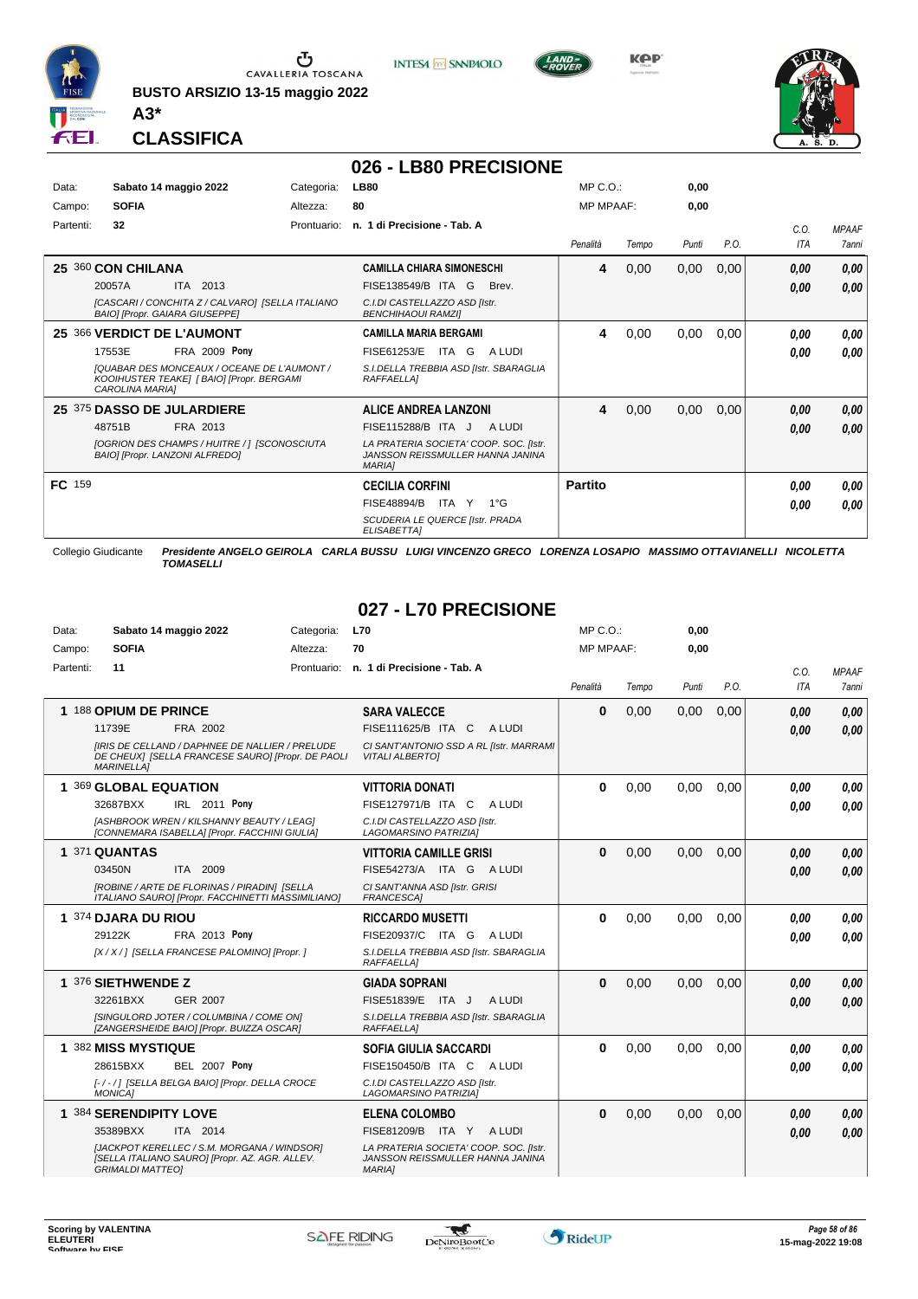

**BUSTO ARSIZIO 13-15 maggio 2022 A3\***



**KPP** 



**CLASSIFICA**

#### **026 - LB80 PRECISIONE**

| Data:<br>Campo: | Sabato 14 maggio 2022<br><b>SOFIA</b>                                                                              | Categoria:<br>Altezza: | <b>LB80</b><br>80                                                                           | $MP C. O.$ :<br><b>MP MPAAF:</b> |       | 0,00<br>0,00 |      |             |                              |
|-----------------|--------------------------------------------------------------------------------------------------------------------|------------------------|---------------------------------------------------------------------------------------------|----------------------------------|-------|--------------|------|-------------|------------------------------|
| Partenti:       | 32                                                                                                                 | Prontuario:            | n. 1 di Precisione - Tab. A                                                                 | Penalità                         | Tempo | Punti        | P.O. | C.0.<br>ITA | <b>MPAAF</b><br><b>7anni</b> |
|                 | 25 360 CON CHILANA                                                                                                 |                        | <b>CAMILLA CHIARA SIMONESCHI</b>                                                            | 4                                | 0,00  | 0,00         | 0,00 | 0,00        | 0,00                         |
|                 | 20057A<br>ITA 2013                                                                                                 |                        | FISE138549/B ITA G<br>Brev.                                                                 |                                  |       |              |      | 0,00        | 0,00                         |
|                 | [CASCARI / CONCHITA Z / CALVARO] [SELLA ITALIANO<br><b>BAIOI [Propr. GAIARA GIUSEPPE]</b>                          |                        | C.I.DI CASTELLAZZO ASD [Istr.<br><b>BENCHIHAOUI RAMZII</b>                                  |                                  |       |              |      |             |                              |
|                 | 25 366 VERDICT DE L'AUMONT                                                                                         |                        | <b>CAMILLA MARIA BERGAMI</b>                                                                | 4                                | 0,00  | 0,00         | 0,00 | 0,00        | 0,00                         |
|                 | <b>FRA 2009 Pony</b><br>17553E                                                                                     |                        | FISE61253/E<br>ITA G<br>A LUDI                                                              |                                  |       |              |      | 0,00        | 0.00                         |
|                 | [QUABAR DES MONCEAUX / OCEANE DE L'AUMONT /<br>KOOIHUSTER TEAKE] [ BAIO] [Propr. BERGAMI<br><b>CAROLINA MARIAI</b> |                        | S.I.DELLA TREBBIA ASD [Istr. SBARAGLIA<br><b>RAFFAELLA1</b>                                 |                                  |       |              |      |             |                              |
|                 | 25 375 DASSO DE JULARDIERE                                                                                         |                        | <b>ALICE ANDREA LANZONI</b>                                                                 | 4                                | 0,00  | 0,00         | 0,00 | 0,00        | 0,00                         |
|                 | 48751B<br>FRA 2013                                                                                                 |                        | FISE115288/B ITA J<br>A LUDI                                                                |                                  |       |              |      | 0,00        | 0,00                         |
|                 | [OGRION DES CHAMPS / HUITRE / ] [SCONOSCIUTA<br>BAIO] [Propr. LANZONI ALFREDO]                                     |                        | LA PRATERIA SOCIETA' COOP. SOC. Ilstr.<br>JANSSON REISSMULLER HANNA JANINA<br><b>MARIAI</b> |                                  |       |              |      |             |                              |
| FC 159          |                                                                                                                    |                        | <b>CECILIA CORFINI</b>                                                                      | <b>Partito</b>                   |       |              |      | 0.00        | 0,00                         |
|                 |                                                                                                                    |                        | <b>FISE48894/B</b><br>ITA Y<br>$1^{\circ}$ G                                                |                                  |       |              |      | 0.00        | 0.00                         |
|                 |                                                                                                                    |                        | SCUDERIA LE QUERCE [Istr. PRADA<br>ELISABETTA]                                              |                                  |       |              |      |             |                              |
|                 | Collegio Giudicante<br>Presidente ANGELO GEIROLA                                                                   |                        | <b>CARLA BUSSU LUIGI VINCENZO GRECO LORENZA LOSAPIO MASSIMO OTTAVIANELLI</b>                |                                  |       |              |      | NICOLETTA   |                              |

*TOMASELLI*

#### **027 - L70 PRECISIONE**

| Data:     | Sabato 14 maggio 2022                                                                                                            | Categoria:  | <b>L70</b>                                                                                  | $MP C. O.$ :     |       | 0.00  |      |      |              |
|-----------|----------------------------------------------------------------------------------------------------------------------------------|-------------|---------------------------------------------------------------------------------------------|------------------|-------|-------|------|------|--------------|
| Campo:    | <b>SOFIA</b>                                                                                                                     | Altezza:    | 70                                                                                          | <b>MP MPAAF:</b> |       | 0.00  |      |      |              |
| Partenti: | 11                                                                                                                               | Prontuario: | n. 1 di Precisione - Tab. A                                                                 |                  |       |       |      | C.O. | <b>MPAAF</b> |
|           |                                                                                                                                  |             |                                                                                             | Penalità         | Tempo | Punti | P.O. | ITA  | <b>7anni</b> |
|           | 1 188 OPIUM DE PRINCE                                                                                                            |             | <b>SARA VALECCE</b>                                                                         | $\bf{0}$         | 0,00  | 0,00  | 0,00 | 0.00 | 0,00         |
|           | FRA 2002<br>11739E                                                                                                               |             | FISE111625/B ITA C<br>A LUDI                                                                |                  |       |       |      | 0.00 | 0.00         |
|           | <b>IIRIS DE CELLAND / DAPHNEE DE NALLIER / PRELUDE</b><br>DE CHEUX] [SELLA FRANCESE SAURO] [Propr. DE PAOLI<br><b>MARINELLA1</b> |             | CI SANT'ANTONIO SSD A RL [Istr. MARRAMI<br><b>VITALI ALBERTOI</b>                           |                  |       |       |      |      |              |
|           | 1 369 GLOBAL EQUATION                                                                                                            |             | <b>VITTORIA DONATI</b>                                                                      | $\bf{0}$         | 0.00  | 0.00  | 0.00 | 0.00 | 0.00         |
|           | 32687BXX<br>IRL 2011 Pony                                                                                                        |             | FISE127971/B ITA C<br>A LUDI                                                                |                  |       |       |      | 0.00 | 0.00         |
|           | <b>IASHBROOK WREN / KILSHANNY BEAUTY / LEAGI</b><br>[CONNEMARA ISABELLA] [Propr. FACCHINI GIULIA]                                |             | C.I.DI CASTELLAZZO ASD [Istr.<br>LAGOMARSINO PATRIZIAI                                      |                  |       |       |      |      |              |
|           | 1 371 QUANTAS                                                                                                                    |             | <b>VITTORIA CAMILLE GRISI</b>                                                               | $\bf{0}$         | 0,00  | 0,00  | 0,00 | 0.00 | 0,00         |
|           | 03450N<br>ITA 2009                                                                                                               |             | FISE54273/A ITA G ALUDI                                                                     |                  |       |       |      | 0.00 | 0.00         |
|           | [ROBINE / ARTE DE FLORINAS / PIRADIN] [SELLA<br>ITALIANO SAUROI [Propr. FACCHINETTI MASSIMILIANO]                                |             | CI SANT'ANNA ASD [Istr. GRISI<br>FRANCESCA1                                                 |                  |       |       |      |      |              |
|           | 1 374 DJARA DU RIOU                                                                                                              |             | <b>RICCARDO MUSETTI</b>                                                                     | $\bf{0}$         | 0,00  | 0,00  | 0,00 | 0.00 | 0.00         |
|           | FRA 2013 Pony<br>29122K                                                                                                          |             | FISE20937/C ITA G<br>A LUDI                                                                 |                  |       |       |      | 0.00 | 0.00         |
|           | [X / X / ] [SELLA FRANCESE PALOMINO] [Propr. ]                                                                                   |             | S.I.DELLA TREBBIA ASD [Istr. SBARAGLIA<br>RAFFAELLA]                                        |                  |       |       |      |      |              |
|           | 1 376 SIETHWENDE Z                                                                                                               |             | <b>GIADA SOPRANI</b>                                                                        | $\bf{0}$         | 0.00  | 0.00  | 0.00 | 0.00 | 0.00         |
|           | 32261BXX<br><b>GER 2007</b>                                                                                                      |             | FISE51839/E ITA J<br>A LUDI                                                                 |                  |       |       |      | 0.00 | 0.00         |
|           | <b>ISINGULORD JOTER / COLUMBINA / COME ONI</b><br>[ZANGERSHEIDE BAIO] [Propr. BUIZZA OSCAR]                                      |             | S.I.DELLA TREBBIA ASD [Istr. SBARAGLIA<br>RAFFAELLA]                                        |                  |       |       |      |      |              |
|           | 1 382 MISS MYSTIQUE                                                                                                              |             | <b>SOFIA GIULIA SACCARDI</b>                                                                | $\bf{0}$         | 0,00  | 0.00  | 0.00 | 0.00 | 0,00         |
|           | 28615BXX<br><b>BEL 2007 Pony</b>                                                                                                 |             | FISE150450/B ITA C<br>A LUDI                                                                |                  |       |       |      | 0.00 | 0.00         |
|           | [-/-/] [SELLA BELGA BAIO] [Propr. DELLA CROCE<br><b>MONICA1</b>                                                                  |             | C.I.DI CASTELLAZZO ASD [Istr.<br>LAGOMARSINO PATRIZIAI                                      |                  |       |       |      |      |              |
|           | 1 384 SERENDIPITY LOVE                                                                                                           |             | <b>ELENA COLOMBO</b>                                                                        | $\bf{0}$         | 0,00  | 0,00  | 0,00 | 0.00 | 0.00         |
|           | 35389BXX<br>ITA 2014                                                                                                             |             | FISE81209/B ITA Y ALUDI                                                                     |                  |       |       |      | 0.00 | 0.00         |
|           | [JACKPOT KERELLEC / S.M. MORGANA / WINDSOR]<br>[SELLA ITALIANO SAURO] [Propr. AZ. AGR. ALLEV.<br><b>GRIMALDI MATTEOI</b>         |             | LA PRATERIA SOCIETA' COOP. SOC. [Istr.<br>JANSSON REISSMULLER HANNA JANINA<br><b>MARIAI</b> |                  |       |       |      |      |              |

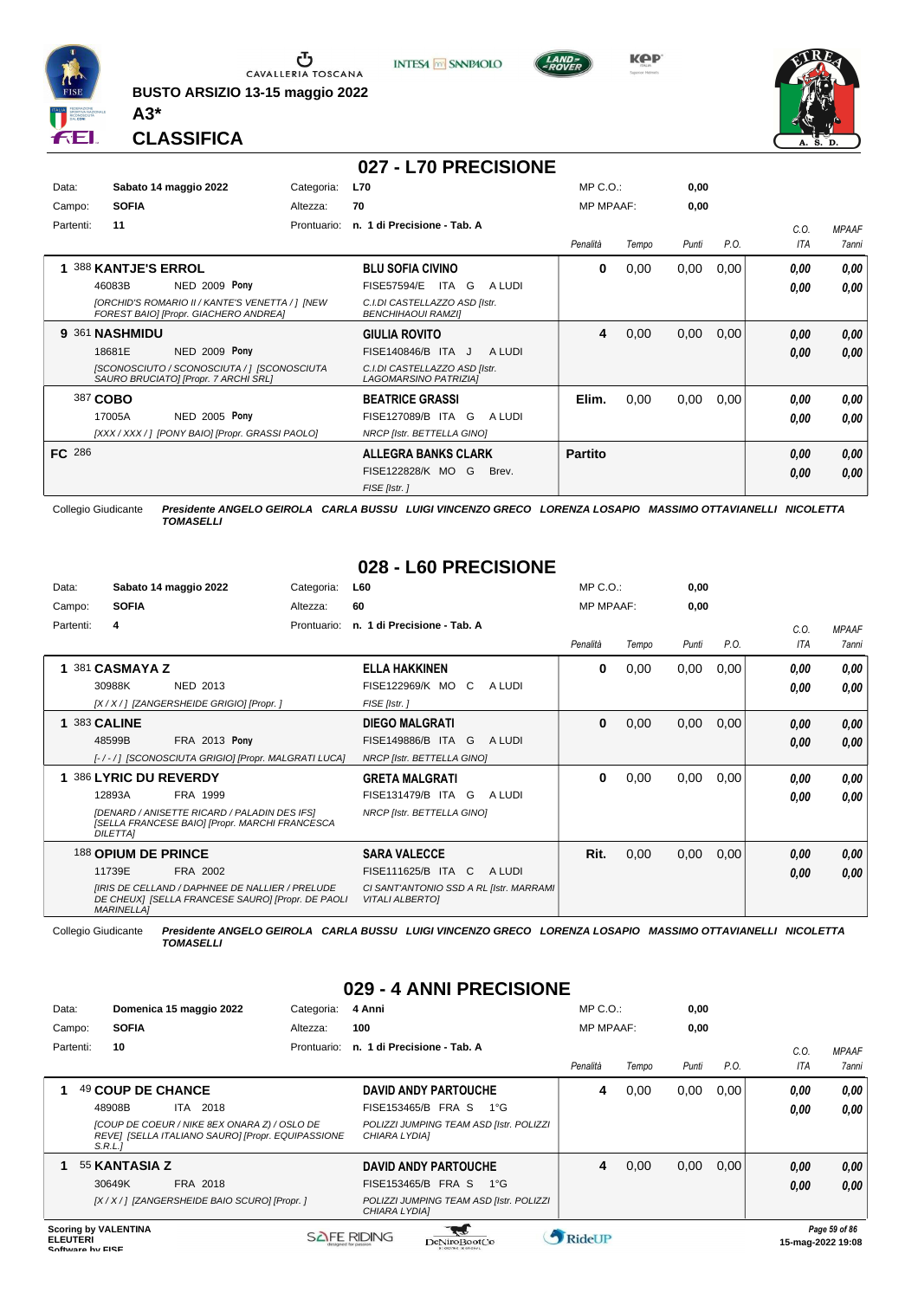

**BUSTO ARSIZIO 13-15 maggio 2022**







**CLASSIFICA**

**A3\***

#### **027 - L70 PRECISIONE**

| Data:         |                    | Sabato 14 maggio 2022                                                                    | Categoria:  | <b>L70</b>                                                 | $MP C. O.$ :     |       | 0,00  |      |      |              |
|---------------|--------------------|------------------------------------------------------------------------------------------|-------------|------------------------------------------------------------|------------------|-------|-------|------|------|--------------|
| Campo:        | <b>SOFIA</b>       |                                                                                          | Altezza:    | 70                                                         | <b>MP MPAAF:</b> |       | 0,00  |      |      |              |
| Partenti:     | 11                 |                                                                                          | Prontuario: | n. 1 di Precisione - Tab. A                                |                  |       |       |      | C.0. | <b>MPAAF</b> |
|               |                    |                                                                                          |             |                                                            | Penalità         | Tempo | Punti | P.O. | ITA  | 7anni        |
|               | 388 KANTJE'S ERROL |                                                                                          |             | <b>BLU SOFIA CIVINO</b>                                    | 0                | 0,00  | 0,00  | 0,00 | 0,00 | 0,00         |
|               | 46083B             | NED 2009 Pony                                                                            |             | <b>FISE57594/E</b><br>G<br>A LUDI<br>ITA                   |                  |       |       |      | 0,00 | 0.00         |
|               |                    | [ORCHID'S ROMARIO II / KANTE'S VENETTA / ] [NEW<br>FOREST BAIO] [Propr. GIACHERO ANDREA] |             | C.I.DI CASTELLAZZO ASD [Istr.<br><b>BENCHIHAOUI RAMZII</b> |                  |       |       |      |      |              |
|               | 9 361 NASHMIDU     |                                                                                          |             | <b>GIULIA ROVITO</b>                                       | 4                | 0,00  | 0,00  | 0,00 | 0,00 | 0,00         |
|               | 18681E             | NED 2009 Pony                                                                            |             | FISE140846/B ITA J<br>A LUDI                               |                  |       |       |      | 0,00 | 0.00         |
|               |                    | [SCONOSCIUTO / SCONOSCIUTA / ] [SCONOSCIUTA<br>SAURO BRUCIATO] [Propr. 7 ARCHI SRL]      |             | C.I.DI CASTELLAZZO ASD [Istr.<br>LAGOMARSINO PATRIZIA]     |                  |       |       |      |      |              |
|               | 387 COBO           |                                                                                          |             | <b>BEATRICE GRASSI</b>                                     | Elim.            | 0,00  | 0,00  | 0,00 | 0,00 | 0.00         |
|               | 17005A             | NED 2005 Pony                                                                            |             | FISE127089/B ITA G<br>A LUDI                               |                  |       |       |      | 0,00 | 0.00         |
|               |                    | [XXX / XXX / ] [PONY BAIO] [Propr. GRASSI PAOLO]                                         |             | NRCP [Istr. BETTELLA GINO]                                 |                  |       |       |      |      |              |
| <b>FC</b> 286 |                    |                                                                                          |             | <b>ALLEGRA BANKS CLARK</b>                                 | <b>Partito</b>   |       |       |      | 0,00 | 0.00         |
|               |                    |                                                                                          |             | FISE122828/K MO G<br>Brev.                                 |                  |       |       |      | 0,00 | 0.00         |
|               |                    |                                                                                          |             | FISE [Istr.]                                               |                  |       |       |      |      |              |

Collegio Giudicante *Presidente ANGELO GEIROLA CARLA BUSSU LUIGI VINCENZO GRECO LORENZA LOSAPIO MASSIMO OTTAVIANELLI NICOLETTA TOMASELLI*

### **028 - L60 PRECISIONE**

| Data:     | Sabato 14 maggio 2022                                                  | Categoria:                                                                                                  | L60                                                               |        | $MP C. O.$ :     |       | 0,00  |      |      |              |
|-----------|------------------------------------------------------------------------|-------------------------------------------------------------------------------------------------------------|-------------------------------------------------------------------|--------|------------------|-------|-------|------|------|--------------|
| Campo:    | <b>SOFIA</b>                                                           | Altezza:                                                                                                    | 60                                                                |        | <b>MP MPAAF:</b> |       | 0,00  |      |      |              |
| Partenti: | 4                                                                      | Prontuario:                                                                                                 | n. 1 di Precisione - Tab. A                                       |        |                  |       |       |      | C.O. | <b>MPAAF</b> |
|           |                                                                        |                                                                                                             |                                                                   |        | Penalità         | Tempo | Punti | P.O. | ITA  | 7anni        |
|           | 381 CASMAYA Z                                                          |                                                                                                             | <b>ELLA HAKKINEN</b>                                              |        | $\bf{0}$         | 0,00  | 0,00  | 0,00 | 0.00 | 0,00         |
|           | NED 2013<br>30988K                                                     |                                                                                                             | FISE122969/K MO C                                                 | A LUDI |                  |       |       |      | 0.00 | 0.00         |
|           | [X / X / ] [ZANGERSHEIDE GRIGIO] [Propr. ]                             |                                                                                                             | FISE [Istr.]                                                      |        |                  |       |       |      |      |              |
|           | <b>1 383 CALINE</b>                                                    |                                                                                                             | <b>DIEGO MALGRATI</b>                                             |        | $\bf{0}$         | 0,00  | 0,00  | 0,00 | 0,00 | 0,00         |
|           | 48599B                                                                 | FRA 2013 Pony                                                                                               | FISE149886/B ITA G                                                | A LUDI |                  |       |       |      | 0.00 | 0,00         |
|           |                                                                        | [-/-/] [SCONOSCIUTA GRIGIO] [Propr. MALGRATI LUCA]                                                          | NRCP [Istr. BETTELLA GINO]                                        |        |                  |       |       |      |      |              |
|           | 1 386 LYRIC DU REVERDY                                                 |                                                                                                             | <b>GRETA MALGRATI</b>                                             |        | 0                | 0,00  | 0,00  | 0,00 | 0,00 | 0,00         |
|           | 12893A<br>FRA 1999                                                     |                                                                                                             | FISE131479/B ITA G                                                | A LUDI |                  |       |       |      | 0.00 | 0.00         |
|           | <b>IDENARD / ANISETTE RICARD / PALADIN DES IFSI</b><br><b>DILETTAI</b> | [SELLA FRANCESE BAIO] [Propr. MARCHI FRANCESCA                                                              | NRCP [Istr. BETTELLA GINO]                                        |        |                  |       |       |      |      |              |
|           | 188 OPIUM DE PRINCE                                                    |                                                                                                             | <b>SARA VALECCE</b>                                               |        | Rit.             | 0,00  | 0,00  | 0,00 | 0,00 | 0,00         |
|           | 11739E<br>FRA 2002                                                     |                                                                                                             | FISE111625/B ITA C                                                | A LUDI |                  |       |       |      | 0.00 | 0,00         |
|           | <b>MARINELLA1</b>                                                      | <b>IIRIS DE CELLAND / DAPHNEE DE NALLIER / PRELUDE</b><br>DE CHEUX] [SELLA FRANCESE SAURO] [Propr. DE PAOLI | CI SANT'ANTONIO SSD A RL [Istr. MARRAMI<br><b>VITALI ALBERTOI</b> |        |                  |       |       |      |      |              |

Collegio Giudicante *Presidente ANGELO GEIROLA CARLA BUSSU LUIGI VINCENZO GRECO LORENZA LOSAPIO MASSIMO OTTAVIANELLI NICOLETTA TOMASELLI*

### **029 - 4 ANNI PRECISIONE**

| Data:     |                                       | Domenica 15 maggio 2022                                                                                              | Categoria:  | 4 Anni                                                                                                                        | $MP C. O.$ :      |       | 0,00  |      |              |                       |
|-----------|---------------------------------------|----------------------------------------------------------------------------------------------------------------------|-------------|-------------------------------------------------------------------------------------------------------------------------------|-------------------|-------|-------|------|--------------|-----------------------|
| Campo:    | <b>SOFIA</b>                          |                                                                                                                      | Altezza:    | 100                                                                                                                           | <b>MP MPAAF:</b>  |       | 0,00  |      |              |                       |
| Partenti: | 10                                    |                                                                                                                      | Prontuario: | n. 1 di Precisione - Tab. A                                                                                                   | Penalità          | Tempo | Punti | P.O. | C.0<br>ITA   | <b>MPAAF</b><br>7anni |
|           | 49 COUP DE CHANCE<br>48908B<br>S.R.L. | <b>ITA 2018</b><br>[COUP DE COEUR / NIKE 8EX ONARA Z) / OSLO DE<br>REVE] [SELLA ITALIANO SAURO] [Propr. EQUIPASSIONE |             | <b>DAVID ANDY PARTOUCHE</b><br>FISE153465/B FRA S<br>1°G<br>POLIZZI JUMPING TEAM ASD [Istr. POLIZZI<br>CHIARA LYDIAI          | 4                 | 0,00  | 0,00  | 0.00 | 0.00<br>0.00 | 0,00<br>0,00          |
|           | 55 KANTASIA Z<br>30649K               | FRA 2018<br>[X / X / ] [ZANGERSHEIDE BAIO SCURO] [Propr. ]                                                           |             | <b>DAVID ANDY PARTOUCHE</b><br>FISE153465/B FRA S<br>$1^{\circ}G$<br>POLIZZI JUMPING TEAM ASD [Istr. POLIZZI<br>CHIARA LYDIA] | 4                 | 0,00  | 0,00  | 0.00 | 0,00<br>0,00 | 0,00<br>0.00          |
| --------  | <b>Scoring by VALENTINA</b>           |                                                                                                                      |             | SAFE RIDING                                                                                                                   | <b>A</b> pidol ID |       |       |      |              | Page 59 of 86         |

**ELEUTERI**<br>Software by FISE ELEUTERI SOFTWARE SOFTWARE ORIGINAL DENTOROOTCO **Software in the second of the Software Control of the Software or the Software or the Software or the Software or the Software or the Software or the Software or the Softwar** 

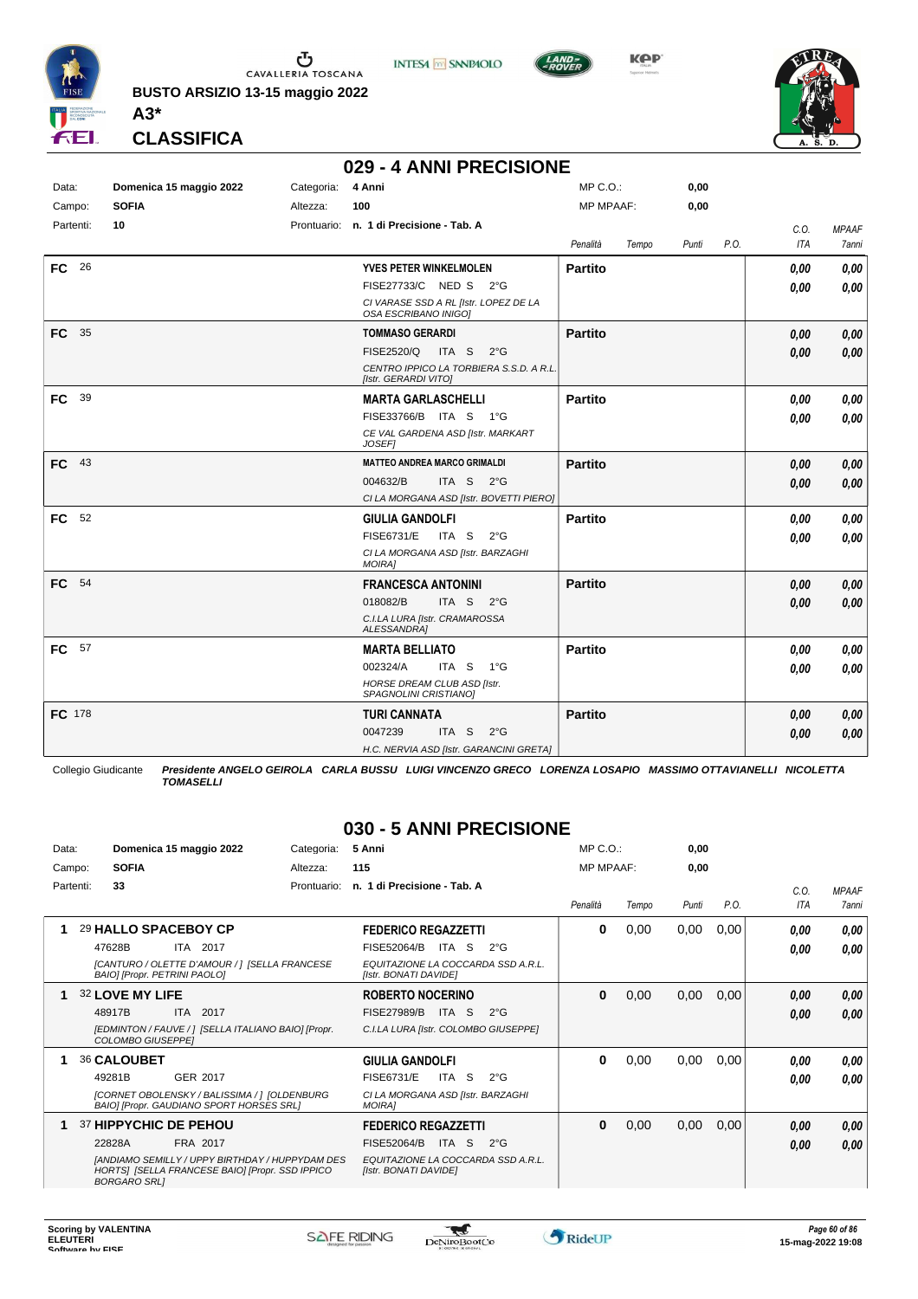

**BUSTO ARSIZIO 13-15 maggio 2022 A3\***



**KOP** 



#### **CLASSIFICA**

#### **029 - 4 ANNI PRECISIONE**

**INTESA** M SANPAOLO

| Data:             | Domenica 15 maggio 2022 | Categoria: | 4 Anni                                                          | MP C.O.:         |       | 0,00  |      |      |              |
|-------------------|-------------------------|------------|-----------------------------------------------------------------|------------------|-------|-------|------|------|--------------|
| Campo:            | <b>SOFIA</b>            | Altezza:   | 100                                                             | <b>MP MPAAF:</b> |       | 0,00  |      |      |              |
| Partenti:         | 10                      |            | Prontuario: n. 1 di Precisione - Tab. A                         |                  |       |       |      | C.O. | <b>MPAAF</b> |
|                   |                         |            |                                                                 | Penalità         | Tempo | Punti | P.O. | ITA  | 7anni        |
| <b>FC</b><br>- 26 |                         |            | <b>YVES PETER WINKELMOLEN</b>                                   | <b>Partito</b>   |       |       |      | 0,00 | 0,00         |
|                   |                         |            | FISE27733/C NED S 2°G                                           |                  |       |       |      | 0.00 | 0,00         |
|                   |                         |            | CI VARASE SSD A RL [Istr. LOPEZ DE LA<br>OSA ESCRIBANO INIGOI   |                  |       |       |      |      |              |
| FC 35             |                         |            | <b>TOMMASO GERARDI</b>                                          | <b>Partito</b>   |       |       |      | 0,00 | 0,00         |
|                   |                         |            | <b>FISE2520/Q</b><br>ITA S<br>2°G                               |                  |       |       |      | 0,00 | 0,00         |
|                   |                         |            | CENTRO IPPICO LA TORBIERA S.S.D. A R.L.<br>[Istr. GERARDI VITO] |                  |       |       |      |      |              |
| 39<br><b>FC</b>   |                         |            | <b>MARTA GARLASCHELLI</b>                                       | <b>Partito</b>   |       |       |      | 0,00 | 0,00         |
|                   |                         |            | FISE33766/B ITA S<br>$1^{\circ}G$                               |                  |       |       |      | 0,00 | 0,00         |
|                   |                         |            | CE VAL GARDENA ASD [Istr. MARKART<br><b>JOSEFI</b>              |                  |       |       |      |      |              |
| - 43<br>FC.       |                         |            | <b>MATTEO ANDREA MARCO GRIMALDI</b>                             | <b>Partito</b>   |       |       |      | 0.00 | 0,00         |
|                   |                         |            | 004632/B<br>ITA S<br>$2^{\circ}G$                               |                  |       |       |      | 0,00 | 0,00         |
|                   |                         |            | CI LA MORGANA ASD [Istr. BOVETTI PIERO]                         |                  |       |       |      |      |              |
| 52<br><b>FC</b>   |                         |            | <b>GIULIA GANDOLFI</b>                                          | <b>Partito</b>   |       |       |      | 0,00 | 0,00         |
|                   |                         |            | <b>FISE6731/E</b><br>ITA S<br>$2^{\circ}G$                      |                  |       |       |      | 0.00 | 0,00         |
|                   |                         |            | CI LA MORGANA ASD [Istr. BARZAGHI<br><b>MOIRAI</b>              |                  |       |       |      |      |              |
| FC 54             |                         |            | <b>FRANCESCA ANTONINI</b>                                       | <b>Partito</b>   |       |       |      | 0,00 | 0,00         |
|                   |                         |            | 018082/B<br>ITA S 2°G                                           |                  |       |       |      | 0.00 | 0,00         |
|                   |                         |            | C.I.LA LURA [Istr. CRAMAROSSA<br>ALESSANDRA]                    |                  |       |       |      |      |              |
| <b>FC</b><br>57   |                         |            | <b>MARTA BELLIATO</b>                                           | <b>Partito</b>   |       |       |      | 0,00 | 0,00         |
|                   |                         |            | 002324/A<br>ITA S<br>1°G                                        |                  |       |       |      | 0.00 | 0,00         |
|                   |                         |            | <b>HORSE DREAM CLUB ASD [Istr.</b><br>SPAGNOLINI CRISTIANO]     |                  |       |       |      |      |              |
| FC 178            |                         |            | <b>TURI CANNATA</b>                                             | <b>Partito</b>   |       |       |      | 0.00 | 0,00         |
|                   |                         |            | 0047239<br>ITA S<br>$2^{\circ}$ G                               |                  |       |       |      | 0.00 | 0,00         |
|                   |                         |            | H.C. NERVIA ASD [Istr. GARANCINI GRETA]                         |                  |       |       |      |      |              |

Collegio Giudicante *Presidente ANGELO GEIROLA CARLA BUSSU LUIGI VINCENZO GRECO LORENZA LOSAPIO MASSIMO OTTAVIANELLI NICOLETTA TOMASELLI*

#### **030 - 5 ANNI PRECISIONE**

| Data:     | Domenica 15 maggio 2022             |          |                                                                                                           | Categoria:  | 5 Anni                                             |           |                                    | $MP C. Q$ .:     |       | 0,00  |      |                    |                              |
|-----------|-------------------------------------|----------|-----------------------------------------------------------------------------------------------------------|-------------|----------------------------------------------------|-----------|------------------------------------|------------------|-------|-------|------|--------------------|------------------------------|
| Campo:    | <b>SOFIA</b>                        |          |                                                                                                           | Altezza:    | 115                                                |           |                                    | <b>MP MPAAF:</b> |       | 0,00  |      |                    |                              |
| Partenti: | 33                                  |          |                                                                                                           | Prontuario: | n. 1 di Precisione - Tab. A                        |           |                                    | Penalità         | Tempo | Punti | P.O. | C.0.<br><b>ITA</b> | <b>MPAAF</b><br><b>7anni</b> |
| 1         | 29 HALLO SPACEBOY CP                |          |                                                                                                           |             | <b>FEDERICO REGAZZETTI</b>                         |           |                                    | 0                | 0,00  | 0,00  | 0,00 | 0,00               | 0,00                         |
|           | 47628B                              | ITA 2017 |                                                                                                           |             | FISE52064/B                                        | ITA<br>-S | $2^{\circ}$ G                      |                  |       |       |      | 0.00               | 0.00                         |
|           | <b>BAIOI IPropr. PETRINI PAOLOI</b> |          | [CANTURO / OLETTE D'AMOUR / ] [SELLA FRANCESE                                                             |             | [Istr. BONATI DAVIDE]                              |           | EQUITAZIONE LA COCCARDA SSD A.R.L. |                  |       |       |      |                    |                              |
| 1         | 32 LOVE MY LIFE                     |          |                                                                                                           |             | <b>ROBERTO NOCERINO</b>                            |           |                                    | $\bf{0}$         | 0,00  | 0,00  | 0,00 | 0,00               | 0,00                         |
|           | 48917B                              | ITA 2017 |                                                                                                           |             | FISE27989/B                                        | ITA S     | $2^{\circ}G$                       |                  |       |       |      | 0.00               | 0,00                         |
|           | <b>COLOMBO GIUSEPPEI</b>            |          | [EDMINTON / FAUVE / ] [SELLA ITALIANO BAIO] [Propr.                                                       |             | C.I.LA LURA [Istr. COLOMBO GIUSEPPE]               |           |                                    |                  |       |       |      |                    |                              |
| 1         | 36 CALOUBET                         |          |                                                                                                           |             | <b>GIULIA GANDOLFI</b>                             |           |                                    | 0                | 0,00  | 0,00  | 0,00 | 0.00               | 0,00                         |
|           | 49281B                              | GER 2017 |                                                                                                           |             | FISE6731/E                                         | ITA S     | $2^{\circ}$ G                      |                  |       |       |      | 0.00               | 0.00                         |
|           |                                     |          | [CORNET OBOLENSKY / BALISSIMA / 1 [OLDENBURG<br>BAIO] [Propr. GAUDIANO SPORT HORSES SRL]                  |             | CI LA MORGANA ASD [Istr. BARZAGHI<br><b>MOIRAI</b> |           |                                    |                  |       |       |      |                    |                              |
| 1         | 37 HIPPYCHIC DE PEHOU               |          |                                                                                                           |             | <b>FEDERICO REGAZZETTI</b>                         |           |                                    | $\bf{0}$         | 0,00  | 0,00  | 0,00 | 0,00               | 0,00                         |
|           | 22828A                              | FRA 2017 |                                                                                                           |             | FISE52064/B                                        | ITA S     | $2^{\circ}$ G                      |                  |       |       |      | 0,00               | 0.00                         |
|           | <b>BORGARO SRLI</b>                 |          | <b>IANDIAMO SEMILLY / UPPY BIRTHDAY / HUPPYDAM DES</b><br>HORTSI [SELLA FRANCESE BAIO] [Propr. SSD IPPICO |             | [Istr. BONATI DAVIDE]                              |           | EQUITAZIONE LA COCCARDA SSD A.R.L. |                  |       |       |      |                    |                              |

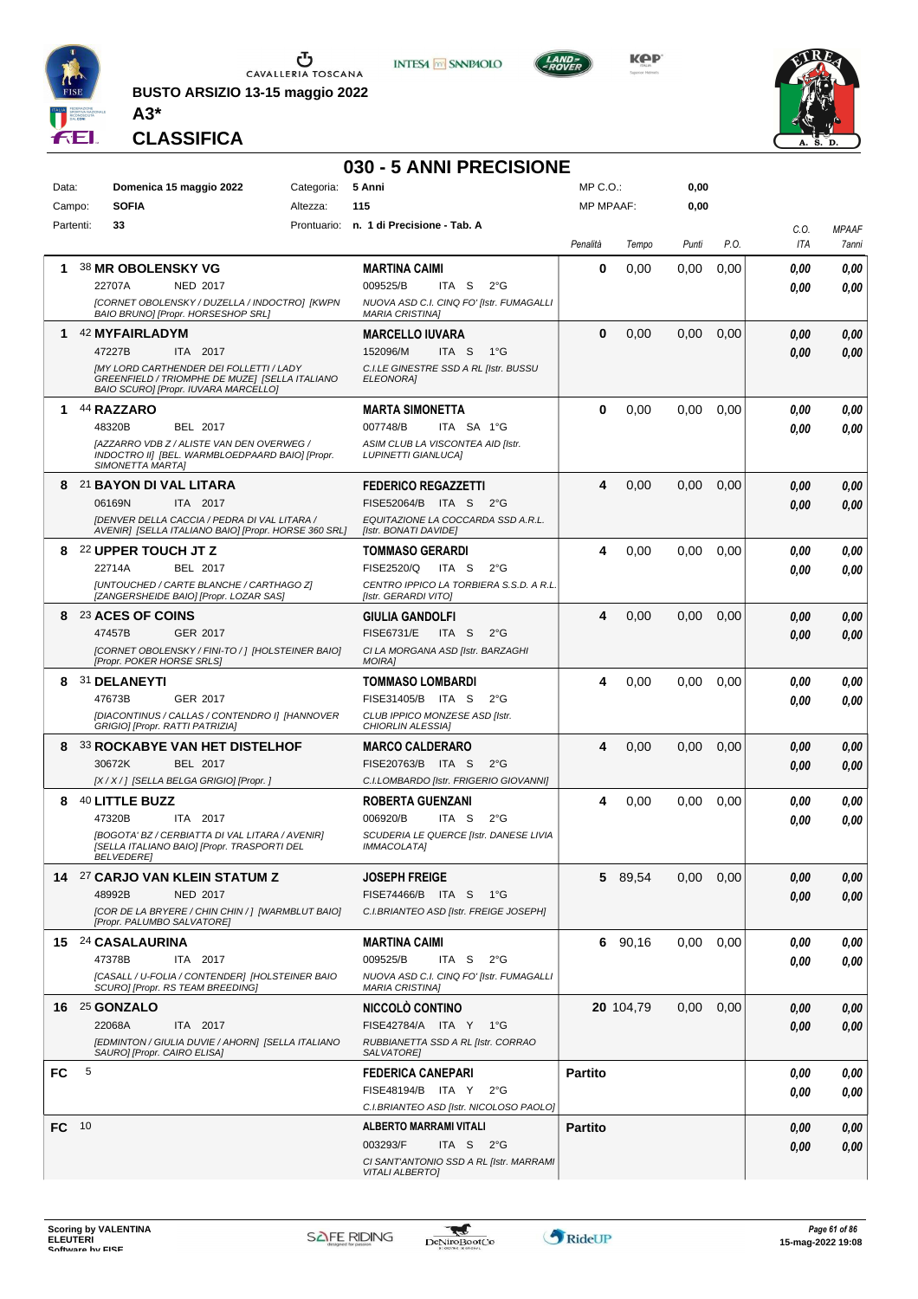

**BUSTO ARSIZIO 13-15 maggio 2022 A3\***



**Kep** 



**CLASSIFICA**

# **030 - 5 ANNI PRECISIONE**

| Data:<br>Campo: |   | Domenica 15 maggio 2022<br><b>SOFIA</b>                                                                                                  | Categoria:<br>Altezza: | 5 Anni<br>115                                                                | MP C.O.:<br><b>MP MPAAF:</b> |           | 0,00<br>0,00 |      |             |                       |
|-----------------|---|------------------------------------------------------------------------------------------------------------------------------------------|------------------------|------------------------------------------------------------------------------|------------------------------|-----------|--------------|------|-------------|-----------------------|
| Partenti:       |   | 33                                                                                                                                       |                        | Prontuario: n. 1 di Precisione - Tab. A                                      |                              |           |              |      |             |                       |
|                 |   |                                                                                                                                          |                        |                                                                              | Penalità                     | Tempo     | Punti        | P.O. | C.O.<br>ITA | <b>MPAAF</b><br>7anni |
| 1               |   | 38 MR OBOLENSKY VG                                                                                                                       |                        | <b>MARTINA CAIMI</b>                                                         | 0                            | 0,00      | 0,00         | 0,00 | 0.00        | 0,00                  |
|                 |   | 22707A<br>NED 2017                                                                                                                       |                        | 009525/B<br>ITA S<br>$2^{\circ}G$                                            |                              |           |              |      | 0.00        | 0.00                  |
|                 |   | [CORNET OBOLENSKY / DUZELLA / INDOCTRO] [KWPN<br>BAIO BRUNO] [Propr. HORSESHOP SRL]                                                      |                        | NUOVA ASD C.I. CINQ FO' [Istr. FUMAGALLI<br><b>MARIA CRISTINA]</b>           |                              |           |              |      |             |                       |
| 1               |   | 42 MYFAIRLADYM                                                                                                                           |                        | <b>MARCELLO IUVARA</b>                                                       | $\bf{0}$                     | 0,00      | 0,00         | 0,00 | 0.00        | 0,00                  |
|                 |   | ITA 2017<br>47227B                                                                                                                       |                        | 152096/M<br>ITA S<br>1°G                                                     |                              |           |              |      | 0.00        | 0.00                  |
|                 |   | <b>IMY LORD CARTHENDER DEI FOLLETTI / LADY</b><br>GREENFIELD / TRIOMPHE DE MUZE] [SELLA ITALIANO<br>BAIO SCURO] [Propr. IUVARA MARCELLO] |                        | C.I.LE GINESTRE SSD A RL [Istr. BUSSU<br><b>ELEONORAI</b>                    |                              |           |              |      |             |                       |
| 1               |   | 44 RAZZARO                                                                                                                               |                        | <b>MARTA SIMONETTA</b>                                                       | 0                            | 0,00      | 0,00         | 0,00 | 0.00        | 0,00                  |
|                 |   | 48320B<br>BEL 2017                                                                                                                       |                        | 007748/B<br>ITA SA 1°G                                                       |                              |           |              |      | 0.00        | 0.00                  |
|                 |   | [AZZARRO VDB Z / ALISTE VAN DEN OVERWEG /<br>INDOCTRO II] [BEL. WARMBLOEDPAARD BAIO] [Propr.<br>SIMONETTA MARTA]                         |                        | ASIM CLUB LA VISCONTEA AID [Istr.<br><b>LUPINETTI GIANLUCAI</b>              |                              |           |              |      |             |                       |
|                 |   | 8 21 BAYON DI VAL LITARA                                                                                                                 |                        | <b>FEDERICO REGAZZETTI</b>                                                   | 4                            | 0,00      | 0,00         | 0,00 | 0.00        | 0,00                  |
|                 |   | ITA 2017<br>06169N                                                                                                                       |                        | FISE52064/B ITA S<br>$2^{\circ}G$                                            |                              |           |              |      | 0.00        | 0.00                  |
|                 |   | IDENVER DELLA CACCIA / PEDRA DI VAL LITARA /<br>AVENIR] [SELLA ITALIANO BAIO] [Propr. HORSE 360 SRL]                                     |                        | EQUITAZIONE LA COCCARDA SSD A.R.L.<br>[Istr. BONATI DAVIDE]                  |                              |           |              |      |             |                       |
|                 |   | 8 22 UPPER TOUCH JT Z                                                                                                                    |                        | <b>TOMMASO GERARDI</b>                                                       | 4                            | 0,00      | 0,00         | 0,00 | 0.00        | 0,00                  |
|                 |   | BEL 2017<br>22714A                                                                                                                       |                        | FISE2520/Q<br>ITA S<br>$2^{\circ}$ G                                         |                              |           |              |      | 0.00        | 0.00                  |
|                 |   | [UNTOUCHED / CARTE BLANCHE / CARTHAGO Z]<br>[ZANGERSHEIDE BAIO] [Propr. LOZAR SAS]                                                       |                        | CENTRO IPPICO LA TORBIERA S.S.D. A R.L.<br>[Istr. GERARDI VITO]              |                              |           |              |      |             |                       |
| 8               |   | 23 ACES OF COINS                                                                                                                         |                        | <b>GIULIA GANDOLFI</b>                                                       | 4                            | 0,00      | 0.00         | 0,00 | 0.00        | 0,00                  |
|                 |   | 47457B<br>GER 2017                                                                                                                       |                        | <b>FISE6731/E</b><br>ITA S<br>$2^{\circ}$ G                                  |                              |           |              |      | 0.00        | 0.00                  |
|                 |   | [CORNET OBOLENSKY / FINI-TO / ] [HOLSTEINER BAIO]<br>[Propr. POKER HORSE SRLS]                                                           |                        | CI LA MORGANA ASD [Istr. BARZAGHI<br><b>MOIRAI</b>                           |                              |           |              |      |             |                       |
|                 |   | 8 31 DELANEYTI                                                                                                                           |                        | <b>TOMMASO LOMBARDI</b>                                                      | 4                            | 0,00      | 0,00         | 0,00 | 0.00        | 0,00                  |
|                 |   | 47673B<br>GER 2017                                                                                                                       |                        | FISE31405/B ITA S<br>$2^{\circ}$ G                                           |                              |           |              |      | 0.00        | 0.00                  |
|                 |   | [DIACONTINUS / CALLAS / CONTENDRO I] [HANNOVER<br>GRIGIO] [Propr. RATTI PATRIZIA]                                                        |                        | CLUB IPPICO MONZESE ASD [Istr.<br>CHIORLIN ALESSIA]                          |                              |           |              |      |             |                       |
| 8               |   | <b>33 ROCKABYE VAN HET DISTELHOF</b>                                                                                                     |                        | <b>MARCO CALDERARO</b>                                                       | 4                            | 0,00      | 0,00         | 0,00 | 0.00        | 0,00                  |
|                 |   | 30672K<br>BEL 2017                                                                                                                       |                        | FISE20763/B ITA S<br>$2^{\circ}G$                                            |                              |           |              |      | 0.00        | 0,00                  |
|                 |   | [X / X / ] [SELLA BELGA GRIGIO] [Propr. ]                                                                                                |                        | C.I.LOMBARDO [Istr. FRIGERIO GIOVANNI]                                       |                              |           |              |      |             |                       |
| 8               |   | 40 LITTLE BUZZ<br>ITA 2017                                                                                                               |                        | <b>ROBERTA GUENZANI</b>                                                      | 4                            | 0,00      | 0.00         | 0,00 | 0.00        | 0,00                  |
|                 |   | 47320B<br>[BOGOTA' BZ / CERBIATTA DI VAL LITARA / AVENIR]                                                                                |                        | 006920/B<br>ITA S<br>$2^{\circ}$ G<br>SCUDERIA LE QUERCE [Istr. DANESE LIVIA |                              |           |              |      | 0.00        | 0.00                  |
|                 |   | [SELLA ITALIANO BAIO] [Propr. TRASPORTI DEL<br><b>BELVEDEREI</b>                                                                         |                        | IMMACOLATA]                                                                  |                              |           |              |      |             |                       |
|                 |   | 14 27 CARJO VAN KLEIN STATUM Z                                                                                                           |                        | <b>JOSEPH FREIGE</b>                                                         |                              | 5 89,54   | 0,00         | 0,00 | 0,00        | 0,00                  |
|                 |   | 48992B<br><b>NED 2017</b>                                                                                                                |                        | FISE74466/B ITA S<br>1°G                                                     |                              |           |              |      | 0.00        | 0.00                  |
|                 |   | [COR DE LA BRYERE / CHIN CHIN / ] [WARMBLUT BAIO]<br>[Propr. PALUMBO SALVATORE]                                                          |                        | C.I.BRIANTEO ASD [Istr. FREIGE JOSEPH]                                       |                              |           |              |      |             |                       |
|                 |   | 15 24 CASALAURINA                                                                                                                        |                        | <b>MARTINA CAIMI</b>                                                         |                              | 6 90,16   | 0.00         | 0,00 | 0,00        | 0,00                  |
|                 |   | 47378B<br>ITA 2017                                                                                                                       |                        | 009525/B<br>ITA S<br>2°G                                                     |                              |           |              |      | 0.00        | 0.00                  |
|                 |   | [CASALL / U-FOLIA / CONTENDER] [HOLSTEINER BAIO<br>SCUROI [Propr. RS TEAM BREEDING]                                                      |                        | NUOVA ASD C.I. CINQ FO' [Istr. FUMAGALLI<br><b>MARIA CRISTINA]</b>           |                              |           |              |      |             |                       |
|                 |   | 16 25 GONZALO                                                                                                                            |                        | <b>NICCOLO CONTINO</b>                                                       |                              | 20 104,79 | 0,00         | 0,00 | 0,00        | 0,00                  |
|                 |   | 22068A<br>ITA 2017                                                                                                                       |                        | FISE42784/A ITA Y 1°G                                                        |                              |           |              |      | 0.00        | 0,00                  |
|                 |   | [EDMINTON / GIULIA DUVIE / AHORN] [SELLA ITALIANO<br>SAURO] [Propr. CAIRO ELISA]                                                         |                        | RUBBIANETTA SSD A RL [Istr. CORRAO<br>SALVATORE]                             |                              |           |              |      |             |                       |
| FC              | 5 |                                                                                                                                          |                        | <b>FEDERICA CANEPARI</b>                                                     | <b>Partito</b>               |           |              |      | 0,00        | 0,00                  |
|                 |   |                                                                                                                                          |                        | FISE48194/B ITA Y<br>2°G                                                     |                              |           |              |      | 0.00        | 0.00                  |
|                 |   |                                                                                                                                          |                        | C.I.BRIANTEO ASD [Istr. NICOLOSO PAOLO]                                      |                              |           |              |      |             |                       |
| FC 10           |   |                                                                                                                                          |                        | <b>ALBERTO MARRAMI VITALI</b>                                                | <b>Partito</b>               |           |              |      | 0,00        | 0,00                  |
|                 |   |                                                                                                                                          |                        | 003293/F<br>ITA S $2^{\circ}G$                                               |                              |           |              |      | 0.00        | 0,00                  |
|                 |   |                                                                                                                                          |                        | CI SANT'ANTONIO SSD A RL [Istr. MARRAMI<br><b>VITALI ALBERTO]</b>            |                              |           |              |      |             |                       |

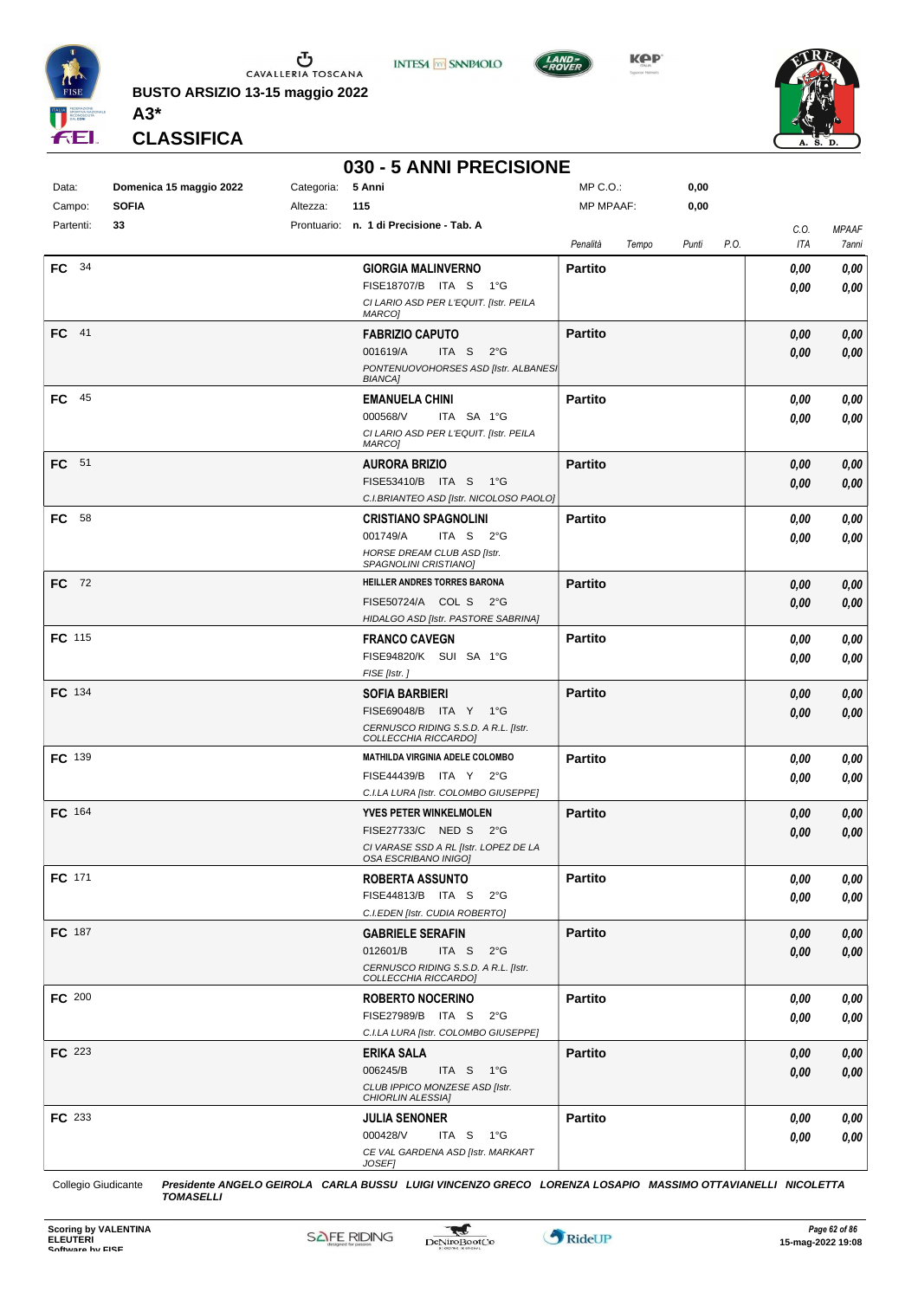

 $\begin{array}{c}\n\bullet \\
\bullet \\
\bullet \\
\bullet\n\end{array}$  CAVALLERIA TOSCANA **BUSTO ARSIZIO 13-15 maggio 2022**

**INTESA M** SANPAOLO



**KPP** 



**CLASSIFICA**

**A3\***

### **030 - 5 ANNI PRECISIONE**

| Data:<br>Campo: | Domenica 15 maggio 2022<br><b>SOFIA</b> | Categoria: 5 Anni<br>Altezza: | 115                                                           | MP C.O.:<br>MP MPAAF: |       | 0,00<br>0,00 |      |             |                       |
|-----------------|-----------------------------------------|-------------------------------|---------------------------------------------------------------|-----------------------|-------|--------------|------|-------------|-----------------------|
|                 |                                         |                               |                                                               |                       |       |              |      |             |                       |
| Partenti:       | 33                                      |                               | Prontuario: n. 1 di Precisione - Tab. A                       | Penalità              | Tempo | Punti        | P.O. | C.O.<br>ITA | <b>MPAAF</b><br>7anni |
| FC 34           |                                         |                               | <b>GIORGIA MALINVERNO</b>                                     | <b>Partito</b>        |       |              |      | 0,00        | 0,00                  |
|                 |                                         |                               | FISE18707/B ITA S 1°G                                         |                       |       |              |      | 0,00        | 0,00                  |
|                 |                                         |                               | CI LARIO ASD PER L'EQUIT. [Istr. PEILA                        |                       |       |              |      |             |                       |
|                 |                                         |                               | MARCO]                                                        |                       |       |              |      |             |                       |
| $FC$ 41         |                                         |                               | <b>FABRIZIO CAPUTO</b>                                        | <b>Partito</b>        |       |              |      | 0,00        | 0,00                  |
|                 |                                         |                               | ITA S 2°G<br>001619/A<br>PONTENUOVOHORSES ASD [Istr. ALBANESI |                       |       |              |      | 0,00        | 0,00                  |
|                 |                                         |                               | <b>BIANCA]</b>                                                |                       |       |              |      |             |                       |
| $FC$ 45         |                                         |                               | <b>EMANUELA CHINI</b>                                         | <b>Partito</b>        |       |              |      | 0,00        | 0,00                  |
|                 |                                         |                               | 000568/V<br>ITA SA 1°G                                        |                       |       |              |      | 0,00        | 0,00                  |
|                 |                                         |                               | CI LARIO ASD PER L'EQUIT. [Istr. PEILA<br>MARCO]              |                       |       |              |      |             |                       |
| FC 51           |                                         |                               | <b>AURORA BRIZIO</b>                                          | <b>Partito</b>        |       |              |      | 0,00        | 0,00                  |
|                 |                                         |                               | FISE53410/B ITA S 1°G                                         |                       |       |              |      | 0,00        | 0,00                  |
|                 |                                         |                               | C.I.BRIANTEO ASD [Istr. NICOLOSO PAOLO]                       |                       |       |              |      |             |                       |
| FC 58           |                                         |                               | <b>CRISTIANO SPAGNOLINI</b>                                   | <b>Partito</b>        |       |              |      | 0,00        | 0,00                  |
|                 |                                         |                               | 001749/A<br>ITA S 2°G                                         |                       |       |              |      | 0,00        | 0,00                  |
|                 |                                         |                               | HORSE DREAM CLUB ASD [Istr.                                   |                       |       |              |      |             |                       |
| FC 72           |                                         |                               | SPAGNOLINI CRISTIANO]<br>HEILLER ANDRES TORRES BARONA         | <b>Partito</b>        |       |              |      |             |                       |
|                 |                                         |                               | FISE50724/A COL S 2°G                                         |                       |       |              |      | 0,00        | 0,00                  |
|                 |                                         |                               | HIDALGO ASD [Istr. PASTORE SABRINA]                           |                       |       |              |      | 0,00        | 0,00                  |
| FC 115          |                                         |                               | <b>FRANCO CAVEGN</b>                                          | <b>Partito</b>        |       |              |      | 0,00        | 0,00                  |
|                 |                                         |                               | FISE94820/K SUI SA 1°G                                        |                       |       |              |      | 0,00        | 0,00                  |
|                 |                                         |                               | FISE [Istr.]                                                  |                       |       |              |      |             |                       |
| FC 134          |                                         |                               | <b>SOFIA BARBIERI</b>                                         | <b>Partito</b>        |       |              |      | 0,00        | 0,00                  |
|                 |                                         |                               | FISE69048/B ITA Y 1°G                                         |                       |       |              |      | 0,00        | 0,00                  |
|                 |                                         |                               | CERNUSCO RIDING S.S.D. A R.L. [Istr.<br>COLLECCHIA RICCARDO]  |                       |       |              |      |             |                       |
| FC 139          |                                         |                               | MATHILDA VIRGINIA ADELE COLOMBO                               | <b>Partito</b>        |       |              |      | 0,00        | 0,00                  |
|                 |                                         |                               | FISE44439/B ITA Y 2°G                                         |                       |       |              |      | 0,00        | 0,00                  |
|                 |                                         |                               | C.I.LA LURA [Istr. COLOMBO GIUSEPPE]                          |                       |       |              |      |             |                       |
| FC 164          |                                         |                               | <b>YVES PETER WINKELMOLEN</b>                                 | <b>Partito</b>        |       |              |      | 0,00        | 0,00                  |
|                 |                                         |                               | FISE27733/C NED S 2°G                                         |                       |       |              |      | 0,00        | 0,00                  |
|                 |                                         |                               | CI VARASE SSD A RL [Istr. LOPEZ DE LA<br>OSA ESCRIBANO INIGOI |                       |       |              |      |             |                       |
| FC 171          |                                         |                               | <b>ROBERTA ASSUNTO</b>                                        | <b>Partito</b>        |       |              |      | 0,00        | 0,00                  |
|                 |                                         |                               | FISE44813/B ITA S<br>$2^{\circ}$ G                            |                       |       |              |      | 0,00        | 0,00                  |
|                 |                                         |                               | C.I.EDEN [Istr. CUDIA ROBERTO]                                |                       |       |              |      |             |                       |
| FC 187          |                                         |                               | <b>GABRIELE SERAFIN</b>                                       | <b>Partito</b>        |       |              |      | 0,00        | 0,00                  |
|                 |                                         |                               | 012601/B<br>ITA S<br>$2^{\circ}$ G                            |                       |       |              |      | 0,00        | 0,00                  |
|                 |                                         |                               | CERNUSCO RIDING S.S.D. A R.L. [Istr.<br>COLLECCHIA RICCARDO]  |                       |       |              |      |             |                       |
| FC 200          |                                         |                               | <b>ROBERTO NOCERINO</b>                                       | <b>Partito</b>        |       |              |      | 0,00        | 0,00                  |
|                 |                                         |                               | FISE27989/B ITA S 2°G                                         |                       |       |              |      | 0,00        | 0,00                  |
|                 |                                         |                               | C.I.LA LURA [Istr. COLOMBO GIUSEPPE]                          |                       |       |              |      |             |                       |
| FC 223          |                                         |                               | <b>ERIKA SALA</b>                                             | <b>Partito</b>        |       |              |      | 0,00        | 0,00                  |
|                 |                                         |                               | 006245/B<br>ITA S 1°G                                         |                       |       |              |      | 0,00        | 0,00                  |
|                 |                                         |                               | CLUB IPPICO MONZESE ASD [Istr.<br>CHIORLIN ALESSIA]           |                       |       |              |      |             |                       |
| FC 233          |                                         |                               | <b>JULIA SENONER</b>                                          | <b>Partito</b>        |       |              |      | 0,00        | 0,00                  |
|                 |                                         |                               | 000428/V<br>ITA S 1°G                                         |                       |       |              |      | 0,00        | 0,00                  |
|                 |                                         |                               | CE VAL GARDENA ASD [Istr. MARKART                             |                       |       |              |      |             |                       |
|                 |                                         |                               | JOSEF]                                                        |                       |       |              |      |             |                       |

Collegio Giudicante *Presidente ANGELO GEIROLA CARLA BUSSU LUIGI VINCENZO GRECO LORENZA LOSAPIO MASSIMO OTTAVIANELLI NICOLETTA TOMASELLI*

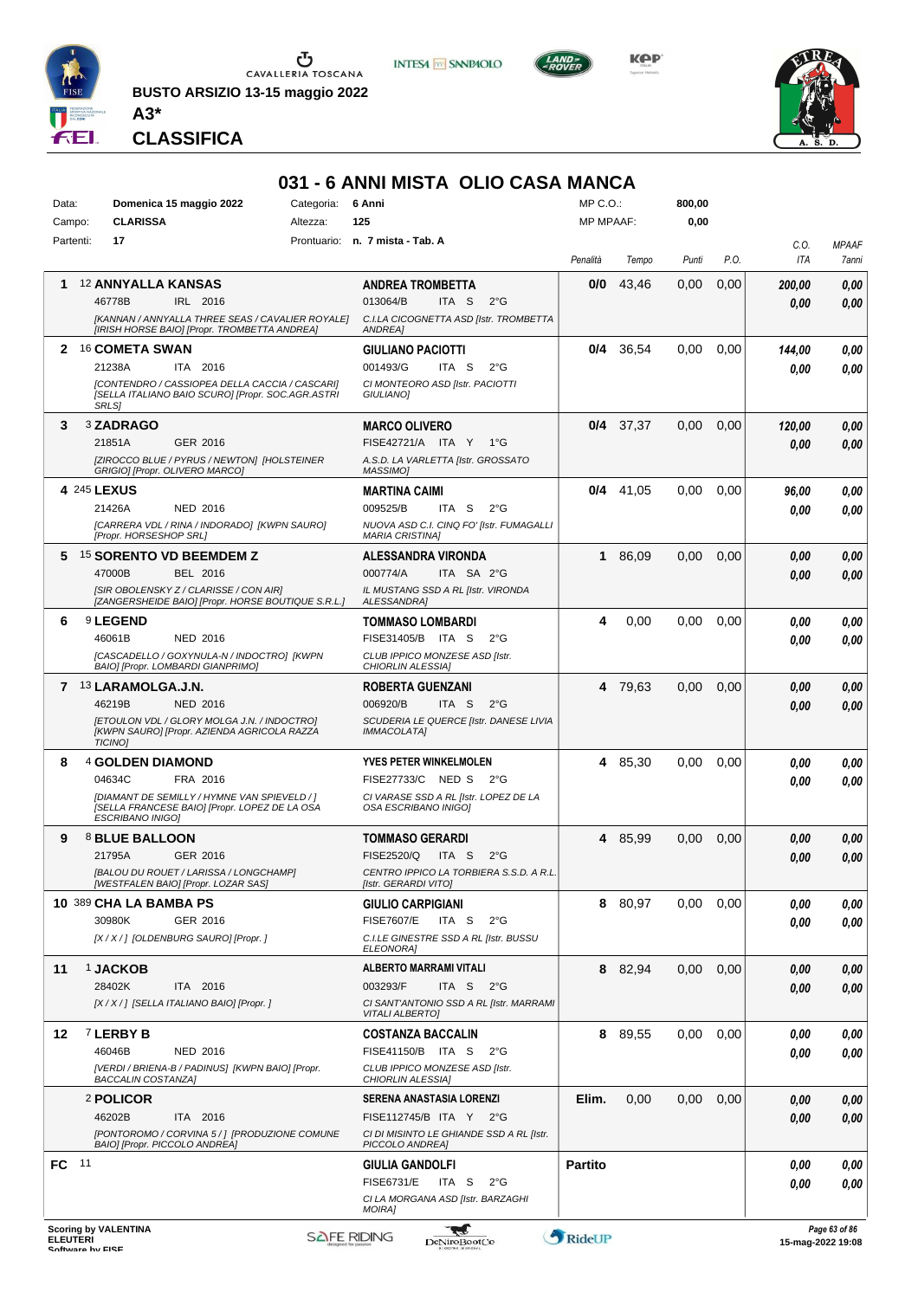

 $\begin{array}{c}\n\bullet \\
\bullet \\
\bullet \\
\bullet\n\end{array}$  CAVALLERIA TOSCANA **BUSTO ARSIZIO 13-15 maggio 2022**

**INTESA M** SANPAOLO



**KOP** 



*TOMASELLI* **CLASSIFICA**

**A3\***

## **031 - 6 ANNI MISTA OLIO CASA MANCA**

| Data:           | Domenica 15 maggio 2022<br>Categoria:                                                                                    | 6 Anni                                                              | MP C.O.:         |             | 800,00 |      |             |                                    |
|-----------------|--------------------------------------------------------------------------------------------------------------------------|---------------------------------------------------------------------|------------------|-------------|--------|------|-------------|------------------------------------|
| Campo:          | <b>CLARISSA</b><br>Altezza:                                                                                              | 125                                                                 | <b>MP MPAAF:</b> |             | 0,00   |      |             |                                    |
| Partenti:       | 17                                                                                                                       | Prontuario: n. 7 mista - Tab. A                                     | Penalità         | Tempo       | Punti  | P.O. | C.0.<br>ITA | <b>MPAAF</b><br>7anni              |
| 1.              | <b>12 ANNYALLA KANSAS</b>                                                                                                | <b>ANDREA TROMBETTA</b>                                             | 0/0              | 43,46       | 0,00   | 0,00 | 200,00      | 0,00                               |
|                 | 46778B<br>IRL 2016                                                                                                       | 013064/B<br>ITA S<br>$2^{\circ}$ G                                  |                  |             |        |      | 0.00        | 0,00                               |
|                 | [KANNAN / ANNYALLA THREE SEAS / CAVALIER ROYALE]<br>[IRISH HORSE BAIO] [Propr. TROMBETTA ANDREA]                         | C.I.LA CICOGNETTA ASD [Istr. TROMBETTA<br><b>ANDREA1</b>            |                  |             |        |      |             |                                    |
|                 | 2 16 COMETA SWAN                                                                                                         | <b>GIULIANO PACIOTTI</b>                                            | 0/4              | 36,54       | 0,00   | 0,00 | 144,00      | 0,00                               |
|                 | 21238A<br>ITA 2016                                                                                                       | 001493/G<br>ITA S<br>$2^{\circ}$ G                                  |                  |             |        |      | 0.00        | 0.00                               |
|                 | [CONTENDRO / CASSIOPEA DELLA CACCIA / CASCARI]<br>[SELLA ITALIANO BAIO SCURO] [Propr. SOC.AGR.ASTRI<br><b>SRLS1</b>      | CI MONTEORO ASD [Istr. PACIOTTI<br><b>GIULIANOI</b>                 |                  |             |        |      |             |                                    |
| 3               | 3 ZADRAGO                                                                                                                | <b>MARCO OLIVERO</b>                                                |                  | $0/4$ 37,37 | 0,00   | 0,00 | 120,00      | 0,00                               |
|                 | GER 2016<br>21851A                                                                                                       | FISE42721/A ITA Y<br>1°G                                            |                  |             |        |      | 0.00        | 0,00                               |
|                 | [ZIROCCO BLUE / PYRUS / NEWTON] [HOLSTEINER<br>GRIGIO] [Propr. OLIVERO MARCO]                                            | A.S.D. LA VARLETTA [Istr. GROSSATO<br>MASSIMO]                      |                  |             |        |      |             |                                    |
|                 | <b>4 245 LEXUS</b>                                                                                                       | <b>MARTINA CAIMI</b>                                                |                  | $0/4$ 41,05 | 0,00   | 0,00 | 96,00       | 0,00                               |
|                 | 21426A<br><b>NED 2016</b>                                                                                                | 009525/B<br>ITA S<br>$2^{\circ}G$                                   |                  |             |        |      | 0.00        | 0,00                               |
|                 | [CARRERA VDL / RINA / INDORADO] [KWPN SAURO]<br>[Propr. HORSESHOP SRL]                                                   | NUOVA ASD C.I. CINQ FO' [Istr. FUMAGALLI<br><b>MARIA CRISTINA]</b>  |                  |             |        |      |             |                                    |
| 5.              | 15 SORENTO VD BEEMDEM Z                                                                                                  | ALESSANDRA VIRONDA                                                  | 1                | 86,09       | 0,00   | 0,00 | 0.00        | 0,00                               |
|                 | 47000B<br>BEL 2016                                                                                                       | 000774/A<br>ITA SA 2°G                                              |                  |             |        |      | 0.00        | 0,00                               |
|                 | [SIR OBOLENSKY Z / CLARISSE / CON AIR]<br>[ZANGERSHEIDE BAIO] [Propr. HORSE BOUTIQUE S.R.L.]                             | IL MUSTANG SSD A RL [Istr. VIRONDA<br>ALESSANDRA]                   |                  |             |        |      |             |                                    |
| 6               | <sup>9</sup> LEGEND                                                                                                      | TOMMASO LOMBARDI                                                    | 4                | 0,00        | 0,00   | 0,00 | 0.00        | 0,00                               |
|                 | 46061B<br><b>NED 2016</b>                                                                                                | FISE31405/B ITA S<br>$2^{\circ}$ G                                  |                  |             |        |      | 0.00        | 0,00                               |
|                 | [CASCADELLO / GOXYNULA-N / INDOCTRO] [KWPN<br>BAIO] [Propr. LOMBARDI GIANPRIMO]                                          | CLUB IPPICO MONZESE ASD [Istr.<br>CHIORLIN ALESSIA]                 |                  |             |        |      |             |                                    |
|                 | 7 13 LARAMOLGA.J.N.                                                                                                      | <b>ROBERTA GUENZANI</b>                                             |                  | 4 79.63     | 0.00   | 0,00 | 0,00        | 0,00                               |
|                 | 46219B<br><b>NED 2016</b>                                                                                                | 006920/B<br>ITA S<br>$2^{\circ}$ G                                  |                  |             |        |      | 0.00        | 0.00                               |
|                 | [ETOULON VDL / GLORY MOLGA J.N. / INDOCTRO]<br>[KWPN SAURO] [Propr. AZIENDA AGRICOLA RAZZA<br><b>TICINO]</b>             | SCUDERIA LE QUERCE [Istr. DANESE LIVIA<br><b>IMMACOLATA1</b>        |                  |             |        |      |             |                                    |
| 8               | <b>4 GOLDEN DIAMOND</b>                                                                                                  | <b>YVES PETER WINKELMOLEN</b>                                       |                  | 4 85,30     | 0.00   | 0,00 | 0.00        | 0,00                               |
|                 | 04634C<br>FRA 2016                                                                                                       | FISE27733/C NED S<br>$2^{\circ}$ G                                  |                  |             |        |      | 0.00        | 0.00                               |
|                 | <b>IDIAMANT DE SEMILLY / HYMNE VAN SPIEVELD / 1</b><br>[SELLA FRANCESE BAIO] [Propr. LOPEZ DE LA OSA<br>ESCRIBANO INIGO] | CI VARASE SSD A RL [Istr. LOPEZ DE LA<br>OSA ESCRIBANO INIGO]       |                  |             |        |      |             |                                    |
| 9               | 8 BLUE BALLOON                                                                                                           | <b>TOMMASO GERARDI</b>                                              |                  | 4 85,99     | 0,00   | 0,00 | 0,00        | 0,00                               |
|                 | GER 2016<br>21795A                                                                                                       | FISE2520/Q<br>ITA S<br>$2^{\circ}$ G                                |                  |             |        |      | 0.00        | 0,00                               |
|                 | [BALOU DU ROUET / LARISSA / LONGCHAMP]<br>[WESTFALEN BAIO] [Propr. LOZAR SAS]                                            | CENTRO IPPICO LA TORBIERA S.S.D. A R.L.<br>[Istr. GERARDI VITO]     |                  |             |        |      |             |                                    |
|                 | 10 389 CHA LA BAMBA PS                                                                                                   | <b>GIULIO CARPIGIANI</b>                                            | 8                | 80,97       | 0,00   | 0,00 | 0,00        | 0,00                               |
|                 | 30980K<br>GER 2016                                                                                                       | <b>FISE7607/E</b><br>ITA S<br>$2^{\circ}G$                          |                  |             |        |      | 0.00        | 0,00                               |
|                 | [X / X / ] [OLDENBURG SAURO] [Propr. ]                                                                                   | C.I.LE GINESTRE SSD A RL [Istr. BUSSU<br>ELEONORA]                  |                  |             |        |      |             |                                    |
| 11              | <b>1 JACKOB</b>                                                                                                          | ALBERTO MARRAMI VITALI                                              |                  | 8 82,94     | 0,00   | 0,00 | 0.00        | 0,00                               |
|                 | 28402K<br>ITA 2016                                                                                                       | 003293/F<br>ITA S 2°G                                               |                  |             |        |      | 0,00        | 0,00                               |
|                 | [X / X / ] [SELLA ITALIANO BAIO] [Propr. ]                                                                               | CI SANT'ANTONIO SSD A RL [Istr. MARRAMI<br><b>VITALI ALBERTOI</b>   |                  |             |        |      |             |                                    |
| 12              | 7 LERBY B                                                                                                                | <b>COSTANZA BACCALIN</b>                                            |                  | 8 89,55     | 0,00   | 0,00 | 0.00        | 0,00                               |
|                 | 46046B<br>NED 2016<br>[VERDI / BRIENA-B / PADINUS] [KWPN BAIO] [Propr.                                                   | FISE41150/B ITA S<br>$2^{\circ}G$<br>CLUB IPPICO MONZESE ASD [Istr. |                  |             |        |      | 0.00        | 0,00                               |
|                 | <b>BACCALIN COSTANZA)</b>                                                                                                | CHIORLIN ALESSIA]                                                   |                  |             |        |      |             |                                    |
|                 | 2 POLICOR                                                                                                                | SERENA ANASTASIA LORENZI                                            | Elim.            | 0,00        | 0,00   | 0,00 | 0,00        | 0,00                               |
|                 | 46202B<br>ITA 2016<br>[PONTOROMO / CORVINA 5 / ] [PRODUZIONE COMUNE                                                      | FISE112745/B ITA Y 2°G                                              |                  |             |        |      | 0,00        | 0,00                               |
|                 | BAIO] [Propr. PICCOLO ANDREA]                                                                                            | CI DI MISINTO LE GHIANDE SSD A RL [Istr.<br>PICCOLO ANDREAJ         |                  |             |        |      |             |                                    |
| FC 11           |                                                                                                                          | <b>GIULIA GANDOLFI</b>                                              | <b>Partito</b>   |             |        |      | 0.00        | 0,00                               |
|                 |                                                                                                                          | <b>FISE6731/E</b><br>ITA S<br>$2^{\circ}$ G                         |                  |             |        |      | 0.00        | 0,00                               |
|                 |                                                                                                                          | CI LA MORGANA ASD [Istr. BARZAGHI<br>MOIRA]                         |                  |             |        |      |             |                                    |
| <b>ELEUTERI</b> | <b>Scoring by VALENTINA</b><br><b>SAFE RIDING</b>                                                                        | DeNiroBoot('o                                                       | RideUP           |             |        |      |             | Page 63 of 86<br>15-man-2022 19:08 |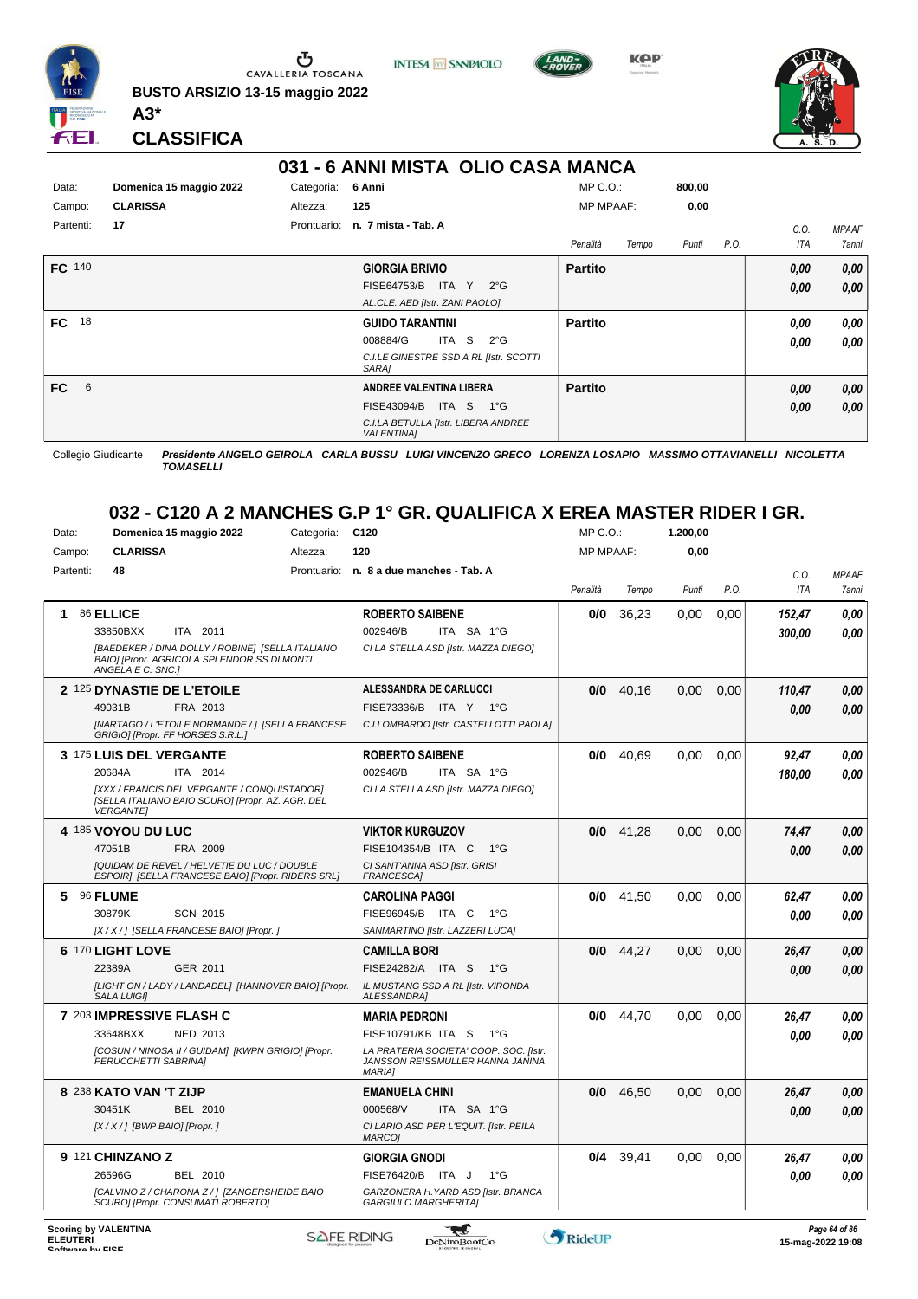

**BUSTO ARSIZIO 13-15 maggio 2022 A3\***

**INTESA** M SANPAOLO



**KPP** 



**CLASSIFICA**

|                 |                         | 031 - 6 ANNI MISTA OLIO CASA MANCA                       |                   |        |                    |              |
|-----------------|-------------------------|----------------------------------------------------------|-------------------|--------|--------------------|--------------|
| Data:           | Domenica 15 maggio 2022 | 6 Anni<br>Categoria:                                     | $MP C. O.$ :      | 800,00 |                    |              |
| Campo:          | <b>CLARISSA</b>         | 125<br>Altezza:                                          | <b>MP MPAAF:</b>  | 0,00   |                    |              |
| Partenti:       | 17                      | n. 7 mista - Tab. A<br>Prontuario:                       |                   |        | C.O.               | <b>MPAAF</b> |
|                 |                         |                                                          | Penalità<br>Tempo | Punti  | P.O.<br><b>ITA</b> | 7anni        |
| FC 140          |                         | <b>GIORGIA BRIVIO</b>                                    | <b>Partito</b>    |        | 0.00               | 0,00         |
|                 |                         | ITA Y<br>$2^{\circ}G$<br>FISE64753/B                     |                   |        | 0.00               | 0.00         |
|                 |                         | AL.CLE. AED [Istr. ZANI PAOLO]                           |                   |        |                    |              |
| 18<br><b>FC</b> |                         | <b>GUIDO TARANTINI</b>                                   | <b>Partito</b>    |        | 0.00               | 0,00         |
|                 |                         | -S<br>008884/G<br>ITA<br>$2^{\circ}$ G                   |                   |        | 0.00               | 0,00         |
|                 |                         | C.I.LE GINESTRE SSD A RL [Istr. SCOTTI<br>SARA1          |                   |        |                    |              |
| <b>FC</b><br>6  |                         | <b>ANDREE VALENTINA LIBERA</b>                           | <b>Partito</b>    |        | 0,00               | 0,00         |
|                 |                         | FISE43094/B<br>ITA S 1°G                                 |                   |        | 0,00               | 0,00         |
|                 |                         | C.I.LA BETULLA [Istr. LIBERA ANDREE<br><b>VALENTINA1</b> |                   |        |                    |              |

Collegio Giudicante *Presidente ANGELO GEIROLA CARLA BUSSU LUIGI VINCENZO GRECO LORENZA LOSAPIO MASSIMO OTTAVIANELLI NICOLETTA TOMASELLI*

#### **032 - C120 A 2 MANCHES G.P 1° GR. QUALIFICA X EREA MASTER RIDER I GR.**

| Data:     | Domenica 15 maggio 2022                                                                                                              | Categoria: | C <sub>120</sub>                                                                            | MP C.O.:         |             | 1.200,00 |      |                    |                       |
|-----------|--------------------------------------------------------------------------------------------------------------------------------------|------------|---------------------------------------------------------------------------------------------|------------------|-------------|----------|------|--------------------|-----------------------|
| Campo:    | <b>CLARISSA</b>                                                                                                                      | Altezza:   | 120                                                                                         | <b>MP MPAAF:</b> |             | 0.00     |      |                    |                       |
| Partenti: | 48                                                                                                                                   |            | Prontuario: n. 8 a due manches - Tab. A                                                     | Penalità         | Tempo       | Punti    | P.O. | C.O.<br><b>ITA</b> | <b>MPAAF</b><br>7anni |
| 1         | 86 ELLICE<br>33850BXX<br>ITA 2011<br>[BAEDEKER / DINA DOLLY / ROBINE] [SELLA ITALIANO<br>BAIO] [Propr. AGRICOLA SPLENDOR SS.DI MONTI |            | <b>ROBERTO SAIBENE</b><br>002946/B<br>ITA SA 1°G<br>CI LA STELLA ASD [Istr. MAZZA DIEGO]    | 0/0              | 36,23       | 0.00     | 0,00 | 152,47<br>300,00   | 0.00<br>0.00          |
|           | ANGELA E C. SNC.]                                                                                                                    |            |                                                                                             |                  |             |          |      |                    |                       |
|           | 2 125 DYNASTIE DE L'ETOILE                                                                                                           |            | ALESSANDRA DE CARLUCCI                                                                      | 0/0              | 40,16       | 0,00     | 0,00 | 110,47             | 0,00                  |
|           | FRA 2013<br>49031B                                                                                                                   |            | FISE73336/B ITA Y 1°G                                                                       |                  |             |          |      | 0,00               | 0.00                  |
|           | [NARTAGO / L'ETOILE NORMANDE / ] [SELLA FRANCESE<br>GRIGIO] [Propr. FF HORSES S.R.L.]                                                |            | C.I.LOMBARDO [Istr. CASTELLOTTI PAOLA]                                                      |                  |             |          |      |                    |                       |
|           | 3 175 LUIS DEL VERGANTE                                                                                                              |            | <b>ROBERTO SAIBENE</b>                                                                      | 0/0              | 40.69       | 0.00     | 0.00 | 92.47              | 0.00                  |
|           | ITA 2014<br>20684A                                                                                                                   |            | 002946/B<br>ITA SA 1°G                                                                      |                  |             |          |      | 180,00             | 0.00                  |
|           | [XXX / FRANCIS DEL VERGANTE / CONQUISTADOR]<br>[SELLA ITALIANO BAIO SCURO] [Propr. AZ. AGR. DEL<br><b>VERGANTEI</b>                  |            | CI LA STELLA ASD [Istr. MAZZA DIEGO]                                                        |                  |             |          |      |                    |                       |
|           | 4 185 VOYOU DU LUC                                                                                                                   |            | <b>VIKTOR KURGUZOV</b>                                                                      |                  | $0/0$ 41,28 | 0.00     | 0,00 | 74,47              | 0.00                  |
|           | 47051B<br>FRA 2009                                                                                                                   |            | FISE104354/B ITA C<br>$1^{\circ}G$                                                          |                  |             |          |      | 0.00               | 0,00                  |
|           | [QUIDAM DE REVEL / HELVETIE DU LUC / DOUBLE<br>ESPOIR1 [SELLA FRANCESE BAIO] [Propr. RIDERS SRL]                                     |            | CI SANT'ANNA ASD [Istr. GRISI<br><b>FRANCESCAI</b>                                          |                  |             |          |      |                    |                       |
| 5.        | 96 FLUME                                                                                                                             |            | <b>CAROLINA PAGGI</b>                                                                       | 0/0              | 41,50       | 0,00     | 0,00 | 62,47              | 0,00                  |
|           | <b>SCN 2015</b><br>30879K                                                                                                            |            | FISE96945/B ITA C<br>$1^{\circ}$ G                                                          |                  |             |          |      | 0.00               | 0.00                  |
|           | [X / X / ] [SELLA FRANCESE BAIO] [Propr. ]                                                                                           |            | SANMARTINO [Istr. LAZZERI LUCA]                                                             |                  |             |          |      |                    |                       |
|           | 6 170 LIGHT LOVE                                                                                                                     |            | <b>CAMILLA BORI</b>                                                                         | 0/0              | 44,27       | 0.00     | 0.00 | 26,47              | 0.00                  |
|           | 22389A<br>GER 2011                                                                                                                   |            | FISE24282/A ITA S<br>$1^{\circ}G$                                                           |                  |             |          |      | 0.00               | 0.00                  |
|           | [LIGHT ON / LADY / LANDADEL] [HANNOVER BAIO] [Propr.<br><b>SALA LUIGII</b>                                                           |            | IL MUSTANG SSD A RL [Istr. VIRONDA<br><b>ALESSANDRAI</b>                                    |                  |             |          |      |                    |                       |
|           | 7 203 IMPRESSIVE FLASH C                                                                                                             |            | <b>MARIA PEDRONI</b>                                                                        | 0/0              | 44.70       | 0.00     | 0.00 | 26,47              | 0.00                  |
|           | 33648BXX<br>NED 2013                                                                                                                 |            | FISE10791/KB ITA S<br>$1^{\circ}G$                                                          |                  |             |          |      | 0.00               | 0.00                  |
|           | [COSUN / NINOSA II / GUIDAM] [KWPN GRIGIO] [Propr.<br>PERUCCHETTI SABRINA]                                                           |            | LA PRATERIA SOCIETA' COOP. SOC. [Istr.<br>JANSSON REISSMULLER HANNA JANINA<br><b>MARIAI</b> |                  |             |          |      |                    |                       |
|           | 8 238 KATO VAN 'T ZIJP                                                                                                               |            | <b>EMANUELA CHINI</b>                                                                       | 0/0              | 46.50       | 0.00     | 0.00 | 26,47              | 0.00                  |
|           | 30451K<br>BEL 2010                                                                                                                   |            | 000568/V<br>ITA SA 1°G                                                                      |                  |             |          |      | 0.00               | 0,00                  |
|           | $[X/X/]$ [BWP BAIO] [Propr.]                                                                                                         |            | CI LARIO ASD PER L'EQUIT. [Istr. PEILA<br><b>MARCO1</b>                                     |                  |             |          |      |                    |                       |
|           | 9 121 CHINZANO Z                                                                                                                     |            | <b>GIORGIA GNODI</b>                                                                        | 0/4              | 39,41       | 0,00     | 0.00 | 26,47              | 0.00                  |
|           | 26596G<br>BEL 2010                                                                                                                   |            | FISE76420/B ITA J<br>$1^{\circ}G$                                                           |                  |             |          |      | 0,00               | 0,00                  |
|           | [CALVINO Z / CHARONA Z / ] [ZANGERSHEIDE BAIO<br>SCUROI [Propr. CONSUMATI ROBERTO]                                                   |            | GARZONERA H. YARD ASD [Istr. BRANCA<br><b>GARGIULO MARGHERITAI</b>                          |                  |             |          |      |                    |                       |

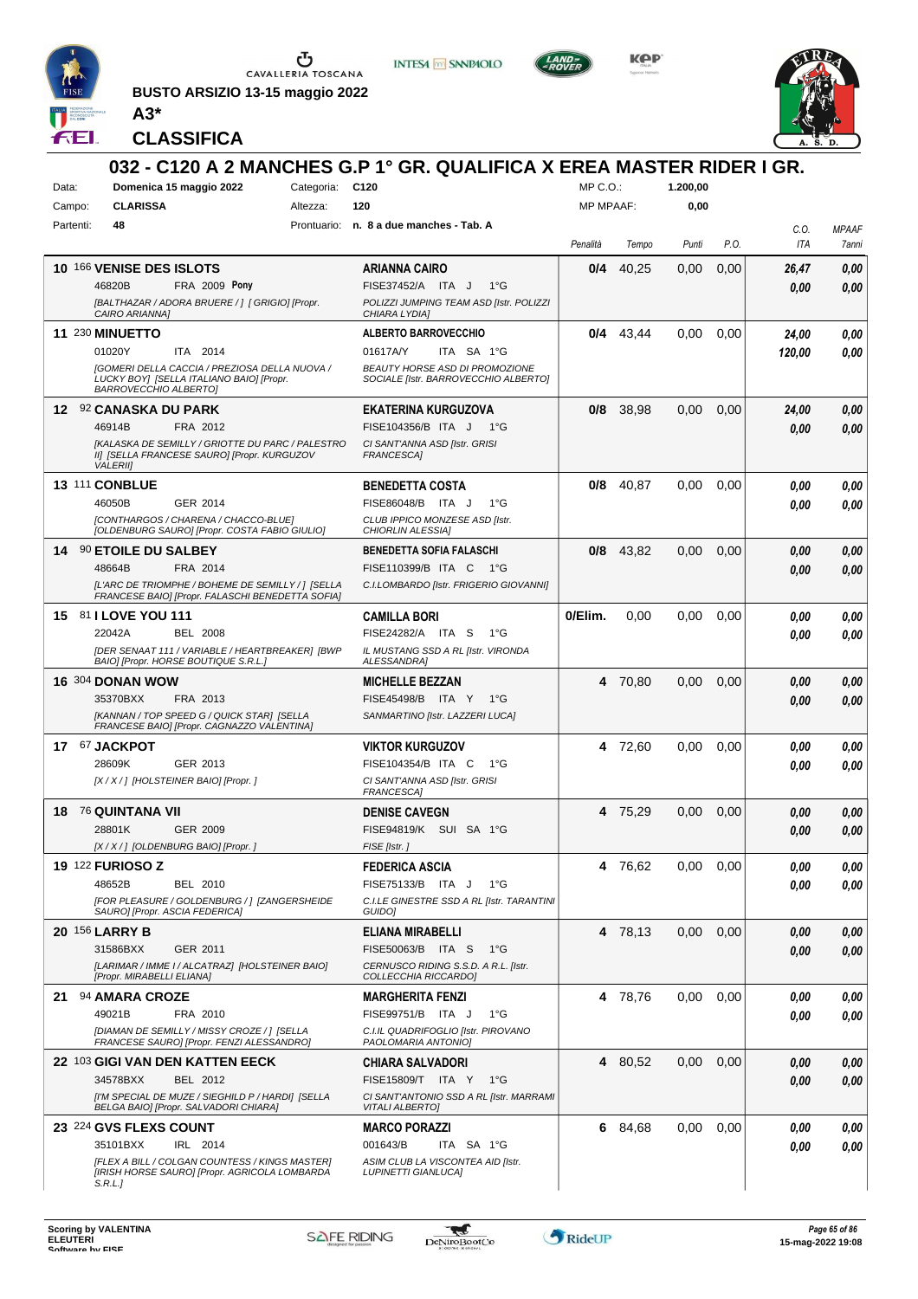

**BUSTO ARSIZIO 13-15 maggio 2022 A3\***



**INTESA M** SANPAOLO

**KPP** 



**CLASSIFICA**

| Data:     | Domenica 15 maggio 2022                                                                                                                                           | Categoria: | 032 - C120 A 2 MANCHES G.P 1° GR. QUALIFICA X EREA MASTER RIDER I GR.<br>C120                                              | MP C.O.:         |             | 1.200,00 |      |               |                       |
|-----------|-------------------------------------------------------------------------------------------------------------------------------------------------------------------|------------|----------------------------------------------------------------------------------------------------------------------------|------------------|-------------|----------|------|---------------|-----------------------|
| Campo:    | <b>CLARISSA</b>                                                                                                                                                   | Altezza:   | 120                                                                                                                        | <b>MP MPAAF:</b> |             | 0,00     |      |               |                       |
| Partenti: | 48                                                                                                                                                                |            | Prontuario: n. 8 a due manches - Tab. A                                                                                    | Penalità         | Tempo       | Punti    | P.O. | C.O.<br>ITA   | <b>MPAAF</b><br>7anni |
|           | 10 166 VENISE DES ISLOTS<br>46820B<br><b>FRA 2009 Pony</b><br>[BALTHAZAR / ADORA BRUERE / ] [ GRIGIO] [Propr.                                                     |            | <b>ARIANNA CAIRO</b><br>FISE37452/A ITA J<br>$1^{\circ}G$<br>POLIZZI JUMPING TEAM ASD [Istr. POLIZZI                       | 0/4              | 40,25       | 0,00     | 0,00 | 26,47<br>0.00 | 0,00<br>0,00          |
|           | CAIRO ARIANNA]<br>11 230 MINUETTO                                                                                                                                 |            | CHIARA LYDIA]<br><b>ALBERTO BARROVECCHIO</b>                                                                               | 0/4              | 43,44       | 0,00     | 0,00 | 24,00         | 0,00                  |
|           | 01020Y<br>ITA 2014<br>[GOMERI DELLA CACCIA / PREZIOSA DELLA NUOVA /<br>LUCKY BOY] [SELLA ITALIANO BAIO] [Propr.<br><b>BARROVECCHIO ALBERTO]</b>                   |            | 01617A/Y<br>ITA SA 1°G<br>BEAUTY HORSE ASD DI PROMOZIONE<br>SOCIALE [Istr. BARROVECCHIO ALBERTO]                           |                  |             |          |      | 120,00        | 0.00                  |
|           | 12 92 CANASKA DU PARK<br>FRA 2012<br>46914B<br>[KALASKA DE SEMILLY / GRIOTTE DU PARC / PALESTRO<br>II] [SELLA FRANCESE SAURO] [Propr. KURGUZOV<br><b>VALERIII</b> |            | <b>EKATERINA KURGUZOVA</b><br>FISE104356/B ITA J<br>1°G<br>CI SANT'ANNA ASD [Istr. GRISI<br><b>FRANCESCAI</b>              | 0/8              | 38,98       | 0,00     | 0,00 | 24,00<br>0.00 | 0,00<br>0.00          |
|           | 13 111 CONBLUE<br>46050B<br>GER 2014<br>[CONTHARGOS / CHARENA / CHACCO-BLUE]<br>[OLDENBURG SAURO] [Propr. COSTA FABIO GIULIO]                                     |            | <b>BENEDETTA COSTA</b><br>FISE86048/B ITA J<br>$1^{\circ}G$<br>CLUB IPPICO MONZESE ASD [Istr.<br><b>CHIORLIN ALESSIA1</b>  | 0/8              | 40,87       | 0,00     | 0,00 | 0.00<br>0.00  | 0,00<br>0,00          |
|           | 14 90 ETOILE DU SALBEY<br>48664B<br>FRA 2014<br>[L'ARC DE TRIOMPHE / BOHEME DE SEMILLY / ] [SELLA<br>FRANCESE BAIO] [Propr. FALASCHI BENEDETTA SOFIA]             |            | <b>BENEDETTA SOFIA FALASCHI</b><br>FISE110399/B ITA C<br>$-1^{\circ}$ G<br>C.I.LOMBARDO [Istr. FRIGERIO GIOVANNI]          |                  | $0/8$ 43.82 | 0,00     | 0,00 | 0.00<br>0.00  | 0,00<br>0,00          |
|           | 15 81 LOVE YOU 111<br>22042A<br><b>BEL 2008</b><br>[DER SENAAT 111 / VARIABLE / HEARTBREAKER] [BWP<br>BAIO] [Propr. HORSE BOUTIQUE S.R.L.]                        |            | <b>CAMILLA BORI</b><br>FISE24282/A ITA S<br>1°G<br>IL MUSTANG SSD A RL [Istr. VIRONDA<br><b>ALESSANDRA]</b>                | 0/Elim.          | 0,00        | 0.00     | 0,00 | 0.00<br>0.00  | 0,00<br>0.00          |
|           | <b>16 304 DONAN WOW</b><br>35370BXX<br>FRA 2013<br>[KANNAN / TOP SPEED G / QUICK STAR] [SELLA<br>FRANCESE BAIO] [Propr. CAGNAZZO VALENTINA]                       |            | <b>MICHELLE BEZZAN</b><br>FISE45498/B ITA Y<br>1°G<br>SANMARTINO [Istr. LAZZERI LUCA]                                      |                  | 4 70,80     | 0,00     | 0,00 | 0.00<br>0.00  | 0.00<br>0.00          |
|           | 17 67 JACKPOT<br>28609K<br>GER 2013<br>[X / X / ] [HOLSTEINER BAIO] [Propr. ]                                                                                     |            | <b>VIKTOR KURGUZOV</b><br>FISE104354/B ITA C<br>$1^{\circ}G$<br>CI SANT'ANNA ASD [Istr. GRISI<br><b>FRANCESCA1</b>         |                  | 4 72,60     | 0,00     | 0,00 | 0.00<br>0.00  | 0,00<br>0.00          |
|           | 18 76 QUINTANA VII<br>28801K<br>GER 2009<br>[X / X / ] [OLDENBURG BAIO] [Propr. ]                                                                                 |            | <b>DENISE CAVEGN</b><br>FISE94819/K SUI SA 1°G<br>FISE [Istr.]                                                             |                  | 4 75,29     | 0,00     | 0,00 | 0.00<br>0.00  | 0,00<br>0,00          |
|           | <b>19 122 FURIOSO Z</b><br>48652B<br><b>BEL 2010</b><br>[FOR PLEASURE / GOLDENBURG / ] [ZANGERSHEIDE<br>SAURO] [Propr. ASCIA FEDERICA]                            |            | <b>FEDERICA ASCIA</b><br>FISE75133/B ITA J<br>$1^{\circ}G$<br>C.I.LE GINESTRE SSD A RL [Istr. TARANTINI<br>GUIDO]          |                  | 4 76,62     | 0,00     | 0,00 | 0,00<br>0.00  | 0,00<br>0.00          |
|           | <b>20 156 LARRY B</b><br>31586BXX<br>GER 2011<br>[LARIMAR / IMME I / ALCATRAZ] [HOLSTEINER BAIO]<br>[Propr. MIRABELLI ELIANA]                                     |            | <b>ELIANA MIRABELLI</b><br>FISE50063/B ITA S<br>− 1°G<br>CERNUSCO RIDING S.S.D. A R.L. [Istr.<br>COLLECCHIA RICCARDO]      |                  | 4 78,13     | 0,00     | 0,00 | 0.00<br>0,00  | 0,00<br>0,00          |
|           | 21 94 AMARA CROZE<br>49021B<br>FRA 2010<br>[DIAMAN DE SEMILLY / MISSY CROZE / ] [SELLA<br>FRANCESE SAURO] [Propr. FENZI ALESSANDRO]                               |            | <b>MARGHERITA FENZI</b><br>FISE99751/B ITA J<br>1°G<br>C.I.IL QUADRIFOGLIO [Istr. PIROVANO<br>PAOLOMARIA ANTONIOI          |                  | 4 78,76     | 0,00     | 0,00 | 0,00<br>0.00  | 0,00<br>0,00          |
|           | 22 103 GIGI VAN DEN KATTEN EECK<br>BEL 2012<br>34578BXX<br>[I'M SPECIAL DE MUZE / SIEGHILD P / HARDI] [SELLA<br>BELGA BAIO] [Propr. SALVADORI CHIARA]             |            | <b>CHIARA SALVADORI</b><br>FISE15809/T ITA Y<br>− 1°G<br>CI SANT'ANTONIO SSD A RL [Istr. MARRAMI<br><b>VITALI ALBERTO]</b> |                  | 4 80,52     | 0,00     | 0,00 | 0,00<br>0,00  | 0,00<br>0,00          |
|           | 23 224 GVS FLEXS COUNT<br>35101BXX<br>IRL 2014<br>[FLEX A BILL / COLGAN COUNTESS / KINGS MASTER]<br>[IRISH HORSE SAURO] [Propr. AGRICOLA LOMBARDA<br>S.R.L.J      |            | <b>MARCO PORAZZI</b><br>001643/B<br>ITA SA 1°G<br>ASIM CLUB LA VISCONTEA AID [Istr.<br><b>LUPINETTI GIANLUCA]</b>          |                  | 6 84,68     | 0,00     | 0,00 | 0,00<br>0.00  | 0,00<br>0,00          |

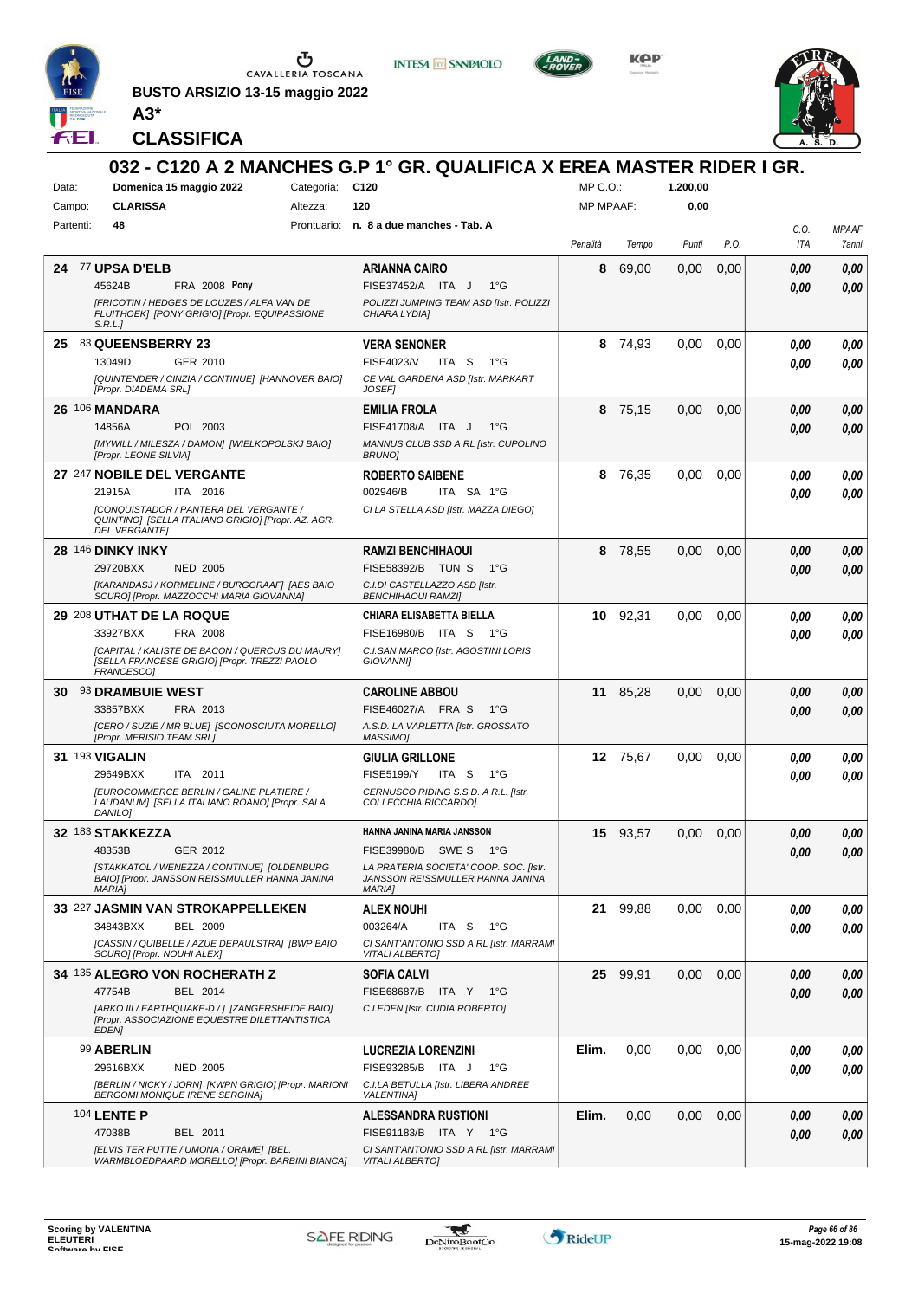

**BUSTO ARSIZIO 13-15 maggio 2022 A3\***



**INTESA M** SANPAOLO

**KOP** 



**CLASSIFICA**

|           |                            |                                                                                                     |                 | 032 - C120 A 2 MANCHES G.P 1° GR. QUALIFICA X EREA MASTER RIDER I GR.      |                  |          |          |      |              |              |
|-----------|----------------------------|-----------------------------------------------------------------------------------------------------|-----------------|----------------------------------------------------------------------------|------------------|----------|----------|------|--------------|--------------|
| Data:     |                            | Domenica 15 maggio 2022                                                                             | Categoria: C120 |                                                                            | $MP C. O.$ :     |          | 1.200,00 |      |              |              |
| Campo:    | <b>CLARISSA</b>            |                                                                                                     | Altezza:        | 120                                                                        | <b>MP MPAAF:</b> |          | 0,00     |      |              |              |
| Partenti: | 48                         |                                                                                                     |                 | Prontuario: n. 8 a due manches - Tab. A                                    |                  |          |          |      | C.0.         | <b>MPAAF</b> |
|           |                            |                                                                                                     |                 |                                                                            | Penalità         | Tempo    | Punti    | P.O. | ITA          | 7anni        |
| 24        | 77 UPSA D'ELB              |                                                                                                     |                 | ARIANNA CAIRO                                                              | 8                | 69,00    | 0,00     | 0,00 | 0.00         | 0,00         |
|           | 45624B                     | <b>FRA 2008 Pony</b>                                                                                |                 | $1^{\circ}G$<br>FISE37452/A ITA J                                          |                  |          |          |      | 0.00         | 0,00         |
|           |                            | [FRICOTIN / HEDGES DE LOUZES / ALFA VAN DE                                                          |                 | POLIZZI JUMPING TEAM ASD [Istr. POLIZZI                                    |                  |          |          |      |              |              |
|           | S.R.L.                     | FLUITHOEK] [PONY GRIGIO] [Propr. EQUIPASSIONE                                                       |                 | CHIARA LYDIAI                                                              |                  |          |          |      |              |              |
|           | 25 83 QUEENSBERRY 23       |                                                                                                     |                 | <b>VERA SENONER</b>                                                        |                  | 8 74,93  | 0.00     | 0,00 | 0.00         | 0,00         |
|           | 13049D                     | GER 2010                                                                                            |                 | <b>FISE4023/V</b><br>ITA S<br>$1^{\circ}G$                                 |                  |          |          |      | 0.00         | 0,00         |
|           |                            | [QUINTENDER / CINZIA / CONTINUE] [HANNOVER BAIO]                                                    |                 | CE VAL GARDENA ASD [Istr. MARKART                                          |                  |          |          |      |              |              |
|           | [Propr. DIADEMA SRL]       |                                                                                                     |                 | <b>JOSEF1</b>                                                              |                  |          |          |      |              |              |
|           | 26 106 MANDARA             |                                                                                                     |                 | <b>EMILIA FROLA</b>                                                        | 8                | 75,15    | 0,00     | 0,00 | 0,00         | 0,00         |
|           | 14856A                     | POL 2003<br>[MYWILL / MILESZA / DAMON] [WIELKOPOLSKJ BAIO]                                          |                 | FISE41708/A ITA J<br>$1^{\circ}G$<br>MANNUS CLUB SSD A RL [Istr. CUPOLINO  |                  |          |          |      | 0.00         | 0,00         |
|           | [Propr. LEONE SILVIA]      |                                                                                                     |                 | <b>BRUNO</b>                                                               |                  |          |          |      |              |              |
|           |                            | 27 247 NOBILE DEL VERGANTE                                                                          |                 | <b>ROBERTO SAIBENE</b>                                                     | 8                | 76,35    | 0,00     | 0,00 | 0.00         | 0,00         |
|           | 21915A                     | ITA 2016                                                                                            |                 | 002946/B<br>ITA SA 1°G                                                     |                  |          |          |      | 0.00         | 0,00         |
|           |                            | <b>[CONQUISTADOR / PANTERA DEL VERGANTE /</b><br>QUINTINO] [SELLA ITALIANO GRIGIO] [Propr. AZ. AGR. |                 | CI LA STELLA ASD [Istr. MAZZA DIEGO]                                       |                  |          |          |      |              |              |
|           | <b>DEL VERGANTEI</b>       |                                                                                                     |                 |                                                                            |                  |          |          |      |              |              |
|           | 28 146 DINKY INKY          |                                                                                                     |                 | <b>RAMZI BENCHIHAOUI</b>                                                   | 8                | 78,55    | 0,00     | 0,00 | 0,00         | 0,00         |
|           | 29720BXX                   | <b>NED 2005</b>                                                                                     |                 | <b>FISE58392/B TUN S</b><br>1°G                                            |                  |          |          |      | 0.00         | 0,00         |
|           |                            | [KARANDASJ / KORMELINE / BURGGRAAF] [AES BAIO<br>SCURO] [Propr. MAZZOCCHI MARIA GIOVANNA]           |                 | C.I.DI CASTELLAZZO ASD [Istr.<br><b>BENCHIHAOUI RAMZII</b>                 |                  |          |          |      |              |              |
|           | 29 208 UTHAT DE LA ROQUE   |                                                                                                     |                 | CHIARA ELISABETTA BIELLA                                                   | 10               | 92,31    | 0.00     | 0,00 | 0.00         | 0,00         |
|           | 33927BXX                   | FRA 2008                                                                                            |                 | FISE16980/B<br>ITA S<br>1°G                                                |                  |          |          |      | 0.00         | 0.00         |
|           |                            | [CAPITAL / KALISTE DE BACON / QUERCUS DU MAURY]                                                     |                 | C.I.SAN MARCO [Istr. AGOSTINI LORIS                                        |                  |          |          |      |              |              |
|           | FRANCESCO1                 | [SELLA FRANCESE GRIGIO] [Propr. TREZZI PAOLO                                                        |                 | GIOVANNI]                                                                  |                  |          |          |      |              |              |
| 30.       | <b>93 DRAMBUIE WEST</b>    |                                                                                                     |                 | <b>CAROLINE ABBOU</b>                                                      | 11               | 85,28    | 0,00     | 0,00 | 0,00         | 0,00         |
|           | 33857BXX                   | FRA 2013                                                                                            |                 | FISE46027/A FRA S<br>$1^{\circ}G$                                          |                  |          |          |      | 0,00         | 0,00         |
|           | [Propr. MERISIO TEAM SRL]  | [CERO / SUZIE / MR BLUE] [SCONOSCIUTA MORELLO]                                                      |                 | A.S.D. LA VARLETTA [Istr. GROSSATO<br>MASSIMO]                             |                  |          |          |      |              |              |
|           | 31 193 VIGALIN             |                                                                                                     |                 | <b>GIULIA GRILLONE</b>                                                     |                  | 12 75,67 | 0.00     | 0,00 | 0,00         | 0,00         |
|           | 29649BXX                   | ITA 2011                                                                                            |                 | <b>FISE5199/Y</b><br>ITA S<br>1°G                                          |                  |          |          |      | 0.00         | 0,00         |
|           |                            | <b>IEUROCOMMERCE BERLIN / GALINE PLATIERE /</b>                                                     |                 | CERNUSCO RIDING S.S.D. A R.L. [Istr.                                       |                  |          |          |      |              |              |
|           | DANILO]                    | LAUDANUM] [SELLA ITALIANO ROANO] [Propr. SALA                                                       |                 | COLLECCHIA RICCARDO]                                                       |                  |          |          |      |              |              |
|           | 32 183 STAKKEZZA           |                                                                                                     |                 | HANNA JANINA MARIA JANSSON                                                 |                  | 15 93,57 | 0,00     | 0,00 | 0.00         | 0,00         |
|           | 48353B                     | GER 2012                                                                                            |                 | FISE39980/B SWE S 1°G                                                      |                  |          |          |      | 0,00         | 0,00         |
|           |                            | [STAKKATOL / WENEZZA / CONTINUE] [OLDENBURG<br>BAIO] [Propr. JANSSON REISSMULLER HANNA JANINA       |                 | LA PRATERIA SOCIETA' COOP. SOC. [Istr.<br>JANSSON REISSMULLER HANNA JANINA |                  |          |          |      |              |              |
|           | <b>MARIA1</b>              |                                                                                                     |                 | <b>MARIA1</b>                                                              |                  |          |          |      |              |              |
|           |                            | 33 227 JASMIN VAN STROKAPPELLEKEN                                                                   |                 | <b>ALEX NOUHI</b>                                                          |                  | 21 99,88 | 0,00     | 0.00 | 0.00         | 0,00         |
|           | 34843BXX                   | <b>BEL 2009</b>                                                                                     |                 | 003264/A<br>ITA <sub>S</sub><br>1°G                                        |                  |          |          |      | 0.00         | 0,00         |
|           | SCURO] [Propr. NOUHI ALEX] | [CASSIN / QUIBELLE / AZUE DEPAULSTRA] [BWP BAIO                                                     |                 | CI SANT'ANTONIO SSD A RL [Istr. MARRAMI<br><b>VITALI ALBERTO]</b>          |                  |          |          |      |              |              |
|           |                            | 34 135 ALEGRO VON ROCHERATH Z                                                                       |                 | <b>SOFIA CALVI</b>                                                         |                  | 25 99,91 | 0,00     | 0,00 | 0,00         | 0,00         |
|           | 47754B                     | BEL 2014                                                                                            |                 | FISE68687/B ITA Y 1°G                                                      |                  |          |          |      | 0,00         | 0,00         |
|           |                            | [ARKO III / EARTHQUAKE-D / ] [ZANGERSHEIDE BAIO]                                                    |                 | C.I.EDEN [Istr. CUDIA ROBERTO]                                             |                  |          |          |      |              |              |
|           | EDEN]                      | [Propr. ASSOCIAZIONE EQUESTRE DILETTANTISTICA                                                       |                 |                                                                            |                  |          |          |      |              |              |
|           | 99 ABERLIN                 |                                                                                                     |                 | <b>LUCREZIA LORENZINI</b>                                                  | Elim.            | 0,00     | 0,00     | 0,00 | 0.00         | 0,00         |
|           | 29616BXX                   | <b>NED 2005</b>                                                                                     |                 | FISE93285/B ITA J<br>1°G                                                   |                  |          |          |      | 0.00         | 0,00         |
|           |                            | [BERLIN / NICKY / JORN] [KWPN GRIGIO] [Propr. MARIONI                                               |                 | C.I.LA BETULLA [Istr. LIBERA ANDREE                                        |                  |          |          |      |              |              |
|           | 104 LENTE P                | <b>BERGOMI MONIQUE IRENE SERGINA]</b>                                                               |                 | <b>VALENTINA1</b>                                                          | Elim.            | 0,00     | 0,00     |      |              |              |
|           | 47038B                     | BEL 2011                                                                                            |                 | <b>ALESSANDRA RUSTIONI</b><br>FISE91183/B ITA Y 1°G                        |                  |          |          | 0,00 | 0,00<br>0.00 | 0,00<br>0,00 |
|           |                            | [ELVIS TER PUTTE / UMONA / ORAME] [BEL.                                                             |                 | CI SANT'ANTONIO SSD A RL [Istr. MARRAMI                                    |                  |          |          |      |              |              |
|           |                            | WARMBLOEDPAARD MORELLO] [Propr. BARBINI BIANCA]                                                     |                 | <b>VITALI ALBERTO]</b>                                                     |                  |          |          |      |              |              |

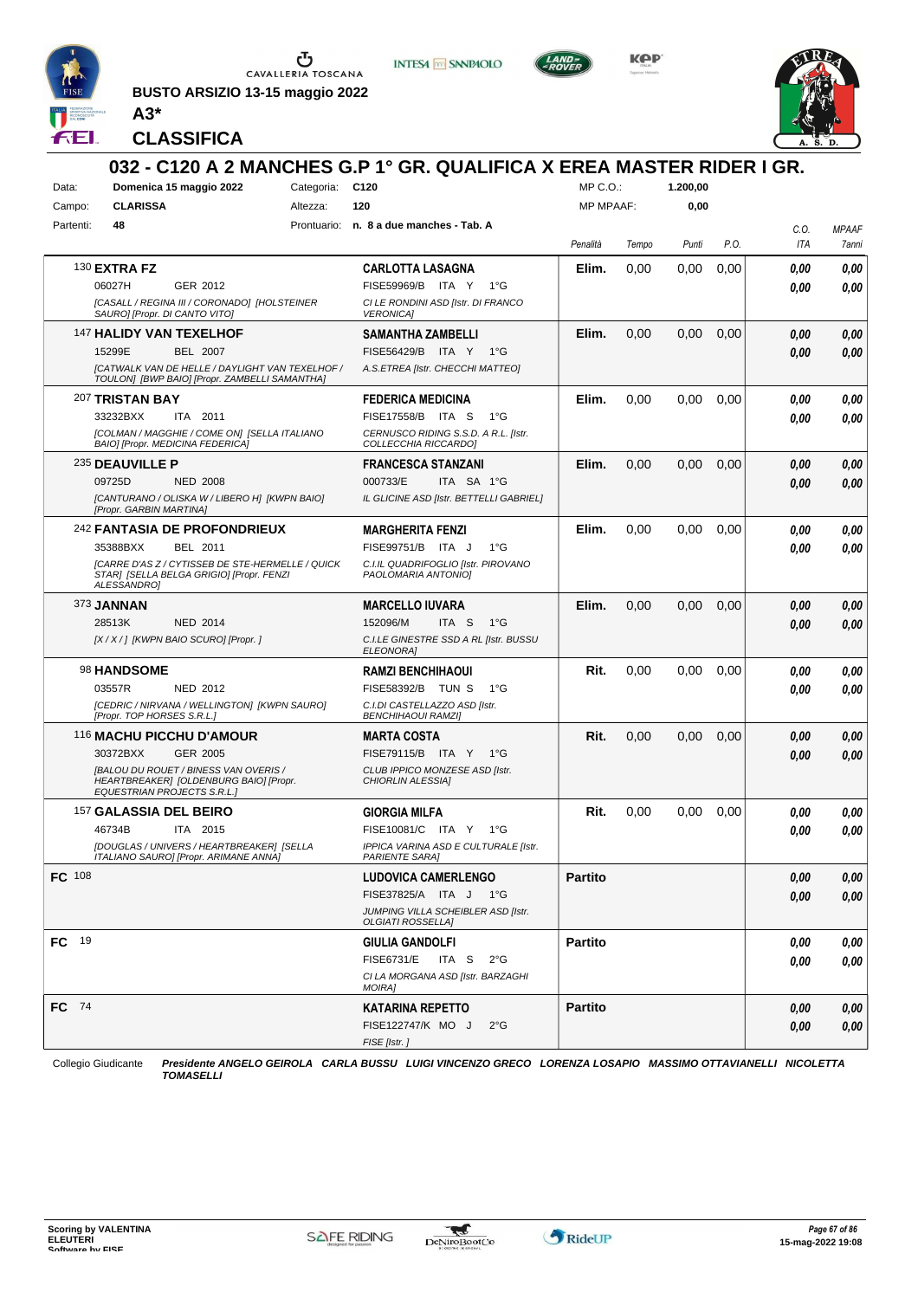

**BUSTO ARSIZIO 13-15 maggio 2022 A3\***



**INTESA** M SANPAOLO

**KPP** 



**CLASSIFICA**

|               |                                    |                                                                                                         |                 | 032 - C120 A 2 MANCHES G.P 1° GR. QUALIFICA X EREA MASTER RIDER I GR. |                  |       |          |      |      |              |
|---------------|------------------------------------|---------------------------------------------------------------------------------------------------------|-----------------|-----------------------------------------------------------------------|------------------|-------|----------|------|------|--------------|
| Data:         |                                    | Domenica 15 maggio 2022                                                                                 | Categoria: C120 |                                                                       | MP C.O.          |       | 1.200,00 |      |      |              |
| Campo:        | <b>CLARISSA</b>                    |                                                                                                         | Altezza:        | 120                                                                   | <b>MP MPAAF:</b> |       | 0,00     |      |      |              |
| Partenti:     | 48                                 |                                                                                                         |                 | Prontuario: n. 8 a due manches - Tab. A                               |                  |       |          |      | C.0. | <b>MPAAF</b> |
|               |                                    |                                                                                                         |                 |                                                                       | Penalità         | Tempo | Punti    | P.O. | ITA  | 7anni        |
|               | 130 <b>EXTRA FZ</b>                |                                                                                                         |                 | <b>CARLOTTA LASAGNA</b>                                               | Elim.            | 0,00  | 0,00     | 0,00 | 0.00 | 0,00         |
|               | 06027H                             | GER 2012                                                                                                |                 | FISE59969/B<br>ITA Y<br>$1^{\circ}G$                                  |                  |       |          |      | 0.00 | 0,00         |
|               | SAURO] [Propr. DI CANTO VITO]      | [CASALL / REGINA III / CORONADO] [HOLSTEINER                                                            |                 | CI LE RONDINI ASD [Istr. DI FRANCO<br><b>VERONICA1</b>                |                  |       |          |      |      |              |
|               | 147 HALIDY VAN TEXELHOF            |                                                                                                         |                 | SAMANTHA ZAMBELLI                                                     | Elim.            | 0,00  | 0,00     | 0,00 | 0,00 | 0,00         |
|               | 15299E                             | <b>BEL 2007</b>                                                                                         |                 | FISE56429/B ITA Y<br>1°G                                              |                  |       |          |      | 0.00 | 0,00         |
|               |                                    | <b>[CATWALK VAN DE HELLE / DAYLIGHT VAN TEXELHOF /</b><br>TOULONI [BWP BAIO] [Propr. ZAMBELLI SAMANTHA] |                 | A.S.ETREA [Istr. CHECCHI MATTEO]                                      |                  |       |          |      |      |              |
|               | 207 TRISTAN BAY                    |                                                                                                         |                 | <b>FEDERICA MEDICINA</b>                                              | Elim.            | 0,00  | 0,00     | 0,00 | 0.00 | 0,00         |
|               | 33232BXX                           | ITA 2011                                                                                                |                 | FISE17558/B ITA S<br>$1^{\circ}G$                                     |                  |       |          |      | 0.00 | 0.00         |
|               | BAIO] [Propr. MEDICINA FEDERICA]   | [COLMAN / MAGGHIE / COME ON] [SELLA ITALIANO                                                            |                 | CERNUSCO RIDING S.S.D. A R.L. [Istr.<br>COLLECCHIA RICCARDO]          |                  |       |          |      |      |              |
|               | 235 DEAUVILLE P                    |                                                                                                         |                 | <b>FRANCESCA STANZANI</b>                                             | Elim.            | 0.00  | 0,00     | 0,00 | 0,00 | 0,00         |
|               | 09725D                             | <b>NED 2008</b>                                                                                         |                 | 000733/E<br>ITA SA 1°G                                                |                  |       |          |      | 0.00 | 0,00         |
|               | [Propr. GARBIN MARTINA]            | [CANTURANO / OLISKA W / LIBERO H] [KWPN BAIO]                                                           |                 | IL GLICINE ASD [Istr. BETTELLI GABRIEL]                               |                  |       |          |      |      |              |
|               |                                    | 242 FANTASIA DE PROFONDRIEUX                                                                            |                 | <b>MARGHERITA FENZI</b>                                               | Elim.            | 0.00  | 0.00     | 0,00 | 0.00 | 0,00         |
|               | 35388BXX                           | BEL 2011                                                                                                |                 | FISE99751/B ITA J<br>$1^{\circ}G$                                     |                  |       |          |      | 0.00 | 0.00         |
|               | ALESSANDRO]                        | [CARRE D'AS Z / CYTISSEB DE STE-HERMELLE / QUICK<br>STAR] [SELLA BELGA GRIGIO] [Propr. FENZI            |                 | C.I.IL QUADRIFOGLIO [Istr. PIROVANO<br>PAOLOMARIA ANTONIO]            |                  |       |          |      |      |              |
|               | 373 <b>JANNAN</b>                  |                                                                                                         |                 | <b>MARCELLO IUVARA</b>                                                | Elim.            | 0,00  | 0,00     | 0,00 | 0,00 | 0,00         |
|               | 28513K                             | <b>NED 2014</b>                                                                                         |                 | 152096/M<br>ITA S<br>1°G                                              |                  |       |          |      | 0.00 | 0,00         |
|               |                                    | [X / X / ] [KWPN BAIO SCURO] [Propr. ]                                                                  |                 | C.I.LE GINESTRE SSD A RL [Istr. BUSSU<br><b>ELEONORAI</b>             |                  |       |          |      |      |              |
|               | 98 HANDSOME                        |                                                                                                         |                 | <b>RAMZI BENCHIHAOUI</b>                                              | Rit.             | 0,00  | 0,00     | 0,00 | 0.00 | 0,00         |
|               | 03557R                             | NED 2012                                                                                                |                 | FISE58392/B TUN S<br>$1^{\circ}G$                                     |                  |       |          |      | 0.00 | 0,00         |
|               | [Propr. TOP HORSES S.R.L.]         | [CEDRIC / NIRVANA / WELLINGTON] [KWPN SAURO]                                                            |                 | C.I.DI CASTELLAZZO ASD [Istr.<br><b>BENCHIHAOUI RAMZI]</b>            |                  |       |          |      |      |              |
|               | 116 MACHU PICCHU D'AMOUR           |                                                                                                         |                 | MARTA COSTA                                                           | Rit.             | 0,00  | 0,00     | 0,00 | 0,00 | 0,00         |
|               | 30372BXX                           | <b>GER 2005</b>                                                                                         |                 | FISE79115/B ITA Y 1°G                                                 |                  |       |          |      | 0.00 | 0,00         |
|               | <b>EQUESTRIAN PROJECTS S.R.L.]</b> | <b>IBALOU DU ROUET / BINESS VAN OVERIS /</b><br>HEARTBREAKER] [OLDENBURG BAIO] [Propr.                  |                 | CLUB IPPICO MONZESE ASD [Istr.<br>CHIORLIN ALESSIA]                   |                  |       |          |      |      |              |
|               | 157 GALASSIA DEL BEIRO             |                                                                                                         |                 | <b>GIORGIA MILFA</b>                                                  | Rit.             | 0,00  | 0,00     | 0,00 | 0.00 | 0,00         |
|               | 46734B                             | ITA 2015                                                                                                |                 | FISE10081/C ITA Y<br>1°G                                              |                  |       |          |      | 0.00 | 0,00         |
|               |                                    | [DOUGLAS / UNIVERS / HEARTBREAKER] [SELLA<br>ITALIANO SAURO] [Propr. ARIMANE ANNA]                      |                 | IPPICA VARINA ASD E CULTURALE [Istr.<br><b>PARIENTE SARAJ</b>         |                  |       |          |      |      |              |
| <b>FC</b> 108 |                                    |                                                                                                         |                 | <b>LUDOVICA CAMERLENGO</b>                                            | <b>Partito</b>   |       |          |      | 0.00 | 0,00         |
|               |                                    |                                                                                                         |                 | FISE37825/A ITA J 1°G                                                 |                  |       |          |      | 0,00 | 0,00         |
|               |                                    |                                                                                                         |                 | JUMPING VILLA SCHEIBLER ASD [Istr.<br><b>OLGIATI ROSSELLA]</b>        |                  |       |          |      |      |              |
| FC 19         |                                    |                                                                                                         |                 | <b>GIULIA GANDOLFI</b>                                                | <b>Partito</b>   |       |          |      | 0.00 | 0,00         |
|               |                                    |                                                                                                         |                 | <b>FISE6731/E</b><br>ITA S $2^{\circ}G$                               |                  |       |          |      | 0.00 | 0,00         |
|               |                                    |                                                                                                         |                 | CI LA MORGANA ASD [Istr. BARZAGHI<br><b>MOIRAI</b>                    |                  |       |          |      |      |              |
| FC 74         |                                    |                                                                                                         |                 | <b>KATARINA REPETTO</b>                                               | <b>Partito</b>   |       |          |      | 0,00 | 0,00         |
|               |                                    |                                                                                                         |                 | FISE122747/K MO J<br>2°G                                              |                  |       |          |      | 0,00 | 0,00         |
|               |                                    |                                                                                                         |                 | FISE [Istr. ]                                                         |                  |       |          |      |      |              |

Collegio Giudicante *Presidente ANGELO GEIROLA CARLA BUSSU LUIGI VINCENZO GRECO LORENZA LOSAPIO MASSIMO OTTAVIANELLI NICOLETTA TOMASELLI*

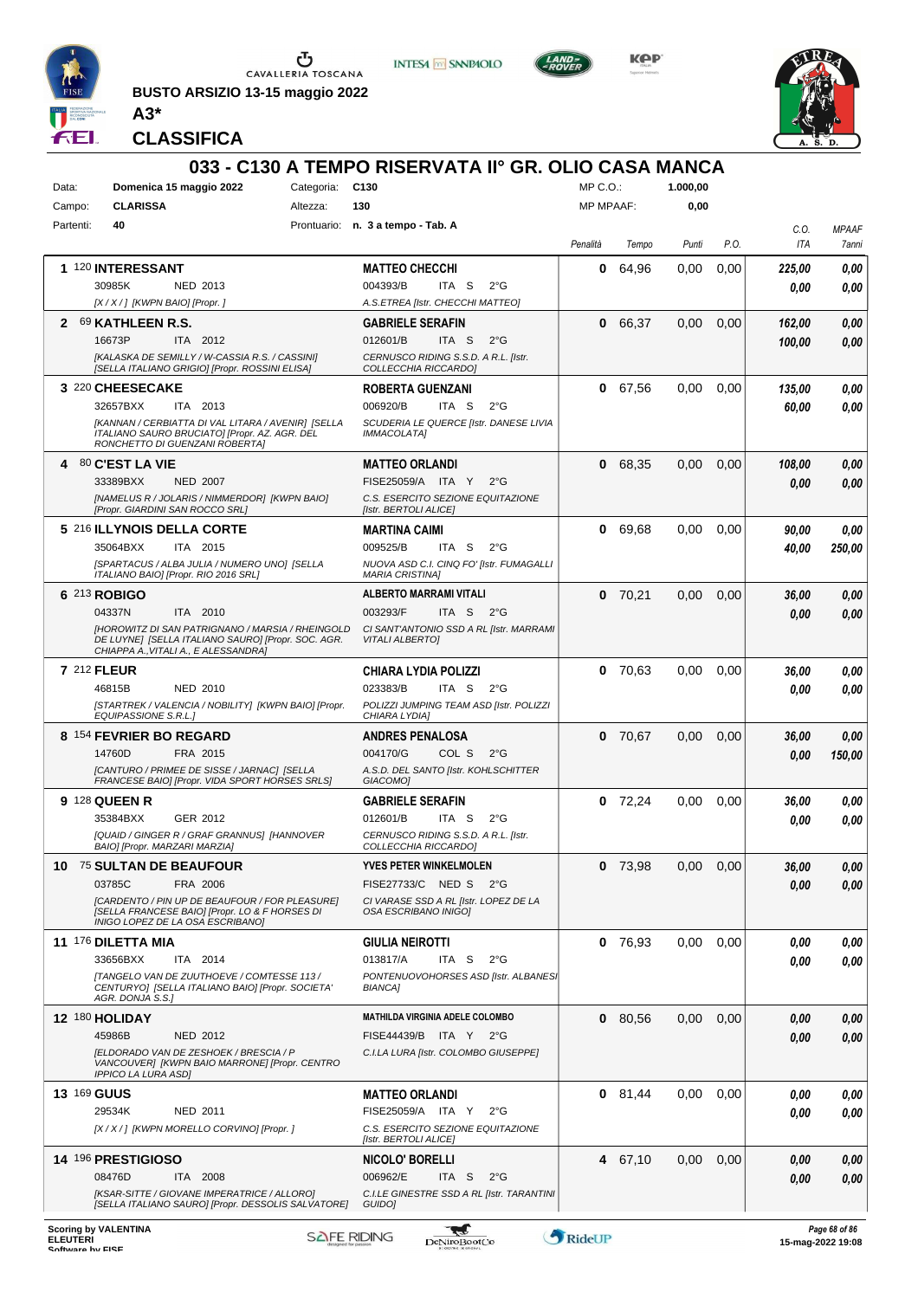

**BUSTO ARSIZIO 13-15 maggio 2022 A3\***







**CLASSIFICA**

| MP C.O.<br>Domenica 15 maggio 2022<br>Categoria: C130<br>1.000,00<br>Data:<br><b>CLARISSA</b><br>130<br><b>MP MPAAF:</b><br>0,00<br>Campo:<br>Altezza:<br>Partenti:<br>40<br>Prontuario: n. 3 a tempo - Tab. A<br>C.O.<br>P.O.<br>ITA<br>Penalità<br>Tempo<br>Punti<br>1 120 INTERESSANT<br>0<br>64,96<br>0,00<br>0,00<br><b>MATTEO CHECCHI</b><br>225,00<br>30985K<br>NED 2013<br>004393/B<br>ITA S<br>$2^{\circ}G$<br>0.00<br>[X / X / ] [KWPN BAIO] [Propr.]<br>A.S.ETREA [Istr. CHECCHI MATTEO]<br>2 69 KATHLEEN R.S.<br>66,37<br>0,00<br>0,00<br><b>GABRIELE SERAFIN</b><br>0<br>0,00<br>162,00<br>16673P<br>ITA 2012<br>012601/B<br>ITA S<br>$2^{\circ}G$<br>0.00<br>100,00<br>[KALASKA DE SEMILLY / W-CASSIA R.S. / CASSINI]<br>CERNUSCO RIDING S.S.D. A R.L. [Istr.<br>[SELLA ITALIANO GRIGIO] [Propr. ROSSINI ELISA]<br>COLLECCHIA RICCARDO]<br>3 220 CHEESECAKE<br>67,56<br>0,00<br>0,00<br><b>ROBERTA GUENZANI</b><br>0<br>135,00<br>32657BXX<br>006920/B<br>ITA S<br>$2^{\circ}G$<br>ITA 2013<br>60,00<br>[KANNAN / CERBIATTA DI VAL LITARA / AVENIR] [SELLA<br>SCUDERIA LE QUERCE [Istr. DANESE LIVIA<br>ITALIANO SAURO BRUCIATO] [Propr. AZ. AGR. DEL<br><b>IMMACOLATA1</b><br>RONCHETTO DI GUENZANI ROBERTA]<br>$80$ C'EST LA VIE<br><b>MATTEO ORLANDI</b><br>68,35<br>0,00<br>0,00<br>0<br>108.00<br>4<br>33389BXX<br><b>NED 2007</b><br>FISE25059/A ITA Y<br>$2^{\circ}$ G<br>0.00<br>[NAMELUS R / JOLARIS / NIMMERDOR] [KWPN BAIO]<br>C.S. ESERCITO SEZIONE EQUITAZIONE<br>[Propr. GIARDINI SAN ROCCO SRL]<br>[Istr. BERTOLI ALICE]<br>5 216 ILLYNOIS DELLA CORTE<br>69,68<br>0,00<br>0,00<br><b>MARTINA CAIMI</b><br>0<br>90,00<br>009525/B<br>$2^{\circ}$ G<br>35064BXX<br>ITA 2015<br>ITA S<br>40,00<br>[SPARTACUS / ALBA JULIA / NUMERO UNO] [SELLA<br>NUOVA ASD C.I. CINQ FO' [Istr. FUMAGALLI<br>ITALIANO BAIO] [Propr. RIO 2016 SRL]<br><b>MARIA CRISTINA]</b><br>6 213 ROBIGO<br><b>ALBERTO MARRAMI VITALI</b><br>$0$ 70,21<br>0,00<br>0,00<br>36,00<br>0,00<br>04337N<br>ITA 2010<br>003293/F<br>ITA S<br>$2^{\circ}$ G<br>0.00<br><b>IHOROWITZ DI SAN PATRIGNANO / MARSIA / RHEINGOLD</b><br>CI SANT'ANTONIO SSD A RL [Istr. MARRAMI<br>DE LUYNE] [SELLA ITALIANO SAURO] [Propr. SOC. AGR.<br><b>VITALI ALBERTO]</b><br>CHIAPPA A., VITALI A., E ALESSANDRA]<br><b>7 212 FLEUR</b><br><b>CHIARA LYDIA POLIZZI</b><br>70,63<br>0,00<br>0.00<br>36,00<br>0<br>023383/B<br>46815B<br><b>NED 2010</b><br>ITA S<br>$2^{\circ}G$<br>0.00<br>[STARTREK / VALENCIA / NOBILITY] [KWPN BAIO] [Propr.<br>POLIZZI JUMPING TEAM ASD [Istr. POLIZZI<br>EQUIPASSIONE S.R.L.]<br>CHIARA LYDIA]<br>8 154 FEVRIER BO REGARD<br>$0$ 70,67<br>0,00<br>0,00<br><b>ANDRES PENALOSA</b><br>36,00<br>14760D<br>FRA 2015<br>004170/G<br>COL S<br>$2^{\circ}G$<br>0.00<br>[CANTURO / PRIMEE DE SISSE / JARNAC] [SELLA<br>A.S.D. DEL SANTO [Istr. KOHLSCHITTER<br>FRANCESE BAIO] [Propr. VIDA SPORT HORSES SRLS]<br>GIACOMO1<br>9 128 QUEEN R<br>72,24<br>0,00<br>0,00<br><b>GABRIELE SERAFIN</b><br>0<br>36,00<br>35384BXX<br>GER 2012<br>012601/B<br>ITA S<br>$2^{\circ}G$<br>0.00<br>[QUAID / GINGER R / GRAF GRANNUS] [HANNOVER<br>CERNUSCO RIDING S.S.D. A R.L. [Istr.<br>BAIOJ ĮPropr. MARZARI MARZIAJ<br><i>COLLECCHIA RICCARDO</i><br>10 75 SULTAN DE BEAUFOUR<br><b>YVES PETER WINKELMOLEN</b><br>$0$ 73,98<br>0.00<br>0,00<br>36,00<br>03785C<br>FRA 2006<br>FISE27733/C NED S 2°G<br>0.00<br>[CARDENTO / PIN UP DE BEAUFOUR / FOR PLEASURE]<br>CI VARASE SSD A RL [Istr. LOPEZ DE LA<br>[SELLA FRANCESE BAIO] [Propr. LO & F HORSES DI<br>OSA ESCRIBANO INIGOI<br>INIGO LOPEZ DE LA OSA ESCRIBANO]<br>11 176 DILETTA MIA<br>$0$ 76,93<br>0,00<br>0,00<br><b>GIULIA NEIROTTI</b><br>0.00<br>33656BXX<br>ITA 2014<br>013817/A<br>ITA S<br>$2^{\circ}$ G<br>0.00<br><b>[TANGELO VAN DE ZUUTHOEVE / COMTESSE 113 /</b><br>PONTENUOVOHORSES ASD [Istr. ALBANES]<br>CENTURYO] [SELLA ITALIANO BAIO] [Propr. SOCIETA'<br>BIANCA]<br>AGR. DONJA S.S.]<br><b>MATHILDA VIRGINIA ADELE COLOMBO</b><br>12 180 HOLIDAY<br>0,00<br>0 80,56<br>0,00<br>0,00<br>45986B<br>FISE44439/B ITA Y 2°G<br><b>NED 2012</b><br>0.00<br>[ELDORADO VAN DE ZESHOEK / BRESCIA / P<br>C.I.LA LURA [Istr. COLOMBO GIUSEPPE]<br>VANCOUVER] [KWPN BAIO MARRONE] [Propr. CENTRO<br><b>IPPICO LA LURA ASDI</b><br><b>13 169 GUUS</b><br><b>MATTEO ORLANDI</b><br>$0$ 81,44<br>0,00<br>0,00<br>0.00<br>29534K<br>NED 2011<br>FISE25059/A ITA Y<br>$2^{\circ}G$<br>0,00<br>[X / X / ] [KWPN MORELLO CORVINO] [Propr. ]<br>C.S. ESERCITO SEZIONE EQUITAZIONE<br>[Istr. BERTOLI ALICE]<br>14 196 PRESTIGIOSO<br>4 67,10<br>0,00<br>NICOLO' BORELLI<br>0,00<br>0,00<br>08476D<br>006962/E<br>ITA S<br>$2^{\circ}$ G<br>ITA 2008<br>0.00<br>[KSAR-SITTE / GIOVANE IMPERATRICE / ALLORO]<br>C.I.LE GINESTRE SSD A RL [Istr. TARANTINI<br>[SELLA ITALIANO SAURO] [Propr. DESSOLIS SALVATORE] |  |  | 033 - C130 A TEMPO RISERVATA II° GR. OLIO CASA MANCA |  |  |              |
|---------------------------------------------------------------------------------------------------------------------------------------------------------------------------------------------------------------------------------------------------------------------------------------------------------------------------------------------------------------------------------------------------------------------------------------------------------------------------------------------------------------------------------------------------------------------------------------------------------------------------------------------------------------------------------------------------------------------------------------------------------------------------------------------------------------------------------------------------------------------------------------------------------------------------------------------------------------------------------------------------------------------------------------------------------------------------------------------------------------------------------------------------------------------------------------------------------------------------------------------------------------------------------------------------------------------------------------------------------------------------------------------------------------------------------------------------------------------------------------------------------------------------------------------------------------------------------------------------------------------------------------------------------------------------------------------------------------------------------------------------------------------------------------------------------------------------------------------------------------------------------------------------------------------------------------------------------------------------------------------------------------------------------------------------------------------------------------------------------------------------------------------------------------------------------------------------------------------------------------------------------------------------------------------------------------------------------------------------------------------------------------------------------------------------------------------------------------------------------------------------------------------------------------------------------------------------------------------------------------------------------------------------------------------------------------------------------------------------------------------------------------------------------------------------------------------------------------------------------------------------------------------------------------------------------------------------------------------------------------------------------------------------------------------------------------------------------------------------------------------------------------------------------------------------------------------------------------------------------------------------------------------------------------------------------------------------------------------------------------------------------------------------------------------------------------------------------------------------------------------------------------------------------------------------------------------------------------------------------------------------------------------------------------------------------------------------------------------------------------------------------------------------------------------------------------------------------------------------------------------------------------------------------------------------------------------------------------------------------------------------------------------------------------------------------------------------------------------------------------------------------------------------------------------------------------------------------------------------------------------------------------------------------------------------------------------------------------------------------------------------------------------------------------------------------------------------------------------------------------------------------------------------------------------------------------------------------------------------------------------------------------------------------------------------------------------------------------------------------------------------------------------------------------------------------------------------------------------------------------|--|--|------------------------------------------------------|--|--|--------------|
|                                                                                                                                                                                                                                                                                                                                                                                                                                                                                                                                                                                                                                                                                                                                                                                                                                                                                                                                                                                                                                                                                                                                                                                                                                                                                                                                                                                                                                                                                                                                                                                                                                                                                                                                                                                                                                                                                                                                                                                                                                                                                                                                                                                                                                                                                                                                                                                                                                                                                                                                                                                                                                                                                                                                                                                                                                                                                                                                                                                                                                                                                                                                                                                                                                                                                                                                                                                                                                                                                                                                                                                                                                                                                                                                                                                                                                                                                                                                                                                                                                                                                                                                                                                                                                                                                                                                                                                                                                                                                                                                                                                                                                                                                                                                                                                                                                                               |  |  |                                                      |  |  |              |
|                                                                                                                                                                                                                                                                                                                                                                                                                                                                                                                                                                                                                                                                                                                                                                                                                                                                                                                                                                                                                                                                                                                                                                                                                                                                                                                                                                                                                                                                                                                                                                                                                                                                                                                                                                                                                                                                                                                                                                                                                                                                                                                                                                                                                                                                                                                                                                                                                                                                                                                                                                                                                                                                                                                                                                                                                                                                                                                                                                                                                                                                                                                                                                                                                                                                                                                                                                                                                                                                                                                                                                                                                                                                                                                                                                                                                                                                                                                                                                                                                                                                                                                                                                                                                                                                                                                                                                                                                                                                                                                                                                                                                                                                                                                                                                                                                                                               |  |  |                                                      |  |  |              |
|                                                                                                                                                                                                                                                                                                                                                                                                                                                                                                                                                                                                                                                                                                                                                                                                                                                                                                                                                                                                                                                                                                                                                                                                                                                                                                                                                                                                                                                                                                                                                                                                                                                                                                                                                                                                                                                                                                                                                                                                                                                                                                                                                                                                                                                                                                                                                                                                                                                                                                                                                                                                                                                                                                                                                                                                                                                                                                                                                                                                                                                                                                                                                                                                                                                                                                                                                                                                                                                                                                                                                                                                                                                                                                                                                                                                                                                                                                                                                                                                                                                                                                                                                                                                                                                                                                                                                                                                                                                                                                                                                                                                                                                                                                                                                                                                                                                               |  |  |                                                      |  |  | <b>MPAAF</b> |
|                                                                                                                                                                                                                                                                                                                                                                                                                                                                                                                                                                                                                                                                                                                                                                                                                                                                                                                                                                                                                                                                                                                                                                                                                                                                                                                                                                                                                                                                                                                                                                                                                                                                                                                                                                                                                                                                                                                                                                                                                                                                                                                                                                                                                                                                                                                                                                                                                                                                                                                                                                                                                                                                                                                                                                                                                                                                                                                                                                                                                                                                                                                                                                                                                                                                                                                                                                                                                                                                                                                                                                                                                                                                                                                                                                                                                                                                                                                                                                                                                                                                                                                                                                                                                                                                                                                                                                                                                                                                                                                                                                                                                                                                                                                                                                                                                                                               |  |  |                                                      |  |  | 7anni        |
|                                                                                                                                                                                                                                                                                                                                                                                                                                                                                                                                                                                                                                                                                                                                                                                                                                                                                                                                                                                                                                                                                                                                                                                                                                                                                                                                                                                                                                                                                                                                                                                                                                                                                                                                                                                                                                                                                                                                                                                                                                                                                                                                                                                                                                                                                                                                                                                                                                                                                                                                                                                                                                                                                                                                                                                                                                                                                                                                                                                                                                                                                                                                                                                                                                                                                                                                                                                                                                                                                                                                                                                                                                                                                                                                                                                                                                                                                                                                                                                                                                                                                                                                                                                                                                                                                                                                                                                                                                                                                                                                                                                                                                                                                                                                                                                                                                                               |  |  |                                                      |  |  | 0,00         |
|                                                                                                                                                                                                                                                                                                                                                                                                                                                                                                                                                                                                                                                                                                                                                                                                                                                                                                                                                                                                                                                                                                                                                                                                                                                                                                                                                                                                                                                                                                                                                                                                                                                                                                                                                                                                                                                                                                                                                                                                                                                                                                                                                                                                                                                                                                                                                                                                                                                                                                                                                                                                                                                                                                                                                                                                                                                                                                                                                                                                                                                                                                                                                                                                                                                                                                                                                                                                                                                                                                                                                                                                                                                                                                                                                                                                                                                                                                                                                                                                                                                                                                                                                                                                                                                                                                                                                                                                                                                                                                                                                                                                                                                                                                                                                                                                                                                               |  |  |                                                      |  |  | 0.00         |
|                                                                                                                                                                                                                                                                                                                                                                                                                                                                                                                                                                                                                                                                                                                                                                                                                                                                                                                                                                                                                                                                                                                                                                                                                                                                                                                                                                                                                                                                                                                                                                                                                                                                                                                                                                                                                                                                                                                                                                                                                                                                                                                                                                                                                                                                                                                                                                                                                                                                                                                                                                                                                                                                                                                                                                                                                                                                                                                                                                                                                                                                                                                                                                                                                                                                                                                                                                                                                                                                                                                                                                                                                                                                                                                                                                                                                                                                                                                                                                                                                                                                                                                                                                                                                                                                                                                                                                                                                                                                                                                                                                                                                                                                                                                                                                                                                                                               |  |  |                                                      |  |  |              |
|                                                                                                                                                                                                                                                                                                                                                                                                                                                                                                                                                                                                                                                                                                                                                                                                                                                                                                                                                                                                                                                                                                                                                                                                                                                                                                                                                                                                                                                                                                                                                                                                                                                                                                                                                                                                                                                                                                                                                                                                                                                                                                                                                                                                                                                                                                                                                                                                                                                                                                                                                                                                                                                                                                                                                                                                                                                                                                                                                                                                                                                                                                                                                                                                                                                                                                                                                                                                                                                                                                                                                                                                                                                                                                                                                                                                                                                                                                                                                                                                                                                                                                                                                                                                                                                                                                                                                                                                                                                                                                                                                                                                                                                                                                                                                                                                                                                               |  |  |                                                      |  |  |              |
|                                                                                                                                                                                                                                                                                                                                                                                                                                                                                                                                                                                                                                                                                                                                                                                                                                                                                                                                                                                                                                                                                                                                                                                                                                                                                                                                                                                                                                                                                                                                                                                                                                                                                                                                                                                                                                                                                                                                                                                                                                                                                                                                                                                                                                                                                                                                                                                                                                                                                                                                                                                                                                                                                                                                                                                                                                                                                                                                                                                                                                                                                                                                                                                                                                                                                                                                                                                                                                                                                                                                                                                                                                                                                                                                                                                                                                                                                                                                                                                                                                                                                                                                                                                                                                                                                                                                                                                                                                                                                                                                                                                                                                                                                                                                                                                                                                                               |  |  |                                                      |  |  |              |
|                                                                                                                                                                                                                                                                                                                                                                                                                                                                                                                                                                                                                                                                                                                                                                                                                                                                                                                                                                                                                                                                                                                                                                                                                                                                                                                                                                                                                                                                                                                                                                                                                                                                                                                                                                                                                                                                                                                                                                                                                                                                                                                                                                                                                                                                                                                                                                                                                                                                                                                                                                                                                                                                                                                                                                                                                                                                                                                                                                                                                                                                                                                                                                                                                                                                                                                                                                                                                                                                                                                                                                                                                                                                                                                                                                                                                                                                                                                                                                                                                                                                                                                                                                                                                                                                                                                                                                                                                                                                                                                                                                                                                                                                                                                                                                                                                                                               |  |  |                                                      |  |  |              |
|                                                                                                                                                                                                                                                                                                                                                                                                                                                                                                                                                                                                                                                                                                                                                                                                                                                                                                                                                                                                                                                                                                                                                                                                                                                                                                                                                                                                                                                                                                                                                                                                                                                                                                                                                                                                                                                                                                                                                                                                                                                                                                                                                                                                                                                                                                                                                                                                                                                                                                                                                                                                                                                                                                                                                                                                                                                                                                                                                                                                                                                                                                                                                                                                                                                                                                                                                                                                                                                                                                                                                                                                                                                                                                                                                                                                                                                                                                                                                                                                                                                                                                                                                                                                                                                                                                                                                                                                                                                                                                                                                                                                                                                                                                                                                                                                                                                               |  |  |                                                      |  |  | 0,00         |
|                                                                                                                                                                                                                                                                                                                                                                                                                                                                                                                                                                                                                                                                                                                                                                                                                                                                                                                                                                                                                                                                                                                                                                                                                                                                                                                                                                                                                                                                                                                                                                                                                                                                                                                                                                                                                                                                                                                                                                                                                                                                                                                                                                                                                                                                                                                                                                                                                                                                                                                                                                                                                                                                                                                                                                                                                                                                                                                                                                                                                                                                                                                                                                                                                                                                                                                                                                                                                                                                                                                                                                                                                                                                                                                                                                                                                                                                                                                                                                                                                                                                                                                                                                                                                                                                                                                                                                                                                                                                                                                                                                                                                                                                                                                                                                                                                                                               |  |  |                                                      |  |  | 0.00         |
|                                                                                                                                                                                                                                                                                                                                                                                                                                                                                                                                                                                                                                                                                                                                                                                                                                                                                                                                                                                                                                                                                                                                                                                                                                                                                                                                                                                                                                                                                                                                                                                                                                                                                                                                                                                                                                                                                                                                                                                                                                                                                                                                                                                                                                                                                                                                                                                                                                                                                                                                                                                                                                                                                                                                                                                                                                                                                                                                                                                                                                                                                                                                                                                                                                                                                                                                                                                                                                                                                                                                                                                                                                                                                                                                                                                                                                                                                                                                                                                                                                                                                                                                                                                                                                                                                                                                                                                                                                                                                                                                                                                                                                                                                                                                                                                                                                                               |  |  |                                                      |  |  |              |
|                                                                                                                                                                                                                                                                                                                                                                                                                                                                                                                                                                                                                                                                                                                                                                                                                                                                                                                                                                                                                                                                                                                                                                                                                                                                                                                                                                                                                                                                                                                                                                                                                                                                                                                                                                                                                                                                                                                                                                                                                                                                                                                                                                                                                                                                                                                                                                                                                                                                                                                                                                                                                                                                                                                                                                                                                                                                                                                                                                                                                                                                                                                                                                                                                                                                                                                                                                                                                                                                                                                                                                                                                                                                                                                                                                                                                                                                                                                                                                                                                                                                                                                                                                                                                                                                                                                                                                                                                                                                                                                                                                                                                                                                                                                                                                                                                                                               |  |  |                                                      |  |  | 0,00         |
|                                                                                                                                                                                                                                                                                                                                                                                                                                                                                                                                                                                                                                                                                                                                                                                                                                                                                                                                                                                                                                                                                                                                                                                                                                                                                                                                                                                                                                                                                                                                                                                                                                                                                                                                                                                                                                                                                                                                                                                                                                                                                                                                                                                                                                                                                                                                                                                                                                                                                                                                                                                                                                                                                                                                                                                                                                                                                                                                                                                                                                                                                                                                                                                                                                                                                                                                                                                                                                                                                                                                                                                                                                                                                                                                                                                                                                                                                                                                                                                                                                                                                                                                                                                                                                                                                                                                                                                                                                                                                                                                                                                                                                                                                                                                                                                                                                                               |  |  |                                                      |  |  | 0.00         |
|                                                                                                                                                                                                                                                                                                                                                                                                                                                                                                                                                                                                                                                                                                                                                                                                                                                                                                                                                                                                                                                                                                                                                                                                                                                                                                                                                                                                                                                                                                                                                                                                                                                                                                                                                                                                                                                                                                                                                                                                                                                                                                                                                                                                                                                                                                                                                                                                                                                                                                                                                                                                                                                                                                                                                                                                                                                                                                                                                                                                                                                                                                                                                                                                                                                                                                                                                                                                                                                                                                                                                                                                                                                                                                                                                                                                                                                                                                                                                                                                                                                                                                                                                                                                                                                                                                                                                                                                                                                                                                                                                                                                                                                                                                                                                                                                                                                               |  |  |                                                      |  |  |              |
|                                                                                                                                                                                                                                                                                                                                                                                                                                                                                                                                                                                                                                                                                                                                                                                                                                                                                                                                                                                                                                                                                                                                                                                                                                                                                                                                                                                                                                                                                                                                                                                                                                                                                                                                                                                                                                                                                                                                                                                                                                                                                                                                                                                                                                                                                                                                                                                                                                                                                                                                                                                                                                                                                                                                                                                                                                                                                                                                                                                                                                                                                                                                                                                                                                                                                                                                                                                                                                                                                                                                                                                                                                                                                                                                                                                                                                                                                                                                                                                                                                                                                                                                                                                                                                                                                                                                                                                                                                                                                                                                                                                                                                                                                                                                                                                                                                                               |  |  |                                                      |  |  | 0,00         |
|                                                                                                                                                                                                                                                                                                                                                                                                                                                                                                                                                                                                                                                                                                                                                                                                                                                                                                                                                                                                                                                                                                                                                                                                                                                                                                                                                                                                                                                                                                                                                                                                                                                                                                                                                                                                                                                                                                                                                                                                                                                                                                                                                                                                                                                                                                                                                                                                                                                                                                                                                                                                                                                                                                                                                                                                                                                                                                                                                                                                                                                                                                                                                                                                                                                                                                                                                                                                                                                                                                                                                                                                                                                                                                                                                                                                                                                                                                                                                                                                                                                                                                                                                                                                                                                                                                                                                                                                                                                                                                                                                                                                                                                                                                                                                                                                                                                               |  |  |                                                      |  |  | 250.00       |
|                                                                                                                                                                                                                                                                                                                                                                                                                                                                                                                                                                                                                                                                                                                                                                                                                                                                                                                                                                                                                                                                                                                                                                                                                                                                                                                                                                                                                                                                                                                                                                                                                                                                                                                                                                                                                                                                                                                                                                                                                                                                                                                                                                                                                                                                                                                                                                                                                                                                                                                                                                                                                                                                                                                                                                                                                                                                                                                                                                                                                                                                                                                                                                                                                                                                                                                                                                                                                                                                                                                                                                                                                                                                                                                                                                                                                                                                                                                                                                                                                                                                                                                                                                                                                                                                                                                                                                                                                                                                                                                                                                                                                                                                                                                                                                                                                                                               |  |  |                                                      |  |  |              |
|                                                                                                                                                                                                                                                                                                                                                                                                                                                                                                                                                                                                                                                                                                                                                                                                                                                                                                                                                                                                                                                                                                                                                                                                                                                                                                                                                                                                                                                                                                                                                                                                                                                                                                                                                                                                                                                                                                                                                                                                                                                                                                                                                                                                                                                                                                                                                                                                                                                                                                                                                                                                                                                                                                                                                                                                                                                                                                                                                                                                                                                                                                                                                                                                                                                                                                                                                                                                                                                                                                                                                                                                                                                                                                                                                                                                                                                                                                                                                                                                                                                                                                                                                                                                                                                                                                                                                                                                                                                                                                                                                                                                                                                                                                                                                                                                                                                               |  |  |                                                      |  |  |              |
|                                                                                                                                                                                                                                                                                                                                                                                                                                                                                                                                                                                                                                                                                                                                                                                                                                                                                                                                                                                                                                                                                                                                                                                                                                                                                                                                                                                                                                                                                                                                                                                                                                                                                                                                                                                                                                                                                                                                                                                                                                                                                                                                                                                                                                                                                                                                                                                                                                                                                                                                                                                                                                                                                                                                                                                                                                                                                                                                                                                                                                                                                                                                                                                                                                                                                                                                                                                                                                                                                                                                                                                                                                                                                                                                                                                                                                                                                                                                                                                                                                                                                                                                                                                                                                                                                                                                                                                                                                                                                                                                                                                                                                                                                                                                                                                                                                                               |  |  |                                                      |  |  | 0.00         |
|                                                                                                                                                                                                                                                                                                                                                                                                                                                                                                                                                                                                                                                                                                                                                                                                                                                                                                                                                                                                                                                                                                                                                                                                                                                                                                                                                                                                                                                                                                                                                                                                                                                                                                                                                                                                                                                                                                                                                                                                                                                                                                                                                                                                                                                                                                                                                                                                                                                                                                                                                                                                                                                                                                                                                                                                                                                                                                                                                                                                                                                                                                                                                                                                                                                                                                                                                                                                                                                                                                                                                                                                                                                                                                                                                                                                                                                                                                                                                                                                                                                                                                                                                                                                                                                                                                                                                                                                                                                                                                                                                                                                                                                                                                                                                                                                                                                               |  |  |                                                      |  |  |              |
|                                                                                                                                                                                                                                                                                                                                                                                                                                                                                                                                                                                                                                                                                                                                                                                                                                                                                                                                                                                                                                                                                                                                                                                                                                                                                                                                                                                                                                                                                                                                                                                                                                                                                                                                                                                                                                                                                                                                                                                                                                                                                                                                                                                                                                                                                                                                                                                                                                                                                                                                                                                                                                                                                                                                                                                                                                                                                                                                                                                                                                                                                                                                                                                                                                                                                                                                                                                                                                                                                                                                                                                                                                                                                                                                                                                                                                                                                                                                                                                                                                                                                                                                                                                                                                                                                                                                                                                                                                                                                                                                                                                                                                                                                                                                                                                                                                                               |  |  |                                                      |  |  |              |
|                                                                                                                                                                                                                                                                                                                                                                                                                                                                                                                                                                                                                                                                                                                                                                                                                                                                                                                                                                                                                                                                                                                                                                                                                                                                                                                                                                                                                                                                                                                                                                                                                                                                                                                                                                                                                                                                                                                                                                                                                                                                                                                                                                                                                                                                                                                                                                                                                                                                                                                                                                                                                                                                                                                                                                                                                                                                                                                                                                                                                                                                                                                                                                                                                                                                                                                                                                                                                                                                                                                                                                                                                                                                                                                                                                                                                                                                                                                                                                                                                                                                                                                                                                                                                                                                                                                                                                                                                                                                                                                                                                                                                                                                                                                                                                                                                                                               |  |  |                                                      |  |  | 0.00         |
|                                                                                                                                                                                                                                                                                                                                                                                                                                                                                                                                                                                                                                                                                                                                                                                                                                                                                                                                                                                                                                                                                                                                                                                                                                                                                                                                                                                                                                                                                                                                                                                                                                                                                                                                                                                                                                                                                                                                                                                                                                                                                                                                                                                                                                                                                                                                                                                                                                                                                                                                                                                                                                                                                                                                                                                                                                                                                                                                                                                                                                                                                                                                                                                                                                                                                                                                                                                                                                                                                                                                                                                                                                                                                                                                                                                                                                                                                                                                                                                                                                                                                                                                                                                                                                                                                                                                                                                                                                                                                                                                                                                                                                                                                                                                                                                                                                                               |  |  |                                                      |  |  | 0.00         |
|                                                                                                                                                                                                                                                                                                                                                                                                                                                                                                                                                                                                                                                                                                                                                                                                                                                                                                                                                                                                                                                                                                                                                                                                                                                                                                                                                                                                                                                                                                                                                                                                                                                                                                                                                                                                                                                                                                                                                                                                                                                                                                                                                                                                                                                                                                                                                                                                                                                                                                                                                                                                                                                                                                                                                                                                                                                                                                                                                                                                                                                                                                                                                                                                                                                                                                                                                                                                                                                                                                                                                                                                                                                                                                                                                                                                                                                                                                                                                                                                                                                                                                                                                                                                                                                                                                                                                                                                                                                                                                                                                                                                                                                                                                                                                                                                                                                               |  |  |                                                      |  |  |              |
|                                                                                                                                                                                                                                                                                                                                                                                                                                                                                                                                                                                                                                                                                                                                                                                                                                                                                                                                                                                                                                                                                                                                                                                                                                                                                                                                                                                                                                                                                                                                                                                                                                                                                                                                                                                                                                                                                                                                                                                                                                                                                                                                                                                                                                                                                                                                                                                                                                                                                                                                                                                                                                                                                                                                                                                                                                                                                                                                                                                                                                                                                                                                                                                                                                                                                                                                                                                                                                                                                                                                                                                                                                                                                                                                                                                                                                                                                                                                                                                                                                                                                                                                                                                                                                                                                                                                                                                                                                                                                                                                                                                                                                                                                                                                                                                                                                                               |  |  |                                                      |  |  | 0.00         |
|                                                                                                                                                                                                                                                                                                                                                                                                                                                                                                                                                                                                                                                                                                                                                                                                                                                                                                                                                                                                                                                                                                                                                                                                                                                                                                                                                                                                                                                                                                                                                                                                                                                                                                                                                                                                                                                                                                                                                                                                                                                                                                                                                                                                                                                                                                                                                                                                                                                                                                                                                                                                                                                                                                                                                                                                                                                                                                                                                                                                                                                                                                                                                                                                                                                                                                                                                                                                                                                                                                                                                                                                                                                                                                                                                                                                                                                                                                                                                                                                                                                                                                                                                                                                                                                                                                                                                                                                                                                                                                                                                                                                                                                                                                                                                                                                                                                               |  |  |                                                      |  |  | 150,00       |
|                                                                                                                                                                                                                                                                                                                                                                                                                                                                                                                                                                                                                                                                                                                                                                                                                                                                                                                                                                                                                                                                                                                                                                                                                                                                                                                                                                                                                                                                                                                                                                                                                                                                                                                                                                                                                                                                                                                                                                                                                                                                                                                                                                                                                                                                                                                                                                                                                                                                                                                                                                                                                                                                                                                                                                                                                                                                                                                                                                                                                                                                                                                                                                                                                                                                                                                                                                                                                                                                                                                                                                                                                                                                                                                                                                                                                                                                                                                                                                                                                                                                                                                                                                                                                                                                                                                                                                                                                                                                                                                                                                                                                                                                                                                                                                                                                                                               |  |  |                                                      |  |  |              |
|                                                                                                                                                                                                                                                                                                                                                                                                                                                                                                                                                                                                                                                                                                                                                                                                                                                                                                                                                                                                                                                                                                                                                                                                                                                                                                                                                                                                                                                                                                                                                                                                                                                                                                                                                                                                                                                                                                                                                                                                                                                                                                                                                                                                                                                                                                                                                                                                                                                                                                                                                                                                                                                                                                                                                                                                                                                                                                                                                                                                                                                                                                                                                                                                                                                                                                                                                                                                                                                                                                                                                                                                                                                                                                                                                                                                                                                                                                                                                                                                                                                                                                                                                                                                                                                                                                                                                                                                                                                                                                                                                                                                                                                                                                                                                                                                                                                               |  |  |                                                      |  |  | 0,00         |
|                                                                                                                                                                                                                                                                                                                                                                                                                                                                                                                                                                                                                                                                                                                                                                                                                                                                                                                                                                                                                                                                                                                                                                                                                                                                                                                                                                                                                                                                                                                                                                                                                                                                                                                                                                                                                                                                                                                                                                                                                                                                                                                                                                                                                                                                                                                                                                                                                                                                                                                                                                                                                                                                                                                                                                                                                                                                                                                                                                                                                                                                                                                                                                                                                                                                                                                                                                                                                                                                                                                                                                                                                                                                                                                                                                                                                                                                                                                                                                                                                                                                                                                                                                                                                                                                                                                                                                                                                                                                                                                                                                                                                                                                                                                                                                                                                                                               |  |  |                                                      |  |  | 0.00         |
|                                                                                                                                                                                                                                                                                                                                                                                                                                                                                                                                                                                                                                                                                                                                                                                                                                                                                                                                                                                                                                                                                                                                                                                                                                                                                                                                                                                                                                                                                                                                                                                                                                                                                                                                                                                                                                                                                                                                                                                                                                                                                                                                                                                                                                                                                                                                                                                                                                                                                                                                                                                                                                                                                                                                                                                                                                                                                                                                                                                                                                                                                                                                                                                                                                                                                                                                                                                                                                                                                                                                                                                                                                                                                                                                                                                                                                                                                                                                                                                                                                                                                                                                                                                                                                                                                                                                                                                                                                                                                                                                                                                                                                                                                                                                                                                                                                                               |  |  |                                                      |  |  |              |
|                                                                                                                                                                                                                                                                                                                                                                                                                                                                                                                                                                                                                                                                                                                                                                                                                                                                                                                                                                                                                                                                                                                                                                                                                                                                                                                                                                                                                                                                                                                                                                                                                                                                                                                                                                                                                                                                                                                                                                                                                                                                                                                                                                                                                                                                                                                                                                                                                                                                                                                                                                                                                                                                                                                                                                                                                                                                                                                                                                                                                                                                                                                                                                                                                                                                                                                                                                                                                                                                                                                                                                                                                                                                                                                                                                                                                                                                                                                                                                                                                                                                                                                                                                                                                                                                                                                                                                                                                                                                                                                                                                                                                                                                                                                                                                                                                                                               |  |  |                                                      |  |  | 0,00         |
|                                                                                                                                                                                                                                                                                                                                                                                                                                                                                                                                                                                                                                                                                                                                                                                                                                                                                                                                                                                                                                                                                                                                                                                                                                                                                                                                                                                                                                                                                                                                                                                                                                                                                                                                                                                                                                                                                                                                                                                                                                                                                                                                                                                                                                                                                                                                                                                                                                                                                                                                                                                                                                                                                                                                                                                                                                                                                                                                                                                                                                                                                                                                                                                                                                                                                                                                                                                                                                                                                                                                                                                                                                                                                                                                                                                                                                                                                                                                                                                                                                                                                                                                                                                                                                                                                                                                                                                                                                                                                                                                                                                                                                                                                                                                                                                                                                                               |  |  |                                                      |  |  | 0,00         |
|                                                                                                                                                                                                                                                                                                                                                                                                                                                                                                                                                                                                                                                                                                                                                                                                                                                                                                                                                                                                                                                                                                                                                                                                                                                                                                                                                                                                                                                                                                                                                                                                                                                                                                                                                                                                                                                                                                                                                                                                                                                                                                                                                                                                                                                                                                                                                                                                                                                                                                                                                                                                                                                                                                                                                                                                                                                                                                                                                                                                                                                                                                                                                                                                                                                                                                                                                                                                                                                                                                                                                                                                                                                                                                                                                                                                                                                                                                                                                                                                                                                                                                                                                                                                                                                                                                                                                                                                                                                                                                                                                                                                                                                                                                                                                                                                                                                               |  |  |                                                      |  |  |              |
|                                                                                                                                                                                                                                                                                                                                                                                                                                                                                                                                                                                                                                                                                                                                                                                                                                                                                                                                                                                                                                                                                                                                                                                                                                                                                                                                                                                                                                                                                                                                                                                                                                                                                                                                                                                                                                                                                                                                                                                                                                                                                                                                                                                                                                                                                                                                                                                                                                                                                                                                                                                                                                                                                                                                                                                                                                                                                                                                                                                                                                                                                                                                                                                                                                                                                                                                                                                                                                                                                                                                                                                                                                                                                                                                                                                                                                                                                                                                                                                                                                                                                                                                                                                                                                                                                                                                                                                                                                                                                                                                                                                                                                                                                                                                                                                                                                                               |  |  |                                                      |  |  | 0,00         |
|                                                                                                                                                                                                                                                                                                                                                                                                                                                                                                                                                                                                                                                                                                                                                                                                                                                                                                                                                                                                                                                                                                                                                                                                                                                                                                                                                                                                                                                                                                                                                                                                                                                                                                                                                                                                                                                                                                                                                                                                                                                                                                                                                                                                                                                                                                                                                                                                                                                                                                                                                                                                                                                                                                                                                                                                                                                                                                                                                                                                                                                                                                                                                                                                                                                                                                                                                                                                                                                                                                                                                                                                                                                                                                                                                                                                                                                                                                                                                                                                                                                                                                                                                                                                                                                                                                                                                                                                                                                                                                                                                                                                                                                                                                                                                                                                                                                               |  |  |                                                      |  |  | 0,00         |
|                                                                                                                                                                                                                                                                                                                                                                                                                                                                                                                                                                                                                                                                                                                                                                                                                                                                                                                                                                                                                                                                                                                                                                                                                                                                                                                                                                                                                                                                                                                                                                                                                                                                                                                                                                                                                                                                                                                                                                                                                                                                                                                                                                                                                                                                                                                                                                                                                                                                                                                                                                                                                                                                                                                                                                                                                                                                                                                                                                                                                                                                                                                                                                                                                                                                                                                                                                                                                                                                                                                                                                                                                                                                                                                                                                                                                                                                                                                                                                                                                                                                                                                                                                                                                                                                                                                                                                                                                                                                                                                                                                                                                                                                                                                                                                                                                                                               |  |  |                                                      |  |  |              |
|                                                                                                                                                                                                                                                                                                                                                                                                                                                                                                                                                                                                                                                                                                                                                                                                                                                                                                                                                                                                                                                                                                                                                                                                                                                                                                                                                                                                                                                                                                                                                                                                                                                                                                                                                                                                                                                                                                                                                                                                                                                                                                                                                                                                                                                                                                                                                                                                                                                                                                                                                                                                                                                                                                                                                                                                                                                                                                                                                                                                                                                                                                                                                                                                                                                                                                                                                                                                                                                                                                                                                                                                                                                                                                                                                                                                                                                                                                                                                                                                                                                                                                                                                                                                                                                                                                                                                                                                                                                                                                                                                                                                                                                                                                                                                                                                                                                               |  |  |                                                      |  |  | 0,00         |
|                                                                                                                                                                                                                                                                                                                                                                                                                                                                                                                                                                                                                                                                                                                                                                                                                                                                                                                                                                                                                                                                                                                                                                                                                                                                                                                                                                                                                                                                                                                                                                                                                                                                                                                                                                                                                                                                                                                                                                                                                                                                                                                                                                                                                                                                                                                                                                                                                                                                                                                                                                                                                                                                                                                                                                                                                                                                                                                                                                                                                                                                                                                                                                                                                                                                                                                                                                                                                                                                                                                                                                                                                                                                                                                                                                                                                                                                                                                                                                                                                                                                                                                                                                                                                                                                                                                                                                                                                                                                                                                                                                                                                                                                                                                                                                                                                                                               |  |  |                                                      |  |  | 0,00         |
|                                                                                                                                                                                                                                                                                                                                                                                                                                                                                                                                                                                                                                                                                                                                                                                                                                                                                                                                                                                                                                                                                                                                                                                                                                                                                                                                                                                                                                                                                                                                                                                                                                                                                                                                                                                                                                                                                                                                                                                                                                                                                                                                                                                                                                                                                                                                                                                                                                                                                                                                                                                                                                                                                                                                                                                                                                                                                                                                                                                                                                                                                                                                                                                                                                                                                                                                                                                                                                                                                                                                                                                                                                                                                                                                                                                                                                                                                                                                                                                                                                                                                                                                                                                                                                                                                                                                                                                                                                                                                                                                                                                                                                                                                                                                                                                                                                                               |  |  |                                                      |  |  |              |
|                                                                                                                                                                                                                                                                                                                                                                                                                                                                                                                                                                                                                                                                                                                                                                                                                                                                                                                                                                                                                                                                                                                                                                                                                                                                                                                                                                                                                                                                                                                                                                                                                                                                                                                                                                                                                                                                                                                                                                                                                                                                                                                                                                                                                                                                                                                                                                                                                                                                                                                                                                                                                                                                                                                                                                                                                                                                                                                                                                                                                                                                                                                                                                                                                                                                                                                                                                                                                                                                                                                                                                                                                                                                                                                                                                                                                                                                                                                                                                                                                                                                                                                                                                                                                                                                                                                                                                                                                                                                                                                                                                                                                                                                                                                                                                                                                                                               |  |  |                                                      |  |  | 0,00         |
|                                                                                                                                                                                                                                                                                                                                                                                                                                                                                                                                                                                                                                                                                                                                                                                                                                                                                                                                                                                                                                                                                                                                                                                                                                                                                                                                                                                                                                                                                                                                                                                                                                                                                                                                                                                                                                                                                                                                                                                                                                                                                                                                                                                                                                                                                                                                                                                                                                                                                                                                                                                                                                                                                                                                                                                                                                                                                                                                                                                                                                                                                                                                                                                                                                                                                                                                                                                                                                                                                                                                                                                                                                                                                                                                                                                                                                                                                                                                                                                                                                                                                                                                                                                                                                                                                                                                                                                                                                                                                                                                                                                                                                                                                                                                                                                                                                                               |  |  |                                                      |  |  | 0,00         |
|                                                                                                                                                                                                                                                                                                                                                                                                                                                                                                                                                                                                                                                                                                                                                                                                                                                                                                                                                                                                                                                                                                                                                                                                                                                                                                                                                                                                                                                                                                                                                                                                                                                                                                                                                                                                                                                                                                                                                                                                                                                                                                                                                                                                                                                                                                                                                                                                                                                                                                                                                                                                                                                                                                                                                                                                                                                                                                                                                                                                                                                                                                                                                                                                                                                                                                                                                                                                                                                                                                                                                                                                                                                                                                                                                                                                                                                                                                                                                                                                                                                                                                                                                                                                                                                                                                                                                                                                                                                                                                                                                                                                                                                                                                                                                                                                                                                               |  |  |                                                      |  |  |              |
|                                                                                                                                                                                                                                                                                                                                                                                                                                                                                                                                                                                                                                                                                                                                                                                                                                                                                                                                                                                                                                                                                                                                                                                                                                                                                                                                                                                                                                                                                                                                                                                                                                                                                                                                                                                                                                                                                                                                                                                                                                                                                                                                                                                                                                                                                                                                                                                                                                                                                                                                                                                                                                                                                                                                                                                                                                                                                                                                                                                                                                                                                                                                                                                                                                                                                                                                                                                                                                                                                                                                                                                                                                                                                                                                                                                                                                                                                                                                                                                                                                                                                                                                                                                                                                                                                                                                                                                                                                                                                                                                                                                                                                                                                                                                                                                                                                                               |  |  |                                                      |  |  | 0,00         |
|                                                                                                                                                                                                                                                                                                                                                                                                                                                                                                                                                                                                                                                                                                                                                                                                                                                                                                                                                                                                                                                                                                                                                                                                                                                                                                                                                                                                                                                                                                                                                                                                                                                                                                                                                                                                                                                                                                                                                                                                                                                                                                                                                                                                                                                                                                                                                                                                                                                                                                                                                                                                                                                                                                                                                                                                                                                                                                                                                                                                                                                                                                                                                                                                                                                                                                                                                                                                                                                                                                                                                                                                                                                                                                                                                                                                                                                                                                                                                                                                                                                                                                                                                                                                                                                                                                                                                                                                                                                                                                                                                                                                                                                                                                                                                                                                                                                               |  |  |                                                      |  |  | 0,00         |
|                                                                                                                                                                                                                                                                                                                                                                                                                                                                                                                                                                                                                                                                                                                                                                                                                                                                                                                                                                                                                                                                                                                                                                                                                                                                                                                                                                                                                                                                                                                                                                                                                                                                                                                                                                                                                                                                                                                                                                                                                                                                                                                                                                                                                                                                                                                                                                                                                                                                                                                                                                                                                                                                                                                                                                                                                                                                                                                                                                                                                                                                                                                                                                                                                                                                                                                                                                                                                                                                                                                                                                                                                                                                                                                                                                                                                                                                                                                                                                                                                                                                                                                                                                                                                                                                                                                                                                                                                                                                                                                                                                                                                                                                                                                                                                                                                                                               |  |  | GUIDO]                                               |  |  |              |

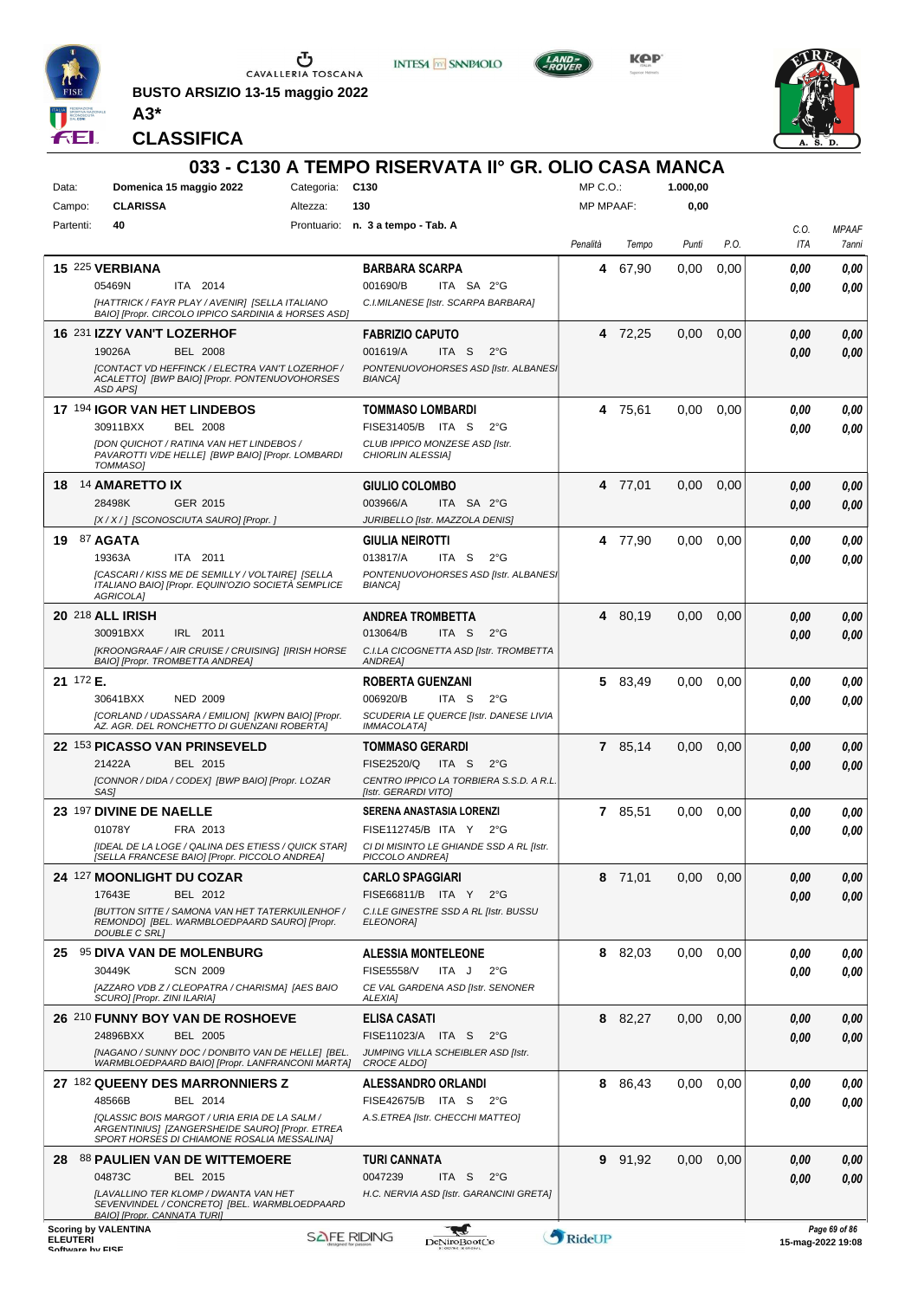

**BUSTO ARSIZIO 13-15 maggio 2022 A3\***



**INTESA M** SANPAOLO

**Kep** 



**CLASSIFICA**

|                 |           |                                                                                                        |                 | 033 - C130 A TEMPO RISERVATA II° GR. OLIO CASA MANCA                        |                  |         |          |      |              |                   |
|-----------------|-----------|--------------------------------------------------------------------------------------------------------|-----------------|-----------------------------------------------------------------------------|------------------|---------|----------|------|--------------|-------------------|
| Data:           |           | Domenica 15 maggio 2022                                                                                | Categoria: C130 |                                                                             | MP C.O.:         |         | 1.000,00 |      |              |                   |
|                 | Campo:    | <b>CLARISSA</b>                                                                                        | Altezza:        | 130                                                                         | <b>MP MPAAF:</b> |         | 0,00     |      |              |                   |
|                 | Partenti: | 40                                                                                                     |                 | Prontuario: n. 3 a tempo - Tab. A                                           |                  |         |          |      | C.O.         | <b>MPAAF</b>      |
|                 |           |                                                                                                        |                 |                                                                             | Penalità         | Tempo   | Punti    | P.O. | ITA          | 7anni             |
|                 |           | 15 225 VERBIANA                                                                                        |                 | <b>BARBARA SCARPA</b>                                                       | 4                | 67,90   | 0,00     | 0,00 | 0.00         | 0,00              |
|                 |           | 05469N<br>ITA 2014                                                                                     |                 | 001690/B<br>ITA SA 2°G                                                      |                  |         |          |      | 0.00         | 0.00              |
|                 |           | [HATTRICK / FAYR PLAY / AVENIR] [SELLA ITALIANO<br>BAIO] [Propr. CIRCOLO IPPICO SARDINIA & HORSES ASD] |                 | C.I.MILANESE [Istr. SCARPA BARBARA]                                         |                  |         |          |      |              |                   |
|                 |           | 16 231 IZZY VAN'T LOZERHOF                                                                             |                 | <b>FABRIZIO CAPUTO</b>                                                      |                  | 4 72,25 | 0,00     | 0,00 | 0.00         | 0,00              |
|                 |           | 19026A<br><b>BEL 2008</b>                                                                              |                 | 001619/A<br>ITA S<br>$2^{\circ}$ G                                          |                  |         |          |      | 0.00         | 0.00              |
|                 |           | <b>[CONTACT VD HEFFINCK / ELECTRA VAN'T LOZERHOF /</b>                                                 |                 | PONTENUOVOHORSES ASD [Istr. ALBANES]                                        |                  |         |          |      |              |                   |
|                 |           | ACALETTO] [BWP BAIO] [Propr. PONTENUOVOHORSES<br><b>ASD APSI</b>                                       |                 | <b>BIANCA1</b>                                                              |                  |         |          |      |              |                   |
|                 |           | 17 194 IGOR VAN HET LINDEBOS                                                                           |                 | <b>TOMMASO LOMBARDI</b>                                                     |                  | 4 75,61 | 0.00     | 0,00 | 0,00         | 0,00              |
|                 |           | 30911BXX<br><b>BEL 2008</b>                                                                            |                 | FISE31405/B ITA S<br>$2^{\circ}G$                                           |                  |         |          |      | 0.00         | 0.00              |
|                 |           | <b>[DON QUICHOT / RATINA VAN HET LINDEBOS /</b><br>PAVAROTTI V/DE HELLE] [BWP BAIO] [Propr. LOMBARDI   |                 | CLUB IPPICO MONZESE ASD [Istr.<br>CHIORLIN ALESSIA]                         |                  |         |          |      |              |                   |
|                 |           | <b>TOMMASOI</b>                                                                                        |                 |                                                                             |                  |         |          |      |              |                   |
|                 |           | 18 14 AMARETTO IX                                                                                      |                 | GIULIO COLOMBO                                                              |                  | 4 77,01 | 0,00     | 0,00 | 0,00         | 0,00              |
|                 |           | 28498K<br>GER 2015                                                                                     |                 | 003966/A<br>ITA SA 2°G                                                      |                  |         |          |      | 0.00         | 0,00              |
|                 |           | [X / X / ] [SCONOSCIUTA SAURO] [Propr. ]                                                               |                 | JURIBELLO [Istr. MAZZOLA DENIS]                                             |                  |         |          |      |              |                   |
| 19              |           | 87 AGATA                                                                                               |                 | <b>GIULIA NEIROTTI</b>                                                      |                  | 4 77,90 | 0.00     | 0,00 | 0,00         | 0.00              |
|                 |           | 19363A<br>ITA 2011                                                                                     |                 | 013817/A<br>ITA S<br>$2^{\circ}G$                                           |                  |         |          |      | 0.00         | 0.00              |
|                 |           | [CASCARI / KISS ME DE SEMILLY / VOLTAIRE] [SELLA<br>ITALIANO BAIO] [Propr. EQUIN'OZIO SOCIETÀ SEMPLICE |                 | PONTENUOVOHORSES ASD [Istr. ALBANES]<br><b>BIANCA]</b>                      |                  |         |          |      |              |                   |
|                 |           | AGRICOLA]                                                                                              |                 |                                                                             |                  |         |          |      |              |                   |
|                 |           | <b>20 218 ALL IRISH</b>                                                                                |                 | <b>ANDREA TROMBETTA</b>                                                     |                  | 4 80,19 | 0.00     | 0,00 | 0.00         | 0,00              |
|                 |           | 30091BXX<br>IRL 2011<br>[KROONGRAAF / AIR CRUISE / CRUISING] [IRISH HORSE                              |                 | 013064/B<br>ITA S<br>$2^{\circ}G$<br>C.I.LA CICOGNETTA ASD [Istr. TROMBETTA |                  |         |          |      | 0.00         | 0,00              |
|                 |           | BAIO] [Propr. TROMBETTA ANDREA]                                                                        |                 | ANDREA]                                                                     |                  |         |          |      |              |                   |
|                 | 21 172 E. |                                                                                                        |                 | <b>ROBERTA GUENZANI</b>                                                     |                  | 5 83,49 | 0,00     | 0,00 | 0.00         | 0,00              |
|                 |           | <b>NED 2009</b><br>30641BXX                                                                            |                 | 006920/B<br>ITA S<br>$2^{\circ}$ G                                          |                  |         |          |      | 0.00         | 0.00              |
|                 |           | [CORLAND / UDASSARA / EMILION] [KWPN BAIO] [Propr.<br>AZ. AGR. DEL RONCHETTO DI GUENZANI ROBERTAJ      |                 | SCUDERIA LE QUERCE [Istr. DANESE LIVIA<br><b>IMMACOLATA1</b>                |                  |         |          |      |              |                   |
|                 |           | 22 153 PICASSO VAN PRINSEVELD                                                                          |                 | <b>TOMMASO GERARDI</b>                                                      |                  | 7 85,14 | 0,00     | 0,00 | 0.00         | 0,00              |
|                 |           | 21422A<br><b>BEL 2015</b>                                                                              |                 | FISE2520/Q<br>ITA S<br>$2^{\circ}G$                                         |                  |         |          |      | 0.00         | 0.00              |
|                 |           | [CONNOR / DIDA / CODEX] [BWP BAIO] [Propr. LOZAR                                                       |                 | CENTRO IPPICO LA TORBIERA S.S.D. A R.L.<br>[Istr. GERARDI VITO]             |                  |         |          |      |              |                   |
|                 |           | SAS1                                                                                                   |                 | SERENA ANASTASIA LORENZI                                                    |                  |         |          |      |              |                   |
|                 |           | 23 197 DIVINE DE NAELLE<br>01078Y<br>FRA 2013                                                          |                 | FISE112745/B ITA Y 2°G                                                      |                  | 7 85,51 | 0.00     | 0,00 | 0.00<br>0.00 | 0,00<br>0.00      |
|                 |           | [IDEAL DE LA LOGE / QALINA DES ETIESS / QUICK STAR]                                                    |                 | CI DI MISINTO LE GHIANDE SSD A RL [Istr.                                    |                  |         |          |      |              |                   |
|                 |           | [SELLA FRANCESE BAIO] [Propr. PICCOLO ANDREA]                                                          |                 | PICCOLO ANDREA]                                                             |                  |         |          |      |              |                   |
|                 |           | 24 127 MOONLIGHT DU COZAR                                                                              |                 | <b>CARLO SPAGGIARI</b>                                                      |                  | 8 71,01 | 0,00     | 0,00 | 0,00         | 0,00              |
|                 |           | 17643E<br>BEL 2012                                                                                     |                 | FISE66811/B ITA Y<br>$2^{\circ}G$                                           |                  |         |          |      | 0.00         | 0,00              |
|                 |           | <b>IBUTTON SITTE / SAMONA VAN HET TATERKUILENHOF /</b><br>REMONDO] [BEL. WARMBLOEDPAARD SAURO] [Propr. |                 | C.I.LE GINESTRE SSD A RL [Istr. BUSSU<br>ELEONORA]                          |                  |         |          |      |              |                   |
|                 |           | <b>DOUBLE C SRLI</b>                                                                                   |                 |                                                                             |                  |         |          |      |              |                   |
|                 |           | 25 95 DIVA VAN DE MOLENBURG<br><b>SCN 2009</b><br>30449K                                               |                 | <b>ALESSIA MONTELEONE</b><br><b>FISE5558/V</b><br>ITA J<br>$2^{\circ}G$     |                  | 8 82,03 | 0,00     | 0,00 | 0,00         | 0,00              |
|                 |           | [AZZARO VDB Z / CLEOPATRA / CHARISMA] [AES BAIO                                                        |                 | CE VAL GARDENA ASD [Istr. SENONER                                           |                  |         |          |      | 0.00         | 0.00              |
|                 |           | SCURO] [Propr. ZINI ILARIA]                                                                            |                 | ALEXIA]                                                                     |                  |         |          |      |              |                   |
|                 |           | 26 210 FUNNY BOY VAN DE ROSHOEVE                                                                       |                 | <b>ELISA CASATI</b>                                                         |                  | 8 82,27 | 0,00     | 0,00 | 0,00         | 0,00              |
|                 |           | 24896BXX<br>BEL 2005                                                                                   |                 | FISE11023/A ITA S<br>2°G                                                    |                  |         |          |      | 0.00         | 0,00              |
|                 |           | [NAGANO / SUNNY DOC / DONBITO VAN DE HELLE] [BEL.<br>WARMBLOEDPAARD BAIO] [Propr. LANFRANCONI MARTA]   |                 | JUMPING VILLA SCHEIBLER ASD [Istr.<br>CROCE ALDO]                           |                  |         |          |      |              |                   |
|                 |           | 27 182 QUEENY DES MARRONNIERS Z                                                                        |                 | <b>ALESSANDRO ORLANDI</b>                                                   |                  | 8 86,43 | 0,00     | 0,00 | 0.00         | 0,00              |
|                 |           | 48566B<br>BEL 2014                                                                                     |                 | FISE42675/B ITA S<br>$2^{\circ}G$                                           |                  |         |          |      | 0.00         | 0.00              |
|                 |           | [QLASSIC BOIS MARGOT / URIA ERIA DE LA SALM /<br>ARGENTINIUS] [ZANGERSHEIDE SAURO] [Propr. ETREA       |                 | A.S.ETREA [Istr. CHECCHI MATTEO]                                            |                  |         |          |      |              |                   |
|                 |           | SPORT HORSES DI CHIAMONE ROSALIA MESSALINA]                                                            |                 |                                                                             |                  |         |          |      |              |                   |
|                 |           | 28 88 PAULIEN VAN DE WITTEMOERE                                                                        |                 | <b>TURI CANNATA</b>                                                         |                  | 9 91,92 | 0,00     | 0,00 | 0,00         | 0,00              |
|                 |           | 04873C<br>BEL 2015                                                                                     |                 | 0047239<br>ITA S<br>$2^{\circ}$ G                                           |                  |         |          |      | 0,00         | 0,00              |
|                 |           | [LAVALLINO TER KLOMP / DWANTA VAN HET<br>SEVENVINDEL / CONCRETO] [BEL. WARMBLOEDPAARD                  |                 | H.C. NERVIA ASD [Istr. GARANCINI GRETA]                                     |                  |         |          |      |              |                   |
|                 |           | <b>BAIO] [Propr. CANNATA TURI]</b><br><b>Scoring by VALENTINA</b>                                      |                 |                                                                             |                  |         |          |      |              | Page 69 of 86     |
| <b>ELEUTERI</b> |           | Coffware by EICE                                                                                       |                 | ₩<br><b>SAFE RIDING</b><br><b>DeNiroBootCo</b>                              | RideUP           |         |          |      |              | 15-mag-2022 19:08 |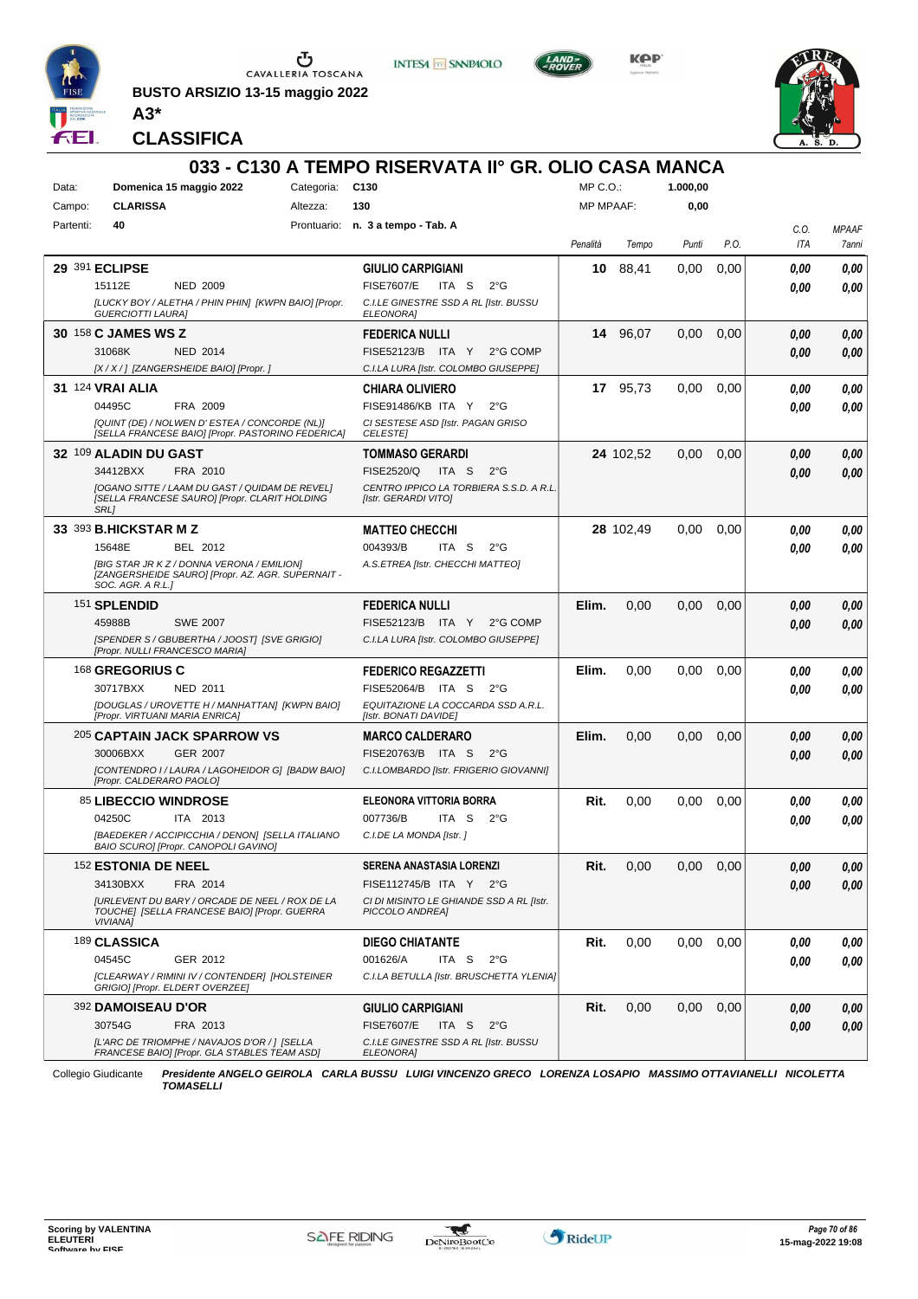

**BUSTO ARSIZIO 13-15 maggio 2022**







**CLASSIFICA**

**A3\***

#### **033 - C130 A TEMPO RISERVATA II° GR. OLIO CASA MANCA** Data: **Domenica 15 maggio 2022** Categoria: C130 Prontuario: **n. 3 a tempo - Tab. A** Campo: **CLARISSA** Partenti: **40** Altezza: **130**  $MP \cap \bigcap$ MP MPAAF: **1.000,00 0,00** *Penalità Tempo Punti P.O. C.O. ITA MPAAF 7anni* **29** 391 **ECLIPSE** NED 2009 **GIULIO CARPIGIANI** *[LUCKY BOY / ALETHA / PHIN PHIN] [KWPN BAIO] [Propr. GUERCIOTTI LAURA] C.I.LE GINESTRE SSD A RL [Istr. BUSSU ELEONORA]* 15112E NED 2009 FISE7607/E ITA S 2°G **0,00 0,00 10** 88,41 0,00 0,00 *0,00 0,00 0,00* **30** 158 **C JAMES WS Z** NED 2014 **FEDERICA NULLI** *[X / X / ] [ZANGERSHEIDE BAIO] [Propr. ] C.I.LA LURA [Istr. COLOMBO GIUSEPPE]* 31068K NED 2014 FISE52123/B ITA Y 2°G COMP **0,00 0,00 14** 96,07 0,00 0,00 *0,00 0,00 0,00* **31** 124 **VRAI ALIA** FRA 2009 **CHIARA OLIVIERO** *[QUINT (DE) / NOLWEN D' ESTEA / CONCORDE (NL)] [SELLA FRANCESE BAIO] [Propr. PASTORINO FEDERICA] CI SESTESE ASD [Istr. PAGAN GRISO CELESTE]* ITA Y 2°G 04495C FISE91486/KB *0,00* **17** 95,73 0,00 0,00 *0,00 0,00 0,00* **32** 109 **ALADIN DU GAST** FRA 2010 **TOMMASO GERARDI** *[OGANO SITTE / LAAM DU GAST / QUIDAM DE REVEL] [SELLA FRANCESE SAURO] [Propr. CLARIT HOLDING SRL] CENTRO IPPICO LA TORBIERA S.S.D. A R.L. [Istr. GERARDI VITO]* 34412BXX FRA 2010 FISE2520/Q ITA S 2°G **0,00 0,00 24** 102,52 0,00 0,00 *0,00 0,00 0,00* **33** 393 **B.HICKSTAR M Z** BEL 2012 **MATTEO CHECCHI** *[BIG STAR JR K Z / DONNA VERONA / EMILION] [ZANGERSHEIDE SAURO] [Propr. AZ. AGR. SUPERNAIT - SOC. AGR. A R.L.] A.S.ETREA [Istr. CHECCHI MATTEO]* ITA S 2°G **28** 102,49 0,00 0,00 *0,00 0,00 0,00* 15648E BEL 2012 004393/B ITA S 2°G <mark>0 ,00 0,00</mark> 151 **SPLENDID** SWE 2007 **FEDERICA NULLI** *[SPENDER S / GBUBERTHA / JOOST] [SVE GRIGIO] [Propr. NULLI FRANCESCO MARIA] C.I.LA LURA [Istr. COLOMBO GIUSEPPE]* 45988B SWE 2007 FISE52123/B ITA Y 2°G COMP **0,00 0,00 Elim.** 0,00 0,00 0,00 *0,00 0,00 0,00* 168 **GREGORIUS C** NED 2011 **FEDERICO REGAZZETTI** *[DOUGLAS / UROVETTE H / MANHATTAN] [KWPN BAIO] [Propr. VIRTUANI MARIA ENRICA] EQUITAZIONE LA COCCARDA SSD A.R.L. [Istr. BONATI DAVIDE]* ITA S 2°G 30717BXX FISE52064/B *0,00* **Elim.** 0,00 0,00 0,00 *0,00 0,00 0,00* 205 **CAPTAIN JACK SPARROW VS** GER 2007 **MARCO CALDERARO** *[CONTENDRO I / LAURA / LAGOHEIDOR G] [BADW BAIO] [Propr. CALDERARO PAOLO] C.I.LOMBARDO [Istr. FRIGERIO GIOVANNI]* ITA S 2°G 30006BXX FISE20763/B *0,00* **Elim.** 0,00 0,00 0,00 *0,00 0,00 0,00* 85 **LIBECCIO WINDROSE** ITA 2013 **ELEONORA VITTORIA BORRA** *[BAEDEKER / ACCIPICCHIA / DENON] [SELLA ITALIANO BAIO SCURO] [Propr. CANOPOLI GAVINO] C.I.DE LA MONDA [Istr. ]* ITA S 2°G **Rit.** 0,00 0,00 0,00 *0,00 0,00 0,00* 04250C 007736/B *0,00* 152 **ESTONIA DE NEEL** FRA 2014 **SERENA ANASTASIA LORENZI** *[URLEVENT DU BARY / ORCADE DE NEEL / ROX DE LA TOUCHE] [SELLA FRANCESE BAIO] [Propr. GUERRA VIVIANA] CI DI MISINTO LE GHIANDE SSD A RL [Istr. PICCOLO ANDREA]* FISE112745/B ITA Y 2°G **Rit.** 0,00 0,00 0,00 *0,00 0,00 0,00* 34130BXX FISE112745/B *0,00* 189 **CLASSICA** GER 2012 **DIEGO CHIATANTE** *[CLEARWAY / RIMINI IV / CONTENDER] [HOLSTEINER GRIGIO] [Propr. ELDERT OVERZEE] C.I.LA BETULLA [Istr. BRUSCHETTA YLENIA]* ITA S 2°G **Rit.** 0,00 0,00 0,00 *0,00 0,00 0,00* 04545C 001626/A *0,00* 392 **DAMOISEAU D'OR** FRA 2013 **GIULIO CARPIGIANI** *[L'ARC DE TRIOMPHE / NAVAJOS D'OR / ] [SELLA FRANCESE BAIO] [Propr. GLA STABLES TEAM ASD] C.I.LE GINESTRE SSD A RL [Istr. BUSSU ELEONORA]* 30754G FRA 2013 FISE7607/E ITA S 2°G **0,00 0,00 Rit.** 0,00 0,00 0,00 *0,00 0,00 0,00*

Collegio Giudicante *Presidente ANGELO GEIROLA CARLA BUSSU LUIGI VINCENZO GRECO LORENZA LOSAPIO MASSIMO OTTAVIANELLI NICOLETTA TOMASELLI*

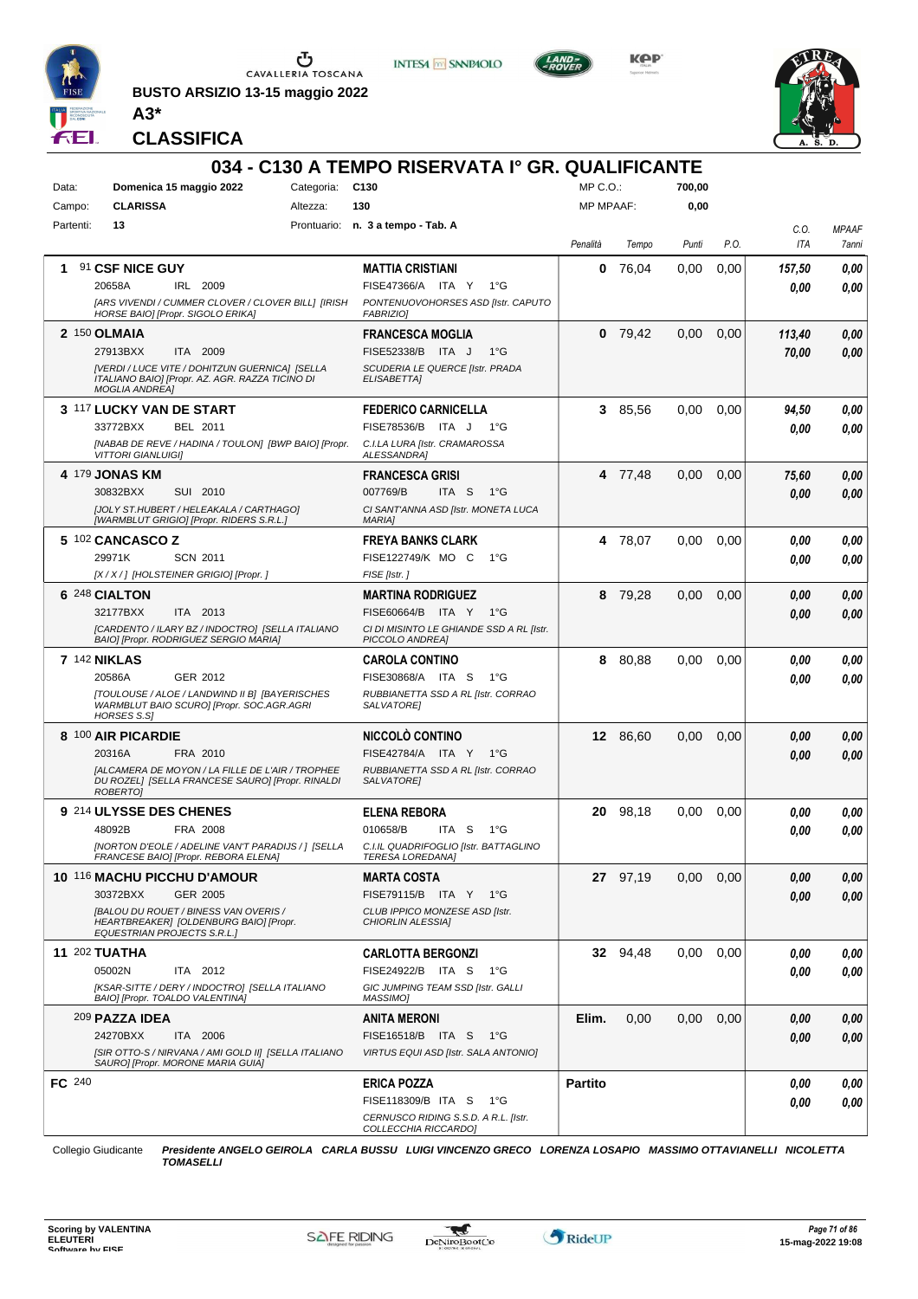

**BUSTO ARSIZIO 13-15 maggio 2022 A3\***



**INTESA M** SANPAOLO

**KPP** 



**CLASSIFICA**

| 034 - C130 A TEMPO RISERVATA Iº GR. QUALIFICANTE |                                            |                                                                                                                                |          |                                                                      |                  |           |       |      |        |              |
|--------------------------------------------------|--------------------------------------------|--------------------------------------------------------------------------------------------------------------------------------|----------|----------------------------------------------------------------------|------------------|-----------|-------|------|--------|--------------|
| Data:                                            | Categoria: C130<br>Domenica 15 maggio 2022 |                                                                                                                                |          | $MP C. O.$ :                                                         |                  | 700,00    |       |      |        |              |
| Campo:                                           |                                            | <b>CLARISSA</b>                                                                                                                | Altezza: | 130                                                                  | <b>MP MPAAF:</b> |           | 0,00  |      |        |              |
| Partenti:                                        |                                            | 13                                                                                                                             |          | Prontuario: n. 3 a tempo - Tab. A                                    |                  |           |       |      | C.0.   | <b>MPAAF</b> |
|                                                  |                                            |                                                                                                                                |          |                                                                      | Penalità         | Tempo     | Punti | P.O. | ITA    | 7anni        |
| 1.                                               |                                            | 91 CSF NICE GUY                                                                                                                |          | <b>MATTIA CRISTIANI</b>                                              | 0                | 76,04     | 0,00  | 0,00 | 157,50 | 0,00         |
|                                                  |                                            | 20658A<br>IRL 2009                                                                                                             |          | FISE47366/A ITA Y<br>1°G                                             |                  |           |       |      | 0.00   | 0,00         |
|                                                  |                                            | [ARS VIVENDI / CUMMER CLOVER / CLOVER BILL] [IRISH<br>HORSE BAIO] [Propr. SIGOLO ERIKA]                                        |          | PONTENUOVOHORSES ASD [Istr. CAPUTO<br><b>FABRIZIOI</b>               |                  |           |       |      |        |              |
|                                                  |                                            | 2 150 OLMAIA                                                                                                                   |          | <b>FRANCESCA MOGLIA</b>                                              |                  | $0$ 79,42 | 0,00  | 0,00 | 113,40 | 0,00         |
|                                                  |                                            | 27913BXX<br>ITA 2009                                                                                                           |          | FISE52338/B ITA J<br>$1^{\circ}G$                                    |                  |           |       |      | 70,00  | 0,00         |
|                                                  |                                            | [VERDI / LUCE VITE / DOHITZUN GUERNICA] [SELLA<br>ITALIANO BAIO] [Propr. AZ. AGR. RAZZA TICINO DI<br><b>MOGLIA ANDREAI</b>     |          | SCUDERIA LE QUERCE [Istr. PRADA<br>ELISABETTAI                       |                  |           |       |      |        |              |
|                                                  |                                            | 3 117 LUCKY VAN DE START                                                                                                       |          | <b>FEDERICO CARNICELLA</b>                                           |                  | 3 85,56   | 0,00  | 0,00 | 94,50  | 0,00         |
|                                                  |                                            | 33772BXX<br>BEL 2011                                                                                                           |          | FISE78536/B<br>ITA J<br>1°G                                          |                  |           |       |      | 0.00   | 0,00         |
|                                                  |                                            | [NABAB DE REVE / HADINA / TOULON] [BWP BAIO] [Propr.<br><b>VITTORI GIANLUIGII</b>                                              |          | C.I.LA LURA [Istr. CRAMAROSSA<br><b>ALESSANDRAI</b>                  |                  |           |       |      |        |              |
|                                                  |                                            | 4 179 JONAS KM                                                                                                                 |          | <b>FRANCESCA GRISI</b>                                               |                  | 4 77,48   | 0,00  | 0,00 | 75,60  | 0,00         |
|                                                  |                                            | 30832BXX<br>SUI 2010                                                                                                           |          | 007769/B<br>ITA S<br>$1^{\circ}G$                                    |                  |           |       |      | 0.00   | 0,00         |
|                                                  |                                            | <b>JJOLY ST.HUBERT / HELEAKALA / CARTHAGOI</b><br>[WARMBLUT GRIGIO] [Propr. RIDERS S.R.L.]                                     |          | CI SANT'ANNA ASD [Istr. MONETA LUCA<br><b>MARIA]</b>                 |                  |           |       |      |        |              |
|                                                  |                                            | 5 102 CANCASCO Z                                                                                                               |          | <b>FREYA BANKS CLARK</b>                                             |                  | 4 78,07   | 0,00  | 0,00 | 0,00   | 0,00         |
|                                                  |                                            | 29971K<br><b>SCN 2011</b>                                                                                                      |          | FISE122749/K MO C<br>1°G                                             |                  |           |       |      | 0,00   | 0.00         |
|                                                  |                                            | [X/X/] [HOLSTEINER GRIGIO] [Propr. ]                                                                                           |          | FISE [Istr.]                                                         |                  |           |       |      |        |              |
|                                                  |                                            | 6 248 CIALTON                                                                                                                  |          | <b>MARTINA RODRIGUEZ</b>                                             |                  | 8 79,28   | 0,00  | 0,00 | 0.00   | 0,00         |
|                                                  |                                            | 32177BXX<br>ITA 2013<br>[CARDENTO / ILARY BZ / INDOCTRO] [SELLA ITALIANO                                                       |          | FISE60664/B ITA Y<br>1°G<br>CI DI MISINTO LE GHIANDE SSD A RL [Istr. |                  |           |       |      | 0.00   | 0,00         |
|                                                  |                                            | BAIO] [Propr. RODRIGUEZ SERGIO MARIA]                                                                                          |          | PICCOLO ANDREA]                                                      |                  |           |       |      |        |              |
|                                                  |                                            | <b>7 142 NIKLAS</b>                                                                                                            |          | <b>CAROLA CONTINO</b>                                                |                  | 8 80,88   | 0,00  | 0,00 | 0,00   | 0,00         |
|                                                  |                                            | GER 2012<br>20586A                                                                                                             |          | FISE30868/A ITA S<br>1°G                                             |                  |           |       |      | 0,00   | 0,00         |
|                                                  |                                            | [TOULOUSE / ALOE / LANDWIND II B] [BAYERISCHES<br>WARMBLUT BAIO SCURO] [Propr. SOC.AGR.AGRI<br>HORSES S.S]                     |          | RUBBIANETTA SSD A RL [Istr. CORRAO<br>SALVATORE]                     |                  |           |       |      |        |              |
|                                                  |                                            | 8 100 AIR PICARDIE                                                                                                             |          | NICCOLÒ CONTINO                                                      |                  | 12 86,60  | 0.00  | 0,00 | 0.00   | 0,00         |
|                                                  |                                            | FRA 2010<br>20316A                                                                                                             |          | FISE42784/A ITA Y<br>1°G                                             |                  |           |       |      | 0.00   | 0.00         |
|                                                  |                                            | <b>JALCAMERA DE MOYON / LA FILLE DE L'AIR / TROPHEE</b><br>DU ROZEL] [SELLA FRANCESE SAURO] [Propr. RINALDI<br><b>ROBERTOI</b> |          | RUBBIANETTA SSD A RL [Istr. CORRAO<br><b>SALVATOREI</b>              |                  |           |       |      |        |              |
|                                                  |                                            | 9 214 ULYSSE DES CHENES                                                                                                        |          | <b>ELENA REBORA</b>                                                  | 20 -             | 98,18     | 0.00  | 0,00 | 0.00   | 0,00         |
|                                                  |                                            | 48092B<br>FRA 2008                                                                                                             |          | 010658/B<br>ITA S<br>1°G                                             |                  |           |       |      | 0.00   | 0,00         |
|                                                  |                                            | [NORTON D'EOLE / ADELINE VAN'T PARADIJS / ] [SELLA<br>FRANCESE BAIO] [Propr. REBORA ELENA]                                     |          | C.I.IL QUADRIFOGLIO [Istr. BATTAGLINO<br><b>TERESA LOREDANA]</b>     |                  |           |       |      |        |              |
|                                                  |                                            | 10 116 MACHU PICCHU D'AMOUR                                                                                                    |          | <b>MARTA COSTA</b>                                                   |                  | 27 97,19  | 0,00  | 0,00 | 0,00   | 0,00         |
|                                                  |                                            | 30372BXX<br>GER 2005                                                                                                           |          | FISE79115/B ITA Y 1°G                                                |                  |           |       |      | 0,00   | 0,00         |
|                                                  |                                            | [BALOU DU ROUET / BINESS VAN OVERIS /<br>HEARTBREAKER] [OLDENBURG BAIO] [Propr.<br><b>EQUESTRIAN PROJECTS S.R.L.]</b>          |          | CLUB IPPICO MONZESE ASD [Istr.<br><b>CHIORLIN ALESSIAI</b>           |                  |           |       |      |        |              |
|                                                  |                                            | <b>11 202 TUATHA</b>                                                                                                           |          | <b>CARLOTTA BERGONZI</b>                                             |                  | 32 94,48  | 0,00  | 0,00 | 0,00   | 0,00         |
|                                                  |                                            | 05002N<br>ITA 2012                                                                                                             |          | FISE24922/B ITA S 1°G                                                |                  |           |       |      | 0,00   | 0,00         |
|                                                  |                                            | [KSAR-SITTE / DERY / INDOCTRO] [SELLA ITALIANO<br>BAIO] [Propr. TOALDO VALENTINA]                                              |          | GIC JUMPING TEAM SSD [Istr. GALLI<br>MASSIMO]                        |                  |           |       |      |        |              |
|                                                  |                                            | 209 PAZZA IDEA                                                                                                                 |          | <b>ANITA MERONI</b>                                                  | Elim.            | 0,00      | 0,00  | 0,00 | 0,00   | 0,00         |
|                                                  |                                            | 24270BXX<br>ITA 2006                                                                                                           |          | FISE16518/B ITA S 1°G                                                |                  |           |       |      | 0,00   | 0,00         |
|                                                  |                                            | [SIR OTTO-S / NIRVANA / AMI GOLD II] [SELLA ITALIANO<br>SAURO] [Propr. MORONE MARIA GUIA]                                      |          | VIRTUS EQUI ASD [Istr. SALA ANTONIO]                                 |                  |           |       |      |        |              |
| <b>FC</b> 240                                    |                                            |                                                                                                                                |          | <b>ERICA POZZA</b>                                                   | <b>Partito</b>   |           |       |      | 0,00   | 0,00         |
|                                                  |                                            |                                                                                                                                |          | FISE118309/B ITA S<br>1°G                                            |                  |           |       |      | 0,00   | 0,00         |
|                                                  |                                            |                                                                                                                                |          | CERNUSCO RIDING S.S.D. A R.L. [Istr.<br>COLLECCHIA RICCARDO]         |                  |           |       |      |        |              |
|                                                  |                                            |                                                                                                                                |          |                                                                      |                  |           |       |      |        |              |

Collegio Giudicante *Presidente ANGELO GEIROLA CARLA BUSSU LUIGI VINCENZO GRECO LORENZA LOSAPIO MASSIMO OTTAVIANELLI NICOLETTA TOMASELLI*

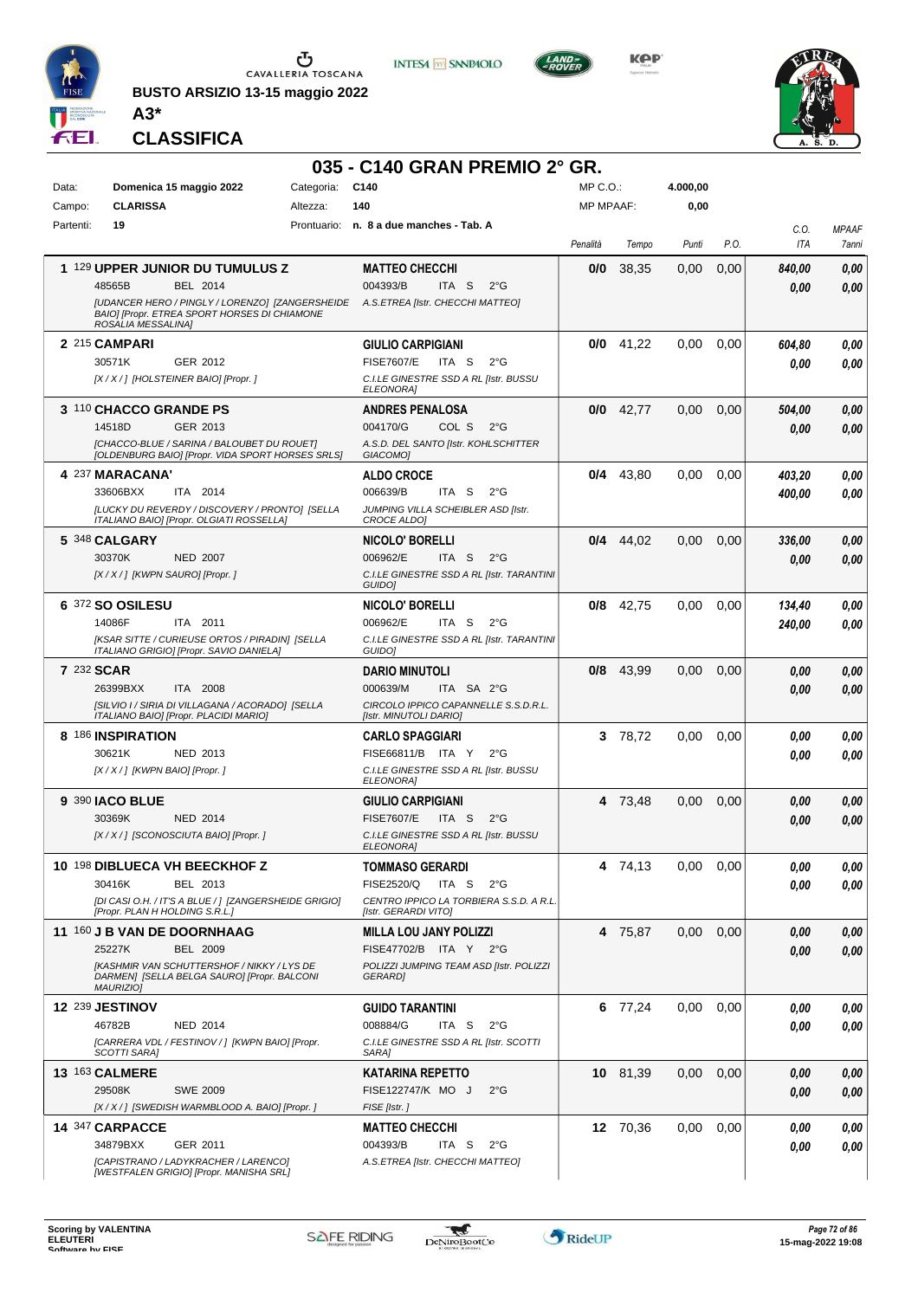

**BUSTO ARSIZIO 13-15 maggio 2022 A3\***

**CLASSIFICA**



**INTESA M** SANPAOLO

**KPP** 



|            |                                                                                                |          | 035 - C140 GRAN PREMIO 2° GR.                                                                   |                  |             |          |      |                |                       |
|------------|------------------------------------------------------------------------------------------------|----------|-------------------------------------------------------------------------------------------------|------------------|-------------|----------|------|----------------|-----------------------|
| Data:      | Categoria:<br>Domenica 15 maggio 2022                                                          |          | C140                                                                                            | $MP C. O.$ :     |             | 4.000,00 |      |                |                       |
| Campo:     | <b>CLARISSA</b>                                                                                | Altezza: | 140                                                                                             | <b>MP MPAAF:</b> |             | 0,00     |      |                |                       |
| Partenti:  | 19                                                                                             |          | Prontuario: n. 8 a due manches - Tab. A                                                         | Penalità         | Tempo       | Punti    | P.O. | C.O.<br>ITA    | <b>MPAAF</b><br>7anni |
|            |                                                                                                |          |                                                                                                 |                  |             |          |      |                |                       |
|            | 1 129 UPPER JUNIOR DU TUMULUS Z<br>48565B<br>BEL 2014                                          |          | <b>MATTEO CHECCHI</b><br>004393/B<br>ITA S<br>$2^{\circ}$ G                                     | 0/0              | 38,35       | 0,00     | 0,00 | 840,00<br>0.00 | 0,00<br>0.00          |
|            | [UDANCER HERO / PINGLY / LORENZO] [ZANGERSHEIDE                                                |          | A.S.ETREA [Istr. CHECCHI MATTEO]                                                                |                  |             |          |      |                |                       |
|            | <b>BAIOI IPropr. ETREA SPORT HORSES DI CHIAMONE</b><br>ROSALIA MESSALINA]                      |          |                                                                                                 |                  |             |          |      |                |                       |
|            | 2 215 CAMPARI                                                                                  |          | <b>GIULIO CARPIGIANI</b>                                                                        |                  | $0/0$ 41,22 | 0,00     | 0,00 | 604,80         | 0,00                  |
|            | 30571K<br>GER 2012                                                                             |          | <b>FISE7607/E</b><br>ITA S<br>$2^{\circ}$ G                                                     |                  |             |          |      | 0.00           | 0.00                  |
|            | [X / X / ] [HOLSTEINER BAIO] [Propr. ]                                                         |          | C.I.LE GINESTRE SSD A RL [Istr. BUSSU<br><b>ELEONORAI</b>                                       |                  |             |          |      |                |                       |
|            | 3 110 CHACCO GRANDE PS                                                                         |          | <b>ANDRES PENALOSA</b>                                                                          |                  | $0/0$ 42,77 | 0,00     | 0,00 | 504,00         | 0,00                  |
|            | <b>GER 2013</b><br>14518D                                                                      |          | 004170/G<br>COL S<br>$2^{\circ}$ G                                                              |                  |             |          |      | 0,00           | 0,00                  |
|            | [CHACCO-BLUE / SARINA / BALOUBET DU ROUET]<br>[OLDENBURG BAIO] [Propr. VIDA SPORT HORSES SRLS] |          | A.S.D. DEL SANTO [Istr. KOHLSCHITTER<br><b>GIACOMOI</b>                                         |                  |             |          |      |                |                       |
|            | 4 237 MARACANA'                                                                                |          | <b>ALDO CROCE</b>                                                                               |                  | $0/4$ 43,80 | 0,00     | 0,00 | 403,20         | 0,00                  |
|            | 33606BXX<br>ITA 2014                                                                           |          | 006639/B<br>ITA S<br>$2^{\circ}$ G                                                              |                  |             |          |      | 400,00         | 0.00                  |
|            | [LUCKY DU REVERDY / DISCOVERY / PRONTO] [SELLA<br>ITALIANO BAIOI [Propr. OLGIATI ROSSELLA]     |          | JUMPING VILLA SCHEIBLER ASD [Istr.<br>CROCE ALDO]                                               |                  |             |          |      |                |                       |
|            | 5 348 CALGARY                                                                                  |          | <b>NICOLO' BORELLI</b>                                                                          |                  | $0/4$ 44,02 | 0,00     | 0,00 | 336,00         | 0,00                  |
|            | 30370K<br><b>NED 2007</b>                                                                      |          | 006962/E<br>ITA S<br>$2^{\circ}G$                                                               |                  |             |          |      | 0,00           | 0,00                  |
|            | [X / X / ] [KWPN SAURO] [Propr. ]                                                              |          | C.I.LE GINESTRE SSD A RL [Istr. TARANTINI<br>GUIDO]                                             |                  |             |          |      |                |                       |
|            | 6 372 SO OSILESU                                                                               |          | NICOLO' BORELLI                                                                                 |                  | $0/8$ 42,75 | 0,00     | 0,00 | 134,40         | 0.00                  |
|            | 14086F<br>ITA 2011                                                                             |          | 006962/E<br>ITA S<br>$2^{\circ}$ G                                                              |                  |             |          |      | 240,00         | 0.00                  |
|            | [KSAR SITTE / CURIEUSE ORTOS / PIRADIN] [SELLA<br>ITALIANO GRIGIO] [Propr. SAVIO DANIELA]      |          | C.I.LE GINESTRE SSD A RL [Istr. TARANTINI<br>GUIDO]                                             |                  |             |          |      |                |                       |
| 7 232 SCAR |                                                                                                |          | <b>DARIO MINUTOLI</b>                                                                           | 0/8              | 43,99       | 0.00     | 0.00 | 0,00           | 0,00                  |
|            | 26399BXX<br>ITA 2008<br>[SILVIO I / SIRIA DI VILLAGANA / ACORADO] [SELLA                       |          | 000639/M<br>ITA SA 2°G<br>CIRCOLO IPPICO CAPANNELLE S.S.D.R.L.                                  |                  |             |          |      | 0,00           | 0,00                  |
|            | ITALIANO BAIO] [Propr. PLACIDI MARIO]                                                          |          | [Istr. MINUTOLI DARIO]                                                                          |                  |             |          |      |                |                       |
|            | 8 186 INSPIRATION                                                                              |          | <b>CARLO SPAGGIARI</b>                                                                          |                  | 3 78,72     | 0,00     | 0.00 | 0.00           | 0,00                  |
|            | 30621K<br>NED 2013<br>[X / X / ] [KWPN BAIO] [Propr. ]                                         |          | FISE66811/B ITA Y<br>$2^{\circ}G$<br>C.I.LE GINESTRE SSD A RL [Istr. BUSSU                      |                  |             |          |      | 0.00           | 0.00                  |
|            |                                                                                                |          | <b>ELEONORA]</b>                                                                                |                  |             |          |      |                |                       |
|            | <b>9 390 JACO BLUE</b>                                                                         |          | <b>GIULIO CARPIGIANI</b>                                                                        |                  | 4 73,48     | 0,00     | 0,00 | 0,00           | 0,00                  |
|            | 30369K<br><b>NED 2014</b><br>[X / X / ] [SCONOSCIUTA BAIO] [Propr. ]                           |          | <b>FISE7607/E</b><br>ITA <sub>S</sub><br>$2^{\circ}$ G<br>C.I.LE GINESTRE SSD A RL [Istr. BUSSU |                  |             |          |      | 0.00           | 0,00                  |
|            |                                                                                                |          | ELEUNURAJ                                                                                       |                  |             |          |      |                |                       |
|            | 10 198 DIBLUECA VH BEECKHOF Z                                                                  |          | TOMMASO GERARDI                                                                                 |                  | 4 74,13     | 0.00     | 0,00 | 0.00           | 0,00                  |
|            | 30416K<br>BEL 2013<br>[DI CASI O.H. / IT'S A BLUE / ] [ZANGERSHEIDE GRIGIO]                    |          | FISE2520/Q<br>ITA S<br>$2^{\circ}$ G<br>CENTRO IPPICO LA TORBIERA S.S.D. A R.L.                 |                  |             |          |      | 0.00           | 0,00                  |
|            | [Propr. PLAN H HOLDING S.R.L.]                                                                 |          | [Istr. GERARDI VITO]                                                                            |                  |             |          |      |                |                       |
|            | 11 160 J B VAN DE DOORNHAAG                                                                    |          | <b>MILLA LOU JANY POLIZZI</b>                                                                   |                  | 4 75,87     | 0,00     | 0,00 | 0,00           | 0,00                  |
|            | 25227K<br><b>BEL 2009</b><br><b>IKASHMIR VAN SCHUTTERSHOF / NIKKY / LYS DE</b>                 |          | FISE47702/B ITA Y 2°G<br>POLIZZI JUMPING TEAM ASD [Istr. POLIZZI                                |                  |             |          |      | 0,00           | 0,00                  |
|            | DARMEN] [SELLA BELGA SAURO] [Propr. BALCONI<br>MAURIZIO]                                       |          | <b>GERARDI</b>                                                                                  |                  |             |          |      |                |                       |
|            | 12 239 JESTINOV                                                                                |          | <b>GUIDO TARANTINI</b>                                                                          |                  | 6 77,24     | 0,00     | 0,00 | 0.00           | 0,00                  |
|            | <b>NED 2014</b><br>46782B                                                                      |          | 008884/G<br>ITA S<br>$2^{\circ}$ G                                                              |                  |             |          |      | 0.00           | 0.00                  |
|            | [CARRERA VDL / FESTINOV / ] [KWPN BAIO] [Propr.<br>SCOTTI SARA]                                |          | C.I.LE GINESTRE SSD A RL [Istr. SCOTTI<br>SARA]                                                 |                  |             |          |      |                |                       |
|            | <b>13 163 CALMERE</b>                                                                          |          | <b>KATARINA REPETTO</b>                                                                         |                  | 10 81,39    | 0,00     | 0,00 | 0,00           | 0,00                  |
|            | 29508K<br><b>SWE 2009</b>                                                                      |          | FISE122747/K MO J<br>$2^{\circ}$ G                                                              |                  |             |          |      | 0,00           | 0,00                  |
|            | [X / X / ] [SWEDISH WARMBLOOD A. BAIO] [Propr. ]                                               |          | FISE [Istr.]                                                                                    |                  |             |          |      |                |                       |
|            | 14 347 CARPACCE                                                                                |          | <b>MATTEO CHECCHI</b><br>ITA S                                                                  |                  | 12 70,36    | 0,00     | 0,00 | 0,00           | 0,00                  |
|            | 34879BXX<br>GER 2011<br>[CAPISTRANO / LADYKRACHER / LARENCO]                                   |          | 004393/B<br>$2^{\circ}$ G<br>A.S.ETREA [Istr. CHECCHI MATTEO]                                   |                  |             |          |      | 0,00           | 0,00                  |
|            | [WESTFALEN GRIGIO] [Propr. MANISHA SRL]                                                        |          |                                                                                                 |                  |             |          |      |                |                       |

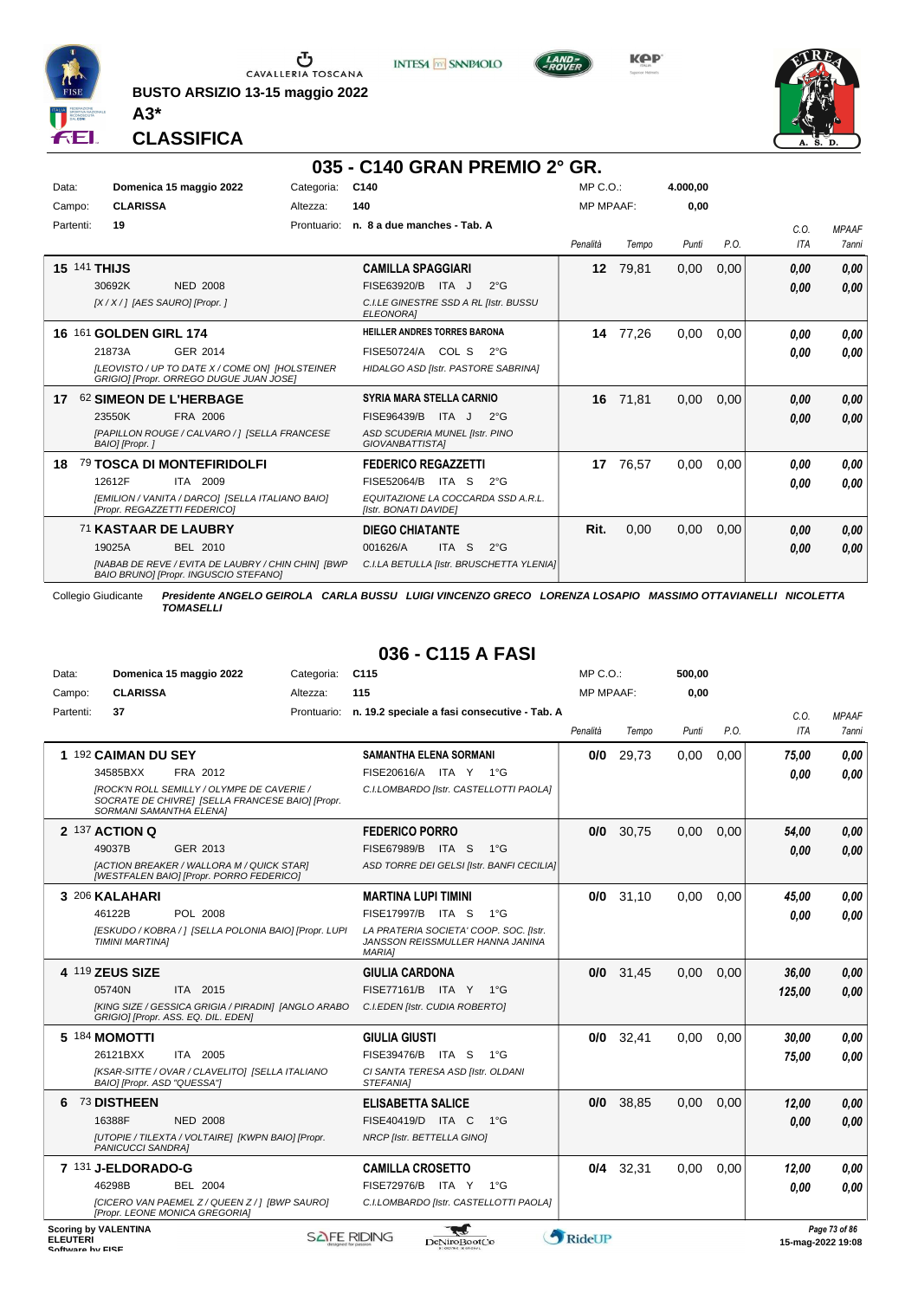

**BUSTO ARSIZIO 13-15 maggio 2022 A3\***



**KPP** 



**CLASSIFICA**

## **035 - C140 GRAN PREMIO 2° GR.**

| Data:     |              | Domenica 15 maggio 2022                                                                     | Categoria:  | C140                                                        | MP C. O.         |       | 4.000,00 |      |      |              |
|-----------|--------------|---------------------------------------------------------------------------------------------|-------------|-------------------------------------------------------------|------------------|-------|----------|------|------|--------------|
| Campo:    |              | <b>CLARISSA</b>                                                                             | Altezza:    | 140                                                         | <b>MP MPAAF:</b> |       | 0,00     |      |      |              |
| Partenti: | 19           |                                                                                             | Prontuario: | n. 8 a due manches - Tab. A                                 |                  |       |          |      | C.0. | <b>MPAAF</b> |
|           |              |                                                                                             |             |                                                             | Penalità         | Tempo | Punti    | P.O. | ITA  | <b>7anni</b> |
|           | 15 141 THIJS |                                                                                             |             | <b>CAMILLA SPAGGIARI</b>                                    | 12 <sup>12</sup> | 79,81 | 0,00     | 0,00 | 0,00 | 0,00         |
|           | 30692K       | <b>NED 2008</b>                                                                             |             | FISE63920/B<br>ITA J<br>$2^{\circ}$ G                       |                  |       |          |      | 0,00 | 0,00         |
|           |              | [X / X / ] [AES SAURO] [Propr. ]                                                            |             | C.I.LE GINESTRE SSD A RL [Istr. BUSSU<br><b>ELEONORA1</b>   |                  |       |          |      |      |              |
| 16.       |              | 161 GOLDEN GIRL 174                                                                         |             | <b>HEILLER ANDRES TORRES BARONA</b>                         | 14               | 77,26 | 0,00     | 0.00 | 0.00 | 0,00         |
|           | 21873A       | GER 2014                                                                                    |             | FISE50724/A COL S<br>$2^{\circ}G$                           |                  |       |          |      | 0,00 | 0,00         |
|           |              | [LEOVISTO / UP TO DATE X / COME ON] [HOLSTEINER<br>GRIGIO] [Propr. ORREGO DUGUE JUAN JOSE]  |             | HIDALGO ASD [Istr. PASTORE SABRINA]                         |                  |       |          |      |      |              |
| 17        |              | 62 SIMEON DE L'HERBAGE                                                                      |             | <b>SYRIA MARA STELLA CARNIO</b>                             | 16               | 71,81 | 0,00     | 0,00 | 0,00 | 0,00         |
|           | 23550K       | FRA 2006                                                                                    |             | FISE96439/B<br>ITA J<br>$2^{\circ}G$                        |                  |       |          |      | 0,00 | 0,00         |
|           |              | [PAPILLON ROUGE / CALVARO / 1 [SELLA FRANCESE<br>BAIO] [Propr.]                             |             | ASD SCUDERIA MUNEL [Istr. PINO<br>GIOVANBATTISTAI           |                  |       |          |      |      |              |
| 18        |              | 79 TOSCA DI MONTEFIRIDOLFI                                                                  |             | <b>FEDERICO REGAZZETTI</b>                                  | 17               | 76,57 | 0,00     | 0,00 | 0,00 | 0,00         |
|           | 12612F       | ITA 2009                                                                                    |             | FISE52064/B<br>ITA<br><sub>S</sub><br>$2^{\circ}$ G         |                  |       |          |      | 0.00 | 0,00         |
|           |              | [EMILION / VANITA / DARCO] [SELLA ITALIANO BAIO]<br>[Propr. REGAZZETTI FEDERICO]            |             | EQUITAZIONE LA COCCARDA SSD A.R.L.<br>[Istr. BONATI DAVIDE] |                  |       |          |      |      |              |
|           |              | <b>71 KASTAAR DE LAUBRY</b>                                                                 |             | <b>DIEGO CHIATANTE</b>                                      | Rit.             | 0,00  | 0,00     | 0,00 | 0,00 | 0,00         |
|           | 19025A       | <b>BEL 2010</b>                                                                             |             | 001626/A<br><b>ITA</b><br>-S<br>$2^{\circ}$ G               |                  |       |          |      | 0,00 | 0,00         |
|           |              | [NABAB DE REVE / EVITA DE LAUBRY / CHIN CHIN] [BWP<br>BAIO BRUNO] [Propr. INGUSCIO STEFANO] |             | C.I.LA BETULLA [Istr. BRUSCHETTA YLENIA]                    |                  |       |          |      |      |              |

Collegio Giudicante *Presidente ANGELO GEIROLA CARLA BUSSU LUIGI VINCENZO GRECO LORENZA LOSAPIO MASSIMO OTTAVIANELLI NICOLETTA TOMASELLI*

#### **036 - C115 A FASI**

| Data:           |                             | Domenica 15 maggio 2022                                                                        | Categoria:  | C <sub>115</sub>                                                                            | $MP C. O.$ :     |       | 500.00 |      |                   |               |
|-----------------|-----------------------------|------------------------------------------------------------------------------------------------|-------------|---------------------------------------------------------------------------------------------|------------------|-------|--------|------|-------------------|---------------|
| Campo:          | <b>CLARISSA</b>             |                                                                                                | Altezza:    | 115                                                                                         | <b>MP MPAAF:</b> |       | 0,00   |      |                   |               |
| Partenti:       | 37                          |                                                                                                | Prontuario: | n. 19.2 speciale a fasi consecutive - Tab. A                                                |                  |       |        |      | C.O.              | <b>MPAAF</b>  |
|                 |                             |                                                                                                |             |                                                                                             | Penalità         | Tempo | Punti  | P.O. | ITA               | 7anni         |
|                 | 1 192 CAIMAN DU SEY         |                                                                                                |             | SAMANTHA ELENA SORMANI                                                                      | 0/0              | 29,73 | 0,00   | 0,00 | 75,00             | 0.00          |
|                 | 34585BXX                    | FRA 2012                                                                                       |             | FISE20616/A ITA Y 1°G                                                                       |                  |       |        |      | 0.00              | 0.00          |
|                 | SORMANI SAMANTHA ELENA]     | [ROCK'N ROLL SEMILLY / OLYMPE DE CAVERIE /<br>SOCRATE DE CHIVREI [SELLA FRANCESE BAIO] [Propr. |             | C.I.LOMBARDO [Istr. CASTELLOTTI PAOLA]                                                      |                  |       |        |      |                   |               |
|                 | 2 137 ACTION Q              |                                                                                                |             | <b>FEDERICO PORRO</b>                                                                       | 0/0              | 30,75 | 0,00   | 0,00 | 54,00             | 0,00          |
|                 | 49037B                      | GER 2013                                                                                       |             | FISE67989/B ITA S<br>1°G                                                                    |                  |       |        |      | 0.00              | 0.00          |
|                 |                             | [ACTION BREAKER / WALLORA M / QUICK STAR]<br>[WESTFALEN BAIO] [Propr. PORRO FEDERICO]          |             | ASD TORRE DEI GELSI [Istr. BANFI CECILIA]                                                   |                  |       |        |      |                   |               |
|                 | 3 206 KALAHARI              |                                                                                                |             | <b>MARTINA LUPI TIMINI</b>                                                                  | 0/0              | 31.10 | 0.00   | 0.00 | 45.00             | 0.00          |
|                 | 46122B                      | POL 2008                                                                                       |             | FISE17997/B ITA S<br>$1^{\circ}G$                                                           |                  |       |        |      | 0.00              | 0.00          |
|                 | <b>TIMINI MARTINAI</b>      | [ESKUDO / KOBRA / ] [SELLA POLONIA BAIO] [Propr. LUPI                                          |             | LA PRATERIA SOCIETA' COOP. SOC. [Istr.<br>JANSSON REISSMULLER HANNA JANINA<br><b>MARIAI</b> |                  |       |        |      |                   |               |
|                 | 4 119 ZEUS SIZE             |                                                                                                |             | <b>GIULIA CARDONA</b>                                                                       | 0/0              | 31,45 | 0,00   | 0,00 | 36.00             | 0,00          |
|                 | 05740N                      | ITA 2015                                                                                       |             | FISE77161/B ITA Y 1°G                                                                       |                  |       |        |      | 125.00            | 0,00          |
|                 |                             | [KING SIZE / GESSICA GRIGIA / PIRADIN] [ANGLO ARABO<br>GRIGIO] [Propr. ASS. EQ. DIL. EDEN]     |             | C.I.EDEN [Istr. CUDIA ROBERTO]                                                              |                  |       |        |      |                   |               |
|                 | 5 184 MOMOTTI               |                                                                                                |             | <b>GIULIA GIUSTI</b>                                                                        | 0/0              | 32,41 | 0.00   | 0,00 | 30,00             | 0,00          |
|                 | 26121BXX                    | ITA 2005                                                                                       |             | FISE39476/B ITA S<br>$1^{\circ}G$                                                           |                  |       |        |      | 75,00             | 0.00          |
|                 | BAIO] [Propr. ASD "QUESSA"] | [KSAR-SITTE / OVAR / CLAVELITO] [SELLA ITALIANO                                                |             | CI SANTA TERESA ASD [Istr. OLDANI<br>STEFANIA1                                              |                  |       |        |      |                   |               |
| 6               | 73 DISTHEEN                 |                                                                                                |             | <b>ELISABETTA SALICE</b>                                                                    | 0/0              | 38.85 | 0.00   | 0.00 | 12.00             | 0,00          |
|                 | 16388F                      | <b>NED 2008</b>                                                                                |             | FISE40419/D ITA C<br>$1^{\circ}G$                                                           |                  |       |        |      | 0.00              | 0.00          |
|                 | <b>PANICUCCI SANDRAI</b>    | [UTOPIE / TILEXTA / VOLTAIRE] [KWPN BAIO] [Propr.                                              |             | NRCP [Istr. BETTELLA GINO]                                                                  |                  |       |        |      |                   |               |
|                 | 7 131 J-ELDORADO-G          |                                                                                                |             | <b>CAMILLA CROSETTO</b>                                                                     | 0/4              | 32,31 | 0,00   | 0,00 | 12,00             | 0,00          |
|                 | 46298B                      | <b>BEL 2004</b>                                                                                |             | FISE72976/B ITA Y<br>$1^{\circ}G$                                                           |                  |       |        |      | 0.00              | 0.00          |
|                 |                             | [CICERO VAN PAEMEL Z / QUEEN Z / ] [BWP SAURO]<br>[Propr. LEONE MONICA GREGORIA]               |             | C.I.LOMBARDO [Istr. CASTELLOTTI PAOLA]                                                      |                  |       |        |      |                   |               |
| <b>ELEUTERI</b> | <b>Scoring by VALENTINA</b> |                                                                                                |             | <b>SAFE RIDING</b><br>DeNiroBoot('o                                                         | RideUP           |       |        |      | 15-man-2022 19:08 | Page 73 of 86 |

ELEUTERI SOFTWARE SOFTWARE ORIGINAL DENTOROOTCO **Software in the second of the Software Control of the Software or the Software or the Software or the Software or the Software or the Software or the Software or the Softwar** 

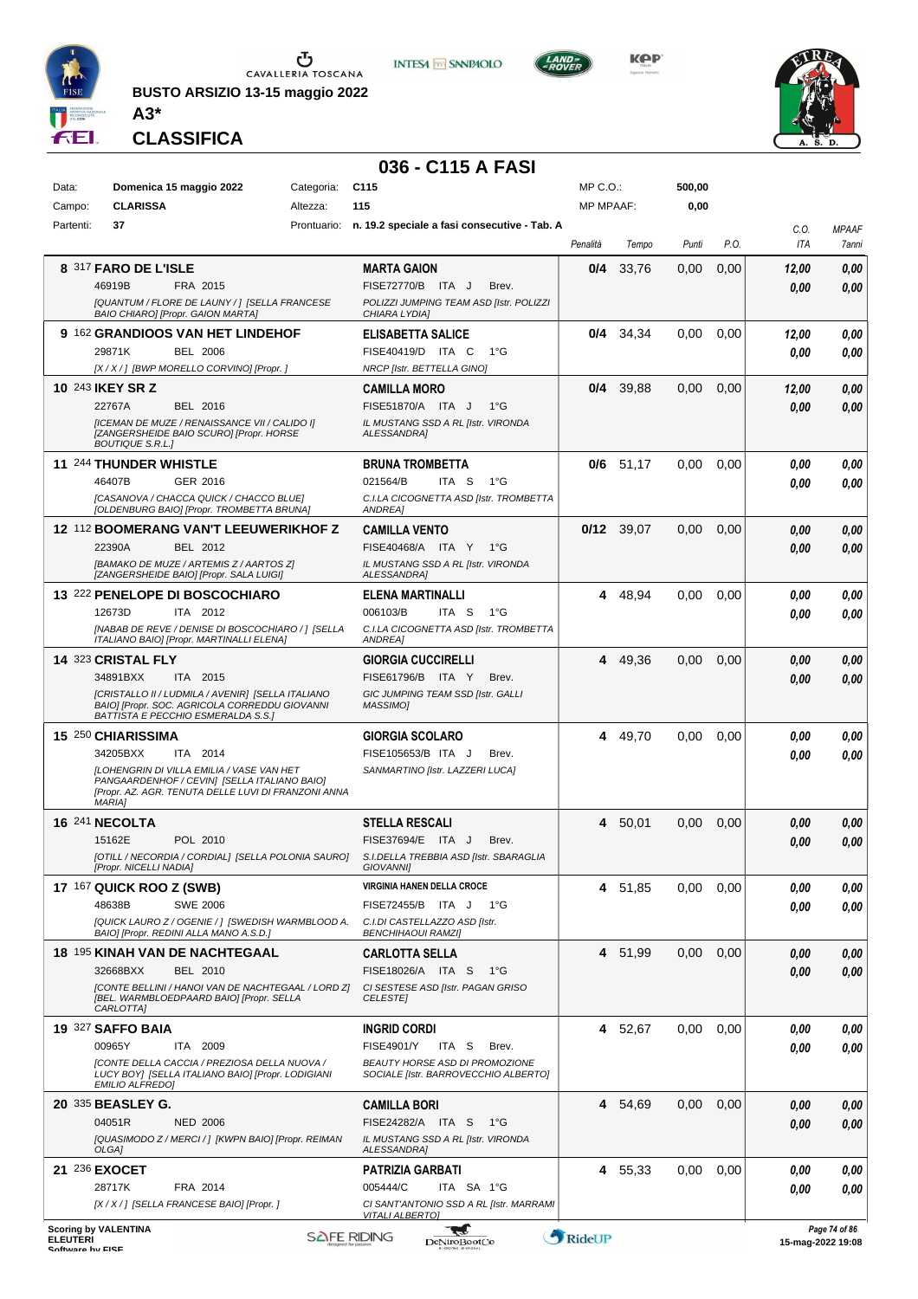

**BUSTO ARSIZIO 13-15 maggio 2022 A3\***



**KOP** 



**CLASSIFICA**

## **036 - C115 A FASI**

**INTESA M** SANPAOLO

| Data:           | Domenica 15 maggio 2022                                                                            | Categoria: | C <sub>115</sub>                                                         | $MP C. O.$ :     |              | 500,00 |      |       |                                          |
|-----------------|----------------------------------------------------------------------------------------------------|------------|--------------------------------------------------------------------------|------------------|--------------|--------|------|-------|------------------------------------------|
| Campo:          | <b>CLARISSA</b>                                                                                    | Altezza:   | 115                                                                      | <b>MP MPAAF:</b> |              | 0,00   |      |       |                                          |
| Partenti:       | 37                                                                                                 |            | Prontuario: n. 19.2 speciale a fasi consecutive - Tab. A                 |                  |              |        |      | C.O.  | <b>MPAAF</b>                             |
|                 |                                                                                                    |            |                                                                          | Penalità         | Tempo        | Punti  | P.O. | ITA   | 7anni                                    |
|                 | 8 317 FARO DE L'ISLE                                                                               |            | <b>MARTA GAION</b>                                                       | 0/4              | 33,76        | 0,00   | 0,00 | 12,00 | 0,00                                     |
|                 | 46919B<br>FRA 2015                                                                                 |            | FISE72770/B ITA J<br>Brev.                                               |                  |              |        |      | 0.00  | 0.00                                     |
|                 | [QUANTUM / FLORE DE LAUNY / ] [SELLA FRANCESE                                                      |            | POLIZZI JUMPING TEAM ASD [Istr. POLIZZI                                  |                  |              |        |      |       |                                          |
|                 | BAIO CHIARO] [Propr. GAION MARTA]                                                                  |            | CHIARA LYDIA]                                                            |                  |              |        |      |       |                                          |
|                 | 9 162 GRANDIOOS VAN HET LINDEHOF                                                                   |            | <b>ELISABETTA SALICE</b>                                                 | 0/4              | 34,34        | 0.00   | 0.00 | 12,00 | 0.00                                     |
|                 | 29871K<br><b>BEL 2006</b>                                                                          |            | FISE40419/D ITA C<br>$1^{\circ}G$                                        |                  |              |        |      | 0.00  | 0.00                                     |
|                 | [X / X / ] [BWP MORELLO CORVINO] [Propr. ]                                                         |            | NRCP [Istr. BETTELLA GINO]                                               |                  |              |        |      |       |                                          |
|                 | 10 243 IKEY SR Z                                                                                   |            | <b>CAMILLA MORO</b>                                                      | 0/4              | 39,88        | 0,00   | 0,00 | 12,00 | 0,00                                     |
|                 | 22767A<br>BEL 2016<br>[ICEMAN DE MUZE / RENAISSANCE VII / CALIDO I]                                |            | FISE51870/A ITA J<br>$1^{\circ}$ G<br>IL MUSTANG SSD A RL [Istr. VIRONDA |                  |              |        |      | 0.00  | 0.00                                     |
|                 | [ZANGERSHEIDE BAIO SCURO] [Propr. HORSE<br><b>BOUTIQUE S.R.L.]</b>                                 |            | <b>ALESSANDRA]</b>                                                       |                  |              |        |      |       |                                          |
|                 | 11 244 THUNDER WHISTLE                                                                             |            | <b>BRUNA TROMBETTA</b>                                                   |                  | $0/6$ 51,17  | 0,00   | 0,00 | 0.00  | 0,00                                     |
|                 | GER 2016<br>46407B                                                                                 |            | 021564/B<br>ITA <sub>S</sub><br>$1^{\circ}$ G                            |                  |              |        |      | 0.00  | 0.00                                     |
|                 | ICASANOVA / CHACCA QUICK / CHACCO BLUE]                                                            |            | C.I.LA CICOGNETTA ASD [Istr. TROMBETTA                                   |                  |              |        |      |       |                                          |
|                 | [OLDENBURG BAIO] [Propr. TROMBETTA BRUNA]                                                          |            | <b>ANDREA1</b>                                                           |                  |              |        |      |       |                                          |
|                 | 12 112 BOOMERANG VAN'T LEEUWERIKHOF Z                                                              |            | <b>CAMILLA VENTO</b>                                                     |                  | $0/12$ 39,07 | 0,00   | 0,00 | 0,00  | 0,00                                     |
|                 | 22390A<br>BEL 2012                                                                                 |            | FISE40468/A ITA Y<br>$1^{\circ}G$                                        |                  |              |        |      | 0.00  | 0,00                                     |
|                 | [BAMAKO DE MUZE / ARTEMIS Z / AARTOS Z]<br>[ZANGERSHEIDE BAIO] [Propr. SALA LUIGI]                 |            | IL MUSTANG SSD A RL [Istr. VIRONDA<br><b>ALESSANDRA1</b>                 |                  |              |        |      |       |                                          |
|                 | 13 222 PENELOPE DI BOSCOCHIARO                                                                     |            | <b>ELENA MARTINALLI</b>                                                  | 4                | 48,94        | 0.00   | 0,00 | 0,00  | 0,00                                     |
|                 | ITA 2012<br>12673D                                                                                 |            | 006103/B<br>ITA S<br>$1^{\circ}G$                                        |                  |              |        |      | 0.00  | 0.00                                     |
|                 | [NABAB DE REVE / DENISE DI BOSCOCHIARO / ] [SELLA                                                  |            | C.I.LA CICOGNETTA ASD [Istr. TROMBETTA                                   |                  |              |        |      |       |                                          |
|                 | ITALIANO BAIO] [Propr. MARTINALLI ELENA]                                                           |            | <b>ANDREA1</b>                                                           |                  |              |        |      |       |                                          |
|                 | 14 323 CRISTAL FLY                                                                                 |            | <b>GIORGIA CUCCIRELLI</b>                                                |                  | 4 49,36      | 0,00   | 0,00 | 0,00  | 0,00                                     |
|                 | 34891BXX<br>ITA 2015                                                                               |            | FISE61796/B ITA Y<br>Brev.                                               |                  |              |        |      | 0.00  | 0.00                                     |
|                 | [CRISTALLO II / LUDMILA / AVENIR] [SELLA ITALIANO<br>BAIO] [Propr. SOC. AGRICOLA CORREDDU GIOVANNI |            | GIC JUMPING TEAM SSD [Istr. GALLI<br>MASSIMO]                            |                  |              |        |      |       |                                          |
|                 | <b>BATTISTA E PECCHIO ESMERALDA S.S.1</b>                                                          |            |                                                                          |                  |              |        |      |       |                                          |
|                 | 15 250 CHIARISSIMA                                                                                 |            | <b>GIORGIA SCOLARO</b>                                                   | 4                | 49,70        | 0,00   | 0,00 | 0.00  | 0,00                                     |
|                 | 34205BXX<br>ITA 2014                                                                               |            | FISE105653/B ITA J<br>Brev.                                              |                  |              |        |      | 0.00  | 0.00                                     |
|                 | <b>[LOHENGRIN DI VILLA EMILIA / VASE VAN HET</b><br>PANGAARDENHOF / CEVINJ [SELLA ITALIANO BAIO]   |            | SANMARTINO [Istr. LAZZERI LUCA]                                          |                  |              |        |      |       |                                          |
|                 | [Propr. AZ. AGR. TENUTA DELLE LUVI DI FRANZONI ANNA<br><b>MARIA1</b>                               |            |                                                                          |                  |              |        |      |       |                                          |
|                 | 16 241 NECOLTA                                                                                     |            | <b>STELLA RESCALI</b>                                                    |                  | 4 50,01      | 0,00   | 0,00 | 0.00  | 0,00                                     |
|                 | 15162E<br>POL 2010                                                                                 |            | FISE37694/E ITA J<br>Brev.                                               |                  |              |        |      | 0.00  | 0.00                                     |
|                 | [OTILL / NECORDIA / CORDIAL] [SELLA POLONIA SAURO]                                                 |            | S.I.DELLA TREBBIA ASD [Istr. SBARAGLIA                                   |                  |              |        |      |       |                                          |
|                 | [Propr. NICELLI NADIA]                                                                             |            | GIOVANNI]                                                                |                  |              |        |      |       |                                          |
|                 | 17 167 QUICK ROO Z (SWB)                                                                           |            | VIRGINIA HANEN DELLA CROCE                                               |                  | 4 51,85      | 0,00   | 0,00 | 0,00  | 0,00                                     |
|                 | 48638B<br><b>SWE 2006</b><br>[QUICK LAURO Z / OGENIE / ] [SWEDISH WARMBLOOD A.                     |            | FISE72455/B ITA J<br>1°G<br>C.I.DI CASTELLAZZO ASD [Istr.                |                  |              |        |      | 0.00  | 0.00                                     |
|                 | BAIO] [Propr. REDINI ALLA MANO A.S.D.]                                                             |            | <b>BENCHIHAOUI RAMZI]</b>                                                |                  |              |        |      |       |                                          |
|                 | <b>18 195 KINAH VAN DE NACHTEGAAL</b>                                                              |            | <b>CARLOTTA SELLA</b>                                                    |                  | 4 51.99      | 0,00   | 0,00 | 0.00  | 0,00                                     |
|                 | BEL 2010<br>32668BXX                                                                               |            | FISE18026/A ITA S<br>1°G                                                 |                  |              |        |      | 0,00  | 0,00                                     |
|                 | [CONTE BELLINI / HANOI VAN DE NACHTEGAAL / LORD Z]                                                 |            | CI SESTESE ASD [Istr. PAGAN GRISO                                        |                  |              |        |      |       |                                          |
|                 | [BEL. WARMBLOEDPAARD BAIO] [Propr. SELLA<br>CARLOTTA]                                              |            | <b>CELESTEI</b>                                                          |                  |              |        |      |       |                                          |
|                 | 19 327 SAFFO BAIA                                                                                  |            | <b>INGRID CORDI</b>                                                      |                  | 4 52,67      | 0,00   | 0,00 | 0,00  | 0,00                                     |
|                 | 00965Y<br>ITA 2009                                                                                 |            | <b>FISE4901/Y</b><br>ITA S<br>Brev.                                      |                  |              |        |      | 0.00  | 0,00                                     |
|                 | [CONTE DELLA CACCIA / PREZIOSA DELLA NUOVA /                                                       |            | BEAUTY HORSE ASD DI PROMOZIONE                                           |                  |              |        |      |       |                                          |
|                 | LUCY BOY] [SELLA ITALIANO BAIO] [Propr. LODIGIANI<br><b>EMILIO ALFREDO]</b>                        |            | SOCIALE [Istr. BARROVECCHIO ALBERTO]                                     |                  |              |        |      |       |                                          |
|                 | 20 335 BEASLEY G.                                                                                  |            | <b>CAMILLA BORI</b>                                                      |                  | 4 54,69      | 0,00   | 0,00 | 0,00  | 0,00                                     |
|                 | 04051R<br><b>NED 2006</b>                                                                          |            | FISE24282/A ITA S<br>− 1°G                                               |                  |              |        |      | 0.00  | 0,00                                     |
|                 | [QUASIMODO Z / MERCI / ] [KWPN BAIO] [Propr. REIMAN                                                |            | IL MUSTANG SSD A RL [Istr. VIRONDA                                       |                  |              |        |      |       |                                          |
|                 | OLGA1                                                                                              |            | ALESSANDRA]                                                              |                  |              |        |      |       |                                          |
|                 | 21 236 EXOCET                                                                                      |            | <b>PATRIZIA GARBATI</b>                                                  |                  | 4 55,33      | 0,00   | 0.00 | 0,00  | 0,00                                     |
|                 | 28717K<br>FRA 2014                                                                                 |            | 005444/C<br>ITA SA 1°G<br>CI SANT'ANTONIO SSD A RL [Istr. MARRAMI        |                  |              |        |      | 0.00  | 0.00                                     |
|                 | [X / X / ] [SELLA FRANCESE BAIO] [Propr. ]                                                         |            | <b>VITALI ALBERTO)</b>                                                   |                  |              |        |      |       |                                          |
| <b>ELEUTERI</b> | <b>Scoring by VALENTINA</b>                                                                        |            | <b>SAFE RIDING</b><br>DeNiroBoot('o                                      | RideUP           |              |        |      |       | Page 74 of 86<br>$15 - ma - 202219 - 08$ |

ELEUTERI SOFTWARE SOFTWARE ORIGINAL DENTOROOTCO **Software in the second of the Software Control of the Software or the Software or the Software or the Software or the Software or the Software or the Software or the Softwar** 

$$
\circ \qquad \qquad \bullet
$$

*Page 74 of 86*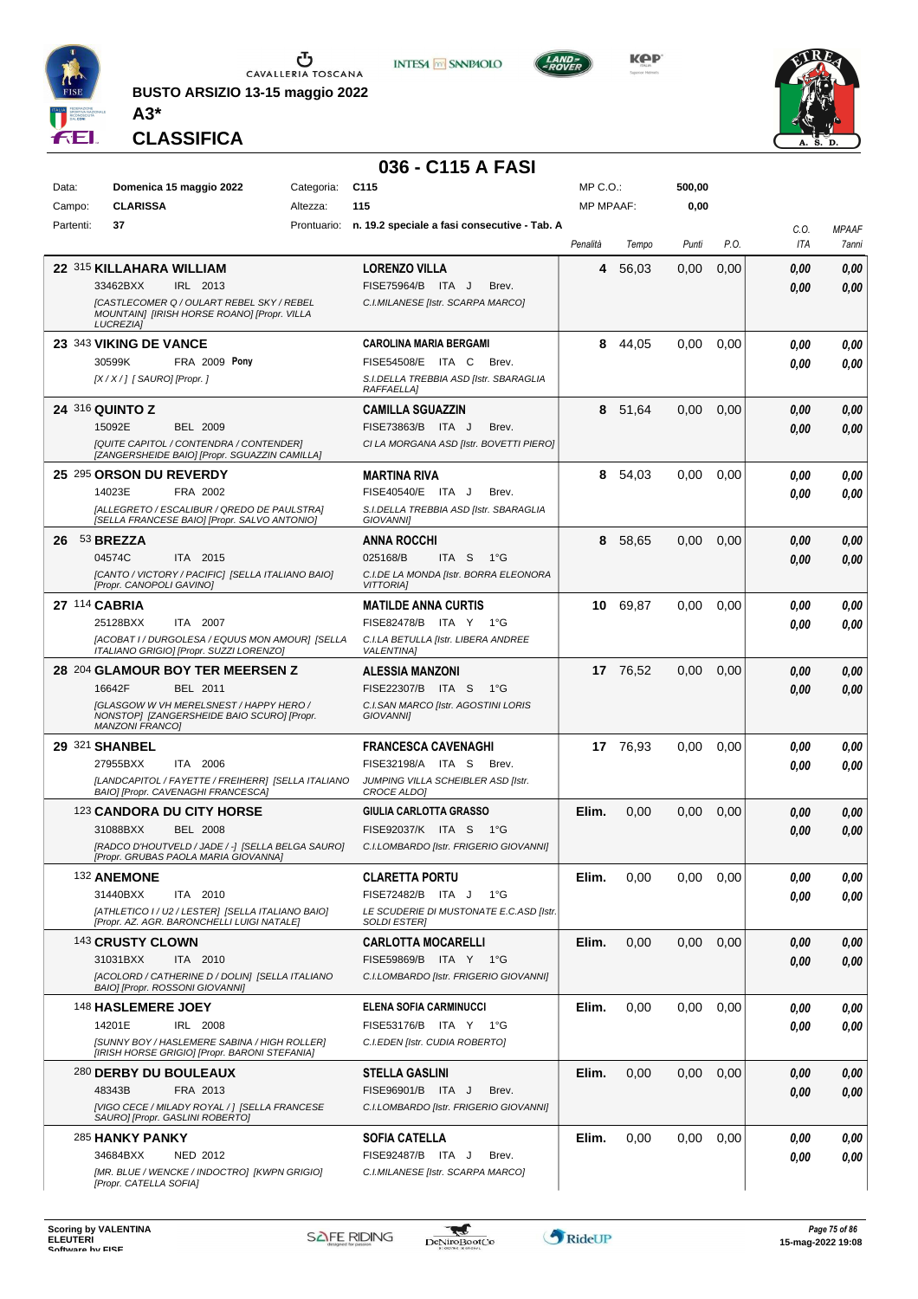

**BUSTO ARSIZIO 13-15 maggio 2022 A3\***



**KOP** 



**CLASSIFICA**

## **036 - C115 A FASI**

**INTESA M** SANPAOLO

| Data:     | Domenica 15 maggio 2022                                                                     | Categoria: | C <sub>115</sub>                                           | MP C.O.:         |          | 500,00      |      |          |              |
|-----------|---------------------------------------------------------------------------------------------|------------|------------------------------------------------------------|------------------|----------|-------------|------|----------|--------------|
| Campo:    | <b>CLARISSA</b>                                                                             | Altezza:   | 115                                                        | <b>MP MPAAF:</b> |          | 0,00        |      |          |              |
| Partenti: | 37                                                                                          |            | Prontuario: n. 19.2 speciale a fasi consecutive - Tab. A   |                  |          |             |      |          |              |
|           |                                                                                             |            |                                                            |                  |          |             |      | C.0.     | <b>MPAAF</b> |
|           |                                                                                             |            |                                                            | Penalità         | Tempo    | Punti       | P.O. | ITA      | 7anni        |
|           | 22 315 KILLAHARA WILLIAM                                                                    |            | <b>LORENZO VILLA</b>                                       | 4                | 56,03    | 0,00        | 0,00 | 0,00     | 0,00         |
|           | 33462BXX<br>IRL 2013                                                                        |            | FISE75964/B ITA J<br>Brev.                                 |                  |          |             |      | 0.00     | 0.00         |
|           | [CASTLECOMER Q / OULART REBEL SKY / REBEL                                                   |            | C.I.MILANESE [Istr. SCARPA MARCO]                          |                  |          |             |      |          |              |
|           | MOUNTAIN] [IRISH HORSE ROANO] [Propr. VILLA<br><b>LUCREZIA1</b>                             |            |                                                            |                  |          |             |      |          |              |
|           |                                                                                             |            |                                                            |                  |          |             |      |          |              |
|           | 23 343 VIKING DE VANCE                                                                      |            | <b>CAROLINA MARIA BERGAMI</b>                              | 8                | 44,05    | 0.00        | 0,00 | 0.00     | 0,00         |
|           | 30599K<br><b>FRA 2009 Pony</b>                                                              |            | FISE54508/E ITA C<br>Brev.                                 |                  |          |             |      | 0.00     | 0.00         |
|           | [X / X / ] [ SAURO] [Propr. ]                                                               |            | S.I.DELLA TREBBIA ASD [Istr. SBARAGLIA<br>RAFFAELLA]       |                  |          |             |      |          |              |
|           |                                                                                             |            |                                                            |                  |          |             |      |          |              |
|           | <b>24 316 QUINTO Z</b>                                                                      |            | <b>CAMILLA SGUAZZIN</b>                                    | 8                | 51,64    | 0,00        | 0,00 | 0,00     | 0,00         |
|           | 15092E<br><b>BEL 2009</b>                                                                   |            | FISE73863/B ITA J<br>Brev.                                 |                  |          |             |      | 0.00     | 0.00         |
|           | [QUITE CAPITOL / CONTENDRA / CONTENDER]<br>[ZANGERSHEIDE BAIO] [Propr. SGUAZZIN CAMILLA]    |            | CI LA MORGANA ASD [Istr. BOVETTI PIERO]                    |                  |          |             |      |          |              |
|           |                                                                                             |            |                                                            |                  |          |             |      |          |              |
|           | 25 295 ORSON DU REVERDY                                                                     |            | <b>MARTINA RIVA</b>                                        |                  | 8 54,03  | 0,00        | 0.00 | 0.00     | 0.00         |
|           | 14023E<br>FRA 2002                                                                          |            | FISE40540/E ITA J<br>Brev.                                 |                  |          |             |      | 0.00     | 0.00         |
|           | [ALLEGRETO / ESCALIBUR / QREDO DE PAULSTRA]<br>[SELLA FRANCESE BAIO] [Propr. SALVO ANTONIO] |            | S.I.DELLA TREBBIA ASD [Istr. SBARAGLIA<br><b>GIOVANNII</b> |                  |          |             |      |          |              |
| 26        | <sup>53</sup> BREZZA                                                                        |            | <b>ANNA ROCCHI</b>                                         | 8                | 58,65    | 0,00        | 0,00 | 0.00     | 0.00         |
|           | 04574C<br>ITA 2015                                                                          |            | 025168/B<br>ITA <sub>S</sub><br>$1^{\circ}G$               |                  |          |             |      |          |              |
|           | [CANTO / VICTORY / PACIFIC] [SELLA ITALIANO BAIO]                                           |            |                                                            |                  |          |             |      | 0.00     | 0,00         |
|           | [Propr. CANOPOLI GAVINO]                                                                    |            | C.I.DE LA MONDA [Istr. BORRA ELEONORA<br><b>VITTORIAI</b>  |                  |          |             |      |          |              |
|           | 27 114 CABRIA                                                                               |            | <b>MATILDE ANNA CURTIS</b>                                 | 10               | 69,87    | 0,00        | 0,00 | 0.00     | 0.00         |
|           | 25128BXX<br>ITA 2007                                                                        |            | FISE82478/B ITA Y 1°G                                      |                  |          |             |      | 0.00     | 0.00         |
|           | [ACOBAT I / DURGOLESA / EQUUS MON AMOUR] [SELLA                                             |            | C.I.LA BETULLA [Istr. LIBERA ANDREE                        |                  |          |             |      |          |              |
|           | ITALIANO GRIGIO] [Propr. SUZZI LORENZO]                                                     |            | <b>VALENTINA1</b>                                          |                  |          |             |      |          |              |
|           | 28 204 GLAMOUR BOY TER MEERSEN Z                                                            |            | <b>ALESSIA MANZONI</b>                                     |                  | 17 76,52 | 0,00        | 0,00 | 0,00     | 0,00         |
|           | 16642F<br>BEL 2011                                                                          |            | FISE22307/B ITA S<br>$1^{\circ}G$                          |                  |          |             |      | 0.00     | 0,00         |
|           | <b>IGLASGOW W VH MERELSNEST / HAPPY HERO /</b>                                              |            | C.I.SAN MARCO [Istr. AGOSTINI LORIS                        |                  |          |             |      |          |              |
|           | NONSTOP] [ZANGERSHEIDE BAIO SCURO] [Propr.<br><b>MANZONI FRANCO]</b>                        |            | <b>GIOVANNII</b>                                           |                  |          |             |      |          |              |
|           |                                                                                             |            |                                                            |                  |          |             |      |          |              |
|           | 29 321 SHANBEL                                                                              |            | <b>FRANCESCA CAVENAGHI</b>                                 |                  | 17 76,93 | 0.00        | 0.00 | 0,00     | 0,00         |
|           | 27955BXX<br>ITA 2006                                                                        |            | FISE32198/A ITA S<br>Brev.                                 |                  |          |             |      | 0.00     | 0.00         |
|           | [LANDCAPITOL / FAYETTE / FREIHERR] [SELLA ITALIANO<br>BAIO] [Propr. CAVENAGHI FRANCESCA]    |            | JUMPING VILLA SCHEIBLER ASD [Istr.<br>CROCE ALDO]          |                  |          |             |      |          |              |
|           | 123 CANDORA DU CITY HORSE                                                                   |            | GIULIA CARLOTTA GRASSO                                     | Elim.            | 0,00     | 0,00        | 0,00 | 0,00     |              |
|           | <b>BEL 2008</b>                                                                             |            | FISE92037/K ITA S                                          |                  |          |             |      |          | 0,00         |
|           | 31088BXX                                                                                    |            | 1°G                                                        |                  |          |             |      | 0.00     | 0.00         |
|           | [RADCO D'HOUTVELD / JADE / -] [SELLA BELGA SAURO]<br>[Propr. GRUBAS PAOLA MARIA GIOVANNA]   |            | C.I.LOMBARDO [Istr. FRIGERIO GIOVANNI]                     |                  |          |             |      |          |              |
|           | 132 ANEMONE                                                                                 |            | <b>CLARETTA PORTU</b>                                      | Elim.            | 0,00     | $0,00$ 0,00 |      | $0,\!00$ | 0,00         |
|           | 31440BXX<br>ITA 2010                                                                        |            | FISE72482/B ITA J<br>1°G                                   |                  |          |             |      | 0.00     | 0.00         |
|           | [ATHLETICO I / U2 / LESTER] [SELLA ITALIANO BAIO]                                           |            | LE SCUDERIE DI MUSTONATE E.C.ASD [Istr.                    |                  |          |             |      |          |              |
|           | [Propr. AZ. AGR. BARONCHELLI LUIGI NATALE]                                                  |            | <b>SOLDI ESTERI</b>                                        |                  |          |             |      |          |              |
|           | 143 CRUSTY CLOWN                                                                            |            | <b>CARLOTTA MOCARELLI</b>                                  | Elim.            | 0,00     | 0,00        | 0,00 | 0.00     | 0,00         |
|           | 31031BXX<br>ITA 2010                                                                        |            | FISE59869/B ITA Y 1°G                                      |                  |          |             |      | 0,00     | 0.00         |
|           | [ACOLORD / CATHERINE D / DOLIN] [SELLA ITALIANO                                             |            | C.I.LOMBARDO [Istr. FRIGERIO GIOVANNI]                     |                  |          |             |      |          |              |
|           | BAIO] [Propr. ROSSONI GIOVANNI]                                                             |            |                                                            |                  |          |             |      |          |              |
|           | 148 HASLEMERE JOEY                                                                          |            | <b>ELENA SOFIA CARMINUCCI</b>                              | Elim.            | 0,00     | 0,00        | 0.00 | 0,00     | 0,00         |
|           | 14201E<br>IRL 2008                                                                          |            | FISE53176/B ITA Y 1°G                                      |                  |          |             |      | 0.00     | 0.00         |
|           | [SUNNY BOY / HASLEMERE SABINA / HIGH ROLLER]                                                |            | C.I.EDEN [Istr. CUDIA ROBERTO]                             |                  |          |             |      |          |              |
|           | [IRISH HORSE GRIGIO] [Propr. BARONI STEFANIA]                                               |            |                                                            |                  |          |             |      |          |              |
|           | 280 DERBY DU BOULEAUX                                                                       |            | <b>STELLA GASLINI</b>                                      | Elim.            | 0,00     | 0,00        | 0,00 | 0,00     | 0,00         |
|           | 48343B<br>FRA 2013                                                                          |            | FISE96901/B ITA J<br>Brev.                                 |                  |          |             |      | 0.00     | 0,00         |
|           | [VIGO CECE / MILADY ROYAL / ] [SELLA FRANCESE                                               |            | C.I.LOMBARDO [Istr. FRIGERIO GIOVANNI]                     |                  |          |             |      |          |              |
|           | SAURO] [Propr. GASLINI ROBERTO]                                                             |            |                                                            |                  |          |             |      |          |              |
|           | 285 HANKY PANKY                                                                             |            | <b>SOFIA CATELLA</b>                                       | Elim.            | 0,00     | $0.00\,$    | 0,00 | 0,00     | 0,00         |
|           | 34684BXX<br>NED 2012                                                                        |            | FISE92487/B ITA J<br>Brev.                                 |                  |          |             |      | 0.00     | 0,00         |
|           | [MR. BLUE / WENCKE / INDOCTRO] [KWPN GRIGIO]<br>[Propr. CATELLA SOFIA]                      |            | C.I.MILANESE [Istr. SCARPA MARCO]                          |                  |          |             |      |          |              |
|           |                                                                                             |            |                                                            |                  |          |             |      |          |              |

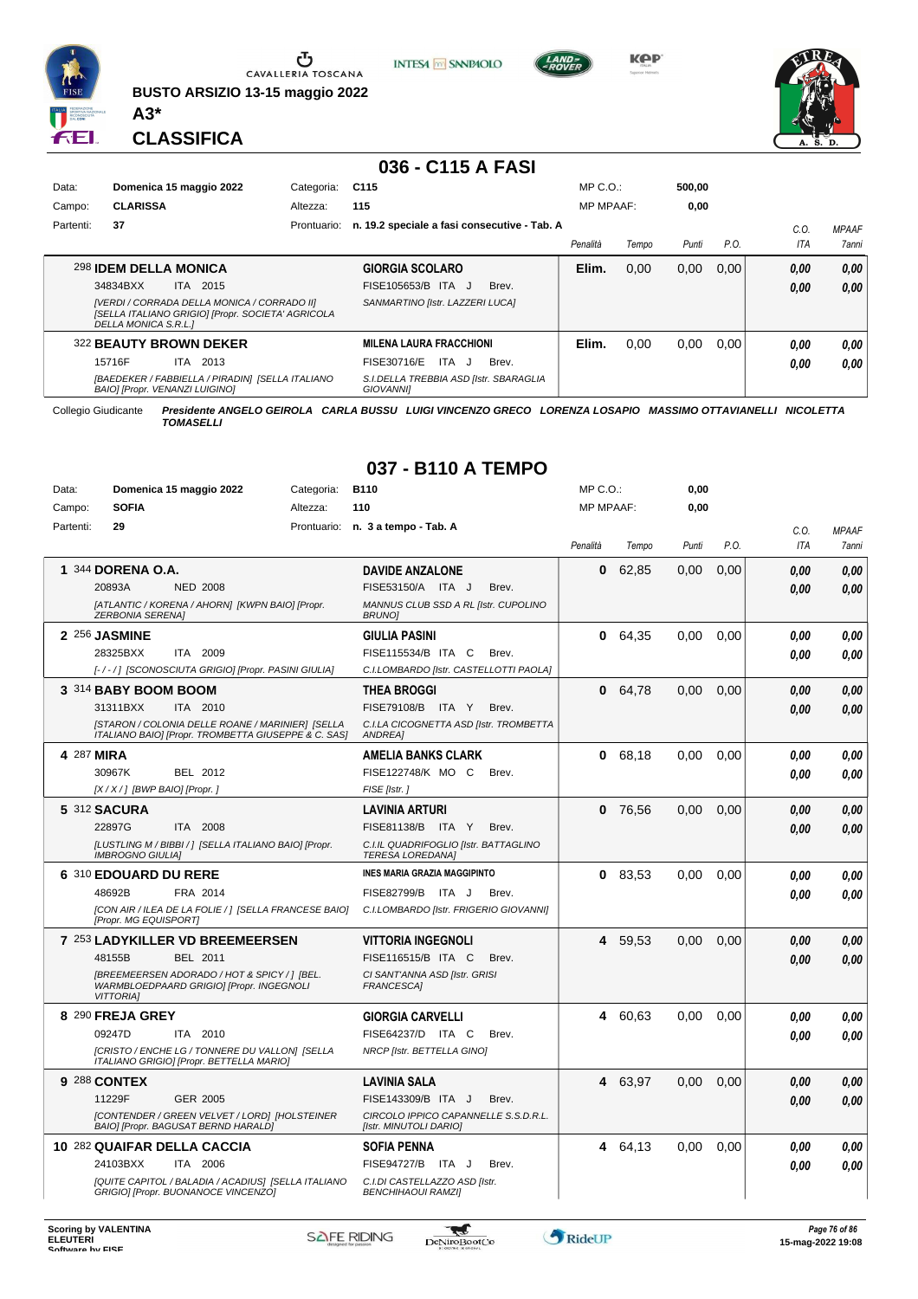

Ⴠ CAVALLERIA TOSCANA

**BUSTO ARSIZIO 13-15 maggio 2022**



**KOP** 

MP C.O.:

**0,00**



**CLASSIFICA**

**A3\***

Data: **Domenica 15 maggio 2022** Categoria: B110

#### **036 - C115 A FASI**

**INTESA** M SANPAOLO

| Data:     | Domenica 15 maggio 2022        |      |                                             | Categoria:                                        | C <sub>115</sub>                                           |       | $MP C. O.$ :     |       | 500.00 |       |      |              |
|-----------|--------------------------------|------|---------------------------------------------|---------------------------------------------------|------------------------------------------------------------|-------|------------------|-------|--------|-------|------|--------------|
| Campo:    | <b>CLARISSA</b>                |      |                                             | Altezza:                                          | 115                                                        |       | <b>MP MPAAF:</b> |       | 0,00   |       |      |              |
| Partenti: | 37                             |      |                                             | Prontuario:                                       | n. 19.2 speciale a fasi consecutive - Tab. A               |       |                  |       |        |       | C.0  | <b>MPAAF</b> |
|           |                                |      |                                             |                                                   |                                                            |       | Penalità         | Tempo | Punti  | P.O.  | ITA  | 7anni        |
|           | 298 IDEM DELLA MONICA          |      |                                             |                                                   | <b>GIORGIA SCOLARO</b>                                     |       | Elim.            | 0.00  | 0,00   | 0.001 | 0,00 | 0.00         |
|           | 34834BXX                       |      | ITA 2015                                    |                                                   | FISE105653/B ITA J                                         | Brev. |                  |       |        |       | 0.00 | 0,00         |
|           | DELLA MONICA S.R.L.1           |      | [VERDI / CORRADA DELLA MONICA / CORRADO II] | [SELLA ITALIANO GRIGIO] [Propr. SOCIETA' AGRICOLA | SANMARTINO [Istr. LAZZERI LUCA]                            |       |                  |       |        |       |      |              |
|           | 322 BEAUTY BROWN DEKER         |      |                                             |                                                   | <b>MILENA LAURA FRACCHIONI</b>                             |       | Elim.            | 0.00  | 0.00   | 0.00  | 0,00 | 0.00         |
|           | 15716F                         | ITA. | 2013                                        |                                                   | FISE30716/E<br>ITA J                                       | Brev. |                  |       |        |       | 0.00 | 0.00         |
|           | BAIO] [Propr. VENANZI LUIGINO] |      |                                             | [BAEDEKER / FABBIELLA / PIRADIN] [SELLA ITALIANO  | S.I.DELLA TREBBIA ASD [Istr. SBARAGLIA<br><b>GIOVANNII</b> |       |                  |       |        |       |      |              |

Collegio Giudicante *Presidente ANGELO GEIROLA CARLA BUSSU LUIGI VINCENZO GRECO LORENZA LOSAPIO MASSIMO OTTAVIANELLI NICOLETTA TOMASELLI*

## **037 - B110 A TEMPO**

| Campo:    | <b>SOFIA</b>                  | Altezza:                                                                                                | 110                                                              | <b>MP MPAAF:</b> |         | 0.00  |      |      |              |
|-----------|-------------------------------|---------------------------------------------------------------------------------------------------------|------------------------------------------------------------------|------------------|---------|-------|------|------|--------------|
| Partenti: | 29                            | Prontuario:                                                                                             | n. 3 a tempo - Tab. A                                            |                  |         |       |      | C.0. | <b>MPAAF</b> |
|           |                               |                                                                                                         |                                                                  | Penalità         | Tempo   | Punti | P.O. | ITA  | 7anni        |
|           | 1 344 DORENA O.A.             |                                                                                                         | <b>DAVIDE ANZALONE</b>                                           | 0                | 62,85   | 0.00  | 0.00 | 0,00 | 0.00         |
|           | 20893A                        | <b>NED 2008</b>                                                                                         | FISE53150/A ITA J<br>Brev.                                       |                  |         |       |      | 0.00 | 0.00         |
|           | <b>ZERBONIA SERENAI</b>       | [ATLANTIC / KORENA / AHORN] [KWPN BAIO] [Propr.                                                         | MANNUS CLUB SSD A RL [Istr. CUPOLINO<br><b>BRUNOI</b>            |                  |         |       |      |      |              |
|           | 2 256 JASMINE                 |                                                                                                         | <b>GIULIA PASINI</b>                                             | 0                | 64.35   | 0.00  | 0.00 | 0.00 | 0.00         |
|           | 28325BXX                      | ITA 2009                                                                                                | FISE115534/B ITA C<br>Brev.                                      |                  |         |       |      | 0.00 | 0.00         |
|           |                               | [-/-/] [SCONOSCIUTA GRIGIO] [Propr. PASINI GIULIA]                                                      | C.I.LOMBARDO [Istr. CASTELLOTTI PAOLA]                           |                  |         |       |      |      |              |
|           | 3 314 BABY BOOM BOOM          |                                                                                                         | THEA BROGGI                                                      | 0                | 64.78   | 0.00  | 0,00 | 0.00 | 0,00         |
|           | 31311BXX                      | ITA 2010                                                                                                | FISE79108/B ITA Y<br>Brev.                                       |                  |         |       |      | 0.00 | 0.00         |
|           |                               | [STARON / COLONIA DELLE ROANE / MARINIER] [SELLA<br>ITALIANO BAIO] [Propr. TROMBETTA GIUSEPPE & C. SAS] | C.I.LA CICOGNETTA ASD [Istr. TROMBETTA<br><b>ANDREA</b>          |                  |         |       |      |      |              |
|           | 4 287 MIRA                    |                                                                                                         | AMELIA BANKS CLARK                                               |                  | 0 68,18 | 0.00  | 0.00 | 0.00 | 0.00         |
|           | 30967K                        | BEL 2012                                                                                                | FISE122748/K MO C<br>Brev.                                       |                  |         |       |      | 0.00 | 0,00         |
|           | $[X/X/$ ] [BWP BAIO] [Propr.] |                                                                                                         | FISE [Istr.]                                                     |                  |         |       |      |      |              |
|           | <b>5 312 SACURA</b>           |                                                                                                         | <b>LAVINIA ARTURI</b>                                            | 0                | 76,56   | 0,00  | 0,00 | 0.00 | 0,00         |
|           | 22897G                        | ITA 2008                                                                                                | FISE81138/B<br>ITA Y<br>Brev.                                    |                  |         |       |      | 0.00 | 0,00         |
|           | <b>IMBROGNO GIULIAI</b>       | [LUSTLING M / BIBBI / ] [SELLA ITALIANO BAIO] [Propr.                                                   | C.I.IL QUADRIFOGLIO [Istr. BATTAGLINO<br><b>TERESA LOREDANA]</b> |                  |         |       |      |      |              |
|           | 6 310 EDOUARD DU RERE         |                                                                                                         | INES MARIA GRAZIA MAGGIPINTO                                     |                  | 083,53  | 0,00  | 0,00 | 0.00 | 0,00         |
|           | 48692B                        | FRA 2014                                                                                                | FISE82799/B<br>ITA J<br>Brev.                                    |                  |         |       |      | 0.00 | 0.00         |
|           | [Propr. MG EQUISPORT]         | [CON AIR / ILEA DE LA FOLIE / 1 [SELLA FRANCESE BAIO]                                                   | C.I.LOMBARDO [Istr. FRIGERIO GIOVANNI]                           |                  |         |       |      |      |              |
|           |                               | 7 253 LADYKILLER VD BREEMEERSEN                                                                         | <b>VITTORIA INGEGNOLI</b>                                        | 4                | 59,53   | 0.00  | 0.00 | 0.00 | 0.00         |
|           | 48155B                        | <b>BEL 2011</b>                                                                                         | FISE116515/B ITA C<br>Brev.                                      |                  |         |       |      | 0.00 | 0.00         |
|           | <b>VITTORIAI</b>              | [BREEMEERSEN ADORADO / HOT & SPICY / ] [BEL.<br>WARMBLOEDPAARD GRIGIO] [Propr. INGEGNOLI                | CI SANT'ANNA ASD [Istr. GRISI<br><b>FRANCESCA1</b>               |                  |         |       |      |      |              |
|           | 8 290 FREJA GREY              |                                                                                                         | <b>GIORGIA CARVELLI</b>                                          | 4                | 60,63   | 0,00  | 0,00 | 0.00 | 0,00         |
|           | 09247D                        | ITA 2010                                                                                                | FISE64237/D ITA C<br>Brev.                                       |                  |         |       |      | 0.00 | 0.00         |
|           |                               | [CRISTO / ENCHE LG / TONNERE DU VALLON] [SELLA<br>ITALIANO GRIGIO] [Propr. BETTELLA MARIO]              | NRCP [Istr. BETTELLA GINO]                                       |                  |         |       |      |      |              |
|           | 9 288 CONTEX                  |                                                                                                         | LAVINIA SALA                                                     |                  | 4 63,97 | 0,00  | 0,00 | 0.00 | 0,00         |
|           | 11229F                        | <b>GER 2005</b>                                                                                         | FISE143309/B ITA J<br>Brev.                                      |                  |         |       |      | 0.00 | 0.00         |
|           |                               | [CONTENDER / GREEN VELVET / LORD] [HOLSTEINER<br>BAIO] [Propr. BAGUSAT BERND HARALD]                    | CIRCOLO IPPICO CAPANNELLE S.S.D.R.L.<br>[Istr. MINUTOLI DARIO]   |                  |         |       |      |      |              |
|           |                               | 10 282 QUAIFAR DELLA CACCIA                                                                             | <b>SOFIA PENNA</b>                                               | 4                | 64,13   | 0,00  | 0,00 | 0.00 | 0.00         |
|           | 24103BXX                      | ITA 2006                                                                                                | <b>FISE94727/B</b><br>ITA J<br>Brev.                             |                  |         |       |      | 0.00 | 0.00         |
|           |                               | [QUITE CAPITOL / BALADIA / ACADIUS] [SELLA ITALIANO<br>GRIGIO] [Propr. BUONANOCE VINCENZO]              | C.I.DI CASTELLAZZO ASD [Istr.<br><b>BENCHIHAOUI RAMZII</b>       |                  |         |       |      |      |              |

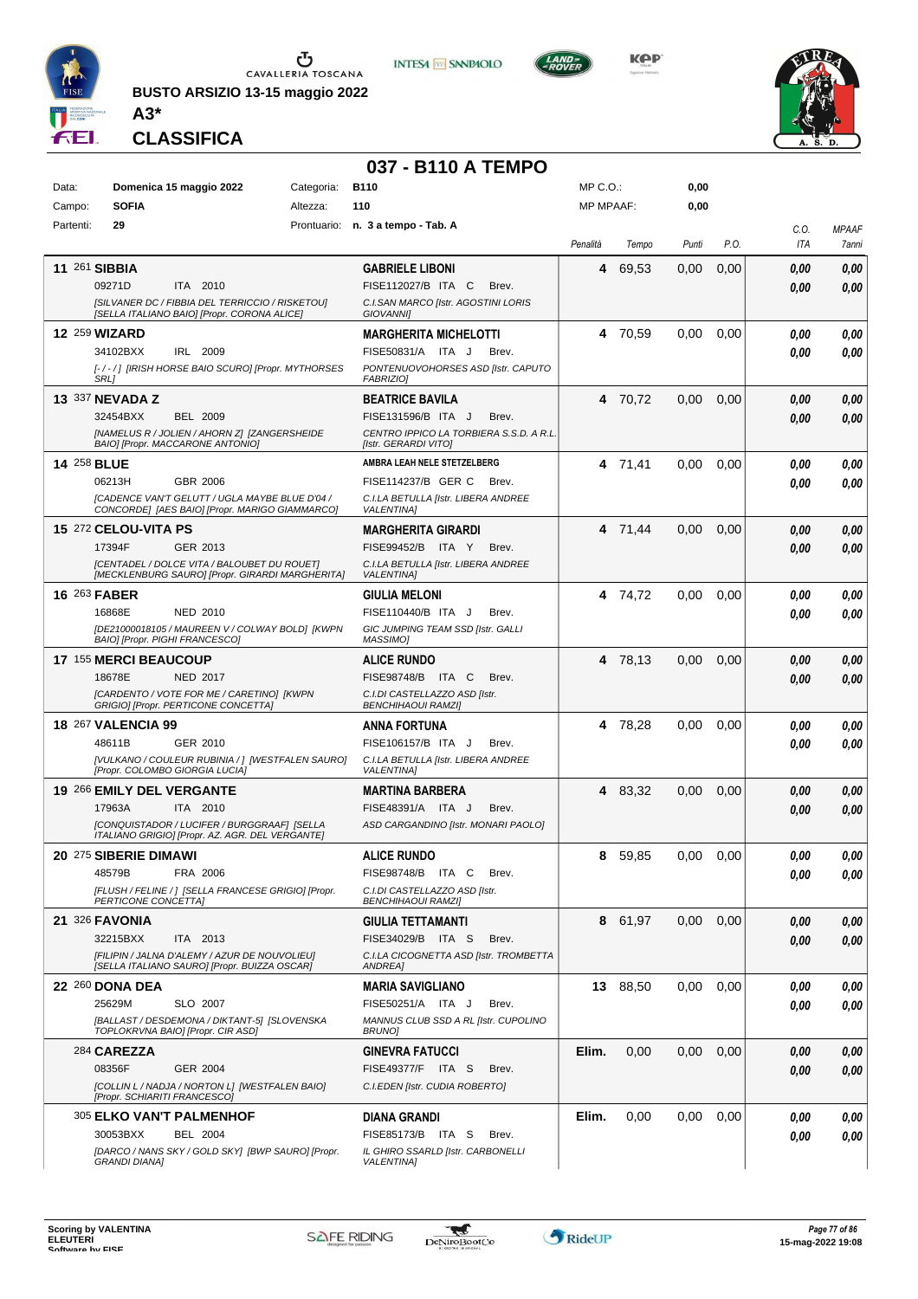

**BUSTO ARSIZIO 13-15 maggio 2022 A3\***



**KOP** 

**0,00**

MP C.O.:



**CLASSIFICA**

Data: **Domenica 15 maggio 2022** Categoria: B110

#### **037 - B110 A TEMPO**

| Campo:             | <b>SOFIA</b>                 | Altezza:                                                                                                | 110                                                                    | <b>MP MPAAF:</b> |          | 0,00  |      |      |              |
|--------------------|------------------------------|---------------------------------------------------------------------------------------------------------|------------------------------------------------------------------------|------------------|----------|-------|------|------|--------------|
| Partenti:          | 29                           |                                                                                                         | Prontuario: n. 3 a tempo - Tab. A                                      |                  |          |       |      | C.0. | <b>MPAAF</b> |
|                    |                              |                                                                                                         |                                                                        | Penalità         | Tempo    | Punti | P.O. | ITA  | 7anni        |
|                    | 11 261 SIBBIA                |                                                                                                         | <b>GABRIELE LIBONI</b>                                                 | 4                | 69,53    | 0,00  | 0,00 | 0.00 | 0,00         |
|                    | 09271D                       | ITA 2010                                                                                                | FISE112027/B ITA C<br>Brev.                                            |                  |          |       |      | 0,00 | 0,00         |
|                    |                              | [SILVANER DC / FIBBIA DEL TERRICCIO / RISKETOU]<br>[SELLA ITALIANO BAIO] [Propr. CORONA ALICE]          | C.I.SAN MARCO [Istr. AGOSTINI LORIS<br><b>GIOVANNII</b>                |                  |          |       |      |      |              |
|                    | <b>12 259 WIZARD</b>         |                                                                                                         | <b>MARGHERITA MICHELOTTI</b>                                           | 4                | 70,59    | 0,00  | 0,00 | 0.00 | 0,00         |
|                    | 34102BXX                     | IRL 2009                                                                                                | FISE50831/A ITA J<br>Brev.                                             |                  |          |       |      | 0.00 | 0,00         |
|                    |                              | [-/-/] [IRISH HORSE BAIO SCURO] [Propr. MYTHORSES                                                       | PONTENUOVOHORSES ASD [Istr. CAPUTO                                     |                  |          |       |      |      |              |
|                    | SRL1                         |                                                                                                         | <b>FABRIZIO)</b>                                                       |                  |          |       |      |      |              |
|                    | 13 337 NEVADA Z              |                                                                                                         | <b>BEATRICE BAVILA</b>                                                 |                  | 4 70,72  | 0,00  | 0,00 | 0,00 | 0,00         |
|                    | 32454BXX                     | <b>BEL 2009</b><br>[NAMELUS R / JOLIEN / AHORN Z] [ZANGERSHEIDE                                         | FISE131596/B ITA J<br>Brev.<br>CENTRO IPPICO LA TORBIERA S.S.D. A R.L. |                  |          |       |      | 0,00 | 0,00         |
|                    |                              | BAIO] [Propr. MACCARONE ANTONIO]                                                                        | [Istr. GERARDI VITO]                                                   |                  |          |       |      |      |              |
| <b>14 258 BLUE</b> |                              |                                                                                                         | AMBRA LEAH NELE STETZELBERG                                            |                  | 4 71,41  | 0.00  | 0,00 | 0.00 | 0,00         |
|                    | 06213H                       | GBR 2006                                                                                                | FISE114237/B GER C<br>Brev.                                            |                  |          |       |      | 0.00 | 0.00         |
|                    |                              | <b>[CADENCE VAN'T GELUTT / UGLA MAYBE BLUE D'04 /</b><br>CONCORDE] [AES BAIO] [Propr. MARIGO GIAMMARCO] | C.I.LA BETULLA [Istr. LIBERA ANDREE<br><b>VALENTINA1</b>               |                  |          |       |      |      |              |
|                    | 15 272 CELOU-VITA PS         |                                                                                                         | <b>MARGHERITA GIRARDI</b>                                              |                  | 4 71,44  | 0,00  | 0,00 | 0,00 | 0,00         |
|                    | 17394F                       | GER 2013                                                                                                | FISE99452/B ITA Y<br>Brev.                                             |                  |          |       |      | 0,00 | 0,00         |
|                    |                              | [CENTADEL / DOLCE VITA / BALOUBET DU ROUET]<br>[MECKLENBURG SAURO] [Propr. GIRARDI MARGHERITA]          | C.I.LA BETULLA [Istr. LIBERA ANDREE<br><b>VALENTINAI</b>               |                  |          |       |      |      |              |
|                    | <b>16 263 FABER</b>          |                                                                                                         | <b>GIULIA MELONI</b>                                                   |                  | 4 74,72  | 0.00  | 0,00 | 0.00 | 0,00         |
|                    | 16868E                       | NED 2010                                                                                                | FISE110440/B ITA J<br>Brev.                                            |                  |          |       |      | 0.00 | 0.00         |
|                    |                              | [DE21000018105 / MAUREEN V / COLWAY BOLD] [KWPN<br>BAIO] [Propr. PIGHI FRANCESCO]                       | GIC JUMPING TEAM SSD [Istr. GALLI<br><b>MASSIMO1</b>                   |                  |          |       |      |      |              |
|                    | <b>17 155 MERCI BEAUCOUP</b> |                                                                                                         | <b>ALICE RUNDO</b>                                                     |                  | 4 78,13  | 0,00  | 0,00 | 0,00 | 0,00         |
|                    | 18678E                       | <b>NED 2017</b>                                                                                         | FISE98748/B ITA C<br>Brev.                                             |                  |          |       |      | 0.00 | 0.00         |
|                    |                              | [CARDENTO / VOTE FOR ME / CARETINO] [KWPN<br>GRIGIO] [Propr. PERTICONE CONCETTA]                        | C.I.DI CASTELLAZZO ASD [Istr.<br><b>BENCHIHAOUI RAMZI]</b>             |                  |          |       |      |      |              |
|                    | 18 267 VALENCIA 99           |                                                                                                         | ANNA FORTUNA                                                           |                  | 4 78,28  | 0,00  | 0,00 | 0.00 | 0,00         |
|                    | 48611B                       | GER 2010                                                                                                | FISE106157/B ITA J<br>Brev.                                            |                  |          |       |      | 0.00 | 0.00         |
|                    |                              | IVULKANO / COULEUR RUBINIA /   [WESTFALEN SAURO]<br>[Propr. COLOMBO GIORGIA LUCIA]                      | C.I.LA BETULLA [Istr. LIBERA ANDREE<br><b>VALENTINA]</b>               |                  |          |       |      |      |              |
|                    | 19 266 EMILY DEL VERGANTE    |                                                                                                         | <b>MARTINA BARBERA</b>                                                 | 4                | 83,32    | 0,00  | 0,00 | 0,00 | 0,00         |
|                    | 17963A                       | ITA 2010                                                                                                | FISE48391/A ITA J<br>Brev.                                             |                  |          |       |      | 0.00 | 0.00         |
|                    |                              | [CONQUISTADOR / LUCIFER / BURGGRAAF] [SELLA<br>ITALIANO GRIGIO] [Propr. AZ. AGR. DEL VERGANTE]          | ASD CARGANDINO [Istr. MONARI PAOLO]                                    |                  |          |       |      |      |              |
|                    | 20 275 SIBERIE DIMAWI        |                                                                                                         | <b>ALICE RUNDO</b>                                                     | 8                | 59,85    | 0.00  | 0,00 | 0.00 | 0,00         |
|                    | 48579B                       | FRA 2006                                                                                                | FISE98748/B ITA C<br>Brev.                                             |                  |          |       |      | 0.00 | 0.00         |
|                    | PERTICONE CONCETTA]          | [FLUSH / FELINE / ] [SELLA FRANCESE GRIGIO] [Propr.                                                     | C.I.DI CASTELLAZZO ASD [Istr.<br>BENCHIHAOUI RAMZI]                    |                  |          |       |      |      |              |
|                    | 21 326 FAVONIA               |                                                                                                         | GIULIA TETTAMANTI                                                      |                  | 8 61,97  | 0,00  | 0,00 | 0.00 | 0,00         |
|                    | 32215BXX                     | ITA 2013                                                                                                | FISE34029/B ITA S<br>Brev.                                             |                  |          |       |      | 0.00 | 0,00         |
|                    |                              | [FILIPIN / JALNA D'ALEMY / AZUR DE NOUVOLIEU]<br>[SELLA ITALIANO SAURO] [Propr. BUIZZA OSCAR]           | C.I.LA CICOGNETTA ASD [Istr. TROMBETTA<br>ANDREA]                      |                  |          |       |      |      |              |
|                    | 22 260 DONA DEA              |                                                                                                         | <b>MARIA SAVIGLIANO</b>                                                |                  | 13 88,50 | 0,00  | 0,00 | 0.00 | 0,00         |
|                    | 25629M                       | SLO 2007                                                                                                | FISE50251/A ITA J<br>Brev.                                             |                  |          |       |      | 0,00 | 0,00         |
|                    |                              | [BALLAST / DESDEMONA / DIKTANT-5] [SLOVENSKA<br>TOPLOKRVNA BAIO] [Propr. CIR ASD]                       | MANNUS CLUB SSD A RL [Istr. CUPOLINO<br><b>BRUNO</b>                   |                  |          |       |      |      |              |
|                    | 284 CAREZZA                  |                                                                                                         | <b>GINEVRA FATUCCI</b>                                                 | Elim.            | 0,00     | 0,00  | 0,00 | 0.00 | 0,00         |
|                    | 08356F                       | <b>GER 2004</b>                                                                                         | FISE49377/F ITA S<br>Brev.                                             |                  |          |       |      | 0,00 | 0,00         |
|                    | [Propr. SCHIARITI FRANCESCO] | [COLLIN L / NADJA / NORTON L] [WESTFALEN BAIO]                                                          | C.I.EDEN [Istr. CUDIA ROBERTO]                                         |                  |          |       |      |      |              |
|                    |                              | <sup>305</sup> ELKO VAN'T PALMENHOF                                                                     | DIANA GRANDI                                                           | Elim.            | 0,00     | 0,00  | 0,00 | 0.00 | 0,00         |
|                    | 30053BXX                     | BEL 2004                                                                                                | FISE85173/B ITA S<br>Brev.                                             |                  |          |       |      | 0,00 | 0,00         |
|                    | <b>GRANDI DIANA]</b>         | [DARCO / NANS SKY / GOLD SKY] [BWP SAURO] [Propr.                                                       | IL GHIRO SSARLD [Istr. CARBONELLI<br><b>VALENTINA1</b>                 |                  |          |       |      |      |              |

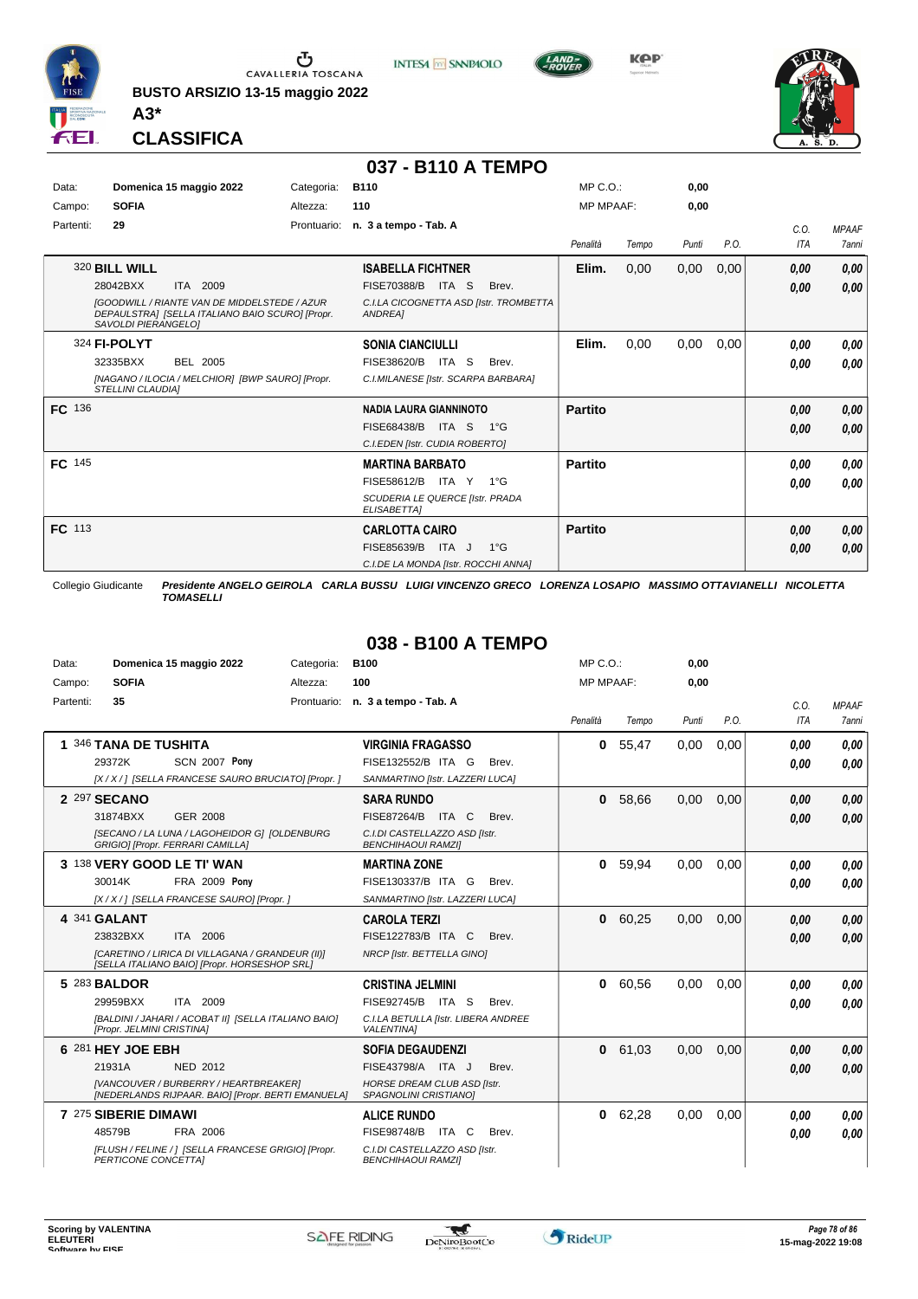

**BUSTO ARSIZIO 13-15 maggio 2022 A3\***









**CLASSIFICA**

#### **037 - B110 A TEMPO**

| Data:         | Domenica 15 maggio 2022                                                                                                       | Categoria:  | <b>B110</b>                                                                                     | $MP C. O.$ :     |       | 0,00  |      |                  |              |
|---------------|-------------------------------------------------------------------------------------------------------------------------------|-------------|-------------------------------------------------------------------------------------------------|------------------|-------|-------|------|------------------|--------------|
| Campo:        | <b>SOFIA</b>                                                                                                                  | Altezza:    | 110                                                                                             | <b>MP MPAAF:</b> |       | 0,00  |      |                  |              |
| Partenti:     | 29                                                                                                                            | Prontuario: | n. 3 a tempo - Tab. A                                                                           |                  |       |       |      | C.0.             | <b>MPAAF</b> |
|               |                                                                                                                               |             |                                                                                                 | Penalità         | Tempo | Punti | P.O. | ITA              | <b>7anni</b> |
|               | 320 BILL WILL                                                                                                                 |             | <b>ISABELLA FICHTNER</b>                                                                        | Elim.            | 0,00  | 0,00  | 0,00 | 0,00             | 0,00         |
|               | 28042BXX<br>ITA 2009                                                                                                          |             | FISE70388/B ITA S<br>Brev.                                                                      |                  |       |       |      | 0,00             | 0,00         |
|               | <b>IGOODWILL / RIANTE VAN DE MIDDELSTEDE / AZUR</b><br>DEPAULSTRA] [SELLA ITALIANO BAIO SCURO] [Propr.<br>SAVOLDI PIERANGELO] |             | C.I.LA CICOGNETTA ASD [Istr. TROMBETTA<br>ANDREA1                                               |                  |       |       |      |                  |              |
|               | 324 FI-POLYT                                                                                                                  |             | <b>SONIA CIANCIULLI</b>                                                                         | Elim.            | 0,00  | 0,00  | 0,00 | 0,00             | 0,00         |
|               | BEL 2005<br>32335BXX                                                                                                          |             | FISE38620/B ITA S<br>Brev.                                                                      |                  |       |       |      | 0,00             | 0,00         |
|               | [NAGANO / ILOCIA / MELCHIOR] [BWP SAURO] [Propr.<br><b>STELLINI CLAUDIAI</b>                                                  |             | C.I.MILANESE [Istr. SCARPA BARBARA]                                                             |                  |       |       |      |                  |              |
| <b>FC</b> 136 |                                                                                                                               |             | <b>NADIA LAURA GIANNINOTO</b>                                                                   | <b>Partito</b>   |       |       |      | 0,00             | 0,00         |
|               |                                                                                                                               |             | FISE68438/B<br>ITA S<br>1°G                                                                     |                  |       |       |      | 0,00             | 0,00         |
|               |                                                                                                                               |             | C.I.EDEN [Istr. CUDIA ROBERTO]                                                                  |                  |       |       |      |                  |              |
| FC 145        |                                                                                                                               |             | <b>MARTINA BARBATO</b>                                                                          | <b>Partito</b>   |       |       |      | 0.00             | 0,00         |
|               |                                                                                                                               |             | FISE58612/B ITA Y<br>$1^{\circ}G$                                                               |                  |       |       |      | 0,00             | 0,00         |
|               |                                                                                                                               |             | SCUDERIA LE QUERCE [Istr. PRADA<br>ELISABETTA]                                                  |                  |       |       |      |                  |              |
| FC 113        |                                                                                                                               |             | <b>CARLOTTA CAIRO</b>                                                                           | <b>Partito</b>   |       |       |      | 0,00             | 0,00         |
|               |                                                                                                                               |             | $1^{\circ}$ G<br>FISE85639/B ITA J                                                              |                  |       |       |      | 0,00             | 0,00         |
|               |                                                                                                                               |             | C.I.DE LA MONDA [Istr. ROCCHI ANNA]                                                             |                  |       |       |      |                  |              |
|               | Collegio Giudicante                                                                                                           |             | Presidente ANGELO GEIROLA CARLA BUSSU LUIGI VINCENZO GRECO LORENZA LOSAPIO MASSIMO OTTAVIANELLI |                  |       |       |      | <b>NICOLETTA</b> |              |

*TOMASELLI*

## **038 - B100 A TEMPO**

| Data:     |                           | Domenica 15 maggio 2022                                                                            | Categoria:  | <b>B100</b>                                                 | MP C. O.         |       | 0,00  |      |            |              |
|-----------|---------------------------|----------------------------------------------------------------------------------------------------|-------------|-------------------------------------------------------------|------------------|-------|-------|------|------------|--------------|
| Campo:    | <b>SOFIA</b>              |                                                                                                    | Altezza:    | 100                                                         | <b>MP MPAAF:</b> |       | 0,00  |      |            |              |
| Partenti: | 35                        |                                                                                                    | Prontuario: | n. 3 a tempo - Tab. A                                       |                  |       |       |      | C.0.       | <b>MPAAF</b> |
|           |                           |                                                                                                    |             |                                                             | Penalità         | Tempo | Punti | P.O. | <b>ITA</b> | <b>7anni</b> |
|           | 1 346 TANA DE TUSHITA     |                                                                                                    |             | <b>VIRGINIA FRAGASSO</b>                                    | 0                | 55,47 | 0,00  | 0,00 | 0.00       | 0.00         |
|           | 29372K                    | <b>SCN 2007 Pony</b>                                                                               |             | FISE132552/B ITA G<br>Brev.                                 |                  |       |       |      | 0.00       | 0.00         |
|           |                           | [X / X / ] [SELLA FRANCESE SAURO BRUCIATO] [Propr. ]                                               |             | SANMARTINO [Istr. LAZZERI LUCA]                             |                  |       |       |      |            |              |
|           | 2 297 SECANO              |                                                                                                    |             | <b>SARA RUNDO</b>                                           | 0                | 58,66 | 0,00  | 0,00 | 0.00       | 0.00         |
|           | 31874BXX                  | GER 2008                                                                                           |             | <b>FISE87264/B</b><br>ITA C<br>Brev.                        |                  |       |       |      | 0.00       | 0.00         |
|           |                           | [SECANO / LA LUNA / LAGOHEIDOR G] [OLDENBURG<br>GRIGIO] [Propr. FERRARI CAMILLA]                   |             | C.I.DI CASTELLAZZO ASD [Istr.<br><b>BENCHIHAOUI RAMZII</b>  |                  |       |       |      |            |              |
|           |                           | 3 138 VERY GOOD LE TI' WAN                                                                         |             | <b>MARTINA ZONE</b>                                         | $\mathbf{0}$     | 59.94 | 0.00  | 0.00 | 0.00       | 0.00         |
|           | 30014K                    | <b>FRA 2009 Pony</b>                                                                               |             | FISE130337/B ITA G<br>Brev.                                 |                  |       |       |      | 0.00       | 0.00         |
|           |                           | [X / X / ] [SELLA FRANCESE SAURO] [Propr. ]                                                        |             | SANMARTINO [Istr. LAZZERI LUCA]                             |                  |       |       |      |            |              |
|           | 4 341 GALANT              |                                                                                                    |             | <b>CAROLA TERZI</b>                                         | $\mathbf{0}$     | 60,25 | 0,00  | 0,00 | 0.00       | 0.00         |
|           | 23832BXX                  | ITA 2006                                                                                           |             | FISE122783/B ITA C<br>Brev.                                 |                  |       |       |      | 0.00       | 0.00         |
|           |                           | [CARETINO / LIRICA DI VILLAGANA / GRANDEUR (II)]<br>[SELLA ITALIANO BAIO] [Propr. HORSESHOP SRL]   |             | NRCP [Istr. BETTELLA GINO]                                  |                  |       |       |      |            |              |
|           | 5 283 BALDOR              |                                                                                                    |             | <b>CRISTINA JELMINI</b>                                     | 0                | 60,56 | 0,00  | 0,00 | 0.00       | 0.00         |
|           | 29959BXX                  | ITA 2009                                                                                           |             | FISE92745/B ITA S<br>Brev.                                  |                  |       |       |      | 0.00       | 0.00         |
|           | [Propr. JELMINI CRISTINA] | [BALDINI / JAHARI / ACOBAT II] [SELLA ITALIANO BAIO]                                               |             | C.I.LA BETULLA [Istr. LIBERA ANDREE<br><b>VALENTINA1</b>    |                  |       |       |      |            |              |
|           | 6 281 HEY JOE EBH         |                                                                                                    |             | <b>SOFIA DEGAUDENZI</b>                                     | 0                | 61,03 | 0,00  | 0,00 | 0.00       | 0.00         |
|           | 21931A                    | NED 2012                                                                                           |             | FISE43798/A ITA J<br>Brev.                                  |                  |       |       |      | 0.00       | 0.00         |
|           |                           | <b>IVANCOUVER / BURBERRY / HEARTBREAKERI</b><br>[NEDERLANDS RIJPAAR. BAIO] [Propr. BERTI EMANUELA] |             | <b>HORSE DREAM CLUB ASD Ilstr.</b><br>SPAGNOLINI CRISTIANO] |                  |       |       |      |            |              |
|           | 7 275 SIBERIE DIMAWI      |                                                                                                    |             | <b>ALICE RUNDO</b>                                          | 0                | 62,28 | 0,00  | 0,00 | 0.00       | 0.00         |
|           | 48579B                    | FRA 2006                                                                                           |             | <b>FISE98748/B</b><br>ITA C<br>Brev.                        |                  |       |       |      | 0.00       | 0.00         |
|           | PERTICONE CONCETTAI       | [FLUSH / FELINE / ] [SELLA FRANCESE GRIGIO] [Propr.                                                |             | C.I.DI CASTELLAZZO ASD [Istr.<br><b>BENCHIHAOUI RAMZII</b>  |                  |       |       |      |            |              |

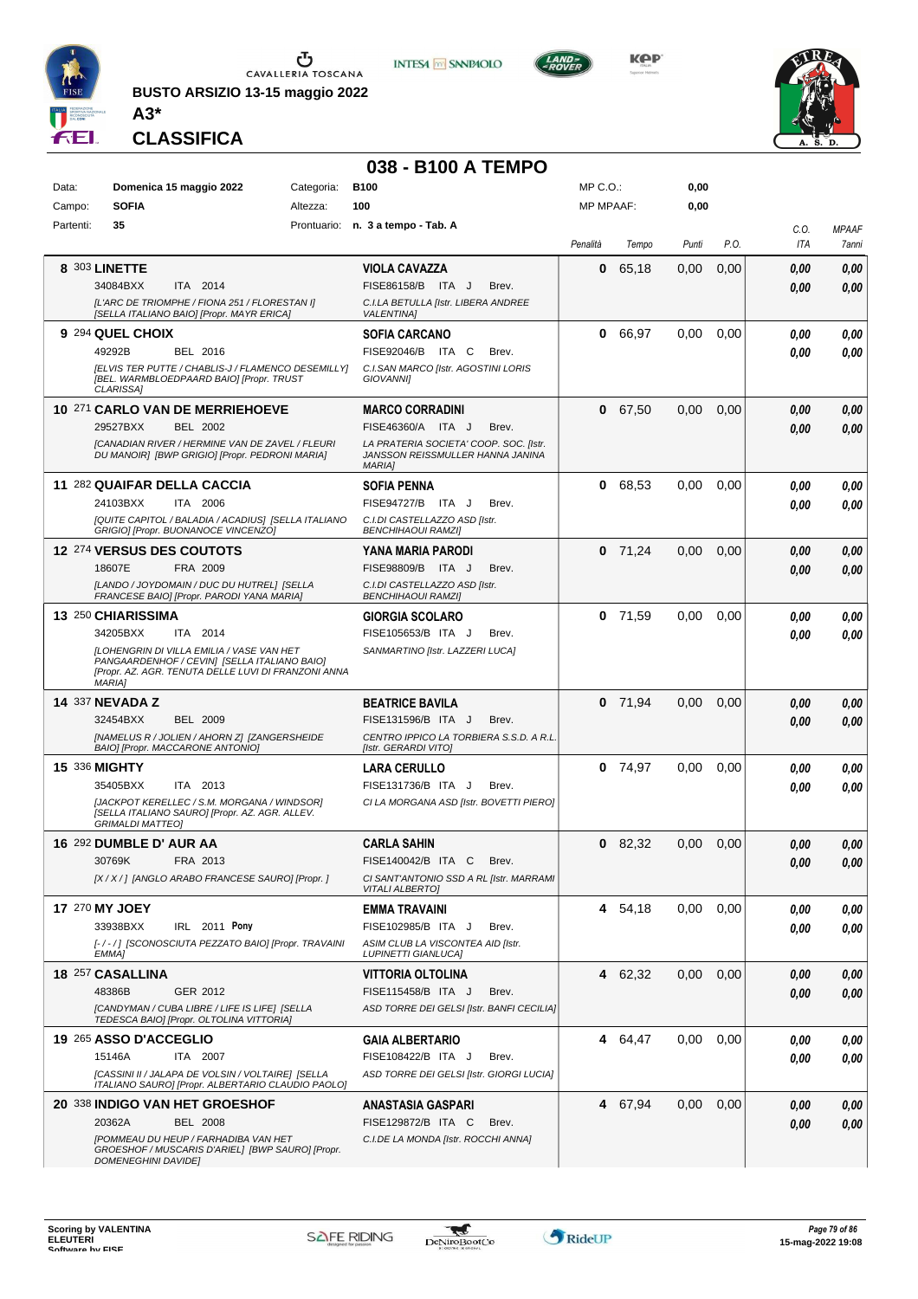

**BUSTO ARSIZIO 13-15 maggio 2022 A3\***





MP C.O.:

**0,00**



**CLASSIFICA**

Data: **Domenica 15 maggio 2022** Categoria: B100

## **038 - B100 A TEMPO**

| Campo:    | <b>SOFIA</b>            | Altezza:                                                                                                                                                | 100                                                                                         | <b>MP MPAAF:</b> |           | 0,00  |      |      |              |
|-----------|-------------------------|---------------------------------------------------------------------------------------------------------------------------------------------------------|---------------------------------------------------------------------------------------------|------------------|-----------|-------|------|------|--------------|
| Partenti: | 35                      |                                                                                                                                                         | Prontuario: n. 3 a tempo - Tab. A                                                           |                  |           |       |      | C.O. | <b>MPAAF</b> |
|           |                         |                                                                                                                                                         |                                                                                             | Penalità         | Tempo     | Punti | P.O. | ITA  | 7anni        |
|           | 8 303 LINETTE           |                                                                                                                                                         | <b>VIOLA CAVAZZA</b>                                                                        | 0                | 65,18     | 0,00  | 0,00 | 0.00 | 0,00         |
|           | 34084BXX                | ITA 2014                                                                                                                                                | FISE86158/B ITA J<br>Brev.                                                                  |                  |           |       |      | 0.00 | 0,00         |
|           |                         | [L'ARC DE TRIOMPHE / FIONA 251 / FLORESTAN I]<br>[SELLA ITALIANO BAIO] [Propr. MAYR ERICA]                                                              | C.I.LA BETULLA [Istr. LIBERA ANDREE<br><b>VALENTINA]</b>                                    |                  |           |       |      |      |              |
|           | 9 294 QUEL CHOIX        |                                                                                                                                                         | SOFIA CARCANO                                                                               | 0                | 66,97     | 0.00  | 0.00 | 0.00 | 0,00         |
|           | 49292B                  | BEL 2016                                                                                                                                                | FISE92046/B ITA C<br>Brev.                                                                  |                  |           |       |      | 0.00 | 0,00         |
|           | <b>CLARISSAI</b>        | [ELVIS TER PUTTE / CHABLIS-J / FLAMENCO DESEMILLY]<br>[BEL. WARMBLOEDPAARD BAIO] [Propr. TRUST                                                          | C.I.SAN MARCO [Istr. AGOSTINI LORIS<br><b>GIOVANNII</b>                                     |                  |           |       |      |      |              |
|           |                         | 10 271 CARLO VAN DE MERRIEHOEVE                                                                                                                         | <b>MARCO CORRADINI</b>                                                                      | 0                | 67,50     | 0.00  | 0.00 | 0.00 | 0,00         |
|           | 29527BXX                | <b>BEL 2002</b>                                                                                                                                         | FISE46360/A ITA J<br>Brev.                                                                  |                  |           |       |      | 0.00 | 0,00         |
|           |                         | [CANADIAN RIVER / HERMINE VAN DE ZAVEL / FLEURI<br>DU MANOIR] [BWP GRIGIO] [Propr. PEDRONI MARIA]                                                       | LA PRATERIA SOCIETA' COOP. SOC. [Istr.<br>JANSSON REISSMULLER HANNA JANINA<br><b>MARIA1</b> |                  |           |       |      |      |              |
|           |                         | 11 282 QUAIFAR DELLA CACCIA                                                                                                                             | <b>SOFIA PENNA</b>                                                                          | 0                | 68,53     | 0.00  | 0.00 | 0.00 | 0,00         |
|           | 24103BXX                | ITA 2006                                                                                                                                                | FISE94727/B ITA J<br>Brev.                                                                  |                  |           |       |      | 0.00 | 0,00         |
|           |                         | [QUITE CAPITOL / BALADIA / ACADIUS] [SELLA ITALIANO<br>GRIGIO] [Propr. BUONANOCE VINCENZO]                                                              | C.I.DI CASTELLAZZO ASD [Istr.<br>BENCHIHAOUI RAMZI]                                         |                  |           |       |      |      |              |
|           |                         | 12 274 VERSUS DES COUTOTS                                                                                                                               | <b>YANA MARIA PARODI</b>                                                                    |                  | $0$ 71,24 | 0.00  | 0,00 | 0.00 | 0,00         |
|           | 18607E                  | FRA 2009                                                                                                                                                | FISE98809/B ITA J<br>Brev.                                                                  |                  |           |       |      | 0.00 | 0,00         |
|           |                         | [LANDO / JOYDOMAIN / DUC DU HUTREL] [SELLA<br>FRANCESE BAIO] [Propr. PARODI YANA MARIA]                                                                 | C.I.DI CASTELLAZZO ASD [Istr.<br><b>BENCHIHAOUI RAMZI]</b>                                  |                  |           |       |      |      |              |
|           | 13 250 CHIARISSIMA      |                                                                                                                                                         | <b>GIORGIA SCOLARO</b>                                                                      | 0                | 71,59     | 0,00  | 0.00 | 0.00 | 0,00         |
|           | 34205BXX                | ITA 2014                                                                                                                                                | FISE105653/B ITA J<br>Brev.                                                                 |                  |           |       |      | 0.00 | 0.00         |
|           | <b>MARIA1</b>           | <b>ILOHENGRIN DI VILLA EMILIA / VASE VAN HET</b><br>PANGAARDENHOF / CEVIN] [SELLA ITALIANO BAIO]<br>[Propr. AZ. AGR. TENUTA DELLE LUVI DI FRANZONI ANNA | SANMARTINO [Istr. LAZZERI LUCA]                                                             |                  |           |       |      |      |              |
|           | <b>14 337 NEVADA Z</b>  |                                                                                                                                                         | <b>BEATRICE BAVILA</b>                                                                      |                  | $0$ 71,94 | 0.00  | 0,00 | 0,00 | 0,00         |
|           | 32454BXX                | <b>BEL 2009</b>                                                                                                                                         | FISE131596/B ITA J<br>Brev.                                                                 |                  |           |       |      | 0.00 | 0,00         |
|           |                         | [NAMELUS R / JOLIEN / AHORN Z] [ZANGERSHEIDE<br>BAIO] [Propr. MACCARONE ANTONIO]                                                                        | CENTRO IPPICO LA TORBIERA S.S.D. A R.L.<br>[Istr. GERARDI VITO]                             |                  |           |       |      |      |              |
|           | 15 336 MIGHTY           |                                                                                                                                                         | <b>LARA CERULLO</b>                                                                         |                  | $0$ 74,97 | 0.00  | 0,00 | 0.00 | 0,00         |
|           | 35405BXX                | ITA 2013                                                                                                                                                | FISE131736/B ITA J<br>Brev.                                                                 |                  |           |       |      | 0.00 | 0,00         |
|           | <b>GRIMALDI MATTEO]</b> | [JACKPOT KERELLEC / S.M. MORGANA / WINDSOR]<br>[SELLA ITALIANO SAURO] [Propr. AZ. AGR. ALLEV.                                                           | CI LA MORGANA ASD [Istr. BOVETTI PIERO]                                                     |                  |           |       |      |      |              |
|           | 16 292 DUMBLE D' AUR AA |                                                                                                                                                         | <b>CARLA SAHIN</b>                                                                          |                  | $0$ 82,32 | 0,00  | 0,00 | 0,00 | 0,00         |
|           | 30769K                  | FRA 2013                                                                                                                                                | FISE140042/B ITA C<br>Brev.                                                                 |                  |           |       |      | 0.00 | 0,00         |
|           |                         | [X / X / ] [ANGLO ARABO FRANCESE SAURO] [Propr. ]                                                                                                       | CI SANT'ANTONIO SSD A RL [Istr. MARRAMI<br><b>VITALI ALBERTO]</b>                           |                  |           |       |      |      |              |
|           | 17 270 MY JOEY          |                                                                                                                                                         | EMMA TRAVAINI                                                                               |                  | 4 54,18   | 0.00  | 0.00 | 0,00 | 0,00         |
|           | 33938BXX                | IRL 2011 Pony                                                                                                                                           | FISE102985/B ITA J<br>Brev.                                                                 |                  |           |       |      | 0,00 | 0,00         |
|           | EMMA1                   | [-/-/] [SCONOSCIUTA PEZZATO BAIO] [Propr. TRAVAINI                                                                                                      | ASIM CLUB LA VISCONTEA AID [Istr.<br><b>LUPINETTI GIANLUCA]</b>                             |                  |           |       |      |      |              |
|           | 18 257 CASALLINA        |                                                                                                                                                         | <b>VITTORIA OLTOLINA</b>                                                                    |                  | 4 62,32   | 0,00  | 0,00 | 0,00 | 0,00         |
|           | 48386B                  | GER 2012                                                                                                                                                | FISE115458/B ITA J<br>Brev.                                                                 |                  |           |       |      | 0,00 | 0,00         |
|           |                         | [CANDYMAN / CUBA LIBRE / LIFE IS LIFE] [SELLA<br>TEDESCA BAIO] [Propr. OLTOLINA VITTORIA]                                                               | ASD TORRE DEI GELSI [Istr. BANFI CECILIA]                                                   |                  |           |       |      |      |              |
|           | 19 265 ASSO D'ACCEGLIO  |                                                                                                                                                         | GAIA ALBERTARIO                                                                             |                  | 4 64,47   | 0,00  | 0,00 | 0,00 | 0,00         |
|           | 15146A                  | ITA 2007                                                                                                                                                | FISE108422/B ITA J<br>Brev.                                                                 |                  |           |       |      | 0.00 | 0,00         |
|           |                         | [CASSINI II / JALAPA DE VOLSIN / VOLTAIRE] [SELLA<br>ITALIANO SAURO] [Propr. ALBERTARIO CLAUDIO PAOLO]                                                  | ASD TORRE DEI GELSI [Istr. GIORGI LUCIA]                                                    |                  |           |       |      |      |              |
|           |                         | 20 338 INDIGO VAN HET GROESHOF                                                                                                                          | ANASTASIA GASPARI                                                                           |                  | 4 67,94   | 0,00  | 0,00 | 0,00 | 0,00         |
|           | 20362A                  | <b>BEL 2008</b>                                                                                                                                         | FISE129872/B ITA C<br>Brev.                                                                 |                  |           |       |      | 0.00 | 0,00         |
|           |                         | [POMMEAU DU HEUP / FARHADIBA VAN HET<br>GROESHOF / MUSCARIS D'ARIEL] [BWP SAURO] [Propr.                                                                | C.I.DE LA MONDA [Istr. ROCCHI ANNA]                                                         |                  |           |       |      |      |              |
|           | DOMENEGHINI DAVIDE]     |                                                                                                                                                         |                                                                                             |                  |           |       |      |      |              |

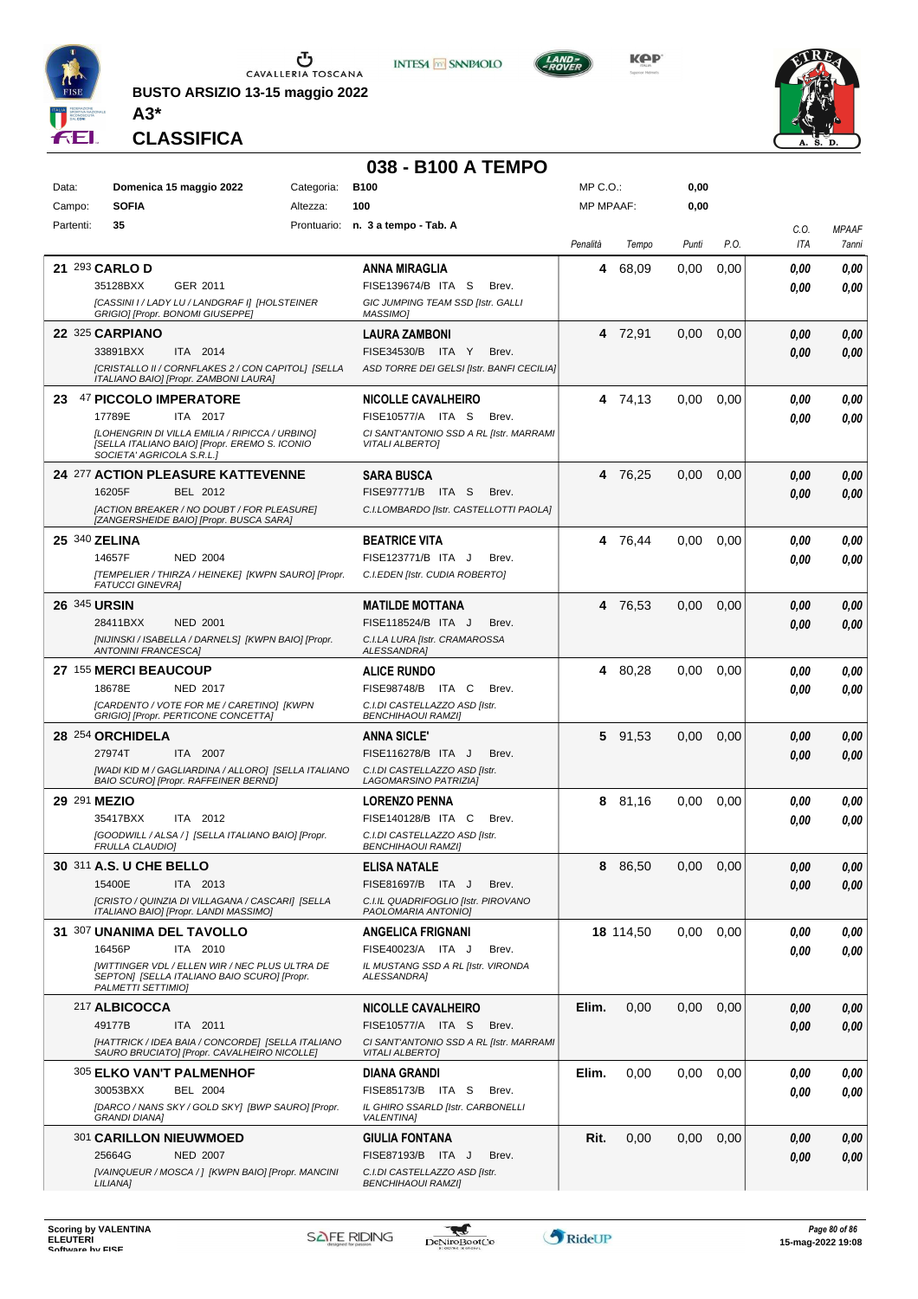

**BUSTO ARSIZIO 13-15 maggio 2022 A3\***



**KPP** 



**CLASSIFICA**

## **038 - B100 A TEMPO**

| Data:               | Domenica 15 maggio 2022<br><b>SOFIA</b>                                                                                    | Categoria: | <b>B100</b><br>100                                                | $MP C. O.$ :<br><b>MP MPAAF:</b> |           | 0,00<br>0,00 |               |             |                       |
|---------------------|----------------------------------------------------------------------------------------------------------------------------|------------|-------------------------------------------------------------------|----------------------------------|-----------|--------------|---------------|-------------|-----------------------|
| Campo:              |                                                                                                                            | Altezza:   | Prontuario: n. 3 a tempo - Tab. A                                 |                                  |           |              |               |             |                       |
| Partenti:           | 35                                                                                                                         |            |                                                                   | Penalità                         | Tempo     | Punti        | P.O.          | C.0.<br>ITA | <b>MPAAF</b><br>7anni |
|                     | 21 293 CARLO D                                                                                                             |            | ANNA MIRAGLIA                                                     | 4                                | 68,09     | 0,00         | 0,00          | 0.00        | 0,00                  |
|                     | 35128BXX<br>GER 2011                                                                                                       |            | FISE139674/B ITA S<br>Brev.                                       |                                  |           |              |               | 0.00        | 0.00                  |
|                     | [CASSINI I / LADY LU / LANDGRAF I] [HOLSTEINER<br>GRIGIO] [Propr. BONOMI GIUSEPPE]                                         |            | GIC JUMPING TEAM SSD [Istr. GALLI<br>MASSIMO]                     |                                  |           |              |               |             |                       |
|                     | 22 325 CARPIANO                                                                                                            |            | <b>LAURA ZAMBONI</b>                                              |                                  | 4 72,91   | 0,00         | 0,00          | 0,00        | 0,00                  |
|                     | ITA 2014<br>33891BXX                                                                                                       |            | FISE34530/B ITA Y<br>Brev.                                        |                                  |           |              |               | 0,00        | 0,00                  |
|                     | [CRISTALLO II / CORNFLAKES 2 / CON CAPITOL] [SELLA<br>ITALIANO BAIO] [Propr. ZAMBONI LAURA]                                |            | ASD TORRE DEI GELSI [Istr. BANFI CECILIA]                         |                                  |           |              |               |             |                       |
| 23                  | 47 PICCOLO IMPERATORE                                                                                                      |            | <b>NICOLLE CAVALHEIRO</b>                                         |                                  | 4 74,13   | 0,00         | 0,00          | 0.00        | 0,00                  |
|                     | 17789E<br>ITA 2017                                                                                                         |            | FISE10577/A ITA S<br>Brev.                                        |                                  |           |              |               | 0.00        | 0.00                  |
|                     | [LOHENGRIN DI VILLA EMILIA / RIPICCA / URBINO]<br>[SELLA ITALIANO BAIO] [Propr. EREMO S. ICONIO                            |            | CI SANT'ANTONIO SSD A RL [Istr. MARRAMI<br><b>VITALI ALBERTO]</b> |                                  |           |              |               |             |                       |
|                     | SOCIETA' AGRICOLA S.R.L.]                                                                                                  |            |                                                                   |                                  |           |              |               |             |                       |
|                     | <b>24 277 ACTION PLEASURE KATTEVENNE</b>                                                                                   |            | <b>SARA BUSCA</b>                                                 |                                  | 4 76,25   | 0,00         | 0,00          | 0,00        | 0,00                  |
|                     | 16205F<br>BEL 2012                                                                                                         |            | FISE97771/B ITA S<br>Brev.                                        |                                  |           |              |               | 0.00        | 0.00                  |
|                     | [ACTION BREAKER / NO DOUBT / FOR PLEASURE]<br>[ZANGERSHEIDE BAIO] [Propr. BUSCA SARA]                                      |            | C.I.LOMBARDO [Istr. CASTELLOTTI PAOLA]                            |                                  |           |              |               |             |                       |
|                     | 25 340 ZELINA                                                                                                              |            | <b>BEATRICE VITA</b>                                              |                                  | 4 76,44   | 0,00         | 0,00          | 0.00        | 0.00                  |
|                     | 14657F<br><b>NED 2004</b>                                                                                                  |            | FISE123771/B ITA J<br>Brev.                                       |                                  |           |              |               | 0.00        | 0.00                  |
|                     | [TEMPELIER / THIRZA / HEINEKE] [KWPN SAURO] [Propr.<br><b>FATUCCI GINEVRA)</b>                                             |            | C.I.EDEN [Istr. CUDIA ROBERTO]                                    |                                  |           |              |               |             |                       |
| <b>26 345 URSIN</b> |                                                                                                                            |            | <b>MATILDE MOTTANA</b>                                            | 4                                | 76,53     | 0,00         | 0,00          | 0,00        | 0.00                  |
|                     | 28411BXX<br><b>NED 2001</b>                                                                                                |            | FISE118524/B ITA J<br>Brev.                                       |                                  |           |              |               | 0.00        | 0.00                  |
|                     | [NIJINSKI / ISABELLA / DARNELS] [KWPN BAIO] [Propr.<br><b>ANTONINI FRANCESCA]</b>                                          |            | C.I.LA LURA [Istr. CRAMAROSSA<br>ALESSANDRA]                      |                                  |           |              |               |             |                       |
|                     | 27 155 MERCI BEAUCOUP                                                                                                      |            | <b>ALICE RUNDO</b>                                                | 4                                | 80,28     | 0,00         | 0,00          | 0.00        | 0.00                  |
|                     | NED 2017<br>18678E                                                                                                         |            | FISE98748/B ITA C<br>Brev.                                        |                                  |           |              |               | 0.00        | 0.00                  |
|                     | [CARDENTO / VOTE FOR ME / CARETINO] [KWPN                                                                                  |            | C.I.DI CASTELLAZZO ASD [Istr.                                     |                                  |           |              |               |             |                       |
|                     | GRIGIO] [Propr. PERTICONE CONCETTA]<br>28 254 ORCHIDELA                                                                    |            | <b>BENCHIHAOUI RAMZI]</b><br><b>ANNA SICLE'</b>                   |                                  | 5 91,53   | 0,00         | 0,00          | 0,00        | 0,00                  |
|                     | 27974T<br>ITA 2007                                                                                                         |            | FISE116278/B ITA J<br>Brev.                                       |                                  |           |              |               | 0.00        | 0.00                  |
|                     | [WADI KID M / GAGLIARDINA / ALLORO] [SELLA ITALIANO                                                                        |            | C.I.DI CASTELLAZZO ASD [Istr.                                     |                                  |           |              |               |             |                       |
|                     | BAIO SCURO] [Propr. RAFFEINER BERND]                                                                                       |            | <b>LAGOMARSINO PATRIZIAI</b>                                      |                                  |           |              |               |             |                       |
| 29 291 MEZIO        | 35417BXX<br>ITA 2012                                                                                                       |            | <b>LORENZO PENNA</b><br>FISE140128/B ITA C<br>Brev.               |                                  | 8 81,16   | 0,00         | 0.00          | 0.00        | 0,00                  |
|                     | [GOODWILL / ALSA / ] [SELLA ITALIANO BAIO] [Propr.                                                                         |            | C.I.DI CASTELLAZZO ASD [Istr.                                     |                                  |           |              |               | 0.00        | 0.00                  |
|                     | <b>FRULLA CLAUDIO1</b>                                                                                                     |            | <b>BENCHIHAOUI RAMZII</b>                                         |                                  |           |              |               |             |                       |
|                     | 30 311 A.S. U CHE BELLO                                                                                                    |            | <b>ELISA NATALE</b>                                               |                                  | 8 86,50   |              | $0,00$ $0,00$ | $0,\!00$    | 0,00                  |
|                     | 15400E<br>ITA 2013                                                                                                         |            | FISE81697/B ITA J<br>Brev.                                        |                                  |           |              |               | 0,00        | 0.00                  |
|                     | [CRISTO / QUINZIA DI VILLAGANA / CASCARI] [SELLA<br>ITALIANO BAIO] [Propr. LANDI MASSIMO]                                  |            | C.I.IL QUADRIFOGLIO [Istr. PIROVANO<br>PAOLOMARIA ANTONIO]        |                                  |           |              |               |             |                       |
|                     | 31 307 UNANIMA DEL TAVOLLO                                                                                                 |            | <b>ANGELICA FRIGNANI</b>                                          |                                  | 18 114,50 | 0.00         | 0,00          | 0,00        | 0,00                  |
|                     | 16456P<br>ITA 2010                                                                                                         |            | FISE40023/A ITA J<br>Brev.                                        |                                  |           |              |               | 0.00        | 0.00                  |
|                     | [WITTINGER VDL / ELLEN WIR / NEC PLUS ULTRA DE<br>SEPTONI [SELLA ITALIANO BAIO SCURO] [Propr.<br><b>PALMETTI SETTIMIO)</b> |            | IL MUSTANG SSD A RL [Istr. VIRONDA<br>ALESSANDRA]                 |                                  |           |              |               |             |                       |
|                     | 217 ALBICOCCA                                                                                                              |            | <b>NICOLLE CAVALHEIRO</b>                                         | Elim.                            | 0,00      | 0,00         | 0,00          | 0,00        | 0,00                  |
|                     | 49177B<br>ITA 2011                                                                                                         |            | FISE10577/A ITA S<br>Brev.                                        |                                  |           |              |               | 0.00        | 0.00                  |
|                     | [HATTRICK / IDEA BAIA / CONCORDE] [SELLA ITALIANO<br>SAURO BRUCIATO] [Propr. CAVALHEIRO NICOLLE]                           |            | CI SANT'ANTONIO SSD A RL [Istr. MARRAMI<br><b>VITALI ALBERTOI</b> |                                  |           |              |               |             |                       |
|                     | 305 ELKO VAN'T PALMENHOF                                                                                                   |            | <b>DIANA GRANDI</b>                                               | Elim.                            | 0,00      | 0,00         | 0,00          | 0,00        | 0,00                  |
|                     | 30053BXX<br><b>BEL 2004</b>                                                                                                |            | FISE85173/B ITA S<br>Brev.                                        |                                  |           |              |               | 0.00        | 0.00                  |
|                     | [DARCO / NANS SKY / GOLD SKY] [BWP SAURO] [Propr.<br><b>GRANDI DIANA]</b>                                                  |            | IL GHIRO SSARLD [Istr. CARBONELLI<br><b>VALENTINA1</b>            |                                  |           |              |               |             |                       |
|                     | 301 CARILLON NIEUWMOED                                                                                                     |            | <b>GIULIA FONTANA</b>                                             | Rit.                             | 0,00      | 0,00         | 0,00          | 0,00        | 0,00                  |
|                     | 25664G<br><b>NED 2007</b>                                                                                                  |            | FISE87193/B ITA J<br>Brev.                                        |                                  |           |              |               | 0,00        | 0,00                  |
|                     | [VAINQUEUR / MOSCA / ] [KWPN BAIO] [Propr. MANCINI<br>LILIANA]                                                             |            | C.I.DI CASTELLAZZO ASD [Istr.<br><b>BENCHIHAOUI RAMZI]</b>        |                                  |           |              |               |             |                       |
|                     |                                                                                                                            |            |                                                                   |                                  |           |              |               |             |                       |

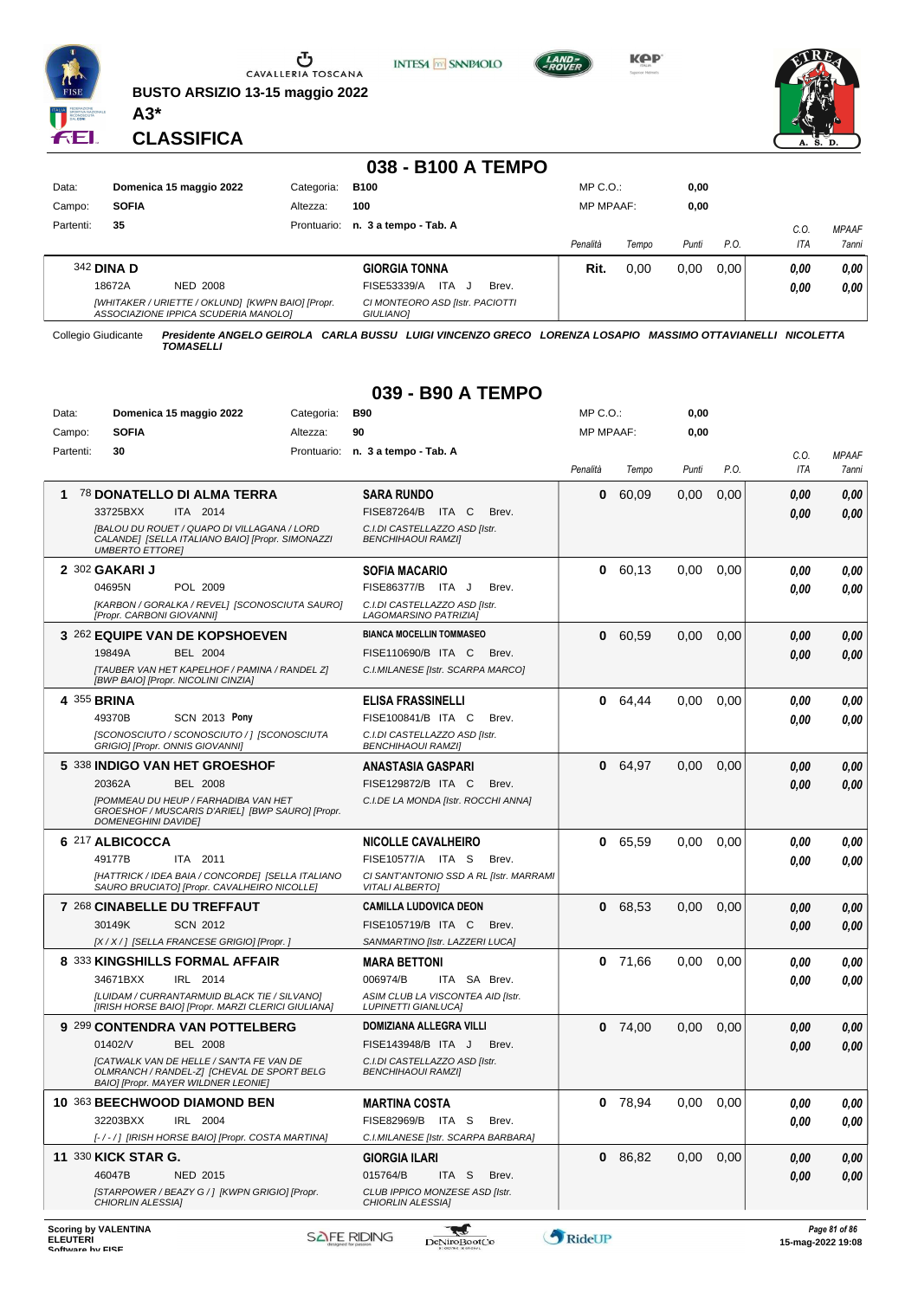

**BUSTO ARSIZIO 13-15 maggio 2022**







**CLASSIFICA**

**A3\***

|           |                                                                                           |          |            | 038 - B100 A TEMPO                                  |                  |       |       |      |      |              |
|-----------|-------------------------------------------------------------------------------------------|----------|------------|-----------------------------------------------------|------------------|-------|-------|------|------|--------------|
| Data:     | Domenica 15 maggio 2022                                                                   |          | Categoria: | <b>B100</b>                                         | MP C. O.         |       | 0,00  |      |      |              |
| Campo:    | <b>SOFIA</b>                                                                              |          | Altezza:   | 100                                                 | <b>MP MPAAF:</b> |       | 0,00  |      |      |              |
| Partenti: | 35                                                                                        |          |            | Prontuario: n. 3 a tempo - Tab. A                   |                  |       |       |      | C.0  | <b>MPAAF</b> |
|           |                                                                                           |          |            |                                                     | Penalità         | Tempo | Punti | P.O. | ITA  | 7anni        |
|           | 342 <b>DINA D</b>                                                                         |          |            | <b>GIORGIA TONNA</b>                                | Rit.             | 0,00  | 0,00  | 0.00 | 0,00 | 0,00         |
|           | 18672A                                                                                    | NED 2008 |            | <b>ITA</b><br>FISE53339/A<br>Brev.                  |                  |       |       |      | 0,00 | 0.00         |
|           | [WHITAKER / URIETTE / OKLUND] [KWPN BAIO] [Propr.<br>ASSOCIAZIONE IPPICA SCUDERIA MANOLO] |          |            | CI MONTEORO ASD [Istr. PACIOTTI<br><b>GIULIANOI</b> |                  |       |       |      |      |              |

Collegio Giudicante *Presidente ANGELO GEIROLA CARLA BUSSU LUIGI VINCENZO GRECO LORENZA LOSAPIO MASSIMO OTTAVIANELLI NICOLETTA TOMASELLI*

#### **039 - B90 A TEMPO**

|           | Data:<br>Domenica 15 maggio 2022<br>Categoria:                                                                                       |          | <b>B90</b>                                                        | $MP C. O.$ :     |         |               | 0,00 |      |              |
|-----------|--------------------------------------------------------------------------------------------------------------------------------------|----------|-------------------------------------------------------------------|------------------|---------|---------------|------|------|--------------|
| Campo:    | <b>SOFIA</b>                                                                                                                         | Altezza: | 90                                                                | <b>MP MPAAF:</b> |         | 0,00          |      |      |              |
| Partenti: | 30                                                                                                                                   |          | Prontuario: n. 3 a tempo - Tab. A                                 |                  |         |               |      | C.O. | <b>MPAAF</b> |
|           |                                                                                                                                      |          |                                                                   | Penalità         | Tempo   | Punti         | P.O. | ITA  | 7anni        |
| 1         | 78 DONATELLO DI ALMA TERRA                                                                                                           |          | <b>SARA RUNDO</b>                                                 | 0                | 60,09   | 0,00          | 0,00 | 0.00 | 0,00         |
|           | 33725BXX<br>ITA 2014                                                                                                                 |          | FISE87264/B ITA C<br>Brev.                                        |                  |         |               |      | 0.00 | 0,00         |
|           | [BALOU DU ROUET / QUAPO DI VILLAGANA / LORD<br>CALANDE] [SELLA ITALIANO BAIO] [Propr. SIMONAZZI<br><b>UMBERTO ETTORE!</b>            |          | C.I.DI CASTELLAZZO ASD [Istr.<br><b>BENCHIHAOUI RAMZI]</b>        |                  |         |               |      |      |              |
|           | 2 302 GAKARI J                                                                                                                       |          | <b>SOFIA MACARIO</b>                                              | 0                | 60.13   | 0,00          | 0,00 | 0,00 | 0,00         |
|           | POL 2009<br>04695N                                                                                                                   |          | FISE86377/B ITA J<br>Brev.                                        |                  |         |               |      | 0,00 | 0,00         |
|           | [KARBON / GORALKA / REVEL] [SCONOSCIUTA SAURO]<br>[Propr. CARBONI GIOVANNI]                                                          |          | C.I.DI CASTELLAZZO ASD [Istr.<br>LAGOMARSINO PATRIZIA]            |                  |         |               |      |      |              |
|           | 3 262 EQUIPE VAN DE KOPSHOEVEN                                                                                                       |          | <b>BIANCA MOCELLIN TOMMASEO</b>                                   | 0                | 60,59   | 0,00          | 0,00 | 0,00 | 0,00         |
|           | <b>BEL 2004</b><br>19849A                                                                                                            |          | FISE110690/B ITA C<br>Brev.                                       |                  |         |               |      | 0.00 | 0,00         |
|           | [TAUBER VAN HET KAPELHOF / PAMINA / RANDEL Z]<br>[BWP BAIO] [Propr. NICOLINI CINZIA]                                                 |          | C.I.MILANESE [Istr. SCARPA MARCO]                                 |                  |         |               |      |      |              |
|           | 4 355 BRINA                                                                                                                          |          | ELISA FRASSINELLI                                                 |                  | 0 64,44 | 0,00          | 0,00 | 0,00 | 0,00         |
|           | 49370B<br><b>SCN 2013 Pony</b>                                                                                                       |          | FISE100841/B ITA C<br>Brev.                                       |                  |         |               |      | 0.00 | 0,00         |
|           | ISCONOSCIUTO / SCONOSCIUTO /   ISCONOSCIUTA<br>GRIGIO] [Propr. ONNIS GIOVANNI]                                                       |          | C.I.DI CASTELLAZZO ASD Ilstr.<br><b>BENCHIHAOUI RAMZI]</b>        |                  |         |               |      |      |              |
|           | 5 338 INDIGO VAN HET GROESHOF                                                                                                        |          | <b>ANASTASIA GASPARI</b>                                          |                  | 0 64.97 | 0,00          | 0,00 | 0,00 | 0,00         |
|           | 20362A<br><b>BEL 2008</b>                                                                                                            |          | FISE129872/B ITA C<br>Brev.                                       |                  |         |               |      | 0.00 | 0,00         |
|           | <b>IPOMMEAU DU HEUP / FARHADIBA VAN HET</b><br>GROESHOF / MUSCARIS D'ARIEL] [BWP SAURO] [Propr.<br><b>DOMENEGHINI DAVIDEI</b>        |          | C.I.DE LA MONDA [Istr. ROCCHI ANNA]                               |                  |         |               |      |      |              |
|           | 6 217 ALBICOCCA                                                                                                                      |          | <b>NICOLLE CAVALHEIRO</b>                                         | 0                | 65,59   | 0.00          | 0.00 | 0.00 | 0,00         |
|           | 49177B<br>ITA 2011                                                                                                                   |          | FISE10577/A ITA S<br>Brev.                                        |                  |         |               |      | 0.00 | 0.00         |
|           | [HATTRICK / IDEA BAIA / CONCORDE] [SELLA ITALIANO<br>SAURO BRUCIATO] [Propr. CAVALHEIRO NICOLLE]                                     |          | CI SANT'ANTONIO SSD A RL [Istr. MARRAMI<br><b>VITALI ALBERTO]</b> |                  |         |               |      |      |              |
|           | 7 268 CINABELLE DU TREFFAUT                                                                                                          |          | <b>CAMILLA LUDOVICA DEON</b>                                      | 0                | 68,53   | 0,00          | 0,00 | 0.00 | 0,00         |
|           | 30149K<br><b>SCN 2012</b>                                                                                                            |          | FISE105719/B ITA C<br>Brev.                                       |                  |         |               |      | 0,00 | 0,00         |
|           | [X / X / ] [SELLA FRANCESE GRIGIO] [Propr. ]                                                                                         |          | SANMARTINO [Istr. LAZZERI LUCA]                                   |                  |         |               |      |      |              |
|           | 8 333 KINGSHILLS FORMAL AFFAIR                                                                                                       |          | <b>MARA BETTONI</b>                                               | 0                | 71,66   | 0,00          | 0,00 | 0.00 | 0,00         |
|           | 34671BXX<br>IRL 2014                                                                                                                 |          | 006974/B<br>ITA SA Brev.                                          |                  |         |               |      | 0.00 | 0.00         |
|           | [LUIDAM / CURRANTARMUID BLACK TIE / SILVANO]<br>[IRISH HORSE BAIO] [Propr. MARZI CLERICI GIULIANA]                                   |          | ASIM CLUB LA VISCONTEA AID [Istr.<br><b>LUPINETTI GIANLUCA]</b>   |                  |         |               |      |      |              |
|           | 9 299 CONTENDRA VAN POTTELBERG                                                                                                       |          | DOMIZIANA ALLEGRA VILLI                                           | 0                | 74,00   | 0,00          | 0,00 | 0,00 | 0,00         |
|           | 01402/V<br><b>BEL 2008</b>                                                                                                           |          | FISE143948/B ITA J<br>Brev.                                       |                  |         |               |      | 0.00 | 0,00         |
|           | <b>[CATWALK VAN DE HELLE / SAN'TA FE VAN DE</b><br>OLMRANCH / RANDEL-ZI [CHEVAL DE SPORT BELG<br>BAIO] [Propr. MAYER WILDNER LEONIE] |          | C.I.DI CASTELLAZZO ASD Ilstr.<br><b>BENCHIHAOUI RAMZI]</b>        |                  |         |               |      |      |              |
|           | 10 363 BEECHWOOD DIAMOND BEN                                                                                                         |          | MARTINA COSTA                                                     | 0                | 78,94   | $0,00$ $0,00$ |      | 0,00 | 0,00         |
|           | 32203BXX<br>IRL 2004                                                                                                                 |          | FISE82969/B ITA S<br>Brev.                                        |                  |         |               |      | 0,00 | 0,00         |
|           | [-/-/] [IRISH HORSE BAIO] [Propr. COSTA MARTINA]                                                                                     |          | C.I.MILANESE [Istr. SCARPA BARBARA]                               |                  |         |               |      |      |              |
|           | <b>11 330 KICK STAR G.</b>                                                                                                           |          | <b>GIORGIA ILARI</b>                                              |                  | 0 86,82 | 0,00          | 0,00 | 0,00 | 0,00         |
|           | 46047B<br>NED 2015                                                                                                                   |          | 015764/B<br>ITA S<br>Brev.                                        |                  |         |               |      | 0,00 | 0,00         |
|           | [STARPOWER / BEAZY G / ] [KWPN GRIGIO] [Propr.<br><b>CHIORLIN ALESSIA1</b>                                                           |          | CLUB IPPICO MONZESE ASD [Istr.<br>CHIORLIN ALESSIA]               |                  |         |               |      |      |              |

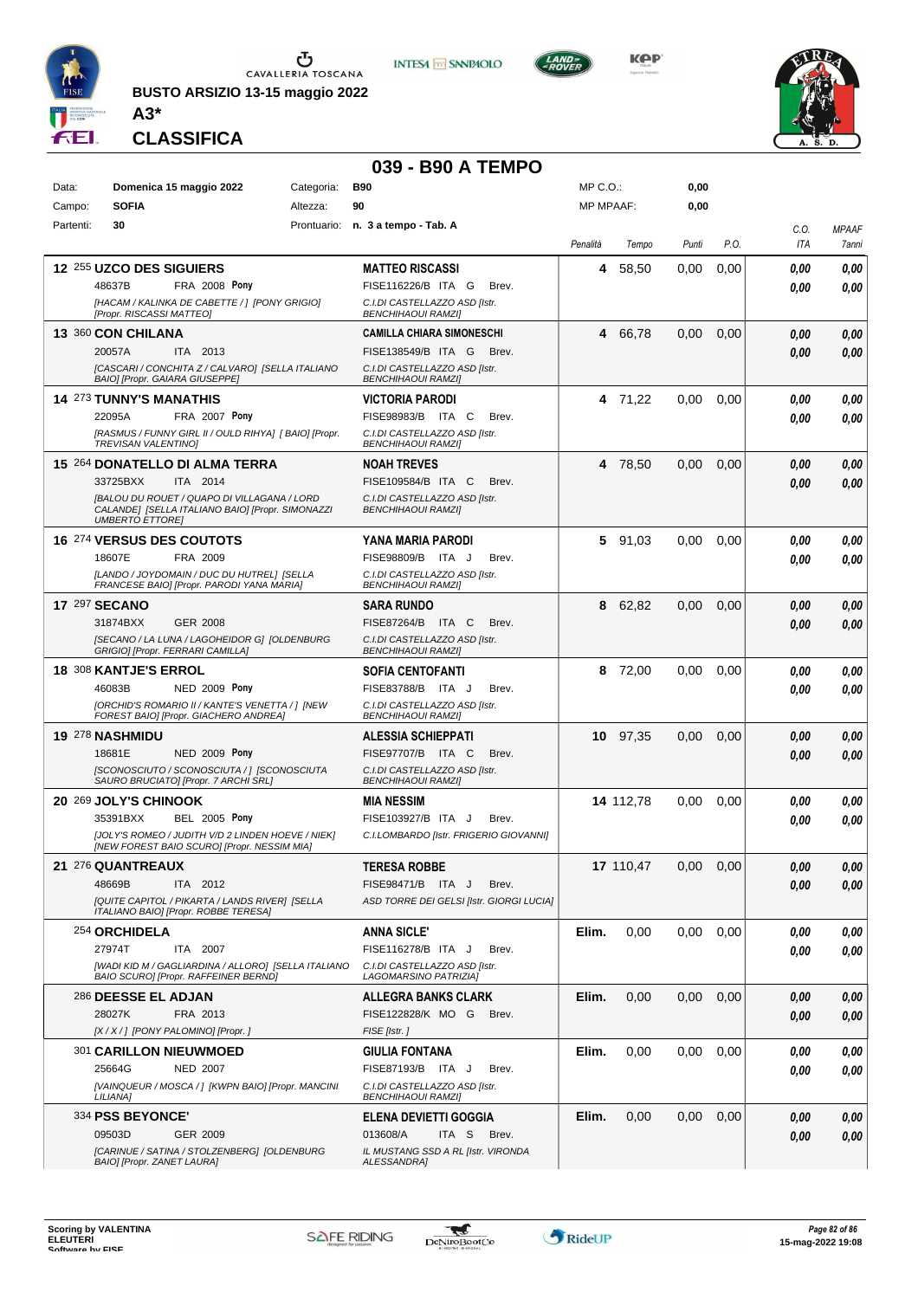

**BUSTO ARSIZIO 13-15 maggio 2022 A3\***





MP C.O.:



**0,00**



**CLASSIFICA**

Data: **Domenica 15 maggio 2022** Categoria: B90

# **039 - B90 A TEMPO**<br>Categoria: B90

| Campo:    | <b>SOFIA</b>                 | Altezza:                                                                                               | 90                                                           | <b>MP MPAAF:</b> |           | 0,00  |      |            |              |
|-----------|------------------------------|--------------------------------------------------------------------------------------------------------|--------------------------------------------------------------|------------------|-----------|-------|------|------------|--------------|
| Partenti: | 30                           |                                                                                                        | Prontuario: n. 3 a tempo - Tab. A                            |                  |           |       |      | C.O.       | <b>MPAAF</b> |
|           |                              |                                                                                                        |                                                              | Penalità         | Tempo     | Punti | P.O. | ITA        | 7anni        |
|           | 12 255 UZCO DES SIGUIERS     |                                                                                                        | <b>MATTEO RISCASSI</b>                                       | 4                | 58,50     | 0,00  | 0,00 | 0.00       | 0,00         |
|           | 48637B                       | <b>FRA 2008 Pony</b>                                                                                   | FISE116226/B ITA G<br>Brev.                                  |                  |           |       |      | 0.00       | 0,00         |
|           | [Propr. RISCASSI MATTEO]     | [HACAM / KALINKA DE CABETTE / ] [PONY GRIGIO]                                                          | C.I.DI CASTELLAZZO ASD [Istr.<br><b>BENCHIHAOUI RAMZI</b>    |                  |           |       |      |            |              |
|           | 13 360 CON CHILANA           |                                                                                                        | <b>CAMILLA CHIARA SIMONESCHI</b>                             | 4                | 66,78     | 0,00  | 0,00 | 0,00       | 0,00         |
|           | 20057A                       | ITA 2013                                                                                               | FISE138549/B ITA G<br>Brev.                                  |                  |           |       |      | 0.00       | 0,00         |
|           |                              | [CASCARI / CONCHITA Z / CALVARO] [SELLA ITALIANO<br>BAIO] [Propr. GAIARA GIUSEPPE]                     | C.I.DI CASTELLAZZO ASD [Istr.<br><b>BENCHIHAOUI RAMZI]</b>   |                  |           |       |      |            |              |
|           | 14 273 TUNNY'S MANATHIS      |                                                                                                        | <b>VICTORIA PARODI</b>                                       |                  | 4 71,22   | 0.00  | 0,00 | 0.00       | 0.00         |
|           | 22095A                       | FRA 2007 Pony                                                                                          | FISE98983/B ITA C<br>Brev.                                   |                  |           |       |      | 0,00       | 0.00         |
|           | <b>TREVISAN VALENTINO)</b>   | [RASMUS / FUNNY GIRL II / OULD RIHYA] [ BAIO] [Propr.                                                  | C.I.DI CASTELLAZZO ASD [Istr.<br><b>BENCHIHAOUI RAMZI]</b>   |                  |           |       |      |            |              |
|           |                              | 15 264 DONATELLO DI ALMA TERRA                                                                         | <b>NOAH TREVES</b>                                           |                  | 4 78,50   | 0,00  | 0,00 | 0,00       | 0,00         |
|           | 33725BXX                     | ITA 2014                                                                                               | FISE109584/B ITA C<br>Brev.                                  |                  |           |       |      | 0.00       | 0.00         |
|           | <b>UMBERTO ETTORE]</b>       | <b>IBALOU DU ROUET / QUAPO DI VILLAGANA / LORD</b><br>CALANDE] [SELLA ITALIANO BAIO] [Propr. SIMONAZZI | C.I.DI CASTELLAZZO ASD [Istr.<br><b>BENCHIHAOUI RAMZII</b>   |                  |           |       |      |            |              |
|           |                              | <b>16 274 VERSUS DES COUTOTS</b>                                                                       | YANA MARIA PARODI                                            |                  | 5 91,03   | 0,00  | 0,00 | 0.00       | 0,00         |
|           | 18607E                       | FRA 2009                                                                                               | FISE98809/B ITA J<br>Brev.                                   |                  |           |       |      | 0,00       | 0.00         |
|           |                              | ILANDO / JOYDOMAIN / DUC DU HUTREL] [SELLA                                                             | C.I.DI CASTELLAZZO ASD [Istr.                                |                  |           |       |      |            |              |
|           |                              | FRANCESE BAIO] [Propr. PARODI YANA MARIA]                                                              | <b>BENCHIHAOUI RAMZI]</b>                                    |                  |           |       |      |            |              |
|           | <b>17 297 SECANO</b>         |                                                                                                        | <b>SARA RUNDO</b>                                            | 8                | 62,82     | 0,00  | 0,00 | 0,00       | 0,00         |
|           | 31874BXX                     | <b>GER 2008</b><br>[SECANO / LA LUNA / LAGOHEIDOR G] [OLDENBURG                                        | FISE87264/B ITA C<br>Brev.<br>C.I.DI CASTELLAZZO ASD [Istr.  |                  |           |       |      | 0,00       | 0,00         |
|           |                              | GRIGIO] [Propr. FERRARI CAMILLA]                                                                       | <b>BENCHIHAOUI RAMZII</b>                                    |                  |           |       |      |            |              |
|           | <b>18 308 KANTJE'S ERROL</b> |                                                                                                        | <b>SOFIA CENTOFANTI</b>                                      |                  | 8 72,00   | 0,00  | 0,00 | 0,00       | 0,00         |
|           | 46083B                       | <b>NED 2009 Pony</b>                                                                                   | FISE83788/B ITA J<br>Brev.                                   |                  |           |       |      | 0.00       | 0,00         |
|           |                              | [ORCHID'S ROMARIO II / KANTE'S VENETTA / ] [NEW<br>FOREST BAIO] [Propr. GIACHERO ANDREA]               | C.I.DI CASTELLAZZO ASD [Istr.<br><b>BENCHIHAOUI RAMZI]</b>   |                  |           |       |      |            |              |
|           | 19 278 NASHMIDU              |                                                                                                        | <b>ALESSIA SCHIEPPATI</b>                                    |                  | 10 97,35  | 0,00  | 0,00 | 0.00       | 0,00         |
|           | 18681E                       | <b>NED 2009 Pony</b>                                                                                   | FISE97707/B ITA C<br>Brev.                                   |                  |           |       |      | 0,00       | 0.00         |
|           |                              | [SCONOSCIUTO / SCONOSCIUTA / ] [SCONOSCIUTA<br>SAURO BRUCIATO] [Propr. 7 ARCHI SRL]                    | C.I.DI CASTELLAZZO ASD [Istr.<br><b>BENCHIHAOUI RAMZII</b>   |                  |           |       |      |            |              |
|           | 20 269 JOLY'S CHINOOK        |                                                                                                        | <b>MIA NESSIM</b>                                            |                  | 14 112,78 | 0,00  | 0,00 | 0.00       | 0,00         |
|           | 35391BXX                     | <b>BEL 2005 Pony</b>                                                                                   | FISE103927/B ITA J<br>Brev.                                  |                  |           |       |      | 0.00       | 0.00         |
|           |                              | [JOLY'S ROMEO / JUDITH V/D 2 LINDEN HOEVE / NIEK]<br>[NEW FOREST BAIO SCURO] [Propr. NESSIM MIA]       | C.I.LOMBARDO [Istr. FRIGERIO GIOVANNI]                       |                  |           |       |      |            |              |
|           | 21 276 QUANTREAUX            |                                                                                                        | <b>TERESA ROBBE</b>                                          |                  | 17 110,47 | 0,00  | 0,00 | 0.00       | 0.00         |
|           | 48669B                       | ITA 2012                                                                                               | FISE98471/B ITA J<br>Brev.                                   |                  |           |       |      | $\it 0,00$ | 0,00         |
|           |                              | [QUITE CAPITOL / PIKARTA / LANDS RIVER] [SELLA                                                         | ASD TORRE DEI GELSI [Istr. GIORGI LUCIA]                     |                  |           |       |      |            |              |
|           |                              | ITALIANO BAIO] [Propr. ROBBE TERESA]                                                                   |                                                              |                  |           |       |      |            |              |
|           | 254 ORCHIDELA                |                                                                                                        | <b>ANNA SICLE'</b>                                           | Elim.            | 0,00      | 0,00  | 0,00 | 0.00       | 0,00         |
|           | 27974T                       | ITA 2007<br>[WADI KID M / GAGLIARDINA / ALLORO] [SELLA ITALIANO                                        | FISE116278/B ITA J<br>Brev.<br>C.I.DI CASTELLAZZO ASD [Istr. |                  |           |       |      | 0.00       | 0.00         |
|           |                              | BAIO SCURO] [Propr. RAFFEINER BERND]                                                                   | LAGOMARSINO PATRIZIA]                                        |                  |           |       |      |            |              |
|           | 286 DEESSE EL ADJAN          |                                                                                                        | <b>ALLEGRA BANKS CLARK</b>                                   | Elim.            | 0,00      | 0,00  | 0,00 | 0,00       | 0,00         |
|           | 28027K                       | FRA 2013                                                                                               | FISE122828/K MO G<br>Brev.                                   |                  |           |       |      | 0,00       | 0,00         |
|           |                              | [X / X / ] [PONY PALOMINO] [Propr. ]                                                                   | FISE [Istr.]                                                 |                  |           |       |      |            |              |
|           |                              | 301 CARILLON NIEUWMOED                                                                                 | <b>GIULIA FONTANA</b>                                        | Elim.            | 0,00      | 0,00  | 0,00 | 0.00       | 0,00         |
|           | 25664G                       | <b>NED 2007</b><br>[VAINQUEUR / MOSCA / ] [KWPN BAIO] [Propr. MANCINI                                  | FISE87193/B ITA J<br>Brev.<br>C.I.DI CASTELLAZZO ASD [Istr.  |                  |           |       |      | 0.00       | 0.00         |
|           | LILIANA]                     |                                                                                                        | <b>BENCHIHAOUI RAMZI]</b>                                    |                  |           |       |      |            |              |
|           | 334 PSS BEYONCE'             |                                                                                                        | <b>ELENA DEVIETTI GOGGIA</b>                                 | Elim.            | 0.00      | 0,00  | 0,00 | 0.00       | 0,00         |
|           | 09503D                       | GER 2009                                                                                               | 013608/A<br>ITA S<br>Brev.                                   |                  |           |       |      | 0,00       | 0,00         |
|           | BAIO] [Propr. ZANET LAURA]   | [CARINUE / SATINA / STOLZENBERG] [OLDENBURG                                                            | IL MUSTANG SSD A RL [Istr. VIRONDA<br><b>ALESSANDRA]</b>     |                  |           |       |      |            |              |

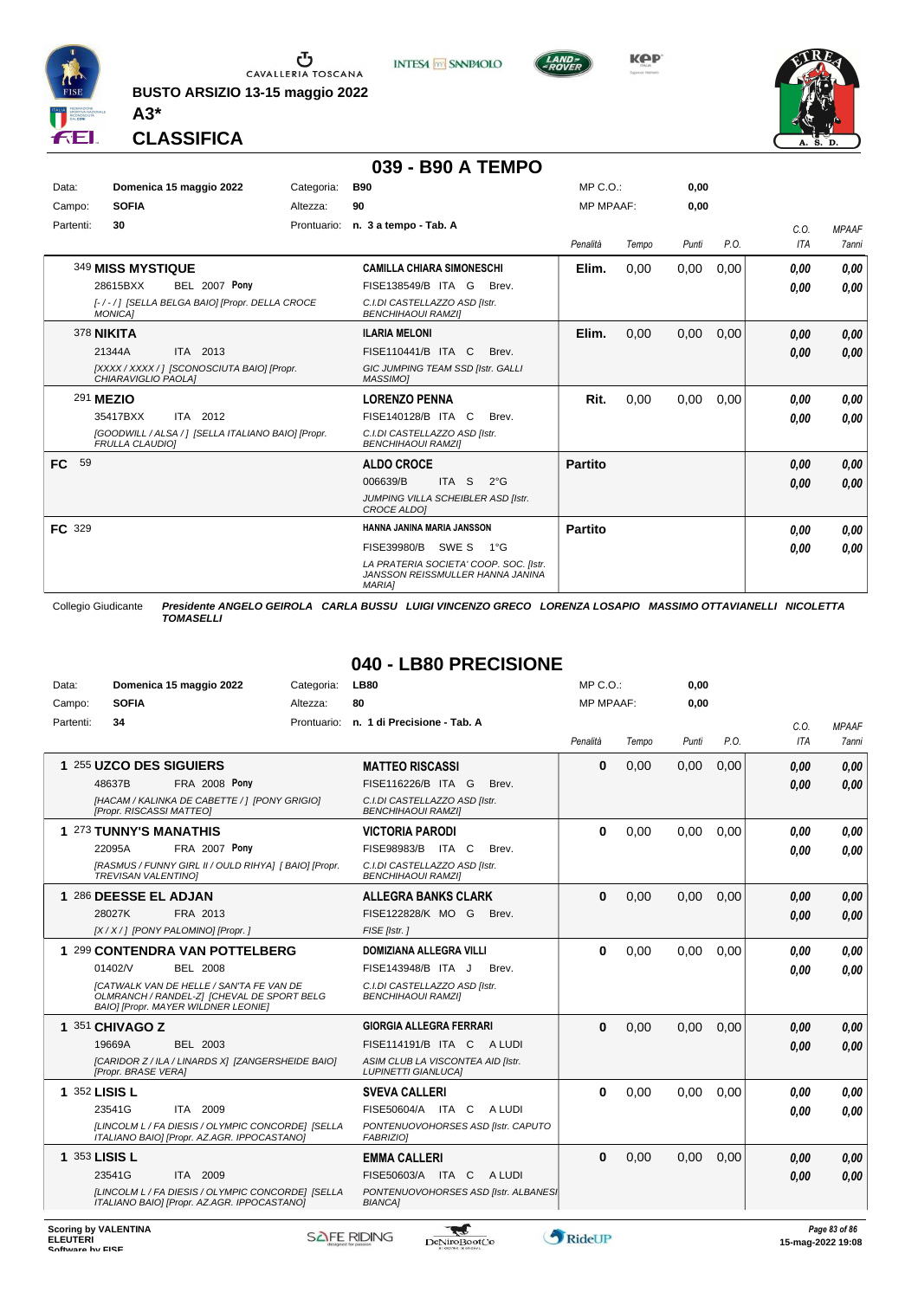

**BUSTO ARSIZIO 13-15 maggio 2022 A3\***





**KPP** 



**CLASSIFICA**

#### **039 - B90 A TEMPO**

| Data:     | Domenica 15 maggio 2022 |                                                    | <b>B90</b><br>Categoria: |                                                                                             | MP C. O.         |       | 0,00  |      |      |              |
|-----------|-------------------------|----------------------------------------------------|--------------------------|---------------------------------------------------------------------------------------------|------------------|-------|-------|------|------|--------------|
| Campo:    | <b>SOFIA</b>            |                                                    | Altezza:                 | 90                                                                                          | <b>MP MPAAF:</b> |       | 0,00  |      |      |              |
| Partenti: | 30                      |                                                    |                          | Prontuario: n. 3 a tempo - Tab. A                                                           |                  |       |       |      | C.0. | <b>MPAAF</b> |
|           |                         |                                                    |                          |                                                                                             | Penalità         | Tempo | Punti | P.O. | ITA  | <b>7anni</b> |
|           | 349 MISS MYSTIQUE       |                                                    |                          | <b>CAMILLA CHIARA SIMONESCHI</b>                                                            | Elim.            | 0,00  | 0,00  | 0,00 | 0,00 | 0,00         |
|           | 28615BXX                | <b>BEL 2007 Pony</b>                               |                          | FISE138549/B ITA G<br>Brev.                                                                 |                  |       |       |      | 0.00 | 0,00         |
|           | <b>MONICA1</b>          | [-/-/] [SELLA BELGA BAIO] [Propr. DELLA CROCE      |                          | C.I.DI CASTELLAZZO ASD Ilstr.<br><b>BENCHIHAOUI RAMZII</b>                                  |                  |       |       |      |      |              |
|           | 378 <b>NIKITA</b>       |                                                    |                          | <b>ILARIA MELONI</b>                                                                        | Elim.            | 0,00  | 0,00  | 0,00 | 0,00 | 0,00         |
|           | 21344A                  | ITA 2013                                           |                          | FISE110441/B ITA C<br>Brev.                                                                 |                  |       |       |      | 0,00 | 0,00         |
|           | CHIARAVIGLIO PAOLA]     | [XXXX / XXXX / ] [SCONOSCIUTA BAIO] [Propr.        |                          | GIC JUMPING TEAM SSD [Istr. GALLI<br><b>MASSIMO1</b>                                        |                  |       |       |      |      |              |
|           | 291 MEZIO               |                                                    |                          | <b>LORENZO PENNA</b>                                                                        | Rit.             | 0,00  | 0,00  | 0,00 | 0.00 | 0,00         |
|           | 35417BXX                | ITA 2012                                           |                          | FISE140128/B ITA C<br>Brev.                                                                 |                  |       |       |      | 0,00 | 0,00         |
|           | <b>FRULLA CLAUDIOI</b>  | [GOODWILL / ALSA / ] [SELLA ITALIANO BAIO] [Propr. |                          | C.I.DI CASTELLAZZO ASD Ilstr.<br><b>BENCHIHAOUI RAMZII</b>                                  |                  |       |       |      |      |              |
| 59<br>FC. |                         |                                                    |                          | <b>ALDO CROCE</b>                                                                           | <b>Partito</b>   |       |       |      | 0,00 | 0,00         |
|           |                         |                                                    |                          | ITA <sub>S</sub><br>006639/B<br>$2^{\circ}G$                                                |                  |       |       |      | 0,00 | 0,00         |
|           |                         |                                                    |                          | JUMPING VILLA SCHEIBLER ASD [Istr.<br><b>CROCE ALDOI</b>                                    |                  |       |       |      |      |              |
| FC 329    |                         |                                                    |                          | HANNA JANINA MARIA JANSSON                                                                  | Partito          |       |       |      | 0.00 | 0,00         |
|           |                         |                                                    |                          | SWE S<br>FISE39980/B<br>1°G                                                                 |                  |       |       |      | 0,00 | 0,00         |
|           |                         |                                                    |                          | LA PRATERIA SOCIETA' COOP. SOC. Ilstr.<br>JANSSON REISSMULLER HANNA JANINA<br><b>MARIAI</b> |                  |       |       |      |      |              |

Collegio Giudicante *Presidente ANGELO GEIROLA CARLA BUSSU LUIGI VINCENZO GRECO LORENZA LOSAPIO MASSIMO OTTAVIANELLI NICOLETTA TOMASELLI*

## **040 - LB80 PRECISIONE**

| Data:     | Domenica 15 maggio 2022                                                                                                              | Categoria:  | <b>LB80</b>                                                     | MP C.O.:         |       | 0,00  |      |            |              |
|-----------|--------------------------------------------------------------------------------------------------------------------------------------|-------------|-----------------------------------------------------------------|------------------|-------|-------|------|------------|--------------|
| Campo:    | <b>SOFIA</b>                                                                                                                         | Altezza:    | 80                                                              | <b>MP MPAAF:</b> |       | 0.00  |      |            |              |
| Partenti: | 34                                                                                                                                   | Prontuario: | n. 1 di Precisione - Tab. A                                     |                  |       |       |      | C.0.       | <b>MPAAF</b> |
|           |                                                                                                                                      |             |                                                                 | Penalità         | Tempo | Punti | P.O. | <b>ITA</b> | 7anni        |
|           | 1 255 UZCO DES SIGUIERS                                                                                                              |             | <b>MATTEO RISCASSI</b>                                          | $\bf{0}$         | 0,00  | 0,00  | 0,00 | 0.00       | 0,00         |
|           | 48637B<br><b>FRA 2008 Pony</b>                                                                                                       |             | FISE116226/B ITA G<br>Brev.                                     |                  |       |       |      | 0.00       | 0.00         |
|           | [HACAM / KALINKA DE CABETTE / ] [PONY GRIGIO]<br>[Propr. RISCASSI MATTEO]                                                            |             | C.I.DI CASTELLAZZO ASD Ilstr.<br><b>BENCHIHAOUI RAMZII</b>      |                  |       |       |      |            |              |
|           | 1 273 TUNNY'S MANATHIS                                                                                                               |             | <b>VICTORIA PARODI</b>                                          | $\bf{0}$         | 0,00  | 0.00  | 0.00 | 0,00       | 0.00         |
|           | 22095A<br><b>FRA 2007 Pony</b>                                                                                                       |             | FISE98983/B ITA C<br>Brev.                                      |                  |       |       |      | 0.00       | 0.00         |
|           | [RASMUS / FUNNY GIRL II / OULD RIHYA] [ BAIO] [Propr.<br><b>TREVISAN VALENTINO!</b>                                                  |             | C.I.DI CASTELLAZZO ASD Ilstr.<br><b>BENCHIHAOUI RAMZII</b>      |                  |       |       |      |            |              |
|           | 1 286 DEESSE EL ADJAN                                                                                                                |             | <b>ALLEGRA BANKS CLARK</b>                                      | 0                | 0,00  | 0,00  | 0,00 | 0.00       | 0,00         |
|           | 28027K<br>FRA 2013                                                                                                                   |             | FISE122828/K MO G<br>Brev.                                      |                  |       |       |      | 0.00       | 0.00         |
|           | [X / X / ] [PONY PALOMINO] [Propr. ]                                                                                                 |             | FISE [Istr.]                                                    |                  |       |       |      |            |              |
|           | 1 299 CONTENDRA VAN POTTELBERG                                                                                                       |             | <b>DOMIZIANA ALLEGRA VILLI</b>                                  | $\bf{0}$         | 0,00  | 0,00  | 0,00 | 0.00       | 0,00         |
|           | <b>BEL 2008</b><br>01402/V                                                                                                           |             | FISE143948/B ITA J<br>Brev.                                     |                  |       |       |      | 0.00       | 0.00         |
|           | <b>ICATWALK VAN DE HELLE / SAN'TA FE VAN DE</b><br>OLMRANCH / RANDEL-ZI [CHEVAL DE SPORT BELG<br>BAIO] [Propr. MAYER WILDNER LEONIE] |             | C.I.DI CASTELLAZZO ASD [Istr.<br><b>BENCHIHAOUI RAMZII</b>      |                  |       |       |      |            |              |
|           | 1 351 CHIVAGO Z                                                                                                                      |             | <b>GIORGIA ALLEGRA FERRARI</b>                                  | $\mathbf{0}$     | 0,00  | 0,00  | 0,00 | 0.00       | 0,00         |
|           | 19669A<br>BEL 2003                                                                                                                   |             | FISE114191/B ITA C ALUDI                                        |                  |       |       |      | 0.00       | 0,00         |
|           | [CARIDOR Z / ILA / LINARDS X] [ZANGERSHEIDE BAIO]<br>[Propr. BRASE VERA]                                                             |             | ASIM CLUB LA VISCONTEA AID [Istr.<br><b>LUPINETTI GIANLUCA]</b> |                  |       |       |      |            |              |
|           | <b>1 352 LISIS L</b>                                                                                                                 |             | <b>SVEVA CALLERI</b>                                            | $\bf{0}$         | 0.00  | 0.00  | 0.00 | 0.00       | 0.00         |
|           | ITA 2009<br>23541G                                                                                                                   |             | FISE50604/A ITA C<br>A LUDI                                     |                  |       |       |      | 0.00       | 0.00         |
|           | [LINCOLM L / FA DIESIS / OLYMPIC CONCORDE] [SELLA<br>ITALIANO BAIO] [Propr. AZ.AGR. IPPOCASTANO]                                     |             | PONTENUOVOHORSES ASD [Istr. CAPUTO<br>FABRIZIO]                 |                  |       |       |      |            |              |
|           | <b>1 353 LISIS L</b>                                                                                                                 |             | <b>EMMA CALLERI</b>                                             | $\bf{0}$         | 0,00  | 0.00  | 0,00 | 0.00       | 0,00         |
|           | 23541G<br>ITA 2009                                                                                                                   |             | FISE50603/A ITA C<br>A LUDI                                     |                  |       |       |      | 0.00       | 0.00         |
|           | [LINCOLM L / FA DIESIS / OLYMPIC CONCORDE] [SELLA<br>ITALIANO BAIO] [Propr. AZ.AGR. IPPOCASTANO]                                     |             | PONTENUOVOHORSES ASD [Istr. ALBANES]<br><b>BIANCA1</b>          |                  |       |       |      |            |              |
|           |                                                                                                                                      |             |                                                                 |                  |       |       |      |            |              |

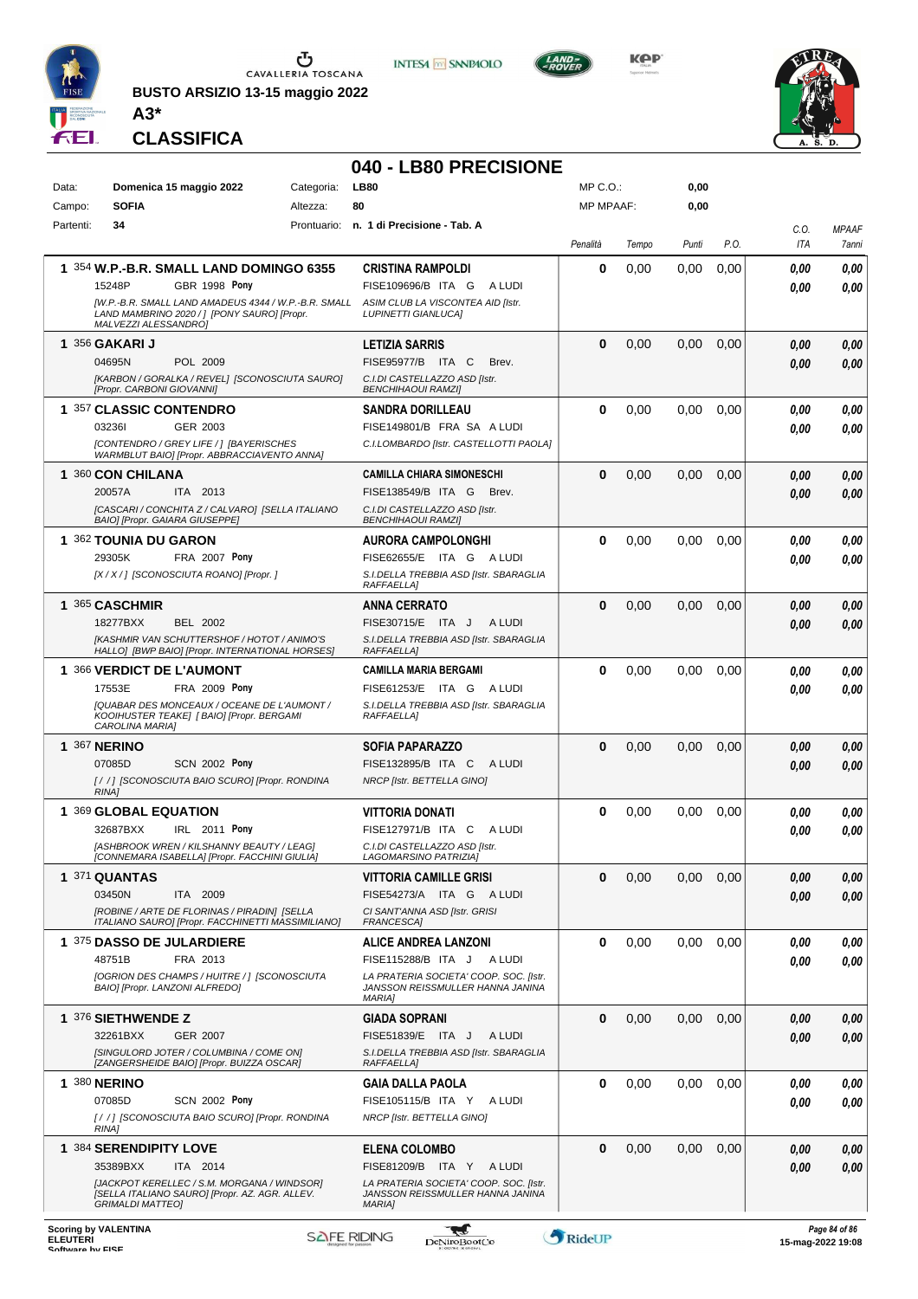

**BUSTO ARSIZIO 13-15 maggio 2022 A3\***









**CLASSIFICA**

## **040 - LB80 PRECISIONE**

| Data:<br>Campo: | Domenica 15 maggio 2022<br>Categoria:<br><b>SOFIA</b><br>Altezza:                                                           |  | <b>LB80</b><br>80                                                          |          | MP C.O.:<br><b>MP MPAAF:</b> |       |      |                         |               |
|-----------------|-----------------------------------------------------------------------------------------------------------------------------|--|----------------------------------------------------------------------------|----------|------------------------------|-------|------|-------------------------|---------------|
| Partenti:       | 34                                                                                                                          |  | Prontuario: n. 1 di Precisione - Tab. A                                    |          |                              |       |      | C.O.                    | <b>MPAAF</b>  |
|                 |                                                                                                                             |  |                                                                            | Penalità | Tempo                        | Punti | P.O. | ITA                     | 7anni         |
|                 | 1 354 W.P.-B.R. SMALL LAND DOMINGO 6355                                                                                     |  | <b>CRISTINA RAMPOLDI</b>                                                   | 0        | 0,00                         | 0,00  | 0,00 | 0.00                    | 0,00          |
|                 | 15248P<br><b>GBR 1998 Pony</b>                                                                                              |  | FISE109696/B ITA G<br>A LUDI                                               |          |                              |       |      | 0.00                    | 0.00          |
|                 | [W.P.-B.R. SMALL LAND AMADEUS 4344 / W.P.-B.R. SMALL<br>LAND MAMBRINO 2020 / ] [PONY SAURO] [Propr.<br>MALVEZZI ALESSANDRO] |  | ASIM CLUB LA VISCONTEA AID [Istr.<br><b>LUPINETTI GIANLUCA]</b>            |          |                              |       |      |                         |               |
|                 | 1 356 GAKARI J                                                                                                              |  | <b>LETIZIA SARRIS</b>                                                      | $\bf{0}$ | 0,00                         | 0,00  | 0,00 | 0.00                    | 0,00          |
|                 | 04695N<br>POL 2009                                                                                                          |  | FISE95977/B ITA C<br>Brev.                                                 |          |                              |       |      | 0,00                    | 0,00          |
|                 | [KARBON / GORALKA / REVEL] [SCONOSCIUTA SAURO]<br>[Propr. CARBONI GIOVANNI]                                                 |  | C.I.DI CASTELLAZZO ASD [Istr.<br><b>BENCHIHAOUI RAMZII</b>                 |          |                              |       |      |                         |               |
|                 | 1 357 CLASSIC CONTENDRO                                                                                                     |  | SANDRA DORILLEAU                                                           | 0        | 0,00                         | 0,00  | 0,00 | 0.00                    | 0,00          |
|                 | GER 2003<br>032361                                                                                                          |  | FISE149801/B FRA SA A LUDI                                                 |          |                              |       |      | 0.00                    | 0.00          |
|                 | [CONTENDRO / GREY LIFE / ] [BAYERISCHES<br>WARMBLUT BAIO] [Propr. ABBRACCIAVENTO ANNA]                                      |  | C.I.LOMBARDO [Istr. CASTELLOTTI PAOLA]                                     |          |                              |       |      |                         |               |
|                 | 1 360 CON CHILANA                                                                                                           |  | <b>CAMILLA CHIARA SIMONESCHI</b>                                           | $\bf{0}$ | 0,00                         | 0,00  | 0,00 | 0.00                    | 0,00          |
|                 | ITA 2013<br>20057A                                                                                                          |  | FISE138549/B ITA G<br>Brev.                                                |          |                              |       |      | 0.00                    | 0.00          |
|                 | [CASCARI / CONCHITA Z / CALVARO] [SELLA ITALIANO<br>BAIO] [Propr. GAIARA GIUSEPPE]                                          |  | C.I.DI CASTELLAZZO ASD [Istr.<br><b>BENCHIHAOUI RAMZI]</b>                 |          |                              |       |      |                         |               |
|                 | 1 362 TOUNIA DU GARON                                                                                                       |  | AURORA CAMPOLONGHI                                                         | 0        | 0,00                         | 0,00  | 0,00 | 0.00                    | 0,00          |
|                 | FRA 2007 Pony<br>29305K                                                                                                     |  | FISE62655/E ITA G ALUDI                                                    |          |                              |       |      | 0.00                    | 0.00          |
|                 | [X / X / ] [SCONOSCIUTA ROANO] [Propr. ]                                                                                    |  | S.I.DELLA TREBBIA ASD [Istr. SBARAGLIA<br>RAFFAELLA]                       |          |                              |       |      |                         |               |
|                 | 1 365 CASCHMIR                                                                                                              |  | <b>ANNA CERRATO</b>                                                        | $\bf{0}$ | 0,00                         | 0,00  | 0,00 | 0.00                    | 0,00          |
|                 | 18277BXX<br><b>BEL 2002</b>                                                                                                 |  | FISE30715/E ITA J<br>A LUDI                                                |          |                              |       |      | 0.00                    | 0,00          |
|                 | [KASHMIR VAN SCHUTTERSHOF / HOTOT / ANIMO'S<br>HALLO] [BWP BAIO] [Propr. INTERNATIONAL HORSES]                              |  | S.I.DELLA TREBBIA ASD [Istr. SBARAGLIA<br>RAFFAELLA]                       |          |                              |       |      |                         |               |
|                 | 1 366 VERDICT DE L'AUMONT                                                                                                   |  | <b>CAMILLA MARIA BERGAMI</b>                                               | $\bf{0}$ | 0,00                         | 0,00  | 0,00 | 0.00                    | 0,00          |
|                 | 17553E<br><b>FRA 2009 Pony</b><br>[QUABAR DES MONCEAUX / OCEANE DE L'AUMONT /                                               |  | FISE61253/E ITA G ALUDI<br>S.I.DELLA TREBBIA ASD [Istr. SBARAGLIA          |          |                              |       |      | 0.00                    | 0.00          |
|                 | KOOIHUSTER TEAKE  [ BAIO] [Propr. BERGAMI<br>CAROLINA MARIA]                                                                |  | RAFFAELLA]                                                                 |          |                              |       |      |                         |               |
|                 | 1 367 NERINO                                                                                                                |  | <b>SOFIA PAPARAZZO</b>                                                     | $\bf{0}$ | 0,00                         | 0,00  | 0,00 | 0,00                    | 0,00          |
|                 | 07085D<br><b>SCN 2002 Pony</b>                                                                                              |  | FISE132895/B ITA C<br>A LUDI                                               |          |                              |       |      | 0.00                    | 0,00          |
|                 | [//] [SCONOSCIUTA BAIO SCURO] [Propr. RONDINA<br>RINA1                                                                      |  | NRCP [Istr. BETTELLA GINO]                                                 |          |                              |       |      |                         |               |
|                 | 1 369 GLOBAL EQUATION                                                                                                       |  | <b>VITTORIA DONATI</b>                                                     | $\bf{0}$ | 0,00                         | 0,00  | 0,00 | 0,00                    | 0,00          |
|                 | 32687BXX<br>IRL 2011 Pony                                                                                                   |  | FISE127971/B ITA C<br>A LUDI                                               |          |                              |       |      | 0.00                    | 0.00          |
|                 | [ASHBROOK WREN / KILSHANNY BEAUTY / LEAG]<br>[CONNEMARA ISABELLA] [Propr. FACCHINI GIULIA]                                  |  | C.I.DI CASTELLAZZO ASD [Istr.<br><b>LAGOMARSINO PATRIZIAI</b>              |          |                              |       |      |                         |               |
|                 | <b>1 371 QUANTAS</b>                                                                                                        |  | <b>VITTORIA CAMILLE GRISI</b>                                              | $\bf{0}$ | 0,00                         | 0,00  | 0,00 | 0,00                    | 0,00          |
|                 | 03450N<br>ITA 2009                                                                                                          |  | FISE54273/A ITA G ALUDI                                                    |          |                              |       |      | 0.00                    | 0,00          |
|                 | [ROBINE / ARTE DE FLORINAS / PIRADIN] [SELLA<br>ITALIANO SAURO] [Propr. FACCHINETTI MASSIMILIANO]                           |  | CI SANT'ANNA ASD [Istr. GRISI<br>FRANCESCA]                                |          |                              |       |      |                         |               |
|                 | 1 375 DASSO DE JULARDIERE                                                                                                   |  | <b>ALICE ANDREA LANZONI</b>                                                | $\bf{0}$ | 0,00                         | 0,00  | 0,00 | 0,00                    | 0,00          |
|                 | 48751B<br>FRA 2013<br><b>[OGRION DES CHAMPS / HUITRE / ] [SCONOSCIUTA</b>                                                   |  | FISE115288/B ITA J<br>A LUDI<br>LA PRATERIA SOCIETA' COOP. SOC. Ilstr.     |          |                              |       |      | 0.00                    | 0.00          |
|                 | BAIO] [Propr. LANZONI ALFREDO]                                                                                              |  | JANSSON REISSMULLER HANNA JANINA<br><b>MARIAI</b>                          |          |                              |       |      |                         |               |
|                 | 1 376 SIETHWENDE Z                                                                                                          |  | <b>GIADA SOPRANI</b>                                                       | $\bf{0}$ | 0,00                         | 0,00  | 0,00 | 0,00                    | 0,00          |
|                 | 32261BXX<br>GER 2007                                                                                                        |  | FISE51839/E ITA J<br>A LUDI                                                |          |                              |       |      | 0.00                    | 0,00          |
|                 | [SINGULORD JOTER / COLUMBINA / COME ON]<br>[ZANGERSHEIDE BAIO] [Propr. BUIZZA OSCAR]                                        |  | S.I.DELLA TREBBIA ASD [Istr. SBARAGLIA<br>RAFFAELLA]                       |          |                              |       |      |                         |               |
|                 | <b>1 380 NERINO</b>                                                                                                         |  | <b>GAIA DALLA PAOLA</b>                                                    | $\bf{0}$ | 0,00                         | 0,00  | 0,00 | 0.00                    | 0,00          |
|                 | 07085D<br><b>SCN 2002 Pony</b>                                                                                              |  | FISE105115/B ITA Y<br>A LUDI                                               |          |                              |       |      | 0.00                    | 0.00          |
|                 | [//] [SCONOSCIUTA BAIO SCURO] [Propr. RONDINA<br>RINA1                                                                      |  | NRCP [Istr. BETTELLA GINO]                                                 |          |                              |       |      |                         |               |
|                 | 1 384 SERENDIPITY LOVE                                                                                                      |  | <b>ELENA COLOMBO</b>                                                       | $\bf{0}$ | 0,00                         | 0,00  | 0,00 | 0,00                    | 0,00          |
|                 | 35389BXX<br>ITA 2014                                                                                                        |  | FISE81209/B ITA Y<br>A LUDI                                                |          |                              |       |      | 0.00                    | 0,00          |
|                 | [JACKPOT KERELLEC / S.M. MORGANA / WINDSOR]<br>[SELLA ITALIANO SAURO] [Propr. AZ. AGR. ALLEV.                               |  | LA PRATERIA SOCIETA' COOP. SOC. [Istr.<br>JANSSON REISSMULLER HANNA JANINA |          |                              |       |      |                         |               |
|                 | <b>GRIMALDI MATTEO]</b>                                                                                                     |  | <b>MARIA1</b>                                                              |          |                              |       |      |                         |               |
| <b>ELEUTERI</b> | <b>Scoring by VALENTINA</b>                                                                                                 |  | ليجيا<br><b>SAFE RIDING</b><br>DeNiroBoot('o                               | RideUP   |                              |       |      | $15 - ma - 202219 - 08$ | Page 84 of 86 |

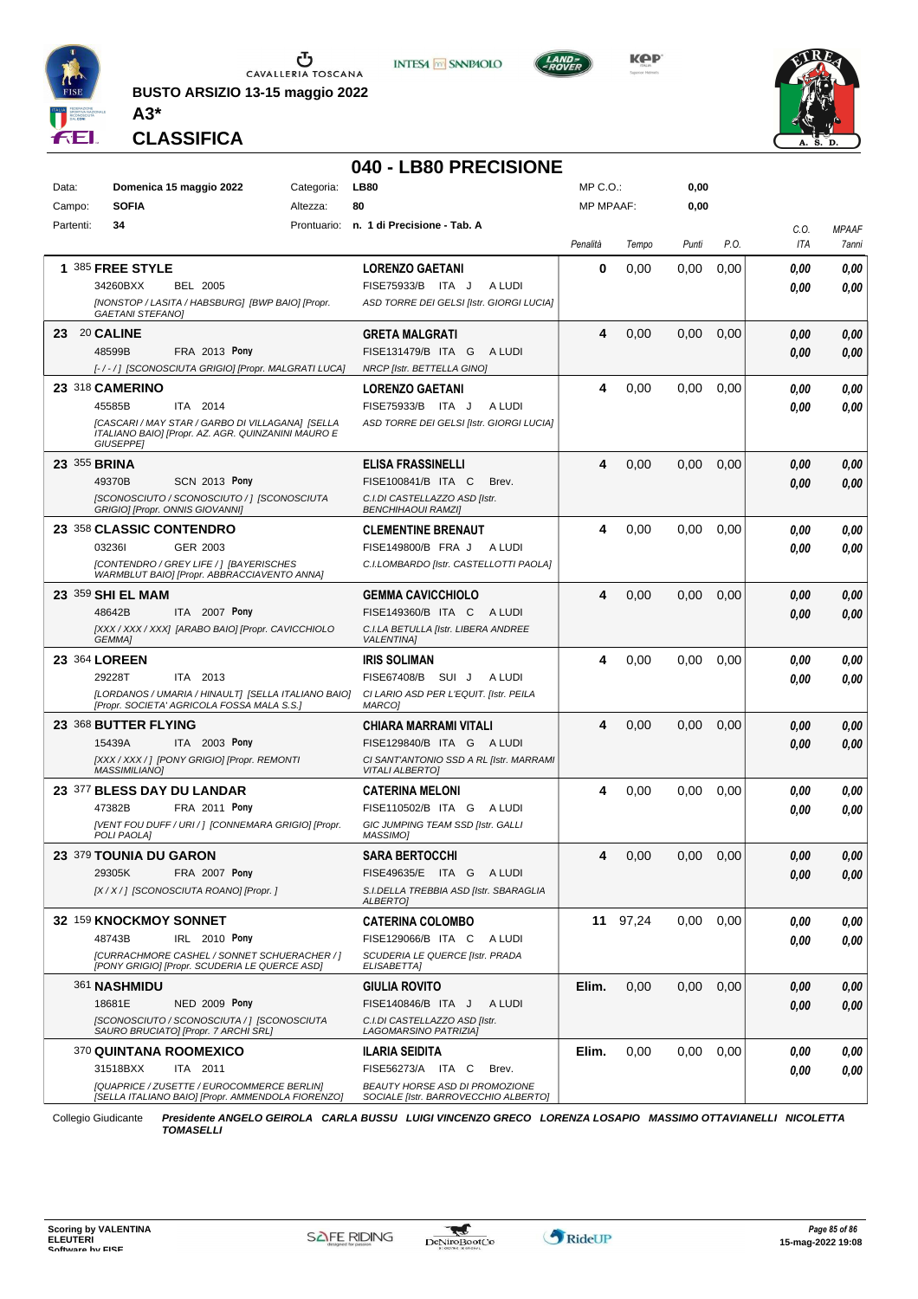

**BUSTO ARSIZIO 13-15 maggio 2022**







**CLASSIFICA**

**A3\***

## **040 - LB80 PRECISIONE**

| Data:        | Domenica 15 maggio 2022<br>Categoria: |                                                                                                        | <b>LB80</b> | MP C.O.:                                                               |                  | 0,00     |       |      |              |              |
|--------------|---------------------------------------|--------------------------------------------------------------------------------------------------------|-------------|------------------------------------------------------------------------|------------------|----------|-------|------|--------------|--------------|
| Campo:       | <b>SOFIA</b>                          |                                                                                                        | Altezza:    | 80                                                                     | <b>MP MPAAF:</b> |          | 0,00  |      |              |              |
| Partenti:    | 34                                    |                                                                                                        |             | Prontuario: n. 1 di Precisione - Tab. A                                |                  |          |       |      | C.O.         | <b>MPAAF</b> |
|              |                                       |                                                                                                        |             |                                                                        | Penalità         | Tempo    | Punti | P.O. | ITA          | 7anni        |
|              | 1 385 FREE STYLE                      |                                                                                                        |             | <b>LORENZO GAETANI</b>                                                 | 0                | 0,00     | 0.00  | 0,00 | 0.00         | 0,00         |
|              | 34260BXX                              | <b>BEL 2005</b>                                                                                        |             | FISE75933/B ITA J<br>A LUDI                                            |                  |          |       |      | 0.00         | 0,00         |
|              | <b>GAETANI STEFANO)</b>               | [NONSTOP / LASITA / HABSBURG] [BWP BAIO] [Propr.                                                       |             | ASD TORRE DEI GELSI [Istr. GIORGI LUCIA]                               |                  |          |       |      |              |              |
| 23 20 CALINE |                                       |                                                                                                        |             | <b>GRETA MALGRATI</b>                                                  | 4                | 0,00     | 0,00  | 0,00 | 0.00         | 0,00         |
|              | 48599B                                | FRA 2013 Pony                                                                                          |             | FISE131479/B ITA G<br>A LUDI                                           |                  |          |       |      | 0.00         | 0,00         |
|              |                                       | [-/-/] [SCONOSCIUTA GRIGIO] [Propr. MALGRATI LUCA]                                                     |             | NRCP [Istr. BETTELLA GINO]                                             |                  |          |       |      |              |              |
|              | 23 318 CAMERINO                       |                                                                                                        |             | <b>LORENZO GAETANI</b>                                                 | 4                | 0,00     | 0,00  | 0,00 | 0.00         | 0,00         |
|              | 45585B                                | ITA 2014                                                                                               |             | FISE75933/B ITA J<br>A LUDI                                            |                  |          |       |      | 0.00         | 0,00         |
|              |                                       | [CASCARI / MAY STAR / GARBO DI VILLAGANA] [SELLA<br>ITALIANO BAIO] [Propr. AZ. AGR. QUINZANINI MAURO E |             | ASD TORRE DEI GELSI [Istr. GIORGI LUCIA]                               |                  |          |       |      |              |              |
|              | <b>GIUSEPPEI</b>                      |                                                                                                        |             |                                                                        |                  |          |       |      |              |              |
| 23 355 BRINA |                                       |                                                                                                        |             | ELISA FRASSINELLI                                                      | 4                | 0,00     | 0,00  | 0,00 | 0.00         | 0,00         |
|              | 49370B                                | <b>SCN 2013 Pony</b>                                                                                   |             | FISE100841/B ITA C<br>Brev.                                            |                  |          |       |      | 0.00         | 0.00         |
|              | GRIGIO] [Propr. ONNIS GIOVANNI]       | [SCONOSCIUTO / SCONOSCIUTO / ] [SCONOSCIUTA                                                            |             | C.I.DI CASTELLAZZO ASD [Istr.<br><b>BENCHIHAOUI RAMZI]</b>             |                  |          |       |      |              |              |
|              | 23 358 CLASSIC CONTENDRO              |                                                                                                        |             | <b>CLEMENTINE BRENAUT</b>                                              | 4                | 0,00     | 0,00  | 0,00 | 0.00         | 0,00         |
|              | 032361                                | GER 2003                                                                                               |             | FISE149800/B FRA J<br>A LUDI                                           |                  |          |       |      | 0.00         | 0.00         |
|              |                                       | [CONTENDRO / GREY LIFE / ] [BAYERISCHES                                                                |             | C.I.LOMBARDO [Istr. CASTELLOTTI PAOLA]                                 |                  |          |       |      |              |              |
|              |                                       | WARMBLUT BAIO] [Propr. ABBRACCIAVENTO ANNA]                                                            |             |                                                                        | 4                |          |       |      |              |              |
|              | 23 359 SHI EL MAM<br>48642B           | ITA 2007 Pony                                                                                          |             | <b>GEMMA CAVICCHIOLO</b><br>FISE149360/B ITA C<br>A LUDI               |                  | 0,00     | 0,00  | 0,00 | 0.00<br>0.00 | 0,00<br>0.00 |
|              |                                       | [XXX / XXX / XXX] [ARABO BAIO] [Propr. CAVICCHIOLO                                                     |             | C.I.LA BETULLA [Istr. LIBERA ANDREE                                    |                  |          |       |      |              |              |
|              | GEMMA]                                |                                                                                                        |             | <b>VALENTINA]</b>                                                      |                  |          |       |      |              |              |
|              | 23 364 LOREEN                         |                                                                                                        |             | <b>IRIS SOLIMAN</b>                                                    | 4                | 0,00     | 0.00  | 0,00 | 0.00         | 0,00         |
|              | 29228T                                | ITA 2013                                                                                               |             | FISE67408/B SUI J<br>A LUDI                                            |                  |          |       |      | 0.00         | 0.00         |
|              |                                       | [LORDANOS / UMARIA / HINAULT] [SELLA ITALIANO BAIO]<br>[Propr. SOCIETA' AGRICOLA FOSSA MALA S.S.]      |             | CI LARIO ASD PER L'EQUIT. [Istr. PEILA<br>MARCO]                       |                  |          |       |      |              |              |
|              | 23 368 BUTTER FLYING                  |                                                                                                        |             | CHIARA MARRAMI VITALI                                                  | 4                | 0,00     | 0,00  | 0,00 | 0.00         | 0,00         |
|              | 15439A                                | ITA 2003 Pony                                                                                          |             | FISE129840/B ITA G ALUDI                                               |                  |          |       |      | 0.00         | 0.00         |
|              | <b>MASSIMILIANO]</b>                  | [XXX / XXX / ] [PONY GRIGIO] [Propr. REMONTI                                                           |             | CI SANT'ANTONIO SSD A RL [Istr. MARRAMI<br><b>VITALI ALBERTO]</b>      |                  |          |       |      |              |              |
|              | 23 377 BLESS DAY DU LANDAR            |                                                                                                        |             | <b>CATERINA MELONI</b>                                                 | 4                | 0,00     | 0.00  | 0,00 | 0.00         | 0,00         |
|              | 47382B                                | FRA 2011 Pony                                                                                          |             | FISE110502/B ITA G ALUDI                                               |                  |          |       |      | 0.00         | 0.00         |
|              | POLI PAOLA]                           | [VENT FOU DUFF / URI / ] [CONNEMARA GRIGIO] [Propr.                                                    |             | GIC JUMPING TEAM SSD [Istr. GALLI<br>MASSIMO]                          |                  |          |       |      |              |              |
|              | 23 379 TOUNIA DU GARON                |                                                                                                        |             | <b>SARA BERTOCCHI</b>                                                  | 4                | 0,00     | 0,00  | 0,00 | 0.00         | 0.00         |
|              | 29305K                                | FRA 2007 Pony                                                                                          |             | FISE49635/E ITA G ALUDI                                                |                  |          |       |      | 0,00         | 0,00         |
|              |                                       | [X / X / ] [SCONOSCIUTA ROANO] [Propr. ]                                                               |             | S.I.DELLA TREBBIA ASD [Istr. SBARAGLIA<br>ALBERTO]                     |                  |          |       |      |              |              |
|              | 32 159 KNOCKMOY SONNET                |                                                                                                        |             | <b>CATERINA COLOMBO</b>                                                |                  | 11 97,24 | 0,00  | 0,00 | 0,00         | 0,00         |
|              | 48743B                                | IRL 2010 Pony                                                                                          |             | FISE129066/B ITA C<br>A LUDI                                           |                  |          |       |      | 0.00         | 0,00         |
|              |                                       | [CURRACHMORE CASHEL / SONNET SCHUERACHER / ]<br>[PONY GRIGIO] [Propr. SCUDERIA LE QUERCE ASD]          |             | SCUDERIA LE QUERCE [Istr. PRADA<br>ELISABETTA]                         |                  |          |       |      |              |              |
|              | 361 NASHMIDU                          |                                                                                                        |             | <b>GIULIA ROVITO</b>                                                   | Elim.            | 0,00     | 0,00  | 0,00 | 0.00         | 0,00         |
|              | 18681E                                | <b>NED 2009 Pony</b>                                                                                   |             | FISE140846/B ITA J<br>A LUDI                                           |                  |          |       |      | 0,00         | 0,00         |
|              |                                       | ISCONOSCIUTO / SCONOSCIUTA / 1 ISCONOSCIUTA<br>SAURO BRUCIATO] [Propr. 7 ARCHI SRL]                    |             | C.I.DI CASTELLAZZO ASD [Istr.<br>LAGOMARSINO PATRIZIA]                 |                  |          |       |      |              |              |
|              | 370 QUINTANA ROOMEXICO                |                                                                                                        |             | ILARIA SEIDITA                                                         | Elim.            | 0,00     | 0,00  | 0,00 | 0.00         | 0,00         |
|              | 31518BXX                              | ITA 2011                                                                                               |             | FISE56273/A ITA C<br>Brev.                                             |                  |          |       |      | 0.00         | 0,00         |
|              |                                       | [QUAPRICE / ZUSETTE / EUROCOMMERCE BERLIN]<br>[SELLA ITALIANO BAIO] [Propr. AMMENDOLA FIORENZO]        |             | BEAUTY HORSE ASD DI PROMOZIONE<br>SOCIALE [Istr. BARROVECCHIO ALBERTO] |                  |          |       |      |              |              |
|              |                                       |                                                                                                        |             |                                                                        |                  |          |       |      |              |              |

Collegio Giudicante *Presidente ANGELO GEIROLA CARLA BUSSU LUIGI VINCENZO GRECO LORENZA LOSAPIO MASSIMO OTTAVIANELLI NICOLETTA TOMASELLI*